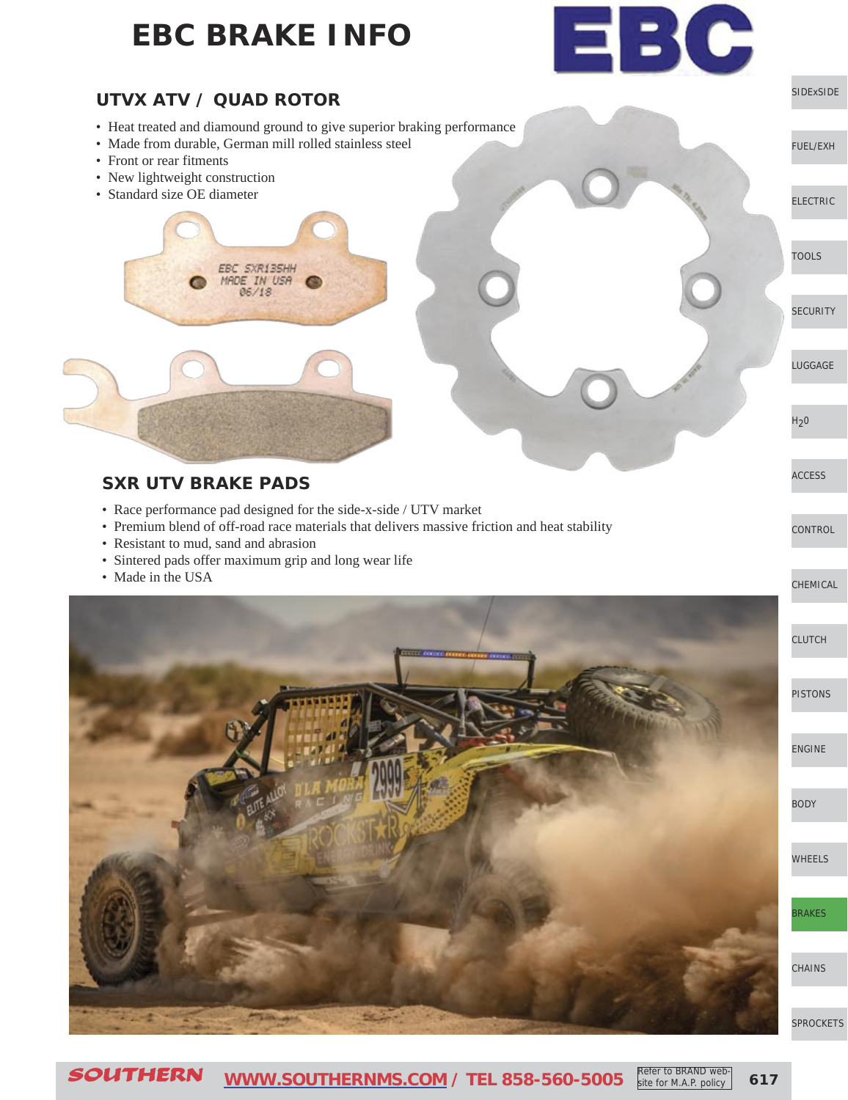

• Heat treated and diamound ground to give superior braking performance

[SIDExSIDE](http://www.southernms.com/wp-content/uploads/2015/08/01_UTV.pdf)

EBC

[ELECTRIC](http://www.southernms.com/wp-content/uploads/2015/08/03_electrical.pdf)

[TOOLS](http://www.southernms.com/wp-content/uploads/2015/08/04_tools.pdf)

[LUGGAGE](http://www.southernms.com/wp-content/uploads/2015/08/06_lugg.pdf)

**[CONTROL](http://www.southernms.com/wp-content/uploads/2015/08/09_controls.pdf)** 

[ACCESS](http://www.southernms.com/wp-content/uploads/2015/08/08_accessories.pdf)

 $H<sub>2</sub>0$ 

**[SECURITY](http://www.southernms.com/wp-content/uploads/2015/08/05_locks.pdf)** 

[FUEL/EXH](http://www.southernms.com/wp-content/uploads/2015/08/02_fuel_exh.pdf)

- Made from durable, German mill rolled stainless steel
- Front or rear fitments
- New lightweight construction
- Standard size OE diameter



### **SXR UTV BRAKE PADS**

- Race performance pad designed for the side-x-side / UTV market
- Premium blend of off-road race materials that delivers massive friction and heat stability
- Resistant to mud, sand and abrasion
- Sintered pads offer maximum grip and long wear life
- Made in the USA

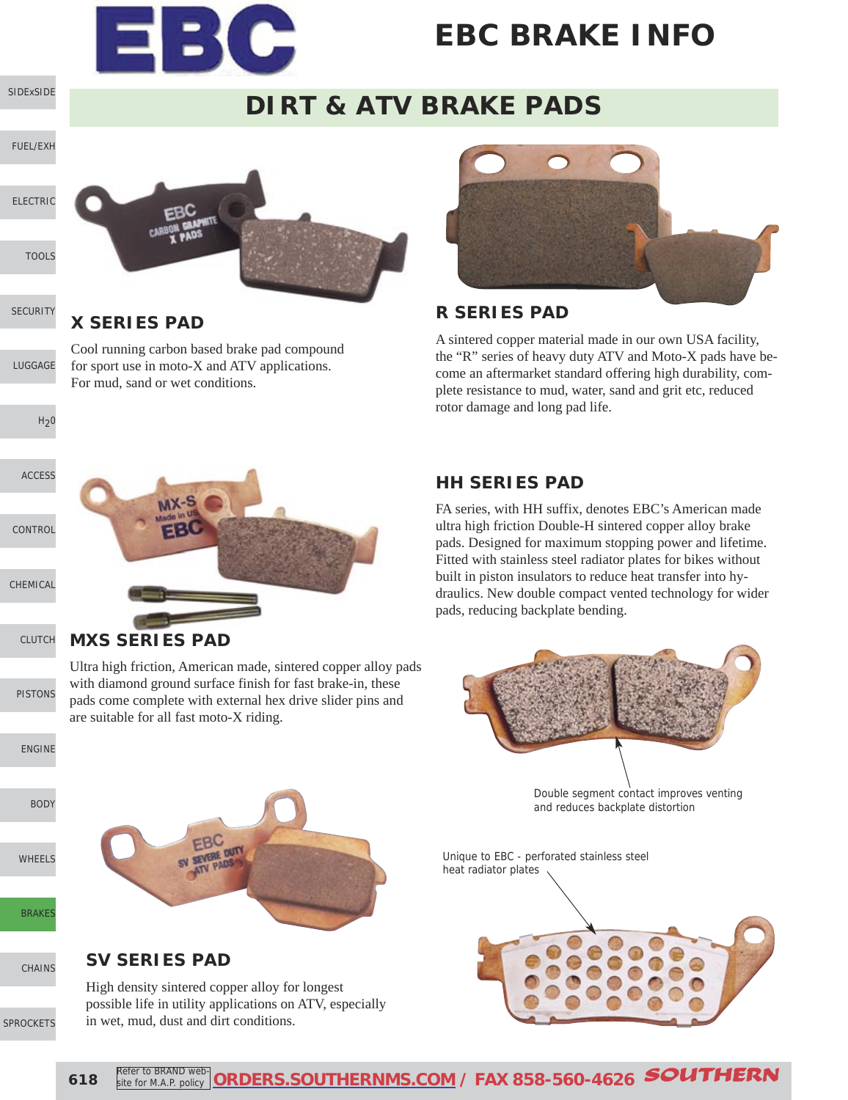

### **DIRT & ATV BRAKE PADS**



### **X SERIES PAD**

[LUGGAGE](http://www.southernms.com/wp-content/uploads/2015/08/06_lugg.pdf) Cool running carbon based brake pad compound for sport use in moto-X and ATV applications. For mud, sand or wet conditions.



#### **R SERIES PAD**

A sintered copper material made in our own USA facility, the "R" series of heavy duty ATV and Moto-X pads have become an aftermarket standard offering high durability, complete resistance to mud, water, sand and grit etc, reduced rotor damage and long pad life.

### **HH SERIES PAD**

FA series, with HH suffix, denotes EBC's American made ultra high friction Double-H sintered copper alloy brake pads. Designed for maximum stopping power and lifetime. Fitted with stainless steel radiator plates for bikes without built in piston insulators to reduce heat transfer into hydraulics. New double compact vented technology for wider pads, reducing backplate bending.



Double segment contact improves venting and reduces backplate distortion

Unique to EBC - perforated stainless steel heat radiator plates



#### **MXS SERIES PAD**

Ultra high friction, American made, sintered copper alloy pads with diamond ground surface finish for fast brake-in, these pads come complete with external hex drive slider pins and are suitable for all fast moto-X riding.

[ENGINE](http://www.southernms.com/wp-content/uploads/2015/08/13_engine.pdf)

[PISTONS](http://www.southernms.com/wp-content/uploads/2015/08/12_pistons.pdf)

[CLUTCH](http://www.southernms.com/wp-content/uploads/2015/08/11_clutch.pdf)

[SIDExSIDE](http://www.southernms.com/wp-content/uploads/2015/08/01_UTV.pdf)

**[SECURITY](http://www.southernms.com/wp-content/uploads/2015/08/05_locks.pdf)** 

 $H<sub>2</sub>0$ 

[CONTROL](http://www.southernms.com/wp-content/uploads/2015/08/09_controls.pdf)

[CHEMICAL](http://www.southernms.com/wp-content/uploads/2015/08/10_chemicals.pdf)

[ACCESS](http://www.southernms.com/wp-content/uploads/2015/08/08_accessories.pdf)

[BODY](http://www.southernms.com/wp-content/uploads/2015/08/14_body.pdf)

[WHEELS](http://www.southernms.com/wp-content/uploads/2015/08/15_wheel.pdf)

**[BRAKES](http://www.southernms.com/wp-content/uploads/2015/08/16_brakes.pdf)** 

[CHAINS](http://www.southernms.com/wp-content/uploads/2015/08/17_chains.pdf)

#### [SPROCKETS](http://www.southernms.com/wp-content/uploads/2015/08/18_sprockets.pdf)

**SV SERIES PAD**

High density sintered copper alloy for longest possible life in utility applications on ATV, especially

in wet, mud, dust and dirt conditions.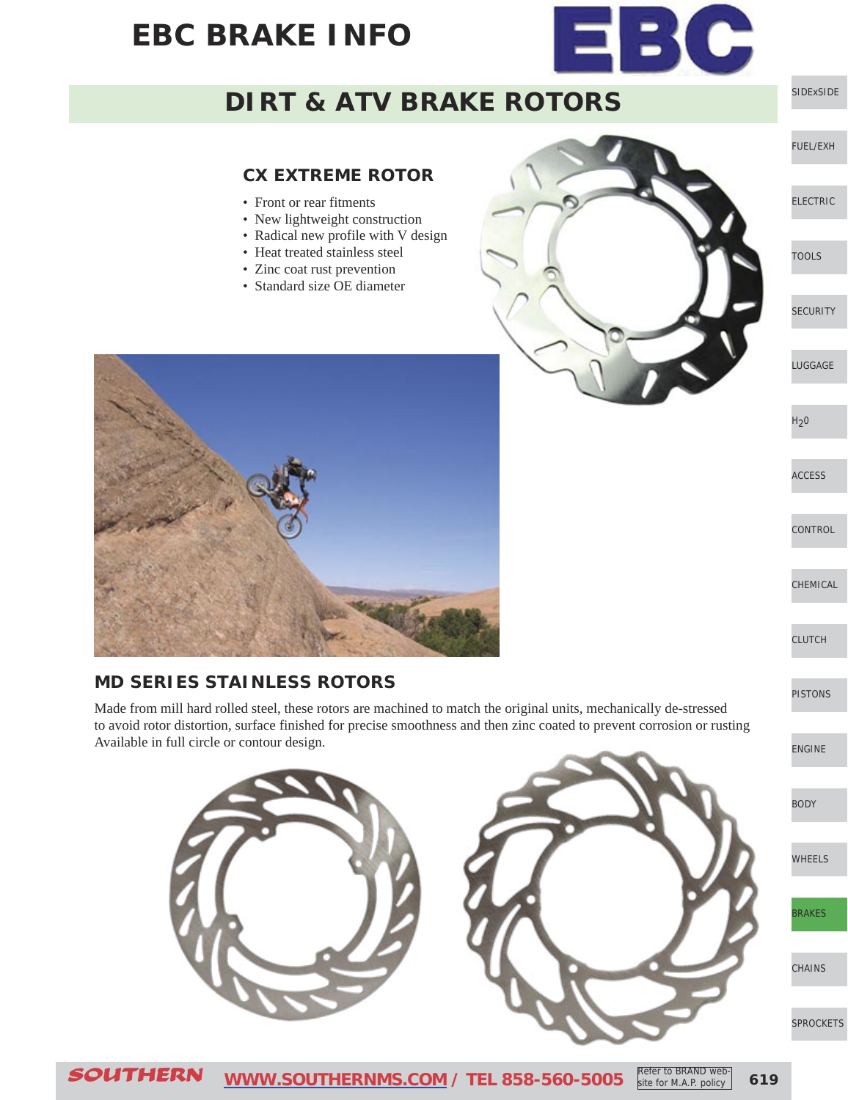

### **DIRT & ATV BRAKE ROTORS**

#### **CX EXTREME ROTOR**

- Front or rear fitments
- New lightweight construction
- Radical new profile with V design
- Heat treated stainless steel
- Zinc coat rust prevention
- Standard size OE diameter



[SIDExSIDE](http://www.southernms.com/wp-content/uploads/2015/08/01_UTV.pdf)

[FUEL/EXH](http://www.southernms.com/wp-content/uploads/2015/08/02_fuel_exh.pdf)

[ELECTRIC](http://www.southernms.com/wp-content/uploads/2015/08/03_electrical.pdf)

[TOOLS](http://www.southernms.com/wp-content/uploads/2015/08/04_tools.pdf)

**[SECURITY](http://www.southernms.com/wp-content/uploads/2015/08/05_locks.pdf)** 

[LUGGAGE](http://www.southernms.com/wp-content/uploads/2015/08/06_lugg.pdf)

 $H<sub>2</sub>0$ 

[ACCESS](http://www.southernms.com/wp-content/uploads/2015/08/08_accessories.pdf)

**[CONTROL](http://www.southernms.com/wp-content/uploads/2015/08/09_controls.pdf)** 

[CHEMICAL](http://www.southernms.com/wp-content/uploads/2015/08/10_chemicals.pdf)

[CLUTCH](http://www.southernms.com/wp-content/uploads/2015/08/11_clutch.pdf)

[PISTONS](http://www.southernms.com/wp-content/uploads/2015/08/12_pistons.pdf)

[ENGINE](http://www.southernms.com/wp-content/uploads/2015/08/13_engine.pdf)

[BODY](http://www.southernms.com/wp-content/uploads/2015/08/14_body.pdf)

[WHEELS](http://www.southernms.com/wp-content/uploads/2015/08/15_wheel.pdf)

[BRAKES](http://www.southernms.com/wp-content/uploads/2015/08/16_brakes.pdf)

**[CHAINS](http://www.southernms.com/wp-content/uploads/2015/08/17_chains.pdf)** 

[SPROCKETS](http://www.southernms.com/wp-content/uploads/2015/08/18_sprockets.pdf)



#### **MD SERIES STAINLESS ROTORS**

Made from mill hard rolled steel, these rotors are machined to match the original units, mechanically de-stressed to avoid rotor distortion, surface finished for precise smoothness and then zinc coated to prevent corrosion or rusting Available in full circle or contour design.

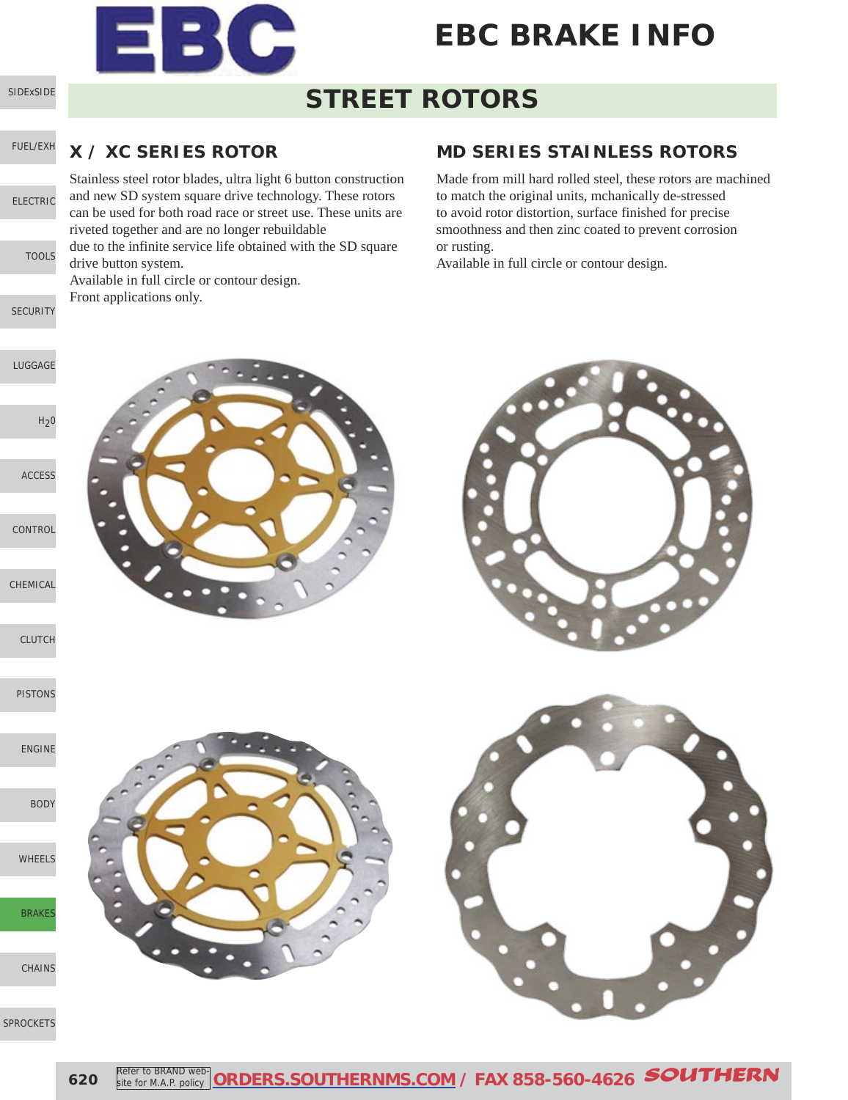

### **STREET ROTORS**

#### [FUEL/EXH](http://www.southernms.com/wp-content/uploads/2015/08/02_fuel_exh.pdf) **X / XC SERIES ROTOR**

[SIDExSIDE](http://www.southernms.com/wp-content/uploads/2015/08/01_UTV.pdf)

[ELECTRIC](http://www.southernms.com/wp-content/uploads/2015/08/03_electrical.pdf)

[TOOLS](http://www.southernms.com/wp-content/uploads/2015/08/04_tools.pdf)

[SECURITY](http://www.southernms.com/wp-content/uploads/2015/08/05_locks.pdf)

Stainless steel rotor blades, ultra light 6 button construction and new SD system square drive technology. These rotors can be used for both road race or street use. These units are riveted together and are no longer rebuildable due to the infinite service life obtained with the SD square drive button system. Available in full circle or contour design. Front applications only.

#### **MD SERIES STAINLESS ROTORS**

Made from mill hard rolled steel, these rotors are machined to match the original units, mchanically de-stressed to avoid rotor distortion, surface finished for precise smoothness and then zinc coated to prevent corrosion or rusting.

Available in full circle or contour design.

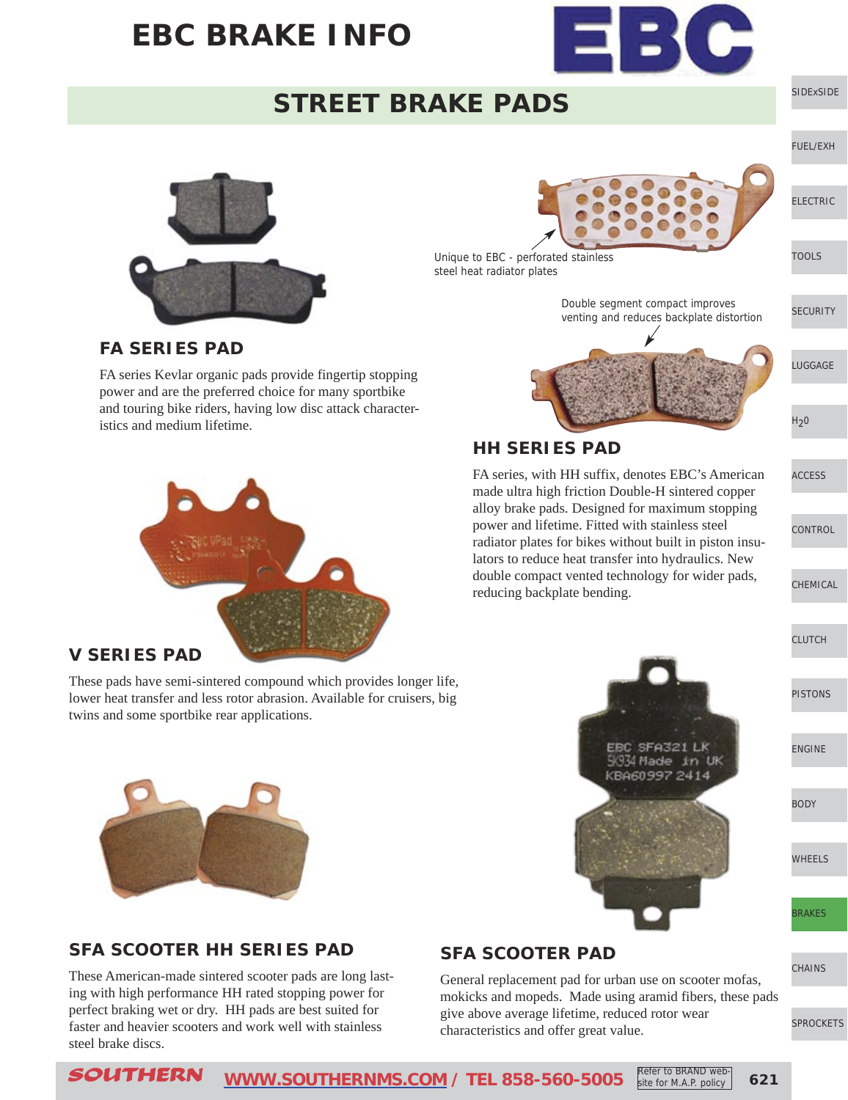

### **STREET BRAKE PADS**



Unique to EBC - perforated stainless

steel heat radiator plates

**HH SERIES PAD**

reducing backplate bending.



[SIDExSIDE](http://www.southernms.com/wp-content/uploads/2015/08/01_UTV.pdf)

[BODY](http://www.southernms.com/wp-content/uploads/2015/08/14_body.pdf)

[WHEELS](http://www.southernms.com/wp-content/uploads/2015/08/15_wheel.pdf)

[BRAKES](http://www.southernms.com/wp-content/uploads/2015/08/16_brakes.pdf)

**[CHAINS](http://www.southernms.com/wp-content/uploads/2015/08/17_chains.pdf)** 

#### [SPROCKETS](http://www.southernms.com/wp-content/uploads/2015/08/18_sprockets.pdf)

#### **FA SERIES PAD**

FA series Kevlar organic pads provide fingertip stopping power and are the preferred choice for many sportbike and touring bike riders, having low disc attack characteristics and medium lifetime.



#### **V SERIES PAD**

These pads have semi-sintered compound which provides longer life, lower heat transfer and less rotor abrasion. Available for cruisers, big twins and some sportbike rear applications.



#### **SFA SCOOTER HH SERIES PAD**

These American-made sintered scooter pads are long lasting with high performance HH rated stopping power for perfect braking wet or dry. HH pads are best suited for faster and heavier scooters and work well with stainless steel brake discs.

### **SFA SCOOTER PAD**

General replacement pad for urban use on scooter mofas, mokicks and mopeds. Made using aramid fibers, these pads give above average lifetime, reduced rotor wear characteristics and offer great value.

Refer to BRAND web-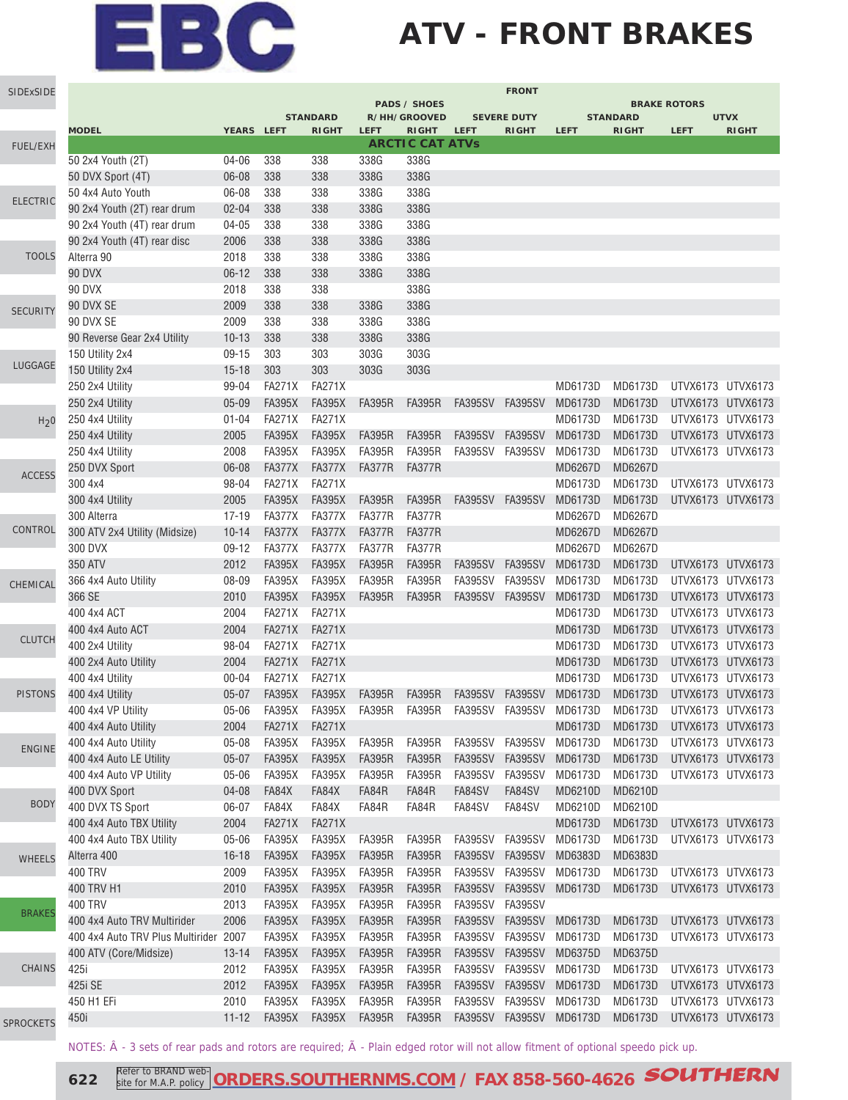## **ATV - FRONT BRAKES**

| SIDExSIDE        |                                       |            |               |                                 |               |                              |                 | <b>FRONT</b>                |                         |                                 |                           |                             |
|------------------|---------------------------------------|------------|---------------|---------------------------------|---------------|------------------------------|-----------------|-----------------------------|-------------------------|---------------------------------|---------------------------|-----------------------------|
|                  |                                       |            |               |                                 |               | <b>PADS / SHOES</b>          |                 |                             |                         |                                 | <b>BRAKE ROTORS</b>       |                             |
|                  | <b>MODEL</b>                          | YEARS LEFT |               | <b>STANDARD</b><br><b>RIGHT</b> | <b>LEFT</b>   | R/HH/GROOVED<br><b>RIGHT</b> | <b>LEFT</b>     | <b>SEVERE DUTY</b><br>RIGHT | <b>LEFT</b>             | <b>STANDARD</b><br><b>RIGHT</b> | <b>LEFT</b>               | <b>UTVX</b><br><b>RIGHT</b> |
| FUEL/EXH         |                                       |            |               |                                 |               | <b>ARCTIC CAT ATVs</b>       |                 |                             |                         |                                 |                           |                             |
|                  | 50 2x4 Youth (2T)                     | 04-06      | 338           | 338                             | 338G          | 338G                         |                 |                             |                         |                                 |                           |                             |
|                  | 50 DVX Sport (4T)                     | 06-08      | 338           | 338                             | 338G          | 338G                         |                 |                             |                         |                                 |                           |                             |
|                  | 50 4x4 Auto Youth                     | 06-08      | 338           | 338                             | 338G          | 338G                         |                 |                             |                         |                                 |                           |                             |
| <b>ELECTRIC</b>  | 90 2x4 Youth (2T) rear drum           | $02 - 04$  | 338           | 338                             | 338G          | 338G                         |                 |                             |                         |                                 |                           |                             |
|                  | 90 2x4 Youth (4T) rear drum           | $04 - 05$  | 338           | 338                             | 338G          | 338G                         |                 |                             |                         |                                 |                           |                             |
|                  | 90 2x4 Youth (4T) rear disc           | 2006       | 338           | 338                             | 338G          | 338G                         |                 |                             |                         |                                 |                           |                             |
| <b>TOOLS</b>     | Alterra 90                            | 2018       | 338           | 338                             | 338G          | 338G                         |                 |                             |                         |                                 |                           |                             |
|                  | 90 DVX                                | $06-12$    | 338           | 338                             | 338G          | 338G                         |                 |                             |                         |                                 |                           |                             |
|                  | <b>90 DVX</b>                         | 2018       | 338           | 338                             |               | 338G                         |                 |                             |                         |                                 |                           |                             |
| <b>SECURITY</b>  | 90 DVX SE                             | 2009       | 338           | 338                             | 338G          | 338G                         |                 |                             |                         |                                 |                           |                             |
|                  | 90 DVX SE                             | 2009       | 338           | 338                             | 338G          | 338G                         |                 |                             |                         |                                 |                           |                             |
|                  | 90 Reverse Gear 2x4 Utility           | $10 - 13$  | 338           | 338                             | 338G          | 338G                         |                 |                             |                         |                                 |                           |                             |
|                  | 150 Utility 2x4                       | $09-15$    | 303           | 303                             | 303G          | 303G                         |                 |                             |                         |                                 |                           |                             |
| LUGGAGE          | 150 Utility 2x4                       | $15 - 18$  | 303           | 303                             | 303G          | 303G                         |                 |                             |                         |                                 |                           |                             |
|                  | 250 2x4 Utility                       | 99-04      | <b>FA271X</b> | <b>FA271X</b>                   |               |                              |                 |                             | MD6173D                 | MD6173D                         | UTVX6173 UTVX6173         |                             |
|                  | 250 2x4 Utility                       | $05 - 09$  | <b>FA395X</b> | <b>FA395X</b>                   | <b>FA395R</b> | <b>FA395R</b>                |                 | FA395SV FA395SV             | MD6173D                 | MD6173D                         | UTVX6173 UTVX6173         |                             |
| H <sub>2</sub> 0 | 250 4x4 Utility                       | $01 - 04$  | <b>FA271X</b> | <b>FA271X</b>                   |               |                              |                 |                             | MD6173D                 | MD6173D                         | UTVX6173 UTVX6173         |                             |
|                  | 250 4x4 Utility                       | 2005       | <b>FA395X</b> | <b>FA395X</b>                   | <b>FA395R</b> | <b>FA395R</b>                | <b>FA395SV</b>  | <b>FA395SV</b>              | MD6173D                 | MD6173D                         | UTVX6173 UTVX6173         |                             |
|                  | 250 4x4 Utility                       | 2008       | <b>FA395X</b> | <b>FA395X</b>                   | <b>FA395R</b> | <b>FA395R</b>                | FA395SV         | <b>FA395SV</b>              | MD6173D                 | MD6173D                         | UTVX6173 UTVX6173         |                             |
|                  | 250 DVX Sport                         | 06-08      | FA377X        | <b>FA377X</b>                   | <b>FA377R</b> | FA377R                       |                 |                             | MD6267D                 | MD6267D                         |                           |                             |
| <b>ACCESS</b>    | 300 4x4                               | 98-04      | <b>FA271X</b> | <b>FA271X</b>                   |               |                              |                 |                             | MD6173D                 | MD6173D                         | UTVX6173 UTVX6173         |                             |
|                  | 300 4x4 Utility                       | 2005       | <b>FA395X</b> | <b>FA395X</b>                   | <b>FA395R</b> | <b>FA395R</b>                |                 | FA395SV FA395SV             | MD6173D                 | MD6173D                         | UTVX6173 UTVX6173         |                             |
|                  | 300 Alterra                           | $17 - 19$  | FA377X        | <b>FA377X</b>                   | FA377R        | <b>FA377R</b>                |                 |                             | MD6267D                 | MD6267D                         |                           |                             |
| CONTROL          | 300 ATV 2x4 Utility (Midsize)         | $10 - 14$  | FA377X        | <b>FA377X</b>                   | <b>FA377R</b> | <b>FA377R</b>                |                 |                             | MD6267D                 | MD6267D                         |                           |                             |
|                  | 300 DVX                               | $09-12$    | FA377X        | <b>FA377X</b>                   | <b>FA377R</b> | <b>FA377R</b>                |                 |                             | MD6267D                 | MD6267D                         |                           |                             |
|                  | 350 ATV                               | 2012       | <b>FA395X</b> | <b>FA395X</b>                   | <b>FA395R</b> | <b>FA395R</b>                | <b>FA395SV</b>  | FA395SV                     | MD6173D                 | MD6173D                         | UTVX6173 UTVX6173         |                             |
|                  | 366 4x4 Auto Utility                  | 08-09      | <b>FA395X</b> | <b>FA395X</b>                   | <b>FA395R</b> | <b>FA395R</b>                | FA395SV FA395SV |                             | MD6173D                 | MD6173D                         | UTVX6173 UTVX6173         |                             |
| CHEMICAL         | 366 SE                                | 2010       | <b>FA395X</b> | <b>FA395X</b>                   | <b>FA395R</b> | <b>FA395R</b>                | FA395SV FA395SV |                             | MD6173D                 | MD6173D                         | UTVX6173 UTVX6173         |                             |
|                  | 400 4x4 ACT                           | 2004       | <b>FA271X</b> | <b>FA271X</b>                   |               |                              |                 |                             | MD6173D                 | MD6173D                         | UTVX6173 UTVX6173         |                             |
|                  | 400 4x4 Auto ACT                      | 2004       | <b>FA271X</b> | <b>FA271X</b>                   |               |                              |                 |                             | MD6173D                 | MD6173D                         | UTVX6173 UTVX6173         |                             |
| <b>CLUTCH</b>    | 400 2x4 Utility                       | 98-04      | <b>FA271X</b> | <b>FA271X</b>                   |               |                              |                 |                             | MD6173D                 | MD6173D                         | UTVX6173 UTVX6173         |                             |
|                  | 400 2x4 Auto Utility                  | 2004       | <b>FA271X</b> | <b>FA271X</b>                   |               |                              |                 |                             | MD6173D                 | MD6173D                         | UTVX6173 UTVX6173         |                             |
|                  | 400 4x4 Utility                       | $00 - 04$  | <b>FA271X</b> | <b>FA271X</b>                   |               |                              |                 |                             | MD6173D                 | MD6173D                         | UTVX6173 UTVX6173         |                             |
| <b>PISTONS</b>   | 400 4x4 Utility                       | $05 - 07$  | <b>FA395X</b> | <b>FA395X</b>                   | <b>FA395R</b> | <b>FA395R</b>                |                 | FA395SV FA395SV             | MD6173D                 | MD6173D                         | UTVX6173 UTVX6173         |                             |
|                  | 400 4x4 VP Utility                    | $05 - 06$  | <b>FA395X</b> | FA395X FA395R                   |               | <b>FA395R</b>                |                 |                             | FA395SV FA395SV MD6173D |                                 | MD6173D UTVX6173 UTVX6173 |                             |
|                  | 400 4x4 Auto Utility                  | 2004       | <b>FA271X</b> | <b>FA271X</b>                   |               |                              |                 |                             | MD6173D                 | MD6173D                         | UTVX6173 UTVX6173         |                             |
|                  | 400 4x4 Auto Utility                  | $05 - 08$  | <b>FA395X</b> | <b>FA395X</b>                   | <b>FA395R</b> | <b>FA395R</b>                | <b>FA395SV</b>  | <b>FA395SV</b>              | MD6173D                 | MD6173D                         | UTVX6173 UTVX6173         |                             |
| <b>ENGINE</b>    | 400 4x4 Auto LE Utility               | $05 - 07$  | <b>FA395X</b> | <b>FA395X</b>                   | <b>FA395R</b> | <b>FA395R</b>                | <b>FA395SV</b>  | <b>FA395SV</b>              | MD6173D                 | MD6173D                         | UTVX6173 UTVX6173         |                             |
|                  | 400 4x4 Auto VP Utility               | $05 - 06$  | <b>FA395X</b> | <b>FA395X</b>                   | <b>FA395R</b> | <b>FA395R</b>                | <b>FA395SV</b>  | FA395SV                     | MD6173D                 | MD6173D                         | UTVX6173 UTVX6173         |                             |
|                  | 400 DVX Sport                         | 04-08      | FA84X         | FA84X                           | FA84R         | FA84R                        | FA84SV          | FA84SV                      | MD6210D                 | MD6210D                         |                           |                             |
| <b>BODY</b>      | 400 DVX TS Sport                      | 06-07      | FA84X         | FA84X                           | FA84R         | FA84R                        | FA84SV          | FA84SV                      | MD6210D                 | MD6210D                         |                           |                             |
|                  | 400 4x4 Auto TBX Utility              | 2004       | <b>FA271X</b> | <b>FA271X</b>                   |               |                              |                 |                             | MD6173D                 | MD6173D                         | UTVX6173 UTVX6173         |                             |
|                  | 400 4x4 Auto TBX Utility              | $05 - 06$  | <b>FA395X</b> | <b>FA395X</b>                   | <b>FA395R</b> | <b>FA395R</b>                | FA395SV         | <b>FA395SV</b>              | MD6173D                 | MD6173D                         | UTVX6173 UTVX6173         |                             |
| WHEELS           | Alterra 400                           | $16 - 18$  | <b>FA395X</b> | <b>FA395X</b>                   | <b>FA395R</b> | <b>FA395R</b>                |                 | FA395SV FA395SV             | MD6383D                 | MD6383D                         |                           |                             |
|                  | <b>400 TRV</b>                        | 2009       | <b>FA395X</b> | <b>FA395X</b>                   | <b>FA395R</b> | <b>FA395R</b>                |                 | FA395SV FA395SV             | MD6173D                 | MD6173D                         | UTVX6173 UTVX6173         |                             |
|                  | 400 TRV H1                            | 2010       | <b>FA395X</b> | <b>FA395X</b>                   | <b>FA395R</b> | <b>FA395R</b>                |                 | FA395SV FA395SV             | MD6173D                 | MD6173D                         | UTVX6173 UTVX6173         |                             |
|                  | <b>400 TRV</b>                        | 2013       | <b>FA395X</b> | <b>FA395X</b>                   | <b>FA395R</b> | <b>FA395R</b>                | FA395SV FA395SV |                             |                         |                                 |                           |                             |
| <b>BRAKES</b>    | 400 4x4 Auto TRV Multirider           | 2006       | <b>FA395X</b> | <b>FA395X</b>                   | <b>FA395R</b> | <b>FA395R</b>                | <b>FA395SV</b>  | FA395SV                     | MD6173D                 | MD6173D                         | UTVX6173 UTVX6173         |                             |
|                  | 400 4x4 Auto TRV Plus Multirider 2007 |            | <b>FA395X</b> | <b>FA395X</b>                   | <b>FA395R</b> | <b>FA395R</b>                | FA395SV         | FA395SV                     | MD6173D                 | MD6173D                         | UTVX6173 UTVX6173         |                             |
|                  |                                       | $13 - 14$  | <b>FA395X</b> | <b>FA395X</b>                   | <b>FA395R</b> | <b>FA395R</b>                |                 | FA395SV FA395SV             | MD6375D                 | MD6375D                         |                           |                             |
| CHAINS           | 400 ATV (Core/Midsize)<br>425i        |            |               |                                 |               |                              |                 |                             |                         |                                 |                           |                             |
|                  |                                       | 2012       | <b>FA395X</b> | <b>FA395X</b>                   | <b>FA395R</b> | <b>FA395R</b>                | FA395SV FA395SV |                             | MD6173D                 | MD6173D                         | UTVX6173 UTVX6173         |                             |
|                  | 425i SE                               | 2012       | <b>FA395X</b> | <b>FA395X</b>                   | <b>FA395R</b> | <b>FA395R</b>                |                 | FA395SV FA395SV             | MD6173D                 | MD6173D                         | UTVX6173 UTVX6173         |                             |
|                  | 450 H1 EFi                            | 2010       | <b>FA395X</b> | <b>FA395X</b>                   | <b>FA395R</b> | <b>FA395R</b>                |                 | FA395SV FA395SV             | MD6173D                 | MD6173D                         | UTVX6173 UTVX6173         |                             |
| <b>SPROCKETS</b> | 450i                                  | $11 - 12$  | <b>FA395X</b> | <b>FA395X</b>                   | <b>FA395R</b> | <b>FA395R</b>                |                 | FA395SV FA395SV             | MD6173D                 | MD6173D                         | UTVX6173 UTVX6173         |                             |

NOTES:  $\hat{A}$  - 3 sets of rear pads and rotors are required;  $\tilde{A}$  - Plain edged rotor will not allow fitment of optional speedo pick up.

SP

**622** Refer to BRAND web **[ORDERS.SOUTHERNMS.COM](http://orders.southernms.com) / FAX 858-560-4626 SOUTHERN**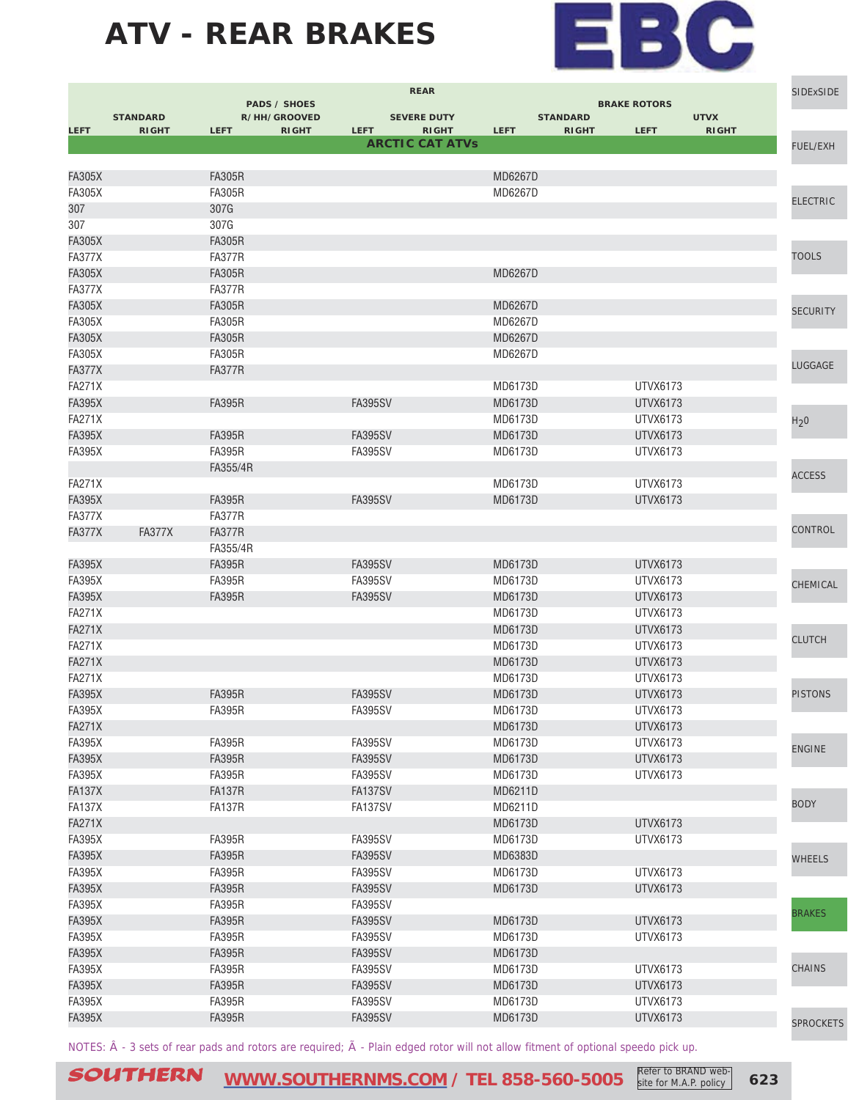

|                                |                 |                                     | <b>REAR</b>                 |                           |                             |                 | <b>SIDExSIDE</b> |
|--------------------------------|-----------------|-------------------------------------|-----------------------------|---------------------------|-----------------------------|-----------------|------------------|
|                                | <b>STANDARD</b> | <b>PADS / SHOES</b><br>R/HH/GROOVED | <b>SEVERE DUTY</b>          | <b>STANDARD</b>           | <b>BRAKE ROTORS</b>         | <b>UTVX</b>     |                  |
| <b>LEFT</b>                    | <b>RIGHT</b>    | <b>LEFT</b><br><b>RIGHT</b>         | <b>LEFT</b><br><b>RIGHT</b> | <b>LEFT</b>               | <b>LEFT</b><br><b>RIGHT</b> | <b>RIGHT</b>    |                  |
|                                |                 |                                     | <b>ARCTIC CAT ATVs</b>      |                           |                             |                 | <b>FUEL/EXH</b>  |
|                                |                 | <b>FA305R</b>                       |                             |                           |                             |                 |                  |
| <b>FA305X</b><br><b>FA305X</b> |                 | <b>FA305R</b>                       |                             | <b>MD6267D</b><br>MD6267D |                             |                 |                  |
| 307                            |                 | 307G                                |                             |                           |                             |                 | <b>ELECTRIC</b>  |
| 307                            |                 | 307G                                |                             |                           |                             |                 |                  |
| <b>FA305X</b>                  |                 | <b>FA305R</b>                       |                             |                           |                             |                 |                  |
| <b>FA377X</b>                  |                 | <b>FA377R</b>                       |                             |                           |                             |                 | <b>TOOLS</b>     |
| <b>FA305X</b>                  |                 | <b>FA305R</b>                       |                             | <b>MD6267D</b>            |                             |                 |                  |
| <b>FA377X</b>                  |                 | FA377R                              |                             |                           |                             |                 |                  |
| <b>FA305X</b>                  |                 | <b>FA305R</b>                       |                             | MD6267D                   |                             |                 |                  |
| <b>FA305X</b>                  |                 | <b>FA305R</b>                       |                             | MD6267D                   |                             |                 | <b>SECURITY</b>  |
| <b>FA305X</b>                  |                 | <b>FA305R</b>                       |                             | MD6267D                   |                             |                 |                  |
| <b>FA305X</b>                  |                 | <b>FA305R</b>                       |                             | MD6267D                   |                             |                 |                  |
| <b>FA377X</b>                  |                 | <b>FA377R</b>                       |                             |                           |                             |                 | LUGGAGE          |
| <b>FA271X</b>                  |                 |                                     |                             | MD6173D                   |                             | <b>UTVX6173</b> |                  |
| <b>FA395X</b>                  |                 | <b>FA395R</b>                       | <b>FA395SV</b>              | MD6173D                   |                             | UTVX6173        |                  |
| <b>FA271X</b>                  |                 |                                     |                             | MD6173D                   |                             | <b>UTVX6173</b> | H <sub>2</sub> 0 |
| <b>FA395X</b>                  |                 | <b>FA395R</b>                       | <b>FA395SV</b>              | MD6173D                   |                             | <b>UTVX6173</b> |                  |
| <b>FA395X</b>                  |                 | <b>FA395R</b>                       | FA395SV                     | MD6173D                   |                             | UTVX6173        |                  |
|                                |                 | FA355/4R                            |                             |                           |                             |                 |                  |
| <b>FA271X</b>                  |                 |                                     |                             | MD6173D                   |                             | UTVX6173        | <b>ACCESS</b>    |
| <b>FA395X</b>                  |                 | <b>FA395R</b>                       | <b>FA395SV</b>              | MD6173D                   |                             | <b>UTVX6173</b> |                  |
| <b>FA377X</b>                  |                 | <b>FA377R</b>                       |                             |                           |                             |                 |                  |
| <b>FA377X</b>                  | <b>FA377X</b>   | <b>FA377R</b>                       |                             |                           |                             |                 | CONTROL          |
|                                |                 | FA355/4R                            |                             |                           |                             |                 |                  |
| <b>FA395X</b>                  |                 | <b>FA395R</b>                       | <b>FA395SV</b>              | MD6173D                   |                             | <b>UTVX6173</b> |                  |
| <b>FA395X</b>                  |                 | <b>FA395R</b>                       | <b>FA395SV</b>              | MD6173D                   |                             | <b>UTVX6173</b> | CHEMICAL         |
| <b>FA395X</b>                  |                 | <b>FA395R</b>                       | <b>FA395SV</b>              | MD6173D                   |                             | UTVX6173        |                  |
| <b>FA271X</b>                  |                 |                                     |                             | MD6173D                   |                             | <b>UTVX6173</b> |                  |
| <b>FA271X</b>                  |                 |                                     |                             | MD6173D                   |                             | <b>UTVX6173</b> |                  |
| <b>FA271X</b>                  |                 |                                     |                             | MD6173D                   |                             | UTVX6173        | <b>CLUTCH</b>    |
| <b>FA271X</b>                  |                 |                                     |                             | MD6173D                   |                             | UTVX6173        |                  |
| <b>FA271X</b>                  |                 |                                     |                             | MD6173D                   |                             | UTVX6173        |                  |
| <b>FA395X</b>                  |                 | <b>FA395R</b>                       | <b>FA395SV</b>              | MD6173D                   |                             | UTVX6173        | <b>PISTONS</b>   |
| <b>FA395X</b>                  |                 | <b>FA395R</b>                       | <b>FA395SV</b>              | MD6173D                   |                             | UTVX6173        |                  |
| <b>FA271X</b>                  |                 |                                     |                             | MD6173D                   |                             | <b>UTVX6173</b> |                  |
| <b>FA395X</b>                  |                 | <b>FA395R</b>                       | <b>FA395SV</b>              | MD6173D                   |                             | UTVX6173        | <b>ENGINE</b>    |
| <b>FA395X</b>                  |                 | <b>FA395R</b>                       | <b>FA395SV</b>              | MD6173D                   |                             | UTVX6173        |                  |
| <b>FA395X</b>                  |                 | <b>FA395R</b>                       | <b>FA395SV</b>              | MD6173D                   |                             | UTVX6173        |                  |
| <b>FA137X</b>                  |                 | <b>FA137R</b>                       | FA137SV                     | MD6211D                   |                             |                 |                  |
| <b>FA137X</b>                  |                 | <b>FA137R</b>                       | FA137SV                     | MD6211D                   |                             |                 | <b>BODY</b>      |
| <b>FA271X</b>                  |                 |                                     |                             | MD6173D                   |                             | <b>UTVX6173</b> |                  |
| <b>FA395X</b>                  |                 | <b>FA395R</b>                       | <b>FA395SV</b>              | MD6173D                   |                             | UTVX6173        |                  |
| <b>FA395X</b>                  |                 | <b>FA395R</b>                       | <b>FA395SV</b>              | MD6383D                   |                             |                 | <b>WHEELS</b>    |
| <b>FA395X</b>                  |                 | <b>FA395R</b>                       | <b>FA395SV</b>              | MD6173D                   |                             | <b>UTVX6173</b> |                  |
| <b>FA395X</b>                  |                 | <b>FA395R</b>                       | <b>FA395SV</b>              | MD6173D                   |                             | <b>UTVX6173</b> |                  |
| <b>FA395X</b>                  |                 | <b>FA395R</b>                       | <b>FA395SV</b>              |                           |                             |                 |                  |
| <b>FA395X</b>                  |                 | <b>FA395R</b>                       | <b>FA395SV</b>              | MD6173D                   |                             | <b>UTVX6173</b> | <b>BRAKES</b>    |
| <b>FA395X</b>                  |                 | <b>FA395R</b>                       | <b>FA395SV</b>              | MD6173D                   |                             | UTVX6173        |                  |
| <b>FA395X</b>                  |                 | <b>FA395R</b>                       | <b>FA395SV</b>              | MD6173D                   |                             |                 |                  |
| <b>FA395X</b>                  |                 | <b>FA395R</b>                       | <b>FA395SV</b>              | MD6173D                   |                             | UTVX6173        | <b>CHAINS</b>    |
| <b>FA395X</b>                  |                 | <b>FA395R</b>                       | <b>FA395SV</b>              | MD6173D                   |                             | <b>UTVX6173</b> |                  |
| <b>FA395X</b>                  |                 | <b>FA395R</b>                       | <b>FA395SV</b>              | MD6173D                   |                             | <b>UTVX6173</b> |                  |
| <b>FA395X</b>                  |                 | <b>FA395R</b>                       | <b>FA395SV</b>              | MD6173D                   |                             | <b>UTVX6173</b> | <b>SPROCKETS</b> |
|                                |                 |                                     |                             |                           |                             |                 |                  |

NOTES:  $\hat{A}$  - 3 sets of rear pads and rotors are required;  $\tilde{A}$  - Plain edged rotor will not allow fitment of optional speedo pick up.

SOUTHERN **[WWW.SOUTHERNMS.COM](http://m.southernms.com) / TEL 858-560-5005 623** Refer to BRAND web-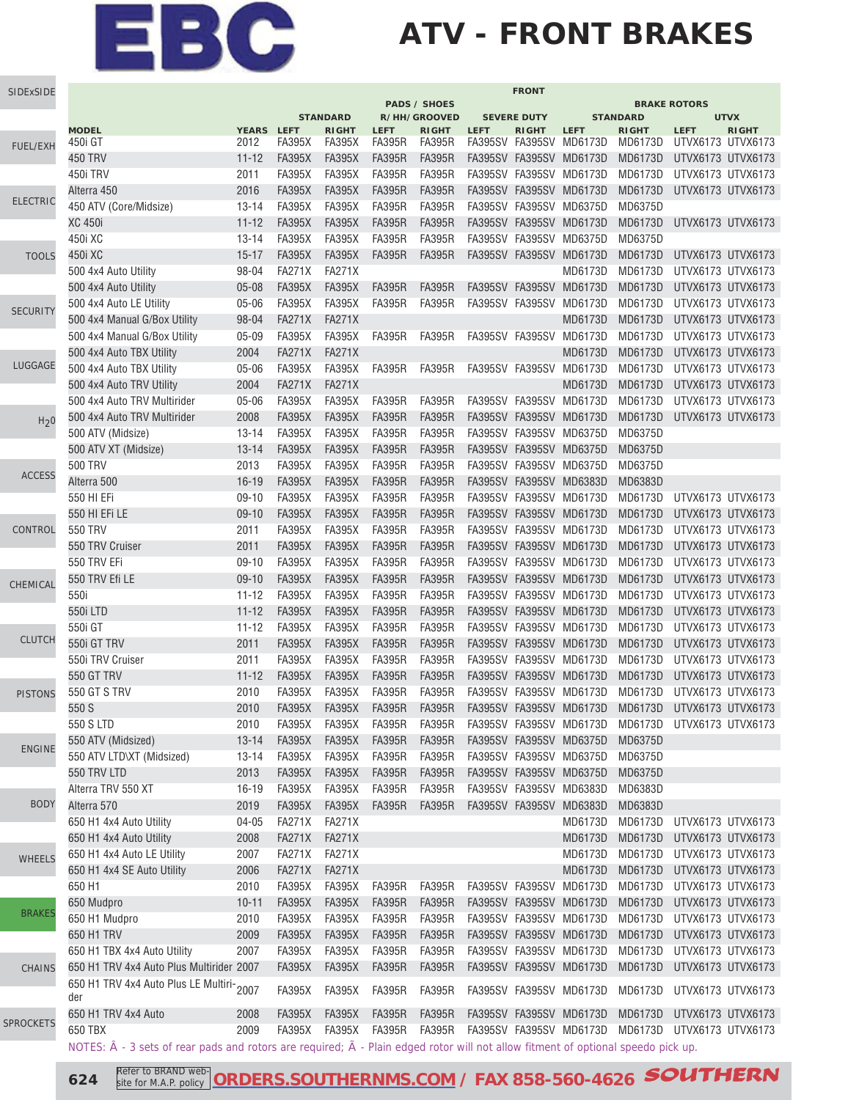### **ATV - FRONT BRAKES**

| <b>PADS / SHOES</b><br><b>BRAKE ROTORS</b><br><b>STANDARD</b><br>R/HH/GROOVED<br><b>STANDARD</b><br><b>UTVX</b><br><b>SEVERE DUTY</b><br><b>MODEL</b><br><b>YEARS</b><br><b>LEFT</b><br><b>RIGHT</b><br><b>LEFT</b><br><b>RIGHT</b><br><b>LEFT</b><br><b>RIGHT</b><br><b>LEFT</b><br><b>RIGHT</b><br><b>RIGHT</b><br><b>LEFT</b><br>2012<br><b>FA395X</b><br><b>FA395R</b><br><b>FA395R</b><br>FA395SV FA395SV<br>MD6173D<br>MD6173D<br>UTVX6173 UTVX6173<br>450i GT<br>FA395X<br>FUEL/EXH<br>450 TRV<br>$11 - 12$<br><b>FA395X</b><br><b>FA395X</b><br><b>FA395R</b><br><b>FA395R</b><br>FA395SV FA395SV MD6173D<br>MD6173D<br>UTVX6173 UTVX6173<br>450i TRV<br>2011<br><b>FA395X</b><br><b>FA395X</b><br><b>FA395R</b><br><b>FA395R</b><br>FA395SV FA395SV MD6173D<br>MD6173D<br>UTVX6173 UTVX6173<br>2016<br><b>FA395X</b><br><b>FA395X</b><br><b>FA395R</b><br><b>FA395R</b><br>FA395SV FA395SV MD6173D<br>MD6173D<br>UTVX6173 UTVX6173<br>Alterra 450<br><b>ELECTRIC</b><br><b>FA395R</b><br>450 ATV (Core/Midsize)<br><b>FA395X</b><br><b>FA395X</b><br><b>FA395R</b><br>FA395SV FA395SV MD6375D<br>MD6375D<br>$13 - 14$<br>XC 450i<br>$11 - 12$<br><b>FA395X</b><br><b>FA395X</b><br><b>FA395R</b><br><b>FA395R</b><br>FA395SV FA395SV MD6173D<br>MD6173D<br>UTVX6173 UTVX6173<br><b>FA395R</b><br><b>FA395R</b><br>450i XC<br>$13 - 14$<br><b>FA395X</b><br><b>FA395X</b><br>FA395SV FA395SV MD6375D<br>MD6375D<br>450i XC<br>$15 - 17$<br><b>FA395X</b><br><b>FA395X</b><br><b>FA395R</b><br><b>FA395R</b><br>FA395SV FA395SV MD6173D<br>MD6173D<br>UTVX6173 UTVX6173<br><b>TOOLS</b><br>98-04<br><b>FA271X</b><br><b>FA271X</b><br>MD6173D<br>MD6173D<br>UTVX6173 UTVX6173<br>500 4x4 Auto Utility<br>$05 - 08$<br><b>FA395X</b><br><b>FA395X</b><br><b>FA395R</b><br>FA395SV FA395SV MD6173D<br>MD6173D<br>UTVX6173 UTVX6173<br>500 4x4 Auto Utility<br><b>FA395R</b><br>05-06<br><b>FA395X</b><br><b>FA395X</b><br><b>FA395R</b><br><b>FA395R</b><br>FA395SV FA395SV<br>MD6173D<br>MD6173D<br>500 4x4 Auto LE Utility<br>UTVX6173 UTVX6173<br><b>SECURITY</b><br>98-04<br><b>FA271X</b><br><b>FA271X</b><br>500 4x4 Manual G/Box Utility<br>MD6173D<br>MD6173D<br>UTVX6173 UTVX6173<br>$05 - 09$<br><b>FA395X</b><br><b>FA395X</b><br>MD6173D<br>500 4x4 Manual G/Box Utility<br><b>FA395R</b><br><b>FA395R</b><br>FA395SV FA395SV<br>MD6173D<br>UTVX6173 UTVX6173<br>2004<br><b>FA271X</b><br><b>FA271X</b><br>MD6173D<br>MD6173D<br>UTVX6173 UTVX6173<br>500 4x4 Auto TBX Utility<br>LUGGAGE<br>$05 - 06$<br><b>FA395X</b><br><b>FA395X</b><br><b>FA395R</b><br><b>FA395R</b><br>FA395SV FA395SV<br>MD6173D<br>MD6173D<br>UTVX6173 UTVX6173<br>500 4x4 Auto TBX Utility<br><b>FA271X</b><br><b>FA271X</b><br>MD6173D<br>MD6173D<br>500 4x4 Auto TRV Utility<br>2004<br>UTVX6173 UTVX6173<br>$05 - 06$<br><b>FA395X</b><br><b>FA395X</b><br><b>FA395R</b><br><b>FA395R</b><br>FA395SV FA395SV<br>MD6173D<br>MD6173D<br>UTVX6173 UTVX6173<br>500 4x4 Auto TRV Multirider<br>2008<br><b>FA395X</b><br><b>FA395X</b><br><b>FA395R</b><br><b>FA395R</b><br>FA395SV FA395SV MD6173D<br>MD6173D<br>UTVX6173 UTVX6173<br>500 4x4 Auto TRV Multirider<br>H <sub>2</sub> 0<br><b>FA395X</b><br><b>FA395X</b><br><b>FA395R</b><br><b>FA395R</b><br>500 ATV (Midsize)<br>$13 - 14$<br>FA395SV FA395SV MD6375D<br>MD6375D<br><b>FA395R</b><br><b>FA395X</b><br><b>FA395X</b><br><b>FA395R</b><br>FA395SV FA395SV MD6375D<br>MD6375D<br>$13 - 14$<br>500 ATV XT (Midsize)<br>2013<br><b>FA395X</b><br><b>FA395X</b><br><b>FA395R</b><br><b>FA395R</b><br>FA395SV FA395SV MD6375D<br>MD6375D<br>500 TRV<br><b>ACCESS</b><br>$16 - 19$<br><b>FA395X</b><br><b>FA395X</b><br><b>FA395R</b><br><b>FA395R</b><br>FA395SV FA395SV MD6383D<br>Alterra 500<br>MD6383D<br>550 HI EFi<br>$09-10$<br><b>FA395X</b><br><b>FA395X</b><br><b>FA395R</b><br><b>FA395R</b><br>FA395SV FA395SV MD6173D<br>MD6173D<br>UTVX6173 UTVX6173<br><b>FA395R</b><br><b>FA395R</b><br>550 HI EFI LE<br>$09-10$<br><b>FA395X</b><br><b>FA395X</b><br>FA395SV FA395SV MD6173D<br>MD6173D<br>UTVX6173 UTVX6173<br><b>FA395R</b><br>550 TRV<br>2011<br><b>FA395X</b><br><b>FA395X</b><br><b>FA395R</b><br>FA395SV FA395SV MD6173D<br>MD6173D<br>UTVX6173 UTVX6173<br>CONTROL<br>550 TRV Cruiser<br>2011<br><b>FA395X</b><br><b>FA395X</b><br><b>FA395R</b><br><b>FA395R</b><br>FA395SV FA395SV MD6173D<br>MD6173D<br>UTVX6173 UTVX6173<br>550 TRV EFi<br>$09-10$<br><b>FA395X</b><br><b>FA395X</b><br><b>FA395R</b><br><b>FA395R</b><br>FA395SV FA395SV<br>MD6173D<br>MD6173D<br>UTVX6173 UTVX6173<br>550 TRV Efi LE<br>$09-10$<br><b>FA395X</b><br><b>FA395X</b><br><b>FA395R</b><br><b>FA395R</b><br>FA395SV FA395SV MD6173D<br>MD6173D<br>UTVX6173 UTVX6173<br>CHEMICAL<br>550i<br><b>FA395X</b><br><b>FA395X</b><br><b>FA395R</b><br><b>FA395R</b><br>FA395SV FA395SV MD6173D<br>MD6173D<br>UTVX6173 UTVX6173<br>$11 - 12$<br>$11 - 12$<br><b>FA395X</b><br><b>FA395X</b><br><b>FA395R</b><br><b>FA395R</b><br>FA395SV FA395SV MD6173D<br>MD6173D<br>UTVX6173 UTVX6173<br>550i LTD<br>550i GT<br><b>FA395X</b><br><b>FA395X</b><br><b>FA395R</b><br><b>FA395R</b><br>FA395SV FA395SV MD6173D<br>MD6173D<br>UTVX6173 UTVX6173<br>$11 - 12$<br><b>CLUTCH</b><br><b>FA395R</b><br>550i GT TRV<br><b>FA395X</b><br><b>FA395X</b><br><b>FA395R</b><br>FA395SV FA395SV<br>MD6173D<br>MD6173D<br>UTVX6173 UTVX6173<br>2011<br>550i TRV Cruiser<br>2011<br><b>FA395X</b><br><b>FA395X</b><br><b>FA395R</b><br><b>FA395R</b><br>FA395SV FA395SV MD6173D<br>MD6173D<br>UTVX6173 UTVX6173<br>550 GT TRV<br>$11 - 12$<br><b>FA395X</b><br><b>FA395X</b><br><b>FA395R</b><br><b>FA395R</b><br>MD6173D<br>FA395SV FA395SV MD6173D<br>UTVX6173 UTVX6173<br>550 GT S TRV<br>2010<br><b>FA395X</b><br><b>FA395X</b><br><b>FA395R</b><br><b>FA395R</b><br><b>FA395SV</b><br>FA395SV MD6173D<br>MD6173D<br>UTVX6173 UTVX6173<br><b>PISTONS</b><br>550 S<br>2010<br><b>FA395X</b><br><b>FA395X</b><br><b>FA395R</b><br><b>FA395R</b><br>FA395SV FA395SV MD6173D<br>MD6173D<br>UTVX6173 UTVX6173<br>550 S LTD<br>2010<br><b>FA395X</b><br>FA395X<br><b>FA395R</b><br>FA395R<br>FA395SV FA395SV MD6173D MD6173D UTVX6173 UTVX6173<br><b>FA395X</b><br><b>FA395R</b><br><b>FA395R</b><br>FA395SV FA395SV MD6375D<br>550 ATV (Midsized)<br>$13 - 14$<br><b>FA395X</b><br>MD6375D<br><b>ENGINE</b><br><b>FA395X</b><br><b>FA395X</b><br><b>FA395R</b><br><b>FA395R</b><br>FA395SV FA395SV MD6375D<br>550 ATV LTD\XT (Midsized)<br>$13 - 14$<br>MD6375D<br>550 TRV LTD<br><b>FA395X</b><br><b>FA395X</b><br><b>FA395R</b><br><b>FA395R</b><br>FA395SV FA395SV MD6375D<br>2013<br>MD6375D<br><b>FA395X</b><br><b>FA395X</b><br><b>FA395R</b><br><b>FA395R</b><br>FA395SV FA395SV MD6383D<br>Alterra TRV 550 XT<br>$16 - 19$<br>MD6383D<br><b>BODY</b><br>Alterra 570<br><b>FA395X</b><br><b>FA395X</b><br><b>FA395R</b><br><b>FA395R</b><br>FA395SV FA395SV MD6383D<br>2019<br>MD6383D<br>650 H1 4x4 Auto Utility<br><b>FA271X</b><br><b>FA271X</b><br>MD6173D<br>MD6173D<br>04-05<br>UTVX6173 UTVX6173<br><b>FA271X</b><br><b>FA271X</b><br>MD6173D<br>MD6173D<br>650 H1 4x4 Auto Utility<br>2008<br>UTVX6173 UTVX6173<br><b>FA271X</b><br><b>FA271X</b><br>MD6173D<br>650 H1 4x4 Auto LE Utility<br>2007<br>MD6173D<br>UTVX6173 UTVX6173<br><b>WHEELS</b><br><b>FA271X</b><br><b>FA271X</b><br>MD6173D<br>MD6173D<br>UTVX6173 UTVX6173<br>650 H1 4x4 SE Auto Utility<br>2006<br>650 H1<br>2010<br><b>FA395X</b><br><b>FA395X</b><br><b>FA395R</b><br><b>FA395R</b><br>FA395SV FA395SV MD6173D<br>MD6173D UTVX6173 UTVX6173<br><b>FA395X</b><br>FA395SV FA395SV MD6173D<br>MD6173D UTVX6173 UTVX6173<br>650 Mudpro<br>$10 - 11$<br><b>FA395X</b><br><b>FA395R</b><br><b>FA395R</b><br><b>BRAKES</b><br>650 H1 Mudpro<br><b>FA395X</b><br><b>FA395R</b><br><b>FA395R</b><br>FA395SV FA395SV MD6173D<br>MD6173D UTVX6173 UTVX6173<br>2010<br><b>FA395X</b><br>650 H1 TRV<br><b>FA395X</b><br><b>FA395X</b><br><b>FA395R</b><br><b>FA395R</b><br>FA395SV FA395SV MD6173D<br>MD6173D<br>UTVX6173 UTVX6173<br>2009<br><b>FA395R</b><br>FA395SV FA395SV MD6173D<br>650 H1 TBX 4x4 Auto Utility<br>2007<br><b>FA395X</b><br><b>FA395X</b><br><b>FA395R</b><br>MD6173D<br>UTVX6173 UTVX6173<br><b>FA395X</b><br><b>FA395R</b><br>FA395SV FA395SV MD6173D<br>MD6173D<br>UTVX6173 UTVX6173<br>650 H1 TRV 4x4 Auto Plus Multirider 2007<br><b>FA395X</b><br><b>FA395R</b><br><b>CHAINS</b><br>650 H1 TRV 4x4 Auto Plus LE Multiri-2007<br><b>FA395X</b><br><b>FA395R</b><br><b>FA395R</b><br><b>FA395X</b><br>FA395SV FA395SV MD6173D<br>MD6173D UTVX6173 UTVX6173<br>der<br><b>FA395X</b><br><b>FA395X</b><br><b>FA395R</b><br><b>FA395R</b><br>650 H1 TRV 4x4 Auto<br>2008<br>FA395SV FA395SV MD6173D<br>MD6173D<br>UTVX6173 UTVX6173<br><b>SPROCKETS</b><br>650 TBX<br>2009<br><b>FA395X</b><br><b>FA395X</b><br><b>FA395R</b><br>FA395R<br>FA395SV FA395SV MD6173D<br>MD6173D UTVX6173 UTVX6173<br>NOTES: $\hat{A}$ - 3 sets of rear pads and rotors are required; $\tilde{A}$ - Plain edged rotor will not allow fitment of optional speedo pick up. | SIDExSIDE | <b>FRONT</b> |  |  |  |  |  |  |  |  |  |  |
|-------------------------------------------------------------------------------------------------------------------------------------------------------------------------------------------------------------------------------------------------------------------------------------------------------------------------------------------------------------------------------------------------------------------------------------------------------------------------------------------------------------------------------------------------------------------------------------------------------------------------------------------------------------------------------------------------------------------------------------------------------------------------------------------------------------------------------------------------------------------------------------------------------------------------------------------------------------------------------------------------------------------------------------------------------------------------------------------------------------------------------------------------------------------------------------------------------------------------------------------------------------------------------------------------------------------------------------------------------------------------------------------------------------------------------------------------------------------------------------------------------------------------------------------------------------------------------------------------------------------------------------------------------------------------------------------------------------------------------------------------------------------------------------------------------------------------------------------------------------------------------------------------------------------------------------------------------------------------------------------------------------------------------------------------------------------------------------------------------------------------------------------------------------------------------------------------------------------------------------------------------------------------------------------------------------------------------------------------------------------------------------------------------------------------------------------------------------------------------------------------------------------------------------------------------------------------------------------------------------------------------------------------------------------------------------------------------------------------------------------------------------------------------------------------------------------------------------------------------------------------------------------------------------------------------------------------------------------------------------------------------------------------------------------------------------------------------------------------------------------------------------------------------------------------------------------------------------------------------------------------------------------------------------------------------------------------------------------------------------------------------------------------------------------------------------------------------------------------------------------------------------------------------------------------------------------------------------------------------------------------------------------------------------------------------------------------------------------------------------------------------------------------------------------------------------------------------------------------------------------------------------------------------------------------------------------------------------------------------------------------------------------------------------------------------------------------------------------------------------------------------------------------------------------------------------------------------------------------------------------------------------------------------------------------------------------------------------------------------------------------------------------------------------------------------------------------------------------------------------------------------------------------------------------------------------------------------------------------------------------------------------------------------------------------------------------------------------------------------------------------------------------------------------------------------------------------------------------------------------------------------------------------------------------------------------------------------------------------------------------------------------------------------------------------------------------------------------------------------------------------------------------------------------------------------------------------------------------------------------------------------------------------------------------------------------------------------------------------------------------------------------------------------------------------------------------------------------------------------------------------------------------------------------------------------------------------------------------------------------------------------------------------------------------------------------------------------------------------------------------------------------------------------------------------------------------------------------------------------------------------------------------------------------------------------------------------------------------------------------------------------------------------------------------------------------------------------------------------------------------------------------------------------------------------------------------------------------------------------------------------------------------------------------------------------------------------------------------------------------------------------------------------------------------------------------------------------------------------------------------------------------------------------------------------------------------------------------------------------------------------------------------------------------------------------------------------------------------------------------------------------------------------------------------------------------------------------------------------------------------------------------------------------------------------------------------------------------------------------------------------------------------------------------------------------------------------------------------------------------------------------------------------------------------------------------------------------------------------------------------------------------------------------------------------------------------------------------------------------------------------------------------------------------------------------------------------------------------------------------------------------------------------------------------------------------------------------------------------------------------------------------------------------------------------------------------------------------------------------------------------------------------------------------------------------------------------------------------------------------------------------------------------------------------------------------------------------------------------------------------------------------------------------------------------------------------------------------------------------------------------------------------------------------------------------------------------------------------------------------------------------------------------------------------------------------------------------------------------------------------------------------------------------------------------------------------------------------------------------------------------------------------------------------------------------------------------------------------------------------------------------------------------------------------------------------------------------------------------------------------------------------------------------------------------------------------------------------------------------------------------------------------------------------------------------------------------------------------------------------------------------------------------------------------------------------------------------------------|-----------|--------------|--|--|--|--|--|--|--|--|--|--|
|                                                                                                                                                                                                                                                                                                                                                                                                                                                                                                                                                                                                                                                                                                                                                                                                                                                                                                                                                                                                                                                                                                                                                                                                                                                                                                                                                                                                                                                                                                                                                                                                                                                                                                                                                                                                                                                                                                                                                                                                                                                                                                                                                                                                                                                                                                                                                                                                                                                                                                                                                                                                                                                                                                                                                                                                                                                                                                                                                                                                                                                                                                                                                                                                                                                                                                                                                                                                                                                                                                                                                                                                                                                                                                                                                                                                                                                                                                                                                                                                                                                                                                                                                                                                                                                                                                                                                                                                                                                                                                                                                                                                                                                                                                                                                                                                                                                                                                                                                                                                                                                                                                                                                                                                                                                                                                                                                                                                                                                                                                                                                                                                                                                                                                                                                                                                                                                                                                                                                                                                                                                                                                                                                                                                                                                                                                                                                                                                                                                                                                                                                                                                                                                                                                                                                                                                                                                                                                                                                                                                                                                                                                                                                                                                                                                                                                                                                                                                                                                                                                                                                                                                                                                                                                                                                                                                                                                                                                                                                                                                                                                                                                                                                                                                                                                                                                                                                                                                                                                                                                                                                                                                                                                                                                                                                                                                                                                                                                                                                                                                                                                                                           |           |              |  |  |  |  |  |  |  |  |  |  |
|                                                                                                                                                                                                                                                                                                                                                                                                                                                                                                                                                                                                                                                                                                                                                                                                                                                                                                                                                                                                                                                                                                                                                                                                                                                                                                                                                                                                                                                                                                                                                                                                                                                                                                                                                                                                                                                                                                                                                                                                                                                                                                                                                                                                                                                                                                                                                                                                                                                                                                                                                                                                                                                                                                                                                                                                                                                                                                                                                                                                                                                                                                                                                                                                                                                                                                                                                                                                                                                                                                                                                                                                                                                                                                                                                                                                                                                                                                                                                                                                                                                                                                                                                                                                                                                                                                                                                                                                                                                                                                                                                                                                                                                                                                                                                                                                                                                                                                                                                                                                                                                                                                                                                                                                                                                                                                                                                                                                                                                                                                                                                                                                                                                                                                                                                                                                                                                                                                                                                                                                                                                                                                                                                                                                                                                                                                                                                                                                                                                                                                                                                                                                                                                                                                                                                                                                                                                                                                                                                                                                                                                                                                                                                                                                                                                                                                                                                                                                                                                                                                                                                                                                                                                                                                                                                                                                                                                                                                                                                                                                                                                                                                                                                                                                                                                                                                                                                                                                                                                                                                                                                                                                                                                                                                                                                                                                                                                                                                                                                                                                                                                                                           |           |              |  |  |  |  |  |  |  |  |  |  |
|                                                                                                                                                                                                                                                                                                                                                                                                                                                                                                                                                                                                                                                                                                                                                                                                                                                                                                                                                                                                                                                                                                                                                                                                                                                                                                                                                                                                                                                                                                                                                                                                                                                                                                                                                                                                                                                                                                                                                                                                                                                                                                                                                                                                                                                                                                                                                                                                                                                                                                                                                                                                                                                                                                                                                                                                                                                                                                                                                                                                                                                                                                                                                                                                                                                                                                                                                                                                                                                                                                                                                                                                                                                                                                                                                                                                                                                                                                                                                                                                                                                                                                                                                                                                                                                                                                                                                                                                                                                                                                                                                                                                                                                                                                                                                                                                                                                                                                                                                                                                                                                                                                                                                                                                                                                                                                                                                                                                                                                                                                                                                                                                                                                                                                                                                                                                                                                                                                                                                                                                                                                                                                                                                                                                                                                                                                                                                                                                                                                                                                                                                                                                                                                                                                                                                                                                                                                                                                                                                                                                                                                                                                                                                                                                                                                                                                                                                                                                                                                                                                                                                                                                                                                                                                                                                                                                                                                                                                                                                                                                                                                                                                                                                                                                                                                                                                                                                                                                                                                                                                                                                                                                                                                                                                                                                                                                                                                                                                                                                                                                                                                                                           |           |              |  |  |  |  |  |  |  |  |  |  |
|                                                                                                                                                                                                                                                                                                                                                                                                                                                                                                                                                                                                                                                                                                                                                                                                                                                                                                                                                                                                                                                                                                                                                                                                                                                                                                                                                                                                                                                                                                                                                                                                                                                                                                                                                                                                                                                                                                                                                                                                                                                                                                                                                                                                                                                                                                                                                                                                                                                                                                                                                                                                                                                                                                                                                                                                                                                                                                                                                                                                                                                                                                                                                                                                                                                                                                                                                                                                                                                                                                                                                                                                                                                                                                                                                                                                                                                                                                                                                                                                                                                                                                                                                                                                                                                                                                                                                                                                                                                                                                                                                                                                                                                                                                                                                                                                                                                                                                                                                                                                                                                                                                                                                                                                                                                                                                                                                                                                                                                                                                                                                                                                                                                                                                                                                                                                                                                                                                                                                                                                                                                                                                                                                                                                                                                                                                                                                                                                                                                                                                                                                                                                                                                                                                                                                                                                                                                                                                                                                                                                                                                                                                                                                                                                                                                                                                                                                                                                                                                                                                                                                                                                                                                                                                                                                                                                                                                                                                                                                                                                                                                                                                                                                                                                                                                                                                                                                                                                                                                                                                                                                                                                                                                                                                                                                                                                                                                                                                                                                                                                                                                                                           |           |              |  |  |  |  |  |  |  |  |  |  |
|                                                                                                                                                                                                                                                                                                                                                                                                                                                                                                                                                                                                                                                                                                                                                                                                                                                                                                                                                                                                                                                                                                                                                                                                                                                                                                                                                                                                                                                                                                                                                                                                                                                                                                                                                                                                                                                                                                                                                                                                                                                                                                                                                                                                                                                                                                                                                                                                                                                                                                                                                                                                                                                                                                                                                                                                                                                                                                                                                                                                                                                                                                                                                                                                                                                                                                                                                                                                                                                                                                                                                                                                                                                                                                                                                                                                                                                                                                                                                                                                                                                                                                                                                                                                                                                                                                                                                                                                                                                                                                                                                                                                                                                                                                                                                                                                                                                                                                                                                                                                                                                                                                                                                                                                                                                                                                                                                                                                                                                                                                                                                                                                                                                                                                                                                                                                                                                                                                                                                                                                                                                                                                                                                                                                                                                                                                                                                                                                                                                                                                                                                                                                                                                                                                                                                                                                                                                                                                                                                                                                                                                                                                                                                                                                                                                                                                                                                                                                                                                                                                                                                                                                                                                                                                                                                                                                                                                                                                                                                                                                                                                                                                                                                                                                                                                                                                                                                                                                                                                                                                                                                                                                                                                                                                                                                                                                                                                                                                                                                                                                                                                                                           |           |              |  |  |  |  |  |  |  |  |  |  |
|                                                                                                                                                                                                                                                                                                                                                                                                                                                                                                                                                                                                                                                                                                                                                                                                                                                                                                                                                                                                                                                                                                                                                                                                                                                                                                                                                                                                                                                                                                                                                                                                                                                                                                                                                                                                                                                                                                                                                                                                                                                                                                                                                                                                                                                                                                                                                                                                                                                                                                                                                                                                                                                                                                                                                                                                                                                                                                                                                                                                                                                                                                                                                                                                                                                                                                                                                                                                                                                                                                                                                                                                                                                                                                                                                                                                                                                                                                                                                                                                                                                                                                                                                                                                                                                                                                                                                                                                                                                                                                                                                                                                                                                                                                                                                                                                                                                                                                                                                                                                                                                                                                                                                                                                                                                                                                                                                                                                                                                                                                                                                                                                                                                                                                                                                                                                                                                                                                                                                                                                                                                                                                                                                                                                                                                                                                                                                                                                                                                                                                                                                                                                                                                                                                                                                                                                                                                                                                                                                                                                                                                                                                                                                                                                                                                                                                                                                                                                                                                                                                                                                                                                                                                                                                                                                                                                                                                                                                                                                                                                                                                                                                                                                                                                                                                                                                                                                                                                                                                                                                                                                                                                                                                                                                                                                                                                                                                                                                                                                                                                                                                                                           |           |              |  |  |  |  |  |  |  |  |  |  |
|                                                                                                                                                                                                                                                                                                                                                                                                                                                                                                                                                                                                                                                                                                                                                                                                                                                                                                                                                                                                                                                                                                                                                                                                                                                                                                                                                                                                                                                                                                                                                                                                                                                                                                                                                                                                                                                                                                                                                                                                                                                                                                                                                                                                                                                                                                                                                                                                                                                                                                                                                                                                                                                                                                                                                                                                                                                                                                                                                                                                                                                                                                                                                                                                                                                                                                                                                                                                                                                                                                                                                                                                                                                                                                                                                                                                                                                                                                                                                                                                                                                                                                                                                                                                                                                                                                                                                                                                                                                                                                                                                                                                                                                                                                                                                                                                                                                                                                                                                                                                                                                                                                                                                                                                                                                                                                                                                                                                                                                                                                                                                                                                                                                                                                                                                                                                                                                                                                                                                                                                                                                                                                                                                                                                                                                                                                                                                                                                                                                                                                                                                                                                                                                                                                                                                                                                                                                                                                                                                                                                                                                                                                                                                                                                                                                                                                                                                                                                                                                                                                                                                                                                                                                                                                                                                                                                                                                                                                                                                                                                                                                                                                                                                                                                                                                                                                                                                                                                                                                                                                                                                                                                                                                                                                                                                                                                                                                                                                                                                                                                                                                                                           |           |              |  |  |  |  |  |  |  |  |  |  |
|                                                                                                                                                                                                                                                                                                                                                                                                                                                                                                                                                                                                                                                                                                                                                                                                                                                                                                                                                                                                                                                                                                                                                                                                                                                                                                                                                                                                                                                                                                                                                                                                                                                                                                                                                                                                                                                                                                                                                                                                                                                                                                                                                                                                                                                                                                                                                                                                                                                                                                                                                                                                                                                                                                                                                                                                                                                                                                                                                                                                                                                                                                                                                                                                                                                                                                                                                                                                                                                                                                                                                                                                                                                                                                                                                                                                                                                                                                                                                                                                                                                                                                                                                                                                                                                                                                                                                                                                                                                                                                                                                                                                                                                                                                                                                                                                                                                                                                                                                                                                                                                                                                                                                                                                                                                                                                                                                                                                                                                                                                                                                                                                                                                                                                                                                                                                                                                                                                                                                                                                                                                                                                                                                                                                                                                                                                                                                                                                                                                                                                                                                                                                                                                                                                                                                                                                                                                                                                                                                                                                                                                                                                                                                                                                                                                                                                                                                                                                                                                                                                                                                                                                                                                                                                                                                                                                                                                                                                                                                                                                                                                                                                                                                                                                                                                                                                                                                                                                                                                                                                                                                                                                                                                                                                                                                                                                                                                                                                                                                                                                                                                                                           |           |              |  |  |  |  |  |  |  |  |  |  |
|                                                                                                                                                                                                                                                                                                                                                                                                                                                                                                                                                                                                                                                                                                                                                                                                                                                                                                                                                                                                                                                                                                                                                                                                                                                                                                                                                                                                                                                                                                                                                                                                                                                                                                                                                                                                                                                                                                                                                                                                                                                                                                                                                                                                                                                                                                                                                                                                                                                                                                                                                                                                                                                                                                                                                                                                                                                                                                                                                                                                                                                                                                                                                                                                                                                                                                                                                                                                                                                                                                                                                                                                                                                                                                                                                                                                                                                                                                                                                                                                                                                                                                                                                                                                                                                                                                                                                                                                                                                                                                                                                                                                                                                                                                                                                                                                                                                                                                                                                                                                                                                                                                                                                                                                                                                                                                                                                                                                                                                                                                                                                                                                                                                                                                                                                                                                                                                                                                                                                                                                                                                                                                                                                                                                                                                                                                                                                                                                                                                                                                                                                                                                                                                                                                                                                                                                                                                                                                                                                                                                                                                                                                                                                                                                                                                                                                                                                                                                                                                                                                                                                                                                                                                                                                                                                                                                                                                                                                                                                                                                                                                                                                                                                                                                                                                                                                                                                                                                                                                                                                                                                                                                                                                                                                                                                                                                                                                                                                                                                                                                                                                                                           |           |              |  |  |  |  |  |  |  |  |  |  |
|                                                                                                                                                                                                                                                                                                                                                                                                                                                                                                                                                                                                                                                                                                                                                                                                                                                                                                                                                                                                                                                                                                                                                                                                                                                                                                                                                                                                                                                                                                                                                                                                                                                                                                                                                                                                                                                                                                                                                                                                                                                                                                                                                                                                                                                                                                                                                                                                                                                                                                                                                                                                                                                                                                                                                                                                                                                                                                                                                                                                                                                                                                                                                                                                                                                                                                                                                                                                                                                                                                                                                                                                                                                                                                                                                                                                                                                                                                                                                                                                                                                                                                                                                                                                                                                                                                                                                                                                                                                                                                                                                                                                                                                                                                                                                                                                                                                                                                                                                                                                                                                                                                                                                                                                                                                                                                                                                                                                                                                                                                                                                                                                                                                                                                                                                                                                                                                                                                                                                                                                                                                                                                                                                                                                                                                                                                                                                                                                                                                                                                                                                                                                                                                                                                                                                                                                                                                                                                                                                                                                                                                                                                                                                                                                                                                                                                                                                                                                                                                                                                                                                                                                                                                                                                                                                                                                                                                                                                                                                                                                                                                                                                                                                                                                                                                                                                                                                                                                                                                                                                                                                                                                                                                                                                                                                                                                                                                                                                                                                                                                                                                                                           |           |              |  |  |  |  |  |  |  |  |  |  |
|                                                                                                                                                                                                                                                                                                                                                                                                                                                                                                                                                                                                                                                                                                                                                                                                                                                                                                                                                                                                                                                                                                                                                                                                                                                                                                                                                                                                                                                                                                                                                                                                                                                                                                                                                                                                                                                                                                                                                                                                                                                                                                                                                                                                                                                                                                                                                                                                                                                                                                                                                                                                                                                                                                                                                                                                                                                                                                                                                                                                                                                                                                                                                                                                                                                                                                                                                                                                                                                                                                                                                                                                                                                                                                                                                                                                                                                                                                                                                                                                                                                                                                                                                                                                                                                                                                                                                                                                                                                                                                                                                                                                                                                                                                                                                                                                                                                                                                                                                                                                                                                                                                                                                                                                                                                                                                                                                                                                                                                                                                                                                                                                                                                                                                                                                                                                                                                                                                                                                                                                                                                                                                                                                                                                                                                                                                                                                                                                                                                                                                                                                                                                                                                                                                                                                                                                                                                                                                                                                                                                                                                                                                                                                                                                                                                                                                                                                                                                                                                                                                                                                                                                                                                                                                                                                                                                                                                                                                                                                                                                                                                                                                                                                                                                                                                                                                                                                                                                                                                                                                                                                                                                                                                                                                                                                                                                                                                                                                                                                                                                                                                                                           |           |              |  |  |  |  |  |  |  |  |  |  |
|                                                                                                                                                                                                                                                                                                                                                                                                                                                                                                                                                                                                                                                                                                                                                                                                                                                                                                                                                                                                                                                                                                                                                                                                                                                                                                                                                                                                                                                                                                                                                                                                                                                                                                                                                                                                                                                                                                                                                                                                                                                                                                                                                                                                                                                                                                                                                                                                                                                                                                                                                                                                                                                                                                                                                                                                                                                                                                                                                                                                                                                                                                                                                                                                                                                                                                                                                                                                                                                                                                                                                                                                                                                                                                                                                                                                                                                                                                                                                                                                                                                                                                                                                                                                                                                                                                                                                                                                                                                                                                                                                                                                                                                                                                                                                                                                                                                                                                                                                                                                                                                                                                                                                                                                                                                                                                                                                                                                                                                                                                                                                                                                                                                                                                                                                                                                                                                                                                                                                                                                                                                                                                                                                                                                                                                                                                                                                                                                                                                                                                                                                                                                                                                                                                                                                                                                                                                                                                                                                                                                                                                                                                                                                                                                                                                                                                                                                                                                                                                                                                                                                                                                                                                                                                                                                                                                                                                                                                                                                                                                                                                                                                                                                                                                                                                                                                                                                                                                                                                                                                                                                                                                                                                                                                                                                                                                                                                                                                                                                                                                                                                                                           |           |              |  |  |  |  |  |  |  |  |  |  |
|                                                                                                                                                                                                                                                                                                                                                                                                                                                                                                                                                                                                                                                                                                                                                                                                                                                                                                                                                                                                                                                                                                                                                                                                                                                                                                                                                                                                                                                                                                                                                                                                                                                                                                                                                                                                                                                                                                                                                                                                                                                                                                                                                                                                                                                                                                                                                                                                                                                                                                                                                                                                                                                                                                                                                                                                                                                                                                                                                                                                                                                                                                                                                                                                                                                                                                                                                                                                                                                                                                                                                                                                                                                                                                                                                                                                                                                                                                                                                                                                                                                                                                                                                                                                                                                                                                                                                                                                                                                                                                                                                                                                                                                                                                                                                                                                                                                                                                                                                                                                                                                                                                                                                                                                                                                                                                                                                                                                                                                                                                                                                                                                                                                                                                                                                                                                                                                                                                                                                                                                                                                                                                                                                                                                                                                                                                                                                                                                                                                                                                                                                                                                                                                                                                                                                                                                                                                                                                                                                                                                                                                                                                                                                                                                                                                                                                                                                                                                                                                                                                                                                                                                                                                                                                                                                                                                                                                                                                                                                                                                                                                                                                                                                                                                                                                                                                                                                                                                                                                                                                                                                                                                                                                                                                                                                                                                                                                                                                                                                                                                                                                                                           |           |              |  |  |  |  |  |  |  |  |  |  |
|                                                                                                                                                                                                                                                                                                                                                                                                                                                                                                                                                                                                                                                                                                                                                                                                                                                                                                                                                                                                                                                                                                                                                                                                                                                                                                                                                                                                                                                                                                                                                                                                                                                                                                                                                                                                                                                                                                                                                                                                                                                                                                                                                                                                                                                                                                                                                                                                                                                                                                                                                                                                                                                                                                                                                                                                                                                                                                                                                                                                                                                                                                                                                                                                                                                                                                                                                                                                                                                                                                                                                                                                                                                                                                                                                                                                                                                                                                                                                                                                                                                                                                                                                                                                                                                                                                                                                                                                                                                                                                                                                                                                                                                                                                                                                                                                                                                                                                                                                                                                                                                                                                                                                                                                                                                                                                                                                                                                                                                                                                                                                                                                                                                                                                                                                                                                                                                                                                                                                                                                                                                                                                                                                                                                                                                                                                                                                                                                                                                                                                                                                                                                                                                                                                                                                                                                                                                                                                                                                                                                                                                                                                                                                                                                                                                                                                                                                                                                                                                                                                                                                                                                                                                                                                                                                                                                                                                                                                                                                                                                                                                                                                                                                                                                                                                                                                                                                                                                                                                                                                                                                                                                                                                                                                                                                                                                                                                                                                                                                                                                                                                                                           |           |              |  |  |  |  |  |  |  |  |  |  |
|                                                                                                                                                                                                                                                                                                                                                                                                                                                                                                                                                                                                                                                                                                                                                                                                                                                                                                                                                                                                                                                                                                                                                                                                                                                                                                                                                                                                                                                                                                                                                                                                                                                                                                                                                                                                                                                                                                                                                                                                                                                                                                                                                                                                                                                                                                                                                                                                                                                                                                                                                                                                                                                                                                                                                                                                                                                                                                                                                                                                                                                                                                                                                                                                                                                                                                                                                                                                                                                                                                                                                                                                                                                                                                                                                                                                                                                                                                                                                                                                                                                                                                                                                                                                                                                                                                                                                                                                                                                                                                                                                                                                                                                                                                                                                                                                                                                                                                                                                                                                                                                                                                                                                                                                                                                                                                                                                                                                                                                                                                                                                                                                                                                                                                                                                                                                                                                                                                                                                                                                                                                                                                                                                                                                                                                                                                                                                                                                                                                                                                                                                                                                                                                                                                                                                                                                                                                                                                                                                                                                                                                                                                                                                                                                                                                                                                                                                                                                                                                                                                                                                                                                                                                                                                                                                                                                                                                                                                                                                                                                                                                                                                                                                                                                                                                                                                                                                                                                                                                                                                                                                                                                                                                                                                                                                                                                                                                                                                                                                                                                                                                                                           |           |              |  |  |  |  |  |  |  |  |  |  |
|                                                                                                                                                                                                                                                                                                                                                                                                                                                                                                                                                                                                                                                                                                                                                                                                                                                                                                                                                                                                                                                                                                                                                                                                                                                                                                                                                                                                                                                                                                                                                                                                                                                                                                                                                                                                                                                                                                                                                                                                                                                                                                                                                                                                                                                                                                                                                                                                                                                                                                                                                                                                                                                                                                                                                                                                                                                                                                                                                                                                                                                                                                                                                                                                                                                                                                                                                                                                                                                                                                                                                                                                                                                                                                                                                                                                                                                                                                                                                                                                                                                                                                                                                                                                                                                                                                                                                                                                                                                                                                                                                                                                                                                                                                                                                                                                                                                                                                                                                                                                                                                                                                                                                                                                                                                                                                                                                                                                                                                                                                                                                                                                                                                                                                                                                                                                                                                                                                                                                                                                                                                                                                                                                                                                                                                                                                                                                                                                                                                                                                                                                                                                                                                                                                                                                                                                                                                                                                                                                                                                                                                                                                                                                                                                                                                                                                                                                                                                                                                                                                                                                                                                                                                                                                                                                                                                                                                                                                                                                                                                                                                                                                                                                                                                                                                                                                                                                                                                                                                                                                                                                                                                                                                                                                                                                                                                                                                                                                                                                                                                                                                                                           |           |              |  |  |  |  |  |  |  |  |  |  |
|                                                                                                                                                                                                                                                                                                                                                                                                                                                                                                                                                                                                                                                                                                                                                                                                                                                                                                                                                                                                                                                                                                                                                                                                                                                                                                                                                                                                                                                                                                                                                                                                                                                                                                                                                                                                                                                                                                                                                                                                                                                                                                                                                                                                                                                                                                                                                                                                                                                                                                                                                                                                                                                                                                                                                                                                                                                                                                                                                                                                                                                                                                                                                                                                                                                                                                                                                                                                                                                                                                                                                                                                                                                                                                                                                                                                                                                                                                                                                                                                                                                                                                                                                                                                                                                                                                                                                                                                                                                                                                                                                                                                                                                                                                                                                                                                                                                                                                                                                                                                                                                                                                                                                                                                                                                                                                                                                                                                                                                                                                                                                                                                                                                                                                                                                                                                                                                                                                                                                                                                                                                                                                                                                                                                                                                                                                                                                                                                                                                                                                                                                                                                                                                                                                                                                                                                                                                                                                                                                                                                                                                                                                                                                                                                                                                                                                                                                                                                                                                                                                                                                                                                                                                                                                                                                                                                                                                                                                                                                                                                                                                                                                                                                                                                                                                                                                                                                                                                                                                                                                                                                                                                                                                                                                                                                                                                                                                                                                                                                                                                                                                                                           |           |              |  |  |  |  |  |  |  |  |  |  |
|                                                                                                                                                                                                                                                                                                                                                                                                                                                                                                                                                                                                                                                                                                                                                                                                                                                                                                                                                                                                                                                                                                                                                                                                                                                                                                                                                                                                                                                                                                                                                                                                                                                                                                                                                                                                                                                                                                                                                                                                                                                                                                                                                                                                                                                                                                                                                                                                                                                                                                                                                                                                                                                                                                                                                                                                                                                                                                                                                                                                                                                                                                                                                                                                                                                                                                                                                                                                                                                                                                                                                                                                                                                                                                                                                                                                                                                                                                                                                                                                                                                                                                                                                                                                                                                                                                                                                                                                                                                                                                                                                                                                                                                                                                                                                                                                                                                                                                                                                                                                                                                                                                                                                                                                                                                                                                                                                                                                                                                                                                                                                                                                                                                                                                                                                                                                                                                                                                                                                                                                                                                                                                                                                                                                                                                                                                                                                                                                                                                                                                                                                                                                                                                                                                                                                                                                                                                                                                                                                                                                                                                                                                                                                                                                                                                                                                                                                                                                                                                                                                                                                                                                                                                                                                                                                                                                                                                                                                                                                                                                                                                                                                                                                                                                                                                                                                                                                                                                                                                                                                                                                                                                                                                                                                                                                                                                                                                                                                                                                                                                                                                                                           |           |              |  |  |  |  |  |  |  |  |  |  |
|                                                                                                                                                                                                                                                                                                                                                                                                                                                                                                                                                                                                                                                                                                                                                                                                                                                                                                                                                                                                                                                                                                                                                                                                                                                                                                                                                                                                                                                                                                                                                                                                                                                                                                                                                                                                                                                                                                                                                                                                                                                                                                                                                                                                                                                                                                                                                                                                                                                                                                                                                                                                                                                                                                                                                                                                                                                                                                                                                                                                                                                                                                                                                                                                                                                                                                                                                                                                                                                                                                                                                                                                                                                                                                                                                                                                                                                                                                                                                                                                                                                                                                                                                                                                                                                                                                                                                                                                                                                                                                                                                                                                                                                                                                                                                                                                                                                                                                                                                                                                                                                                                                                                                                                                                                                                                                                                                                                                                                                                                                                                                                                                                                                                                                                                                                                                                                                                                                                                                                                                                                                                                                                                                                                                                                                                                                                                                                                                                                                                                                                                                                                                                                                                                                                                                                                                                                                                                                                                                                                                                                                                                                                                                                                                                                                                                                                                                                                                                                                                                                                                                                                                                                                                                                                                                                                                                                                                                                                                                                                                                                                                                                                                                                                                                                                                                                                                                                                                                                                                                                                                                                                                                                                                                                                                                                                                                                                                                                                                                                                                                                                                                           |           |              |  |  |  |  |  |  |  |  |  |  |
|                                                                                                                                                                                                                                                                                                                                                                                                                                                                                                                                                                                                                                                                                                                                                                                                                                                                                                                                                                                                                                                                                                                                                                                                                                                                                                                                                                                                                                                                                                                                                                                                                                                                                                                                                                                                                                                                                                                                                                                                                                                                                                                                                                                                                                                                                                                                                                                                                                                                                                                                                                                                                                                                                                                                                                                                                                                                                                                                                                                                                                                                                                                                                                                                                                                                                                                                                                                                                                                                                                                                                                                                                                                                                                                                                                                                                                                                                                                                                                                                                                                                                                                                                                                                                                                                                                                                                                                                                                                                                                                                                                                                                                                                                                                                                                                                                                                                                                                                                                                                                                                                                                                                                                                                                                                                                                                                                                                                                                                                                                                                                                                                                                                                                                                                                                                                                                                                                                                                                                                                                                                                                                                                                                                                                                                                                                                                                                                                                                                                                                                                                                                                                                                                                                                                                                                                                                                                                                                                                                                                                                                                                                                                                                                                                                                                                                                                                                                                                                                                                                                                                                                                                                                                                                                                                                                                                                                                                                                                                                                                                                                                                                                                                                                                                                                                                                                                                                                                                                                                                                                                                                                                                                                                                                                                                                                                                                                                                                                                                                                                                                                                                           |           |              |  |  |  |  |  |  |  |  |  |  |
|                                                                                                                                                                                                                                                                                                                                                                                                                                                                                                                                                                                                                                                                                                                                                                                                                                                                                                                                                                                                                                                                                                                                                                                                                                                                                                                                                                                                                                                                                                                                                                                                                                                                                                                                                                                                                                                                                                                                                                                                                                                                                                                                                                                                                                                                                                                                                                                                                                                                                                                                                                                                                                                                                                                                                                                                                                                                                                                                                                                                                                                                                                                                                                                                                                                                                                                                                                                                                                                                                                                                                                                                                                                                                                                                                                                                                                                                                                                                                                                                                                                                                                                                                                                                                                                                                                                                                                                                                                                                                                                                                                                                                                                                                                                                                                                                                                                                                                                                                                                                                                                                                                                                                                                                                                                                                                                                                                                                                                                                                                                                                                                                                                                                                                                                                                                                                                                                                                                                                                                                                                                                                                                                                                                                                                                                                                                                                                                                                                                                                                                                                                                                                                                                                                                                                                                                                                                                                                                                                                                                                                                                                                                                                                                                                                                                                                                                                                                                                                                                                                                                                                                                                                                                                                                                                                                                                                                                                                                                                                                                                                                                                                                                                                                                                                                                                                                                                                                                                                                                                                                                                                                                                                                                                                                                                                                                                                                                                                                                                                                                                                                                                           |           |              |  |  |  |  |  |  |  |  |  |  |
|                                                                                                                                                                                                                                                                                                                                                                                                                                                                                                                                                                                                                                                                                                                                                                                                                                                                                                                                                                                                                                                                                                                                                                                                                                                                                                                                                                                                                                                                                                                                                                                                                                                                                                                                                                                                                                                                                                                                                                                                                                                                                                                                                                                                                                                                                                                                                                                                                                                                                                                                                                                                                                                                                                                                                                                                                                                                                                                                                                                                                                                                                                                                                                                                                                                                                                                                                                                                                                                                                                                                                                                                                                                                                                                                                                                                                                                                                                                                                                                                                                                                                                                                                                                                                                                                                                                                                                                                                                                                                                                                                                                                                                                                                                                                                                                                                                                                                                                                                                                                                                                                                                                                                                                                                                                                                                                                                                                                                                                                                                                                                                                                                                                                                                                                                                                                                                                                                                                                                                                                                                                                                                                                                                                                                                                                                                                                                                                                                                                                                                                                                                                                                                                                                                                                                                                                                                                                                                                                                                                                                                                                                                                                                                                                                                                                                                                                                                                                                                                                                                                                                                                                                                                                                                                                                                                                                                                                                                                                                                                                                                                                                                                                                                                                                                                                                                                                                                                                                                                                                                                                                                                                                                                                                                                                                                                                                                                                                                                                                                                                                                                                                           |           |              |  |  |  |  |  |  |  |  |  |  |
|                                                                                                                                                                                                                                                                                                                                                                                                                                                                                                                                                                                                                                                                                                                                                                                                                                                                                                                                                                                                                                                                                                                                                                                                                                                                                                                                                                                                                                                                                                                                                                                                                                                                                                                                                                                                                                                                                                                                                                                                                                                                                                                                                                                                                                                                                                                                                                                                                                                                                                                                                                                                                                                                                                                                                                                                                                                                                                                                                                                                                                                                                                                                                                                                                                                                                                                                                                                                                                                                                                                                                                                                                                                                                                                                                                                                                                                                                                                                                                                                                                                                                                                                                                                                                                                                                                                                                                                                                                                                                                                                                                                                                                                                                                                                                                                                                                                                                                                                                                                                                                                                                                                                                                                                                                                                                                                                                                                                                                                                                                                                                                                                                                                                                                                                                                                                                                                                                                                                                                                                                                                                                                                                                                                                                                                                                                                                                                                                                                                                                                                                                                                                                                                                                                                                                                                                                                                                                                                                                                                                                                                                                                                                                                                                                                                                                                                                                                                                                                                                                                                                                                                                                                                                                                                                                                                                                                                                                                                                                                                                                                                                                                                                                                                                                                                                                                                                                                                                                                                                                                                                                                                                                                                                                                                                                                                                                                                                                                                                                                                                                                                                                           |           |              |  |  |  |  |  |  |  |  |  |  |
|                                                                                                                                                                                                                                                                                                                                                                                                                                                                                                                                                                                                                                                                                                                                                                                                                                                                                                                                                                                                                                                                                                                                                                                                                                                                                                                                                                                                                                                                                                                                                                                                                                                                                                                                                                                                                                                                                                                                                                                                                                                                                                                                                                                                                                                                                                                                                                                                                                                                                                                                                                                                                                                                                                                                                                                                                                                                                                                                                                                                                                                                                                                                                                                                                                                                                                                                                                                                                                                                                                                                                                                                                                                                                                                                                                                                                                                                                                                                                                                                                                                                                                                                                                                                                                                                                                                                                                                                                                                                                                                                                                                                                                                                                                                                                                                                                                                                                                                                                                                                                                                                                                                                                                                                                                                                                                                                                                                                                                                                                                                                                                                                                                                                                                                                                                                                                                                                                                                                                                                                                                                                                                                                                                                                                                                                                                                                                                                                                                                                                                                                                                                                                                                                                                                                                                                                                                                                                                                                                                                                                                                                                                                                                                                                                                                                                                                                                                                                                                                                                                                                                                                                                                                                                                                                                                                                                                                                                                                                                                                                                                                                                                                                                                                                                                                                                                                                                                                                                                                                                                                                                                                                                                                                                                                                                                                                                                                                                                                                                                                                                                                                                           |           |              |  |  |  |  |  |  |  |  |  |  |
|                                                                                                                                                                                                                                                                                                                                                                                                                                                                                                                                                                                                                                                                                                                                                                                                                                                                                                                                                                                                                                                                                                                                                                                                                                                                                                                                                                                                                                                                                                                                                                                                                                                                                                                                                                                                                                                                                                                                                                                                                                                                                                                                                                                                                                                                                                                                                                                                                                                                                                                                                                                                                                                                                                                                                                                                                                                                                                                                                                                                                                                                                                                                                                                                                                                                                                                                                                                                                                                                                                                                                                                                                                                                                                                                                                                                                                                                                                                                                                                                                                                                                                                                                                                                                                                                                                                                                                                                                                                                                                                                                                                                                                                                                                                                                                                                                                                                                                                                                                                                                                                                                                                                                                                                                                                                                                                                                                                                                                                                                                                                                                                                                                                                                                                                                                                                                                                                                                                                                                                                                                                                                                                                                                                                                                                                                                                                                                                                                                                                                                                                                                                                                                                                                                                                                                                                                                                                                                                                                                                                                                                                                                                                                                                                                                                                                                                                                                                                                                                                                                                                                                                                                                                                                                                                                                                                                                                                                                                                                                                                                                                                                                                                                                                                                                                                                                                                                                                                                                                                                                                                                                                                                                                                                                                                                                                                                                                                                                                                                                                                                                                                                           |           |              |  |  |  |  |  |  |  |  |  |  |
|                                                                                                                                                                                                                                                                                                                                                                                                                                                                                                                                                                                                                                                                                                                                                                                                                                                                                                                                                                                                                                                                                                                                                                                                                                                                                                                                                                                                                                                                                                                                                                                                                                                                                                                                                                                                                                                                                                                                                                                                                                                                                                                                                                                                                                                                                                                                                                                                                                                                                                                                                                                                                                                                                                                                                                                                                                                                                                                                                                                                                                                                                                                                                                                                                                                                                                                                                                                                                                                                                                                                                                                                                                                                                                                                                                                                                                                                                                                                                                                                                                                                                                                                                                                                                                                                                                                                                                                                                                                                                                                                                                                                                                                                                                                                                                                                                                                                                                                                                                                                                                                                                                                                                                                                                                                                                                                                                                                                                                                                                                                                                                                                                                                                                                                                                                                                                                                                                                                                                                                                                                                                                                                                                                                                                                                                                                                                                                                                                                                                                                                                                                                                                                                                                                                                                                                                                                                                                                                                                                                                                                                                                                                                                                                                                                                                                                                                                                                                                                                                                                                                                                                                                                                                                                                                                                                                                                                                                                                                                                                                                                                                                                                                                                                                                                                                                                                                                                                                                                                                                                                                                                                                                                                                                                                                                                                                                                                                                                                                                                                                                                                                                           |           |              |  |  |  |  |  |  |  |  |  |  |
|                                                                                                                                                                                                                                                                                                                                                                                                                                                                                                                                                                                                                                                                                                                                                                                                                                                                                                                                                                                                                                                                                                                                                                                                                                                                                                                                                                                                                                                                                                                                                                                                                                                                                                                                                                                                                                                                                                                                                                                                                                                                                                                                                                                                                                                                                                                                                                                                                                                                                                                                                                                                                                                                                                                                                                                                                                                                                                                                                                                                                                                                                                                                                                                                                                                                                                                                                                                                                                                                                                                                                                                                                                                                                                                                                                                                                                                                                                                                                                                                                                                                                                                                                                                                                                                                                                                                                                                                                                                                                                                                                                                                                                                                                                                                                                                                                                                                                                                                                                                                                                                                                                                                                                                                                                                                                                                                                                                                                                                                                                                                                                                                                                                                                                                                                                                                                                                                                                                                                                                                                                                                                                                                                                                                                                                                                                                                                                                                                                                                                                                                                                                                                                                                                                                                                                                                                                                                                                                                                                                                                                                                                                                                                                                                                                                                                                                                                                                                                                                                                                                                                                                                                                                                                                                                                                                                                                                                                                                                                                                                                                                                                                                                                                                                                                                                                                                                                                                                                                                                                                                                                                                                                                                                                                                                                                                                                                                                                                                                                                                                                                                                                           |           |              |  |  |  |  |  |  |  |  |  |  |
|                                                                                                                                                                                                                                                                                                                                                                                                                                                                                                                                                                                                                                                                                                                                                                                                                                                                                                                                                                                                                                                                                                                                                                                                                                                                                                                                                                                                                                                                                                                                                                                                                                                                                                                                                                                                                                                                                                                                                                                                                                                                                                                                                                                                                                                                                                                                                                                                                                                                                                                                                                                                                                                                                                                                                                                                                                                                                                                                                                                                                                                                                                                                                                                                                                                                                                                                                                                                                                                                                                                                                                                                                                                                                                                                                                                                                                                                                                                                                                                                                                                                                                                                                                                                                                                                                                                                                                                                                                                                                                                                                                                                                                                                                                                                                                                                                                                                                                                                                                                                                                                                                                                                                                                                                                                                                                                                                                                                                                                                                                                                                                                                                                                                                                                                                                                                                                                                                                                                                                                                                                                                                                                                                                                                                                                                                                                                                                                                                                                                                                                                                                                                                                                                                                                                                                                                                                                                                                                                                                                                                                                                                                                                                                                                                                                                                                                                                                                                                                                                                                                                                                                                                                                                                                                                                                                                                                                                                                                                                                                                                                                                                                                                                                                                                                                                                                                                                                                                                                                                                                                                                                                                                                                                                                                                                                                                                                                                                                                                                                                                                                                                                           |           |              |  |  |  |  |  |  |  |  |  |  |
|                                                                                                                                                                                                                                                                                                                                                                                                                                                                                                                                                                                                                                                                                                                                                                                                                                                                                                                                                                                                                                                                                                                                                                                                                                                                                                                                                                                                                                                                                                                                                                                                                                                                                                                                                                                                                                                                                                                                                                                                                                                                                                                                                                                                                                                                                                                                                                                                                                                                                                                                                                                                                                                                                                                                                                                                                                                                                                                                                                                                                                                                                                                                                                                                                                                                                                                                                                                                                                                                                                                                                                                                                                                                                                                                                                                                                                                                                                                                                                                                                                                                                                                                                                                                                                                                                                                                                                                                                                                                                                                                                                                                                                                                                                                                                                                                                                                                                                                                                                                                                                                                                                                                                                                                                                                                                                                                                                                                                                                                                                                                                                                                                                                                                                                                                                                                                                                                                                                                                                                                                                                                                                                                                                                                                                                                                                                                                                                                                                                                                                                                                                                                                                                                                                                                                                                                                                                                                                                                                                                                                                                                                                                                                                                                                                                                                                                                                                                                                                                                                                                                                                                                                                                                                                                                                                                                                                                                                                                                                                                                                                                                                                                                                                                                                                                                                                                                                                                                                                                                                                                                                                                                                                                                                                                                                                                                                                                                                                                                                                                                                                                                                           |           |              |  |  |  |  |  |  |  |  |  |  |
|                                                                                                                                                                                                                                                                                                                                                                                                                                                                                                                                                                                                                                                                                                                                                                                                                                                                                                                                                                                                                                                                                                                                                                                                                                                                                                                                                                                                                                                                                                                                                                                                                                                                                                                                                                                                                                                                                                                                                                                                                                                                                                                                                                                                                                                                                                                                                                                                                                                                                                                                                                                                                                                                                                                                                                                                                                                                                                                                                                                                                                                                                                                                                                                                                                                                                                                                                                                                                                                                                                                                                                                                                                                                                                                                                                                                                                                                                                                                                                                                                                                                                                                                                                                                                                                                                                                                                                                                                                                                                                                                                                                                                                                                                                                                                                                                                                                                                                                                                                                                                                                                                                                                                                                                                                                                                                                                                                                                                                                                                                                                                                                                                                                                                                                                                                                                                                                                                                                                                                                                                                                                                                                                                                                                                                                                                                                                                                                                                                                                                                                                                                                                                                                                                                                                                                                                                                                                                                                                                                                                                                                                                                                                                                                                                                                                                                                                                                                                                                                                                                                                                                                                                                                                                                                                                                                                                                                                                                                                                                                                                                                                                                                                                                                                                                                                                                                                                                                                                                                                                                                                                                                                                                                                                                                                                                                                                                                                                                                                                                                                                                                                                           |           |              |  |  |  |  |  |  |  |  |  |  |
|                                                                                                                                                                                                                                                                                                                                                                                                                                                                                                                                                                                                                                                                                                                                                                                                                                                                                                                                                                                                                                                                                                                                                                                                                                                                                                                                                                                                                                                                                                                                                                                                                                                                                                                                                                                                                                                                                                                                                                                                                                                                                                                                                                                                                                                                                                                                                                                                                                                                                                                                                                                                                                                                                                                                                                                                                                                                                                                                                                                                                                                                                                                                                                                                                                                                                                                                                                                                                                                                                                                                                                                                                                                                                                                                                                                                                                                                                                                                                                                                                                                                                                                                                                                                                                                                                                                                                                                                                                                                                                                                                                                                                                                                                                                                                                                                                                                                                                                                                                                                                                                                                                                                                                                                                                                                                                                                                                                                                                                                                                                                                                                                                                                                                                                                                                                                                                                                                                                                                                                                                                                                                                                                                                                                                                                                                                                                                                                                                                                                                                                                                                                                                                                                                                                                                                                                                                                                                                                                                                                                                                                                                                                                                                                                                                                                                                                                                                                                                                                                                                                                                                                                                                                                                                                                                                                                                                                                                                                                                                                                                                                                                                                                                                                                                                                                                                                                                                                                                                                                                                                                                                                                                                                                                                                                                                                                                                                                                                                                                                                                                                                                                           |           |              |  |  |  |  |  |  |  |  |  |  |
|                                                                                                                                                                                                                                                                                                                                                                                                                                                                                                                                                                                                                                                                                                                                                                                                                                                                                                                                                                                                                                                                                                                                                                                                                                                                                                                                                                                                                                                                                                                                                                                                                                                                                                                                                                                                                                                                                                                                                                                                                                                                                                                                                                                                                                                                                                                                                                                                                                                                                                                                                                                                                                                                                                                                                                                                                                                                                                                                                                                                                                                                                                                                                                                                                                                                                                                                                                                                                                                                                                                                                                                                                                                                                                                                                                                                                                                                                                                                                                                                                                                                                                                                                                                                                                                                                                                                                                                                                                                                                                                                                                                                                                                                                                                                                                                                                                                                                                                                                                                                                                                                                                                                                                                                                                                                                                                                                                                                                                                                                                                                                                                                                                                                                                                                                                                                                                                                                                                                                                                                                                                                                                                                                                                                                                                                                                                                                                                                                                                                                                                                                                                                                                                                                                                                                                                                                                                                                                                                                                                                                                                                                                                                                                                                                                                                                                                                                                                                                                                                                                                                                                                                                                                                                                                                                                                                                                                                                                                                                                                                                                                                                                                                                                                                                                                                                                                                                                                                                                                                                                                                                                                                                                                                                                                                                                                                                                                                                                                                                                                                                                                                                           |           |              |  |  |  |  |  |  |  |  |  |  |
|                                                                                                                                                                                                                                                                                                                                                                                                                                                                                                                                                                                                                                                                                                                                                                                                                                                                                                                                                                                                                                                                                                                                                                                                                                                                                                                                                                                                                                                                                                                                                                                                                                                                                                                                                                                                                                                                                                                                                                                                                                                                                                                                                                                                                                                                                                                                                                                                                                                                                                                                                                                                                                                                                                                                                                                                                                                                                                                                                                                                                                                                                                                                                                                                                                                                                                                                                                                                                                                                                                                                                                                                                                                                                                                                                                                                                                                                                                                                                                                                                                                                                                                                                                                                                                                                                                                                                                                                                                                                                                                                                                                                                                                                                                                                                                                                                                                                                                                                                                                                                                                                                                                                                                                                                                                                                                                                                                                                                                                                                                                                                                                                                                                                                                                                                                                                                                                                                                                                                                                                                                                                                                                                                                                                                                                                                                                                                                                                                                                                                                                                                                                                                                                                                                                                                                                                                                                                                                                                                                                                                                                                                                                                                                                                                                                                                                                                                                                                                                                                                                                                                                                                                                                                                                                                                                                                                                                                                                                                                                                                                                                                                                                                                                                                                                                                                                                                                                                                                                                                                                                                                                                                                                                                                                                                                                                                                                                                                                                                                                                                                                                                                           |           |              |  |  |  |  |  |  |  |  |  |  |
|                                                                                                                                                                                                                                                                                                                                                                                                                                                                                                                                                                                                                                                                                                                                                                                                                                                                                                                                                                                                                                                                                                                                                                                                                                                                                                                                                                                                                                                                                                                                                                                                                                                                                                                                                                                                                                                                                                                                                                                                                                                                                                                                                                                                                                                                                                                                                                                                                                                                                                                                                                                                                                                                                                                                                                                                                                                                                                                                                                                                                                                                                                                                                                                                                                                                                                                                                                                                                                                                                                                                                                                                                                                                                                                                                                                                                                                                                                                                                                                                                                                                                                                                                                                                                                                                                                                                                                                                                                                                                                                                                                                                                                                                                                                                                                                                                                                                                                                                                                                                                                                                                                                                                                                                                                                                                                                                                                                                                                                                                                                                                                                                                                                                                                                                                                                                                                                                                                                                                                                                                                                                                                                                                                                                                                                                                                                                                                                                                                                                                                                                                                                                                                                                                                                                                                                                                                                                                                                                                                                                                                                                                                                                                                                                                                                                                                                                                                                                                                                                                                                                                                                                                                                                                                                                                                                                                                                                                                                                                                                                                                                                                                                                                                                                                                                                                                                                                                                                                                                                                                                                                                                                                                                                                                                                                                                                                                                                                                                                                                                                                                                                                           |           |              |  |  |  |  |  |  |  |  |  |  |
|                                                                                                                                                                                                                                                                                                                                                                                                                                                                                                                                                                                                                                                                                                                                                                                                                                                                                                                                                                                                                                                                                                                                                                                                                                                                                                                                                                                                                                                                                                                                                                                                                                                                                                                                                                                                                                                                                                                                                                                                                                                                                                                                                                                                                                                                                                                                                                                                                                                                                                                                                                                                                                                                                                                                                                                                                                                                                                                                                                                                                                                                                                                                                                                                                                                                                                                                                                                                                                                                                                                                                                                                                                                                                                                                                                                                                                                                                                                                                                                                                                                                                                                                                                                                                                                                                                                                                                                                                                                                                                                                                                                                                                                                                                                                                                                                                                                                                                                                                                                                                                                                                                                                                                                                                                                                                                                                                                                                                                                                                                                                                                                                                                                                                                                                                                                                                                                                                                                                                                                                                                                                                                                                                                                                                                                                                                                                                                                                                                                                                                                                                                                                                                                                                                                                                                                                                                                                                                                                                                                                                                                                                                                                                                                                                                                                                                                                                                                                                                                                                                                                                                                                                                                                                                                                                                                                                                                                                                                                                                                                                                                                                                                                                                                                                                                                                                                                                                                                                                                                                                                                                                                                                                                                                                                                                                                                                                                                                                                                                                                                                                                                                           |           |              |  |  |  |  |  |  |  |  |  |  |
|                                                                                                                                                                                                                                                                                                                                                                                                                                                                                                                                                                                                                                                                                                                                                                                                                                                                                                                                                                                                                                                                                                                                                                                                                                                                                                                                                                                                                                                                                                                                                                                                                                                                                                                                                                                                                                                                                                                                                                                                                                                                                                                                                                                                                                                                                                                                                                                                                                                                                                                                                                                                                                                                                                                                                                                                                                                                                                                                                                                                                                                                                                                                                                                                                                                                                                                                                                                                                                                                                                                                                                                                                                                                                                                                                                                                                                                                                                                                                                                                                                                                                                                                                                                                                                                                                                                                                                                                                                                                                                                                                                                                                                                                                                                                                                                                                                                                                                                                                                                                                                                                                                                                                                                                                                                                                                                                                                                                                                                                                                                                                                                                                                                                                                                                                                                                                                                                                                                                                                                                                                                                                                                                                                                                                                                                                                                                                                                                                                                                                                                                                                                                                                                                                                                                                                                                                                                                                                                                                                                                                                                                                                                                                                                                                                                                                                                                                                                                                                                                                                                                                                                                                                                                                                                                                                                                                                                                                                                                                                                                                                                                                                                                                                                                                                                                                                                                                                                                                                                                                                                                                                                                                                                                                                                                                                                                                                                                                                                                                                                                                                                                                           |           |              |  |  |  |  |  |  |  |  |  |  |
|                                                                                                                                                                                                                                                                                                                                                                                                                                                                                                                                                                                                                                                                                                                                                                                                                                                                                                                                                                                                                                                                                                                                                                                                                                                                                                                                                                                                                                                                                                                                                                                                                                                                                                                                                                                                                                                                                                                                                                                                                                                                                                                                                                                                                                                                                                                                                                                                                                                                                                                                                                                                                                                                                                                                                                                                                                                                                                                                                                                                                                                                                                                                                                                                                                                                                                                                                                                                                                                                                                                                                                                                                                                                                                                                                                                                                                                                                                                                                                                                                                                                                                                                                                                                                                                                                                                                                                                                                                                                                                                                                                                                                                                                                                                                                                                                                                                                                                                                                                                                                                                                                                                                                                                                                                                                                                                                                                                                                                                                                                                                                                                                                                                                                                                                                                                                                                                                                                                                                                                                                                                                                                                                                                                                                                                                                                                                                                                                                                                                                                                                                                                                                                                                                                                                                                                                                                                                                                                                                                                                                                                                                                                                                                                                                                                                                                                                                                                                                                                                                                                                                                                                                                                                                                                                                                                                                                                                                                                                                                                                                                                                                                                                                                                                                                                                                                                                                                                                                                                                                                                                                                                                                                                                                                                                                                                                                                                                                                                                                                                                                                                                                           |           |              |  |  |  |  |  |  |  |  |  |  |
|                                                                                                                                                                                                                                                                                                                                                                                                                                                                                                                                                                                                                                                                                                                                                                                                                                                                                                                                                                                                                                                                                                                                                                                                                                                                                                                                                                                                                                                                                                                                                                                                                                                                                                                                                                                                                                                                                                                                                                                                                                                                                                                                                                                                                                                                                                                                                                                                                                                                                                                                                                                                                                                                                                                                                                                                                                                                                                                                                                                                                                                                                                                                                                                                                                                                                                                                                                                                                                                                                                                                                                                                                                                                                                                                                                                                                                                                                                                                                                                                                                                                                                                                                                                                                                                                                                                                                                                                                                                                                                                                                                                                                                                                                                                                                                                                                                                                                                                                                                                                                                                                                                                                                                                                                                                                                                                                                                                                                                                                                                                                                                                                                                                                                                                                                                                                                                                                                                                                                                                                                                                                                                                                                                                                                                                                                                                                                                                                                                                                                                                                                                                                                                                                                                                                                                                                                                                                                                                                                                                                                                                                                                                                                                                                                                                                                                                                                                                                                                                                                                                                                                                                                                                                                                                                                                                                                                                                                                                                                                                                                                                                                                                                                                                                                                                                                                                                                                                                                                                                                                                                                                                                                                                                                                                                                                                                                                                                                                                                                                                                                                                                                           |           |              |  |  |  |  |  |  |  |  |  |  |
|                                                                                                                                                                                                                                                                                                                                                                                                                                                                                                                                                                                                                                                                                                                                                                                                                                                                                                                                                                                                                                                                                                                                                                                                                                                                                                                                                                                                                                                                                                                                                                                                                                                                                                                                                                                                                                                                                                                                                                                                                                                                                                                                                                                                                                                                                                                                                                                                                                                                                                                                                                                                                                                                                                                                                                                                                                                                                                                                                                                                                                                                                                                                                                                                                                                                                                                                                                                                                                                                                                                                                                                                                                                                                                                                                                                                                                                                                                                                                                                                                                                                                                                                                                                                                                                                                                                                                                                                                                                                                                                                                                                                                                                                                                                                                                                                                                                                                                                                                                                                                                                                                                                                                                                                                                                                                                                                                                                                                                                                                                                                                                                                                                                                                                                                                                                                                                                                                                                                                                                                                                                                                                                                                                                                                                                                                                                                                                                                                                                                                                                                                                                                                                                                                                                                                                                                                                                                                                                                                                                                                                                                                                                                                                                                                                                                                                                                                                                                                                                                                                                                                                                                                                                                                                                                                                                                                                                                                                                                                                                                                                                                                                                                                                                                                                                                                                                                                                                                                                                                                                                                                                                                                                                                                                                                                                                                                                                                                                                                                                                                                                                                                           |           |              |  |  |  |  |  |  |  |  |  |  |
|                                                                                                                                                                                                                                                                                                                                                                                                                                                                                                                                                                                                                                                                                                                                                                                                                                                                                                                                                                                                                                                                                                                                                                                                                                                                                                                                                                                                                                                                                                                                                                                                                                                                                                                                                                                                                                                                                                                                                                                                                                                                                                                                                                                                                                                                                                                                                                                                                                                                                                                                                                                                                                                                                                                                                                                                                                                                                                                                                                                                                                                                                                                                                                                                                                                                                                                                                                                                                                                                                                                                                                                                                                                                                                                                                                                                                                                                                                                                                                                                                                                                                                                                                                                                                                                                                                                                                                                                                                                                                                                                                                                                                                                                                                                                                                                                                                                                                                                                                                                                                                                                                                                                                                                                                                                                                                                                                                                                                                                                                                                                                                                                                                                                                                                                                                                                                                                                                                                                                                                                                                                                                                                                                                                                                                                                                                                                                                                                                                                                                                                                                                                                                                                                                                                                                                                                                                                                                                                                                                                                                                                                                                                                                                                                                                                                                                                                                                                                                                                                                                                                                                                                                                                                                                                                                                                                                                                                                                                                                                                                                                                                                                                                                                                                                                                                                                                                                                                                                                                                                                                                                                                                                                                                                                                                                                                                                                                                                                                                                                                                                                                                                           |           |              |  |  |  |  |  |  |  |  |  |  |
|                                                                                                                                                                                                                                                                                                                                                                                                                                                                                                                                                                                                                                                                                                                                                                                                                                                                                                                                                                                                                                                                                                                                                                                                                                                                                                                                                                                                                                                                                                                                                                                                                                                                                                                                                                                                                                                                                                                                                                                                                                                                                                                                                                                                                                                                                                                                                                                                                                                                                                                                                                                                                                                                                                                                                                                                                                                                                                                                                                                                                                                                                                                                                                                                                                                                                                                                                                                                                                                                                                                                                                                                                                                                                                                                                                                                                                                                                                                                                                                                                                                                                                                                                                                                                                                                                                                                                                                                                                                                                                                                                                                                                                                                                                                                                                                                                                                                                                                                                                                                                                                                                                                                                                                                                                                                                                                                                                                                                                                                                                                                                                                                                                                                                                                                                                                                                                                                                                                                                                                                                                                                                                                                                                                                                                                                                                                                                                                                                                                                                                                                                                                                                                                                                                                                                                                                                                                                                                                                                                                                                                                                                                                                                                                                                                                                                                                                                                                                                                                                                                                                                                                                                                                                                                                                                                                                                                                                                                                                                                                                                                                                                                                                                                                                                                                                                                                                                                                                                                                                                                                                                                                                                                                                                                                                                                                                                                                                                                                                                                                                                                                                                           |           |              |  |  |  |  |  |  |  |  |  |  |
|                                                                                                                                                                                                                                                                                                                                                                                                                                                                                                                                                                                                                                                                                                                                                                                                                                                                                                                                                                                                                                                                                                                                                                                                                                                                                                                                                                                                                                                                                                                                                                                                                                                                                                                                                                                                                                                                                                                                                                                                                                                                                                                                                                                                                                                                                                                                                                                                                                                                                                                                                                                                                                                                                                                                                                                                                                                                                                                                                                                                                                                                                                                                                                                                                                                                                                                                                                                                                                                                                                                                                                                                                                                                                                                                                                                                                                                                                                                                                                                                                                                                                                                                                                                                                                                                                                                                                                                                                                                                                                                                                                                                                                                                                                                                                                                                                                                                                                                                                                                                                                                                                                                                                                                                                                                                                                                                                                                                                                                                                                                                                                                                                                                                                                                                                                                                                                                                                                                                                                                                                                                                                                                                                                                                                                                                                                                                                                                                                                                                                                                                                                                                                                                                                                                                                                                                                                                                                                                                                                                                                                                                                                                                                                                                                                                                                                                                                                                                                                                                                                                                                                                                                                                                                                                                                                                                                                                                                                                                                                                                                                                                                                                                                                                                                                                                                                                                                                                                                                                                                                                                                                                                                                                                                                                                                                                                                                                                                                                                                                                                                                                                                           |           |              |  |  |  |  |  |  |  |  |  |  |
|                                                                                                                                                                                                                                                                                                                                                                                                                                                                                                                                                                                                                                                                                                                                                                                                                                                                                                                                                                                                                                                                                                                                                                                                                                                                                                                                                                                                                                                                                                                                                                                                                                                                                                                                                                                                                                                                                                                                                                                                                                                                                                                                                                                                                                                                                                                                                                                                                                                                                                                                                                                                                                                                                                                                                                                                                                                                                                                                                                                                                                                                                                                                                                                                                                                                                                                                                                                                                                                                                                                                                                                                                                                                                                                                                                                                                                                                                                                                                                                                                                                                                                                                                                                                                                                                                                                                                                                                                                                                                                                                                                                                                                                                                                                                                                                                                                                                                                                                                                                                                                                                                                                                                                                                                                                                                                                                                                                                                                                                                                                                                                                                                                                                                                                                                                                                                                                                                                                                                                                                                                                                                                                                                                                                                                                                                                                                                                                                                                                                                                                                                                                                                                                                                                                                                                                                                                                                                                                                                                                                                                                                                                                                                                                                                                                                                                                                                                                                                                                                                                                                                                                                                                                                                                                                                                                                                                                                                                                                                                                                                                                                                                                                                                                                                                                                                                                                                                                                                                                                                                                                                                                                                                                                                                                                                                                                                                                                                                                                                                                                                                                                                           |           |              |  |  |  |  |  |  |  |  |  |  |
|                                                                                                                                                                                                                                                                                                                                                                                                                                                                                                                                                                                                                                                                                                                                                                                                                                                                                                                                                                                                                                                                                                                                                                                                                                                                                                                                                                                                                                                                                                                                                                                                                                                                                                                                                                                                                                                                                                                                                                                                                                                                                                                                                                                                                                                                                                                                                                                                                                                                                                                                                                                                                                                                                                                                                                                                                                                                                                                                                                                                                                                                                                                                                                                                                                                                                                                                                                                                                                                                                                                                                                                                                                                                                                                                                                                                                                                                                                                                                                                                                                                                                                                                                                                                                                                                                                                                                                                                                                                                                                                                                                                                                                                                                                                                                                                                                                                                                                                                                                                                                                                                                                                                                                                                                                                                                                                                                                                                                                                                                                                                                                                                                                                                                                                                                                                                                                                                                                                                                                                                                                                                                                                                                                                                                                                                                                                                                                                                                                                                                                                                                                                                                                                                                                                                                                                                                                                                                                                                                                                                                                                                                                                                                                                                                                                                                                                                                                                                                                                                                                                                                                                                                                                                                                                                                                                                                                                                                                                                                                                                                                                                                                                                                                                                                                                                                                                                                                                                                                                                                                                                                                                                                                                                                                                                                                                                                                                                                                                                                                                                                                                                                           |           |              |  |  |  |  |  |  |  |  |  |  |
|                                                                                                                                                                                                                                                                                                                                                                                                                                                                                                                                                                                                                                                                                                                                                                                                                                                                                                                                                                                                                                                                                                                                                                                                                                                                                                                                                                                                                                                                                                                                                                                                                                                                                                                                                                                                                                                                                                                                                                                                                                                                                                                                                                                                                                                                                                                                                                                                                                                                                                                                                                                                                                                                                                                                                                                                                                                                                                                                                                                                                                                                                                                                                                                                                                                                                                                                                                                                                                                                                                                                                                                                                                                                                                                                                                                                                                                                                                                                                                                                                                                                                                                                                                                                                                                                                                                                                                                                                                                                                                                                                                                                                                                                                                                                                                                                                                                                                                                                                                                                                                                                                                                                                                                                                                                                                                                                                                                                                                                                                                                                                                                                                                                                                                                                                                                                                                                                                                                                                                                                                                                                                                                                                                                                                                                                                                                                                                                                                                                                                                                                                                                                                                                                                                                                                                                                                                                                                                                                                                                                                                                                                                                                                                                                                                                                                                                                                                                                                                                                                                                                                                                                                                                                                                                                                                                                                                                                                                                                                                                                                                                                                                                                                                                                                                                                                                                                                                                                                                                                                                                                                                                                                                                                                                                                                                                                                                                                                                                                                                                                                                                                                           |           |              |  |  |  |  |  |  |  |  |  |  |
|                                                                                                                                                                                                                                                                                                                                                                                                                                                                                                                                                                                                                                                                                                                                                                                                                                                                                                                                                                                                                                                                                                                                                                                                                                                                                                                                                                                                                                                                                                                                                                                                                                                                                                                                                                                                                                                                                                                                                                                                                                                                                                                                                                                                                                                                                                                                                                                                                                                                                                                                                                                                                                                                                                                                                                                                                                                                                                                                                                                                                                                                                                                                                                                                                                                                                                                                                                                                                                                                                                                                                                                                                                                                                                                                                                                                                                                                                                                                                                                                                                                                                                                                                                                                                                                                                                                                                                                                                                                                                                                                                                                                                                                                                                                                                                                                                                                                                                                                                                                                                                                                                                                                                                                                                                                                                                                                                                                                                                                                                                                                                                                                                                                                                                                                                                                                                                                                                                                                                                                                                                                                                                                                                                                                                                                                                                                                                                                                                                                                                                                                                                                                                                                                                                                                                                                                                                                                                                                                                                                                                                                                                                                                                                                                                                                                                                                                                                                                                                                                                                                                                                                                                                                                                                                                                                                                                                                                                                                                                                                                                                                                                                                                                                                                                                                                                                                                                                                                                                                                                                                                                                                                                                                                                                                                                                                                                                                                                                                                                                                                                                                                                           |           |              |  |  |  |  |  |  |  |  |  |  |
|                                                                                                                                                                                                                                                                                                                                                                                                                                                                                                                                                                                                                                                                                                                                                                                                                                                                                                                                                                                                                                                                                                                                                                                                                                                                                                                                                                                                                                                                                                                                                                                                                                                                                                                                                                                                                                                                                                                                                                                                                                                                                                                                                                                                                                                                                                                                                                                                                                                                                                                                                                                                                                                                                                                                                                                                                                                                                                                                                                                                                                                                                                                                                                                                                                                                                                                                                                                                                                                                                                                                                                                                                                                                                                                                                                                                                                                                                                                                                                                                                                                                                                                                                                                                                                                                                                                                                                                                                                                                                                                                                                                                                                                                                                                                                                                                                                                                                                                                                                                                                                                                                                                                                                                                                                                                                                                                                                                                                                                                                                                                                                                                                                                                                                                                                                                                                                                                                                                                                                                                                                                                                                                                                                                                                                                                                                                                                                                                                                                                                                                                                                                                                                                                                                                                                                                                                                                                                                                                                                                                                                                                                                                                                                                                                                                                                                                                                                                                                                                                                                                                                                                                                                                                                                                                                                                                                                                                                                                                                                                                                                                                                                                                                                                                                                                                                                                                                                                                                                                                                                                                                                                                                                                                                                                                                                                                                                                                                                                                                                                                                                                                                           |           |              |  |  |  |  |  |  |  |  |  |  |
|                                                                                                                                                                                                                                                                                                                                                                                                                                                                                                                                                                                                                                                                                                                                                                                                                                                                                                                                                                                                                                                                                                                                                                                                                                                                                                                                                                                                                                                                                                                                                                                                                                                                                                                                                                                                                                                                                                                                                                                                                                                                                                                                                                                                                                                                                                                                                                                                                                                                                                                                                                                                                                                                                                                                                                                                                                                                                                                                                                                                                                                                                                                                                                                                                                                                                                                                                                                                                                                                                                                                                                                                                                                                                                                                                                                                                                                                                                                                                                                                                                                                                                                                                                                                                                                                                                                                                                                                                                                                                                                                                                                                                                                                                                                                                                                                                                                                                                                                                                                                                                                                                                                                                                                                                                                                                                                                                                                                                                                                                                                                                                                                                                                                                                                                                                                                                                                                                                                                                                                                                                                                                                                                                                                                                                                                                                                                                                                                                                                                                                                                                                                                                                                                                                                                                                                                                                                                                                                                                                                                                                                                                                                                                                                                                                                                                                                                                                                                                                                                                                                                                                                                                                                                                                                                                                                                                                                                                                                                                                                                                                                                                                                                                                                                                                                                                                                                                                                                                                                                                                                                                                                                                                                                                                                                                                                                                                                                                                                                                                                                                                                                                           |           |              |  |  |  |  |  |  |  |  |  |  |
|                                                                                                                                                                                                                                                                                                                                                                                                                                                                                                                                                                                                                                                                                                                                                                                                                                                                                                                                                                                                                                                                                                                                                                                                                                                                                                                                                                                                                                                                                                                                                                                                                                                                                                                                                                                                                                                                                                                                                                                                                                                                                                                                                                                                                                                                                                                                                                                                                                                                                                                                                                                                                                                                                                                                                                                                                                                                                                                                                                                                                                                                                                                                                                                                                                                                                                                                                                                                                                                                                                                                                                                                                                                                                                                                                                                                                                                                                                                                                                                                                                                                                                                                                                                                                                                                                                                                                                                                                                                                                                                                                                                                                                                                                                                                                                                                                                                                                                                                                                                                                                                                                                                                                                                                                                                                                                                                                                                                                                                                                                                                                                                                                                                                                                                                                                                                                                                                                                                                                                                                                                                                                                                                                                                                                                                                                                                                                                                                                                                                                                                                                                                                                                                                                                                                                                                                                                                                                                                                                                                                                                                                                                                                                                                                                                                                                                                                                                                                                                                                                                                                                                                                                                                                                                                                                                                                                                                                                                                                                                                                                                                                                                                                                                                                                                                                                                                                                                                                                                                                                                                                                                                                                                                                                                                                                                                                                                                                                                                                                                                                                                                                                           |           |              |  |  |  |  |  |  |  |  |  |  |
|                                                                                                                                                                                                                                                                                                                                                                                                                                                                                                                                                                                                                                                                                                                                                                                                                                                                                                                                                                                                                                                                                                                                                                                                                                                                                                                                                                                                                                                                                                                                                                                                                                                                                                                                                                                                                                                                                                                                                                                                                                                                                                                                                                                                                                                                                                                                                                                                                                                                                                                                                                                                                                                                                                                                                                                                                                                                                                                                                                                                                                                                                                                                                                                                                                                                                                                                                                                                                                                                                                                                                                                                                                                                                                                                                                                                                                                                                                                                                                                                                                                                                                                                                                                                                                                                                                                                                                                                                                                                                                                                                                                                                                                                                                                                                                                                                                                                                                                                                                                                                                                                                                                                                                                                                                                                                                                                                                                                                                                                                                                                                                                                                                                                                                                                                                                                                                                                                                                                                                                                                                                                                                                                                                                                                                                                                                                                                                                                                                                                                                                                                                                                                                                                                                                                                                                                                                                                                                                                                                                                                                                                                                                                                                                                                                                                                                                                                                                                                                                                                                                                                                                                                                                                                                                                                                                                                                                                                                                                                                                                                                                                                                                                                                                                                                                                                                                                                                                                                                                                                                                                                                                                                                                                                                                                                                                                                                                                                                                                                                                                                                                                                           |           |              |  |  |  |  |  |  |  |  |  |  |
|                                                                                                                                                                                                                                                                                                                                                                                                                                                                                                                                                                                                                                                                                                                                                                                                                                                                                                                                                                                                                                                                                                                                                                                                                                                                                                                                                                                                                                                                                                                                                                                                                                                                                                                                                                                                                                                                                                                                                                                                                                                                                                                                                                                                                                                                                                                                                                                                                                                                                                                                                                                                                                                                                                                                                                                                                                                                                                                                                                                                                                                                                                                                                                                                                                                                                                                                                                                                                                                                                                                                                                                                                                                                                                                                                                                                                                                                                                                                                                                                                                                                                                                                                                                                                                                                                                                                                                                                                                                                                                                                                                                                                                                                                                                                                                                                                                                                                                                                                                                                                                                                                                                                                                                                                                                                                                                                                                                                                                                                                                                                                                                                                                                                                                                                                                                                                                                                                                                                                                                                                                                                                                                                                                                                                                                                                                                                                                                                                                                                                                                                                                                                                                                                                                                                                                                                                                                                                                                                                                                                                                                                                                                                                                                                                                                                                                                                                                                                                                                                                                                                                                                                                                                                                                                                                                                                                                                                                                                                                                                                                                                                                                                                                                                                                                                                                                                                                                                                                                                                                                                                                                                                                                                                                                                                                                                                                                                                                                                                                                                                                                                                                           |           |              |  |  |  |  |  |  |  |  |  |  |
|                                                                                                                                                                                                                                                                                                                                                                                                                                                                                                                                                                                                                                                                                                                                                                                                                                                                                                                                                                                                                                                                                                                                                                                                                                                                                                                                                                                                                                                                                                                                                                                                                                                                                                                                                                                                                                                                                                                                                                                                                                                                                                                                                                                                                                                                                                                                                                                                                                                                                                                                                                                                                                                                                                                                                                                                                                                                                                                                                                                                                                                                                                                                                                                                                                                                                                                                                                                                                                                                                                                                                                                                                                                                                                                                                                                                                                                                                                                                                                                                                                                                                                                                                                                                                                                                                                                                                                                                                                                                                                                                                                                                                                                                                                                                                                                                                                                                                                                                                                                                                                                                                                                                                                                                                                                                                                                                                                                                                                                                                                                                                                                                                                                                                                                                                                                                                                                                                                                                                                                                                                                                                                                                                                                                                                                                                                                                                                                                                                                                                                                                                                                                                                                                                                                                                                                                                                                                                                                                                                                                                                                                                                                                                                                                                                                                                                                                                                                                                                                                                                                                                                                                                                                                                                                                                                                                                                                                                                                                                                                                                                                                                                                                                                                                                                                                                                                                                                                                                                                                                                                                                                                                                                                                                                                                                                                                                                                                                                                                                                                                                                                                                           |           |              |  |  |  |  |  |  |  |  |  |  |
|                                                                                                                                                                                                                                                                                                                                                                                                                                                                                                                                                                                                                                                                                                                                                                                                                                                                                                                                                                                                                                                                                                                                                                                                                                                                                                                                                                                                                                                                                                                                                                                                                                                                                                                                                                                                                                                                                                                                                                                                                                                                                                                                                                                                                                                                                                                                                                                                                                                                                                                                                                                                                                                                                                                                                                                                                                                                                                                                                                                                                                                                                                                                                                                                                                                                                                                                                                                                                                                                                                                                                                                                                                                                                                                                                                                                                                                                                                                                                                                                                                                                                                                                                                                                                                                                                                                                                                                                                                                                                                                                                                                                                                                                                                                                                                                                                                                                                                                                                                                                                                                                                                                                                                                                                                                                                                                                                                                                                                                                                                                                                                                                                                                                                                                                                                                                                                                                                                                                                                                                                                                                                                                                                                                                                                                                                                                                                                                                                                                                                                                                                                                                                                                                                                                                                                                                                                                                                                                                                                                                                                                                                                                                                                                                                                                                                                                                                                                                                                                                                                                                                                                                                                                                                                                                                                                                                                                                                                                                                                                                                                                                                                                                                                                                                                                                                                                                                                                                                                                                                                                                                                                                                                                                                                                                                                                                                                                                                                                                                                                                                                                                                           |           |              |  |  |  |  |  |  |  |  |  |  |
|                                                                                                                                                                                                                                                                                                                                                                                                                                                                                                                                                                                                                                                                                                                                                                                                                                                                                                                                                                                                                                                                                                                                                                                                                                                                                                                                                                                                                                                                                                                                                                                                                                                                                                                                                                                                                                                                                                                                                                                                                                                                                                                                                                                                                                                                                                                                                                                                                                                                                                                                                                                                                                                                                                                                                                                                                                                                                                                                                                                                                                                                                                                                                                                                                                                                                                                                                                                                                                                                                                                                                                                                                                                                                                                                                                                                                                                                                                                                                                                                                                                                                                                                                                                                                                                                                                                                                                                                                                                                                                                                                                                                                                                                                                                                                                                                                                                                                                                                                                                                                                                                                                                                                                                                                                                                                                                                                                                                                                                                                                                                                                                                                                                                                                                                                                                                                                                                                                                                                                                                                                                                                                                                                                                                                                                                                                                                                                                                                                                                                                                                                                                                                                                                                                                                                                                                                                                                                                                                                                                                                                                                                                                                                                                                                                                                                                                                                                                                                                                                                                                                                                                                                                                                                                                                                                                                                                                                                                                                                                                                                                                                                                                                                                                                                                                                                                                                                                                                                                                                                                                                                                                                                                                                                                                                                                                                                                                                                                                                                                                                                                                                                           |           |              |  |  |  |  |  |  |  |  |  |  |
|                                                                                                                                                                                                                                                                                                                                                                                                                                                                                                                                                                                                                                                                                                                                                                                                                                                                                                                                                                                                                                                                                                                                                                                                                                                                                                                                                                                                                                                                                                                                                                                                                                                                                                                                                                                                                                                                                                                                                                                                                                                                                                                                                                                                                                                                                                                                                                                                                                                                                                                                                                                                                                                                                                                                                                                                                                                                                                                                                                                                                                                                                                                                                                                                                                                                                                                                                                                                                                                                                                                                                                                                                                                                                                                                                                                                                                                                                                                                                                                                                                                                                                                                                                                                                                                                                                                                                                                                                                                                                                                                                                                                                                                                                                                                                                                                                                                                                                                                                                                                                                                                                                                                                                                                                                                                                                                                                                                                                                                                                                                                                                                                                                                                                                                                                                                                                                                                                                                                                                                                                                                                                                                                                                                                                                                                                                                                                                                                                                                                                                                                                                                                                                                                                                                                                                                                                                                                                                                                                                                                                                                                                                                                                                                                                                                                                                                                                                                                                                                                                                                                                                                                                                                                                                                                                                                                                                                                                                                                                                                                                                                                                                                                                                                                                                                                                                                                                                                                                                                                                                                                                                                                                                                                                                                                                                                                                                                                                                                                                                                                                                                                                           |           |              |  |  |  |  |  |  |  |  |  |  |
|                                                                                                                                                                                                                                                                                                                                                                                                                                                                                                                                                                                                                                                                                                                                                                                                                                                                                                                                                                                                                                                                                                                                                                                                                                                                                                                                                                                                                                                                                                                                                                                                                                                                                                                                                                                                                                                                                                                                                                                                                                                                                                                                                                                                                                                                                                                                                                                                                                                                                                                                                                                                                                                                                                                                                                                                                                                                                                                                                                                                                                                                                                                                                                                                                                                                                                                                                                                                                                                                                                                                                                                                                                                                                                                                                                                                                                                                                                                                                                                                                                                                                                                                                                                                                                                                                                                                                                                                                                                                                                                                                                                                                                                                                                                                                                                                                                                                                                                                                                                                                                                                                                                                                                                                                                                                                                                                                                                                                                                                                                                                                                                                                                                                                                                                                                                                                                                                                                                                                                                                                                                                                                                                                                                                                                                                                                                                                                                                                                                                                                                                                                                                                                                                                                                                                                                                                                                                                                                                                                                                                                                                                                                                                                                                                                                                                                                                                                                                                                                                                                                                                                                                                                                                                                                                                                                                                                                                                                                                                                                                                                                                                                                                                                                                                                                                                                                                                                                                                                                                                                                                                                                                                                                                                                                                                                                                                                                                                                                                                                                                                                                                                           |           |              |  |  |  |  |  |  |  |  |  |  |
|                                                                                                                                                                                                                                                                                                                                                                                                                                                                                                                                                                                                                                                                                                                                                                                                                                                                                                                                                                                                                                                                                                                                                                                                                                                                                                                                                                                                                                                                                                                                                                                                                                                                                                                                                                                                                                                                                                                                                                                                                                                                                                                                                                                                                                                                                                                                                                                                                                                                                                                                                                                                                                                                                                                                                                                                                                                                                                                                                                                                                                                                                                                                                                                                                                                                                                                                                                                                                                                                                                                                                                                                                                                                                                                                                                                                                                                                                                                                                                                                                                                                                                                                                                                                                                                                                                                                                                                                                                                                                                                                                                                                                                                                                                                                                                                                                                                                                                                                                                                                                                                                                                                                                                                                                                                                                                                                                                                                                                                                                                                                                                                                                                                                                                                                                                                                                                                                                                                                                                                                                                                                                                                                                                                                                                                                                                                                                                                                                                                                                                                                                                                                                                                                                                                                                                                                                                                                                                                                                                                                                                                                                                                                                                                                                                                                                                                                                                                                                                                                                                                                                                                                                                                                                                                                                                                                                                                                                                                                                                                                                                                                                                                                                                                                                                                                                                                                                                                                                                                                                                                                                                                                                                                                                                                                                                                                                                                                                                                                                                                                                                                                                           |           |              |  |  |  |  |  |  |  |  |  |  |
|                                                                                                                                                                                                                                                                                                                                                                                                                                                                                                                                                                                                                                                                                                                                                                                                                                                                                                                                                                                                                                                                                                                                                                                                                                                                                                                                                                                                                                                                                                                                                                                                                                                                                                                                                                                                                                                                                                                                                                                                                                                                                                                                                                                                                                                                                                                                                                                                                                                                                                                                                                                                                                                                                                                                                                                                                                                                                                                                                                                                                                                                                                                                                                                                                                                                                                                                                                                                                                                                                                                                                                                                                                                                                                                                                                                                                                                                                                                                                                                                                                                                                                                                                                                                                                                                                                                                                                                                                                                                                                                                                                                                                                                                                                                                                                                                                                                                                                                                                                                                                                                                                                                                                                                                                                                                                                                                                                                                                                                                                                                                                                                                                                                                                                                                                                                                                                                                                                                                                                                                                                                                                                                                                                                                                                                                                                                                                                                                                                                                                                                                                                                                                                                                                                                                                                                                                                                                                                                                                                                                                                                                                                                                                                                                                                                                                                                                                                                                                                                                                                                                                                                                                                                                                                                                                                                                                                                                                                                                                                                                                                                                                                                                                                                                                                                                                                                                                                                                                                                                                                                                                                                                                                                                                                                                                                                                                                                                                                                                                                                                                                                                                           |           |              |  |  |  |  |  |  |  |  |  |  |
|                                                                                                                                                                                                                                                                                                                                                                                                                                                                                                                                                                                                                                                                                                                                                                                                                                                                                                                                                                                                                                                                                                                                                                                                                                                                                                                                                                                                                                                                                                                                                                                                                                                                                                                                                                                                                                                                                                                                                                                                                                                                                                                                                                                                                                                                                                                                                                                                                                                                                                                                                                                                                                                                                                                                                                                                                                                                                                                                                                                                                                                                                                                                                                                                                                                                                                                                                                                                                                                                                                                                                                                                                                                                                                                                                                                                                                                                                                                                                                                                                                                                                                                                                                                                                                                                                                                                                                                                                                                                                                                                                                                                                                                                                                                                                                                                                                                                                                                                                                                                                                                                                                                                                                                                                                                                                                                                                                                                                                                                                                                                                                                                                                                                                                                                                                                                                                                                                                                                                                                                                                                                                                                                                                                                                                                                                                                                                                                                                                                                                                                                                                                                                                                                                                                                                                                                                                                                                                                                                                                                                                                                                                                                                                                                                                                                                                                                                                                                                                                                                                                                                                                                                                                                                                                                                                                                                                                                                                                                                                                                                                                                                                                                                                                                                                                                                                                                                                                                                                                                                                                                                                                                                                                                                                                                                                                                                                                                                                                                                                                                                                                                                           |           |              |  |  |  |  |  |  |  |  |  |  |

**624** Refer to BRAND web **[ORDERS.SOUTHERNMS.COM](http://orders.southernms.com) / FAX 858-560-4626 SOUTHERN**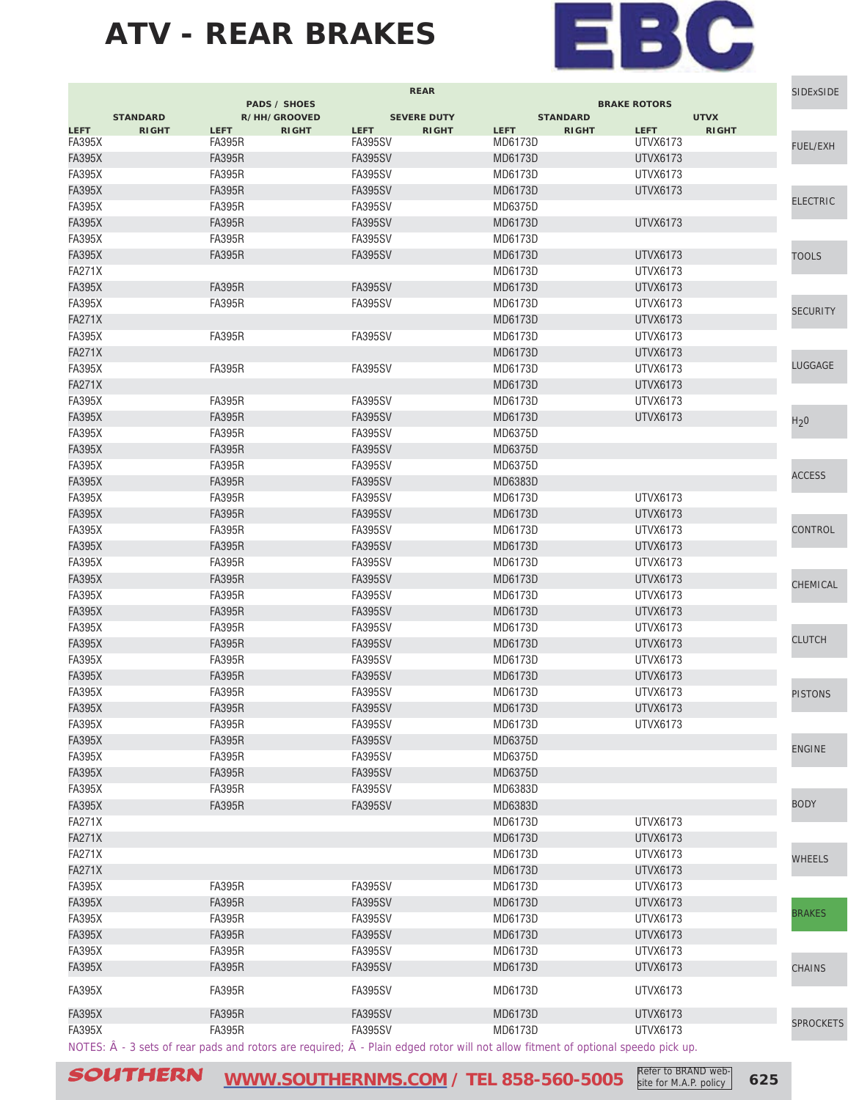

|               |                                                                                                                                                    |               | <b>PADS / SHOES</b> |                | <b>REAR</b>        |             |                 | <b>BRAKE ROTORS</b> |              | <b>SIDExSIDE</b> |
|---------------|----------------------------------------------------------------------------------------------------------------------------------------------------|---------------|---------------------|----------------|--------------------|-------------|-----------------|---------------------|--------------|------------------|
|               | <b>STANDARD</b>                                                                                                                                    |               | R/HH/GROOVED        |                | <b>SEVERE DUTY</b> |             | <b>STANDARD</b> |                     | <b>UTVX</b>  |                  |
| <b>LEFT</b>   | <b>RIGHT</b>                                                                                                                                       | <b>LEFT</b>   | <b>RIGHT</b>        | <b>LEFT</b>    | <b>RIGHT</b>       | <b>LEFT</b> | <b>RIGHT</b>    | <b>LEFT</b>         | <b>RIGHT</b> |                  |
| <b>FA395X</b> |                                                                                                                                                    | <b>FA395R</b> |                     | FA395SV        |                    | MD6173D     |                 | UTVX6173            |              | FUEL/EXH         |
| <b>FA395X</b> |                                                                                                                                                    | <b>FA395R</b> |                     | <b>FA395SV</b> |                    | MD6173D     |                 | UTVX6173            |              |                  |
| <b>FA395X</b> |                                                                                                                                                    | <b>FA395R</b> |                     | FA395SV        |                    | MD6173D     |                 | UTVX6173            |              |                  |
| <b>FA395X</b> |                                                                                                                                                    | <b>FA395R</b> |                     | <b>FA395SV</b> |                    | MD6173D     |                 | UTVX6173            |              | <b>ELECTRIC</b>  |
| <b>FA395X</b> |                                                                                                                                                    | <b>FA395R</b> |                     | FA395SV        |                    | MD6375D     |                 |                     |              |                  |
| <b>FA395X</b> |                                                                                                                                                    | <b>FA395R</b> |                     | <b>FA395SV</b> |                    | MD6173D     |                 | UTVX6173            |              |                  |
| <b>FA395X</b> |                                                                                                                                                    | <b>FA395R</b> |                     | <b>FA395SV</b> |                    | MD6173D     |                 |                     |              |                  |
| <b>FA395X</b> |                                                                                                                                                    | <b>FA395R</b> |                     | <b>FA395SV</b> |                    | MD6173D     |                 | UTVX6173            |              | <b>TOOLS</b>     |
| <b>FA271X</b> |                                                                                                                                                    |               |                     |                |                    | MD6173D     |                 | UTVX6173            |              |                  |
| <b>FA395X</b> |                                                                                                                                                    | <b>FA395R</b> |                     | <b>FA395SV</b> |                    | MD6173D     |                 | UTVX6173            |              |                  |
| <b>FA395X</b> |                                                                                                                                                    | <b>FA395R</b> |                     | FA395SV        |                    | MD6173D     |                 | UTVX6173            |              | <b>SECURITY</b>  |
| <b>FA271X</b> |                                                                                                                                                    |               |                     |                |                    | MD6173D     |                 | UTVX6173            |              |                  |
| <b>FA395X</b> |                                                                                                                                                    | <b>FA395R</b> |                     | FA395SV        |                    | MD6173D     |                 | <b>UTVX6173</b>     |              |                  |
| <b>FA271X</b> |                                                                                                                                                    |               |                     |                |                    | MD6173D     |                 | UTVX6173            |              |                  |
| <b>FA395X</b> |                                                                                                                                                    | <b>FA395R</b> |                     | FA395SV        |                    | MD6173D     |                 | UTVX6173            |              | LUGGAGE          |
| <b>FA271X</b> |                                                                                                                                                    |               |                     |                |                    | MD6173D     |                 | <b>UTVX6173</b>     |              |                  |
| <b>FA395X</b> |                                                                                                                                                    | <b>FA395R</b> |                     | <b>FA395SV</b> |                    | MD6173D     |                 | UTVX6173            |              |                  |
| <b>FA395X</b> |                                                                                                                                                    | <b>FA395R</b> |                     | <b>FA395SV</b> |                    | MD6173D     |                 | <b>UTVX6173</b>     |              | H <sub>2</sub> 0 |
| <b>FA395X</b> |                                                                                                                                                    | <b>FA395R</b> |                     | <b>FA395SV</b> |                    | MD6375D     |                 |                     |              |                  |
| <b>FA395X</b> |                                                                                                                                                    | <b>FA395R</b> |                     | <b>FA395SV</b> |                    | MD6375D     |                 |                     |              |                  |
| <b>FA395X</b> |                                                                                                                                                    | <b>FA395R</b> |                     | <b>FA395SV</b> |                    | MD6375D     |                 |                     |              |                  |
| <b>FA395X</b> |                                                                                                                                                    | <b>FA395R</b> |                     | <b>FA395SV</b> |                    | MD6383D     |                 |                     |              | <b>ACCESS</b>    |
| <b>FA395X</b> |                                                                                                                                                    | <b>FA395R</b> |                     | <b>FA395SV</b> |                    | MD6173D     |                 | <b>UTVX6173</b>     |              |                  |
| <b>FA395X</b> |                                                                                                                                                    | <b>FA395R</b> |                     | <b>FA395SV</b> |                    | MD6173D     |                 | UTVX6173            |              |                  |
| <b>FA395X</b> |                                                                                                                                                    | <b>FA395R</b> |                     | <b>FA395SV</b> |                    | MD6173D     |                 | <b>UTVX6173</b>     |              | CONTROL          |
| <b>FA395X</b> |                                                                                                                                                    | <b>FA395R</b> |                     | <b>FA395SV</b> |                    | MD6173D     |                 | UTVX6173            |              |                  |
| <b>FA395X</b> |                                                                                                                                                    | <b>FA395R</b> |                     | FA395SV        |                    | MD6173D     |                 | <b>UTVX6173</b>     |              |                  |
| <b>FA395X</b> |                                                                                                                                                    | <b>FA395R</b> |                     | <b>FA395SV</b> |                    | MD6173D     |                 | UTVX6173            |              | CHEMICAL         |
| <b>FA395X</b> |                                                                                                                                                    | <b>FA395R</b> |                     | <b>FA395SV</b> |                    | MD6173D     |                 | UTVX6173            |              |                  |
| <b>FA395X</b> |                                                                                                                                                    | <b>FA395R</b> |                     | <b>FA395SV</b> |                    | MD6173D     |                 | UTVX6173            |              |                  |
| <b>FA395X</b> |                                                                                                                                                    | <b>FA395R</b> |                     | FA395SV        |                    | MD6173D     |                 | UTVX6173            |              |                  |
| <b>FA395X</b> |                                                                                                                                                    | <b>FA395R</b> |                     | <b>FA395SV</b> |                    | MD6173D     |                 | UTVX6173            |              | <b>CLUTCH</b>    |
| <b>FA395X</b> |                                                                                                                                                    | <b>FA395R</b> |                     | FA395SV        |                    | MD6173D     |                 | UTVX6173            |              |                  |
| <b>FA395X</b> |                                                                                                                                                    | <b>FA395R</b> |                     | <b>FA395SV</b> |                    | MD6173D     |                 | UTVX6173            |              |                  |
| <b>FA395X</b> |                                                                                                                                                    | <b>FA395R</b> |                     | <b>FA395SV</b> |                    | MD6173D     |                 | UTVX6173            |              | <b>PISTONS</b>   |
| <b>FA395X</b> |                                                                                                                                                    | <b>FA395R</b> |                     | <b>FA395SV</b> |                    | MD6173D     |                 | UTVX6173            |              |                  |
| <b>FA395X</b> |                                                                                                                                                    | <b>FA395R</b> |                     | <b>FA395SV</b> |                    | MD6173D     |                 | UTVX6173            |              |                  |
| <b>FA395X</b> |                                                                                                                                                    | <b>FA395R</b> |                     | <b>FA395SV</b> |                    | MD6375D     |                 |                     |              |                  |
| <b>FA395X</b> |                                                                                                                                                    | <b>FA395R</b> |                     | <b>FA395SV</b> |                    | MD6375D     |                 |                     |              | <b>ENGINE</b>    |
| <b>FA395X</b> |                                                                                                                                                    | <b>FA395R</b> |                     | <b>FA395SV</b> |                    | MD6375D     |                 |                     |              |                  |
| <b>FA395X</b> |                                                                                                                                                    | <b>FA395R</b> |                     | <b>FA395SV</b> |                    | MD6383D     |                 |                     |              |                  |
| <b>FA395X</b> |                                                                                                                                                    | <b>FA395R</b> |                     | <b>FA395SV</b> |                    | MD6383D     |                 |                     |              | <b>BODY</b>      |
| <b>FA271X</b> |                                                                                                                                                    |               |                     |                |                    | MD6173D     |                 | UTVX6173            |              |                  |
| <b>FA271X</b> |                                                                                                                                                    |               |                     |                |                    | MD6173D     |                 | <b>UTVX6173</b>     |              |                  |
| <b>FA271X</b> |                                                                                                                                                    |               |                     |                |                    | MD6173D     |                 | <b>UTVX6173</b>     |              | <b>WHEELS</b>    |
| <b>FA271X</b> |                                                                                                                                                    |               |                     |                |                    | MD6173D     |                 | <b>UTVX6173</b>     |              |                  |
| <b>FA395X</b> |                                                                                                                                                    | <b>FA395R</b> |                     | <b>FA395SV</b> |                    | MD6173D     |                 | <b>UTVX6173</b>     |              |                  |
| <b>FA395X</b> |                                                                                                                                                    | <b>FA395R</b> |                     | <b>FA395SV</b> |                    | MD6173D     |                 | <b>UTVX6173</b>     |              |                  |
| <b>FA395X</b> |                                                                                                                                                    | FA395R        |                     | <b>FA395SV</b> |                    | MD6173D     |                 | <b>UTVX6173</b>     |              | <b>BRAKES</b>    |
| <b>FA395X</b> |                                                                                                                                                    | <b>FA395R</b> |                     | <b>FA395SV</b> |                    | MD6173D     |                 | <b>UTVX6173</b>     |              |                  |
| <b>FA395X</b> |                                                                                                                                                    | <b>FA395R</b> |                     | <b>FA395SV</b> |                    | MD6173D     |                 | <b>UTVX6173</b>     |              |                  |
| <b>FA395X</b> |                                                                                                                                                    | <b>FA395R</b> |                     | <b>FA395SV</b> |                    | MD6173D     |                 | <b>UTVX6173</b>     |              | <b>CHAINS</b>    |
|               |                                                                                                                                                    |               |                     |                |                    |             |                 |                     |              |                  |
| <b>FA395X</b> |                                                                                                                                                    | <b>FA395R</b> |                     | FA395SV        |                    | MD6173D     |                 | UTVX6173            |              |                  |
| <b>FA395X</b> |                                                                                                                                                    | <b>FA395R</b> |                     | <b>FA395SV</b> |                    | MD6173D     |                 | UTVX6173            |              |                  |
| <b>FA395X</b> |                                                                                                                                                    | <b>FA395R</b> |                     | <b>FA395SV</b> |                    | MD6173D     |                 | <b>UTVX6173</b>     |              | <b>SPROCKETS</b> |
|               | NOTES: $\hat{A}$ - 3 sets of rear pads and rotors are required; $\tilde{A}$ - Plain edged rotor will not allow fitment of optional speedo pick up. |               |                     |                |                    |             |                 |                     |              |                  |

SOUTHERN **[WWW.SOUTHERNMS.COM](http://m.southernms.com) / TEL 858-560-5005 625** Refer to BRAND website for M.A.P. policy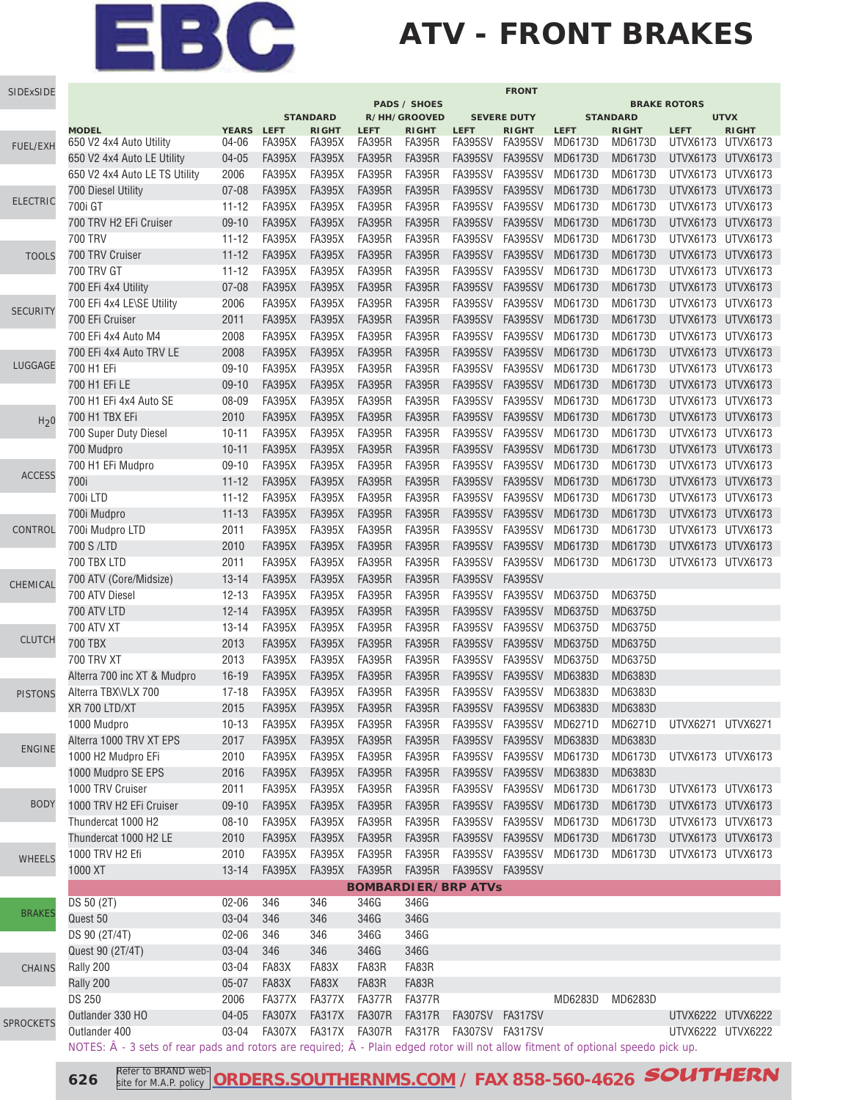## **ATV - FRONT BRAKES**

| SIDExSIDE        |                                                                                                                                                    |                       |                                |                                           |                              |                                               |                                                         | <b>FRONT</b>                                  |                         |                                            |                                        |                                         |
|------------------|----------------------------------------------------------------------------------------------------------------------------------------------------|-----------------------|--------------------------------|-------------------------------------------|------------------------------|-----------------------------------------------|---------------------------------------------------------|-----------------------------------------------|-------------------------|--------------------------------------------|----------------------------------------|-----------------------------------------|
|                  |                                                                                                                                                    |                       |                                |                                           |                              | <b>PADS / SHOES</b>                           |                                                         |                                               |                         |                                            | <b>BRAKE ROTORS</b>                    |                                         |
|                  | <b>MODEL</b><br>650 V2 4x4 Auto Utility                                                                                                            | <b>YEARS</b><br>04-06 | <b>LEFT</b><br><b>FA395X</b>   | <b>STANDARD</b><br><b>RIGHT</b><br>FA395X | <b>LEFT</b><br><b>FA395R</b> | R/HH/GROOVED<br><b>RIGHT</b><br><b>FA395R</b> | <b>LEFT</b><br>FA395SV                                  | <b>SEVERE DUTY</b><br><b>RIGHT</b><br>FA395SV | <b>LEFT</b><br>MD6173D  | <b>STANDARD</b><br><b>RIGHT</b><br>MD6173D | <b>LEFT</b><br>UTVX6173                | <b>UTVX</b><br><b>RIGHT</b><br>UTVX6173 |
| <b>FUEL/EXH</b>  | 650 V2 4x4 Auto LE Utility                                                                                                                         | $04 - 05$             | <b>FA395X</b>                  | <b>FA395X</b>                             | <b>FA395R</b>                | <b>FA395R</b>                                 | <b>FA395SV</b>                                          | <b>FA395SV</b>                                | MD6173D                 | MD6173D                                    | UTVX6173 UTVX6173                      |                                         |
|                  | 650 V2 4x4 Auto LE TS Utility                                                                                                                      | 2006                  | <b>FA395X</b>                  | <b>FA395X</b>                             | <b>FA395R</b>                | <b>FA395R</b>                                 | <b>FA395SV</b>                                          | <b>FA395SV</b>                                | MD6173D                 | MD6173D                                    | UTVX6173 UTVX6173                      |                                         |
|                  | 700 Diesel Utility                                                                                                                                 | $07 - 08$             | <b>FA395X</b>                  | <b>FA395X</b>                             | <b>FA395R</b>                | <b>FA395R</b>                                 | <b>FA395SV</b>                                          | <b>FA395SV</b>                                | MD6173D                 | MD6173D                                    | UTVX6173 UTVX6173                      |                                         |
| <b>ELECTRIC</b>  | 700i GT                                                                                                                                            | $11 - 12$             | <b>FA395X</b>                  | <b>FA395X</b>                             | <b>FA395R</b>                | <b>FA395R</b>                                 | <b>FA395SV</b>                                          | <b>FA395SV</b>                                | MD6173D                 | MD6173D                                    | UTVX6173 UTVX6173                      |                                         |
|                  | 700 TRV H2 EFi Cruiser                                                                                                                             | $09-10$               | <b>FA395X</b>                  | <b>FA395X</b>                             | <b>FA395R</b>                | <b>FA395R</b>                                 | <b>FA395SV</b>                                          | <b>FA395SV</b>                                | MD6173D                 | MD6173D                                    | UTVX6173 UTVX6173                      |                                         |
|                  | <b>700 TRV</b>                                                                                                                                     | $11 - 12$             | <b>FA395X</b>                  | <b>FA395X</b>                             | <b>FA395R</b>                | <b>FA395R</b>                                 | <b>FA395SV</b>                                          | <b>FA395SV</b>                                | MD6173D                 | MD6173D                                    | UTVX6173 UTVX6173                      |                                         |
| <b>TOOLS</b>     | 700 TRV Cruiser                                                                                                                                    | $11 - 12$             | <b>FA395X</b>                  | <b>FA395X</b>                             | <b>FA395R</b>                | <b>FA395R</b>                                 | <b>FA395SV</b>                                          | <b>FA395SV</b>                                | MD6173D                 | MD6173D                                    | UTVX6173 UTVX6173                      |                                         |
|                  | <b>700 TRV GT</b>                                                                                                                                  | $11 - 12$             | <b>FA395X</b>                  | <b>FA395X</b>                             | <b>FA395R</b>                | <b>FA395R</b>                                 | <b>FA395SV</b>                                          | <b>FA395SV</b>                                | MD6173D                 | MD6173D                                    | UTVX6173 UTVX6173                      |                                         |
|                  | 700 EFi 4x4 Utility                                                                                                                                | $07 - 08$             | <b>FA395X</b>                  | <b>FA395X</b>                             | <b>FA395R</b>                | <b>FA395R</b>                                 | <b>FA395SV</b>                                          | <b>FA395SV</b>                                | MD6173D                 | MD6173D                                    | UTVX6173 UTVX6173                      |                                         |
|                  | 700 EFI 4x4 LE\SE Utility                                                                                                                          | 2006                  | <b>FA395X</b>                  | <b>FA395X</b>                             | <b>FA395R</b>                | <b>FA395R</b>                                 | <b>FA395SV</b>                                          | <b>FA395SV</b>                                | MD6173D                 | MD6173D                                    | UTVX6173 UTVX6173                      |                                         |
| <b>SECURITY</b>  | 700 EFi Cruiser                                                                                                                                    | 2011                  | <b>FA395X</b>                  | <b>FA395X</b>                             | <b>FA395R</b>                | <b>FA395R</b>                                 | <b>FA395SV</b>                                          | <b>FA395SV</b>                                | MD6173D                 | MD6173D                                    | UTVX6173 UTVX6173                      |                                         |
|                  | 700 EFi 4x4 Auto M4                                                                                                                                | 2008                  | <b>FA395X</b>                  | <b>FA395X</b>                             | <b>FA395R</b>                | <b>FA395R</b>                                 | FA395SV                                                 | <b>FA395SV</b>                                | MD6173D                 | MD6173D                                    | UTVX6173 UTVX6173                      |                                         |
|                  | 700 EFi 4x4 Auto TRV LE                                                                                                                            | 2008                  | <b>FA395X</b>                  | <b>FA395X</b>                             | <b>FA395R</b>                | <b>FA395R</b>                                 | <b>FA395SV</b>                                          | <b>FA395SV</b>                                | MD6173D                 | MD6173D                                    | UTVX6173 UTVX6173                      |                                         |
| LUGGAGE          | 700 H1 EFi                                                                                                                                         | $09-10$               | <b>FA395X</b>                  | <b>FA395X</b>                             | <b>FA395R</b>                | <b>FA395R</b>                                 | <b>FA395SV</b>                                          | <b>FA395SV</b>                                | MD6173D                 | MD6173D                                    | UTVX6173 UTVX6173                      |                                         |
|                  | 700 H1 EFi LE                                                                                                                                      | $09-10$               | <b>FA395X</b>                  | <b>FA395X</b>                             | <b>FA395R</b>                | <b>FA395R</b>                                 | <b>FA395SV</b>                                          | FA395SV                                       | MD6173D                 | MD6173D                                    | UTVX6173 UTVX6173                      |                                         |
|                  | 700 H1 EFi 4x4 Auto SE                                                                                                                             | 08-09                 | <b>FA395X</b>                  | <b>FA395X</b>                             | <b>FA395R</b>                | <b>FA395R</b>                                 | <b>FA395SV</b>                                          | <b>FA395SV</b>                                | MD6173D                 | MD6173D                                    | UTVX6173 UTVX6173                      |                                         |
| H <sub>2</sub> 0 | 700 H1 TBX EFi                                                                                                                                     | 2010                  | <b>FA395X</b>                  | <b>FA395X</b>                             | <b>FA395R</b>                | <b>FA395R</b>                                 | <b>FA395SV</b>                                          | <b>FA395SV</b>                                | MD6173D                 | MD6173D                                    | UTVX6173 UTVX6173                      |                                         |
|                  | 700 Super Duty Diesel                                                                                                                              | $10 - 11$             | <b>FA395X</b>                  | <b>FA395X</b>                             | <b>FA395R</b>                | <b>FA395R</b>                                 | FA395SV                                                 | <b>FA395SV</b>                                | MD6173D                 | MD6173D                                    | UTVX6173 UTVX6173                      |                                         |
|                  | 700 Mudpro                                                                                                                                         | $10 - 11$             | <b>FA395X</b>                  | <b>FA395X</b>                             | <b>FA395R</b>                | <b>FA395R</b>                                 | <b>FA395SV</b>                                          | <b>FA395SV</b>                                | MD6173D                 | MD6173D                                    | UTVX6173 UTVX6173                      |                                         |
|                  | 700 H1 EFi Mudpro                                                                                                                                  | $09-10$               | <b>FA395X</b>                  | <b>FA395X</b>                             | <b>FA395R</b>                | <b>FA395R</b>                                 | <b>FA395SV</b>                                          | <b>FA395SV</b>                                | MD6173D                 | MD6173D                                    | UTVX6173 UTVX6173                      |                                         |
| <b>ACCESS</b>    | 700i                                                                                                                                               | $11 - 12$             | <b>FA395X</b>                  | <b>FA395X</b>                             | <b>FA395R</b>                | <b>FA395R</b>                                 | <b>FA395SV</b>                                          | <b>FA395SV</b>                                | MD6173D                 | MD6173D                                    | UTVX6173 UTVX6173                      |                                         |
|                  | 700i LTD                                                                                                                                           | $11 - 12$             | <b>FA395X</b>                  | <b>FA395X</b>                             | <b>FA395R</b>                | <b>FA395R</b>                                 | <b>FA395SV</b>                                          | <b>FA395SV</b>                                | MD6173D                 | MD6173D                                    | UTVX6173 UTVX6173                      |                                         |
|                  | 700i Mudpro                                                                                                                                        | $11 - 13$             | <b>FA395X</b>                  | <b>FA395X</b>                             | <b>FA395R</b>                | <b>FA395R</b>                                 | <b>FA395SV</b>                                          | <b>FA395SV</b>                                | MD6173D                 | MD6173D                                    | UTVX6173 UTVX6173                      |                                         |
| CONTROL          | 700i Mudpro LTD                                                                                                                                    | 2011                  | <b>FA395X</b>                  | <b>FA395X</b>                             | <b>FA395R</b>                | <b>FA395R</b>                                 | <b>FA395SV</b>                                          | <b>FA395SV</b>                                | MD6173D                 | MD6173D                                    | UTVX6173 UTVX6173                      |                                         |
|                  | 700 S /LTD                                                                                                                                         | 2010                  | <b>FA395X</b>                  | <b>FA395X</b>                             | <b>FA395R</b>                | <b>FA395R</b>                                 | <b>FA395SV</b>                                          | <b>FA395SV</b>                                | MD6173D                 | MD6173D                                    | UTVX6173 UTVX6173                      |                                         |
|                  | 700 TBX LTD                                                                                                                                        | 2011                  | <b>FA395X</b>                  | <b>FA395X</b>                             | <b>FA395R</b>                | <b>FA395R</b>                                 | <b>FA395SV</b>                                          | <b>FA395SV</b>                                | MD6173D                 | MD6173D                                    | UTVX6173 UTVX6173                      |                                         |
| CHEMICAL         | 700 ATV (Core/Midsize)                                                                                                                             | $13 - 14$             | <b>FA395X</b>                  | <b>FA395X</b>                             | <b>FA395R</b>                | <b>FA395R</b>                                 | <b>FA395SV</b>                                          | <b>FA395SV</b>                                |                         |                                            |                                        |                                         |
|                  | 700 ATV Diesel                                                                                                                                     | $12 - 13$             | <b>FA395X</b>                  | <b>FA395X</b>                             | <b>FA395R</b>                | <b>FA395R</b>                                 | <b>FA395SV</b>                                          | <b>FA395SV</b>                                | MD6375D                 | MD6375D                                    |                                        |                                         |
|                  | 700 ATV LTD                                                                                                                                        | $12 - 14$             | <b>FA395X</b>                  | <b>FA395X</b>                             | <b>FA395R</b>                | <b>FA395R</b>                                 | <b>FA395SV</b>                                          | <b>FA395SV</b>                                | MD6375D                 | MD6375D                                    |                                        |                                         |
|                  | <b>700 ATV XT</b>                                                                                                                                  | $13 - 14$             | <b>FA395X</b>                  | <b>FA395X</b>                             | <b>FA395R</b>                | <b>FA395R</b>                                 | <b>FA395SV</b>                                          | <b>FA395SV</b>                                | MD6375D                 | MD6375D                                    |                                        |                                         |
| <b>CLUTCH</b>    | 700 TBX                                                                                                                                            | 2013                  | <b>FA395X</b>                  | <b>FA395X</b>                             | <b>FA395R</b>                | <b>FA395R</b>                                 | <b>FA395SV</b>                                          | <b>FA395SV</b>                                | MD6375D                 | MD6375D                                    |                                        |                                         |
|                  | <b>700 TRV XT</b>                                                                                                                                  | 2013                  | <b>FA395X</b>                  | <b>FA395X</b>                             | <b>FA395R</b>                | <b>FA395R</b>                                 | <b>FA395SV</b>                                          | <b>FA395SV</b>                                | MD6375D                 | MD6375D                                    |                                        |                                         |
|                  | Alterra 700 inc XT & Mudpro                                                                                                                        | $16 - 19$             | <b>FA395X</b>                  | <b>FA395X</b>                             | <b>FA395R</b>                | <b>FA395R</b>                                 | <b>FA395SV</b>                                          | <b>FA395SV</b>                                | MD6383D                 | MD6383D                                    |                                        |                                         |
| <b>PISTONS</b>   | Alterra TBX\VLX 700                                                                                                                                | $17 - 18$             | <b>FA395X</b>                  | <b>FA395X</b>                             | <b>FA395R</b>                | <b>FA395R</b>                                 | FA395SV                                                 | <b>FA395SV</b>                                | MD6383D                 | MD6383D                                    |                                        |                                         |
|                  | XR 700 LTD/XT                                                                                                                                      | 2015                  | <b>FA395X</b>                  | <b>FA395X</b>                             | <b>FA395R</b>                | <b>FA395R</b>                                 | <b>FA395SV</b>                                          | <b>FA395SV</b>                                | MD6383D                 | MD6383D                                    |                                        |                                         |
|                  | 1000 Mudpro                                                                                                                                        | $10-13$               | FA395X                         | <b>FA395X</b>                             | FA395R                       | FA395R                                        |                                                         |                                               | FA395SV FA395SV MD6271D | MD6271D                                    | UTVX6271 UTVX6271                      |                                         |
| <b>ENGINE</b>    | Alterra 1000 TRV XT EPS                                                                                                                            | 2017                  | <b>FA395X</b>                  | <b>FA395X</b>                             | <b>FA395R</b>                | <b>FA395R</b>                                 | FA395SV FA395SV                                         |                                               | MD6383D                 | MD6383D                                    |                                        |                                         |
|                  | 1000 H2 Mudpro EFi                                                                                                                                 | 2010                  | FA395X                         | <b>FA395X</b>                             | <b>FA395R</b>                | <b>FA395R</b>                                 | FA395SV FA395SV                                         |                                               | MD6173D                 | MD6173D                                    | UTVX6173 UTVX6173                      |                                         |
|                  | 1000 Mudpro SE EPS                                                                                                                                 | 2016                  | <b>FA395X</b>                  | <b>FA395X</b>                             | <b>FA395R</b>                | <b>FA395R</b>                                 |                                                         | FA395SV FA395SV                               | MD6383D                 | MD6383D                                    |                                        |                                         |
|                  | 1000 TRV Cruiser                                                                                                                                   | 2011                  | <b>FA395X</b>                  | <b>FA395X</b>                             | <b>FA395R</b>                | <b>FA395R</b>                                 | FA395SV FA395SV                                         |                                               | MD6173D                 | MD6173D                                    | UTVX6173 UTVX6173                      |                                         |
| <b>BODY</b>      | 1000 TRV H2 EFi Cruiser                                                                                                                            | $09 - 10$             | <b>FA395X</b>                  | <b>FA395X</b>                             | <b>FA395R</b>                | <b>FA395R</b>                                 | FA395SV FA395SV                                         |                                               | MD6173D                 | MD6173D                                    | UTVX6173 UTVX6173                      |                                         |
|                  | Thundercat 1000 H2                                                                                                                                 | $08 - 10$             | <b>FA395X</b>                  | <b>FA395X</b>                             | <b>FA395R</b>                | <b>FA395R</b>                                 | FA395SV FA395SV                                         |                                               | MD6173D                 | MD6173D                                    | UTVX6173 UTVX6173                      |                                         |
|                  | Thundercat 1000 H2 LE                                                                                                                              | 2010                  | <b>FA395X</b>                  | <b>FA395X</b>                             | <b>FA395R</b>                | <b>FA395R</b>                                 | FA395SV FA395SV                                         |                                               | MD6173D                 | MD6173D                                    | UTVX6173 UTVX6173                      |                                         |
| <b>WHEELS</b>    | 1000 TRV H2 Efi                                                                                                                                    | 2010                  | <b>FA395X</b>                  | <b>FA395X</b>                             | <b>FA395R</b>                | <b>FA395R</b>                                 |                                                         | FA395SV FA395SV                               | MD6173D                 | MD6173D                                    | UTVX6173 UTVX6173                      |                                         |
|                  | 1000 XT                                                                                                                                            | $13 - 14$             | <b>FA395X</b>                  | <b>FA395X</b>                             | <b>FA395R</b>                | <b>FA395R</b>                                 | FA395SV FA395SV                                         |                                               |                         |                                            |                                        |                                         |
|                  |                                                                                                                                                    |                       |                                |                                           |                              |                                               | <b>BOMBARDIER/BRP ATVs</b>                              |                                               |                         |                                            |                                        |                                         |
| <b>BRAKES</b>    | DS 50 (2T)                                                                                                                                         | $02 - 06$             | 346                            | 346                                       | 346G                         | 346G                                          |                                                         |                                               |                         |                                            |                                        |                                         |
|                  | Quest 50                                                                                                                                           | 03-04                 | 346                            | 346                                       | 346G                         | 346G                                          |                                                         |                                               |                         |                                            |                                        |                                         |
|                  | DS 90 (2T/4T)                                                                                                                                      | $02 - 06$             | 346                            | 346                                       | 346G                         | 346G                                          |                                                         |                                               |                         |                                            |                                        |                                         |
|                  | Quest 90 (2T/4T)                                                                                                                                   | 03-04                 | 346                            | 346                                       | 346G                         | 346G                                          |                                                         |                                               |                         |                                            |                                        |                                         |
| <b>CHAINS</b>    | Rally 200                                                                                                                                          | 03-04                 | FA83X                          | FA83X                                     | FA83R                        | FA83R                                         |                                                         |                                               |                         |                                            |                                        |                                         |
|                  | Rally 200                                                                                                                                          | $05 - 07$             | FA83X                          | FA83X                                     | FA83R                        | FA83R                                         |                                                         |                                               |                         |                                            |                                        |                                         |
|                  | <b>DS 250</b>                                                                                                                                      | 2006                  | FA377X                         | FA377X                                    | FA377R                       | FA377R                                        |                                                         |                                               | MD6283D                 | MD6283D                                    |                                        |                                         |
| <b>SPROCKETS</b> | Outlander 330 HO<br>Outlander 400                                                                                                                  | $04 - 05$<br>03-04    | <b>FA307X</b><br><b>FA307X</b> | <b>FA317X</b>                             | FA307R                       | <b>FA317R</b>                                 | FA307SV FA317SV<br>FA317X FA307R FA317R FA307SV FA317SV |                                               |                         |                                            | UTVX6222 UTVX6222<br>UTVX6222 UTVX6222 |                                         |
|                  | NOTES: $\hat{A}$ - 3 sets of rear pads and rotors are required; $\tilde{A}$ - Plain edged rotor will not allow fitment of optional speedo pick up. |                       |                                |                                           |                              |                                               |                                                         |                                               |                         |                                            |                                        |                                         |
|                  |                                                                                                                                                    |                       |                                |                                           |                              |                                               |                                                         |                                               |                         |                                            |                                        |                                         |

**626** Refer to BRAND web - **[ORDERS.SOUTHERNMS.COM](http://orders.southernms.com) / FAX 858-560-4626** SOUTHERN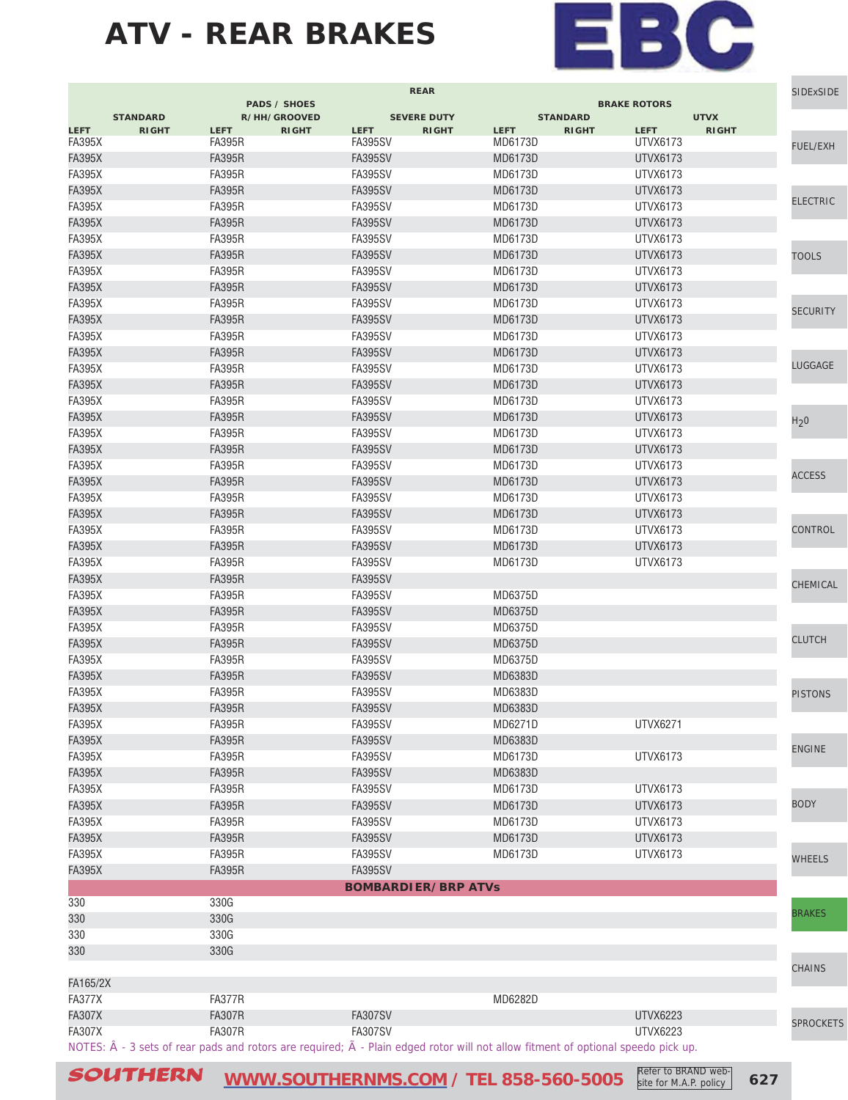

|               |                                                                                                                                                    |               | <b>PADS / SHOES</b> |                | <b>REAR</b>                |             |                 | <b>BRAKE ROTORS</b> |              | <b>SIDExSIDE</b> |
|---------------|----------------------------------------------------------------------------------------------------------------------------------------------------|---------------|---------------------|----------------|----------------------------|-------------|-----------------|---------------------|--------------|------------------|
|               | <b>STANDARD</b>                                                                                                                                    |               | R/HH/GROOVED        |                | <b>SEVERE DUTY</b>         |             | <b>STANDARD</b> |                     | <b>UTVX</b>  |                  |
| <b>LEFT</b>   | <b>RIGHT</b>                                                                                                                                       | <b>LEFT</b>   | <b>RIGHT</b>        | <b>LEFT</b>    | <b>RIGHT</b>               | <b>LEFT</b> | <b>RIGHT</b>    | <b>LEFT</b>         | <b>RIGHT</b> |                  |
| <b>FA395X</b> |                                                                                                                                                    | <b>FA395R</b> |                     | <b>FA395SV</b> |                            | MD6173D     |                 | UTVX6173            |              | <b>FUEL/EXH</b>  |
| <b>FA395X</b> |                                                                                                                                                    | <b>FA395R</b> |                     | <b>FA395SV</b> |                            | MD6173D     |                 | UTVX6173            |              |                  |
| <b>FA395X</b> |                                                                                                                                                    | <b>FA395R</b> |                     | <b>FA395SV</b> |                            | MD6173D     |                 | UTVX6173            |              |                  |
| <b>FA395X</b> |                                                                                                                                                    | <b>FA395R</b> |                     | <b>FA395SV</b> |                            | MD6173D     |                 | <b>UTVX6173</b>     |              | <b>ELECTRIC</b>  |
| <b>FA395X</b> |                                                                                                                                                    | <b>FA395R</b> |                     | <b>FA395SV</b> |                            | MD6173D     |                 | UTVX6173            |              |                  |
| <b>FA395X</b> |                                                                                                                                                    | <b>FA395R</b> |                     | <b>FA395SV</b> |                            | MD6173D     |                 | UTVX6173            |              |                  |
| <b>FA395X</b> |                                                                                                                                                    | <b>FA395R</b> |                     | FA395SV        |                            | MD6173D     |                 | UTVX6173            |              |                  |
| <b>FA395X</b> |                                                                                                                                                    | <b>FA395R</b> |                     | <b>FA395SV</b> |                            | MD6173D     |                 | UTVX6173            |              | <b>TOOLS</b>     |
| <b>FA395X</b> |                                                                                                                                                    | <b>FA395R</b> |                     | <b>FA395SV</b> |                            | MD6173D     |                 | UTVX6173            |              |                  |
| <b>FA395X</b> |                                                                                                                                                    | <b>FA395R</b> |                     | <b>FA395SV</b> |                            | MD6173D     |                 | <b>UTVX6173</b>     |              |                  |
| <b>FA395X</b> |                                                                                                                                                    | <b>FA395R</b> |                     | FA395SV        |                            | MD6173D     |                 | UTVX6173            |              | <b>SECURITY</b>  |
| <b>FA395X</b> |                                                                                                                                                    | <b>FA395R</b> |                     | <b>FA395SV</b> |                            | MD6173D     |                 | <b>UTVX6173</b>     |              |                  |
| <b>FA395X</b> |                                                                                                                                                    | <b>FA395R</b> |                     | <b>FA395SV</b> |                            | MD6173D     |                 | <b>UTVX6173</b>     |              |                  |
| <b>FA395X</b> |                                                                                                                                                    | <b>FA395R</b> |                     | <b>FA395SV</b> |                            | MD6173D     |                 | <b>UTVX6173</b>     |              |                  |
| <b>FA395X</b> |                                                                                                                                                    | <b>FA395R</b> |                     | FA395SV        |                            | MD6173D     |                 | UTVX6173            |              | LUGGAGE          |
| <b>FA395X</b> |                                                                                                                                                    | <b>FA395R</b> |                     | <b>FA395SV</b> |                            | MD6173D     |                 | <b>UTVX6173</b>     |              |                  |
| <b>FA395X</b> |                                                                                                                                                    | <b>FA395R</b> |                     | <b>FA395SV</b> |                            | MD6173D     |                 | UTVX6173            |              |                  |
| <b>FA395X</b> |                                                                                                                                                    | <b>FA395R</b> |                     | <b>FA395SV</b> |                            | MD6173D     |                 | UTVX6173            |              | H <sub>2</sub> 0 |
| <b>FA395X</b> |                                                                                                                                                    | <b>FA395R</b> |                     | <b>FA395SV</b> |                            | MD6173D     |                 | UTVX6173            |              |                  |
| <b>FA395X</b> |                                                                                                                                                    | <b>FA395R</b> |                     | <b>FA395SV</b> |                            | MD6173D     |                 | UTVX6173            |              |                  |
| <b>FA395X</b> |                                                                                                                                                    | <b>FA395R</b> |                     | <b>FA395SV</b> |                            | MD6173D     |                 | UTVX6173            |              |                  |
| <b>FA395X</b> |                                                                                                                                                    | <b>FA395R</b> |                     | <b>FA395SV</b> |                            | MD6173D     |                 | UTVX6173            |              | <b>ACCESS</b>    |
| <b>FA395X</b> |                                                                                                                                                    | <b>FA395R</b> |                     | <b>FA395SV</b> |                            | MD6173D     |                 | UTVX6173            |              |                  |
| <b>FA395X</b> |                                                                                                                                                    | <b>FA395R</b> |                     | <b>FA395SV</b> |                            | MD6173D     |                 | UTVX6173            |              |                  |
| <b>FA395X</b> |                                                                                                                                                    | <b>FA395R</b> |                     | FA395SV        |                            | MD6173D     |                 | <b>UTVX6173</b>     |              | CONTROL          |
| <b>FA395X</b> |                                                                                                                                                    | <b>FA395R</b> |                     | <b>FA395SV</b> |                            | MD6173D     |                 | UTVX6173            |              |                  |
| <b>FA395X</b> |                                                                                                                                                    | <b>FA395R</b> |                     | FA395SV        |                            | MD6173D     |                 | UTVX6173            |              |                  |
| <b>FA395X</b> |                                                                                                                                                    | <b>FA395R</b> |                     | <b>FA395SV</b> |                            |             |                 |                     |              | CHEMICAL         |
| <b>FA395X</b> |                                                                                                                                                    | <b>FA395R</b> |                     | FA395SV        |                            | MD6375D     |                 |                     |              |                  |
| <b>FA395X</b> |                                                                                                                                                    | <b>FA395R</b> |                     | <b>FA395SV</b> |                            | MD6375D     |                 |                     |              |                  |
| <b>FA395X</b> |                                                                                                                                                    | <b>FA395R</b> |                     | FA395SV        |                            | MD6375D     |                 |                     |              |                  |
| <b>FA395X</b> |                                                                                                                                                    | <b>FA395R</b> |                     | <b>FA395SV</b> |                            | MD6375D     |                 |                     |              | <b>CLUTCH</b>    |
| <b>FA395X</b> |                                                                                                                                                    | <b>FA395R</b> |                     | FA395SV        |                            | MD6375D     |                 |                     |              |                  |
| <b>FA395X</b> |                                                                                                                                                    | <b>FA395R</b> |                     | <b>FA395SV</b> |                            | MD6383D     |                 |                     |              |                  |
| <b>FA395X</b> |                                                                                                                                                    | <b>FA395R</b> |                     | <b>FA395SV</b> |                            | MD6383D     |                 |                     |              | <b>PISTONS</b>   |
| <b>FA395X</b> |                                                                                                                                                    | <b>FA395R</b> |                     | <b>FA395SV</b> |                            | MD6383D     |                 |                     |              |                  |
| <b>FA395X</b> |                                                                                                                                                    | <b>FA395R</b> |                     | <b>FA395SV</b> |                            | MD6271D     |                 | UTVX6271            |              |                  |
| <b>FA395X</b> |                                                                                                                                                    | <b>FA395R</b> |                     | <b>FA395SV</b> |                            | MD6383D     |                 |                     |              | <b>ENGINE</b>    |
| <b>FA395X</b> |                                                                                                                                                    | <b>FA395R</b> |                     | <b>FA395SV</b> |                            | MD6173D     |                 | <b>UTVX6173</b>     |              |                  |
| <b>FA395X</b> |                                                                                                                                                    | <b>FA395R</b> |                     | <b>FA395SV</b> |                            | MD6383D     |                 |                     |              |                  |
| <b>FA395X</b> |                                                                                                                                                    | <b>FA395R</b> |                     | <b>FA395SV</b> |                            | MD6173D     |                 | UTVX6173            |              |                  |
| <b>FA395X</b> |                                                                                                                                                    | <b>FA395R</b> |                     | <b>FA395SV</b> |                            | MD6173D     |                 | <b>UTVX6173</b>     |              | <b>BODY</b>      |
| <b>FA395X</b> |                                                                                                                                                    | <b>FA395R</b> |                     | <b>FA395SV</b> |                            | MD6173D     |                 | <b>UTVX6173</b>     |              |                  |
| <b>FA395X</b> |                                                                                                                                                    | <b>FA395R</b> |                     | <b>FA395SV</b> |                            | MD6173D     |                 | <b>UTVX6173</b>     |              |                  |
| <b>FA395X</b> |                                                                                                                                                    | <b>FA395R</b> |                     | <b>FA395SV</b> |                            | MD6173D     |                 | UTVX6173            |              | <b>WHEELS</b>    |
| <b>FA395X</b> |                                                                                                                                                    | <b>FA395R</b> |                     | <b>FA395SV</b> |                            |             |                 |                     |              |                  |
|               |                                                                                                                                                    |               |                     |                | <b>BOMBARDIER/BRP ATVs</b> |             |                 |                     |              |                  |
| 330           |                                                                                                                                                    | 330G          |                     |                |                            |             |                 |                     |              |                  |
| 330           |                                                                                                                                                    | 330G          |                     |                |                            |             |                 |                     |              | <b>BRAKES</b>    |
| 330           |                                                                                                                                                    | 330G          |                     |                |                            |             |                 |                     |              |                  |
| 330           |                                                                                                                                                    | 330G          |                     |                |                            |             |                 |                     |              |                  |
|               |                                                                                                                                                    |               |                     |                |                            |             |                 |                     |              | CHAINS           |
| FA165/2X      |                                                                                                                                                    |               |                     |                |                            |             |                 |                     |              |                  |
| <b>FA377X</b> |                                                                                                                                                    | FA377R        |                     |                |                            | MD6282D     |                 |                     |              |                  |
| <b>FA307X</b> |                                                                                                                                                    | <b>FA307R</b> |                     | <b>FA307SV</b> |                            |             |                 | <b>UTVX6223</b>     |              | <b>SPROCKETS</b> |
| <b>FA307X</b> |                                                                                                                                                    | <b>FA307R</b> |                     | <b>FA307SV</b> |                            |             |                 | <b>UTVX6223</b>     |              |                  |
|               | NOTES: $\hat{A}$ - 3 sets of rear pads and rotors are required; $\tilde{A}$ - Plain edged rotor will not allow fitment of optional speedo pick up. |               |                     |                |                            |             |                 |                     |              |                  |

SOUTHERN **[WWW.SOUTHERNMS.COM](http://m.southernms.com) / TEL 858-560-5005 627** Refer to BRAND website for M.A.P. policy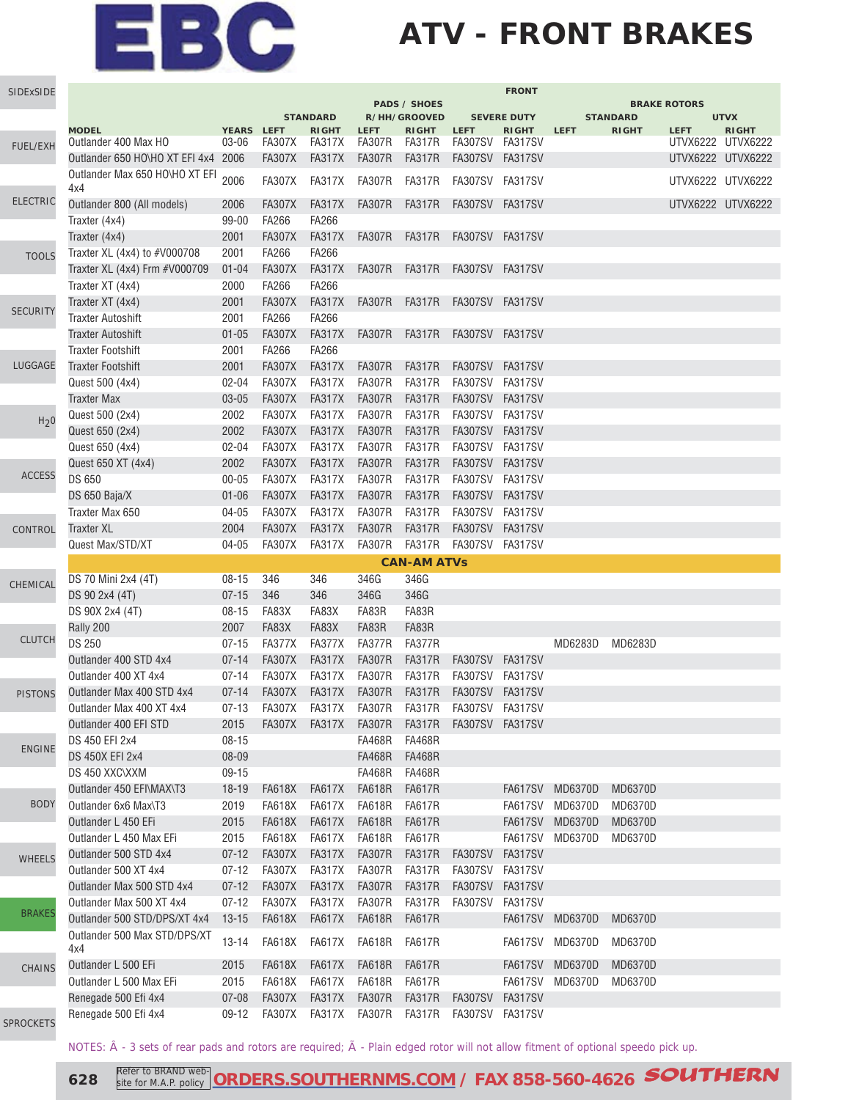## **ATV - FRONT BRAKES**

| SIDExSIDE        |                                                                       |                   |                                |                                |                                |                                     |                                    | <b>FRONT</b>       |                |                 |                     |              |
|------------------|-----------------------------------------------------------------------|-------------------|--------------------------------|--------------------------------|--------------------------------|-------------------------------------|------------------------------------|--------------------|----------------|-----------------|---------------------|--------------|
|                  |                                                                       |                   |                                | <b>STANDARD</b>                |                                | <b>PADS / SHOES</b><br>R/HH/GROOVED |                                    | <b>SEVERE DUTY</b> |                | <b>STANDARD</b> | <b>BRAKE ROTORS</b> | <b>UTVX</b>  |
|                  | <b>MODEL</b>                                                          | YEARS LEFT        |                                | <b>RIGHT</b>                   | <b>LEFT</b>                    | <b>RIGHT</b>                        | <b>LEFT</b>                        | <b>RIGHT</b>       | <b>LEFT</b>    | <b>RIGHT</b>    | <b>LEFT</b>         | <b>RIGHT</b> |
| <b>FUEL/EXH</b>  | Outlander 400 Max HO                                                  | 03-06             | FA307X FA317X                  | <b>FA317X</b>                  | FA307R FA317R                  |                                     | FA307SV FA317SV                    |                    |                |                 | UTVX6222 UTVX6222   |              |
|                  | Outlander 650 HO\HO XT EFI 4x4 2006<br>Outlander Max 650 HO\HO XT EFI |                   | <b>FA307X</b>                  |                                | <b>FA307R</b>                  | <b>FA317R</b>                       | FA307SV FA317SV                    |                    |                |                 | UTVX6222 UTVX6222   |              |
|                  | 4x4                                                                   | 2006              | <b>FA307X</b>                  | FA317X                         | FA307R                         | <b>FA317R</b>                       | FA307SV FA317SV                    |                    |                |                 | UTVX6222 UTVX6222   |              |
| <b>ELECTRIC</b>  | Outlander 800 (All models)                                            | 2006              | <b>FA307X</b>                  | FA317X                         | FA307R FA317R                  |                                     | FA307SV FA317SV                    |                    |                |                 | UTVX6222 UTVX6222   |              |
|                  | Traxter (4x4)                                                         | 99-00             | <b>FA266</b>                   | FA266                          |                                |                                     |                                    |                    |                |                 |                     |              |
|                  | Traxter (4x4)                                                         | 2001              | <b>FA307X</b>                  | <b>FA317X</b>                  | FA307R FA317R                  |                                     | FA307SV FA317SV                    |                    |                |                 |                     |              |
| <b>TOOLS</b>     | Traxter XL (4x4) to #V000708                                          | 2001              | <b>FA266</b>                   | FA266                          |                                |                                     |                                    |                    |                |                 |                     |              |
|                  | Traxter XL (4x4) Frm #V000709                                         | $01 - 04$         | <b>FA307X</b>                  | <b>FA317X</b>                  | <b>FA307R</b>                  | FA317R                              | FA307SV FA317SV                    |                    |                |                 |                     |              |
|                  | Traxter XT (4x4)                                                      | 2000              | <b>FA266</b>                   | FA266                          |                                |                                     |                                    |                    |                |                 |                     |              |
| <b>SECURITY</b>  | Traxter XT (4x4)                                                      | 2001              | <b>FA307X</b>                  | <b>FA317X</b>                  | <b>FA307R</b>                  | FA317R                              | FA307SV FA317SV                    |                    |                |                 |                     |              |
|                  | <b>Traxter Autoshift</b>                                              | 2001              | <b>FA266</b>                   | FA266                          |                                |                                     |                                    |                    |                |                 |                     |              |
|                  | <b>Traxter Autoshift</b>                                              | $01 - 05$         | <b>FA307X</b>                  | <b>FA317X</b>                  | FA307R FA317R                  |                                     | FA307SV FA317SV                    |                    |                |                 |                     |              |
|                  | <b>Traxter Footshift</b>                                              | 2001              | FA266                          | FA266                          |                                |                                     |                                    |                    |                |                 |                     |              |
| LUGGAGE          | <b>Traxter Footshift</b>                                              | 2001              | <b>FA307X</b>                  | <b>FA317X</b>                  | <b>FA307R</b>                  | <b>FA317R</b>                       | FA307SV FA317SV                    |                    |                |                 |                     |              |
|                  | Quest 500 (4x4)                                                       | 02-04             | <b>FA307X</b>                  | <b>FA317X</b>                  | <b>FA307R</b>                  | <b>FA317R</b>                       | FA307SV FA317SV                    |                    |                |                 |                     |              |
|                  | <b>Traxter Max</b>                                                    | 03-05             | <b>FA307X</b>                  | <b>FA317X</b><br><b>FA317X</b> | <b>FA307R</b>                  | <b>FA317R</b>                       | FA307SV FA317SV                    |                    |                |                 |                     |              |
| H <sub>2</sub> 0 | Quest 500 (2x4)<br>Quest 650 (2x4)                                    | 2002              | <b>FA307X</b><br><b>FA307X</b> |                                | <b>FA307R</b><br><b>FA307R</b> | <b>FA317R</b><br><b>FA317R</b>      | FA307SV FA317SV<br>FA307SV FA317SV |                    |                |                 |                     |              |
|                  | Quest 650 (4x4)                                                       | 2002<br>$02 - 04$ | <b>FA307X</b>                  | <b>FA317X</b><br><b>FA317X</b> | <b>FA307R</b>                  | <b>FA317R</b>                       | <b>FA307SV</b>                     | FA317SV            |                |                 |                     |              |
|                  |                                                                       | 2002              | <b>FA307X</b>                  | <b>FA317X</b>                  | <b>FA307R</b>                  | <b>FA317R</b>                       | FA307SV FA317SV                    |                    |                |                 |                     |              |
| <b>ACCESS</b>    | Quest 650 XT (4x4)<br>DS 650                                          | $00 - 05$         | <b>FA307X</b>                  | <b>FA317X</b>                  | <b>FA307R</b>                  | <b>FA317R</b>                       | FA307SV FA317SV                    |                    |                |                 |                     |              |
|                  | DS 650 Baja/X                                                         | $01 - 06$         | <b>FA307X</b>                  | <b>FA317X</b>                  | <b>FA307R</b>                  | <b>FA317R</b>                       | FA307SV FA317SV                    |                    |                |                 |                     |              |
|                  | Traxter Max 650                                                       | $04 - 05$         | <b>FA307X</b>                  | <b>FA317X</b>                  | <b>FA307R</b>                  | <b>FA317R</b>                       | FA307SV FA317SV                    |                    |                |                 |                     |              |
| CONTROL          | Traxter XL                                                            | 2004              | <b>FA307X</b>                  | <b>FA317X</b>                  | <b>FA307R</b>                  | <b>FA317R</b>                       | FA307SV FA317SV                    |                    |                |                 |                     |              |
|                  | Quest Max/STD/XT                                                      | $04 - 05$         | <b>FA307X</b>                  | <b>FA317X</b>                  | <b>FA307R</b>                  | <b>FA317R</b>                       | FA307SV FA317SV                    |                    |                |                 |                     |              |
|                  |                                                                       |                   |                                |                                |                                | <b>CAN-AM ATVs</b>                  |                                    |                    |                |                 |                     |              |
|                  | DS 70 Mini 2x4 (4T)                                                   | $08 - 15$         | 346                            | 346                            | 346G                           | 346G                                |                                    |                    |                |                 |                     |              |
| CHEMICAL         | DS 90 2x4 (4T)                                                        | $07 - 15$         | 346                            | 346                            | 346G                           | 346G                                |                                    |                    |                |                 |                     |              |
|                  | DS 90X 2x4 (4T)                                                       | $08 - 15$         | FA83X                          | FA83X                          | FA83R                          | FA83R                               |                                    |                    |                |                 |                     |              |
|                  | Rally 200                                                             | 2007              | FA83X                          | FA83X                          | FA83R                          | FA83R                               |                                    |                    |                |                 |                     |              |
| <b>CLUTCH</b>    | <b>DS 250</b>                                                         | $07 - 15$         | <b>FA377X</b>                  | <b>FA377X</b>                  | <b>FA377R</b>                  | <b>FA377R</b>                       |                                    |                    | MD6283D        | MD6283D         |                     |              |
|                  | Outlander 400 STD 4x4                                                 | $07 - 14$         | <b>FA307X</b>                  | <b>FA317X</b>                  | <b>FA307R</b>                  | <b>FA317R</b>                       | FA307SV FA317SV                    |                    |                |                 |                     |              |
|                  | Outlander 400 XT 4x4                                                  | $07 - 14$         | <b>FA307X</b>                  | <b>FA317X</b>                  | <b>FA307R</b>                  | <b>FA317R</b>                       | FA307SV FA317SV                    |                    |                |                 |                     |              |
| <b>PISTONS</b>   | Outlander Max 400 STD 4x4                                             | $07 - 14$         | <b>FA307X</b>                  | <b>FA317X</b>                  | <b>FA307R</b>                  | <b>FA317R</b>                       | FA307SV FA317SV                    |                    |                |                 |                     |              |
|                  | Outlander Max 400 XT 4x4                                              | $07 - 13$         | <b>FA307X</b>                  | FA317X                         | FA307R                         | <b>FA317R</b>                       | FA307SV FA317SV                    |                    |                |                 |                     |              |
|                  | Outlander 400 EFI STD                                                 | 2015              | FA307X FA317X                  |                                | <b>FA307R</b>                  | <b>FA317R</b>                       | FA307SV FA317SV                    |                    |                |                 |                     |              |
| <b>ENGINE</b>    | DS 450 EFI 2x4                                                        | 08-15             |                                |                                | FA468R                         | <b>FA468R</b>                       |                                    |                    |                |                 |                     |              |
|                  | <b>DS 450X EFI 2x4</b>                                                | 08-09             |                                |                                | <b>FA468R</b>                  | <b>FA468R</b>                       |                                    |                    |                |                 |                     |              |
|                  | DS 450 XXC\XXM                                                        | $09-15$           |                                |                                | FA468R                         | <b>FA468R</b>                       |                                    |                    |                |                 |                     |              |
|                  | Outlander 450 EFI\MAX\T3                                              | $18-19$           | <b>FA618X</b>                  | <b>FA617X</b>                  | <b>FA618R</b>                  | <b>FA617R</b>                       |                                    | FA617SV            | <b>MD6370D</b> | MD6370D         |                     |              |
| <b>BODY</b>      | Outlander 6x6 Max\T3                                                  | 2019              | <b>FA618X</b>                  | <b>FA617X</b>                  | <b>FA618R</b>                  | <b>FA617R</b>                       |                                    | FA617SV            | MD6370D        | MD6370D         |                     |              |
|                  | Outlander L 450 EFi                                                   | 2015              | <b>FA618X</b>                  | <b>FA617X</b>                  | <b>FA618R</b>                  | <b>FA617R</b>                       |                                    | <b>FA617SV</b>     | MD6370D        | MD6370D         |                     |              |
|                  | Outlander L 450 Max EFi                                               | 2015              | <b>FA618X</b>                  | <b>FA617X</b>                  | <b>FA618R</b>                  | <b>FA617R</b>                       |                                    | <b>FA617SV</b>     | MD6370D        | MD6370D         |                     |              |
| <b>WHEELS</b>    | Outlander 500 STD 4x4                                                 | $07 - 12$         | <b>FA307X</b>                  | FA317X                         | <b>FA307R</b>                  | <b>FA317R</b>                       | <b>FA307SV</b>                     | <b>FA317SV</b>     |                |                 |                     |              |
|                  | Outlander 500 XT 4x4                                                  | $07 - 12$         | FA307X                         | FA317X                         | <b>FA307R</b>                  | <b>FA317R</b>                       | FA307SV                            | FA317SV            |                |                 |                     |              |
|                  | Outlander Max 500 STD 4x4                                             | $07 - 12$         | <b>FA307X</b>                  | <b>FA317X</b>                  | <b>FA307R</b>                  | <b>FA317R</b>                       | <b>FA307SV</b>                     | <b>FA317SV</b>     |                |                 |                     |              |
| <b>BRAKES</b>    | Outlander Max 500 XT 4x4                                              | $07 - 12$         | <b>FA307X</b>                  | <b>FA317X</b>                  | <b>FA307R</b>                  | <b>FA317R</b>                       | <b>FA307SV</b>                     | FA317SV            |                |                 |                     |              |
|                  | Outlander 500 STD/DPS/XT 4x4                                          | $13 - 15$         | <b>FA618X</b>                  | <b>FA617X</b>                  | <b>FA618R</b>                  | <b>FA617R</b>                       |                                    | <b>FA617SV</b>     | MD6370D        | MD6370D         |                     |              |
|                  | Outlander 500 Max STD/DPS/XT<br>4x4                                   | $13 - 14$         | <b>FA618X</b>                  | <b>FA617X</b>                  | FA618R                         | FA617R                              |                                    | FA617SV            | MD6370D        | MD6370D         |                     |              |
| CHAINS           | Outlander L 500 EFi                                                   | 2015              | <b>FA618X</b>                  | <b>FA617X</b>                  | <b>FA618R</b>                  | <b>FA617R</b>                       |                                    | <b>FA617SV</b>     | <b>MD6370D</b> | MD6370D         |                     |              |
|                  | Outlander L 500 Max EFi                                               | 2015              | <b>FA618X</b>                  | <b>FA617X</b>                  | <b>FA618R</b>                  | FA617R                              |                                    | FA617SV            | MD6370D        | MD6370D         |                     |              |
|                  | Renegade 500 Efi 4x4                                                  | $07 - 08$         | <b>FA307X</b>                  | <b>FA317X</b>                  | <b>FA307R</b>                  | <b>FA317R</b>                       | <b>FA307SV</b>                     | <b>FA317SV</b>     |                |                 |                     |              |
| SPROCKETS        | Renegade 500 Efi 4x4                                                  | 09-12             | <b>FA307X</b>                  | FA317X                         | FA307R                         | FA317R                              | FA307SV FA317SV                    |                    |                |                 |                     |              |

NOTES:  $\hat{A}$  - 3 sets of rear pads and rotors are required;  $\tilde{A}$  - Plain edged rotor will not allow fitment of optional speedo pick up.

SP

**628** Refer to BRAND web **[ORDERS.SOUTHERNMS.COM](http://orders.southernms.com) / FAX 858-560-4626 SOUTHERN**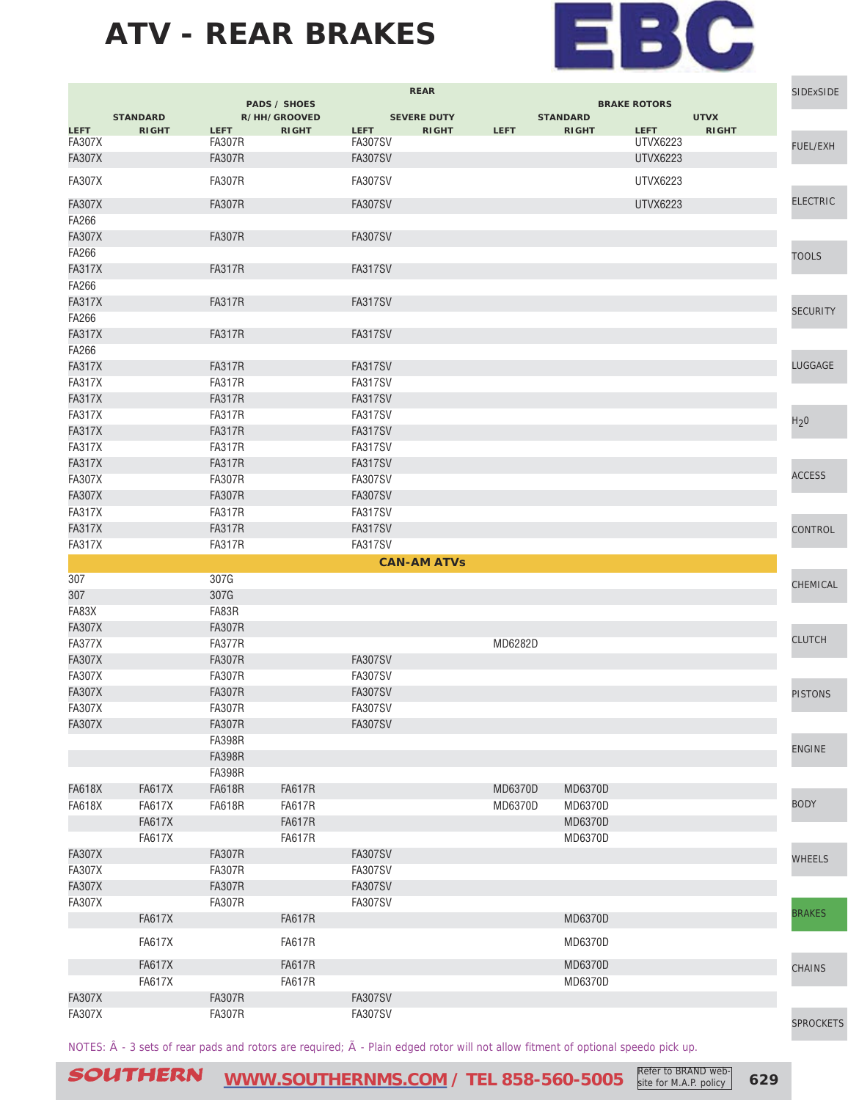

|                         |                 |                                |                                     |                | <b>REAR</b>        |             |                 |                     |              | SIDExSIDE        |
|-------------------------|-----------------|--------------------------------|-------------------------------------|----------------|--------------------|-------------|-----------------|---------------------|--------------|------------------|
|                         | <b>STANDARD</b> |                                | <b>PADS / SHOES</b><br>R/HH/GROOVED |                | <b>SEVERE DUTY</b> |             | <b>STANDARD</b> | <b>BRAKE ROTORS</b> | <b>UTVX</b>  |                  |
| <b>LEFT</b>             | <b>RIGHT</b>    | <b>LEFT</b>                    | <b>RIGHT</b>                        | <b>LEFT</b>    | <b>RIGHT</b>       | <b>LEFT</b> | <b>RIGHT</b>    | <b>LEFT</b>         | <b>RIGHT</b> |                  |
| <b>FA307X</b>           |                 | <b>FA307R</b>                  |                                     | FA307SV        |                    |             |                 | UTVX6223            |              | FUEL/EXH         |
| <b>FA307X</b>           |                 | <b>FA307R</b>                  |                                     | <b>FA307SV</b> |                    |             |                 | <b>UTVX6223</b>     |              |                  |
| <b>FA307X</b>           |                 | <b>FA307R</b>                  |                                     | <b>FA307SV</b> |                    |             |                 | <b>UTVX6223</b>     |              |                  |
| <b>FA307X</b>           |                 | <b>FA307R</b>                  |                                     | <b>FA307SV</b> |                    |             |                 | <b>UTVX6223</b>     |              | <b>ELECTRIC</b>  |
| FA266                   |                 |                                |                                     |                |                    |             |                 |                     |              |                  |
| <b>FA307X</b>           |                 | <b>FA307R</b>                  |                                     | <b>FA307SV</b> |                    |             |                 |                     |              |                  |
| FA266                   |                 |                                |                                     |                |                    |             |                 |                     |              | <b>TOOLS</b>     |
| <b>FA317X</b>           |                 | <b>FA317R</b>                  |                                     | FA317SV        |                    |             |                 |                     |              |                  |
| FA266                   |                 |                                |                                     |                |                    |             |                 |                     |              |                  |
| <b>FA317X</b>           |                 | <b>FA317R</b>                  |                                     | <b>FA317SV</b> |                    |             |                 |                     |              | <b>SECURITY</b>  |
| FA266                   |                 | <b>FA317R</b>                  |                                     | <b>FA317SV</b> |                    |             |                 |                     |              |                  |
| <b>FA317X</b><br>FA266  |                 |                                |                                     |                |                    |             |                 |                     |              |                  |
| <b>FA317X</b>           |                 | <b>FA317R</b>                  |                                     | <b>FA317SV</b> |                    |             |                 |                     |              | LUGGAGE          |
| <b>FA317X</b>           |                 | <b>FA317R</b>                  |                                     | FA317SV        |                    |             |                 |                     |              |                  |
| <b>FA317X</b>           |                 | <b>FA317R</b>                  |                                     | <b>FA317SV</b> |                    |             |                 |                     |              |                  |
| <b>FA317X</b>           |                 | <b>FA317R</b>                  |                                     | FA317SV        |                    |             |                 |                     |              |                  |
| <b>FA317X</b>           |                 | <b>FA317R</b>                  |                                     | FA317SV        |                    |             |                 |                     |              | H <sub>2</sub> 0 |
| <b>FA317X</b>           |                 | <b>FA317R</b>                  |                                     | FA317SV        |                    |             |                 |                     |              |                  |
| <b>FA317X</b>           |                 | <b>FA317R</b>                  |                                     | FA317SV        |                    |             |                 |                     |              |                  |
| <b>FA307X</b>           |                 | <b>FA307R</b>                  |                                     | <b>FA307SV</b> |                    |             |                 |                     |              | <b>ACCESS</b>    |
| <b>FA307X</b>           |                 | <b>FA307R</b>                  |                                     | <b>FA307SV</b> |                    |             |                 |                     |              |                  |
| <b>FA317X</b>           |                 | <b>FA317R</b>                  |                                     | <b>FA317SV</b> |                    |             |                 |                     |              |                  |
| <b>FA317X</b>           |                 | <b>FA317R</b>                  |                                     | FA317SV        |                    |             |                 |                     |              | CONTROL          |
| <b>FA317X</b>           |                 | FA317R                         |                                     | FA317SV        |                    |             |                 |                     |              |                  |
|                         |                 |                                |                                     |                | <b>CAN-AM ATVs</b> |             |                 |                     |              |                  |
| 307                     |                 | 307G                           |                                     |                |                    |             |                 |                     |              | CHEMICAL         |
| 307                     |                 | 307G                           |                                     |                |                    |             |                 |                     |              |                  |
| FA83X                   |                 | FA83R                          |                                     |                |                    |             |                 |                     |              |                  |
| <b>FA307X</b>           |                 | <b>FA307R</b>                  |                                     |                |                    |             |                 |                     |              | <b>CLUTCH</b>    |
| FA377X<br><b>FA307X</b> |                 | <b>FA377R</b><br><b>FA307R</b> |                                     | <b>FA307SV</b> |                    | MD6282D     |                 |                     |              |                  |
| <b>FA307X</b>           |                 | <b>FA307R</b>                  |                                     | <b>FA307SV</b> |                    |             |                 |                     |              |                  |
| <b>FA307X</b>           |                 | <b>FA307R</b>                  |                                     | <b>FA307SV</b> |                    |             |                 |                     |              |                  |
| <b>FA307X</b>           |                 | <b>FA307R</b>                  |                                     | <b>FA307SV</b> |                    |             |                 |                     |              | <b>PISTONS</b>   |
| <b>FA307X</b>           |                 | <b>FA307R</b>                  |                                     | <b>FA307SV</b> |                    |             |                 |                     |              |                  |
|                         |                 | <b>FA398R</b>                  |                                     |                |                    |             |                 |                     |              |                  |
|                         |                 | <b>FA398R</b>                  |                                     |                |                    |             |                 |                     |              | <b>ENGINE</b>    |
|                         |                 | <b>FA398R</b>                  |                                     |                |                    |             |                 |                     |              |                  |
| <b>FA618X</b>           | <b>FA617X</b>   | <b>FA618R</b>                  | <b>FA617R</b>                       |                |                    | MD6370D     | MD6370D         |                     |              |                  |
| <b>FA618X</b>           | <b>FA617X</b>   | <b>FA618R</b>                  | <b>FA617R</b>                       |                |                    | MD6370D     | MD6370D         |                     |              | <b>BODY</b>      |
|                         | <b>FA617X</b>   |                                | <b>FA617R</b>                       |                |                    |             | MD6370D         |                     |              |                  |
|                         | <b>FA617X</b>   |                                | <b>FA617R</b>                       |                |                    |             | MD6370D         |                     |              |                  |
| <b>FA307X</b>           |                 | <b>FA307R</b>                  |                                     | <b>FA307SV</b> |                    |             |                 |                     |              | WHEELS           |
| <b>FA307X</b>           |                 | <b>FA307R</b>                  |                                     | <b>FA307SV</b> |                    |             |                 |                     |              |                  |
| <b>FA307X</b>           |                 | <b>FA307R</b>                  |                                     | <b>FA307SV</b> |                    |             |                 |                     |              |                  |
| <b>FA307X</b>           |                 | <b>FA307R</b>                  |                                     | <b>FA307SV</b> |                    |             |                 |                     |              | <b>BRAKES</b>    |
|                         | <b>FA617X</b>   |                                | <b>FA617R</b>                       |                |                    |             | MD6370D         |                     |              |                  |
|                         | <b>FA617X</b>   |                                | <b>FA617R</b>                       |                |                    |             | MD6370D         |                     |              |                  |
|                         | <b>FA617X</b>   |                                | <b>FA617R</b>                       |                |                    |             | MD6370D         |                     |              | <b>CHAINS</b>    |
|                         | <b>FA617X</b>   |                                | <b>FA617R</b>                       |                |                    |             | MD6370D         |                     |              |                  |
| <b>FA307X</b>           |                 | <b>FA307R</b>                  |                                     | <b>FA307SV</b> |                    |             |                 |                     |              |                  |
| <b>FA307X</b>           |                 | <b>FA307R</b>                  |                                     | <b>FA307SV</b> |                    |             |                 |                     |              | <b>SPROCKETS</b> |

NOTES:  $\hat{A}$  - 3 sets of rear pads and rotors are required;  $\tilde{A}$  - Plain edged rotor will not allow fitment of optional speedo pick up.

SOUTHERN **[WWW.SOUTHERNMS.COM](http://m.southernms.com) / TEL 858-560-5005 629** Refer to BRAND web-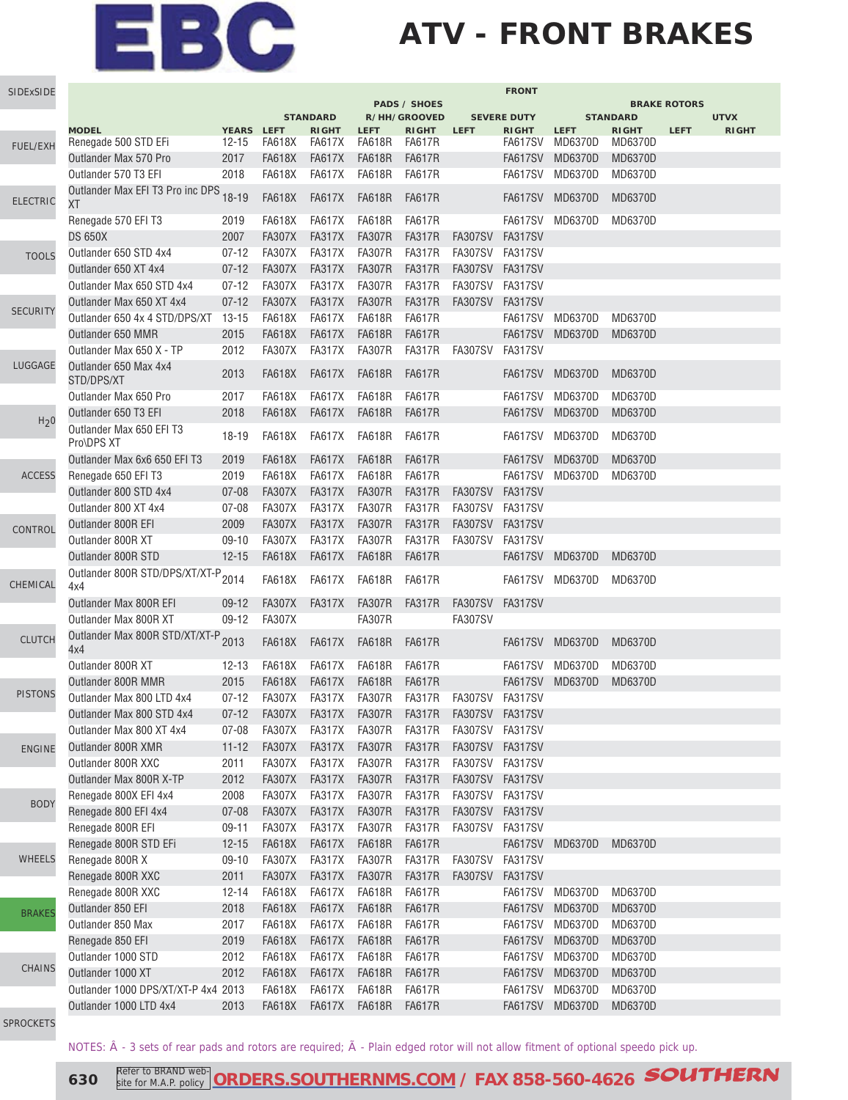### **ATV - FRONT BRAKES**

| SIDExSIDE        |                                        |                         |               |                        |                       |                        |                                                                     | <b>FRONT</b>            |                        |                         |                     |              |
|------------------|----------------------------------------|-------------------------|---------------|------------------------|-----------------------|------------------------|---------------------------------------------------------------------|-------------------------|------------------------|-------------------------|---------------------|--------------|
|                  |                                        |                         |               |                        |                       | <b>PADS / SHOES</b>    |                                                                     |                         |                        |                         | <b>BRAKE ROTORS</b> |              |
|                  |                                        |                         |               | <b>STANDARD</b>        |                       | R/HH/GROOVED           |                                                                     | <b>SEVERE DUTY</b>      |                        | <b>STANDARD</b>         |                     | <b>UTVX</b>  |
|                  | <b>MODEL</b><br>Renegade 500 STD EFi   | YEARS LEFT<br>$12 - 15$ | FA618X        | <b>RIGHT</b><br>FA617X | <b>LEFT</b><br>FA618R | <b>RIGHT</b><br>FA617R | <b>LEFT</b>                                                         | <b>RIGHT</b><br>FA617SV | <b>LEFT</b><br>MD6370D | <b>RIGHT</b><br>MD6370D | <b>LEFT</b>         | <b>RIGHT</b> |
| <b>FUEL/EXH</b>  | Outlander Max 570 Pro                  | 2017                    | FA618X        | FA617X                 | <b>FA618R</b>         | <b>FA617R</b>          |                                                                     | <b>FA617SV</b>          | MD6370D                | <b>MD6370D</b>          |                     |              |
|                  | Outlander 570 T3 EFI                   | 2018                    | <b>FA618X</b> | <b>FA617X</b>          | <b>FA618R</b>         | <b>FA617R</b>          |                                                                     | FA617SV                 | MD6370D                | MD6370D                 |                     |              |
|                  |                                        |                         |               |                        |                       |                        |                                                                     |                         |                        |                         |                     |              |
| <b>ELECTRIC</b>  | Outlander Max EFI T3 Pro inc DPS<br>ХT | $18 - 19$               | <b>FA618X</b> | <b>FA617X</b>          | <b>FA618R</b>         | <b>FA617R</b>          |                                                                     |                         | FA617SV MD6370D        | <b>MD6370D</b>          |                     |              |
|                  | Renegade 570 EFI T3                    | 2019                    | <b>FA618X</b> | <b>FA617X</b>          | FA618R                | FA617R                 |                                                                     |                         | FA617SV MD6370D        | MD6370D                 |                     |              |
|                  | DS 650X                                | 2007                    | <b>FA307X</b> | <b>FA317X</b>          | <b>FA307R</b>         | FA317R                 | FA307SV                                                             | FA317SV                 |                        |                         |                     |              |
| <b>TOOLS</b>     | Outlander 650 STD 4x4                  | $07-12$                 | <b>FA307X</b> | FA317X                 | <b>FA307R</b>         | FA317R                 | FA307SV FA317SV                                                     |                         |                        |                         |                     |              |
|                  | Outlander 650 XT 4x4                   | $07 - 12$               | <b>FA307X</b> | <b>FA317X</b>          | <b>FA307R</b>         | <b>FA317R</b>          | <b>FA307SV</b>                                                      | FA317SV                 |                        |                         |                     |              |
|                  | Outlander Max 650 STD 4x4              | $07 - 12$               | <b>FA307X</b> | <b>FA317X</b>          | <b>FA307R</b>         | FA317R                 | FA307SV                                                             | FA317SV                 |                        |                         |                     |              |
|                  | Outlander Max 650 XT 4x4               | $07 - 12$               | <b>FA307X</b> | <b>FA317X</b>          | <b>FA307R</b>         | FA317R                 | <b>FA307SV</b>                                                      | FA317SV                 |                        |                         |                     |              |
| <b>SECURITY</b>  | Outlander 650 4x 4 STD/DPS/XT          | $13 - 15$               | <b>FA618X</b> | <b>FA617X</b>          | <b>FA618R</b>         | <b>FA617R</b>          |                                                                     | FA617SV                 | MD6370D                | <b>MD6370D</b>          |                     |              |
|                  | Outlander 650 MMR                      | 2015                    | <b>FA618X</b> | <b>FA617X</b>          | <b>FA618R</b>         | <b>FA617R</b>          |                                                                     | FA617SV                 | MD6370D                | <b>MD6370D</b>          |                     |              |
|                  | Outlander Max 650 X - TP               | 2012                    | <b>FA307X</b> | <b>FA317X</b>          | <b>FA307R</b>         | <b>FA317R</b>          | FA307SV                                                             | FA317SV                 |                        |                         |                     |              |
| LUGGAGE          | Outlander 650 Max 4x4<br>STD/DPS/XT    | 2013                    | FA618X        | <b>FA617X</b>          | <b>FA618R</b>         | FA617R                 |                                                                     | FA617SV                 | <b>MD6370D</b>         | <b>MD6370D</b>          |                     |              |
|                  | Outlander Max 650 Pro                  | 2017                    | FA618X        | FA617X                 | <b>FA618R</b>         | FA617R                 |                                                                     |                         | FA617SV MD6370D        | MD6370D                 |                     |              |
|                  | Outlander 650 T3 EFI                   | 2018                    | <b>FA618X</b> | <b>FA617X</b>          | <b>FA618R</b>         | <b>FA617R</b>          |                                                                     | <b>FA617SV</b>          | <b>MD6370D</b>         | <b>MD6370D</b>          |                     |              |
| H <sub>2</sub> 0 | Outlander Max 650 EFI T3               |                         |               |                        |                       |                        |                                                                     |                         |                        |                         |                     |              |
|                  | Pro\DPS XT                             | 18-19                   | <b>FA618X</b> | <b>FA617X</b>          | FA618R                | FA617R                 |                                                                     | FA617SV                 | MD6370D                | MD6370D                 |                     |              |
|                  | Outlander Max 6x6 650 EFI T3           | 2019                    | <b>FA618X</b> | <b>FA617X</b>          | <b>FA618R</b>         | <b>FA617R</b>          |                                                                     | FA617SV                 | <b>MD6370D</b>         | <b>MD6370D</b>          |                     |              |
| <b>ACCESS</b>    | Renegade 650 EFI T3                    | 2019                    | <b>FA618X</b> | <b>FA617X</b>          | <b>FA618R</b>         | <b>FA617R</b>          |                                                                     | FA617SV                 | MD6370D                | MD6370D                 |                     |              |
|                  | Outlander 800 STD 4x4                  | $07 - 08$               | <b>FA307X</b> | <b>FA317X</b>          | <b>FA307R</b>         | <b>FA317R</b>          | FA307SV                                                             | <b>FA317SV</b>          |                        |                         |                     |              |
|                  | Outlander 800 XT 4x4                   | $07 - 08$               | <b>FA307X</b> | <b>FA317X</b>          | <b>FA307R</b>         | FA317R                 | FA307SV                                                             | FA317SV                 |                        |                         |                     |              |
| CONTROL          | Outlander 800R EFI                     | 2009                    | <b>FA307X</b> | <b>FA317X</b>          | <b>FA307R</b>         | <b>FA317R</b>          | FA307SV                                                             | FA317SV                 |                        |                         |                     |              |
|                  | Outlander 800R XT                      | $09-10$                 | <b>FA307X</b> | <b>FA317X</b>          | <b>FA307R</b>         | <b>FA317R</b>          | <b>FA307SV</b>                                                      | FA317SV                 |                        |                         |                     |              |
|                  | Outlander 800R STD                     | $12 - 15$               | <b>FA618X</b> | <b>FA617X</b>          | <b>FA618R</b>         | <b>FA617R</b>          |                                                                     | <b>FA617SV</b>          | MD6370D                | <b>MD6370D</b>          |                     |              |
| CHEMICAL         | Outlander 800R STD/DPS/XT/XT-P<br>4x4  | 2014                    | FA618X        | <b>FA617X</b>          | FA618R                | FA617R                 |                                                                     | FA617SV                 | MD6370D                | MD6370D                 |                     |              |
|                  | Outlander Max 800R EFI                 | $09-12$                 | <b>FA307X</b> | FA317X                 | <b>FA307R</b>         | FA317R                 | FA307SV                                                             | FA317SV                 |                        |                         |                     |              |
|                  | Outlander Max 800R XT                  | $09-12$                 | <b>FA307X</b> |                        | <b>FA307R</b>         |                        | <b>FA307SV</b>                                                      |                         |                        |                         |                     |              |
| <b>CLUTCH</b>    | Outlander Max 800R STD/XT/XT-P<br>4x4  | 2013                    | <b>FA618X</b> | <b>FA617X</b>          | <b>FA618R</b>         | FA617R                 |                                                                     |                         | FA617SV MD6370D        | MD6370D                 |                     |              |
|                  | Outlander 800R XT                      | $12 - 13$               | FA618X        | FA617X                 | FA618R                | FA617R                 |                                                                     |                         | FA617SV MD6370D        | MD6370D                 |                     |              |
|                  | Outlander 800R MMR                     | 2015                    | FA618X        | <b>FA617X</b>          | <b>FA618R</b>         | FA617R                 |                                                                     | FA617SV                 | MD6370D                | <b>MD6370D</b>          |                     |              |
| <b>PISTONS</b>   | Outlander Max 800 LTD 4x4              | $07 - 12$               | <b>FA307X</b> | FA317X                 | <b>FA307R</b>         | FA317R                 | FA307SV                                                             | FA317SV                 |                        |                         |                     |              |
|                  | Outlander Max 800 STD 4x4              |                         |               |                        |                       |                        | 07-12    FA307X    FA317X    FA307R    FA317R    FA307SV    FA317SV |                         |                        |                         |                     |              |
|                  | Outlander Max 800 XT 4x4               | $07 - 08$               | FA307X        | FA317X                 | <b>FA307R</b>         | FA317R                 | FA307SV FA317SV                                                     |                         |                        |                         |                     |              |
| <b>ENGINE</b>    | Outlander 800R XMR                     | $11 - 12$               | <b>FA307X</b> | FA317X                 | <b>FA307R</b>         | <b>FA317R</b>          | FA307SV FA317SV                                                     |                         |                        |                         |                     |              |
|                  | Outlander 800R XXC                     | 2011                    | <b>FA307X</b> | FA317X                 | <b>FA307R</b>         | FA317R                 | FA307SV FA317SV                                                     |                         |                        |                         |                     |              |
|                  | Outlander Max 800R X-TP                | 2012                    | <b>FA307X</b> | FA317X                 | <b>FA307R</b>         | <b>FA317R</b>          | FA307SV FA317SV                                                     |                         |                        |                         |                     |              |
|                  | Renegade 800X EFI 4x4                  | 2008                    | <b>FA307X</b> | FA317X                 | <b>FA307R</b>         | FA317R                 | FA307SV FA317SV                                                     |                         |                        |                         |                     |              |
| <b>BODY</b>      | Renegade 800 EFI 4x4                   | $07 - 08$               | <b>FA307X</b> | <b>FA317X</b>          | <b>FA307R</b>         | <b>FA317R</b>          | FA307SV FA317SV                                                     |                         |                        |                         |                     |              |
|                  | Renegade 800R EFI                      | $09-11$                 | <b>FA307X</b> | <b>FA317X</b>          | <b>FA307R</b>         | FA317R                 | FA307SV                                                             | FA317SV                 |                        |                         |                     |              |
|                  | Renegade 800R STD EFi                  | $12 - 15$               | <b>FA618X</b> | <b>FA617X</b>          | <b>FA618R</b>         | <b>FA617R</b>          |                                                                     | FA617SV                 | <b>MD6370D</b>         | <b>MD6370D</b>          |                     |              |
| <b>WHEELS</b>    | Renegade 800R X                        | $09-10$                 | FA307X        | <b>FA317X</b>          | <b>FA307R</b>         | FA317R                 | FA307SV                                                             | FA317SV                 |                        |                         |                     |              |
|                  | Renegade 800R XXC                      | 2011                    | <b>FA307X</b> | FA317X                 | <b>FA307R</b>         | FA317R                 | <b>FA307SV</b>                                                      | FA317SV                 |                        |                         |                     |              |
|                  | Renegade 800R XXC                      | $12 - 14$               | FA618X        | <b>FA617X</b>          | <b>FA618R</b>         | FA617R                 |                                                                     |                         | FA617SV MD6370D        | MD6370D                 |                     |              |
| <b>BRAKES</b>    | Outlander 850 EFI                      | 2018                    | <b>FA618X</b> | <b>FA617X</b>          | <b>FA618R</b>         | <b>FA617R</b>          |                                                                     | FA617SV                 | <b>MD6370D</b>         | <b>MD6370D</b>          |                     |              |
|                  | Outlander 850 Max                      | 2017                    | <b>FA618X</b> | <b>FA617X</b>          | <b>FA618R</b>         | <b>FA617R</b>          |                                                                     | FA617SV                 | MD6370D                | MD6370D                 |                     |              |
|                  | Renegade 850 EFI                       | 2019                    | <b>FA618X</b> | <b>FA617X</b>          | <b>FA618R</b>         | <b>FA617R</b>          |                                                                     | FA617SV                 | MD6370D                | MD6370D                 |                     |              |
|                  | Outlander 1000 STD                     | 2012                    | <b>FA618X</b> | <b>FA617X</b>          | <b>FA618R</b>         | <b>FA617R</b>          |                                                                     | FA617SV                 | MD6370D                | MD6370D                 |                     |              |
| CHAINS           | Outlander 1000 XT                      | 2012                    | <b>FA618X</b> | <b>FA617X</b>          | <b>FA618R</b>         | <b>FA617R</b>          |                                                                     | FA617SV                 | <b>MD6370D</b>         | MD6370D                 |                     |              |
|                  | Outlander 1000 DPS/XT/XT-P 4x4 2013    |                         | <b>FA618X</b> | <b>FA617X</b>          | <b>FA618R</b>         | <b>FA617R</b>          |                                                                     | FA617SV                 | MD6370D                | MD6370D                 |                     |              |
|                  | Outlander 1000 LTD 4x4                 | 2013                    | <b>FA618X</b> | <b>FA617X</b>          | <b>FA618R</b>         | <b>FA617R</b>          |                                                                     |                         | FA617SV MD6370D        | <b>MD6370D</b>          |                     |              |
|                  |                                        |                         |               |                        |                       |                        |                                                                     |                         |                        |                         |                     |              |

[SPROCKETS](http://www.southernms.com/wp-content/uploads/2015/08/18_sprockets.pdf)

NOTES:  $\hat{A}$  - 3 sets of rear pads and rotors are required;  $\tilde{A}$  - Plain edged rotor will not allow fitment of optional speedo pick up.

**630** Refer to BRAND web **[ORDERS.SOUTHERNMS.COM](http://orders.southernms.com) / FAX 858-560-4626 SOUTHERN**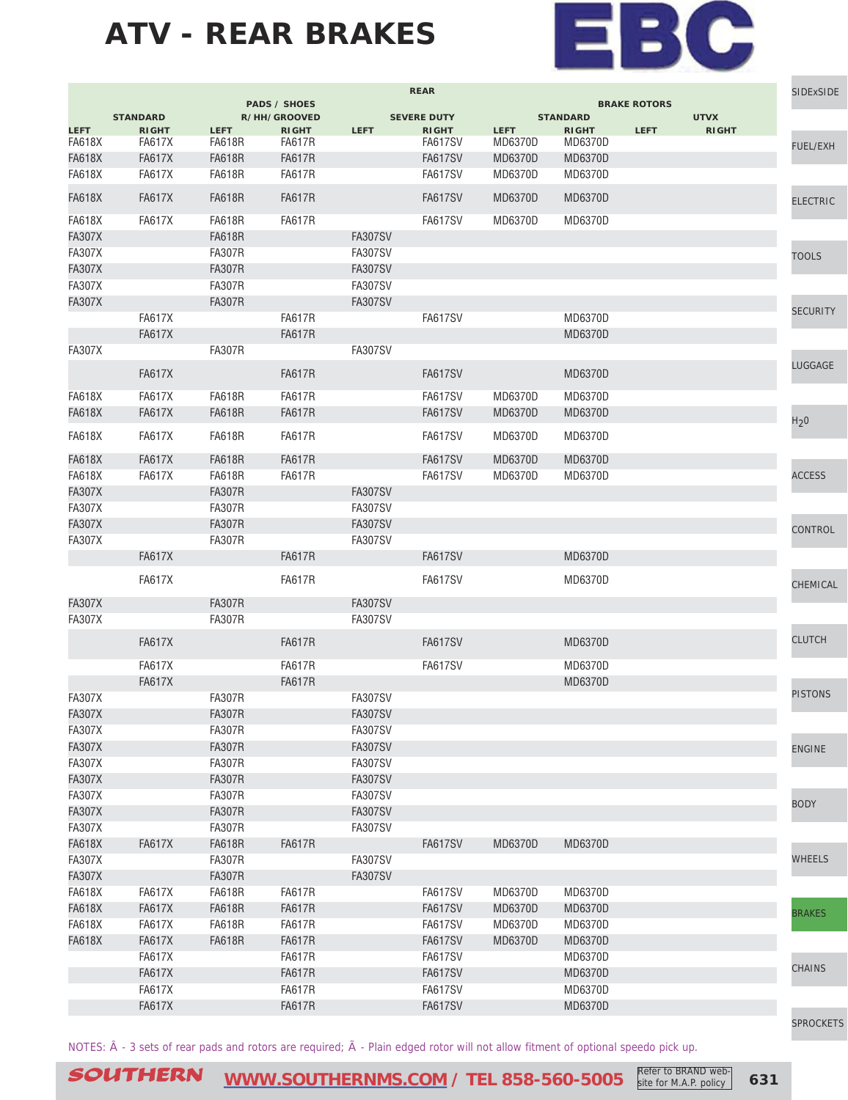

|               |                 |               |                                     |                | <b>REAR</b>        | <b>BRAKE ROTORS</b> |                 |             | SIDExSIDE    |                  |
|---------------|-----------------|---------------|-------------------------------------|----------------|--------------------|---------------------|-----------------|-------------|--------------|------------------|
|               | <b>STANDARD</b> |               | <b>PADS / SHOES</b><br>R/HH/GROOVED |                | <b>SEVERE DUTY</b> |                     | <b>STANDARD</b> |             | <b>UTVX</b>  |                  |
| <b>LEFT</b>   | <b>RIGHT</b>    | <b>LEFT</b>   | <b>RIGHT</b>                        | <b>LEFT</b>    | <b>RIGHT</b>       | <b>LEFT</b>         | <b>RIGHT</b>    | <b>LEFT</b> | <b>RIGHT</b> |                  |
| <b>FA618X</b> | <b>FA617X</b>   | <b>FA618R</b> | <b>FA617R</b>                       |                | <b>FA617SV</b>     | MD6370D             | MD6370D         |             |              | <b>FUEL/EXH</b>  |
| <b>FA618X</b> | <b>FA617X</b>   | <b>FA618R</b> | <b>FA617R</b>                       |                | <b>FA617SV</b>     | MD6370D             | MD6370D         |             |              |                  |
| <b>FA618X</b> | <b>FA617X</b>   | <b>FA618R</b> | <b>FA617R</b>                       |                | <b>FA617SV</b>     | MD6370D             | MD6370D         |             |              |                  |
| <b>FA618X</b> | <b>FA617X</b>   | <b>FA618R</b> | <b>FA617R</b>                       |                | <b>FA617SV</b>     | <b>MD6370D</b>      | <b>MD6370D</b>  |             |              | <b>ELECTRIC</b>  |
| <b>FA618X</b> | <b>FA617X</b>   | <b>FA618R</b> | <b>FA617R</b>                       |                | <b>FA617SV</b>     | MD6370D             | MD6370D         |             |              |                  |
| <b>FA307X</b> |                 | <b>FA618R</b> |                                     | <b>FA307SV</b> |                    |                     |                 |             |              |                  |
| <b>FA307X</b> |                 | <b>FA307R</b> |                                     | <b>FA307SV</b> |                    |                     |                 |             |              |                  |
| <b>FA307X</b> |                 | <b>FA307R</b> |                                     | <b>FA307SV</b> |                    |                     |                 |             |              | <b>TOOLS</b>     |
|               |                 |               |                                     |                |                    |                     |                 |             |              |                  |
| <b>FA307X</b> |                 | <b>FA307R</b> |                                     | <b>FA307SV</b> |                    |                     |                 |             |              |                  |
| <b>FA307X</b> |                 | <b>FA307R</b> |                                     | <b>FA307SV</b> |                    |                     |                 |             |              | <b>SECURITY</b>  |
|               | <b>FA617X</b>   |               | <b>FA617R</b>                       |                | <b>FA617SV</b>     |                     | MD6370D         |             |              |                  |
|               | <b>FA617X</b>   |               | <b>FA617R</b>                       |                |                    |                     | MD6370D         |             |              |                  |
| <b>FA307X</b> |                 | <b>FA307R</b> |                                     | <b>FA307SV</b> |                    |                     |                 |             |              |                  |
|               | <b>FA617X</b>   |               | <b>FA617R</b>                       |                | <b>FA617SV</b>     |                     | MD6370D         |             |              | LUGGAGE          |
| <b>FA618X</b> | <b>FA617X</b>   | <b>FA618R</b> | <b>FA617R</b>                       |                | <b>FA617SV</b>     | MD6370D             | MD6370D         |             |              |                  |
| <b>FA618X</b> | <b>FA617X</b>   | <b>FA618R</b> | <b>FA617R</b>                       |                | <b>FA617SV</b>     | MD6370D             | MD6370D         |             |              |                  |
|               |                 |               |                                     |                |                    |                     |                 |             |              | H <sub>2</sub> 0 |
| <b>FA618X</b> | <b>FA617X</b>   | <b>FA618R</b> | <b>FA617R</b>                       |                | <b>FA617SV</b>     | MD6370D             | <b>MD6370D</b>  |             |              |                  |
| <b>FA618X</b> | <b>FA617X</b>   | <b>FA618R</b> | <b>FA617R</b>                       |                | <b>FA617SV</b>     | MD6370D             | <b>MD6370D</b>  |             |              |                  |
| <b>FA618X</b> | <b>FA617X</b>   | <b>FA618R</b> | <b>FA617R</b>                       |                | <b>FA617SV</b>     | MD6370D             | MD6370D         |             |              | <b>ACCESS</b>    |
| <b>FA307X</b> |                 | <b>FA307R</b> |                                     | <b>FA307SV</b> |                    |                     |                 |             |              |                  |
| <b>FA307X</b> |                 | <b>FA307R</b> |                                     | <b>FA307SV</b> |                    |                     |                 |             |              |                  |
| <b>FA307X</b> |                 | <b>FA307R</b> |                                     | <b>FA307SV</b> |                    |                     |                 |             |              |                  |
| <b>FA307X</b> |                 | <b>FA307R</b> |                                     | <b>FA307SV</b> |                    |                     |                 |             |              | CONTROL          |
|               | <b>FA617X</b>   |               | <b>FA617R</b>                       |                | <b>FA617SV</b>     |                     | MD6370D         |             |              |                  |
|               |                 |               |                                     |                |                    |                     |                 |             |              |                  |
|               | <b>FA617X</b>   |               | <b>FA617R</b>                       |                | FA617SV            |                     | MD6370D         |             |              | CHEMICAL         |
| <b>FA307X</b> |                 | <b>FA307R</b> |                                     | <b>FA307SV</b> |                    |                     |                 |             |              |                  |
| <b>FA307X</b> |                 | <b>FA307R</b> |                                     | <b>FA307SV</b> |                    |                     |                 |             |              |                  |
|               | <b>FA617X</b>   |               | <b>FA617R</b>                       |                | <b>FA617SV</b>     |                     | <b>MD6370D</b>  |             |              | <b>CLUTCH</b>    |
|               |                 |               |                                     |                |                    |                     |                 |             |              |                  |
|               | <b>FA617X</b>   |               | <b>FA617R</b>                       |                | <b>FA617SV</b>     |                     | MD6370D         |             |              |                  |
|               | <b>FA617X</b>   |               | <b>FA617R</b>                       |                |                    |                     | <b>MD6370D</b>  |             |              | <b>PISTONS</b>   |
| <b>FA307X</b> |                 | <b>FA307R</b> |                                     | <b>FA307SV</b> |                    |                     |                 |             |              |                  |
| <b>FA307X</b> |                 | <b>FA307R</b> |                                     | <b>FA307SV</b> |                    |                     |                 |             |              |                  |
| <b>FA307X</b> |                 | <b>FA307R</b> |                                     | <b>FA307SV</b> |                    |                     |                 |             |              |                  |
| <b>FA307X</b> |                 | <b>FA307R</b> |                                     | <b>FA307SV</b> |                    |                     |                 |             |              | <b>ENGINE</b>    |
| <b>FA307X</b> |                 | <b>FA307R</b> |                                     | <b>FA307SV</b> |                    |                     |                 |             |              |                  |
| <b>FA307X</b> |                 | <b>FA307R</b> |                                     | <b>FA307SV</b> |                    |                     |                 |             |              |                  |
| <b>FA307X</b> |                 | <b>FA307R</b> |                                     | <b>FA307SV</b> |                    |                     |                 |             |              | <b>BODY</b>      |
| <b>FA307X</b> |                 | <b>FA307R</b> |                                     | <b>FA307SV</b> |                    |                     |                 |             |              |                  |
| <b>FA307X</b> |                 | <b>FA307R</b> |                                     | <b>FA307SV</b> |                    |                     |                 |             |              |                  |
| <b>FA618X</b> | <b>FA617X</b>   | <b>FA618R</b> | <b>FA617R</b>                       |                | <b>FA617SV</b>     | <b>MD6370D</b>      | MD6370D         |             |              |                  |
| <b>FA307X</b> |                 | <b>FA307R</b> |                                     | <b>FA307SV</b> |                    |                     |                 |             |              | <b>WHEELS</b>    |
| <b>FA307X</b> |                 | <b>FA307R</b> |                                     | <b>FA307SV</b> |                    |                     |                 |             |              |                  |
| <b>FA618X</b> | <b>FA617X</b>   | <b>FA618R</b> | <b>FA617R</b>                       |                | <b>FA617SV</b>     | MD6370D             | MD6370D         |             |              |                  |
| <b>FA618X</b> | <b>FA617X</b>   | <b>FA618R</b> | <b>FA617R</b>                       |                | <b>FA617SV</b>     | MD6370D             | MD6370D         |             |              |                  |
| <b>FA618X</b> | <b>FA617X</b>   | <b>FA618R</b> | <b>FA617R</b>                       |                | <b>FA617SV</b>     | MD6370D             | MD6370D         |             |              | <b>BRAKES</b>    |
| <b>FA618X</b> | <b>FA617X</b>   | <b>FA618R</b> | <b>FA617R</b>                       |                | <b>FA617SV</b>     | MD6370D             | MD6370D         |             |              |                  |
|               |                 |               |                                     |                |                    |                     |                 |             |              |                  |
|               | <b>FA617X</b>   |               | <b>FA617R</b>                       |                | FA617SV            |                     | MD6370D         |             |              | <b>CHAINS</b>    |
|               | <b>FA617X</b>   |               | <b>FA617R</b>                       |                | <b>FA617SV</b>     |                     | MD6370D         |             |              |                  |
|               | <b>FA617X</b>   |               | <b>FA617R</b>                       |                | <b>FA617SV</b>     |                     | MD6370D         |             |              |                  |
|               | <b>FA617X</b>   |               | <b>FA617R</b>                       |                | <b>FA617SV</b>     |                     | MD6370D         |             |              |                  |
|               |                 |               |                                     |                |                    |                     |                 |             |              | <b>SPROCKETS</b> |

NOTES:  $\hat{A}$  - 3 sets of rear pads and rotors are required;  $\tilde{A}$  - Plain edged rotor will not allow fitment of optional speedo pick up.

SOUTHERN [WWW.SOUTHERNMS.COM](http://m.southernms.com) / TEL 858-560-5005 Refer to BRAND web-<br>
631 site for M.A.P. policy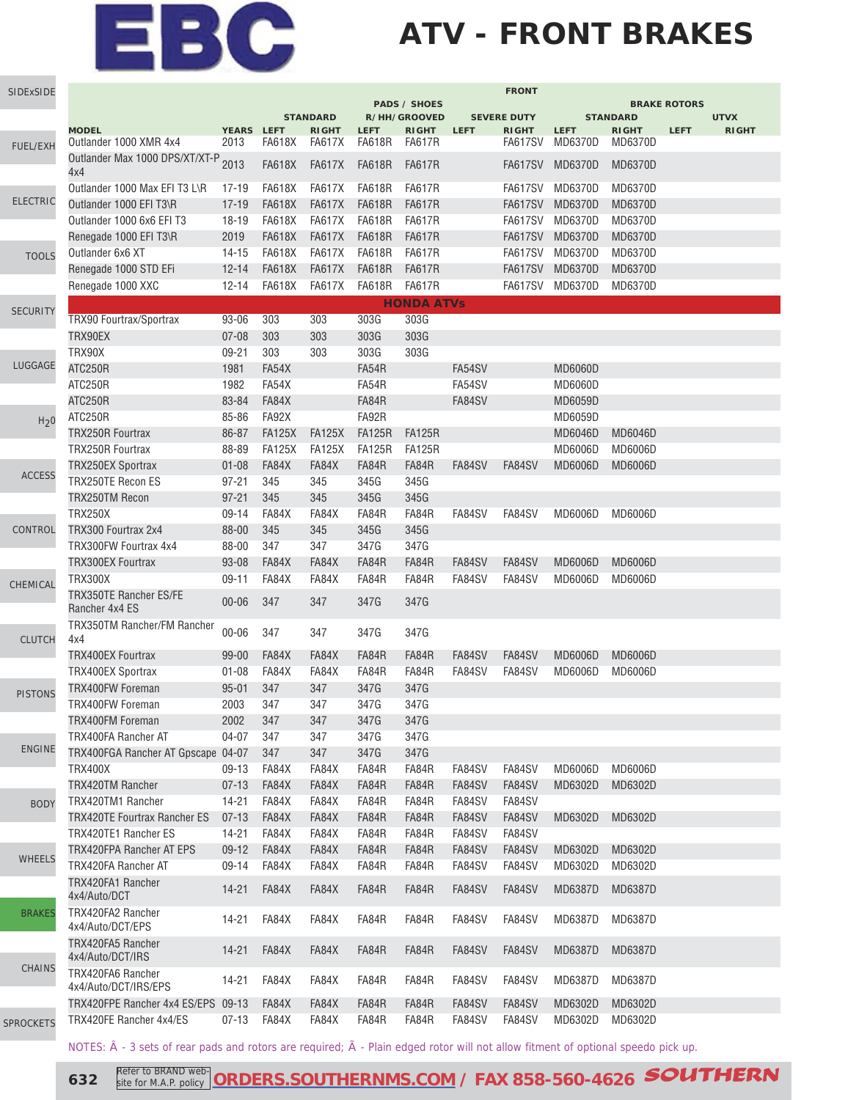## **ATV - FRONT BRAKES**

| SIDExSIDE        |                                                 |            |               |                                 |               |                              |             | <b>FRONT</b>                       |                |                                 |                     |                             |
|------------------|-------------------------------------------------|------------|---------------|---------------------------------|---------------|------------------------------|-------------|------------------------------------|----------------|---------------------------------|---------------------|-----------------------------|
|                  |                                                 |            |               |                                 |               | <b>PADS / SHOES</b>          |             |                                    |                |                                 | <b>BRAKE ROTORS</b> |                             |
|                  | <b>MODEL</b>                                    | YEARS LEFT |               | <b>STANDARD</b><br><b>RIGHT</b> | <b>LEFT</b>   | R/HH/GROOVED<br><b>RIGHT</b> | <b>LEFT</b> | <b>SEVERE DUTY</b><br><b>RIGHT</b> | <b>LEFT</b>    | <b>STANDARD</b><br><b>RIGHT</b> | <b>LEFT</b>         | <b>UTVX</b><br><b>RIGHT</b> |
| FUEL/EXH         | Outlander 1000 XMR 4x4                          | 2013       | <b>FA618X</b> | FA617X                          | <b>FA618R</b> | FA617R                       |             | FA617SV                            | MD6370D        | MD6370D                         |                     |                             |
|                  | Outlander Max 1000 DPS/XT/XT-P<br>4x4           | 2013       | <b>FA618X</b> | <b>FA617X</b>                   | <b>FA618R</b> | <b>FA617R</b>                |             | FA617SV                            | MD6370D        | MD6370D                         |                     |                             |
|                  | Outlander 1000 Max EFI T3 L\R                   | $17 - 19$  | <b>FA618X</b> | <b>FA617X</b>                   | <b>FA618R</b> | <b>FA617R</b>                |             | <b>FA617SV</b>                     | MD6370D        | MD6370D                         |                     |                             |
| <b>ELECTRIC</b>  | Outlander 1000 EFI T3\R                         | $17 - 19$  | <b>FA618X</b> | <b>FA617X</b>                   | <b>FA618R</b> | <b>FA617R</b>                |             | <b>FA617SV</b>                     | <b>MD6370D</b> | MD6370D                         |                     |                             |
|                  | Outlander 1000 6x6 EFI T3                       | 18-19      | <b>FA618X</b> | <b>FA617X</b>                   | <b>FA618R</b> | <b>FA617R</b>                |             | <b>FA617SV</b>                     | MD6370D        | MD6370D                         |                     |                             |
|                  | Renegade 1000 EFI T3\R                          | 2019       | <b>FA618X</b> | <b>FA617X</b>                   | <b>FA618R</b> | <b>FA617R</b>                |             | <b>FA617SV</b>                     | MD6370D        | MD6370D                         |                     |                             |
| <b>TOOLS</b>     | Outlander 6x6 XT                                | 14-15      | <b>FA618X</b> | <b>FA617X</b>                   | <b>FA618R</b> | <b>FA617R</b>                |             | <b>FA617SV</b>                     | MD6370D        | MD6370D                         |                     |                             |
|                  | Renegade 1000 STD EFi                           | $12 - 14$  | <b>FA618X</b> | <b>FA617X</b>                   | <b>FA618R</b> | <b>FA617R</b>                |             | <b>FA617SV</b>                     | MD6370D        | MD6370D                         |                     |                             |
|                  | Renegade 1000 XXC                               | $12 - 14$  | <b>FA618X</b> | <b>FA617X</b>                   | <b>FA618R</b> | <b>FA617R</b>                |             | <b>FA617SV</b>                     | MD6370D        | MD6370D                         |                     |                             |
| <b>SECURITY</b>  |                                                 |            |               |                                 |               | <b>HONDA ATVs</b>            |             |                                    |                |                                 |                     |                             |
|                  | TRX90 Fourtrax/Sportrax                         | 93-06      | 303           | 303                             | 303G          | 303G                         |             |                                    |                |                                 |                     |                             |
|                  | TRX90EX                                         | $07 - 08$  | 303           | 303                             | 303G          | 303G                         |             |                                    |                |                                 |                     |                             |
|                  | TRX90X                                          | $09 - 21$  | 303           | 303                             | 303G          | 303G                         |             |                                    |                |                                 |                     |                             |
| LUGGAGE          | ATC250R                                         | 1981       | FA54X         |                                 | FA54R         |                              | FA54SV      |                                    | <b>MD6060D</b> |                                 |                     |                             |
|                  | ATC250R                                         | 1982       | FA54X         |                                 | FA54R         |                              | FA54SV      |                                    | MD6060D        |                                 |                     |                             |
|                  | ATC250R                                         | 83-84      | FA84X         |                                 | FA84R         |                              | FA84SV      |                                    | MD6059D        |                                 |                     |                             |
| H <sub>2</sub> 0 | ATC250R                                         | 85-86      | FA92X         |                                 | FA92R         |                              |             |                                    | MD6059D        |                                 |                     |                             |
|                  | <b>TRX250R Fourtrax</b>                         | 86-87      | <b>FA125X</b> | <b>FA125X</b>                   | <b>FA125R</b> | <b>FA125R</b>                |             |                                    | MD6046D        | MD6046D                         |                     |                             |
|                  | TRX250R Fourtrax                                | 88-89      | <b>FA125X</b> | <b>FA125X</b>                   | <b>FA125R</b> | <b>FA125R</b>                |             |                                    | MD6006D        | MD6006D                         |                     |                             |
|                  | <b>TRX250EX Sportrax</b>                        | $01 - 08$  | FA84X         | FA84X                           | FA84R         | FA84R                        | FA84SV      | FA84SV                             | MD6006D        | <b>MD6006D</b>                  |                     |                             |
| <b>ACCESS</b>    | <b>TRX250TE Recon ES</b>                        | $97 - 21$  | 345           | 345                             | 345G          | 345G                         |             |                                    |                |                                 |                     |                             |
|                  | <b>TRX250TM Recon</b>                           | $97 - 21$  | 345           | 345                             | 345G          | 345G                         |             |                                    |                |                                 |                     |                             |
|                  | <b>TRX250X</b>                                  | 09-14      | FA84X         | FA84X                           | FA84R         | FA84R                        | FA84SV      | FA84SV                             | MD6006D        | MD6006D                         |                     |                             |
| CONTROL          | TRX300 Fourtrax 2x4                             | 88-00      | 345           | 345                             | 345G          | 345G                         |             |                                    |                |                                 |                     |                             |
|                  | TRX300FW Fourtrax 4x4                           | 88-00      | 347           | 347                             | 347G          | 347G                         |             |                                    |                |                                 |                     |                             |
|                  | <b>TRX300EX Fourtrax</b>                        | 93-08      | FA84X         | FA84X                           | FA84R         | FA84R                        | FA84SV      | FA84SV                             | <b>MD6006D</b> | <b>MD6006D</b>                  |                     |                             |
| CHEMICAL         | <b>TRX300X</b>                                  | $09 - 11$  | FA84X         | FA84X                           | FA84R         | FA84R                        | FA84SV      | FA84SV                             | MD6006D        | MD6006D                         |                     |                             |
|                  | <b>TRX350TE Rancher ES/FE</b><br>Rancher 4x4 ES | $00 - 06$  | 347           | 347                             | 347G          | 347G                         |             |                                    |                |                                 |                     |                             |
| <b>CLUTCH</b>    | TRX350TM Rancher/FM Rancher<br>4x4              | $00 - 06$  | 347           | 347                             | 347G          | 347G                         |             |                                    |                |                                 |                     |                             |
|                  | <b>TRX400EX Fourtrax</b>                        | $99 - 00$  | FA84X         | FA84X                           | FA84R         | FA84R                        | FA84SV      | FA84SV                             | MD6006D        | <b>MD6006D</b>                  |                     |                             |
|                  | <b>TRX400EX Sportrax</b>                        | $01 - 08$  | FA84X         | FA84X                           | FA84R         | FA84R                        | FA84SV      | FA84SV                             | MD6006D        | MD6006D                         |                     |                             |
| <b>PISTONS</b>   | <b>TRX400FW Foreman</b>                         | $95 - 01$  | 347           | 347                             | 347G          | 347G                         |             |                                    |                |                                 |                     |                             |
|                  | <b>TRX400FW Foreman</b>                         | 2003       | 347           | 347                             | 347G          | 347G                         |             |                                    |                |                                 |                     |                             |
|                  | <b>TRX400FM Foreman</b>                         | 2002       | 347           | 347                             | 347G          | 347G                         |             |                                    |                |                                 |                     |                             |
|                  | TRX400FA Rancher AT                             | $04 - 07$  | 347           | 347                             | 347G          | 347G                         |             |                                    |                |                                 |                     |                             |
| <b>ENGINE</b>    | TRX400FGA Rancher AT Gpscape 04-07              |            | 347           | 347                             | 347G          | 347G                         |             |                                    |                |                                 |                     |                             |
|                  | <b>TRX400X</b>                                  | $09-13$    | FA84X         | FA84X                           | FA84R         | FA84R                        | FA84SV      | FA84SV                             | MD6006D        | MD6006D                         |                     |                             |
|                  | <b>TRX420TM Rancher</b>                         | $07 - 13$  | FA84X         | FA84X                           | FA84R         | FA84R                        | FA84SV      | FA84SV                             | MD6302D        | MD6302D                         |                     |                             |
| <b>BODY</b>      | TRX420TM1 Rancher                               | 14-21      | FA84X         | FA84X                           | FA84R         | FA84R                        | FA84SV      | FA84SV                             |                |                                 |                     |                             |
|                  | <b>TRX420TE Fourtrax Rancher ES</b>             | $07 - 13$  | FA84X         | FA84X                           | FA84R         | FA84R                        | FA84SV      | FA84SV                             | MD6302D        | MD6302D                         |                     |                             |
|                  | TRX420TE1 Rancher ES                            | $14 - 21$  | FA84X         | FA84X                           | FA84R         | FA84R                        | FA84SV      | FA84SV                             |                |                                 |                     |                             |
| <b>WHEELS</b>    | <b>TRX420FPA Rancher AT EPS</b>                 | $09-12$    | FA84X         | FA84X                           | FA84R         | FA84R                        | FA84SV      | FA84SV                             | MD6302D        | MD6302D                         |                     |                             |
|                  | TRX420FA Rancher AT                             | 09-14      | FA84X         | FA84X                           | FA84R         | FA84R                        | FA84SV      | FA84SV                             | MD6302D        | MD6302D                         |                     |                             |
|                  | TRX420FA1 Rancher<br>4x4/Auto/DCT               | $14 - 21$  | FA84X         | FA84X                           | FA84R         | FA84R                        | FA84SV      | FA84SV                             | MD6387D        | MD6387D                         |                     |                             |
| <b>BRAKES</b>    | TRX420FA2 Rancher<br>4x4/Auto/DCT/EPS           | $14 - 21$  | FA84X         | FA84X                           | FA84R         | FA84R                        | FA84SV      | FA84SV                             | MD6387D        | MD6387D                         |                     |                             |
| <b>CHAINS</b>    | TRX420FA5 Rancher<br>4x4/Auto/DCT/IRS           | $14 - 21$  | FA84X         | FA84X                           | FA84R         | FA84R                        | FA84SV      | FA84SV                             | MD6387D        | MD6387D                         |                     |                             |
|                  | TRX420FA6 Rancher<br>4x4/Auto/DCT/IRS/EPS       | $14 - 21$  | FA84X         | FA84X                           | FA84R         | FA84R                        | FA84SV      | FA84SV                             | MD6387D        | MD6387D                         |                     |                             |
|                  | TRX420FPE Rancher 4x4 ES/EPS 09-13              |            | FA84X         | FA84X                           | FA84R         | FA84R                        | FA84SV      | FA84SV                             | MD6302D        | MD6302D                         |                     |                             |
| <b>SPROCKETS</b> | TRX420FE Rancher 4x4/ES                         | 07-13      | FA84X         | FA84X                           | FA84R         | FA84R                        | FA84SV      | FA84SV                             | MD6302D        | MD6302D                         |                     |                             |

NOTES:  $\hat{A}$  - 3 sets of rear pads and rotors are required;  $\tilde{A}$  - Plain edged rotor will not allow fitment of optional speedo pick up.

**632** Refer to BRAND web **[ORDERS.SOUTHERNMS.COM](http://orders.southernms.com) / FAX 858-560-4626 SOUTHERN**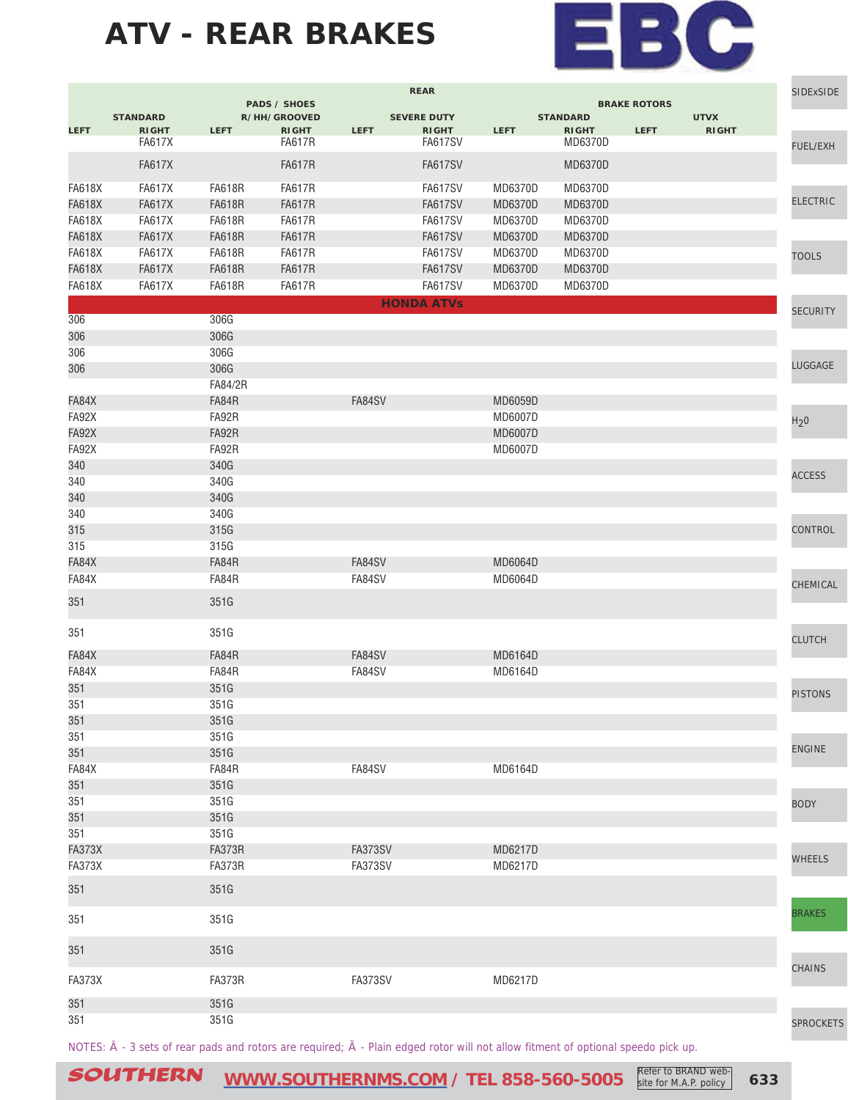

|               |                 |               |                                     |                | <b>REAR</b>        |                |                 |                     |              | <b>SIDExSIDE</b> |
|---------------|-----------------|---------------|-------------------------------------|----------------|--------------------|----------------|-----------------|---------------------|--------------|------------------|
|               | <b>STANDARD</b> |               | <b>PADS / SHOES</b><br>R/HH/GROOVED |                | <b>SEVERE DUTY</b> |                | <b>STANDARD</b> | <b>BRAKE ROTORS</b> | <b>UTVX</b>  |                  |
| <b>LEFT</b>   | <b>RIGHT</b>    | <b>LEFT</b>   | <b>RIGHT</b>                        | <b>LEFT</b>    | <b>RIGHT</b>       | <b>LEFT</b>    | <b>RIGHT</b>    | <b>LEFT</b>         | <b>RIGHT</b> |                  |
|               | <b>FA617X</b>   |               | <b>FA617R</b>                       |                | <b>FA617SV</b>     |                | MD6370D         |                     |              | <b>FUEL/EXH</b>  |
|               | <b>FA617X</b>   |               | <b>FA617R</b>                       |                | <b>FA617SV</b>     |                | <b>MD6370D</b>  |                     |              |                  |
| <b>FA618X</b> | <b>FA617X</b>   | <b>FA618R</b> | <b>FA617R</b>                       |                | FA617SV            | MD6370D        | MD6370D         |                     |              |                  |
| <b>FA618X</b> | <b>FA617X</b>   | <b>FA618R</b> | <b>FA617R</b>                       |                | <b>FA617SV</b>     | MD6370D        | <b>MD6370D</b>  |                     |              | <b>ELECTRIC</b>  |
| <b>FA618X</b> | <b>FA617X</b>   | <b>FA618R</b> | <b>FA617R</b>                       |                | <b>FA617SV</b>     | MD6370D        | MD6370D         |                     |              |                  |
| <b>FA618X</b> | <b>FA617X</b>   | <b>FA618R</b> | <b>FA617R</b>                       |                | <b>FA617SV</b>     | MD6370D        | MD6370D         |                     |              |                  |
| <b>FA618X</b> | <b>FA617X</b>   | <b>FA618R</b> | <b>FA617R</b>                       |                | <b>FA617SV</b>     | MD6370D        | MD6370D         |                     |              | <b>TOOLS</b>     |
| <b>FA618X</b> | <b>FA617X</b>   | <b>FA618R</b> | <b>FA617R</b>                       |                | <b>FA617SV</b>     | MD6370D        | MD6370D         |                     |              |                  |
| <b>FA618X</b> | <b>FA617X</b>   | <b>FA618R</b> | <b>FA617R</b>                       |                | <b>FA617SV</b>     | MD6370D        | MD6370D         |                     |              |                  |
|               |                 |               |                                     |                | <b>HONDA ATVs</b>  |                |                 |                     |              | <b>SECURITY</b>  |
| 306           |                 | 306G          |                                     |                |                    |                |                 |                     |              |                  |
| 306           |                 | 306G          |                                     |                |                    |                |                 |                     |              |                  |
| 306           |                 | 306G          |                                     |                |                    |                |                 |                     |              |                  |
| 306           |                 | 306G          |                                     |                |                    |                |                 |                     |              | LUGGAGE          |
|               |                 | FA84/2R       |                                     |                |                    |                |                 |                     |              |                  |
| FA84X         |                 | FA84R         |                                     | FA84SV         |                    | MD6059D        |                 |                     |              |                  |
| FA92X         |                 | FA92R         |                                     |                |                    | MD6007D        |                 |                     |              | H <sub>2</sub> 0 |
| FA92X         |                 | FA92R         |                                     |                |                    | MD6007D        |                 |                     |              |                  |
| FA92X         |                 | FA92R         |                                     |                |                    | <b>MD6007D</b> |                 |                     |              |                  |
| 340           |                 | 340G          |                                     |                |                    |                |                 |                     |              | <b>ACCESS</b>    |
| 340           |                 | 340G          |                                     |                |                    |                |                 |                     |              |                  |
| 340           |                 | 340G          |                                     |                |                    |                |                 |                     |              |                  |
| 340           |                 | 340G          |                                     |                |                    |                |                 |                     |              |                  |
| 315           |                 | 315G          |                                     |                |                    |                |                 |                     |              | <b>CONTROL</b>   |
| 315           |                 | 315G          |                                     |                |                    |                |                 |                     |              |                  |
| FA84X         |                 | FA84R         |                                     | FA84SV         |                    | MD6064D        |                 |                     |              |                  |
| FA84X         |                 | FA84R         |                                     | FA84SV         |                    | MD6064D        |                 |                     |              | CHEMICAL         |
| 351           |                 | 351G          |                                     |                |                    |                |                 |                     |              |                  |
| 351           |                 | 351G          |                                     |                |                    |                |                 |                     |              | <b>CLUTCH</b>    |
| FA84X         |                 | FA84R         |                                     | FA84SV         |                    | MD6164D        |                 |                     |              |                  |
| FA84X         |                 | FA84R         |                                     | FA84SV         |                    | MD6164D        |                 |                     |              |                  |
| 351           |                 | 351G          |                                     |                |                    |                |                 |                     |              |                  |
| 351           |                 | 351G          |                                     |                |                    |                |                 |                     |              | <b>PISTONS</b>   |
| 351           |                 | 351G          |                                     |                |                    |                |                 |                     |              |                  |
| 351           |                 | 351G          |                                     |                |                    |                |                 |                     |              |                  |
| 351           |                 | 351G          |                                     |                |                    |                |                 |                     |              | <b>ENGINE</b>    |
| FA84X         |                 | FA84R         |                                     | FA84SV         |                    | MD6164D        |                 |                     |              |                  |
| 351           |                 | 351G          |                                     |                |                    |                |                 |                     |              |                  |
| 351           |                 | 351G          |                                     |                |                    |                |                 |                     |              | <b>BODY</b>      |
| 351           |                 | 351G          |                                     |                |                    |                |                 |                     |              |                  |
| 351           |                 | 351G          |                                     |                |                    |                |                 |                     |              |                  |
| <b>FA373X</b> |                 | <b>FA373R</b> |                                     | <b>FA373SV</b> |                    | MD6217D        |                 |                     |              |                  |
| <b>FA373X</b> |                 | <b>FA373R</b> |                                     | <b>FA373SV</b> |                    | MD6217D        |                 |                     |              | <b>WHEELS</b>    |
| 351           |                 | 351G          |                                     |                |                    |                |                 |                     |              |                  |
| 351           |                 | 351G          |                                     |                |                    |                |                 |                     |              | <b>BRAKES</b>    |
|               |                 |               |                                     |                |                    |                |                 |                     |              |                  |
| 351           |                 | 351G          |                                     |                |                    |                |                 |                     |              | CHAINS           |
| FA373X        |                 | FA373R        |                                     | <b>FA373SV</b> |                    | MD6217D        |                 |                     |              |                  |
| 351           |                 | 351G          |                                     |                |                    |                |                 |                     |              |                  |
| 351           |                 | 351G          |                                     |                |                    |                |                 |                     |              | <b>SPROCKETS</b> |

NOTES:  $\hat{A}$  - 3 sets of rear pads and rotors are required;  $\tilde{A}$  - Plain edged rotor will not allow fitment of optional speedo pick up.

SOUTHERN [WWW.SOUTHERNMS.COM](http://m.southernms.com) / TEL 858-560-5005 Refer to BRAND web-<br>
633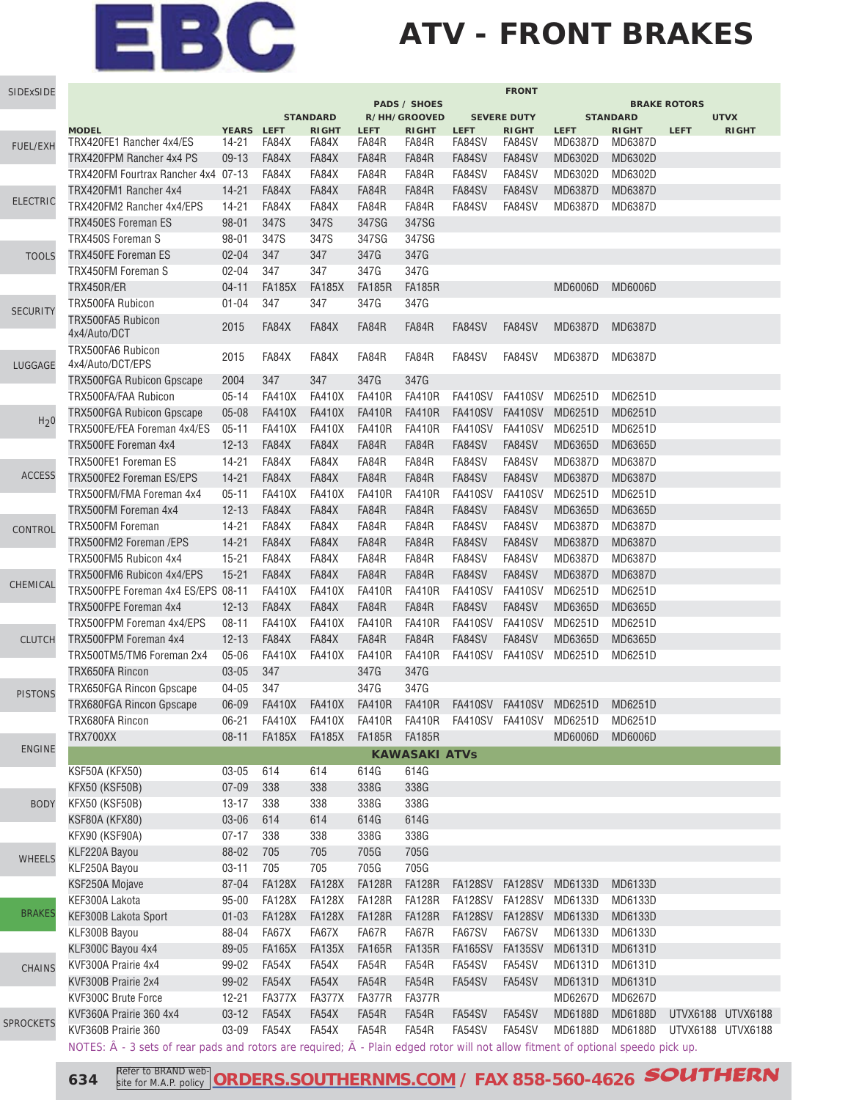## **ATV - FRONT BRAKES**

| <b>PADS / SHOES</b><br><b>BRAKE ROTORS</b><br><b>STANDARD</b><br>R/HH/GROOVED<br><b>SEVERE DUTY</b><br><b>STANDARD</b><br><b>UTVX</b><br><b>MODEL</b><br>YEARS LEFT<br><b>LEFT</b><br><b>LEFT</b><br><b>RIGHT</b><br><b>RIGHT</b><br><b>LEFT</b><br><b>RIGHT</b><br><b>RIGHT</b><br><b>LEFT</b><br><b>RIGHT</b><br>TRX420FE1 Rancher 4x4/ES<br>FA84X<br>FA84R<br>FA84SV<br>FA84SV<br>MD6387D<br>14-21<br>FA84X<br>FA84R<br>MD6387D<br>FUEL/EXH<br>FA84X<br>FA84R<br>FA84SV<br>MD6302D<br>TRX420FPM Rancher 4x4 PS<br>$09-13$<br>FA84X<br>FA84R<br>FA84SV<br>MD6302D<br>TRX420FM Fourtrax Rancher 4x4 07-13<br>FA84X<br>FA84X<br>FA84R<br>FA84R<br>FA84SV<br>FA84SV<br>MD6302D<br>MD6302D<br>$14 - 21$<br>FA84X<br>FA84X<br>FA84R<br>FA84R<br>FA84SV<br>FA84SV<br>MD6387D<br>MD6387D<br>TRX420FM1 Rancher 4x4<br><b>ELECTRIC</b><br>TRX420FM2 Rancher 4x4/EPS<br>$14 - 21$<br>FA84X<br>FA84X<br>FA84R<br>FA84R<br>FA84SV<br>FA84SV<br>MD6387D<br>MD6387D<br><b>TRX450ES Foreman ES</b><br>$98 - 01$<br>347S<br>347S<br>347SG<br>347SG<br>TRX450S Foreman S<br>98-01<br>347S<br>347SG<br>347SG<br>347S<br>347G<br><b>TRX450FE Foreman ES</b><br>$02 - 04$<br>347<br>347<br>347G<br><b>TOOLS</b><br>347G<br>TRX450FM Foreman S<br>$02 - 04$<br>347<br>347<br>347G<br>TRX450R/ER<br>$04 - 11$<br><b>FA185X</b><br><b>FA185X</b><br><b>FA185R</b><br><b>FA185R</b><br><b>MD6006D</b><br><b>MD6006D</b><br><b>TRX500FA Rubicon</b><br>347<br>347<br>347G<br>347G<br>$01 - 04$<br><b>SECURITY</b><br>TRX500FA5 Rubicon<br>FA84X<br>FA84X<br>FA84R<br>2015<br>FA84R<br>FA84SV<br>FA84SV<br>MD6387D<br>MD6387D<br>4x4/Auto/DCT<br>TRX500FA6 Rubicon<br>2015<br>FA84X<br>FA84X<br>FA84R<br>FA84R<br>FA84SV<br>FA84SV<br>MD6387D<br>MD6387D<br>4x4/Auto/DCT/EPS<br>LUGGAGE<br>347<br>347<br>347G<br>2004<br>347G<br><b>TRX500FGA Rubicon Gpscape</b><br>TRX500FA/FAA Rubicon<br>$05 - 14$<br><b>FA410X</b><br><b>FA410X</b><br><b>FA410R</b><br><b>FA410R</b><br>FA410SV FA410SV<br>MD6251D<br>MD6251D<br>$05 - 08$<br><b>FA410X</b><br><b>FA410X</b><br><b>FA410R</b><br><b>FA410R</b><br>FA410SV FA410SV<br>MD6251D<br>MD6251D<br><b>TRX500FGA Rubicon Gpscape</b><br>H <sub>2</sub> 0<br>TRX500FE/FEA Foreman 4x4/ES<br><b>FA410X</b><br><b>FA410X</b><br><b>FA410R</b><br><b>FA410R</b><br><b>FA410SV</b><br>MD6251D<br>MD6251D<br>$05 - 11$<br>FA410SV<br>FA84X<br>FA84X<br>FA84R<br>FA84R<br>FA84SV<br>FA84SV<br>MD6365D<br>MD6365D<br>TRX500FE Foreman 4x4<br>$12 - 13$<br>TRX500FE1 Foreman ES<br>$14 - 21$<br>FA84X<br>FA84X<br>FA84R<br>FA84R<br>FA84SV<br>FA84SV<br>MD6387D<br>MD6387D<br><b>ACCESS</b><br>TRX500FE2 Foreman ES/EPS<br>$14 - 21$<br>FA84X<br>FA84X<br>FA84R<br>FA84R<br>FA84SV<br>FA84SV<br>MD6387D<br>MD6387D<br><b>FA410X</b><br><b>FA410X</b><br><b>FA410R</b><br>FA410SV<br>FA410SV<br>MD6251D<br>MD6251D<br>TRX500FM/FMA Foreman 4x4<br>$05 - 11$<br><b>FA410R</b><br>$12 - 13$<br>FA84X<br>FA84X<br>FA84R<br>FA84R<br>FA84SV<br>FA84SV<br>MD6365D<br>MD6365D<br>TRX500FM Foreman 4x4<br>FA84SV<br>$14-21$<br>FA84X<br>FA84X<br>FA84R<br>FA84R<br>FA84SV<br>MD6387D<br>MD6387D<br><b>TRX500FM Foreman</b><br>CONTROL<br>TRX500FM2 Foreman /EPS<br>$14 - 21$<br>FA84X<br>FA84X<br>FA84R<br>FA84R<br>FA84SV<br>FA84SV<br>MD6387D<br>MD6387D<br>TRX500FM5 Rubicon 4x4<br>$15 - 21$<br>FA84X<br>FA84X<br>FA84R<br>FA84R<br>FA84SV<br>FA84SV<br>MD6387D<br>MD6387D<br>TRX500FM6 Rubicon 4x4/EPS<br>$15 - 21$<br>FA84X<br>FA84X<br>FA84R<br>FA84R<br>FA84SV<br>FA84SV<br>MD6387D<br>MD6387D<br>CHEMICAL<br>TRX500FPE Foreman 4x4 ES/EPS 08-11<br><b>FA410X</b><br><b>FA410X</b><br><b>FA410R</b><br><b>FA410R</b><br><b>FA410SV</b><br>FA410SV<br>MD6251D<br>MD6251D<br>TRX500FPE Foreman 4x4<br>FA84X<br>FA84X<br>FA84R<br>FA84R<br>FA84SV<br>FA84SV<br>MD6365D<br>MD6365D<br>$12 - 13$<br><b>FA410X</b><br><b>FA410R</b><br>FA410SV<br><b>FA410SV</b><br>MD6251D<br>MD6251D<br>TRX500FPM Foreman 4x4/EPS<br>$08 - 11$<br><b>FA410X</b><br><b>FA410R</b><br>FA84R<br>TRX500FPM Foreman 4x4<br>FA84X<br>FA84X<br>FA84R<br>FA84SV<br>FA84SV<br>MD6365D<br>MD6365D<br><b>CLUTCH</b><br>$12 - 13$<br><b>FA410X</b><br><b>FA410X</b><br><b>FA410R</b><br><b>FA410R</b><br>FA410SV FA410SV<br>MD6251D<br>TRX500TM5/TM6 Foreman 2x4<br>$05 - 06$<br>MD6251D<br>347<br>347G<br>347G<br>TRX650FA Rincon<br>03-05<br>347<br>347G<br>347G<br><b>TRX650FGA Rincon Gpscape</b><br>04-05<br><b>PISTONS</b><br>TRX680FGA Rincon Gpscape<br>06-09<br><b>FA410R</b><br><b>FA410X</b><br><b>FA410X</b><br><b>FA410R</b><br>FA410SV FA410SV<br>MD6251D<br>MD6251D<br>TRX680FA Rincon<br>FA410R FA410R FA410SV FA410SV MD6251D<br>$06 - 21$<br>FA410X<br><b>FA410X</b><br>MD6251D<br>TRX700XX<br>FA185X<br><b>FA185X</b><br><b>FA185R</b><br><b>MD6006D</b><br>MD6006D<br>$08 - 11$<br><b>FA185R</b><br><b>ENGINE</b><br><b>KAWASAKI ATVs</b><br>KSF50A (KFX50)<br>03-05<br>614<br>614<br>614G<br>614G<br><b>KFX50 (KSF50B)</b><br>$07 - 09$<br>338<br>338G<br>338G<br>338<br>KFX50 (KSF50B)<br>338<br>338<br>338G<br>338G<br>$13 - 17$<br><b>BODY</b><br>KSF80A (KFX80)<br>03-06<br>614<br>614<br>614G<br>614G<br>338<br>338G<br>338G<br>KFX90 (KSF90A)<br>$07 - 17$<br>338<br>KLF220A Bayou<br>88-02<br>705<br>705<br>705G<br>705G<br><b>WHEELS</b><br>705<br>705G<br>KLF250A Bayou<br>705<br>705G<br>$03 - 11$<br>KSF250A Mojave<br>87-04<br><b>FA128X</b><br><b>FA128X</b><br><b>FA128R</b><br><b>FA128R</b><br>FA128SV FA128SV<br>MD6133D<br>MD6133D<br>KEF300A Lakota<br><b>FA128X</b><br><b>FA128X</b><br><b>FA128R</b><br><b>FA128R</b><br>$95 - 00$<br>FA128SV FA128SV<br>MD6133D<br>MD6133D<br><b>BRAKES</b><br>KEF300B Lakota Sport<br><b>FA128X</b><br><b>FA128X</b><br><b>FA128R</b><br><b>FA128R</b><br>FA128SV FA128SV<br>MD6133D<br>MD6133D<br>$01 - 03$<br>KLF300B Bayou<br>88-04<br>FA67X<br>FA67X<br>FA67R<br>FA67R<br>FA67SV<br>FA67SV<br>MD6133D<br>MD6133D<br>KLF300C Bayou 4x4<br><b>FA165X</b><br><b>FA135X</b><br>FA165SV FA135SV<br>MD6131D<br>MD6131D<br>89-05<br><b>FA165R</b><br><b>FA135R</b><br>KVF300A Prairie 4x4<br>FA54X<br>FA54X<br>FA54R<br>FA54R<br>FA54SV<br>FA54SV<br>MD6131D<br>99-02<br>MD6131D<br><b>CHAINS</b><br>KVF300B Prairie 2x4<br>99-02<br>FA54X<br>FA54X<br>FA54R<br>FA54R<br>FA54SV<br>FA54SV<br>MD6131D<br>MD6131D<br>KVF300C Brute Force<br><b>FA377X</b><br>MD6267D<br>MD6267D<br>$12 - 21$<br>FA377X<br>FA377R<br>FA377R<br>KVF360A Prairie 360 4x4<br>FA54X<br>FA54X<br>FA54R<br>FA54R<br>FA54SV<br>FA54SV<br>MD6188D<br>MD6188D<br>UTVX6188 UTVX6188<br>$03 - 12$<br><b>SPROCKETS</b><br>KVF360B Prairie 360<br>03-09<br>FA54X<br>FA54X<br>FA54R<br>FA54R<br>FA54SV<br>FA54SV<br>MD6188D<br>MD6188D<br>UTVX6188 UTVX6188<br>NOTES: $\hat{A}$ - 3 sets of rear pads and rotors are required; $\tilde{A}$ - Plain edged rotor will not allow fitment of optional speedo pick up. | SIDExSIDE | <b>FRONT</b> |  |  |  |  |  |  |  |  |  |
|---------------------------------------------------------------------------------------------------------------------------------------------------------------------------------------------------------------------------------------------------------------------------------------------------------------------------------------------------------------------------------------------------------------------------------------------------------------------------------------------------------------------------------------------------------------------------------------------------------------------------------------------------------------------------------------------------------------------------------------------------------------------------------------------------------------------------------------------------------------------------------------------------------------------------------------------------------------------------------------------------------------------------------------------------------------------------------------------------------------------------------------------------------------------------------------------------------------------------------------------------------------------------------------------------------------------------------------------------------------------------------------------------------------------------------------------------------------------------------------------------------------------------------------------------------------------------------------------------------------------------------------------------------------------------------------------------------------------------------------------------------------------------------------------------------------------------------------------------------------------------------------------------------------------------------------------------------------------------------------------------------------------------------------------------------------------------------------------------------------------------------------------------------------------------------------------------------------------------------------------------------------------------------------------------------------------------------------------------------------------------------------------------------------------------------------------------------------------------------------------------------------------------------------------------------------------------------------------------------------------------------------------------------------------------------------------------------------------------------------------------------------------------------------------------------------------------------------------------------------------------------------------------------------------------------------------------------------------------------------------------------------------------------------------------------------------------------------------------------------------------------------------------------------------------------------------------------------------------------------------------------------------------------------------------------------------------------------------------------------------------------------------------------------------------------------------------------------------------------------------------------------------------------------------------------------------------------------------------------------------------------------------------------------------------------------------------------------------------------------------------------------------------------------------------------------------------------------------------------------------------------------------------------------------------------------------------------------------------------------------------------------------------------------------------------------------------------------------------------------------------------------------------------------------------------------------------------------------------------------------------------------------------------------------------------------------------------------------------------------------------------------------------------------------------------------------------------------------------------------------------------------------------------------------------------------------------------------------------------------------------------------------------------------------------------------------------------------------------------------------------------------------------------------------------------------------------------------------------------------------------------------------------------------------------------------------------------------------------------------------------------------------------------------------------------------------------------------------------------------------------------------------------------------------------------------------------------------------------------------------------------------------------------------------------------------------------------------------------------------------------------------------------------------------------------------------------------------------------------------------------------------------------------------------------------------------------------------------------------------------------------------------------------------------------------------------------------------------------------------------------------------------------------------------------------------------------------------------------------------------------------------------------------------------------------------------------------------------------------------------------------------------------------------------------------------------------------------------------------------------------------------------------------------------------------------------------------------------------------------------------------------------------------------------------------------------------------------------------------------------------------------------------------------------------------------------------------------------------------------------------------------------------------------------------------------------------------------------------------------------------------------------------------------------------------------------------------------------------------------------------------------------------------------------------------------------------------------|-----------|--------------|--|--|--|--|--|--|--|--|--|
|                                                                                                                                                                                                                                                                                                                                                                                                                                                                                                                                                                                                                                                                                                                                                                                                                                                                                                                                                                                                                                                                                                                                                                                                                                                                                                                                                                                                                                                                                                                                                                                                                                                                                                                                                                                                                                                                                                                                                                                                                                                                                                                                                                                                                                                                                                                                                                                                                                                                                                                                                                                                                                                                                                                                                                                                                                                                                                                                                                                                                                                                                                                                                                                                                                                                                                                                                                                                                                                                                                                                                                                                                                                                                                                                                                                                                                                                                                                                                                                                                                                                                                                                                                                                                                                                                                                                                                                                                                                                                                                                                                                                                                                                                                                                                                                                                                                                                                                                                                                                                                                                                                                                                                                                                                                                                                                                                                                                                                                                                                                                                                                                                                                                                                                                                                                                                                                                                                                                                                                                                                                                                                                                                                                                                                                                                                                                                                                                                                                                                                                                                                                                                                                                                                                                                                                                                                       |           |              |  |  |  |  |  |  |  |  |  |
|                                                                                                                                                                                                                                                                                                                                                                                                                                                                                                                                                                                                                                                                                                                                                                                                                                                                                                                                                                                                                                                                                                                                                                                                                                                                                                                                                                                                                                                                                                                                                                                                                                                                                                                                                                                                                                                                                                                                                                                                                                                                                                                                                                                                                                                                                                                                                                                                                                                                                                                                                                                                                                                                                                                                                                                                                                                                                                                                                                                                                                                                                                                                                                                                                                                                                                                                                                                                                                                                                                                                                                                                                                                                                                                                                                                                                                                                                                                                                                                                                                                                                                                                                                                                                                                                                                                                                                                                                                                                                                                                                                                                                                                                                                                                                                                                                                                                                                                                                                                                                                                                                                                                                                                                                                                                                                                                                                                                                                                                                                                                                                                                                                                                                                                                                                                                                                                                                                                                                                                                                                                                                                                                                                                                                                                                                                                                                                                                                                                                                                                                                                                                                                                                                                                                                                                                                                       |           |              |  |  |  |  |  |  |  |  |  |
|                                                                                                                                                                                                                                                                                                                                                                                                                                                                                                                                                                                                                                                                                                                                                                                                                                                                                                                                                                                                                                                                                                                                                                                                                                                                                                                                                                                                                                                                                                                                                                                                                                                                                                                                                                                                                                                                                                                                                                                                                                                                                                                                                                                                                                                                                                                                                                                                                                                                                                                                                                                                                                                                                                                                                                                                                                                                                                                                                                                                                                                                                                                                                                                                                                                                                                                                                                                                                                                                                                                                                                                                                                                                                                                                                                                                                                                                                                                                                                                                                                                                                                                                                                                                                                                                                                                                                                                                                                                                                                                                                                                                                                                                                                                                                                                                                                                                                                                                                                                                                                                                                                                                                                                                                                                                                                                                                                                                                                                                                                                                                                                                                                                                                                                                                                                                                                                                                                                                                                                                                                                                                                                                                                                                                                                                                                                                                                                                                                                                                                                                                                                                                                                                                                                                                                                                                                       |           |              |  |  |  |  |  |  |  |  |  |
|                                                                                                                                                                                                                                                                                                                                                                                                                                                                                                                                                                                                                                                                                                                                                                                                                                                                                                                                                                                                                                                                                                                                                                                                                                                                                                                                                                                                                                                                                                                                                                                                                                                                                                                                                                                                                                                                                                                                                                                                                                                                                                                                                                                                                                                                                                                                                                                                                                                                                                                                                                                                                                                                                                                                                                                                                                                                                                                                                                                                                                                                                                                                                                                                                                                                                                                                                                                                                                                                                                                                                                                                                                                                                                                                                                                                                                                                                                                                                                                                                                                                                                                                                                                                                                                                                                                                                                                                                                                                                                                                                                                                                                                                                                                                                                                                                                                                                                                                                                                                                                                                                                                                                                                                                                                                                                                                                                                                                                                                                                                                                                                                                                                                                                                                                                                                                                                                                                                                                                                                                                                                                                                                                                                                                                                                                                                                                                                                                                                                                                                                                                                                                                                                                                                                                                                                                                       |           |              |  |  |  |  |  |  |  |  |  |
|                                                                                                                                                                                                                                                                                                                                                                                                                                                                                                                                                                                                                                                                                                                                                                                                                                                                                                                                                                                                                                                                                                                                                                                                                                                                                                                                                                                                                                                                                                                                                                                                                                                                                                                                                                                                                                                                                                                                                                                                                                                                                                                                                                                                                                                                                                                                                                                                                                                                                                                                                                                                                                                                                                                                                                                                                                                                                                                                                                                                                                                                                                                                                                                                                                                                                                                                                                                                                                                                                                                                                                                                                                                                                                                                                                                                                                                                                                                                                                                                                                                                                                                                                                                                                                                                                                                                                                                                                                                                                                                                                                                                                                                                                                                                                                                                                                                                                                                                                                                                                                                                                                                                                                                                                                                                                                                                                                                                                                                                                                                                                                                                                                                                                                                                                                                                                                                                                                                                                                                                                                                                                                                                                                                                                                                                                                                                                                                                                                                                                                                                                                                                                                                                                                                                                                                                                                       |           |              |  |  |  |  |  |  |  |  |  |
|                                                                                                                                                                                                                                                                                                                                                                                                                                                                                                                                                                                                                                                                                                                                                                                                                                                                                                                                                                                                                                                                                                                                                                                                                                                                                                                                                                                                                                                                                                                                                                                                                                                                                                                                                                                                                                                                                                                                                                                                                                                                                                                                                                                                                                                                                                                                                                                                                                                                                                                                                                                                                                                                                                                                                                                                                                                                                                                                                                                                                                                                                                                                                                                                                                                                                                                                                                                                                                                                                                                                                                                                                                                                                                                                                                                                                                                                                                                                                                                                                                                                                                                                                                                                                                                                                                                                                                                                                                                                                                                                                                                                                                                                                                                                                                                                                                                                                                                                                                                                                                                                                                                                                                                                                                                                                                                                                                                                                                                                                                                                                                                                                                                                                                                                                                                                                                                                                                                                                                                                                                                                                                                                                                                                                                                                                                                                                                                                                                                                                                                                                                                                                                                                                                                                                                                                                                       |           |              |  |  |  |  |  |  |  |  |  |
|                                                                                                                                                                                                                                                                                                                                                                                                                                                                                                                                                                                                                                                                                                                                                                                                                                                                                                                                                                                                                                                                                                                                                                                                                                                                                                                                                                                                                                                                                                                                                                                                                                                                                                                                                                                                                                                                                                                                                                                                                                                                                                                                                                                                                                                                                                                                                                                                                                                                                                                                                                                                                                                                                                                                                                                                                                                                                                                                                                                                                                                                                                                                                                                                                                                                                                                                                                                                                                                                                                                                                                                                                                                                                                                                                                                                                                                                                                                                                                                                                                                                                                                                                                                                                                                                                                                                                                                                                                                                                                                                                                                                                                                                                                                                                                                                                                                                                                                                                                                                                                                                                                                                                                                                                                                                                                                                                                                                                                                                                                                                                                                                                                                                                                                                                                                                                                                                                                                                                                                                                                                                                                                                                                                                                                                                                                                                                                                                                                                                                                                                                                                                                                                                                                                                                                                                                                       |           |              |  |  |  |  |  |  |  |  |  |
|                                                                                                                                                                                                                                                                                                                                                                                                                                                                                                                                                                                                                                                                                                                                                                                                                                                                                                                                                                                                                                                                                                                                                                                                                                                                                                                                                                                                                                                                                                                                                                                                                                                                                                                                                                                                                                                                                                                                                                                                                                                                                                                                                                                                                                                                                                                                                                                                                                                                                                                                                                                                                                                                                                                                                                                                                                                                                                                                                                                                                                                                                                                                                                                                                                                                                                                                                                                                                                                                                                                                                                                                                                                                                                                                                                                                                                                                                                                                                                                                                                                                                                                                                                                                                                                                                                                                                                                                                                                                                                                                                                                                                                                                                                                                                                                                                                                                                                                                                                                                                                                                                                                                                                                                                                                                                                                                                                                                                                                                                                                                                                                                                                                                                                                                                                                                                                                                                                                                                                                                                                                                                                                                                                                                                                                                                                                                                                                                                                                                                                                                                                                                                                                                                                                                                                                                                                       |           |              |  |  |  |  |  |  |  |  |  |
|                                                                                                                                                                                                                                                                                                                                                                                                                                                                                                                                                                                                                                                                                                                                                                                                                                                                                                                                                                                                                                                                                                                                                                                                                                                                                                                                                                                                                                                                                                                                                                                                                                                                                                                                                                                                                                                                                                                                                                                                                                                                                                                                                                                                                                                                                                                                                                                                                                                                                                                                                                                                                                                                                                                                                                                                                                                                                                                                                                                                                                                                                                                                                                                                                                                                                                                                                                                                                                                                                                                                                                                                                                                                                                                                                                                                                                                                                                                                                                                                                                                                                                                                                                                                                                                                                                                                                                                                                                                                                                                                                                                                                                                                                                                                                                                                                                                                                                                                                                                                                                                                                                                                                                                                                                                                                                                                                                                                                                                                                                                                                                                                                                                                                                                                                                                                                                                                                                                                                                                                                                                                                                                                                                                                                                                                                                                                                                                                                                                                                                                                                                                                                                                                                                                                                                                                                                       |           |              |  |  |  |  |  |  |  |  |  |
|                                                                                                                                                                                                                                                                                                                                                                                                                                                                                                                                                                                                                                                                                                                                                                                                                                                                                                                                                                                                                                                                                                                                                                                                                                                                                                                                                                                                                                                                                                                                                                                                                                                                                                                                                                                                                                                                                                                                                                                                                                                                                                                                                                                                                                                                                                                                                                                                                                                                                                                                                                                                                                                                                                                                                                                                                                                                                                                                                                                                                                                                                                                                                                                                                                                                                                                                                                                                                                                                                                                                                                                                                                                                                                                                                                                                                                                                                                                                                                                                                                                                                                                                                                                                                                                                                                                                                                                                                                                                                                                                                                                                                                                                                                                                                                                                                                                                                                                                                                                                                                                                                                                                                                                                                                                                                                                                                                                                                                                                                                                                                                                                                                                                                                                                                                                                                                                                                                                                                                                                                                                                                                                                                                                                                                                                                                                                                                                                                                                                                                                                                                                                                                                                                                                                                                                                                                       |           |              |  |  |  |  |  |  |  |  |  |
|                                                                                                                                                                                                                                                                                                                                                                                                                                                                                                                                                                                                                                                                                                                                                                                                                                                                                                                                                                                                                                                                                                                                                                                                                                                                                                                                                                                                                                                                                                                                                                                                                                                                                                                                                                                                                                                                                                                                                                                                                                                                                                                                                                                                                                                                                                                                                                                                                                                                                                                                                                                                                                                                                                                                                                                                                                                                                                                                                                                                                                                                                                                                                                                                                                                                                                                                                                                                                                                                                                                                                                                                                                                                                                                                                                                                                                                                                                                                                                                                                                                                                                                                                                                                                                                                                                                                                                                                                                                                                                                                                                                                                                                                                                                                                                                                                                                                                                                                                                                                                                                                                                                                                                                                                                                                                                                                                                                                                                                                                                                                                                                                                                                                                                                                                                                                                                                                                                                                                                                                                                                                                                                                                                                                                                                                                                                                                                                                                                                                                                                                                                                                                                                                                                                                                                                                                                       |           |              |  |  |  |  |  |  |  |  |  |
|                                                                                                                                                                                                                                                                                                                                                                                                                                                                                                                                                                                                                                                                                                                                                                                                                                                                                                                                                                                                                                                                                                                                                                                                                                                                                                                                                                                                                                                                                                                                                                                                                                                                                                                                                                                                                                                                                                                                                                                                                                                                                                                                                                                                                                                                                                                                                                                                                                                                                                                                                                                                                                                                                                                                                                                                                                                                                                                                                                                                                                                                                                                                                                                                                                                                                                                                                                                                                                                                                                                                                                                                                                                                                                                                                                                                                                                                                                                                                                                                                                                                                                                                                                                                                                                                                                                                                                                                                                                                                                                                                                                                                                                                                                                                                                                                                                                                                                                                                                                                                                                                                                                                                                                                                                                                                                                                                                                                                                                                                                                                                                                                                                                                                                                                                                                                                                                                                                                                                                                                                                                                                                                                                                                                                                                                                                                                                                                                                                                                                                                                                                                                                                                                                                                                                                                                                                       |           |              |  |  |  |  |  |  |  |  |  |
|                                                                                                                                                                                                                                                                                                                                                                                                                                                                                                                                                                                                                                                                                                                                                                                                                                                                                                                                                                                                                                                                                                                                                                                                                                                                                                                                                                                                                                                                                                                                                                                                                                                                                                                                                                                                                                                                                                                                                                                                                                                                                                                                                                                                                                                                                                                                                                                                                                                                                                                                                                                                                                                                                                                                                                                                                                                                                                                                                                                                                                                                                                                                                                                                                                                                                                                                                                                                                                                                                                                                                                                                                                                                                                                                                                                                                                                                                                                                                                                                                                                                                                                                                                                                                                                                                                                                                                                                                                                                                                                                                                                                                                                                                                                                                                                                                                                                                                                                                                                                                                                                                                                                                                                                                                                                                                                                                                                                                                                                                                                                                                                                                                                                                                                                                                                                                                                                                                                                                                                                                                                                                                                                                                                                                                                                                                                                                                                                                                                                                                                                                                                                                                                                                                                                                                                                                                       |           |              |  |  |  |  |  |  |  |  |  |
|                                                                                                                                                                                                                                                                                                                                                                                                                                                                                                                                                                                                                                                                                                                                                                                                                                                                                                                                                                                                                                                                                                                                                                                                                                                                                                                                                                                                                                                                                                                                                                                                                                                                                                                                                                                                                                                                                                                                                                                                                                                                                                                                                                                                                                                                                                                                                                                                                                                                                                                                                                                                                                                                                                                                                                                                                                                                                                                                                                                                                                                                                                                                                                                                                                                                                                                                                                                                                                                                                                                                                                                                                                                                                                                                                                                                                                                                                                                                                                                                                                                                                                                                                                                                                                                                                                                                                                                                                                                                                                                                                                                                                                                                                                                                                                                                                                                                                                                                                                                                                                                                                                                                                                                                                                                                                                                                                                                                                                                                                                                                                                                                                                                                                                                                                                                                                                                                                                                                                                                                                                                                                                                                                                                                                                                                                                                                                                                                                                                                                                                                                                                                                                                                                                                                                                                                                                       |           |              |  |  |  |  |  |  |  |  |  |
|                                                                                                                                                                                                                                                                                                                                                                                                                                                                                                                                                                                                                                                                                                                                                                                                                                                                                                                                                                                                                                                                                                                                                                                                                                                                                                                                                                                                                                                                                                                                                                                                                                                                                                                                                                                                                                                                                                                                                                                                                                                                                                                                                                                                                                                                                                                                                                                                                                                                                                                                                                                                                                                                                                                                                                                                                                                                                                                                                                                                                                                                                                                                                                                                                                                                                                                                                                                                                                                                                                                                                                                                                                                                                                                                                                                                                                                                                                                                                                                                                                                                                                                                                                                                                                                                                                                                                                                                                                                                                                                                                                                                                                                                                                                                                                                                                                                                                                                                                                                                                                                                                                                                                                                                                                                                                                                                                                                                                                                                                                                                                                                                                                                                                                                                                                                                                                                                                                                                                                                                                                                                                                                                                                                                                                                                                                                                                                                                                                                                                                                                                                                                                                                                                                                                                                                                                                       |           |              |  |  |  |  |  |  |  |  |  |
|                                                                                                                                                                                                                                                                                                                                                                                                                                                                                                                                                                                                                                                                                                                                                                                                                                                                                                                                                                                                                                                                                                                                                                                                                                                                                                                                                                                                                                                                                                                                                                                                                                                                                                                                                                                                                                                                                                                                                                                                                                                                                                                                                                                                                                                                                                                                                                                                                                                                                                                                                                                                                                                                                                                                                                                                                                                                                                                                                                                                                                                                                                                                                                                                                                                                                                                                                                                                                                                                                                                                                                                                                                                                                                                                                                                                                                                                                                                                                                                                                                                                                                                                                                                                                                                                                                                                                                                                                                                                                                                                                                                                                                                                                                                                                                                                                                                                                                                                                                                                                                                                                                                                                                                                                                                                                                                                                                                                                                                                                                                                                                                                                                                                                                                                                                                                                                                                                                                                                                                                                                                                                                                                                                                                                                                                                                                                                                                                                                                                                                                                                                                                                                                                                                                                                                                                                                       |           |              |  |  |  |  |  |  |  |  |  |
|                                                                                                                                                                                                                                                                                                                                                                                                                                                                                                                                                                                                                                                                                                                                                                                                                                                                                                                                                                                                                                                                                                                                                                                                                                                                                                                                                                                                                                                                                                                                                                                                                                                                                                                                                                                                                                                                                                                                                                                                                                                                                                                                                                                                                                                                                                                                                                                                                                                                                                                                                                                                                                                                                                                                                                                                                                                                                                                                                                                                                                                                                                                                                                                                                                                                                                                                                                                                                                                                                                                                                                                                                                                                                                                                                                                                                                                                                                                                                                                                                                                                                                                                                                                                                                                                                                                                                                                                                                                                                                                                                                                                                                                                                                                                                                                                                                                                                                                                                                                                                                                                                                                                                                                                                                                                                                                                                                                                                                                                                                                                                                                                                                                                                                                                                                                                                                                                                                                                                                                                                                                                                                                                                                                                                                                                                                                                                                                                                                                                                                                                                                                                                                                                                                                                                                                                                                       |           |              |  |  |  |  |  |  |  |  |  |
|                                                                                                                                                                                                                                                                                                                                                                                                                                                                                                                                                                                                                                                                                                                                                                                                                                                                                                                                                                                                                                                                                                                                                                                                                                                                                                                                                                                                                                                                                                                                                                                                                                                                                                                                                                                                                                                                                                                                                                                                                                                                                                                                                                                                                                                                                                                                                                                                                                                                                                                                                                                                                                                                                                                                                                                                                                                                                                                                                                                                                                                                                                                                                                                                                                                                                                                                                                                                                                                                                                                                                                                                                                                                                                                                                                                                                                                                                                                                                                                                                                                                                                                                                                                                                                                                                                                                                                                                                                                                                                                                                                                                                                                                                                                                                                                                                                                                                                                                                                                                                                                                                                                                                                                                                                                                                                                                                                                                                                                                                                                                                                                                                                                                                                                                                                                                                                                                                                                                                                                                                                                                                                                                                                                                                                                                                                                                                                                                                                                                                                                                                                                                                                                                                                                                                                                                                                       |           |              |  |  |  |  |  |  |  |  |  |
|                                                                                                                                                                                                                                                                                                                                                                                                                                                                                                                                                                                                                                                                                                                                                                                                                                                                                                                                                                                                                                                                                                                                                                                                                                                                                                                                                                                                                                                                                                                                                                                                                                                                                                                                                                                                                                                                                                                                                                                                                                                                                                                                                                                                                                                                                                                                                                                                                                                                                                                                                                                                                                                                                                                                                                                                                                                                                                                                                                                                                                                                                                                                                                                                                                                                                                                                                                                                                                                                                                                                                                                                                                                                                                                                                                                                                                                                                                                                                                                                                                                                                                                                                                                                                                                                                                                                                                                                                                                                                                                                                                                                                                                                                                                                                                                                                                                                                                                                                                                                                                                                                                                                                                                                                                                                                                                                                                                                                                                                                                                                                                                                                                                                                                                                                                                                                                                                                                                                                                                                                                                                                                                                                                                                                                                                                                                                                                                                                                                                                                                                                                                                                                                                                                                                                                                                                                       |           |              |  |  |  |  |  |  |  |  |  |
|                                                                                                                                                                                                                                                                                                                                                                                                                                                                                                                                                                                                                                                                                                                                                                                                                                                                                                                                                                                                                                                                                                                                                                                                                                                                                                                                                                                                                                                                                                                                                                                                                                                                                                                                                                                                                                                                                                                                                                                                                                                                                                                                                                                                                                                                                                                                                                                                                                                                                                                                                                                                                                                                                                                                                                                                                                                                                                                                                                                                                                                                                                                                                                                                                                                                                                                                                                                                                                                                                                                                                                                                                                                                                                                                                                                                                                                                                                                                                                                                                                                                                                                                                                                                                                                                                                                                                                                                                                                                                                                                                                                                                                                                                                                                                                                                                                                                                                                                                                                                                                                                                                                                                                                                                                                                                                                                                                                                                                                                                                                                                                                                                                                                                                                                                                                                                                                                                                                                                                                                                                                                                                                                                                                                                                                                                                                                                                                                                                                                                                                                                                                                                                                                                                                                                                                                                                       |           |              |  |  |  |  |  |  |  |  |  |
|                                                                                                                                                                                                                                                                                                                                                                                                                                                                                                                                                                                                                                                                                                                                                                                                                                                                                                                                                                                                                                                                                                                                                                                                                                                                                                                                                                                                                                                                                                                                                                                                                                                                                                                                                                                                                                                                                                                                                                                                                                                                                                                                                                                                                                                                                                                                                                                                                                                                                                                                                                                                                                                                                                                                                                                                                                                                                                                                                                                                                                                                                                                                                                                                                                                                                                                                                                                                                                                                                                                                                                                                                                                                                                                                                                                                                                                                                                                                                                                                                                                                                                                                                                                                                                                                                                                                                                                                                                                                                                                                                                                                                                                                                                                                                                                                                                                                                                                                                                                                                                                                                                                                                                                                                                                                                                                                                                                                                                                                                                                                                                                                                                                                                                                                                                                                                                                                                                                                                                                                                                                                                                                                                                                                                                                                                                                                                                                                                                                                                                                                                                                                                                                                                                                                                                                                                                       |           |              |  |  |  |  |  |  |  |  |  |
|                                                                                                                                                                                                                                                                                                                                                                                                                                                                                                                                                                                                                                                                                                                                                                                                                                                                                                                                                                                                                                                                                                                                                                                                                                                                                                                                                                                                                                                                                                                                                                                                                                                                                                                                                                                                                                                                                                                                                                                                                                                                                                                                                                                                                                                                                                                                                                                                                                                                                                                                                                                                                                                                                                                                                                                                                                                                                                                                                                                                                                                                                                                                                                                                                                                                                                                                                                                                                                                                                                                                                                                                                                                                                                                                                                                                                                                                                                                                                                                                                                                                                                                                                                                                                                                                                                                                                                                                                                                                                                                                                                                                                                                                                                                                                                                                                                                                                                                                                                                                                                                                                                                                                                                                                                                                                                                                                                                                                                                                                                                                                                                                                                                                                                                                                                                                                                                                                                                                                                                                                                                                                                                                                                                                                                                                                                                                                                                                                                                                                                                                                                                                                                                                                                                                                                                                                                       |           |              |  |  |  |  |  |  |  |  |  |
|                                                                                                                                                                                                                                                                                                                                                                                                                                                                                                                                                                                                                                                                                                                                                                                                                                                                                                                                                                                                                                                                                                                                                                                                                                                                                                                                                                                                                                                                                                                                                                                                                                                                                                                                                                                                                                                                                                                                                                                                                                                                                                                                                                                                                                                                                                                                                                                                                                                                                                                                                                                                                                                                                                                                                                                                                                                                                                                                                                                                                                                                                                                                                                                                                                                                                                                                                                                                                                                                                                                                                                                                                                                                                                                                                                                                                                                                                                                                                                                                                                                                                                                                                                                                                                                                                                                                                                                                                                                                                                                                                                                                                                                                                                                                                                                                                                                                                                                                                                                                                                                                                                                                                                                                                                                                                                                                                                                                                                                                                                                                                                                                                                                                                                                                                                                                                                                                                                                                                                                                                                                                                                                                                                                                                                                                                                                                                                                                                                                                                                                                                                                                                                                                                                                                                                                                                                       |           |              |  |  |  |  |  |  |  |  |  |
|                                                                                                                                                                                                                                                                                                                                                                                                                                                                                                                                                                                                                                                                                                                                                                                                                                                                                                                                                                                                                                                                                                                                                                                                                                                                                                                                                                                                                                                                                                                                                                                                                                                                                                                                                                                                                                                                                                                                                                                                                                                                                                                                                                                                                                                                                                                                                                                                                                                                                                                                                                                                                                                                                                                                                                                                                                                                                                                                                                                                                                                                                                                                                                                                                                                                                                                                                                                                                                                                                                                                                                                                                                                                                                                                                                                                                                                                                                                                                                                                                                                                                                                                                                                                                                                                                                                                                                                                                                                                                                                                                                                                                                                                                                                                                                                                                                                                                                                                                                                                                                                                                                                                                                                                                                                                                                                                                                                                                                                                                                                                                                                                                                                                                                                                                                                                                                                                                                                                                                                                                                                                                                                                                                                                                                                                                                                                                                                                                                                                                                                                                                                                                                                                                                                                                                                                                                       |           |              |  |  |  |  |  |  |  |  |  |
|                                                                                                                                                                                                                                                                                                                                                                                                                                                                                                                                                                                                                                                                                                                                                                                                                                                                                                                                                                                                                                                                                                                                                                                                                                                                                                                                                                                                                                                                                                                                                                                                                                                                                                                                                                                                                                                                                                                                                                                                                                                                                                                                                                                                                                                                                                                                                                                                                                                                                                                                                                                                                                                                                                                                                                                                                                                                                                                                                                                                                                                                                                                                                                                                                                                                                                                                                                                                                                                                                                                                                                                                                                                                                                                                                                                                                                                                                                                                                                                                                                                                                                                                                                                                                                                                                                                                                                                                                                                                                                                                                                                                                                                                                                                                                                                                                                                                                                                                                                                                                                                                                                                                                                                                                                                                                                                                                                                                                                                                                                                                                                                                                                                                                                                                                                                                                                                                                                                                                                                                                                                                                                                                                                                                                                                                                                                                                                                                                                                                                                                                                                                                                                                                                                                                                                                                                                       |           |              |  |  |  |  |  |  |  |  |  |
|                                                                                                                                                                                                                                                                                                                                                                                                                                                                                                                                                                                                                                                                                                                                                                                                                                                                                                                                                                                                                                                                                                                                                                                                                                                                                                                                                                                                                                                                                                                                                                                                                                                                                                                                                                                                                                                                                                                                                                                                                                                                                                                                                                                                                                                                                                                                                                                                                                                                                                                                                                                                                                                                                                                                                                                                                                                                                                                                                                                                                                                                                                                                                                                                                                                                                                                                                                                                                                                                                                                                                                                                                                                                                                                                                                                                                                                                                                                                                                                                                                                                                                                                                                                                                                                                                                                                                                                                                                                                                                                                                                                                                                                                                                                                                                                                                                                                                                                                                                                                                                                                                                                                                                                                                                                                                                                                                                                                                                                                                                                                                                                                                                                                                                                                                                                                                                                                                                                                                                                                                                                                                                                                                                                                                                                                                                                                                                                                                                                                                                                                                                                                                                                                                                                                                                                                                                       |           |              |  |  |  |  |  |  |  |  |  |
|                                                                                                                                                                                                                                                                                                                                                                                                                                                                                                                                                                                                                                                                                                                                                                                                                                                                                                                                                                                                                                                                                                                                                                                                                                                                                                                                                                                                                                                                                                                                                                                                                                                                                                                                                                                                                                                                                                                                                                                                                                                                                                                                                                                                                                                                                                                                                                                                                                                                                                                                                                                                                                                                                                                                                                                                                                                                                                                                                                                                                                                                                                                                                                                                                                                                                                                                                                                                                                                                                                                                                                                                                                                                                                                                                                                                                                                                                                                                                                                                                                                                                                                                                                                                                                                                                                                                                                                                                                                                                                                                                                                                                                                                                                                                                                                                                                                                                                                                                                                                                                                                                                                                                                                                                                                                                                                                                                                                                                                                                                                                                                                                                                                                                                                                                                                                                                                                                                                                                                                                                                                                                                                                                                                                                                                                                                                                                                                                                                                                                                                                                                                                                                                                                                                                                                                                                                       |           |              |  |  |  |  |  |  |  |  |  |
|                                                                                                                                                                                                                                                                                                                                                                                                                                                                                                                                                                                                                                                                                                                                                                                                                                                                                                                                                                                                                                                                                                                                                                                                                                                                                                                                                                                                                                                                                                                                                                                                                                                                                                                                                                                                                                                                                                                                                                                                                                                                                                                                                                                                                                                                                                                                                                                                                                                                                                                                                                                                                                                                                                                                                                                                                                                                                                                                                                                                                                                                                                                                                                                                                                                                                                                                                                                                                                                                                                                                                                                                                                                                                                                                                                                                                                                                                                                                                                                                                                                                                                                                                                                                                                                                                                                                                                                                                                                                                                                                                                                                                                                                                                                                                                                                                                                                                                                                                                                                                                                                                                                                                                                                                                                                                                                                                                                                                                                                                                                                                                                                                                                                                                                                                                                                                                                                                                                                                                                                                                                                                                                                                                                                                                                                                                                                                                                                                                                                                                                                                                                                                                                                                                                                                                                                                                       |           |              |  |  |  |  |  |  |  |  |  |
|                                                                                                                                                                                                                                                                                                                                                                                                                                                                                                                                                                                                                                                                                                                                                                                                                                                                                                                                                                                                                                                                                                                                                                                                                                                                                                                                                                                                                                                                                                                                                                                                                                                                                                                                                                                                                                                                                                                                                                                                                                                                                                                                                                                                                                                                                                                                                                                                                                                                                                                                                                                                                                                                                                                                                                                                                                                                                                                                                                                                                                                                                                                                                                                                                                                                                                                                                                                                                                                                                                                                                                                                                                                                                                                                                                                                                                                                                                                                                                                                                                                                                                                                                                                                                                                                                                                                                                                                                                                                                                                                                                                                                                                                                                                                                                                                                                                                                                                                                                                                                                                                                                                                                                                                                                                                                                                                                                                                                                                                                                                                                                                                                                                                                                                                                                                                                                                                                                                                                                                                                                                                                                                                                                                                                                                                                                                                                                                                                                                                                                                                                                                                                                                                                                                                                                                                                                       |           |              |  |  |  |  |  |  |  |  |  |
|                                                                                                                                                                                                                                                                                                                                                                                                                                                                                                                                                                                                                                                                                                                                                                                                                                                                                                                                                                                                                                                                                                                                                                                                                                                                                                                                                                                                                                                                                                                                                                                                                                                                                                                                                                                                                                                                                                                                                                                                                                                                                                                                                                                                                                                                                                                                                                                                                                                                                                                                                                                                                                                                                                                                                                                                                                                                                                                                                                                                                                                                                                                                                                                                                                                                                                                                                                                                                                                                                                                                                                                                                                                                                                                                                                                                                                                                                                                                                                                                                                                                                                                                                                                                                                                                                                                                                                                                                                                                                                                                                                                                                                                                                                                                                                                                                                                                                                                                                                                                                                                                                                                                                                                                                                                                                                                                                                                                                                                                                                                                                                                                                                                                                                                                                                                                                                                                                                                                                                                                                                                                                                                                                                                                                                                                                                                                                                                                                                                                                                                                                                                                                                                                                                                                                                                                                                       |           |              |  |  |  |  |  |  |  |  |  |
|                                                                                                                                                                                                                                                                                                                                                                                                                                                                                                                                                                                                                                                                                                                                                                                                                                                                                                                                                                                                                                                                                                                                                                                                                                                                                                                                                                                                                                                                                                                                                                                                                                                                                                                                                                                                                                                                                                                                                                                                                                                                                                                                                                                                                                                                                                                                                                                                                                                                                                                                                                                                                                                                                                                                                                                                                                                                                                                                                                                                                                                                                                                                                                                                                                                                                                                                                                                                                                                                                                                                                                                                                                                                                                                                                                                                                                                                                                                                                                                                                                                                                                                                                                                                                                                                                                                                                                                                                                                                                                                                                                                                                                                                                                                                                                                                                                                                                                                                                                                                                                                                                                                                                                                                                                                                                                                                                                                                                                                                                                                                                                                                                                                                                                                                                                                                                                                                                                                                                                                                                                                                                                                                                                                                                                                                                                                                                                                                                                                                                                                                                                                                                                                                                                                                                                                                                                       |           |              |  |  |  |  |  |  |  |  |  |
|                                                                                                                                                                                                                                                                                                                                                                                                                                                                                                                                                                                                                                                                                                                                                                                                                                                                                                                                                                                                                                                                                                                                                                                                                                                                                                                                                                                                                                                                                                                                                                                                                                                                                                                                                                                                                                                                                                                                                                                                                                                                                                                                                                                                                                                                                                                                                                                                                                                                                                                                                                                                                                                                                                                                                                                                                                                                                                                                                                                                                                                                                                                                                                                                                                                                                                                                                                                                                                                                                                                                                                                                                                                                                                                                                                                                                                                                                                                                                                                                                                                                                                                                                                                                                                                                                                                                                                                                                                                                                                                                                                                                                                                                                                                                                                                                                                                                                                                                                                                                                                                                                                                                                                                                                                                                                                                                                                                                                                                                                                                                                                                                                                                                                                                                                                                                                                                                                                                                                                                                                                                                                                                                                                                                                                                                                                                                                                                                                                                                                                                                                                                                                                                                                                                                                                                                                                       |           |              |  |  |  |  |  |  |  |  |  |
|                                                                                                                                                                                                                                                                                                                                                                                                                                                                                                                                                                                                                                                                                                                                                                                                                                                                                                                                                                                                                                                                                                                                                                                                                                                                                                                                                                                                                                                                                                                                                                                                                                                                                                                                                                                                                                                                                                                                                                                                                                                                                                                                                                                                                                                                                                                                                                                                                                                                                                                                                                                                                                                                                                                                                                                                                                                                                                                                                                                                                                                                                                                                                                                                                                                                                                                                                                                                                                                                                                                                                                                                                                                                                                                                                                                                                                                                                                                                                                                                                                                                                                                                                                                                                                                                                                                                                                                                                                                                                                                                                                                                                                                                                                                                                                                                                                                                                                                                                                                                                                                                                                                                                                                                                                                                                                                                                                                                                                                                                                                                                                                                                                                                                                                                                                                                                                                                                                                                                                                                                                                                                                                                                                                                                                                                                                                                                                                                                                                                                                                                                                                                                                                                                                                                                                                                                                       |           |              |  |  |  |  |  |  |  |  |  |
|                                                                                                                                                                                                                                                                                                                                                                                                                                                                                                                                                                                                                                                                                                                                                                                                                                                                                                                                                                                                                                                                                                                                                                                                                                                                                                                                                                                                                                                                                                                                                                                                                                                                                                                                                                                                                                                                                                                                                                                                                                                                                                                                                                                                                                                                                                                                                                                                                                                                                                                                                                                                                                                                                                                                                                                                                                                                                                                                                                                                                                                                                                                                                                                                                                                                                                                                                                                                                                                                                                                                                                                                                                                                                                                                                                                                                                                                                                                                                                                                                                                                                                                                                                                                                                                                                                                                                                                                                                                                                                                                                                                                                                                                                                                                                                                                                                                                                                                                                                                                                                                                                                                                                                                                                                                                                                                                                                                                                                                                                                                                                                                                                                                                                                                                                                                                                                                                                                                                                                                                                                                                                                                                                                                                                                                                                                                                                                                                                                                                                                                                                                                                                                                                                                                                                                                                                                       |           |              |  |  |  |  |  |  |  |  |  |
|                                                                                                                                                                                                                                                                                                                                                                                                                                                                                                                                                                                                                                                                                                                                                                                                                                                                                                                                                                                                                                                                                                                                                                                                                                                                                                                                                                                                                                                                                                                                                                                                                                                                                                                                                                                                                                                                                                                                                                                                                                                                                                                                                                                                                                                                                                                                                                                                                                                                                                                                                                                                                                                                                                                                                                                                                                                                                                                                                                                                                                                                                                                                                                                                                                                                                                                                                                                                                                                                                                                                                                                                                                                                                                                                                                                                                                                                                                                                                                                                                                                                                                                                                                                                                                                                                                                                                                                                                                                                                                                                                                                                                                                                                                                                                                                                                                                                                                                                                                                                                                                                                                                                                                                                                                                                                                                                                                                                                                                                                                                                                                                                                                                                                                                                                                                                                                                                                                                                                                                                                                                                                                                                                                                                                                                                                                                                                                                                                                                                                                                                                                                                                                                                                                                                                                                                                                       |           |              |  |  |  |  |  |  |  |  |  |
|                                                                                                                                                                                                                                                                                                                                                                                                                                                                                                                                                                                                                                                                                                                                                                                                                                                                                                                                                                                                                                                                                                                                                                                                                                                                                                                                                                                                                                                                                                                                                                                                                                                                                                                                                                                                                                                                                                                                                                                                                                                                                                                                                                                                                                                                                                                                                                                                                                                                                                                                                                                                                                                                                                                                                                                                                                                                                                                                                                                                                                                                                                                                                                                                                                                                                                                                                                                                                                                                                                                                                                                                                                                                                                                                                                                                                                                                                                                                                                                                                                                                                                                                                                                                                                                                                                                                                                                                                                                                                                                                                                                                                                                                                                                                                                                                                                                                                                                                                                                                                                                                                                                                                                                                                                                                                                                                                                                                                                                                                                                                                                                                                                                                                                                                                                                                                                                                                                                                                                                                                                                                                                                                                                                                                                                                                                                                                                                                                                                                                                                                                                                                                                                                                                                                                                                                                                       |           |              |  |  |  |  |  |  |  |  |  |
|                                                                                                                                                                                                                                                                                                                                                                                                                                                                                                                                                                                                                                                                                                                                                                                                                                                                                                                                                                                                                                                                                                                                                                                                                                                                                                                                                                                                                                                                                                                                                                                                                                                                                                                                                                                                                                                                                                                                                                                                                                                                                                                                                                                                                                                                                                                                                                                                                                                                                                                                                                                                                                                                                                                                                                                                                                                                                                                                                                                                                                                                                                                                                                                                                                                                                                                                                                                                                                                                                                                                                                                                                                                                                                                                                                                                                                                                                                                                                                                                                                                                                                                                                                                                                                                                                                                                                                                                                                                                                                                                                                                                                                                                                                                                                                                                                                                                                                                                                                                                                                                                                                                                                                                                                                                                                                                                                                                                                                                                                                                                                                                                                                                                                                                                                                                                                                                                                                                                                                                                                                                                                                                                                                                                                                                                                                                                                                                                                                                                                                                                                                                                                                                                                                                                                                                                                                       |           |              |  |  |  |  |  |  |  |  |  |
|                                                                                                                                                                                                                                                                                                                                                                                                                                                                                                                                                                                                                                                                                                                                                                                                                                                                                                                                                                                                                                                                                                                                                                                                                                                                                                                                                                                                                                                                                                                                                                                                                                                                                                                                                                                                                                                                                                                                                                                                                                                                                                                                                                                                                                                                                                                                                                                                                                                                                                                                                                                                                                                                                                                                                                                                                                                                                                                                                                                                                                                                                                                                                                                                                                                                                                                                                                                                                                                                                                                                                                                                                                                                                                                                                                                                                                                                                                                                                                                                                                                                                                                                                                                                                                                                                                                                                                                                                                                                                                                                                                                                                                                                                                                                                                                                                                                                                                                                                                                                                                                                                                                                                                                                                                                                                                                                                                                                                                                                                                                                                                                                                                                                                                                                                                                                                                                                                                                                                                                                                                                                                                                                                                                                                                                                                                                                                                                                                                                                                                                                                                                                                                                                                                                                                                                                                                       |           |              |  |  |  |  |  |  |  |  |  |
|                                                                                                                                                                                                                                                                                                                                                                                                                                                                                                                                                                                                                                                                                                                                                                                                                                                                                                                                                                                                                                                                                                                                                                                                                                                                                                                                                                                                                                                                                                                                                                                                                                                                                                                                                                                                                                                                                                                                                                                                                                                                                                                                                                                                                                                                                                                                                                                                                                                                                                                                                                                                                                                                                                                                                                                                                                                                                                                                                                                                                                                                                                                                                                                                                                                                                                                                                                                                                                                                                                                                                                                                                                                                                                                                                                                                                                                                                                                                                                                                                                                                                                                                                                                                                                                                                                                                                                                                                                                                                                                                                                                                                                                                                                                                                                                                                                                                                                                                                                                                                                                                                                                                                                                                                                                                                                                                                                                                                                                                                                                                                                                                                                                                                                                                                                                                                                                                                                                                                                                                                                                                                                                                                                                                                                                                                                                                                                                                                                                                                                                                                                                                                                                                                                                                                                                                                                       |           |              |  |  |  |  |  |  |  |  |  |
|                                                                                                                                                                                                                                                                                                                                                                                                                                                                                                                                                                                                                                                                                                                                                                                                                                                                                                                                                                                                                                                                                                                                                                                                                                                                                                                                                                                                                                                                                                                                                                                                                                                                                                                                                                                                                                                                                                                                                                                                                                                                                                                                                                                                                                                                                                                                                                                                                                                                                                                                                                                                                                                                                                                                                                                                                                                                                                                                                                                                                                                                                                                                                                                                                                                                                                                                                                                                                                                                                                                                                                                                                                                                                                                                                                                                                                                                                                                                                                                                                                                                                                                                                                                                                                                                                                                                                                                                                                                                                                                                                                                                                                                                                                                                                                                                                                                                                                                                                                                                                                                                                                                                                                                                                                                                                                                                                                                                                                                                                                                                                                                                                                                                                                                                                                                                                                                                                                                                                                                                                                                                                                                                                                                                                                                                                                                                                                                                                                                                                                                                                                                                                                                                                                                                                                                                                                       |           |              |  |  |  |  |  |  |  |  |  |
|                                                                                                                                                                                                                                                                                                                                                                                                                                                                                                                                                                                                                                                                                                                                                                                                                                                                                                                                                                                                                                                                                                                                                                                                                                                                                                                                                                                                                                                                                                                                                                                                                                                                                                                                                                                                                                                                                                                                                                                                                                                                                                                                                                                                                                                                                                                                                                                                                                                                                                                                                                                                                                                                                                                                                                                                                                                                                                                                                                                                                                                                                                                                                                                                                                                                                                                                                                                                                                                                                                                                                                                                                                                                                                                                                                                                                                                                                                                                                                                                                                                                                                                                                                                                                                                                                                                                                                                                                                                                                                                                                                                                                                                                                                                                                                                                                                                                                                                                                                                                                                                                                                                                                                                                                                                                                                                                                                                                                                                                                                                                                                                                                                                                                                                                                                                                                                                                                                                                                                                                                                                                                                                                                                                                                                                                                                                                                                                                                                                                                                                                                                                                                                                                                                                                                                                                                                       |           |              |  |  |  |  |  |  |  |  |  |
|                                                                                                                                                                                                                                                                                                                                                                                                                                                                                                                                                                                                                                                                                                                                                                                                                                                                                                                                                                                                                                                                                                                                                                                                                                                                                                                                                                                                                                                                                                                                                                                                                                                                                                                                                                                                                                                                                                                                                                                                                                                                                                                                                                                                                                                                                                                                                                                                                                                                                                                                                                                                                                                                                                                                                                                                                                                                                                                                                                                                                                                                                                                                                                                                                                                                                                                                                                                                                                                                                                                                                                                                                                                                                                                                                                                                                                                                                                                                                                                                                                                                                                                                                                                                                                                                                                                                                                                                                                                                                                                                                                                                                                                                                                                                                                                                                                                                                                                                                                                                                                                                                                                                                                                                                                                                                                                                                                                                                                                                                                                                                                                                                                                                                                                                                                                                                                                                                                                                                                                                                                                                                                                                                                                                                                                                                                                                                                                                                                                                                                                                                                                                                                                                                                                                                                                                                                       |           |              |  |  |  |  |  |  |  |  |  |
|                                                                                                                                                                                                                                                                                                                                                                                                                                                                                                                                                                                                                                                                                                                                                                                                                                                                                                                                                                                                                                                                                                                                                                                                                                                                                                                                                                                                                                                                                                                                                                                                                                                                                                                                                                                                                                                                                                                                                                                                                                                                                                                                                                                                                                                                                                                                                                                                                                                                                                                                                                                                                                                                                                                                                                                                                                                                                                                                                                                                                                                                                                                                                                                                                                                                                                                                                                                                                                                                                                                                                                                                                                                                                                                                                                                                                                                                                                                                                                                                                                                                                                                                                                                                                                                                                                                                                                                                                                                                                                                                                                                                                                                                                                                                                                                                                                                                                                                                                                                                                                                                                                                                                                                                                                                                                                                                                                                                                                                                                                                                                                                                                                                                                                                                                                                                                                                                                                                                                                                                                                                                                                                                                                                                                                                                                                                                                                                                                                                                                                                                                                                                                                                                                                                                                                                                                                       |           |              |  |  |  |  |  |  |  |  |  |
|                                                                                                                                                                                                                                                                                                                                                                                                                                                                                                                                                                                                                                                                                                                                                                                                                                                                                                                                                                                                                                                                                                                                                                                                                                                                                                                                                                                                                                                                                                                                                                                                                                                                                                                                                                                                                                                                                                                                                                                                                                                                                                                                                                                                                                                                                                                                                                                                                                                                                                                                                                                                                                                                                                                                                                                                                                                                                                                                                                                                                                                                                                                                                                                                                                                                                                                                                                                                                                                                                                                                                                                                                                                                                                                                                                                                                                                                                                                                                                                                                                                                                                                                                                                                                                                                                                                                                                                                                                                                                                                                                                                                                                                                                                                                                                                                                                                                                                                                                                                                                                                                                                                                                                                                                                                                                                                                                                                                                                                                                                                                                                                                                                                                                                                                                                                                                                                                                                                                                                                                                                                                                                                                                                                                                                                                                                                                                                                                                                                                                                                                                                                                                                                                                                                                                                                                                                       |           |              |  |  |  |  |  |  |  |  |  |
|                                                                                                                                                                                                                                                                                                                                                                                                                                                                                                                                                                                                                                                                                                                                                                                                                                                                                                                                                                                                                                                                                                                                                                                                                                                                                                                                                                                                                                                                                                                                                                                                                                                                                                                                                                                                                                                                                                                                                                                                                                                                                                                                                                                                                                                                                                                                                                                                                                                                                                                                                                                                                                                                                                                                                                                                                                                                                                                                                                                                                                                                                                                                                                                                                                                                                                                                                                                                                                                                                                                                                                                                                                                                                                                                                                                                                                                                                                                                                                                                                                                                                                                                                                                                                                                                                                                                                                                                                                                                                                                                                                                                                                                                                                                                                                                                                                                                                                                                                                                                                                                                                                                                                                                                                                                                                                                                                                                                                                                                                                                                                                                                                                                                                                                                                                                                                                                                                                                                                                                                                                                                                                                                                                                                                                                                                                                                                                                                                                                                                                                                                                                                                                                                                                                                                                                                                                       |           |              |  |  |  |  |  |  |  |  |  |
|                                                                                                                                                                                                                                                                                                                                                                                                                                                                                                                                                                                                                                                                                                                                                                                                                                                                                                                                                                                                                                                                                                                                                                                                                                                                                                                                                                                                                                                                                                                                                                                                                                                                                                                                                                                                                                                                                                                                                                                                                                                                                                                                                                                                                                                                                                                                                                                                                                                                                                                                                                                                                                                                                                                                                                                                                                                                                                                                                                                                                                                                                                                                                                                                                                                                                                                                                                                                                                                                                                                                                                                                                                                                                                                                                                                                                                                                                                                                                                                                                                                                                                                                                                                                                                                                                                                                                                                                                                                                                                                                                                                                                                                                                                                                                                                                                                                                                                                                                                                                                                                                                                                                                                                                                                                                                                                                                                                                                                                                                                                                                                                                                                                                                                                                                                                                                                                                                                                                                                                                                                                                                                                                                                                                                                                                                                                                                                                                                                                                                                                                                                                                                                                                                                                                                                                                                                       |           |              |  |  |  |  |  |  |  |  |  |
|                                                                                                                                                                                                                                                                                                                                                                                                                                                                                                                                                                                                                                                                                                                                                                                                                                                                                                                                                                                                                                                                                                                                                                                                                                                                                                                                                                                                                                                                                                                                                                                                                                                                                                                                                                                                                                                                                                                                                                                                                                                                                                                                                                                                                                                                                                                                                                                                                                                                                                                                                                                                                                                                                                                                                                                                                                                                                                                                                                                                                                                                                                                                                                                                                                                                                                                                                                                                                                                                                                                                                                                                                                                                                                                                                                                                                                                                                                                                                                                                                                                                                                                                                                                                                                                                                                                                                                                                                                                                                                                                                                                                                                                                                                                                                                                                                                                                                                                                                                                                                                                                                                                                                                                                                                                                                                                                                                                                                                                                                                                                                                                                                                                                                                                                                                                                                                                                                                                                                                                                                                                                                                                                                                                                                                                                                                                                                                                                                                                                                                                                                                                                                                                                                                                                                                                                                                       |           |              |  |  |  |  |  |  |  |  |  |
|                                                                                                                                                                                                                                                                                                                                                                                                                                                                                                                                                                                                                                                                                                                                                                                                                                                                                                                                                                                                                                                                                                                                                                                                                                                                                                                                                                                                                                                                                                                                                                                                                                                                                                                                                                                                                                                                                                                                                                                                                                                                                                                                                                                                                                                                                                                                                                                                                                                                                                                                                                                                                                                                                                                                                                                                                                                                                                                                                                                                                                                                                                                                                                                                                                                                                                                                                                                                                                                                                                                                                                                                                                                                                                                                                                                                                                                                                                                                                                                                                                                                                                                                                                                                                                                                                                                                                                                                                                                                                                                                                                                                                                                                                                                                                                                                                                                                                                                                                                                                                                                                                                                                                                                                                                                                                                                                                                                                                                                                                                                                                                                                                                                                                                                                                                                                                                                                                                                                                                                                                                                                                                                                                                                                                                                                                                                                                                                                                                                                                                                                                                                                                                                                                                                                                                                                                                       |           |              |  |  |  |  |  |  |  |  |  |
|                                                                                                                                                                                                                                                                                                                                                                                                                                                                                                                                                                                                                                                                                                                                                                                                                                                                                                                                                                                                                                                                                                                                                                                                                                                                                                                                                                                                                                                                                                                                                                                                                                                                                                                                                                                                                                                                                                                                                                                                                                                                                                                                                                                                                                                                                                                                                                                                                                                                                                                                                                                                                                                                                                                                                                                                                                                                                                                                                                                                                                                                                                                                                                                                                                                                                                                                                                                                                                                                                                                                                                                                                                                                                                                                                                                                                                                                                                                                                                                                                                                                                                                                                                                                                                                                                                                                                                                                                                                                                                                                                                                                                                                                                                                                                                                                                                                                                                                                                                                                                                                                                                                                                                                                                                                                                                                                                                                                                                                                                                                                                                                                                                                                                                                                                                                                                                                                                                                                                                                                                                                                                                                                                                                                                                                                                                                                                                                                                                                                                                                                                                                                                                                                                                                                                                                                                                       |           |              |  |  |  |  |  |  |  |  |  |
|                                                                                                                                                                                                                                                                                                                                                                                                                                                                                                                                                                                                                                                                                                                                                                                                                                                                                                                                                                                                                                                                                                                                                                                                                                                                                                                                                                                                                                                                                                                                                                                                                                                                                                                                                                                                                                                                                                                                                                                                                                                                                                                                                                                                                                                                                                                                                                                                                                                                                                                                                                                                                                                                                                                                                                                                                                                                                                                                                                                                                                                                                                                                                                                                                                                                                                                                                                                                                                                                                                                                                                                                                                                                                                                                                                                                                                                                                                                                                                                                                                                                                                                                                                                                                                                                                                                                                                                                                                                                                                                                                                                                                                                                                                                                                                                                                                                                                                                                                                                                                                                                                                                                                                                                                                                                                                                                                                                                                                                                                                                                                                                                                                                                                                                                                                                                                                                                                                                                                                                                                                                                                                                                                                                                                                                                                                                                                                                                                                                                                                                                                                                                                                                                                                                                                                                                                                       |           |              |  |  |  |  |  |  |  |  |  |
|                                                                                                                                                                                                                                                                                                                                                                                                                                                                                                                                                                                                                                                                                                                                                                                                                                                                                                                                                                                                                                                                                                                                                                                                                                                                                                                                                                                                                                                                                                                                                                                                                                                                                                                                                                                                                                                                                                                                                                                                                                                                                                                                                                                                                                                                                                                                                                                                                                                                                                                                                                                                                                                                                                                                                                                                                                                                                                                                                                                                                                                                                                                                                                                                                                                                                                                                                                                                                                                                                                                                                                                                                                                                                                                                                                                                                                                                                                                                                                                                                                                                                                                                                                                                                                                                                                                                                                                                                                                                                                                                                                                                                                                                                                                                                                                                                                                                                                                                                                                                                                                                                                                                                                                                                                                                                                                                                                                                                                                                                                                                                                                                                                                                                                                                                                                                                                                                                                                                                                                                                                                                                                                                                                                                                                                                                                                                                                                                                                                                                                                                                                                                                                                                                                                                                                                                                                       |           |              |  |  |  |  |  |  |  |  |  |
|                                                                                                                                                                                                                                                                                                                                                                                                                                                                                                                                                                                                                                                                                                                                                                                                                                                                                                                                                                                                                                                                                                                                                                                                                                                                                                                                                                                                                                                                                                                                                                                                                                                                                                                                                                                                                                                                                                                                                                                                                                                                                                                                                                                                                                                                                                                                                                                                                                                                                                                                                                                                                                                                                                                                                                                                                                                                                                                                                                                                                                                                                                                                                                                                                                                                                                                                                                                                                                                                                                                                                                                                                                                                                                                                                                                                                                                                                                                                                                                                                                                                                                                                                                                                                                                                                                                                                                                                                                                                                                                                                                                                                                                                                                                                                                                                                                                                                                                                                                                                                                                                                                                                                                                                                                                                                                                                                                                                                                                                                                                                                                                                                                                                                                                                                                                                                                                                                                                                                                                                                                                                                                                                                                                                                                                                                                                                                                                                                                                                                                                                                                                                                                                                                                                                                                                                                                       |           |              |  |  |  |  |  |  |  |  |  |
|                                                                                                                                                                                                                                                                                                                                                                                                                                                                                                                                                                                                                                                                                                                                                                                                                                                                                                                                                                                                                                                                                                                                                                                                                                                                                                                                                                                                                                                                                                                                                                                                                                                                                                                                                                                                                                                                                                                                                                                                                                                                                                                                                                                                                                                                                                                                                                                                                                                                                                                                                                                                                                                                                                                                                                                                                                                                                                                                                                                                                                                                                                                                                                                                                                                                                                                                                                                                                                                                                                                                                                                                                                                                                                                                                                                                                                                                                                                                                                                                                                                                                                                                                                                                                                                                                                                                                                                                                                                                                                                                                                                                                                                                                                                                                                                                                                                                                                                                                                                                                                                                                                                                                                                                                                                                                                                                                                                                                                                                                                                                                                                                                                                                                                                                                                                                                                                                                                                                                                                                                                                                                                                                                                                                                                                                                                                                                                                                                                                                                                                                                                                                                                                                                                                                                                                                                                       |           |              |  |  |  |  |  |  |  |  |  |
|                                                                                                                                                                                                                                                                                                                                                                                                                                                                                                                                                                                                                                                                                                                                                                                                                                                                                                                                                                                                                                                                                                                                                                                                                                                                                                                                                                                                                                                                                                                                                                                                                                                                                                                                                                                                                                                                                                                                                                                                                                                                                                                                                                                                                                                                                                                                                                                                                                                                                                                                                                                                                                                                                                                                                                                                                                                                                                                                                                                                                                                                                                                                                                                                                                                                                                                                                                                                                                                                                                                                                                                                                                                                                                                                                                                                                                                                                                                                                                                                                                                                                                                                                                                                                                                                                                                                                                                                                                                                                                                                                                                                                                                                                                                                                                                                                                                                                                                                                                                                                                                                                                                                                                                                                                                                                                                                                                                                                                                                                                                                                                                                                                                                                                                                                                                                                                                                                                                                                                                                                                                                                                                                                                                                                                                                                                                                                                                                                                                                                                                                                                                                                                                                                                                                                                                                                                       |           |              |  |  |  |  |  |  |  |  |  |

**634** Refer to BRAND web **[ORDERS.SOUTHERNMS.COM](http://orders.southernms.com) / FAX 858-560-4626 SOUTHERN**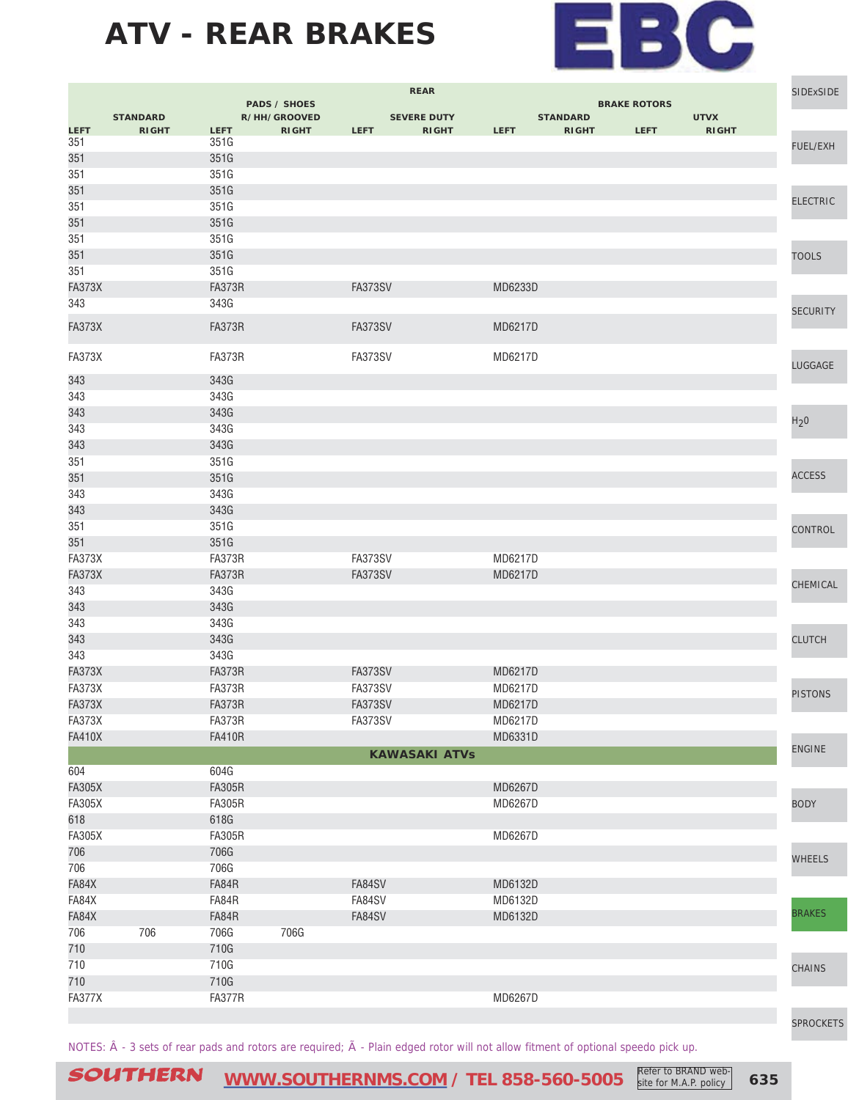

|               | <b>REAR</b>     |               |                                     |                | SIDExSIDE            |             |                 |                     |              |                  |
|---------------|-----------------|---------------|-------------------------------------|----------------|----------------------|-------------|-----------------|---------------------|--------------|------------------|
|               | <b>STANDARD</b> |               | <b>PADS / SHOES</b><br>R/HH/GROOVED |                | <b>SEVERE DUTY</b>   |             | <b>STANDARD</b> | <b>BRAKE ROTORS</b> | <b>UTVX</b>  |                  |
| LEFT          | <b>RIGHT</b>    | <b>LEFT</b>   | <b>RIGHT</b>                        | <b>LEFT</b>    | <b>RIGHT</b>         | <b>LEFT</b> | <b>RIGHT</b>    | <b>LEFT</b>         | <b>RIGHT</b> |                  |
| 351           |                 | 351G          |                                     |                |                      |             |                 |                     |              | <b>FUEL/EXH</b>  |
| 351           |                 | 351G          |                                     |                |                      |             |                 |                     |              |                  |
| 351           |                 | 351G          |                                     |                |                      |             |                 |                     |              |                  |
| 351           |                 | 351G          |                                     |                |                      |             |                 |                     |              | <b>ELECTRIC</b>  |
| 351           |                 | 351G          |                                     |                |                      |             |                 |                     |              |                  |
| 351           |                 | 351G          |                                     |                |                      |             |                 |                     |              |                  |
| 351           |                 | 351G          |                                     |                |                      |             |                 |                     |              |                  |
| 351           |                 | 351G          |                                     |                |                      |             |                 |                     |              | <b>TOOLS</b>     |
| 351           |                 | 351G          |                                     |                |                      |             |                 |                     |              |                  |
| <b>FA373X</b> |                 | <b>FA373R</b> |                                     | FA373SV        |                      | MD6233D     |                 |                     |              |                  |
| 343           |                 | 343G          |                                     |                |                      |             |                 |                     |              | <b>SECURITY</b>  |
| <b>FA373X</b> |                 | <b>FA373R</b> |                                     | <b>FA373SV</b> |                      | MD6217D     |                 |                     |              |                  |
|               |                 |               |                                     |                |                      |             |                 |                     |              |                  |
| <b>FA373X</b> |                 | <b>FA373R</b> |                                     | FA373SV        |                      | MD6217D     |                 |                     |              | LUGGAGE          |
| 343           |                 | 343G          |                                     |                |                      |             |                 |                     |              |                  |
| 343           |                 | 343G          |                                     |                |                      |             |                 |                     |              |                  |
| 343           |                 | 343G          |                                     |                |                      |             |                 |                     |              |                  |
| 343           |                 | 343G          |                                     |                |                      |             |                 |                     |              | H <sub>2</sub> 0 |
| 343           |                 | 343G          |                                     |                |                      |             |                 |                     |              |                  |
| 351           |                 | 351G          |                                     |                |                      |             |                 |                     |              |                  |
| 351           |                 | 351G          |                                     |                |                      |             |                 |                     |              | <b>ACCESS</b>    |
| 343           |                 | 343G          |                                     |                |                      |             |                 |                     |              |                  |
| 343           |                 | 343G          |                                     |                |                      |             |                 |                     |              |                  |
| 351           |                 | 351G          |                                     |                |                      |             |                 |                     |              | CONTROL          |
| 351           |                 | 351G          |                                     |                |                      |             |                 |                     |              |                  |
| FA373X        |                 | FA373R        |                                     | FA373SV        |                      | MD6217D     |                 |                     |              |                  |
| <b>FA373X</b> |                 | <b>FA373R</b> |                                     | <b>FA373SV</b> |                      | MD6217D     |                 |                     |              |                  |
| 343           |                 | 343G          |                                     |                |                      |             |                 |                     |              | CHEMICAL         |
| 343           |                 | 343G          |                                     |                |                      |             |                 |                     |              |                  |
| 343           |                 | 343G          |                                     |                |                      |             |                 |                     |              |                  |
| 343           |                 | 343G          |                                     |                |                      |             |                 |                     |              | <b>CLUTCH</b>    |
| 343           |                 | 343G          |                                     |                |                      |             |                 |                     |              |                  |
| <b>FA373X</b> |                 | <b>FA373R</b> |                                     | FA373SV        |                      | MD6217D     |                 |                     |              |                  |
| <b>FA373X</b> |                 | FA373R        |                                     | FA373SV        |                      | MD6217D     |                 |                     |              | <b>PISTONS</b>   |
| <b>FA373X</b> |                 | <b>FA373R</b> |                                     | <b>FA373SV</b> |                      | MD6217D     |                 |                     |              |                  |
| FA373X        |                 | FA373R        |                                     | FA373SV        |                      | MD6217D     |                 |                     |              |                  |
| <b>FA410X</b> |                 | <b>FA410R</b> |                                     |                |                      | MD6331D     |                 |                     |              | <b>ENGINE</b>    |
|               |                 |               |                                     |                | <b>KAWASAKI ATVs</b> |             |                 |                     |              |                  |
| 604           |                 | 604G          |                                     |                |                      |             |                 |                     |              |                  |
| <b>FA305X</b> |                 | <b>FA305R</b> |                                     |                |                      | MD6267D     |                 |                     |              |                  |
| <b>FA305X</b> |                 | <b>FA305R</b> |                                     |                |                      | MD6267D     |                 |                     |              | <b>BODY</b>      |
| 618           |                 | 618G          |                                     |                |                      |             |                 |                     |              |                  |
| <b>FA305X</b> |                 | <b>FA305R</b> |                                     |                |                      | MD6267D     |                 |                     |              |                  |
| 706           |                 | 706G          |                                     |                |                      |             |                 |                     |              | <b>WHEELS</b>    |
| 706           |                 | 706G          |                                     |                |                      |             |                 |                     |              |                  |
| FA84X         |                 | FA84R         |                                     | FA84SV         |                      | MD6132D     |                 |                     |              |                  |
| FA84X         |                 | FA84R         |                                     | FA84SV         |                      | MD6132D     |                 |                     |              | <b>BRAKES</b>    |
| FA84X         |                 | FA84R         |                                     | FA84SV         |                      | MD6132D     |                 |                     |              |                  |
| 706           | 706             | 706G          | 706G                                |                |                      |             |                 |                     |              |                  |
| 710           |                 | 710G          |                                     |                |                      |             |                 |                     |              |                  |
| 710           |                 | 710G          |                                     |                |                      |             |                 |                     |              | <b>CHAINS</b>    |
| 710           |                 | 710G          |                                     |                |                      |             |                 |                     |              |                  |
| <b>FA377X</b> |                 | <b>FA377R</b> |                                     |                |                      | MD6267D     |                 |                     |              |                  |
|               |                 |               |                                     |                |                      |             |                 |                     |              | <b>CODOQUETO</b> |

NOTES:  $\hat{A}$  - 3 sets of rear pads and rotors are required;  $\tilde{A}$  - Plain edged rotor will not allow fitment of optional speedo pick up.

[SPROCKETS](http://www.southernms.com/wp-content/uploads/2015/08/18_sprockets.pdf)

SOUTHERN [WWW.SOUTHERNMS.COM](http://m.southernms.com) / TEL 858-560-5005 Refer to BRAND web-<br>
635 **Site for M.A.P. policy** site for M.A.P. policy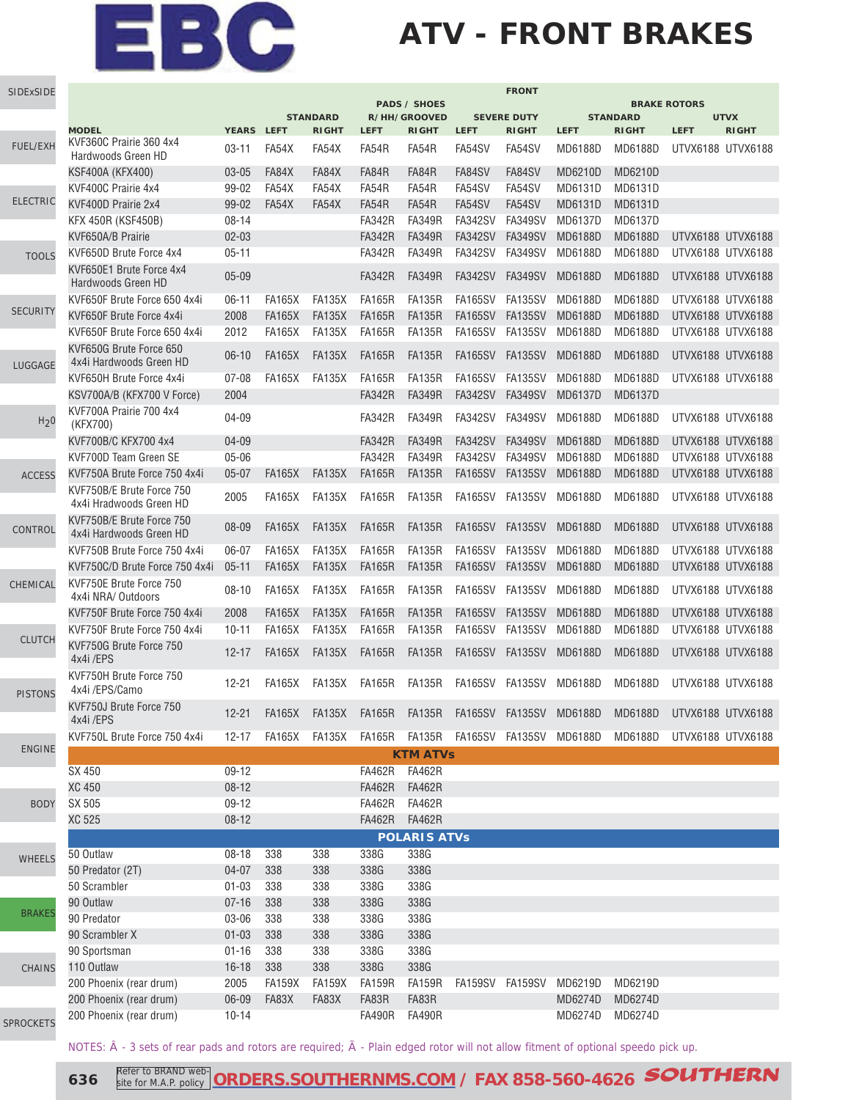## **ATV - FRONT BRAKES**

| SIDExSIDE        |                                                      |                                                                                                                                                                                                                                                                                                                                                                                                                                                                                                                                                                                                                                                                                                                                                                                                                                                                                                                                                                                                                                                                                                                                                                                                                                                                                                                                                                                                                                                                                                                                                                                                                                                                                                                                                                                                       |               |               |                | <b>FRONT</b><br><b>BRAKE ROTORS</b> |                |                |                |                 |                                                                                                                                                                                                                                                                                                                                                                                                                                    |              |
|------------------|------------------------------------------------------|-------------------------------------------------------------------------------------------------------------------------------------------------------------------------------------------------------------------------------------------------------------------------------------------------------------------------------------------------------------------------------------------------------------------------------------------------------------------------------------------------------------------------------------------------------------------------------------------------------------------------------------------------------------------------------------------------------------------------------------------------------------------------------------------------------------------------------------------------------------------------------------------------------------------------------------------------------------------------------------------------------------------------------------------------------------------------------------------------------------------------------------------------------------------------------------------------------------------------------------------------------------------------------------------------------------------------------------------------------------------------------------------------------------------------------------------------------------------------------------------------------------------------------------------------------------------------------------------------------------------------------------------------------------------------------------------------------------------------------------------------------------------------------------------------------|---------------|---------------|----------------|-------------------------------------|----------------|----------------|----------------|-----------------|------------------------------------------------------------------------------------------------------------------------------------------------------------------------------------------------------------------------------------------------------------------------------------------------------------------------------------------------------------------------------------------------------------------------------------|--------------|
|                  |                                                      |                                                                                                                                                                                                                                                                                                                                                                                                                                                                                                                                                                                                                                                                                                                                                                                                                                                                                                                                                                                                                                                                                                                                                                                                                                                                                                                                                                                                                                                                                                                                                                                                                                                                                                                                                                                                       |               |               |                |                                     |                |                |                | <b>STANDARD</b> |                                                                                                                                                                                                                                                                                                                                                                                                                                    |              |
|                  | <b>MODEL</b>                                         |                                                                                                                                                                                                                                                                                                                                                                                                                                                                                                                                                                                                                                                                                                                                                                                                                                                                                                                                                                                                                                                                                                                                                                                                                                                                                                                                                                                                                                                                                                                                                                                                                                                                                                                                                                                                       |               | <b>RIGHT</b>  | <b>LEFT</b>    | <b>RIGHT</b>                        | <b>LEFT</b>    | <b>RIGHT</b>   | <b>LEFT</b>    | <b>RIGHT</b>    | <b>LEFT</b>                                                                                                                                                                                                                                                                                                                                                                                                                        | <b>RIGHT</b> |
| <b>FUEL/EXH</b>  | KVF360C Prairie 360 4x4<br>Hardwoods Green HD        | $03 - 11$                                                                                                                                                                                                                                                                                                                                                                                                                                                                                                                                                                                                                                                                                                                                                                                                                                                                                                                                                                                                                                                                                                                                                                                                                                                                                                                                                                                                                                                                                                                                                                                                                                                                                                                                                                                             | FA54X         | FA54X         | FA54R          | FA54R                               | FA54SV         | FA54SV         | MD6188D        | MD6188D         |                                                                                                                                                                                                                                                                                                                                                                                                                                    |              |
|                  | KSF400A (KFX400)                                     | $03 - 05$                                                                                                                                                                                                                                                                                                                                                                                                                                                                                                                                                                                                                                                                                                                                                                                                                                                                                                                                                                                                                                                                                                                                                                                                                                                                                                                                                                                                                                                                                                                                                                                                                                                                                                                                                                                             | FA84X         | FA84X         | FA84R          | FA84R                               | FA84SV         | FA84SV         | MD6210D        | MD6210D         |                                                                                                                                                                                                                                                                                                                                                                                                                                    |              |
|                  | KVF400C Prairie 4x4                                  | 99-02                                                                                                                                                                                                                                                                                                                                                                                                                                                                                                                                                                                                                                                                                                                                                                                                                                                                                                                                                                                                                                                                                                                                                                                                                                                                                                                                                                                                                                                                                                                                                                                                                                                                                                                                                                                                 | FA54X         | FA54X         | FA54R          | FA54R                               | FA54SV         | FA54SV         | MD6131D        | MD6131D         | <b>UTVX</b><br>UTVX6188 UTVX6188<br>UTVX6188 UTVX6188<br>UTVX6188 UTVX6188<br>UTVX6188 UTVX6188<br>UTVX6188 UTVX6188<br>UTVX6188 UTVX6188<br>UTVX6188 UTVX6188<br>UTVX6188 UTVX6188<br>UTVX6188 UTVX6188<br>UTVX6188 UTVX6188<br>UTVX6188 UTVX6188<br>UTVX6188 UTVX6188<br>UTVX6188 UTVX6188<br>UTVX6188 UTVX6188<br>UTVX6188 UTVX6188<br>UTVX6188 UTVX6188<br>UTVX6188 UTVX6188<br>UTVX6188 UTVX6188<br>MD6188D UTVX6188 UTVX6188 |              |
| <b>ELECTRIC</b>  | KVF400D Prairie 2x4                                  | 99-02                                                                                                                                                                                                                                                                                                                                                                                                                                                                                                                                                                                                                                                                                                                                                                                                                                                                                                                                                                                                                                                                                                                                                                                                                                                                                                                                                                                                                                                                                                                                                                                                                                                                                                                                                                                                 | FA54X         | FA54X         | FA54R          | FA54R                               | FA54SV         | FA54SV         | MD6131D        | MD6131D         |                                                                                                                                                                                                                                                                                                                                                                                                                                    |              |
|                  | <b>KFX 450R (KSF450B)</b>                            | $08 - 14$                                                                                                                                                                                                                                                                                                                                                                                                                                                                                                                                                                                                                                                                                                                                                                                                                                                                                                                                                                                                                                                                                                                                                                                                                                                                                                                                                                                                                                                                                                                                                                                                                                                                                                                                                                                             |               |               | <b>FA342R</b>  | <b>FA349R</b>                       | <b>FA342SV</b> | <b>FA349SV</b> | MD6137D        | MD6137D         |                                                                                                                                                                                                                                                                                                                                                                                                                                    |              |
|                  | KVF650A/B Prairie                                    | $02 - 03$                                                                                                                                                                                                                                                                                                                                                                                                                                                                                                                                                                                                                                                                                                                                                                                                                                                                                                                                                                                                                                                                                                                                                                                                                                                                                                                                                                                                                                                                                                                                                                                                                                                                                                                                                                                             |               |               | <b>FA342R</b>  | <b>FA349R</b>                       | <b>FA342SV</b> | <b>FA349SV</b> | <b>MD6188D</b> | <b>MD6188D</b>  |                                                                                                                                                                                                                                                                                                                                                                                                                                    |              |
| <b>TOOLS</b>     | KVF650D Brute Force 4x4                              | $05 - 11$                                                                                                                                                                                                                                                                                                                                                                                                                                                                                                                                                                                                                                                                                                                                                                                                                                                                                                                                                                                                                                                                                                                                                                                                                                                                                                                                                                                                                                                                                                                                                                                                                                                                                                                                                                                             |               |               | <b>FA342R</b>  | <b>FA349R</b>                       | <b>FA342SV</b> | <b>FA349SV</b> | MD6188D        | MD6188D         |                                                                                                                                                                                                                                                                                                                                                                                                                                    |              |
|                  | KVF650E1 Brute Force 4x4<br>Hardwoods Green HD       | $05 - 09$                                                                                                                                                                                                                                                                                                                                                                                                                                                                                                                                                                                                                                                                                                                                                                                                                                                                                                                                                                                                                                                                                                                                                                                                                                                                                                                                                                                                                                                                                                                                                                                                                                                                                                                                                                                             |               |               | <b>FA342R</b>  | <b>FA349R</b>                       | <b>FA342SV</b> | FA349SV        | MD6188D        | <b>MD6188D</b>  |                                                                                                                                                                                                                                                                                                                                                                                                                                    |              |
|                  | KVF650F Brute Force 650 4x4i                         | $06 - 11$                                                                                                                                                                                                                                                                                                                                                                                                                                                                                                                                                                                                                                                                                                                                                                                                                                                                                                                                                                                                                                                                                                                                                                                                                                                                                                                                                                                                                                                                                                                                                                                                                                                                                                                                                                                             | <b>FA165X</b> | <b>FA135X</b> | <b>FA165R</b>  | <b>FA135R</b>                       | FA165SV        | FA135SV        | MD6188D        | MD6188D         |                                                                                                                                                                                                                                                                                                                                                                                                                                    |              |
| <b>SECURITY</b>  | KVF650F Brute Force 4x4i                             | 2008                                                                                                                                                                                                                                                                                                                                                                                                                                                                                                                                                                                                                                                                                                                                                                                                                                                                                                                                                                                                                                                                                                                                                                                                                                                                                                                                                                                                                                                                                                                                                                                                                                                                                                                                                                                                  | <b>FA165X</b> | <b>FA135X</b> | <b>FA165R</b>  | <b>FA135R</b>                       | <b>FA165SV</b> | <b>FA135SV</b> | MD6188D        | <b>MD6188D</b>  |                                                                                                                                                                                                                                                                                                                                                                                                                                    |              |
|                  | KVF650F Brute Force 650 4x4i                         | 2012                                                                                                                                                                                                                                                                                                                                                                                                                                                                                                                                                                                                                                                                                                                                                                                                                                                                                                                                                                                                                                                                                                                                                                                                                                                                                                                                                                                                                                                                                                                                                                                                                                                                                                                                                                                                  | <b>FA165X</b> | <b>FA135X</b> | <b>FA165R</b>  | FA135R                              | <b>FA165SV</b> | <b>FA135SV</b> | MD6188D        | MD6188D         |                                                                                                                                                                                                                                                                                                                                                                                                                                    |              |
| LUGGAGE          | KVF650G Brute Force 650<br>4x4i Hardwoods Green HD   | $06-10$                                                                                                                                                                                                                                                                                                                                                                                                                                                                                                                                                                                                                                                                                                                                                                                                                                                                                                                                                                                                                                                                                                                                                                                                                                                                                                                                                                                                                                                                                                                                                                                                                                                                                                                                                                                               | <b>FA165X</b> | <b>FA135X</b> | <b>FA165R</b>  | <b>FA135R</b>                       | <b>FA165SV</b> | <b>FA135SV</b> | MD6188D        | <b>MD6188D</b>  |                                                                                                                                                                                                                                                                                                                                                                                                                                    |              |
|                  | KVF650H Brute Force 4x4i                             | $07 - 08$                                                                                                                                                                                                                                                                                                                                                                                                                                                                                                                                                                                                                                                                                                                                                                                                                                                                                                                                                                                                                                                                                                                                                                                                                                                                                                                                                                                                                                                                                                                                                                                                                                                                                                                                                                                             | <b>FA165X</b> | <b>FA135X</b> | <b>FA165R</b>  | <b>FA135R</b>                       | <b>FA165SV</b> | FA135SV        | MD6188D        | MD6188D         |                                                                                                                                                                                                                                                                                                                                                                                                                                    |              |
|                  | KSV700A/B (KFX700 V Force)                           | 2004                                                                                                                                                                                                                                                                                                                                                                                                                                                                                                                                                                                                                                                                                                                                                                                                                                                                                                                                                                                                                                                                                                                                                                                                                                                                                                                                                                                                                                                                                                                                                                                                                                                                                                                                                                                                  |               |               | <b>FA342R</b>  | <b>FA349R</b>                       | <b>FA342SV</b> | <b>FA349SV</b> | MD6137D        | MD6137D         |                                                                                                                                                                                                                                                                                                                                                                                                                                    |              |
| H <sub>2</sub> 0 | KVF700A Prairie 700 4x4<br>(KFX700)                  | 04-09                                                                                                                                                                                                                                                                                                                                                                                                                                                                                                                                                                                                                                                                                                                                                                                                                                                                                                                                                                                                                                                                                                                                                                                                                                                                                                                                                                                                                                                                                                                                                                                                                                                                                                                                                                                                 |               |               | <b>FA342R</b>  | <b>FA349R</b>                       | <b>FA342SV</b> | FA349SV        | MD6188D        | MD6188D         |                                                                                                                                                                                                                                                                                                                                                                                                                                    |              |
|                  | KVF700B/C KFX700 4x4                                 | 04-09                                                                                                                                                                                                                                                                                                                                                                                                                                                                                                                                                                                                                                                                                                                                                                                                                                                                                                                                                                                                                                                                                                                                                                                                                                                                                                                                                                                                                                                                                                                                                                                                                                                                                                                                                                                                 |               |               | <b>FA342R</b>  | <b>FA349R</b>                       | <b>FA342SV</b> | <b>FA349SV</b> | <b>MD6188D</b> | MD6188D         |                                                                                                                                                                                                                                                                                                                                                                                                                                    |              |
|                  | KVF700D Team Green SE                                | $05 - 06$                                                                                                                                                                                                                                                                                                                                                                                                                                                                                                                                                                                                                                                                                                                                                                                                                                                                                                                                                                                                                                                                                                                                                                                                                                                                                                                                                                                                                                                                                                                                                                                                                                                                                                                                                                                             |               |               | <b>FA342R</b>  | <b>FA349R</b>                       | <b>FA342SV</b> | <b>FA349SV</b> | MD6188D        | MD6188D         |                                                                                                                                                                                                                                                                                                                                                                                                                                    |              |
| <b>ACCESS</b>    | KVF750A Brute Force 750 4x4i                         | $05 - 07$                                                                                                                                                                                                                                                                                                                                                                                                                                                                                                                                                                                                                                                                                                                                                                                                                                                                                                                                                                                                                                                                                                                                                                                                                                                                                                                                                                                                                                                                                                                                                                                                                                                                                                                                                                                             | <b>FA165X</b> | <b>FA135X</b> | <b>FA165R</b>  | <b>FA135R</b>                       | <b>FA165SV</b> | <b>FA135SV</b> | MD6188D        | <b>MD6188D</b>  |                                                                                                                                                                                                                                                                                                                                                                                                                                    |              |
|                  | KVF750B/E Brute Force 750<br>4x4i Hradwoods Green HD | 2005                                                                                                                                                                                                                                                                                                                                                                                                                                                                                                                                                                                                                                                                                                                                                                                                                                                                                                                                                                                                                                                                                                                                                                                                                                                                                                                                                                                                                                                                                                                                                                                                                                                                                                                                                                                                  | <b>FA165X</b> | FA135X        | <b>FA165R</b>  | FA135R                              | <b>FA165SV</b> | FA135SV        | MD6188D        | MD6188D         |                                                                                                                                                                                                                                                                                                                                                                                                                                    |              |
| CONTROL          | KVF750B/E Brute Force 750<br>4x4i Hardwoods Green HD | <b>PADS / SHOES</b><br><b>STANDARD</b><br>R/HH/GROOVED<br><b>SEVERE DUTY</b><br>YEARS LEFT<br><b>FA165X</b><br><b>FA135X</b><br><b>FA165R</b><br><b>FA135R</b><br>FA165SV<br>08-09<br><b>FA135X</b><br><b>FA165R</b><br><b>FA135R</b><br>FA165SV<br>06-07<br><b>FA165X</b><br><b>FA165R</b><br>$05 - 11$<br><b>FA165X</b><br><b>FA135X</b><br><b>FA135R</b><br>FA165SV<br><b>FA135X</b><br><b>FA165R</b><br>FA165SV<br>$08 - 10$<br><b>FA165X</b><br>FA135R<br><b>FA135X</b><br><b>FA165R</b><br><b>FA135R</b><br><b>FA165SV</b><br>2008<br><b>FA165X</b><br><b>FA135X</b><br><b>FA165R</b><br><b>FA135R</b><br><b>FA165SV</b><br>$10 - 11$<br><b>FA165X</b><br><b>FA165SV</b><br><b>FA165X</b><br>FA135X<br><b>FA165R</b><br><b>FA135R</b><br>$12 - 17$<br><b>FA165R</b><br>FA165SV FA135SV<br>$12 - 21$<br><b>FA165X</b><br>FA135X<br>FA135R<br>FA165X FA135X FA165R FA135R FA165SV FA135SV MD6188D<br>$12 - 21$<br>FA165X FA135X FA165R FA135R FA165SV FA135SV MD6188D MD6188D UTVX6188 UTVX6188<br>$12 - 17$<br><b>KTM ATVs</b><br>09-12<br><b>FA462R</b><br><b>FA462R</b><br>$08 - 12$<br><b>FA462R</b><br><b>FA462R</b><br>09-12<br><b>FA462R</b><br><b>FA462R</b><br><b>FA462R</b><br>$08 - 12$<br><b>FA462R</b><br><b>POLARIS ATVs</b><br>$08 - 18$<br>338<br>338<br>338G<br>338G<br>338G<br>$04 - 07$<br>338<br>338G<br>338<br>$01 - 03$<br>338<br>338<br>338G<br>338G<br>$07 - 16$<br>338<br>338<br>338G<br>338G<br>03-06<br>338<br>338<br>338G<br>338G<br>338G<br>$01 - 03$<br>338<br>338<br>338G<br>338<br>338G<br>338G<br>$01 - 16$<br>338<br>338G<br>338<br>338<br>338G<br>$16 - 18$<br>2005<br><b>FA159X</b><br><b>FA159X</b><br><b>FA159R</b><br><b>FA159R</b><br>FA159SV FA159SV MD6219D<br>06-09<br>FA83X<br>FA83X<br>FA83R<br>FA83R<br>$10 - 14$<br><b>FA490R</b><br><b>FA490R</b> | FA135SV       | MD6188D       | <b>MD6188D</b> |                                     |                |                |                |                 |                                                                                                                                                                                                                                                                                                                                                                                                                                    |              |
|                  | KVF750B Brute Force 750 4x4i                         |                                                                                                                                                                                                                                                                                                                                                                                                                                                                                                                                                                                                                                                                                                                                                                                                                                                                                                                                                                                                                                                                                                                                                                                                                                                                                                                                                                                                                                                                                                                                                                                                                                                                                                                                                                                                       |               |               |                |                                     |                | FA135SV        | MD6188D        | <b>MD6188D</b>  | UTVX6188 UTVX6188<br>UTVX6188 UTVX6188<br>UTVX6188 UTVX6188<br>UTVX6188 UTVX6188                                                                                                                                                                                                                                                                                                                                                   |              |
|                  | KVF750C/D Brute Force 750 4x4i                       |                                                                                                                                                                                                                                                                                                                                                                                                                                                                                                                                                                                                                                                                                                                                                                                                                                                                                                                                                                                                                                                                                                                                                                                                                                                                                                                                                                                                                                                                                                                                                                                                                                                                                                                                                                                                       |               |               |                |                                     |                | FA135SV        | MD6188D        | MD6188D         |                                                                                                                                                                                                                                                                                                                                                                                                                                    |              |
| CHEMICAL         | KVF750E Brute Force 750<br>4x4i NRA/ Outdoors        |                                                                                                                                                                                                                                                                                                                                                                                                                                                                                                                                                                                                                                                                                                                                                                                                                                                                                                                                                                                                                                                                                                                                                                                                                                                                                                                                                                                                                                                                                                                                                                                                                                                                                                                                                                                                       |               |               |                |                                     |                | FA135SV        | MD6188D        | MD6188D         |                                                                                                                                                                                                                                                                                                                                                                                                                                    |              |
|                  | KVF750F Brute Force 750 4x4i                         |                                                                                                                                                                                                                                                                                                                                                                                                                                                                                                                                                                                                                                                                                                                                                                                                                                                                                                                                                                                                                                                                                                                                                                                                                                                                                                                                                                                                                                                                                                                                                                                                                                                                                                                                                                                                       |               |               |                |                                     |                | <b>FA135SV</b> | MD6188D        | <b>MD6188D</b>  |                                                                                                                                                                                                                                                                                                                                                                                                                                    |              |
|                  | KVF750F Brute Force 750 4x4i                         |                                                                                                                                                                                                                                                                                                                                                                                                                                                                                                                                                                                                                                                                                                                                                                                                                                                                                                                                                                                                                                                                                                                                                                                                                                                                                                                                                                                                                                                                                                                                                                                                                                                                                                                                                                                                       |               |               |                |                                     |                | FA135SV        | MD6188D        | MD6188D         |                                                                                                                                                                                                                                                                                                                                                                                                                                    |              |
| <b>CLUTCH</b>    | KVF750G Brute Force 750<br>4x4i/EPS                  |                                                                                                                                                                                                                                                                                                                                                                                                                                                                                                                                                                                                                                                                                                                                                                                                                                                                                                                                                                                                                                                                                                                                                                                                                                                                                                                                                                                                                                                                                                                                                                                                                                                                                                                                                                                                       |               |               |                |                                     |                | <b>FA135SV</b> | MD6188D        | MD6188D         |                                                                                                                                                                                                                                                                                                                                                                                                                                    |              |
| <b>PISTONS</b>   | KVF750H Brute Force 750<br>4x4i /EPS/Camo            |                                                                                                                                                                                                                                                                                                                                                                                                                                                                                                                                                                                                                                                                                                                                                                                                                                                                                                                                                                                                                                                                                                                                                                                                                                                                                                                                                                                                                                                                                                                                                                                                                                                                                                                                                                                                       |               |               |                |                                     |                |                | MD6188D        | MD6188D         |                                                                                                                                                                                                                                                                                                                                                                                                                                    |              |
|                  | KVF750J Brute Force 750<br>4x4i/EPS                  |                                                                                                                                                                                                                                                                                                                                                                                                                                                                                                                                                                                                                                                                                                                                                                                                                                                                                                                                                                                                                                                                                                                                                                                                                                                                                                                                                                                                                                                                                                                                                                                                                                                                                                                                                                                                       |               |               |                |                                     |                |                |                |                 |                                                                                                                                                                                                                                                                                                                                                                                                                                    |              |
|                  | KVF750L Brute Force 750 4x4i                         |                                                                                                                                                                                                                                                                                                                                                                                                                                                                                                                                                                                                                                                                                                                                                                                                                                                                                                                                                                                                                                                                                                                                                                                                                                                                                                                                                                                                                                                                                                                                                                                                                                                                                                                                                                                                       |               |               |                |                                     |                |                |                |                 |                                                                                                                                                                                                                                                                                                                                                                                                                                    |              |
| <b>ENGINE</b>    |                                                      |                                                                                                                                                                                                                                                                                                                                                                                                                                                                                                                                                                                                                                                                                                                                                                                                                                                                                                                                                                                                                                                                                                                                                                                                                                                                                                                                                                                                                                                                                                                                                                                                                                                                                                                                                                                                       |               |               |                |                                     |                |                |                |                 |                                                                                                                                                                                                                                                                                                                                                                                                                                    |              |
|                  | SX 450                                               |                                                                                                                                                                                                                                                                                                                                                                                                                                                                                                                                                                                                                                                                                                                                                                                                                                                                                                                                                                                                                                                                                                                                                                                                                                                                                                                                                                                                                                                                                                                                                                                                                                                                                                                                                                                                       |               |               |                |                                     |                |                |                |                 |                                                                                                                                                                                                                                                                                                                                                                                                                                    |              |
|                  | XC 450                                               |                                                                                                                                                                                                                                                                                                                                                                                                                                                                                                                                                                                                                                                                                                                                                                                                                                                                                                                                                                                                                                                                                                                                                                                                                                                                                                                                                                                                                                                                                                                                                                                                                                                                                                                                                                                                       |               |               |                |                                     |                |                |                |                 |                                                                                                                                                                                                                                                                                                                                                                                                                                    |              |
| <b>BODY</b>      | SX 505                                               |                                                                                                                                                                                                                                                                                                                                                                                                                                                                                                                                                                                                                                                                                                                                                                                                                                                                                                                                                                                                                                                                                                                                                                                                                                                                                                                                                                                                                                                                                                                                                                                                                                                                                                                                                                                                       |               |               |                |                                     |                |                |                |                 |                                                                                                                                                                                                                                                                                                                                                                                                                                    |              |
|                  | XC 525                                               |                                                                                                                                                                                                                                                                                                                                                                                                                                                                                                                                                                                                                                                                                                                                                                                                                                                                                                                                                                                                                                                                                                                                                                                                                                                                                                                                                                                                                                                                                                                                                                                                                                                                                                                                                                                                       |               |               |                |                                     |                |                |                |                 |                                                                                                                                                                                                                                                                                                                                                                                                                                    |              |
|                  |                                                      |                                                                                                                                                                                                                                                                                                                                                                                                                                                                                                                                                                                                                                                                                                                                                                                                                                                                                                                                                                                                                                                                                                                                                                                                                                                                                                                                                                                                                                                                                                                                                                                                                                                                                                                                                                                                       |               |               |                |                                     |                |                |                |                 |                                                                                                                                                                                                                                                                                                                                                                                                                                    |              |
| <b>WHEELS</b>    | 50 Outlaw                                            |                                                                                                                                                                                                                                                                                                                                                                                                                                                                                                                                                                                                                                                                                                                                                                                                                                                                                                                                                                                                                                                                                                                                                                                                                                                                                                                                                                                                                                                                                                                                                                                                                                                                                                                                                                                                       |               |               |                |                                     |                |                |                |                 |                                                                                                                                                                                                                                                                                                                                                                                                                                    |              |
|                  | 50 Predator (2T)                                     |                                                                                                                                                                                                                                                                                                                                                                                                                                                                                                                                                                                                                                                                                                                                                                                                                                                                                                                                                                                                                                                                                                                                                                                                                                                                                                                                                                                                                                                                                                                                                                                                                                                                                                                                                                                                       |               |               |                |                                     |                |                |                |                 |                                                                                                                                                                                                                                                                                                                                                                                                                                    |              |
|                  | 50 Scrambler                                         |                                                                                                                                                                                                                                                                                                                                                                                                                                                                                                                                                                                                                                                                                                                                                                                                                                                                                                                                                                                                                                                                                                                                                                                                                                                                                                                                                                                                                                                                                                                                                                                                                                                                                                                                                                                                       |               |               |                |                                     |                |                |                |                 |                                                                                                                                                                                                                                                                                                                                                                                                                                    |              |
|                  | 90 Outlaw                                            |                                                                                                                                                                                                                                                                                                                                                                                                                                                                                                                                                                                                                                                                                                                                                                                                                                                                                                                                                                                                                                                                                                                                                                                                                                                                                                                                                                                                                                                                                                                                                                                                                                                                                                                                                                                                       |               |               |                |                                     |                |                |                |                 |                                                                                                                                                                                                                                                                                                                                                                                                                                    |              |
| <b>BRAKES</b>    | 90 Predator                                          |                                                                                                                                                                                                                                                                                                                                                                                                                                                                                                                                                                                                                                                                                                                                                                                                                                                                                                                                                                                                                                                                                                                                                                                                                                                                                                                                                                                                                                                                                                                                                                                                                                                                                                                                                                                                       |               |               |                |                                     |                |                |                |                 |                                                                                                                                                                                                                                                                                                                                                                                                                                    |              |
|                  | 90 Scrambler X                                       |                                                                                                                                                                                                                                                                                                                                                                                                                                                                                                                                                                                                                                                                                                                                                                                                                                                                                                                                                                                                                                                                                                                                                                                                                                                                                                                                                                                                                                                                                                                                                                                                                                                                                                                                                                                                       |               |               |                |                                     |                |                |                |                 |                                                                                                                                                                                                                                                                                                                                                                                                                                    |              |
|                  | 90 Sportsman                                         |                                                                                                                                                                                                                                                                                                                                                                                                                                                                                                                                                                                                                                                                                                                                                                                                                                                                                                                                                                                                                                                                                                                                                                                                                                                                                                                                                                                                                                                                                                                                                                                                                                                                                                                                                                                                       |               |               |                |                                     |                |                |                |                 |                                                                                                                                                                                                                                                                                                                                                                                                                                    |              |
| <b>CHAINS</b>    | 110 Outlaw                                           |                                                                                                                                                                                                                                                                                                                                                                                                                                                                                                                                                                                                                                                                                                                                                                                                                                                                                                                                                                                                                                                                                                                                                                                                                                                                                                                                                                                                                                                                                                                                                                                                                                                                                                                                                                                                       |               |               |                |                                     |                |                |                |                 |                                                                                                                                                                                                                                                                                                                                                                                                                                    |              |
|                  | 200 Phoenix (rear drum)                              |                                                                                                                                                                                                                                                                                                                                                                                                                                                                                                                                                                                                                                                                                                                                                                                                                                                                                                                                                                                                                                                                                                                                                                                                                                                                                                                                                                                                                                                                                                                                                                                                                                                                                                                                                                                                       |               |               |                |                                     |                |                |                | MD6219D         |                                                                                                                                                                                                                                                                                                                                                                                                                                    |              |
|                  | 200 Phoenix (rear drum)                              |                                                                                                                                                                                                                                                                                                                                                                                                                                                                                                                                                                                                                                                                                                                                                                                                                                                                                                                                                                                                                                                                                                                                                                                                                                                                                                                                                                                                                                                                                                                                                                                                                                                                                                                                                                                                       |               |               |                |                                     |                |                | MD6274D        | MD6274D         |                                                                                                                                                                                                                                                                                                                                                                                                                                    |              |
| <b>SPROCKETS</b> | 200 Phoenix (rear drum)                              |                                                                                                                                                                                                                                                                                                                                                                                                                                                                                                                                                                                                                                                                                                                                                                                                                                                                                                                                                                                                                                                                                                                                                                                                                                                                                                                                                                                                                                                                                                                                                                                                                                                                                                                                                                                                       |               |               |                |                                     |                |                | MD6274D        | MD6274D         |                                                                                                                                                                                                                                                                                                                                                                                                                                    |              |

NOTES:  $\hat{A}$  - 3 sets of rear pads and rotors are required;  $\tilde{A}$  - Plain edged rotor will not allow fitment of optional speedo pick up.

**636 Refer to BRAND web-** ORDERS.SOUTHERNMS.COM</u> / FAX 858-560-4626 **SOUTHERN** site for M.A.P. policy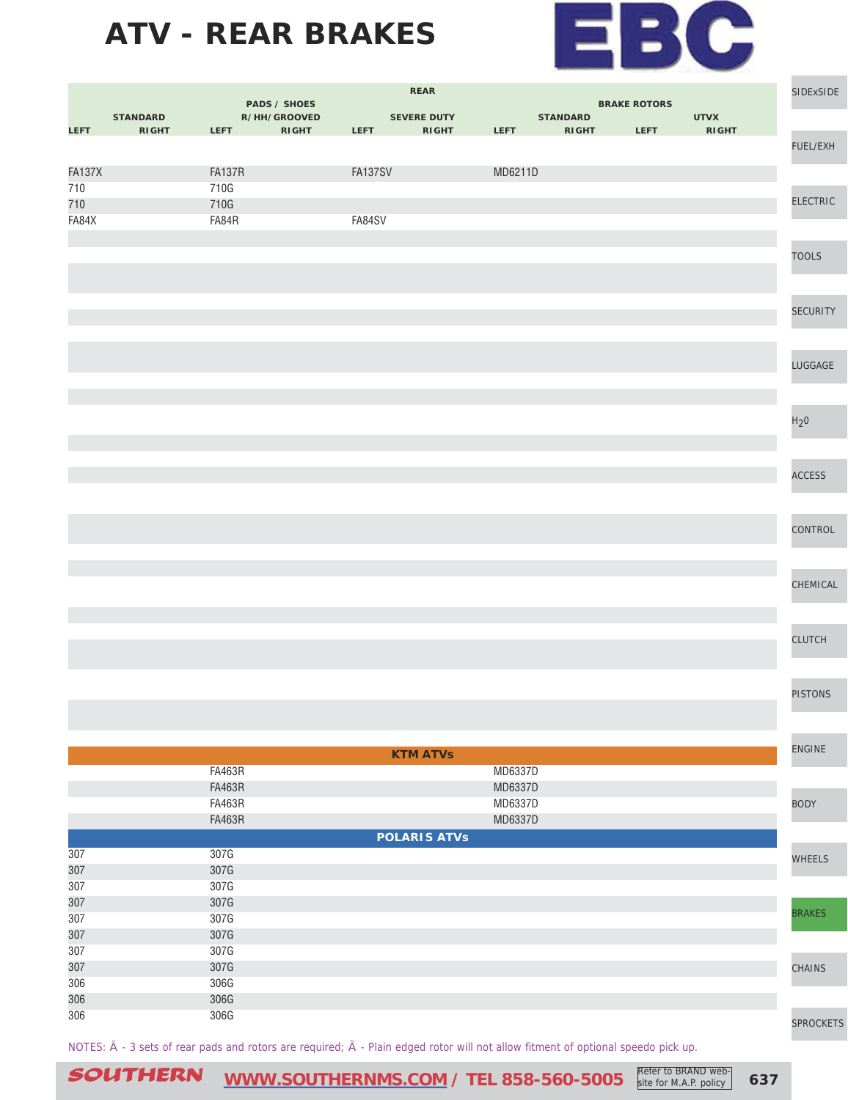

| <b>PADS / SHOES</b><br><b>BRAKE ROTORS</b><br>R/HH/GROOVED<br><b>SEVERE DUTY</b><br><b>UTVX</b><br><b>STANDARD</b><br><b>STANDARD</b><br><b>LEFT</b><br><b>RIGHT</b><br>LEFT <b>All Contracts</b><br><b>RIGHT</b><br>LEFT <b>All Contracts</b><br><b>RIGHT</b><br>LEFT <b>A</b><br>RIGHT LEFT<br><b>RIGHT</b><br>FUEL/EXH<br><b>FA137X</b><br><b>FA137R</b><br>FA137SV<br>MD6211D<br>710<br>710G<br><b>ELECTRIC</b><br>710<br>710G<br>FA84X<br>FA84R<br>FA84SV<br><b>TOOLS</b><br><b>SECURITY</b><br>LUGGAGE<br>H <sub>2</sub> 0<br><b>ACCESS</b><br>CONTROL<br>CHEMICAL<br><b>CLUTCH</b><br><b>PISTONS</b><br><b>ENGINE</b><br><b>KTM ATVs</b><br><b>FA463R</b><br>MD6337D<br><b>FA463R</b><br>MD6337D<br><b>FA463R</b><br>MD6337D<br><b>BODY</b><br><b>FA463R</b><br>MD6337D<br><b>POLARIS ATVs</b><br>307G<br>307<br>WHEELS<br>307<br>307G<br>307<br>307G<br>307<br>307G<br><b>BRAKES</b><br>307<br>307G<br>307<br>307G<br>307<br>307G<br>307<br>307G<br>CHAINS<br>306<br>306G<br>306<br>306G<br>306<br>306G | <b>REAR</b> |  |  |  |  |  | SIDExSIDE |  |           |
|-----------------------------------------------------------------------------------------------------------------------------------------------------------------------------------------------------------------------------------------------------------------------------------------------------------------------------------------------------------------------------------------------------------------------------------------------------------------------------------------------------------------------------------------------------------------------------------------------------------------------------------------------------------------------------------------------------------------------------------------------------------------------------------------------------------------------------------------------------------------------------------------------------------------------------------------------------------------------------------------------------------------|-------------|--|--|--|--|--|-----------|--|-----------|
|                                                                                                                                                                                                                                                                                                                                                                                                                                                                                                                                                                                                                                                                                                                                                                                                                                                                                                                                                                                                                 |             |  |  |  |  |  |           |  |           |
|                                                                                                                                                                                                                                                                                                                                                                                                                                                                                                                                                                                                                                                                                                                                                                                                                                                                                                                                                                                                                 |             |  |  |  |  |  |           |  |           |
|                                                                                                                                                                                                                                                                                                                                                                                                                                                                                                                                                                                                                                                                                                                                                                                                                                                                                                                                                                                                                 |             |  |  |  |  |  |           |  |           |
|                                                                                                                                                                                                                                                                                                                                                                                                                                                                                                                                                                                                                                                                                                                                                                                                                                                                                                                                                                                                                 |             |  |  |  |  |  |           |  |           |
|                                                                                                                                                                                                                                                                                                                                                                                                                                                                                                                                                                                                                                                                                                                                                                                                                                                                                                                                                                                                                 |             |  |  |  |  |  |           |  |           |
|                                                                                                                                                                                                                                                                                                                                                                                                                                                                                                                                                                                                                                                                                                                                                                                                                                                                                                                                                                                                                 |             |  |  |  |  |  |           |  |           |
|                                                                                                                                                                                                                                                                                                                                                                                                                                                                                                                                                                                                                                                                                                                                                                                                                                                                                                                                                                                                                 |             |  |  |  |  |  |           |  |           |
|                                                                                                                                                                                                                                                                                                                                                                                                                                                                                                                                                                                                                                                                                                                                                                                                                                                                                                                                                                                                                 |             |  |  |  |  |  |           |  |           |
|                                                                                                                                                                                                                                                                                                                                                                                                                                                                                                                                                                                                                                                                                                                                                                                                                                                                                                                                                                                                                 |             |  |  |  |  |  |           |  |           |
|                                                                                                                                                                                                                                                                                                                                                                                                                                                                                                                                                                                                                                                                                                                                                                                                                                                                                                                                                                                                                 |             |  |  |  |  |  |           |  |           |
|                                                                                                                                                                                                                                                                                                                                                                                                                                                                                                                                                                                                                                                                                                                                                                                                                                                                                                                                                                                                                 |             |  |  |  |  |  |           |  |           |
|                                                                                                                                                                                                                                                                                                                                                                                                                                                                                                                                                                                                                                                                                                                                                                                                                                                                                                                                                                                                                 |             |  |  |  |  |  |           |  |           |
|                                                                                                                                                                                                                                                                                                                                                                                                                                                                                                                                                                                                                                                                                                                                                                                                                                                                                                                                                                                                                 |             |  |  |  |  |  |           |  |           |
|                                                                                                                                                                                                                                                                                                                                                                                                                                                                                                                                                                                                                                                                                                                                                                                                                                                                                                                                                                                                                 |             |  |  |  |  |  |           |  |           |
|                                                                                                                                                                                                                                                                                                                                                                                                                                                                                                                                                                                                                                                                                                                                                                                                                                                                                                                                                                                                                 |             |  |  |  |  |  |           |  |           |
|                                                                                                                                                                                                                                                                                                                                                                                                                                                                                                                                                                                                                                                                                                                                                                                                                                                                                                                                                                                                                 |             |  |  |  |  |  |           |  |           |
|                                                                                                                                                                                                                                                                                                                                                                                                                                                                                                                                                                                                                                                                                                                                                                                                                                                                                                                                                                                                                 |             |  |  |  |  |  |           |  |           |
|                                                                                                                                                                                                                                                                                                                                                                                                                                                                                                                                                                                                                                                                                                                                                                                                                                                                                                                                                                                                                 |             |  |  |  |  |  |           |  |           |
|                                                                                                                                                                                                                                                                                                                                                                                                                                                                                                                                                                                                                                                                                                                                                                                                                                                                                                                                                                                                                 |             |  |  |  |  |  |           |  |           |
|                                                                                                                                                                                                                                                                                                                                                                                                                                                                                                                                                                                                                                                                                                                                                                                                                                                                                                                                                                                                                 |             |  |  |  |  |  |           |  |           |
|                                                                                                                                                                                                                                                                                                                                                                                                                                                                                                                                                                                                                                                                                                                                                                                                                                                                                                                                                                                                                 |             |  |  |  |  |  |           |  |           |
|                                                                                                                                                                                                                                                                                                                                                                                                                                                                                                                                                                                                                                                                                                                                                                                                                                                                                                                                                                                                                 |             |  |  |  |  |  |           |  |           |
|                                                                                                                                                                                                                                                                                                                                                                                                                                                                                                                                                                                                                                                                                                                                                                                                                                                                                                                                                                                                                 |             |  |  |  |  |  |           |  |           |
|                                                                                                                                                                                                                                                                                                                                                                                                                                                                                                                                                                                                                                                                                                                                                                                                                                                                                                                                                                                                                 |             |  |  |  |  |  |           |  |           |
|                                                                                                                                                                                                                                                                                                                                                                                                                                                                                                                                                                                                                                                                                                                                                                                                                                                                                                                                                                                                                 |             |  |  |  |  |  |           |  |           |
|                                                                                                                                                                                                                                                                                                                                                                                                                                                                                                                                                                                                                                                                                                                                                                                                                                                                                                                                                                                                                 |             |  |  |  |  |  |           |  |           |
|                                                                                                                                                                                                                                                                                                                                                                                                                                                                                                                                                                                                                                                                                                                                                                                                                                                                                                                                                                                                                 |             |  |  |  |  |  |           |  |           |
|                                                                                                                                                                                                                                                                                                                                                                                                                                                                                                                                                                                                                                                                                                                                                                                                                                                                                                                                                                                                                 |             |  |  |  |  |  |           |  |           |
|                                                                                                                                                                                                                                                                                                                                                                                                                                                                                                                                                                                                                                                                                                                                                                                                                                                                                                                                                                                                                 |             |  |  |  |  |  |           |  |           |
|                                                                                                                                                                                                                                                                                                                                                                                                                                                                                                                                                                                                                                                                                                                                                                                                                                                                                                                                                                                                                 |             |  |  |  |  |  |           |  |           |
|                                                                                                                                                                                                                                                                                                                                                                                                                                                                                                                                                                                                                                                                                                                                                                                                                                                                                                                                                                                                                 |             |  |  |  |  |  |           |  |           |
|                                                                                                                                                                                                                                                                                                                                                                                                                                                                                                                                                                                                                                                                                                                                                                                                                                                                                                                                                                                                                 |             |  |  |  |  |  |           |  |           |
|                                                                                                                                                                                                                                                                                                                                                                                                                                                                                                                                                                                                                                                                                                                                                                                                                                                                                                                                                                                                                 |             |  |  |  |  |  |           |  |           |
|                                                                                                                                                                                                                                                                                                                                                                                                                                                                                                                                                                                                                                                                                                                                                                                                                                                                                                                                                                                                                 |             |  |  |  |  |  |           |  |           |
|                                                                                                                                                                                                                                                                                                                                                                                                                                                                                                                                                                                                                                                                                                                                                                                                                                                                                                                                                                                                                 |             |  |  |  |  |  |           |  |           |
|                                                                                                                                                                                                                                                                                                                                                                                                                                                                                                                                                                                                                                                                                                                                                                                                                                                                                                                                                                                                                 |             |  |  |  |  |  |           |  |           |
|                                                                                                                                                                                                                                                                                                                                                                                                                                                                                                                                                                                                                                                                                                                                                                                                                                                                                                                                                                                                                 |             |  |  |  |  |  |           |  |           |
|                                                                                                                                                                                                                                                                                                                                                                                                                                                                                                                                                                                                                                                                                                                                                                                                                                                                                                                                                                                                                 |             |  |  |  |  |  |           |  |           |
|                                                                                                                                                                                                                                                                                                                                                                                                                                                                                                                                                                                                                                                                                                                                                                                                                                                                                                                                                                                                                 |             |  |  |  |  |  |           |  |           |
|                                                                                                                                                                                                                                                                                                                                                                                                                                                                                                                                                                                                                                                                                                                                                                                                                                                                                                                                                                                                                 |             |  |  |  |  |  |           |  |           |
|                                                                                                                                                                                                                                                                                                                                                                                                                                                                                                                                                                                                                                                                                                                                                                                                                                                                                                                                                                                                                 |             |  |  |  |  |  |           |  |           |
|                                                                                                                                                                                                                                                                                                                                                                                                                                                                                                                                                                                                                                                                                                                                                                                                                                                                                                                                                                                                                 |             |  |  |  |  |  |           |  |           |
|                                                                                                                                                                                                                                                                                                                                                                                                                                                                                                                                                                                                                                                                                                                                                                                                                                                                                                                                                                                                                 |             |  |  |  |  |  |           |  |           |
|                                                                                                                                                                                                                                                                                                                                                                                                                                                                                                                                                                                                                                                                                                                                                                                                                                                                                                                                                                                                                 |             |  |  |  |  |  |           |  |           |
|                                                                                                                                                                                                                                                                                                                                                                                                                                                                                                                                                                                                                                                                                                                                                                                                                                                                                                                                                                                                                 |             |  |  |  |  |  |           |  |           |
|                                                                                                                                                                                                                                                                                                                                                                                                                                                                                                                                                                                                                                                                                                                                                                                                                                                                                                                                                                                                                 |             |  |  |  |  |  |           |  |           |
|                                                                                                                                                                                                                                                                                                                                                                                                                                                                                                                                                                                                                                                                                                                                                                                                                                                                                                                                                                                                                 |             |  |  |  |  |  |           |  |           |
|                                                                                                                                                                                                                                                                                                                                                                                                                                                                                                                                                                                                                                                                                                                                                                                                                                                                                                                                                                                                                 |             |  |  |  |  |  |           |  |           |
|                                                                                                                                                                                                                                                                                                                                                                                                                                                                                                                                                                                                                                                                                                                                                                                                                                                                                                                                                                                                                 |             |  |  |  |  |  |           |  |           |
|                                                                                                                                                                                                                                                                                                                                                                                                                                                                                                                                                                                                                                                                                                                                                                                                                                                                                                                                                                                                                 |             |  |  |  |  |  |           |  | SPROCKETS |

NOTES:  $\hat{A}$  - 3 sets of rear pads and rotors are required;  $\tilde{A}$  - Plain edged rotor will not allow fitment of optional speedo pick up.

SOUTHERN [WWW.SOUTHERNMS.COM](http://m.southernms.com) / TEL 858-560-5005 Refer to BRAND web-<br>
637 **COUTHERN**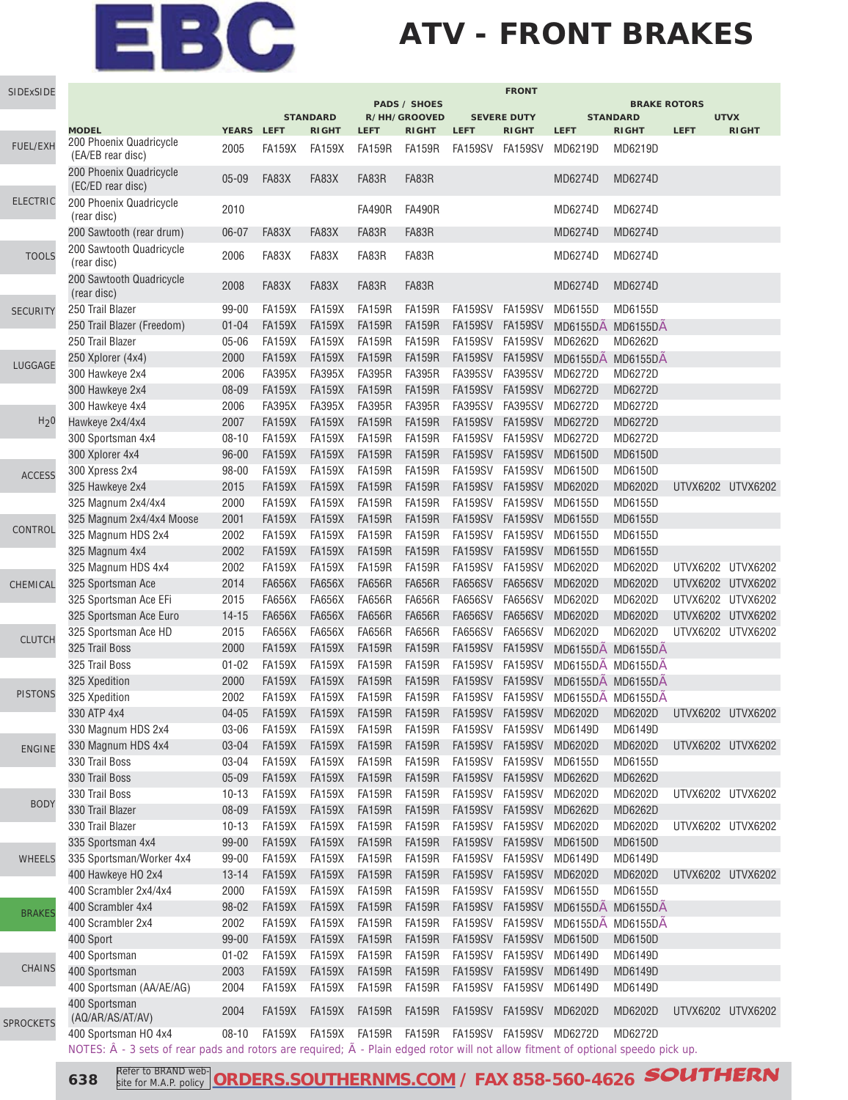## **ATV - FRONT BRAKES**

| SIDExSIDE                |                                                                                                                                                    |                   |                                |                 |                         |                                     |                 | <b>FRONT</b>            |                   |                                        |             |                   |
|--------------------------|----------------------------------------------------------------------------------------------------------------------------------------------------|-------------------|--------------------------------|-----------------|-------------------------|-------------------------------------|-----------------|-------------------------|-------------------|----------------------------------------|-------------|-------------------|
|                          |                                                                                                                                                    |                   |                                | <b>STANDARD</b> |                         | <b>PADS / SHOES</b><br>R/HH/GROOVED |                 | <b>SEVERE DUTY</b>      |                   | <b>BRAKE ROTORS</b><br><b>STANDARD</b> |             | <b>UTVX</b>       |
|                          | <b>MODEL</b>                                                                                                                                       | YEARS LEFT        |                                | <b>RIGHT</b>    | <b>LEFT</b>             | <b>RIGHT</b>                        | <b>LEFT</b>     | <b>RIGHT</b>            | <b>LEFT</b>       | <b>RIGHT</b>                           | <b>LEFT</b> | <b>RIGHT</b>      |
| <b>FUEL/EXH</b>          | 200 Phoenix Quadricycle<br>(EA/EB rear disc)                                                                                                       | 2005              | <b>FA159X</b>                  | <b>FA159X</b>   | <b>FA159R</b>           | <b>FA159R</b>                       | FA159SV FA159SV |                         | MD6219D           | MD6219D                                |             |                   |
|                          | 200 Phoenix Quadricycle<br>(EC/ED rear disc)                                                                                                       | $05 - 09$         | FA83X                          | FA83X           | FA83R                   | FA83R                               |                 |                         | MD6274D           | MD6274D                                |             |                   |
| <b>ELECTRIC</b>          | 200 Phoenix Quadricycle<br>(rear disc)                                                                                                             | 2010              |                                |                 | <b>FA490R</b>           | <b>FA490R</b>                       |                 |                         | MD6274D           | MD6274D                                |             |                   |
|                          | 200 Sawtooth (rear drum)                                                                                                                           | $06 - 07$         | FA83X                          | FA83X           | FA83R                   | FA83R                               |                 |                         | MD6274D           | MD6274D                                |             |                   |
| <b>TOOLS</b>             | 200 Sawtooth Quadricycle<br>(rear disc)                                                                                                            | 2006              | FA83X                          | FA83X           | FA83R                   | FA83R                               |                 |                         | MD6274D           | MD6274D                                |             |                   |
|                          | 200 Sawtooth Quadricycle<br>(rear disc)                                                                                                            | 2008              | FA83X                          | FA83X           | FA83R                   | FA83R                               |                 |                         | MD6274D           | MD6274D                                |             |                   |
| <b>SECURITY</b>          | 250 Trail Blazer                                                                                                                                   | 99-00             | <b>FA159X</b>                  | <b>FA159X</b>   | <b>FA159R</b>           | <b>FA159R</b>                       | FA159SV         | FA159SV                 | MD6155D           | MD6155D                                |             |                   |
|                          | 250 Trail Blazer (Freedom)                                                                                                                         | $01 - 04$         | <b>FA159X</b>                  | <b>FA159X</b>   | <b>FA159R</b>           | <b>FA159R</b>                       | <b>FA159SV</b>  | <b>FA159SV</b>          | MD6155DA MD6155DA |                                        |             |                   |
|                          | 250 Trail Blazer                                                                                                                                   | $05 - 06$         | <b>FA159X</b>                  | <b>FA159X</b>   | <b>FA159R</b>           | <b>FA159R</b>                       | FA159SV         | <b>FA159SV</b>          | MD6262D           | MD6262D                                |             |                   |
|                          | 250 Xplorer (4x4)                                                                                                                                  | 2000              | <b>FA159X</b>                  | <b>FA159X</b>   | <b>FA159R</b>           | <b>FA159R</b>                       | <b>FA159SV</b>  | <b>FA159SV</b>          | MD6155DA MD6155DA |                                        |             |                   |
| LUGGAGE                  | 300 Hawkeye 2x4                                                                                                                                    | 2006              | <b>FA395X</b>                  | <b>FA395X</b>   | <b>FA395R</b>           | <b>FA395R</b>                       | FA395SV         | <b>FA395SV</b>          | MD6272D           | MD6272D                                |             |                   |
|                          | 300 Hawkeye 2x4                                                                                                                                    | 08-09             | <b>FA159X</b>                  | <b>FA159X</b>   | <b>FA159R</b>           | <b>FA159R</b>                       | <b>FA159SV</b>  | <b>FA159SV</b>          | MD6272D           | MD6272D                                |             |                   |
|                          | 300 Hawkeye 4x4                                                                                                                                    | 2006              | <b>FA395X</b>                  | <b>FA395X</b>   | <b>FA395R</b>           | <b>FA395R</b>                       | <b>FA395SV</b>  | <b>FA395SV</b>          | MD6272D           | MD6272D                                |             |                   |
| H <sub>2</sub> 0         | Hawkeye 2x4/4x4                                                                                                                                    | 2007              | <b>FA159X</b>                  | <b>FA159X</b>   | <b>FA159R</b>           | <b>FA159R</b>                       | <b>FA159SV</b>  | <b>FA159SV</b>          | MD6272D           | MD6272D                                |             |                   |
|                          | 300 Sportsman 4x4                                                                                                                                  | $08 - 10$         | <b>FA159X</b>                  | <b>FA159X</b>   | <b>FA159R</b>           | <b>FA159R</b>                       | <b>FA159SV</b>  | <b>FA159SV</b>          | MD6272D           | MD6272D                                |             |                   |
|                          | 300 Xplorer 4x4                                                                                                                                    | $96 - 00$         | <b>FA159X</b>                  | <b>FA159X</b>   | <b>FA159R</b>           | <b>FA159R</b>                       | <b>FA159SV</b>  | FA159SV                 | <b>MD6150D</b>    | MD6150D                                |             |                   |
|                          |                                                                                                                                                    |                   |                                |                 |                         | <b>FA159R</b>                       |                 |                         |                   |                                        |             |                   |
| <b>ACCESS</b>            | 300 Xpress 2x4                                                                                                                                     | 98-00             | <b>FA159X</b>                  | <b>FA159X</b>   | <b>FA159R</b>           |                                     | FA159SV         | <b>FA159SV</b>          | <b>MD6150D</b>    | <b>MD6150D</b>                         |             |                   |
|                          | 325 Hawkeye 2x4                                                                                                                                    | 2015              | <b>FA159X</b>                  | <b>FA159X</b>   | <b>FA159R</b>           | <b>FA159R</b>                       | <b>FA159SV</b>  | <b>FA159SV</b>          | MD6202D           | MD6202D                                |             | UTVX6202 UTVX6202 |
|                          | 325 Magnum 2x4/4x4                                                                                                                                 | 2000              | <b>FA159X</b>                  | <b>FA159X</b>   | <b>FA159R</b>           | <b>FA159R</b>                       | FA159SV         | FA159SV                 | MD6155D           | MD6155D                                |             |                   |
|                          | 325 Magnum 2x4/4x4 Moose                                                                                                                           | 2001              | <b>FA159X</b>                  | <b>FA159X</b>   | <b>FA159R</b>           | <b>FA159R</b>                       | <b>FA159SV</b>  | <b>FA159SV</b>          | MD6155D           | MD6155D                                |             |                   |
|                          | 325 Magnum HDS 2x4                                                                                                                                 | 2002              | <b>FA159X</b>                  | <b>FA159X</b>   | <b>FA159R</b>           | <b>FA159R</b>                       | FA159SV         | FA159SV                 | MD6155D           | MD6155D                                |             |                   |
|                          | 325 Magnum 4x4                                                                                                                                     | 2002              | <b>FA159X</b>                  | <b>FA159X</b>   | <b>FA159R</b>           | <b>FA159R</b>                       | <b>FA159SV</b>  | <b>FA159SV</b>          | MD6155D           | MD6155D                                |             |                   |
|                          | 325 Magnum HDS 4x4                                                                                                                                 | 2002              | <b>FA159X</b>                  | <b>FA159X</b>   | <b>FA159R</b>           | <b>FA159R</b>                       | FA159SV         | FA159SV                 | MD6202D           | MD6202D                                |             | UTVX6202 UTVX6202 |
| CHEMICAL                 | 325 Sportsman Ace                                                                                                                                  | 2014              | <b>FA656X</b>                  | <b>FA656X</b>   | <b>FA656R</b>           | <b>FA656R</b>                       | <b>FA656SV</b>  | <b>FA656SV</b>          | MD6202D           | MD6202D                                |             | UTVX6202 UTVX6202 |
| CONTROL<br><b>CLUTCH</b> | 325 Sportsman Ace EFi                                                                                                                              | 2015              | <b>FA656X</b>                  | <b>FA656X</b>   | <b>FA656R</b>           | <b>FA656R</b>                       | <b>FA656SV</b>  | <b>FA656SV</b>          | MD6202D           | MD6202D                                |             | UTVX6202 UTVX6202 |
|                          | 325 Sportsman Ace Euro                                                                                                                             | $14 - 15$         | <b>FA656X</b>                  | <b>FA656X</b>   | <b>FA656R</b>           | <b>FA656R</b>                       | <b>FA656SV</b>  | <b>FA656SV</b>          | MD6202D           | MD6202D                                |             | UTVX6202 UTVX6202 |
|                          | 325 Sportsman Ace HD                                                                                                                               | 2015              | <b>FA656X</b>                  | <b>FA656X</b>   | <b>FA656R</b>           | <b>FA656R</b>                       | FA656SV         | <b>FA656SV</b>          | MD6202D           | MD6202D                                |             | UTVX6202 UTVX6202 |
|                          | 325 Trail Boss                                                                                                                                     | 2000              | <b>FA159X</b>                  | <b>FA159X</b>   | <b>FA159R</b>           | <b>FA159R</b>                       | <b>FA159SV</b>  | <b>FA159SV</b>          | MD6155DA MD6155DA |                                        |             |                   |
|                          | 325 Trail Boss                                                                                                                                     | $01 - 02$         | <b>FA159X</b>                  | <b>FA159X</b>   | <b>FA159R</b>           | <b>FA159R</b>                       | FA159SV         | FA159SV                 | MD6155DA MD6155DA |                                        |             |                   |
|                          | 325 Xpedition                                                                                                                                      | 2000              | <b>FA159X</b>                  | <b>FA159X</b>   | <b>FA159R</b>           | <b>FA159R</b>                       | FA159SV         | <b>FA159SV</b>          | MD6155DA MD6155DA |                                        |             |                   |
| <b>PISTONS</b>           | 325 Xpedition                                                                                                                                      | 2002              | <b>FA159X</b>                  | <b>FA159X</b>   | <b>FA159R</b>           | <b>FA159R</b>                       | FA159SV FA159SV |                         | MD6155DA MD6155DA |                                        |             |                   |
|                          | 330 ATP 4x4                                                                                                                                        | $04 - 05$         | <b>FA159X</b>                  | <b>FA159X</b>   | <b>FA159R</b>           | <b>FA159R</b>                       | <b>FA159SV</b>  | <b>FA159SV</b>          | MD6202D           | MD6202D                                |             | UTVX6202 UTVX6202 |
|                          | 330 Magnum HDS 2x4                                                                                                                                 | 03-06             | <b>FA159X</b>                  | <b>FA159X</b>   | <b>FA159R</b>           | <b>FA159R</b>                       | FA159SV         | FA159SV                 | MD6149D           | MD6149D                                |             |                   |
|                          | 330 Magnum HDS 4x4                                                                                                                                 | 03-04             | <b>FA159X</b>                  | <b>FA159X</b>   | <b>FA159R</b>           | <b>FA159R</b>                       | FA159SV         | FA159SV                 | MD6202D           | MD6202D                                |             | UTVX6202 UTVX6202 |
| <b>ENGINE</b>            | 330 Trail Boss                                                                                                                                     | 03-04             | <b>FA159X</b>                  | <b>FA159X</b>   | <b>FA159R</b>           | <b>FA159R</b>                       | FA159SV FA159SV |                         | MD6155D           | MD6155D                                |             |                   |
|                          |                                                                                                                                                    |                   |                                |                 |                         |                                     | FA159SV         |                         |                   |                                        |             |                   |
|                          | 330 Trail Boss                                                                                                                                     | $05 - 09$         | <b>FA159X</b>                  | <b>FA159X</b>   | <b>FA159R</b>           | <b>FA159R</b>                       |                 | <b>FA159SV</b>          | MD6262D           | MD6262D                                |             |                   |
| <b>BODY</b>              | 330 Trail Boss                                                                                                                                     | $10 - 13$         | <b>FA159X</b>                  | <b>FA159X</b>   | <b>FA159R</b>           | <b>FA159R</b>                       | FA159SV         | FA159SV                 | MD6202D           | MD6202D                                |             | UTVX6202 UTVX6202 |
|                          | 330 Trail Blazer                                                                                                                                   | 08-09             | <b>FA159X</b>                  | <b>FA159X</b>   | <b>FA159R</b>           | <b>FA159R</b>                       | <b>FA159SV</b>  | <b>FA159SV</b>          | MD6262D           | MD6262D                                |             |                   |
|                          | 330 Trail Blazer                                                                                                                                   | $10 - 13$         | <b>FA159X</b>                  | <b>FA159X</b>   | <b>FA159R</b>           | <b>FA159R</b>                       | FA159SV         | FA159SV                 | MD6202D           | MD6202D                                |             | UTVX6202 UTVX6202 |
|                          | 335 Sportsman 4x4                                                                                                                                  | 99-00             | <b>FA159X</b>                  | <b>FA159X</b>   | <b>FA159R</b>           | <b>FA159R</b>                       | FA159SV FA159SV |                         | <b>MD6150D</b>    | <b>MD6150D</b>                         |             |                   |
| <b>WHEELS</b>            | 335 Sportsman/Worker 4x4                                                                                                                           | 99-00             | <b>FA159X</b>                  | <b>FA159X</b>   | <b>FA159R</b>           | <b>FA159R</b>                       | FA159SV FA159SV |                         | MD6149D           | MD6149D                                |             |                   |
|                          | 400 Hawkeye HO 2x4                                                                                                                                 | $13 - 14$         | <b>FA159X</b>                  | <b>FA159X</b>   | <b>FA159R</b>           | <b>FA159R</b>                       | <b>FA159SV</b>  | <b>FA159SV</b>          | MD6202D           | MD6202D                                |             | UTVX6202 UTVX6202 |
|                          | 400 Scrambler 2x4/4x4                                                                                                                              | 2000              | <b>FA159X</b>                  | <b>FA159X</b>   | <b>FA159R</b>           | <b>FA159R</b>                       | FA159SV         | FA159SV                 | MD6155D           | MD6155D                                |             |                   |
| <b>BRAKES</b>            | 400 Scrambler 4x4                                                                                                                                  | 98-02             | <b>FA159X</b>                  | <b>FA159X</b>   | <b>FA159R</b>           | <b>FA159R</b>                       | FA159SV         | FA159SV                 | MD6155DA MD6155DA |                                        |             |                   |
|                          | 400 Scrambler 2x4                                                                                                                                  | 2002              | <b>FA159X</b>                  | <b>FA159X</b>   | <b>FA159R</b>           | <b>FA159R</b>                       | FA159SV         | FA159SV                 | MD6155DA MD6155DA |                                        |             |                   |
|                          | 400 Sport                                                                                                                                          | 99-00             | <b>FA159X</b>                  | <b>FA159X</b>   | <b>FA159R</b>           | <b>FA159R</b>                       | FA159SV FA159SV |                         | MD6150D           | <b>MD6150D</b>                         |             |                   |
|                          | 400 Sportsman                                                                                                                                      | $01 - 02$         | <b>FA159X</b>                  | <b>FA159X</b>   | <b>FA159R</b>           | <b>FA159R</b>                       | FA159SV FA159SV |                         | MD6149D           | MD6149D                                |             |                   |
| <b>CHAINS</b>            | 400 Sportsman                                                                                                                                      | 2003              | <b>FA159X</b>                  | <b>FA159X</b>   | <b>FA159R</b>           | <b>FA159R</b>                       | FA159SV FA159SV |                         | MD6149D           | MD6149D                                |             |                   |
|                          | 400 Sportsman (AA/AE/AG)                                                                                                                           | 2004              | <b>FA159X</b>                  | <b>FA159X</b>   | <b>FA159R</b>           | <b>FA159R</b>                       | FA159SV         | FA159SV                 | MD6149D           | MD6149D                                |             |                   |
|                          | 400 Sportsman                                                                                                                                      |                   |                                |                 |                         |                                     |                 |                         |                   |                                        |             |                   |
| <b>SPROCKETS</b>         | (AQ/AR/AS/AT/AV)<br>400 Sportsman HO 4x4                                                                                                           | 2004<br>$08 - 10$ | <b>FA159X</b><br>FA159X FA159X | <b>FA159X</b>   | <b>FA159R</b><br>FA159R | <b>FA159R</b><br>FA159R             | FA159SV FA159SV | FA159SV FA159SV MD6272D | MD6202D           | MD6202D<br>MD6272D                     |             | UTVX6202 UTVX6202 |
|                          | NOTES: $\hat{A}$ - 3 sets of rear pads and rotors are required; $\tilde{A}$ - Plain edged rotor will not allow fitment of optional speedo pick up. |                   |                                |                 |                         |                                     |                 |                         |                   |                                        |             |                   |

**638 South A.P.** policy **ORDERS.SOUTHERNMS.COM** / FAX 858-560-4626 **SOUTHERN** site for M.A.P. policy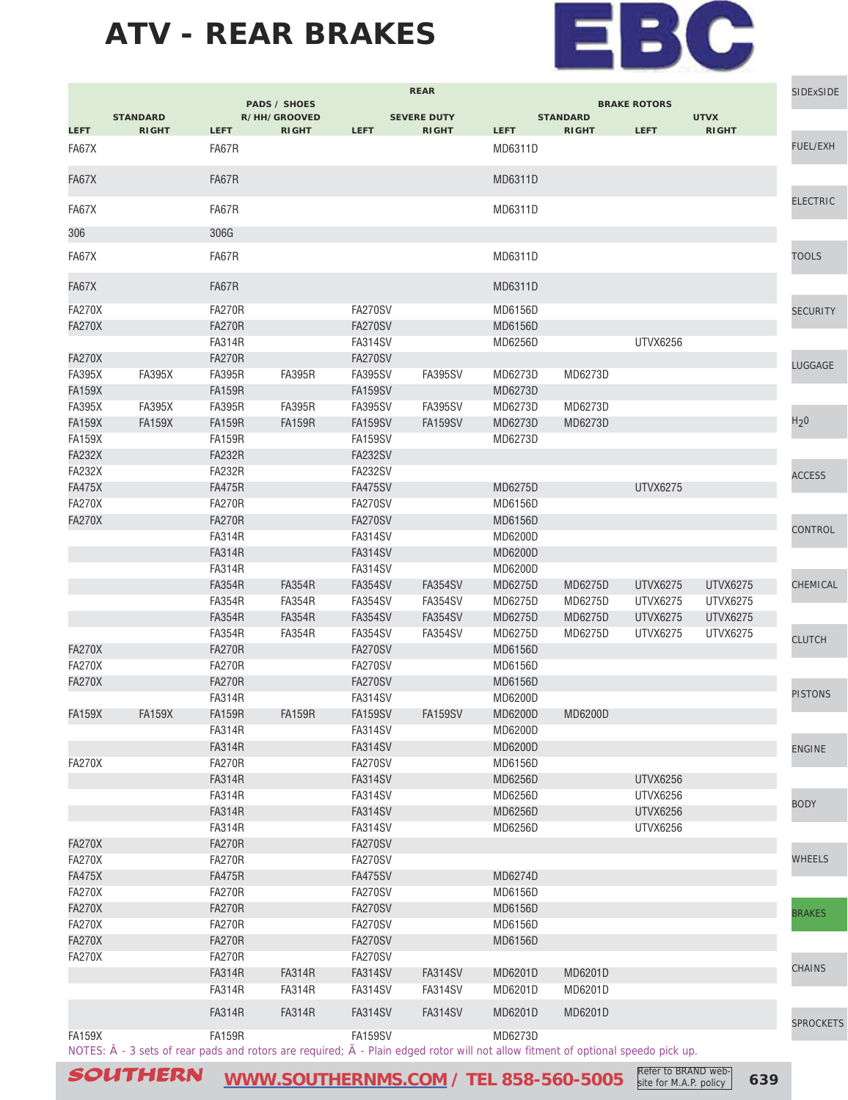

|               |                                                                                                                                                    |               | <b>PADS / SHOES</b> |                | <b>REAR</b>        |                |                 | <b>BRAKE ROTORS</b> |                 | <b>SIDExSIDE</b> |
|---------------|----------------------------------------------------------------------------------------------------------------------------------------------------|---------------|---------------------|----------------|--------------------|----------------|-----------------|---------------------|-----------------|------------------|
|               | <b>STANDARD</b>                                                                                                                                    |               | R/HH/GROOVED        |                | <b>SEVERE DUTY</b> |                | <b>STANDARD</b> |                     | <b>UTVX</b>     |                  |
| <b>LEFT</b>   | <b>RIGHT</b>                                                                                                                                       | <b>LEFT</b>   | <b>RIGHT</b>        | <b>LEFT</b>    | <b>RIGHT</b>       | <b>LEFT</b>    | <b>RIGHT</b>    | <b>LEFT</b>         | <b>RIGHT</b>    |                  |
| FA67X         |                                                                                                                                                    | FA67R         |                     |                |                    | MD6311D        |                 |                     |                 | <b>FUEL/EXH</b>  |
| FA67X         |                                                                                                                                                    | FA67R         |                     |                |                    | MD6311D        |                 |                     |                 |                  |
| FA67X         |                                                                                                                                                    | FA67R         |                     |                |                    | MD6311D        |                 |                     |                 | <b>ELECTRIC</b>  |
|               |                                                                                                                                                    |               |                     |                |                    |                |                 |                     |                 |                  |
| 306           |                                                                                                                                                    | 306G          |                     |                |                    |                |                 |                     |                 |                  |
| FA67X         |                                                                                                                                                    | FA67R         |                     |                |                    | MD6311D        |                 |                     |                 | <b>TOOLS</b>     |
| FA67X         |                                                                                                                                                    | FA67R         |                     |                |                    | MD6311D        |                 |                     |                 |                  |
| <b>FA270X</b> |                                                                                                                                                    | <b>FA270R</b> |                     | FA270SV        |                    | MD6156D        |                 |                     |                 | <b>SECURITY</b>  |
| <b>FA270X</b> |                                                                                                                                                    | <b>FA270R</b> |                     | FA270SV        |                    | MD6156D        |                 |                     |                 |                  |
|               |                                                                                                                                                    | <b>FA314R</b> |                     | FA314SV        |                    | MD6256D        |                 | <b>UTVX6256</b>     |                 |                  |
| <b>FA270X</b> |                                                                                                                                                    | <b>FA270R</b> |                     | <b>FA270SV</b> |                    |                |                 |                     |                 | LUGGAGE          |
| <b>FA395X</b> | <b>FA395X</b>                                                                                                                                      | <b>FA395R</b> | <b>FA395R</b>       | <b>FA395SV</b> | <b>FA395SV</b>     | MD6273D        | MD6273D         |                     |                 |                  |
| <b>FA159X</b> |                                                                                                                                                    | <b>FA159R</b> |                     | FA159SV        |                    | MD6273D        |                 |                     |                 |                  |
| <b>FA395X</b> | <b>FA395X</b>                                                                                                                                      | <b>FA395R</b> | <b>FA395R</b>       | FA395SV        | <b>FA395SV</b>     | MD6273D        | MD6273D         |                     |                 |                  |
| <b>FA159X</b> | <b>FA159X</b>                                                                                                                                      | <b>FA159R</b> | <b>FA159R</b>       | <b>FA159SV</b> | FA159SV            | MD6273D        | MD6273D         |                     |                 | H <sub>2</sub> 0 |
| <b>FA159X</b> |                                                                                                                                                    | <b>FA159R</b> |                     | FA159SV        |                    | MD6273D        |                 |                     |                 |                  |
| <b>FA232X</b> |                                                                                                                                                    | <b>FA232R</b> |                     | <b>FA232SV</b> |                    |                |                 |                     |                 |                  |
| <b>FA232X</b> |                                                                                                                                                    | <b>FA232R</b> |                     | <b>FA232SV</b> |                    |                |                 |                     |                 | <b>ACCESS</b>    |
| <b>FA475X</b> |                                                                                                                                                    | <b>FA475R</b> |                     | <b>FA475SV</b> |                    | MD6275D        |                 | <b>UTVX6275</b>     |                 |                  |
| <b>FA270X</b> |                                                                                                                                                    | <b>FA270R</b> |                     | <b>FA270SV</b> |                    | MD6156D        |                 |                     |                 |                  |
| <b>FA270X</b> |                                                                                                                                                    | <b>FA270R</b> |                     | FA270SV        |                    | <b>MD6156D</b> |                 |                     |                 |                  |
|               |                                                                                                                                                    | <b>FA314R</b> |                     | FA314SV        |                    | <b>MD6200D</b> |                 |                     |                 | CONTROL          |
|               |                                                                                                                                                    | <b>FA314R</b> |                     | <b>FA314SV</b> |                    | MD6200D        |                 |                     |                 |                  |
|               |                                                                                                                                                    | <b>FA314R</b> |                     | FA314SV        |                    | MD6200D        |                 |                     |                 |                  |
|               |                                                                                                                                                    | <b>FA354R</b> | <b>FA354R</b>       | <b>FA354SV</b> | <b>FA354SV</b>     | MD6275D        | MD6275D         | UTVX6275            | UTVX6275        | CHEMICAL         |
|               |                                                                                                                                                    | <b>FA354R</b> | <b>FA354R</b>       | <b>FA354SV</b> | <b>FA354SV</b>     | MD6275D        | MD6275D         | UTVX6275            | UTVX6275        |                  |
|               |                                                                                                                                                    | <b>FA354R</b> | <b>FA354R</b>       | <b>FA354SV</b> | <b>FA354SV</b>     | MD6275D        | MD6275D         | UTVX6275            | <b>UTVX6275</b> |                  |
|               |                                                                                                                                                    | <b>FA354R</b> | <b>FA354R</b>       | FA354SV        | FA354SV            | MD6275D        | MD6275D         | UTVX6275            | UTVX6275        |                  |
| <b>FA270X</b> |                                                                                                                                                    | <b>FA270R</b> |                     | FA270SV        |                    | <b>MD6156D</b> |                 |                     |                 | <b>CLUTCH</b>    |
| <b>FA270X</b> |                                                                                                                                                    | <b>FA270R</b> |                     | FA270SV        |                    | MD6156D        |                 |                     |                 |                  |
| <b>FA270X</b> |                                                                                                                                                    | <b>FA270R</b> |                     | <b>FA270SV</b> |                    | <b>MD6156D</b> |                 |                     |                 |                  |
|               |                                                                                                                                                    | <b>FA314R</b> |                     | FA314SV        |                    | MD6200D        |                 |                     |                 | <b>PISTONS</b>   |
| <b>FA159X</b> | <b>FA159X</b>                                                                                                                                      | <b>FA159R</b> | <b>FA159R</b>       | <b>FA159SV</b> | <b>FA159SV</b>     | <b>MD6200D</b> | <b>MD6200D</b>  |                     |                 |                  |
|               |                                                                                                                                                    | <b>FA314R</b> |                     | FA314SV        |                    | MD6200D        |                 |                     |                 |                  |
|               |                                                                                                                                                    | <b>FA314R</b> |                     | <b>FA314SV</b> |                    | MD6200D        |                 |                     |                 |                  |
| <b>FA270X</b> |                                                                                                                                                    | <b>FA270R</b> |                     | <b>FA270SV</b> |                    | MD6156D        |                 |                     |                 | <b>ENGINE</b>    |
|               |                                                                                                                                                    | <b>FA314R</b> |                     | <b>FA314SV</b> |                    | MD6256D        |                 | <b>UTVX6256</b>     |                 |                  |
|               |                                                                                                                                                    | <b>FA314R</b> |                     | <b>FA314SV</b> |                    | MD6256D        |                 | <b>UTVX6256</b>     |                 |                  |
|               |                                                                                                                                                    | <b>FA314R</b> |                     | <b>FA314SV</b> |                    | MD6256D        |                 | <b>UTVX6256</b>     |                 | <b>BODY</b>      |
|               |                                                                                                                                                    | <b>FA314R</b> |                     | FA314SV        |                    | MD6256D        |                 | <b>UTVX6256</b>     |                 |                  |
| <b>FA270X</b> |                                                                                                                                                    | <b>FA270R</b> |                     | <b>FA270SV</b> |                    |                |                 |                     |                 |                  |
| <b>FA270X</b> |                                                                                                                                                    | <b>FA270R</b> |                     | FA270SV        |                    |                |                 |                     |                 | WHEELS           |
| <b>FA475X</b> |                                                                                                                                                    | <b>FA475R</b> |                     | <b>FA475SV</b> |                    | MD6274D        |                 |                     |                 |                  |
| <b>FA270X</b> |                                                                                                                                                    | <b>FA270R</b> |                     | <b>FA270SV</b> |                    | MD6156D        |                 |                     |                 |                  |
| <b>FA270X</b> |                                                                                                                                                    | <b>FA270R</b> |                     | <b>FA270SV</b> |                    | MD6156D        |                 |                     |                 |                  |
| <b>FA270X</b> |                                                                                                                                                    | <b>FA270R</b> |                     | FA270SV        |                    | MD6156D        |                 |                     |                 | <b>BRAKES</b>    |
| <b>FA270X</b> |                                                                                                                                                    | <b>FA270R</b> |                     | FA270SV        |                    | MD6156D        |                 |                     |                 |                  |
| <b>FA270X</b> |                                                                                                                                                    | <b>FA270R</b> |                     |                |                    |                |                 |                     |                 |                  |
|               |                                                                                                                                                    |               |                     | FA270SV        |                    |                |                 |                     |                 | CHAINS           |
|               |                                                                                                                                                    | <b>FA314R</b> | <b>FA314R</b>       | <b>FA314SV</b> | <b>FA314SV</b>     | MD6201D        | MD6201D         |                     |                 |                  |
|               |                                                                                                                                                    | <b>FA314R</b> | <b>FA314R</b>       | FA314SV        | <b>FA314SV</b>     | MD6201D        | MD6201D         |                     |                 |                  |
|               |                                                                                                                                                    | <b>FA314R</b> | <b>FA314R</b>       | <b>FA314SV</b> | <b>FA314SV</b>     | MD6201D        | MD6201D         |                     |                 |                  |
| <b>FA159X</b> |                                                                                                                                                    | <b>FA159R</b> |                     | FA159SV        |                    | MD6273D        |                 |                     |                 | <b>SPROCKETS</b> |
|               | NOTES: $\hat{A}$ - 3 sets of rear pads and rotors are required; $\tilde{A}$ - Plain edged rotor will not allow fitment of optional speedo pick up. |               |                     |                |                    |                |                 |                     |                 |                  |
|               |                                                                                                                                                    |               |                     |                |                    |                |                 |                     |                 |                  |

SOUTHERN [WWW.SOUTHERNMS.COM](http://m.southernms.com) / TEL 858-560-5005 Refer to BRAND web-<br>
639 **COUTHERN** site for M.A.P. policy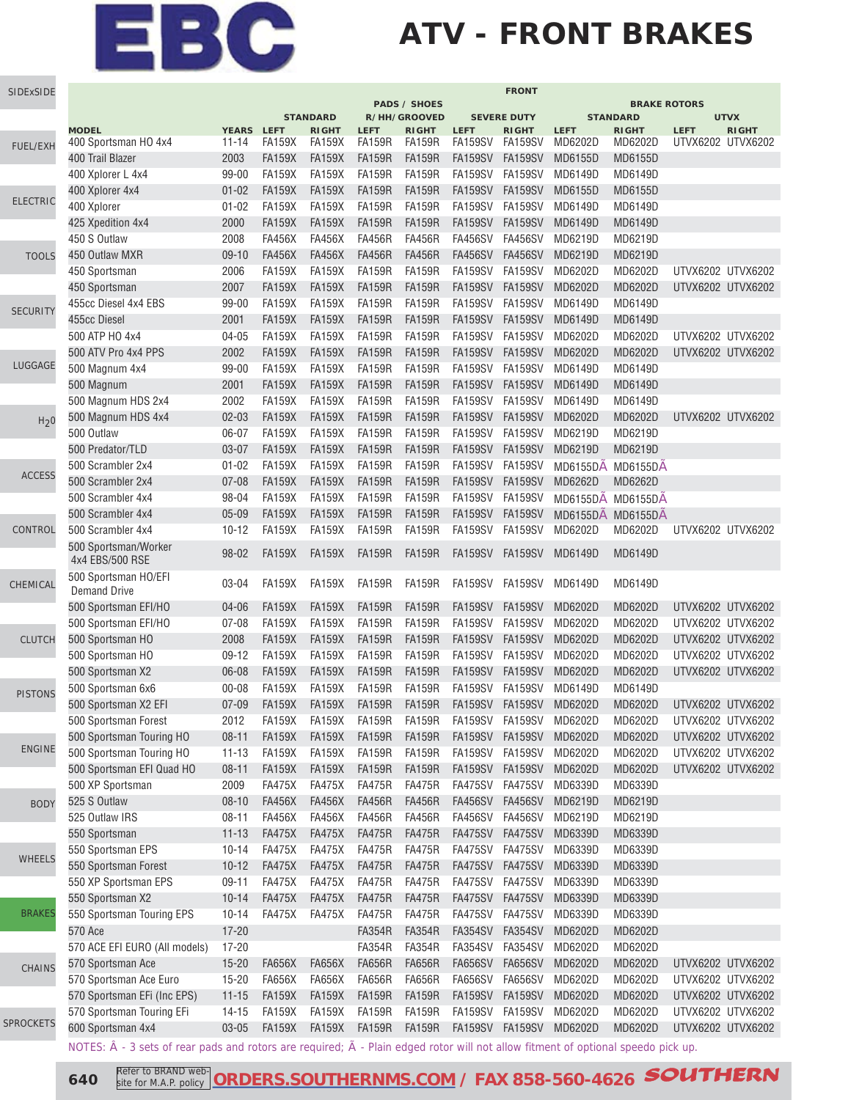### **ATV - FRONT BRAKES**

| SIDExSIDE        | <b>FRONT</b>                                                                                                                                       |            |                                |                                 |               |                              |                 |                                    |                   |                                 |                   |                             |
|------------------|----------------------------------------------------------------------------------------------------------------------------------------------------|------------|--------------------------------|---------------------------------|---------------|------------------------------|-----------------|------------------------------------|-------------------|---------------------------------|-------------------|-----------------------------|
|                  |                                                                                                                                                    |            |                                |                                 |               | <b>PADS / SHOES</b>          |                 |                                    |                   | <b>BRAKE ROTORS</b>             |                   |                             |
|                  | <b>MODEL</b>                                                                                                                                       | YEARS LEFT |                                | <b>STANDARD</b><br><b>RIGHT</b> | <b>LEFT</b>   | R/HH/GROOVED<br><b>RIGHT</b> | <b>LEFT</b>     | <b>SEVERE DUTY</b><br><b>RIGHT</b> | <b>LEFT</b>       | <b>STANDARD</b><br><b>RIGHT</b> | <b>LEFT</b>       | <b>UTVX</b><br><b>RIGHT</b> |
|                  | 400 Sportsman HO 4x4                                                                                                                               | $11 - 14$  | <b>FA159X</b>                  | <b>FA159X</b>                   | <b>FA159R</b> | <b>FA159R</b>                | <b>FA159SV</b>  | FA159SV                            | MD6202D           | MD6202D                         | UTVX6202 UTVX6202 |                             |
| <b>FUEL/EXH</b>  | 400 Trail Blazer                                                                                                                                   | 2003       | <b>FA159X</b>                  | <b>FA159X</b>                   | <b>FA159R</b> | <b>FA159R</b>                | <b>FA159SV</b>  | FA159SV                            | MD6155D           | MD6155D                         |                   |                             |
|                  | 400 Xplorer L 4x4                                                                                                                                  | 99-00      | <b>FA159X</b>                  | <b>FA159X</b>                   | <b>FA159R</b> | <b>FA159R</b>                | <b>FA159SV</b>  | <b>FA159SV</b>                     | MD6149D           | MD6149D                         |                   |                             |
|                  | 400 Xplorer 4x4                                                                                                                                    | $01 - 02$  | <b>FA159X</b>                  | <b>FA159X</b>                   | <b>FA159R</b> | <b>FA159R</b>                | <b>FA159SV</b>  | <b>FA159SV</b>                     | MD6155D           | MD6155D                         |                   |                             |
| <b>ELECTRIC</b>  | 400 Xplorer                                                                                                                                        | $01 - 02$  | <b>FA159X</b>                  | <b>FA159X</b>                   | <b>FA159R</b> | <b>FA159R</b>                | <b>FA159SV</b>  | <b>FA159SV</b>                     | MD6149D           | MD6149D                         |                   |                             |
|                  | 425 Xpedition 4x4                                                                                                                                  | 2000       | <b>FA159X</b>                  | <b>FA159X</b>                   | <b>FA159R</b> | <b>FA159R</b>                | <b>FA159SV</b>  | <b>FA159SV</b>                     | MD6149D           | MD6149D                         |                   |                             |
|                  | 450 S Outlaw                                                                                                                                       | 2008       | <b>FA456X</b>                  | <b>FA456X</b>                   | <b>FA456R</b> | <b>FA456R</b>                | <b>FA456SV</b>  | <b>FA456SV</b>                     | MD6219D           | MD6219D                         |                   |                             |
| <b>TOOLS</b>     | 450 Outlaw MXR                                                                                                                                     | $09-10$    | <b>FA456X</b>                  | <b>FA456X</b>                   | <b>FA456R</b> | <b>FA456R</b>                | <b>FA456SV</b>  | <b>FA456SV</b>                     | MD6219D           | MD6219D                         |                   |                             |
|                  | 450 Sportsman                                                                                                                                      | 2006       | <b>FA159X</b>                  | <b>FA159X</b>                   | <b>FA159R</b> | <b>FA159R</b>                | FA159SV         | <b>FA159SV</b>                     | MD6202D           | MD6202D                         | UTVX6202 UTVX6202 |                             |
|                  |                                                                                                                                                    | 2007       |                                | <b>FA159X</b>                   | <b>FA159R</b> | <b>FA159R</b>                | <b>FA159SV</b>  | <b>FA159SV</b>                     | MD6202D           | MD6202D                         | UTVX6202 UTVX6202 |                             |
|                  | 450 Sportsman                                                                                                                                      |            | <b>FA159X</b><br><b>FA159X</b> | <b>FA159X</b>                   | <b>FA159R</b> |                              | FA159SV         | <b>FA159SV</b>                     | MD6149D           | MD6149D                         |                   |                             |
| <b>SECURITY</b>  | 455cc Diesel 4x4 EBS                                                                                                                               | $99 - 00$  |                                |                                 |               | <b>FA159R</b>                |                 |                                    |                   |                                 |                   |                             |
|                  | 455cc Diesel                                                                                                                                       | 2001       | <b>FA159X</b>                  | <b>FA159X</b>                   | <b>FA159R</b> | <b>FA159R</b>                | <b>FA159SV</b>  | <b>FA159SV</b>                     | MD6149D           | MD6149D                         |                   |                             |
|                  | 500 ATP HO 4x4                                                                                                                                     | $04 - 05$  | <b>FA159X</b>                  | <b>FA159X</b>                   | <b>FA159R</b> | <b>FA159R</b>                | <b>FA159SV</b>  | <b>FA159SV</b>                     | MD6202D           | MD6202D                         | UTVX6202 UTVX6202 |                             |
| LUGGAGE          | 500 ATV Pro 4x4 PPS                                                                                                                                | 2002       | <b>FA159X</b>                  | <b>FA159X</b>                   | <b>FA159R</b> | <b>FA159R</b>                | <b>FA159SV</b>  | <b>FA159SV</b>                     | MD6202D           | MD6202D                         | UTVX6202 UTVX6202 |                             |
|                  | 500 Magnum 4x4                                                                                                                                     | 99-00      | <b>FA159X</b>                  | <b>FA159X</b>                   | <b>FA159R</b> | <b>FA159R</b>                | <b>FA159SV</b>  | <b>FA159SV</b>                     | MD6149D           | MD6149D                         |                   |                             |
|                  | 500 Magnum                                                                                                                                         | 2001       | <b>FA159X</b>                  | <b>FA159X</b>                   | <b>FA159R</b> | <b>FA159R</b>                | <b>FA159SV</b>  | <b>FA159SV</b>                     | MD6149D           | MD6149D                         |                   |                             |
|                  | 500 Magnum HDS 2x4                                                                                                                                 | 2002       | <b>FA159X</b>                  | <b>FA159X</b>                   | <b>FA159R</b> | <b>FA159R</b>                | <b>FA159SV</b>  | <b>FA159SV</b>                     | MD6149D           | MD6149D                         |                   |                             |
| H <sub>2</sub> 0 | 500 Magnum HDS 4x4                                                                                                                                 | $02 - 03$  | <b>FA159X</b>                  | <b>FA159X</b>                   | <b>FA159R</b> | <b>FA159R</b>                | <b>FA159SV</b>  | <b>FA159SV</b>                     | MD6202D           | MD6202D                         | UTVX6202 UTVX6202 |                             |
|                  | 500 Outlaw                                                                                                                                         | 06-07      | <b>FA159X</b>                  | <b>FA159X</b>                   | <b>FA159R</b> | <b>FA159R</b>                | FA159SV         | <b>FA159SV</b>                     | MD6219D           | MD6219D                         |                   |                             |
|                  | 500 Predator/TLD                                                                                                                                   | $03 - 07$  | <b>FA159X</b>                  | <b>FA159X</b>                   | <b>FA159R</b> | <b>FA159R</b>                | <b>FA159SV</b>  | <b>FA159SV</b>                     | MD6219D           | MD6219D                         |                   |                             |
| <b>ACCESS</b>    | 500 Scrambler 2x4                                                                                                                                  | $01 - 02$  | <b>FA159X</b>                  | <b>FA159X</b>                   | <b>FA159R</b> | <b>FA159R</b>                | FA159SV         | <b>FA159SV</b>                     | MD6155DA MD6155DA |                                 |                   |                             |
|                  | 500 Scrambler 2x4                                                                                                                                  | $07 - 08$  | <b>FA159X</b>                  | <b>FA159X</b>                   | <b>FA159R</b> | <b>FA159R</b>                | <b>FA159SV</b>  | <b>FA159SV</b>                     | MD6262D           | MD6262D                         |                   |                             |
|                  | 500 Scrambler 4x4                                                                                                                                  | 98-04      | <b>FA159X</b>                  | <b>FA159X</b>                   | <b>FA159R</b> | <b>FA159R</b>                | FA159SV         | <b>FA159SV</b>                     | MD6155DA MD6155DA |                                 |                   |                             |
|                  | 500 Scrambler 4x4                                                                                                                                  | $05 - 09$  | <b>FA159X</b>                  | <b>FA159X</b>                   | <b>FA159R</b> | <b>FA159R</b>                | FA159SV         | <b>FA159SV</b>                     | MD6155DA MD6155DA |                                 |                   |                             |
| CONTROL          | 500 Scrambler 4x4                                                                                                                                  | $10 - 12$  | <b>FA159X</b>                  | <b>FA159X</b>                   | <b>FA159R</b> | <b>FA159R</b>                | FA159SV         | <b>FA159SV</b>                     | MD6202D           | MD6202D                         | UTVX6202 UTVX6202 |                             |
|                  | 500 Sportsman/Worker<br>4x4 EBS/500 RSE                                                                                                            | 98-02      | <b>FA159X</b>                  | <b>FA159X</b>                   | <b>FA159R</b> | <b>FA159R</b>                | <b>FA159SV</b>  | <b>FA159SV</b>                     | MD6149D           | MD6149D                         |                   |                             |
| CHEMICAL         | 500 Sportsman HO/EFI<br><b>Demand Drive</b>                                                                                                        | 03-04      | <b>FA159X</b>                  | <b>FA159X</b>                   | <b>FA159R</b> | <b>FA159R</b>                | <b>FA159SV</b>  | FA159SV                            | MD6149D           | MD6149D                         |                   |                             |
|                  | 500 Sportsman EFI/HO                                                                                                                               | 04-06      | <b>FA159X</b>                  | <b>FA159X</b>                   | <b>FA159R</b> | <b>FA159R</b>                | <b>FA159SV</b>  | <b>FA159SV</b>                     | MD6202D           | MD6202D                         | UTVX6202 UTVX6202 |                             |
|                  | 500 Sportsman EFI/HO                                                                                                                               | $07 - 08$  | <b>FA159X</b>                  | <b>FA159X</b>                   | <b>FA159R</b> | <b>FA159R</b>                | <b>FA159SV</b>  | <b>FA159SV</b>                     | MD6202D           | MD6202D                         | UTVX6202 UTVX6202 |                             |
| <b>CLUTCH</b>    | 500 Sportsman HO                                                                                                                                   | 2008       | <b>FA159X</b>                  | <b>FA159X</b>                   | <b>FA159R</b> | <b>FA159R</b>                | <b>FA159SV</b>  | <b>FA159SV</b>                     | MD6202D           | MD6202D                         | UTVX6202 UTVX6202 |                             |
|                  | 500 Sportsman HO                                                                                                                                   | $09-12$    | <b>FA159X</b>                  | <b>FA159X</b>                   | <b>FA159R</b> | <b>FA159R</b>                | <b>FA159SV</b>  | <b>FA159SV</b>                     | MD6202D           | MD6202D                         | UTVX6202 UTVX6202 |                             |
|                  | 500 Sportsman X2                                                                                                                                   | 06-08      | <b>FA159X</b>                  | <b>FA159X</b>                   | <b>FA159R</b> | <b>FA159R</b>                | <b>FA159SV</b>  | <b>FA159SV</b>                     | MD6202D           | MD6202D                         | UTVX6202 UTVX6202 |                             |
|                  | 500 Sportsman 6x6                                                                                                                                  | $00 - 08$  | <b>FA159X</b>                  | <b>FA159X</b>                   | <b>FA159R</b> | <b>FA159R</b>                | <b>FA159SV</b>  | <b>FA159SV</b>                     | MD6149D           | MD6149D                         |                   |                             |
| <b>PISTONS</b>   | 500 Sportsman X2 EFI                                                                                                                               | $07 - 09$  | <b>FA159X</b>                  | <b>FA159X</b>                   | <b>FA159R</b> | <b>FA159R</b>                | <b>FA159SV</b>  | <b>FA159SV</b>                     | MD6202D           | MD6202D                         | UTVX6202 UTVX6202 |                             |
|                  | 500 Sportsman Forest                                                                                                                               | 2012       | <b>FA159X</b>                  | FA159X                          | FA159R        | <b>FA159R</b>                | FA159SV FA159SV |                                    | MD6202D           | MD6202D                         | UTVX6202 UTVX6202 |                             |
|                  | 500 Sportsman Touring HO                                                                                                                           | $08 - 11$  | <b>FA159X</b>                  | <b>FA159X</b>                   | <b>FA159R</b> | <b>FA159R</b>                | <b>FA159SV</b>  | <b>FA159SV</b>                     | MD6202D           | MD6202D                         | UTVX6202 UTVX6202 |                             |
| <b>ENGINE</b>    | 500 Sportsman Touring HO                                                                                                                           | $11 - 13$  | <b>FA159X</b>                  | <b>FA159X</b>                   | <b>FA159R</b> | <b>FA159R</b>                | FA159SV         | FA159SV                            | MD6202D           | MD6202D                         | UTVX6202 UTVX6202 |                             |
|                  | 500 Sportsman EFI Quad HO                                                                                                                          | $08 - 11$  | <b>FA159X</b>                  | <b>FA159X</b>                   | <b>FA159R</b> | <b>FA159R</b>                | FA159SV         | <b>FA159SV</b>                     | MD6202D           | MD6202D                         | UTVX6202 UTVX6202 |                             |
|                  | 500 XP Sportsman                                                                                                                                   | 2009       | <b>FA475X</b>                  | <b>FA475X</b>                   | <b>FA475R</b> | <b>FA475R</b>                | FA475SV FA475SV |                                    | MD6339D           | MD6339D                         |                   |                             |
| <b>BODY</b>      | 525 S Outlaw                                                                                                                                       | $08 - 10$  | <b>FA456X</b>                  | <b>FA456X</b>                   | <b>FA456R</b> | <b>FA456R</b>                | <b>FA456SV</b>  | <b>FA456SV</b>                     | MD6219D           | MD6219D                         |                   |                             |
|                  | 525 Outlaw IRS                                                                                                                                     | $08 - 11$  | <b>FA456X</b>                  | <b>FA456X</b>                   | <b>FA456R</b> | <b>FA456R</b>                | FA456SV FA456SV |                                    | MD6219D           | MD6219D                         |                   |                             |
|                  | 550 Sportsman                                                                                                                                      | $11 - 13$  | <b>FA475X</b>                  | <b>FA475X</b>                   | <b>FA475R</b> | <b>FA475R</b>                | FA475SV         | <b>FA475SV</b>                     | MD6339D           | MD6339D                         |                   |                             |
|                  | 550 Sportsman EPS                                                                                                                                  | $10 - 14$  | <b>FA475X</b>                  | <b>FA475X</b>                   | <b>FA475R</b> | <b>FA475R</b>                | FA475SV         | FA475SV                            | MD6339D           | MD6339D                         |                   |                             |
| <b>WHEELS</b>    | 550 Sportsman Forest                                                                                                                               | $10 - 12$  | <b>FA475X</b>                  | <b>FA475X</b>                   | <b>FA475R</b> | <b>FA475R</b>                | FA475SV         | <b>FA475SV</b>                     | MD6339D           | MD6339D                         |                   |                             |
|                  | 550 XP Sportsman EPS                                                                                                                               | $09-11$    | <b>FA475X</b>                  | <b>FA475X</b>                   | <b>FA475R</b> | <b>FA475R</b>                | FA475SV FA475SV |                                    | MD6339D           | MD6339D                         |                   |                             |
|                  | 550 Sportsman X2                                                                                                                                   | $10 - 14$  | <b>FA475X</b>                  | <b>FA475X</b>                   | <b>FA475R</b> | <b>FA475R</b>                | FA475SV         | <b>FA475SV</b>                     | MD6339D           | MD6339D                         |                   |                             |
| <b>BRAKES</b>    | 550 Sportsman Touring EPS                                                                                                                          | $10 - 14$  | <b>FA475X</b>                  | <b>FA475X</b>                   | <b>FA475R</b> | <b>FA475R</b>                | FA475SV FA475SV |                                    | MD6339D           | MD6339D                         |                   |                             |
|                  | 570 Ace                                                                                                                                            | $17 - 20$  |                                |                                 | <b>FA354R</b> | <b>FA354R</b>                | <b>FA354SV</b>  | <b>FA354SV</b>                     | MD6202D           | MD6202D                         |                   |                             |
|                  | 570 ACE EFI EURO (All models)                                                                                                                      | $17 - 20$  |                                |                                 | <b>FA354R</b> | <b>FA354R</b>                | <b>FA354SV</b>  | FA354SV                            | MD6202D           | MD6202D                         |                   |                             |
|                  | 570 Sportsman Ace                                                                                                                                  | $15 - 20$  | <b>FA656X</b>                  | <b>FA656X</b>                   | <b>FA656R</b> | <b>FA656R</b>                | FA656SV         | <b>FA656SV</b>                     | MD6202D           | MD6202D                         | UTVX6202 UTVX6202 |                             |
| CHAINS           | 570 Sportsman Ace Euro                                                                                                                             | $15 - 20$  | FA656X                         | <b>FA656X</b>                   | <b>FA656R</b> | <b>FA656R</b>                | FA656SV FA656SV |                                    | MD6202D           | MD6202D                         | UTVX6202 UTVX6202 |                             |
|                  | 570 Sportsman EFi (Inc EPS)                                                                                                                        | $11 - 15$  | <b>FA159X</b>                  | <b>FA159X</b>                   | <b>FA159R</b> | <b>FA159R</b>                | FA159SV         | <b>FA159SV</b>                     | MD6202D           | MD6202D                         | UTVX6202 UTVX6202 |                             |
|                  | 570 Sportsman Touring EFi                                                                                                                          | $14 - 15$  | FA159X                         | <b>FA159X</b>                   | <b>FA159R</b> | <b>FA159R</b>                | FA159SV FA159SV |                                    | MD6202D           | MD6202D                         | UTVX6202 UTVX6202 |                             |
| <b>SPROCKETS</b> | 600 Sportsman 4x4                                                                                                                                  | $03 - 05$  | <b>FA159X</b>                  | <b>FA159X</b>                   | <b>FA159R</b> | <b>FA159R</b>                |                 | FA159SV FA159SV MD6202D            |                   | MD6202D                         | UTVX6202 UTVX6202 |                             |
|                  |                                                                                                                                                    |            |                                |                                 |               |                              |                 |                                    |                   |                                 |                   |                             |
|                  | NOTES: $\hat{A}$ - 3 sets of rear pads and rotors are required; $\tilde{A}$ - Plain edged rotor will not allow fitment of optional speedo pick up. |            |                                |                                 |               |                              |                 |                                    |                   |                                 |                   |                             |

**640** Refer to BRAND web- [ORDERS.SOUTHERNMS.COM](http://orders.southernms.com) / FAX 858-560-4626 **SOUTHERN** site for M.A.P. policy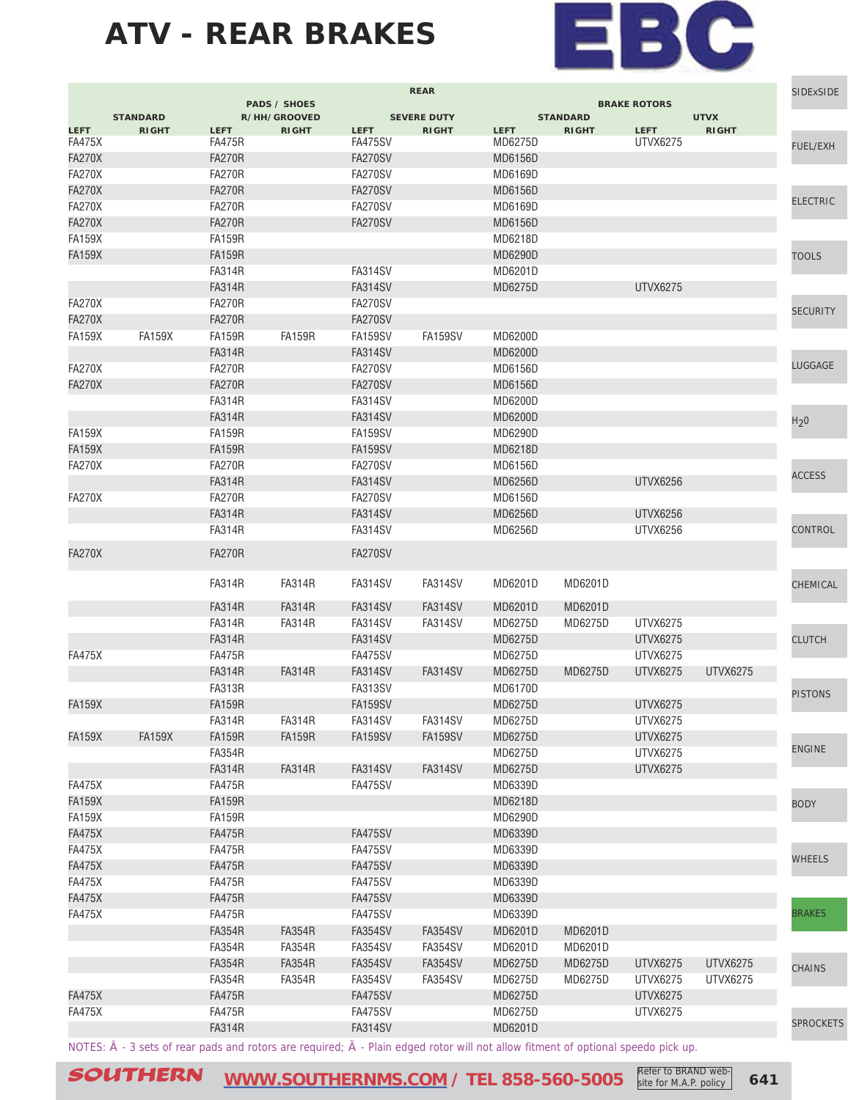

|               |                                                                                                                                  |                                | <b>PADS / SHOES</b> |                           | <b>REAR</b>        |                    |                 | <b>BRAKE ROTORS</b> |                 | <b>SIDExSIDE</b> |
|---------------|----------------------------------------------------------------------------------------------------------------------------------|--------------------------------|---------------------|---------------------------|--------------------|--------------------|-----------------|---------------------|-----------------|------------------|
|               | <b>STANDARD</b>                                                                                                                  |                                | R/HH/GROOVED        |                           | <b>SEVERE DUTY</b> |                    | <b>STANDARD</b> |                     | <b>UTVX</b>     |                  |
| <b>LEFT</b>   | <b>RIGHT</b>                                                                                                                     | <b>LEFT</b>                    | <b>RIGHT</b>        | <b>LEFT</b>               | <b>RIGHT</b>       | <b>LEFT</b>        | <b>RIGHT</b>    | <b>LEFT</b>         | <b>RIGHT</b>    |                  |
| <b>FA475X</b> |                                                                                                                                  | <b>FA475R</b>                  |                     | FA475SV                   |                    | MD6275D            |                 | UTVX6275            |                 | FUEL/EXH         |
| <b>FA270X</b> |                                                                                                                                  | <b>FA270R</b>                  |                     | FA270SV                   |                    | <b>MD6156D</b>     |                 |                     |                 |                  |
| <b>FA270X</b> |                                                                                                                                  | <b>FA270R</b>                  |                     | <b>FA270SV</b>            |                    | MD6169D            |                 |                     |                 |                  |
| <b>FA270X</b> |                                                                                                                                  | <b>FA270R</b>                  |                     | <b>FA270SV</b>            |                    | <b>MD6156D</b>     |                 |                     |                 | <b>ELECTRIC</b>  |
| <b>FA270X</b> |                                                                                                                                  | <b>FA270R</b>                  |                     | FA270SV                   |                    | MD6169D            |                 |                     |                 |                  |
| <b>FA270X</b> |                                                                                                                                  | <b>FA270R</b>                  |                     | FA270SV                   |                    | <b>MD6156D</b>     |                 |                     |                 |                  |
| <b>FA159X</b> |                                                                                                                                  | <b>FA159R</b>                  |                     |                           |                    | MD6218D            |                 |                     |                 |                  |
| <b>FA159X</b> |                                                                                                                                  | <b>FA159R</b>                  |                     |                           |                    | MD6290D            |                 |                     |                 | <b>TOOLS</b>     |
|               |                                                                                                                                  | <b>FA314R</b>                  |                     | FA314SV                   |                    | MD6201D            |                 |                     |                 |                  |
|               |                                                                                                                                  | <b>FA314R</b>                  |                     | <b>FA314SV</b>            |                    | <b>MD6275D</b>     |                 | <b>UTVX6275</b>     |                 |                  |
| <b>FA270X</b> |                                                                                                                                  | <b>FA270R</b>                  |                     | FA270SV                   |                    |                    |                 |                     |                 | <b>SECURITY</b>  |
| <b>FA270X</b> |                                                                                                                                  | <b>FA270R</b>                  |                     | FA270SV                   |                    |                    |                 |                     |                 |                  |
| <b>FA159X</b> | <b>FA159X</b>                                                                                                                    | <b>FA159R</b>                  | <b>FA159R</b>       | FA159SV                   | FA159SV            | MD6200D            |                 |                     |                 |                  |
|               |                                                                                                                                  | <b>FA314R</b>                  |                     | <b>FA314SV</b>            |                    | MD6200D            |                 |                     |                 |                  |
| <b>FA270X</b> |                                                                                                                                  | <b>FA270R</b>                  |                     | FA270SV                   |                    | MD6156D            |                 |                     |                 | LUGGAGE          |
| <b>FA270X</b> |                                                                                                                                  | <b>FA270R</b>                  |                     | <b>FA270SV</b>            |                    | <b>MD6156D</b>     |                 |                     |                 |                  |
|               |                                                                                                                                  | <b>FA314R</b>                  |                     | <b>FA314SV</b>            |                    | MD6200D            |                 |                     |                 |                  |
|               |                                                                                                                                  | <b>FA314R</b>                  |                     | FA314SV                   |                    | MD6200D            |                 |                     |                 | H <sub>2</sub> 0 |
| <b>FA159X</b> |                                                                                                                                  | <b>FA159R</b>                  |                     | <b>FA159SV</b>            |                    | MD6290D            |                 |                     |                 |                  |
| <b>FA159X</b> |                                                                                                                                  | <b>FA159R</b>                  |                     | <b>FA159SV</b>            |                    | MD6218D            |                 |                     |                 |                  |
| <b>FA270X</b> |                                                                                                                                  | <b>FA270R</b>                  |                     | FA270SV                   |                    | MD6156D            |                 |                     |                 |                  |
|               |                                                                                                                                  | <b>FA314R</b>                  |                     | <b>FA314SV</b>            |                    | <b>MD6256D</b>     |                 | <b>UTVX6256</b>     |                 | <b>ACCESS</b>    |
| <b>FA270X</b> |                                                                                                                                  | <b>FA270R</b>                  |                     | <b>FA270SV</b>            |                    | MD6156D            |                 |                     |                 |                  |
|               |                                                                                                                                  | <b>FA314R</b>                  |                     | FA314SV                   |                    | <b>MD6256D</b>     |                 | UTVX6256            |                 |                  |
|               |                                                                                                                                  | <b>FA314R</b>                  |                     | FA314SV                   |                    | MD6256D            |                 | UTVX6256            |                 | CONTROL          |
| <b>FA270X</b> |                                                                                                                                  | <b>FA270R</b>                  |                     | FA270SV                   |                    |                    |                 |                     |                 |                  |
|               |                                                                                                                                  | <b>FA314R</b>                  | FA314R              | FA314SV                   | FA314SV            | MD6201D            | MD6201D         |                     |                 | CHEMICAL         |
|               |                                                                                                                                  | <b>FA314R</b>                  | <b>FA314R</b>       | FA314SV                   | FA314SV            | MD6201D            | MD6201D         |                     |                 |                  |
|               |                                                                                                                                  | <b>FA314R</b>                  | <b>FA314R</b>       | FA314SV                   | FA314SV            | MD6275D            | MD6275D         | UTVX6275            |                 |                  |
|               |                                                                                                                                  | <b>FA314R</b>                  |                     | FA314SV                   |                    | MD6275D            |                 | UTVX6275            |                 | <b>CLUTCH</b>    |
|               |                                                                                                                                  |                                |                     |                           |                    | MD6275D            |                 | UTVX6275            |                 |                  |
| FA475X        |                                                                                                                                  | <b>FA475R</b><br><b>FA314R</b> | <b>FA314R</b>       | FA475SV<br><b>FA314SV</b> | FA314SV            | MD6275D            | MD6275D         | UTVX6275            | UTVX6275        |                  |
|               |                                                                                                                                  |                                |                     |                           |                    |                    |                 |                     |                 |                  |
|               |                                                                                                                                  | <b>FA313R</b>                  |                     | FA313SV                   |                    | MD6170D            |                 |                     |                 | <b>PISTONS</b>   |
| <b>FA159X</b> |                                                                                                                                  | <b>FA159R</b>                  |                     | FA159SV<br><b>FA314SV</b> |                    | MD6275D<br>MD6275D |                 | UTVX6275            |                 |                  |
|               |                                                                                                                                  | <b>FA314R</b>                  | <b>FA314R</b>       |                           | FA314SV            |                    |                 | <b>UTVX6275</b>     |                 |                  |
| <b>FA159X</b> | <b>FA159X</b>                                                                                                                    | <b>FA159R</b>                  | <b>FA159R</b>       | <b>FA159SV</b>            | <b>FA159SV</b>     | MD6275D            |                 | <b>UTVX6275</b>     |                 | <b>ENGINE</b>    |
|               |                                                                                                                                  | <b>FA354R</b>                  |                     |                           |                    | MD6275D            |                 | <b>UTVX6275</b>     |                 |                  |
|               |                                                                                                                                  | <b>FA314R</b>                  | <b>FA314R</b>       | <b>FA314SV</b>            | <b>FA314SV</b>     | MD6275D            |                 | <b>UTVX6275</b>     |                 |                  |
| <b>FA475X</b> |                                                                                                                                  | <b>FA475R</b>                  |                     | FA475SV                   |                    | MD6339D            |                 |                     |                 |                  |
| <b>FA159X</b> |                                                                                                                                  | <b>FA159R</b>                  |                     |                           |                    | MD6218D            |                 |                     |                 | <b>BODY</b>      |
| <b>FA159X</b> |                                                                                                                                  | <b>FA159R</b>                  |                     |                           |                    | MD6290D            |                 |                     |                 |                  |
| <b>FA475X</b> |                                                                                                                                  | <b>FA475R</b>                  |                     | <b>FA475SV</b>            |                    | MD6339D            |                 |                     |                 |                  |
| <b>FA475X</b> |                                                                                                                                  | <b>FA475R</b>                  |                     | FA475SV                   |                    | MD6339D            |                 |                     |                 | <b>WHEELS</b>    |
| <b>FA475X</b> |                                                                                                                                  | <b>FA475R</b>                  |                     | <b>FA475SV</b>            |                    | MD6339D            |                 |                     |                 |                  |
| <b>FA475X</b> |                                                                                                                                  | <b>FA475R</b>                  |                     | FA475SV                   |                    | MD6339D            |                 |                     |                 |                  |
| <b>FA475X</b> |                                                                                                                                  | <b>FA475R</b>                  |                     | FA475SV                   |                    | MD6339D            |                 |                     |                 |                  |
| <b>FA475X</b> |                                                                                                                                  | <b>FA475R</b>                  |                     | FA475SV                   |                    | MD6339D            |                 |                     |                 | <b>BRAKES</b>    |
|               |                                                                                                                                  | <b>FA354R</b>                  | <b>FA354R</b>       | <b>FA354SV</b>            | <b>FA354SV</b>     | MD6201D            | MD6201D         |                     |                 |                  |
|               |                                                                                                                                  | <b>FA354R</b>                  | <b>FA354R</b>       | <b>FA354SV</b>            | FA354SV            | MD6201D            | MD6201D         |                     |                 |                  |
|               |                                                                                                                                  | <b>FA354R</b>                  | <b>FA354R</b>       | <b>FA354SV</b>            | <b>FA354SV</b>     | MD6275D            | MD6275D         | <b>UTVX6275</b>     | <b>UTVX6275</b> | <b>CHAINS</b>    |
|               |                                                                                                                                  | <b>FA354R</b>                  | <b>FA354R</b>       | <b>FA354SV</b>            | <b>FA354SV</b>     | MD6275D            | MD6275D         | UTVX6275            | UTVX6275        |                  |
| <b>FA475X</b> |                                                                                                                                  | <b>FA475R</b>                  |                     | <b>FA475SV</b>            |                    | MD6275D            |                 | <b>UTVX6275</b>     |                 |                  |
| <b>FA475X</b> |                                                                                                                                  | <b>FA475R</b>                  |                     | <b>FA475SV</b>            |                    | MD6275D            |                 | <b>UTVX6275</b>     |                 | <b>SPROCKETS</b> |
|               |                                                                                                                                  | <b>FA314R</b>                  |                     | <b>FA314SV</b>            |                    | MD6201D            |                 |                     |                 |                  |
|               | NOTES: Â - 3 sets of rear pads and rotors are required; Ã - Plain edged rotor will not allow fitment of optional speedo pick up. |                                |                     |                           |                    |                    |                 |                     |                 |                  |

SOUTHERN [WWW.SOUTHERNMS.COM](http://m.southernms.com) / TEL 858-560-5005 Refer to BRAND web-<br>
641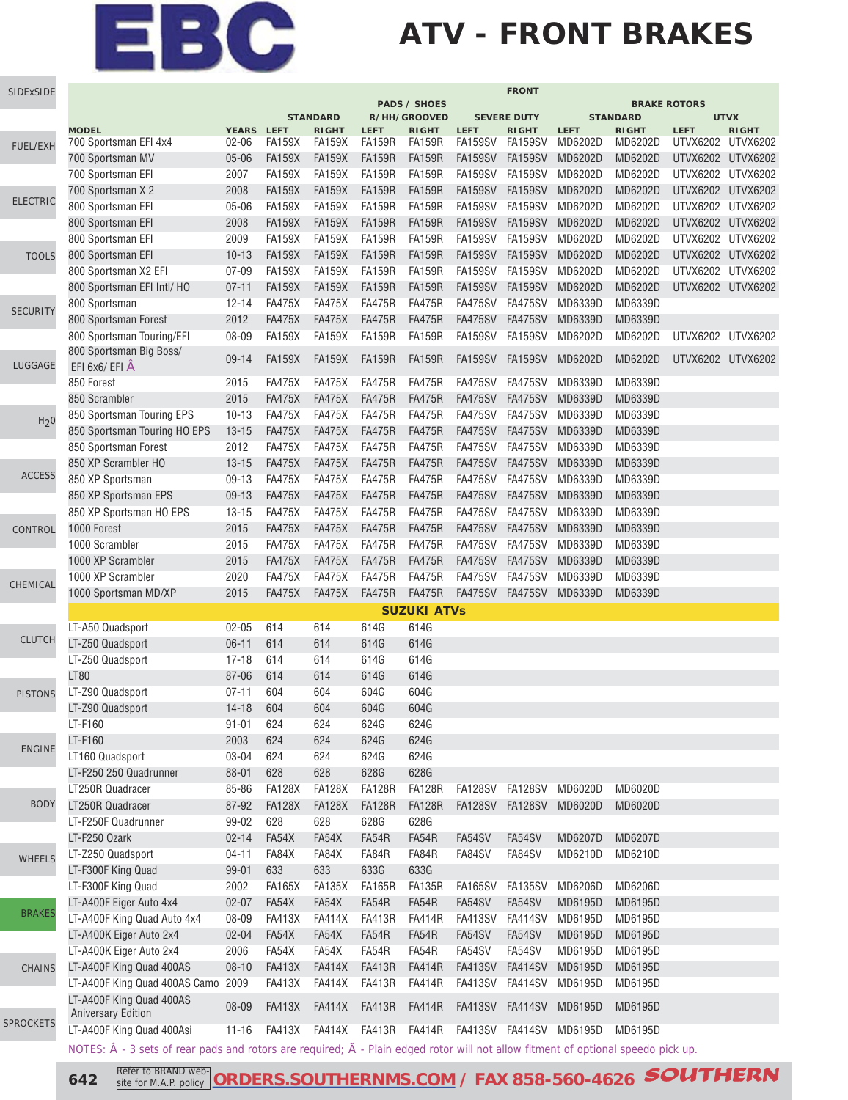### **ATV - FRONT BRAKES**

| SIDExSIDE                                                                                                                                                                                                |                                                                                                                                                    |              |               |                                 |                      |                              |                | <b>FRONT</b>                       |                         |                                 |                                                                                                                                                                                                                                                                                                               |              |
|----------------------------------------------------------------------------------------------------------------------------------------------------------------------------------------------------------|----------------------------------------------------------------------------------------------------------------------------------------------------|--------------|---------------|---------------------------------|----------------------|------------------------------|----------------|------------------------------------|-------------------------|---------------------------------|---------------------------------------------------------------------------------------------------------------------------------------------------------------------------------------------------------------------------------------------------------------------------------------------------------------|--------------|
|                                                                                                                                                                                                          |                                                                                                                                                    |              |               |                                 |                      | <b>PADS / SHOES</b>          |                |                                    |                         |                                 |                                                                                                                                                                                                                                                                                                               |              |
|                                                                                                                                                                                                          | <b>MODEL</b>                                                                                                                                       | <b>YEARS</b> | <b>LEFT</b>   | <b>STANDARD</b><br><b>RIGHT</b> | <b>LEFT</b>          | R/HH/GROOVED<br><b>RIGHT</b> | <b>LEFT</b>    | <b>SEVERE DUTY</b><br><b>RIGHT</b> | <b>LEFT</b>             | <b>STANDARD</b><br><b>RIGHT</b> |                                                                                                                                                                                                                                                                                                               | <b>RIGHT</b> |
|                                                                                                                                                                                                          | 700 Sportsman EFI 4x4                                                                                                                              | $02 - 06$    | <b>FA159X</b> | <b>FA159X</b>                   | <b>FA159R</b>        | <b>FA159R</b>                | FA159SV        | FA159SV                            | MD6202D                 | MD6202D                         |                                                                                                                                                                                                                                                                                                               |              |
|                                                                                                                                                                                                          | 700 Sportsman MV                                                                                                                                   | $05 - 06$    | <b>FA159X</b> | <b>FA159X</b>                   | <b>FA159R</b>        | <b>FA159R</b>                | FA159SV        | <b>FA159SV</b>                     | MD6202D                 | MD6202D                         |                                                                                                                                                                                                                                                                                                               |              |
|                                                                                                                                                                                                          | 700 Sportsman EFI                                                                                                                                  | 2007         | <b>FA159X</b> | <b>FA159X</b>                   | <b>FA159R</b>        | <b>FA159R</b>                | FA159SV        | FA159SV                            | MD6202D                 | MD6202D                         |                                                                                                                                                                                                                                                                                                               |              |
|                                                                                                                                                                                                          | 700 Sportsman X 2                                                                                                                                  | 2008         | <b>FA159X</b> | <b>FA159X</b>                   | <b>FA159R</b>        | <b>FA159R</b>                | <b>FA159SV</b> | <b>FA159SV</b>                     | MD6202D                 | MD6202D                         | <b>BRAKE ROTORS</b><br><b>UTVX</b><br><b>LEFT</b><br>UTVX6202 UTVX6202<br>UTVX6202 UTVX6202<br>UTVX6202 UTVX6202<br>UTVX6202 UTVX6202<br>UTVX6202 UTVX6202<br>UTVX6202 UTVX6202<br>UTVX6202 UTVX6202<br>UTVX6202 UTVX6202<br>UTVX6202 UTVX6202<br>UTVX6202 UTVX6202<br>UTVX6202 UTVX6202<br>UTVX6202 UTVX6202 |              |
| FUEL/EXH<br><b>ELECTRIC</b><br><b>TOOLS</b><br><b>SECURITY</b><br>LUGGAGE<br>H <sub>2</sub> 0<br><b>ACCESS</b><br>CONTROL<br>CHEMICAL<br><b>CLUTCH</b><br><b>PISTONS</b><br><b>ENGINE</b><br><b>BODY</b> | 800 Sportsman EFI                                                                                                                                  | $05 - 06$    | <b>FA159X</b> | <b>FA159X</b>                   | <b>FA159R</b>        | <b>FA159R</b>                | FA159SV        | FA159SV                            | MD6202D                 | MD6202D                         |                                                                                                                                                                                                                                                                                                               |              |
|                                                                                                                                                                                                          | 800 Sportsman EFI                                                                                                                                  | 2008         | <b>FA159X</b> | <b>FA159X</b>                   | <b>FA159R</b>        | <b>FA159R</b>                | <b>FA159SV</b> | <b>FA159SV</b>                     | MD6202D                 | MD6202D                         |                                                                                                                                                                                                                                                                                                               |              |
|                                                                                                                                                                                                          | 800 Sportsman EFI                                                                                                                                  | 2009         | <b>FA159X</b> | <b>FA159X</b>                   | <b>FA159R</b>        | <b>FA159R</b>                | <b>FA159SV</b> | <b>FA159SV</b>                     | MD6202D                 | MD6202D                         |                                                                                                                                                                                                                                                                                                               |              |
|                                                                                                                                                                                                          | 800 Sportsman EFI                                                                                                                                  | $10 - 13$    | <b>FA159X</b> | <b>FA159X</b>                   | <b>FA159R</b>        | <b>FA159R</b>                | <b>FA159SV</b> | <b>FA159SV</b>                     | MD6202D                 | MD6202D                         |                                                                                                                                                                                                                                                                                                               |              |
|                                                                                                                                                                                                          | 800 Sportsman X2 EFI                                                                                                                               | $07 - 09$    | <b>FA159X</b> | <b>FA159X</b>                   | <b>FA159R</b>        | <b>FA159R</b>                | <b>FA159SV</b> | <b>FA159SV</b>                     | MD6202D                 | MD6202D                         |                                                                                                                                                                                                                                                                                                               |              |
|                                                                                                                                                                                                          | 800 Sportsman EFI Intl/ HO                                                                                                                         | $07 - 11$    | <b>FA159X</b> | <b>FA159X</b>                   | <b>FA159R</b>        | <b>FA159R</b>                | <b>FA159SV</b> | <b>FA159SV</b>                     | MD6202D                 | MD6202D                         |                                                                                                                                                                                                                                                                                                               |              |
|                                                                                                                                                                                                          | 800 Sportsman                                                                                                                                      | $12 - 14$    | <b>FA475X</b> | <b>FA475X</b>                   | <b>FA475R</b>        | <b>FA475R</b>                | <b>FA475SV</b> | FA475SV                            | MD6339D                 | MD6339D                         |                                                                                                                                                                                                                                                                                                               |              |
|                                                                                                                                                                                                          | 800 Sportsman Forest                                                                                                                               | 2012         | <b>FA475X</b> | <b>FA475X</b>                   | <b>FA475R</b>        | <b>FA475R</b>                | FA475SV        | <b>FA475SV</b>                     | MD6339D                 | MD6339D                         |                                                                                                                                                                                                                                                                                                               |              |
|                                                                                                                                                                                                          | 800 Sportsman Touring/EFI                                                                                                                          | 08-09        | <b>FA159X</b> | <b>FA159X</b>                   | <b>FA159R</b>        | <b>FA159R</b>                | FA159SV        | FA159SV                            | MD6202D                 | MD6202D                         |                                                                                                                                                                                                                                                                                                               |              |
|                                                                                                                                                                                                          | 800 Sportsman Big Boss/<br>EFI 6x6/ EFI A                                                                                                          | $09 - 14$    | <b>FA159X</b> | <b>FA159X</b>                   | <b>FA159R</b>        | <b>FA159R</b>                | <b>FA159SV</b> | FA159SV                            | MD6202D                 | MD6202D                         |                                                                                                                                                                                                                                                                                                               |              |
|                                                                                                                                                                                                          | 850 Forest                                                                                                                                         | 2015         | <b>FA475X</b> | <b>FA475X</b>                   | <b>FA475R</b>        | <b>FA475R</b>                | <b>FA475SV</b> | <b>FA475SV</b>                     | MD6339D                 | MD6339D                         |                                                                                                                                                                                                                                                                                                               |              |
|                                                                                                                                                                                                          | 850 Scrambler                                                                                                                                      | 2015         | <b>FA475X</b> | <b>FA475X</b>                   | <b>FA475R</b>        | <b>FA475R</b>                | <b>FA475SV</b> | <b>FA475SV</b>                     | MD6339D                 | MD6339D                         |                                                                                                                                                                                                                                                                                                               |              |
|                                                                                                                                                                                                          | 850 Sportsman Touring EPS                                                                                                                          | $10 - 13$    | <b>FA475X</b> | <b>FA475X</b>                   | <b>FA475R</b>        | <b>FA475R</b>                | <b>FA475SV</b> | <b>FA475SV</b>                     | MD6339D                 | MD6339D                         |                                                                                                                                                                                                                                                                                                               |              |
|                                                                                                                                                                                                          | 850 Sportsman Touring HO EPS                                                                                                                       | $13 - 15$    | <b>FA475X</b> | <b>FA475X</b>                   | <b>FA475R</b>        | <b>FA475R</b>                | FA475SV        | <b>FA475SV</b>                     | MD6339D                 | MD6339D                         |                                                                                                                                                                                                                                                                                                               |              |
|                                                                                                                                                                                                          | 850 Sportsman Forest                                                                                                                               | 2012         | <b>FA475X</b> | <b>FA475X</b>                   | <b>FA475R</b>        | <b>FA475R</b>                | FA475SV        | FA475SV                            | MD6339D                 | MD6339D                         |                                                                                                                                                                                                                                                                                                               |              |
|                                                                                                                                                                                                          | 850 XP Scrambler HO                                                                                                                                | $13 - 15$    | <b>FA475X</b> | <b>FA475X</b>                   | <b>FA475R</b>        | <b>FA475R</b>                | <b>FA475SV</b> | <b>FA475SV</b>                     | MD6339D                 | MD6339D                         |                                                                                                                                                                                                                                                                                                               |              |
|                                                                                                                                                                                                          | 850 XP Sportsman                                                                                                                                   | 09-13        | <b>FA475X</b> | <b>FA475X</b>                   | <b>FA475R</b>        | <b>FA475R</b>                | <b>FA475SV</b> | <b>FA475SV</b>                     | MD6339D                 | MD6339D                         |                                                                                                                                                                                                                                                                                                               |              |
|                                                                                                                                                                                                          | 850 XP Sportsman EPS                                                                                                                               | 09-13        | <b>FA475X</b> | <b>FA475X</b>                   | <b>FA475R</b>        | <b>FA475R</b>                | FA475SV        | <b>FA475SV</b>                     | MD6339D                 | MD6339D                         |                                                                                                                                                                                                                                                                                                               |              |
|                                                                                                                                                                                                          | 850 XP Sportsman HO EPS                                                                                                                            | $13 - 15$    | <b>FA475X</b> | <b>FA475X</b>                   | <b>FA475R</b>        | <b>FA475R</b>                | <b>FA475SV</b> | <b>FA475SV</b>                     | MD6339D                 | MD6339D                         |                                                                                                                                                                                                                                                                                                               |              |
|                                                                                                                                                                                                          | 1000 Forest                                                                                                                                        | 2015         | <b>FA475X</b> | <b>FA475X</b>                   | <b>FA475R</b>        | <b>FA475R</b>                | <b>FA475SV</b> | <b>FA475SV</b>                     | MD6339D                 | MD6339D                         |                                                                                                                                                                                                                                                                                                               |              |
|                                                                                                                                                                                                          | 1000 Scrambler                                                                                                                                     | 2015         | <b>FA475X</b> | <b>FA475X</b>                   | <b>FA475R</b>        | <b>FA475R</b>                | FA475SV        | FA475SV                            | MD6339D                 | MD6339D                         |                                                                                                                                                                                                                                                                                                               |              |
|                                                                                                                                                                                                          | 1000 XP Scrambler                                                                                                                                  | 2015         | <b>FA475X</b> | <b>FA475X</b>                   | <b>FA475R</b>        | <b>FA475R</b>                | <b>FA475SV</b> | <b>FA475SV</b>                     | MD6339D                 | MD6339D                         |                                                                                                                                                                                                                                                                                                               |              |
|                                                                                                                                                                                                          | 1000 XP Scrambler                                                                                                                                  | 2020         | <b>FA475X</b> | <b>FA475X</b>                   | <b>FA475R</b>        | <b>FA475R</b>                | <b>FA475SV</b> | <b>FA475SV</b>                     | MD6339D                 | MD6339D                         |                                                                                                                                                                                                                                                                                                               |              |
|                                                                                                                                                                                                          | 1000 Sportsman MD/XP                                                                                                                               | 2015         | <b>FA475X</b> | <b>FA475X</b>                   | <b>FA475R</b>        | <b>FA475R</b>                | <b>FA475SV</b> | <b>FA475SV</b>                     | MD6339D                 | MD6339D                         |                                                                                                                                                                                                                                                                                                               |              |
|                                                                                                                                                                                                          |                                                                                                                                                    |              |               |                                 |                      | <b>SUZUKI ATVs</b>           |                |                                    |                         |                                 |                                                                                                                                                                                                                                                                                                               |              |
|                                                                                                                                                                                                          | LT-A50 Quadsport                                                                                                                                   | $02 - 05$    | 614           | 614                             | 614G                 | 614G                         |                |                                    |                         |                                 |                                                                                                                                                                                                                                                                                                               |              |
|                                                                                                                                                                                                          | LT-Z50 Quadsport                                                                                                                                   | $06-11$      | 614           | 614                             | 614G                 | 614G                         |                |                                    |                         |                                 |                                                                                                                                                                                                                                                                                                               |              |
|                                                                                                                                                                                                          | LT-Z50 Quadsport                                                                                                                                   | $17 - 18$    | 614           | 614                             | 614G                 | 614G                         |                |                                    |                         |                                 |                                                                                                                                                                                                                                                                                                               |              |
|                                                                                                                                                                                                          | <b>LT80</b>                                                                                                                                        | 87-06        | 614           | 614                             | 614G                 | 614G                         |                |                                    |                         |                                 |                                                                                                                                                                                                                                                                                                               |              |
|                                                                                                                                                                                                          | LT-Z90 Quadsport                                                                                                                                   | $07 - 11$    | 604           | 604                             | 604G                 | 604G                         |                |                                    |                         |                                 |                                                                                                                                                                                                                                                                                                               |              |
|                                                                                                                                                                                                          | LT-Z90 Quadsport                                                                                                                                   | $14 - 18$    | 604           | 604                             | 604G                 | 604G                         |                |                                    |                         |                                 |                                                                                                                                                                                                                                                                                                               |              |
|                                                                                                                                                                                                          | LT-F160                                                                                                                                            | $91 - 01$    | 624           | 624                             | 624G                 | 624G                         |                |                                    |                         |                                 |                                                                                                                                                                                                                                                                                                               |              |
|                                                                                                                                                                                                          | LT-F160                                                                                                                                            | 2003         | 624           | 624                             | 624G                 | 624G                         |                |                                    |                         |                                 |                                                                                                                                                                                                                                                                                                               |              |
|                                                                                                                                                                                                          | LT160 Quadsport                                                                                                                                    | 03-04        | 624           | 624                             | 624G                 | 624G                         |                |                                    |                         |                                 |                                                                                                                                                                                                                                                                                                               |              |
|                                                                                                                                                                                                          | LT-F250 250 Quadrunner                                                                                                                             | 88-01        | 628           | 628                             | 628G                 | 628G                         |                |                                    |                         |                                 |                                                                                                                                                                                                                                                                                                               |              |
|                                                                                                                                                                                                          | LT250R Quadracer                                                                                                                                   | 85-86        | <b>FA128X</b> | <b>FA128X</b>                   | <b>FA128R</b>        | <b>FA128R</b>                |                |                                    | FA128SV FA128SV MD6020D | MD6020D                         |                                                                                                                                                                                                                                                                                                               |              |
|                                                                                                                                                                                                          | LT250R Quadracer                                                                                                                                   | 87-92        | <b>FA128X</b> | <b>FA128X</b>                   | <b>FA128R</b>        | <b>FA128R</b>                |                | FA128SV FA128SV MD6020D            |                         | MD6020D                         |                                                                                                                                                                                                                                                                                                               |              |
|                                                                                                                                                                                                          | LT-F250F Quadrunner                                                                                                                                | 99-02        | 628           | 628                             | 628G                 | 628G                         |                |                                    |                         |                                 |                                                                                                                                                                                                                                                                                                               |              |
|                                                                                                                                                                                                          | LT-F250 Ozark                                                                                                                                      | $02 - 14$    | FA54X         | FA54X                           | FA54R                | FA54R                        | FA54SV         | FA54SV                             | MD6207D                 | MD6207D                         |                                                                                                                                                                                                                                                                                                               |              |
| <b>WHEELS</b>                                                                                                                                                                                            | LT-Z250 Quadsport                                                                                                                                  | $04 - 11$    | FA84X         | FA84X                           | FA84R                | FA84R                        | FA84SV         | FA84SV                             | MD6210D                 | MD6210D                         |                                                                                                                                                                                                                                                                                                               |              |
|                                                                                                                                                                                                          | LT-F300F King Quad                                                                                                                                 | 99-01        | 633           | 633                             | 633G                 | 633G                         |                |                                    |                         |                                 |                                                                                                                                                                                                                                                                                                               |              |
|                                                                                                                                                                                                          | LT-F300F King Quad                                                                                                                                 | 2002         | <b>FA165X</b> | <b>FA135X</b>                   | <b>FA165R</b>        | FA135R                       |                | FA165SV FA135SV                    | MD6206D                 | MD6206D                         |                                                                                                                                                                                                                                                                                                               |              |
| <b>BRAKES</b>                                                                                                                                                                                            | LT-A400F Eiger Auto 4x4                                                                                                                            | $02 - 07$    | FA54X         | FA54X                           | FA54R                | FA54R                        | FA54SV         | FA54SV                             | MD6195D                 | MD6195D                         |                                                                                                                                                                                                                                                                                                               |              |
|                                                                                                                                                                                                          | LT-A400F King Quad Auto 4x4                                                                                                                        | 08-09        | <b>FA413X</b> | <b>FA414X</b>                   | <b>FA413R</b>        | <b>FA414R</b>                | FA413SV        | FA414SV                            | MD6195D                 | MD6195D                         |                                                                                                                                                                                                                                                                                                               |              |
|                                                                                                                                                                                                          | LT-A400K Eiger Auto 2x4                                                                                                                            | $02 - 04$    | FA54X         | FA54X                           | FA54R                | FA54R                        | FA54SV         | FA54SV                             | MD6195D                 | MD6195D                         |                                                                                                                                                                                                                                                                                                               |              |
|                                                                                                                                                                                                          | LT-A400K Eiger Auto 2x4                                                                                                                            | 2006         | FA54X         | FA54X                           | FA54R                | FA54R                        | FA54SV         | FA54SV                             | MD6195D                 | MD6195D                         |                                                                                                                                                                                                                                                                                                               |              |
| <b>CHAINS</b>                                                                                                                                                                                            | LT-A400F King Quad 400AS                                                                                                                           | $08 - 10$    | <b>FA413X</b> | <b>FA414X</b>                   | <b>FA413R</b>        | <b>FA414R</b>                | FA413SV        | <b>FA414SV</b>                     | MD6195D                 | MD6195D                         |                                                                                                                                                                                                                                                                                                               |              |
|                                                                                                                                                                                                          | LT-A400F King Quad 400AS Camo 2009                                                                                                                 |              | <b>FA413X</b> | <b>FA414X</b>                   | <b>FA413R</b>        | <b>FA414R</b>                | FA413SV        | <b>FA414SV</b>                     | MD6195D                 | MD6195D                         |                                                                                                                                                                                                                                                                                                               |              |
| <b>SPROCKETS</b>                                                                                                                                                                                         | LT-A400F King Quad 400AS<br><b>Aniversary Edition</b>                                                                                              | 08-09        | <b>FA413X</b> | <b>FA414X</b>                   | <b>FA413R</b>        | <b>FA414R</b>                |                | FA413SV FA414SV MD6195D            |                         | MD6195D                         |                                                                                                                                                                                                                                                                                                               |              |
|                                                                                                                                                                                                          | LT-A400F King Quad 400Asi                                                                                                                          | $11 - 16$    | <b>FA413X</b> |                                 | FA414X FA413R FA414R |                              |                | FA413SV FA414SV MD6195D            |                         | MD6195D                         |                                                                                                                                                                                                                                                                                                               |              |
|                                                                                                                                                                                                          | NOTES: $\hat{A}$ - 3 sets of rear pads and rotors are required; $\tilde{A}$ - Plain edged rotor will not allow fitment of optional speedo pick up. |              |               |                                 |                      |                              |                |                                    |                         |                                 |                                                                                                                                                                                                                                                                                                               |              |

**642** Refer to BRAND web-[ORDERS.SOUTHERNMS.COM](http://orders.southernms.com) / FAX 858-560-4626 **SOUTHERN** site for M.A.P. policy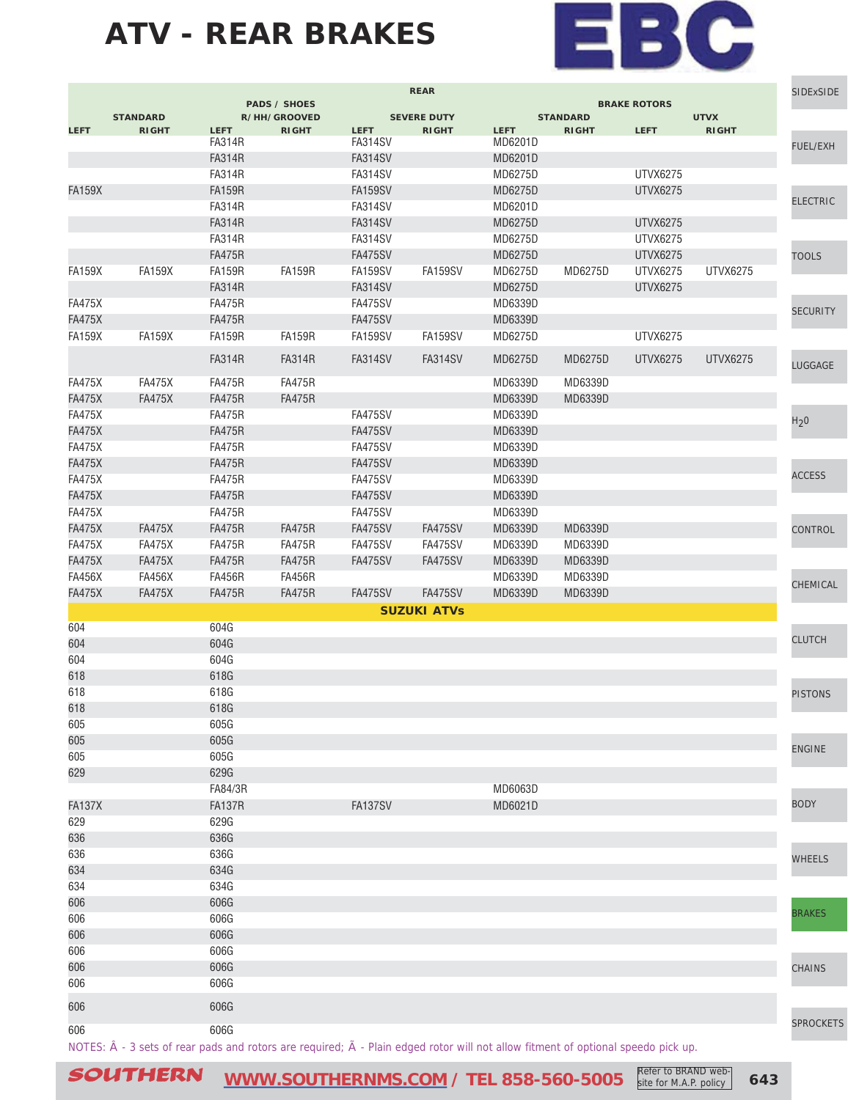

|               | <b>REAR</b>                                                                                                                      |               |                                     |                |                    | <b>SIDExSIDE</b> |                 |                     |                 |                  |
|---------------|----------------------------------------------------------------------------------------------------------------------------------|---------------|-------------------------------------|----------------|--------------------|------------------|-----------------|---------------------|-----------------|------------------|
|               | <b>STANDARD</b>                                                                                                                  |               | <b>PADS / SHOES</b><br>R/HH/GROOVED |                | <b>SEVERE DUTY</b> |                  | <b>STANDARD</b> | <b>BRAKE ROTORS</b> | <b>UTVX</b>     |                  |
| <b>LEFT</b>   | <b>RIGHT</b>                                                                                                                     | <b>LEFT</b>   | <b>RIGHT</b>                        | <b>LEFT</b>    | <b>RIGHT</b>       | <b>LEFT</b>      | <b>RIGHT</b>    | <b>LEFT</b>         | <b>RIGHT</b>    |                  |
|               |                                                                                                                                  | <b>FA314R</b> |                                     | <b>FA314SV</b> |                    | MD6201D          |                 |                     |                 | FUEL/EXH         |
|               |                                                                                                                                  | <b>FA314R</b> |                                     | FA314SV        |                    | MD6201D          |                 |                     |                 |                  |
|               |                                                                                                                                  | <b>FA314R</b> |                                     | FA314SV        |                    | MD6275D          |                 | UTVX6275            |                 |                  |
| <b>FA159X</b> |                                                                                                                                  | <b>FA159R</b> |                                     | <b>FA159SV</b> |                    | MD6275D          |                 | <b>UTVX6275</b>     |                 | <b>ELECTRIC</b>  |
|               |                                                                                                                                  | <b>FA314R</b> |                                     | FA314SV        |                    | MD6201D          |                 |                     |                 |                  |
|               |                                                                                                                                  | <b>FA314R</b> |                                     | <b>FA314SV</b> |                    | MD6275D          |                 | <b>UTVX6275</b>     |                 |                  |
|               |                                                                                                                                  | <b>FA314R</b> |                                     | FA314SV        |                    | MD6275D          |                 | UTVX6275            |                 |                  |
|               |                                                                                                                                  | <b>FA475R</b> |                                     | <b>FA475SV</b> |                    | MD6275D          |                 | <b>UTVX6275</b>     |                 | <b>TOOLS</b>     |
| <b>FA159X</b> | <b>FA159X</b>                                                                                                                    | <b>FA159R</b> | <b>FA159R</b>                       | FA159SV        | <b>FA159SV</b>     | MD6275D          | MD6275D         | UTVX6275            | <b>UTVX6275</b> |                  |
|               |                                                                                                                                  | <b>FA314R</b> |                                     | <b>FA314SV</b> |                    | MD6275D          |                 | <b>UTVX6275</b>     |                 |                  |
| <b>FA475X</b> |                                                                                                                                  | <b>FA475R</b> |                                     | FA475SV        |                    | MD6339D          |                 |                     |                 | <b>SECURITY</b>  |
| <b>FA475X</b> |                                                                                                                                  | <b>FA475R</b> |                                     | FA475SV        |                    | MD6339D          |                 |                     |                 |                  |
| <b>FA159X</b> | <b>FA159X</b>                                                                                                                    | <b>FA159R</b> | <b>FA159R</b>                       | FA159SV        | FA159SV            | MD6275D          |                 | <b>UTVX6275</b>     |                 |                  |
|               |                                                                                                                                  | <b>FA314R</b> | <b>FA314R</b>                       | FA314SV        | FA314SV            | MD6275D          | MD6275D         | UTVX6275            | UTVX6275        |                  |
|               |                                                                                                                                  |               |                                     |                |                    |                  |                 |                     |                 | LUGGAGE          |
| <b>FA475X</b> | <b>FA475X</b>                                                                                                                    | <b>FA475R</b> | <b>FA475R</b>                       |                |                    | MD6339D          | MD6339D         |                     |                 |                  |
| <b>FA475X</b> | <b>FA475X</b>                                                                                                                    | <b>FA475R</b> | <b>FA475R</b>                       |                |                    | MD6339D          | MD6339D         |                     |                 |                  |
| <b>FA475X</b> |                                                                                                                                  | <b>FA475R</b> |                                     | <b>FA475SV</b> |                    | MD6339D          |                 |                     |                 | H <sub>2</sub> 0 |
| <b>FA475X</b> |                                                                                                                                  | <b>FA475R</b> |                                     | <b>FA475SV</b> |                    | MD6339D          |                 |                     |                 |                  |
| <b>FA475X</b> |                                                                                                                                  | <b>FA475R</b> |                                     | <b>FA475SV</b> |                    | MD6339D          |                 |                     |                 |                  |
| <b>FA475X</b> |                                                                                                                                  | <b>FA475R</b> |                                     | <b>FA475SV</b> |                    | MD6339D          |                 |                     |                 |                  |
| <b>FA475X</b> |                                                                                                                                  | <b>FA475R</b> |                                     | FA475SV        |                    | MD6339D          |                 |                     |                 | <b>ACCESS</b>    |
| <b>FA475X</b> |                                                                                                                                  | <b>FA475R</b> |                                     | <b>FA475SV</b> |                    | MD6339D          |                 |                     |                 |                  |
| <b>FA475X</b> |                                                                                                                                  | <b>FA475R</b> |                                     | FA475SV        |                    | MD6339D          |                 |                     |                 |                  |
| <b>FA475X</b> | <b>FA475X</b>                                                                                                                    | <b>FA475R</b> | <b>FA475R</b>                       | FA475SV        | <b>FA475SV</b>     | MD6339D          | MD6339D         |                     |                 | CONTROL          |
| <b>FA475X</b> | <b>FA475X</b>                                                                                                                    | <b>FA475R</b> | <b>FA475R</b>                       | FA475SV        | FA475SV            | MD6339D          | MD6339D         |                     |                 |                  |
| <b>FA475X</b> | <b>FA475X</b>                                                                                                                    | <b>FA475R</b> | <b>FA475R</b>                       | <b>FA475SV</b> | <b>FA475SV</b>     | MD6339D          | MD6339D         |                     |                 |                  |
| <b>FA456X</b> | <b>FA456X</b>                                                                                                                    | <b>FA456R</b> | <b>FA456R</b>                       |                |                    | MD6339D          | MD6339D         |                     |                 | CHEMICAL         |
| <b>FA475X</b> | <b>FA475X</b>                                                                                                                    | <b>FA475R</b> | <b>FA475R</b>                       | <b>FA475SV</b> | <b>FA475SV</b>     | MD6339D          | MD6339D         |                     |                 |                  |
|               |                                                                                                                                  |               |                                     |                | <b>SUZUKI ATVS</b> |                  |                 |                     |                 |                  |
| 604           |                                                                                                                                  | 604G          |                                     |                |                    |                  |                 |                     |                 |                  |
| 604           |                                                                                                                                  | 604G          |                                     |                |                    |                  |                 |                     |                 | <b>CLUTCH</b>    |
| 604           |                                                                                                                                  | 604G          |                                     |                |                    |                  |                 |                     |                 |                  |
| 618           |                                                                                                                                  | 618G          |                                     |                |                    |                  |                 |                     |                 |                  |
| 618           |                                                                                                                                  | 618G          |                                     |                |                    |                  |                 |                     |                 | <b>PISTONS</b>   |
| 618           |                                                                                                                                  | 618G          |                                     |                |                    |                  |                 |                     |                 |                  |
| 605           |                                                                                                                                  | 605G          |                                     |                |                    |                  |                 |                     |                 |                  |
| 605           |                                                                                                                                  | 605G          |                                     |                |                    |                  |                 |                     |                 |                  |
| 605           |                                                                                                                                  | 605G          |                                     |                |                    |                  |                 |                     |                 | <b>ENGINE</b>    |
| 629           |                                                                                                                                  | 629G          |                                     |                |                    |                  |                 |                     |                 |                  |
|               |                                                                                                                                  | FA84/3R       |                                     |                |                    | MD6063D          |                 |                     |                 |                  |
| <b>FA137X</b> |                                                                                                                                  | <b>FA137R</b> |                                     | FA137SV        |                    | MD6021D          |                 |                     |                 | <b>BODY</b>      |
| 629           |                                                                                                                                  | 629G          |                                     |                |                    |                  |                 |                     |                 |                  |
| 636           |                                                                                                                                  | 636G          |                                     |                |                    |                  |                 |                     |                 |                  |
| 636           |                                                                                                                                  | 636G          |                                     |                |                    |                  |                 |                     |                 | <b>WHEELS</b>    |
| 634           |                                                                                                                                  | 634G          |                                     |                |                    |                  |                 |                     |                 |                  |
| 634           |                                                                                                                                  | 634G          |                                     |                |                    |                  |                 |                     |                 |                  |
| 606           |                                                                                                                                  | 606G          |                                     |                |                    |                  |                 |                     |                 |                  |
| 606           |                                                                                                                                  | 606G          |                                     |                |                    |                  |                 |                     |                 | <b>BRAKES</b>    |
| 606           |                                                                                                                                  | 606G          |                                     |                |                    |                  |                 |                     |                 |                  |
| 606           |                                                                                                                                  | 606G          |                                     |                |                    |                  |                 |                     |                 |                  |
| 606           |                                                                                                                                  | 606G          |                                     |                |                    |                  |                 |                     |                 | CHAINS           |
| 606           |                                                                                                                                  | 606G          |                                     |                |                    |                  |                 |                     |                 |                  |
|               |                                                                                                                                  |               |                                     |                |                    |                  |                 |                     |                 |                  |
| 606           |                                                                                                                                  | 606G          |                                     |                |                    |                  |                 |                     |                 |                  |
| 606           |                                                                                                                                  | 606G          |                                     |                |                    |                  |                 |                     |                 | <b>SPROCKETS</b> |
|               | NOTES: Â - 3 sets of rear pads and rotors are required; Ã - Plain edged rotor will not allow fitment of optional speedo pick up. |               |                                     |                |                    |                  |                 |                     |                 |                  |

SOUTHERN **[WWW.SOUTHERNMS.COM](http://m.southernms.com) / TEL 858-560-5005 643** Refer to BRAND web-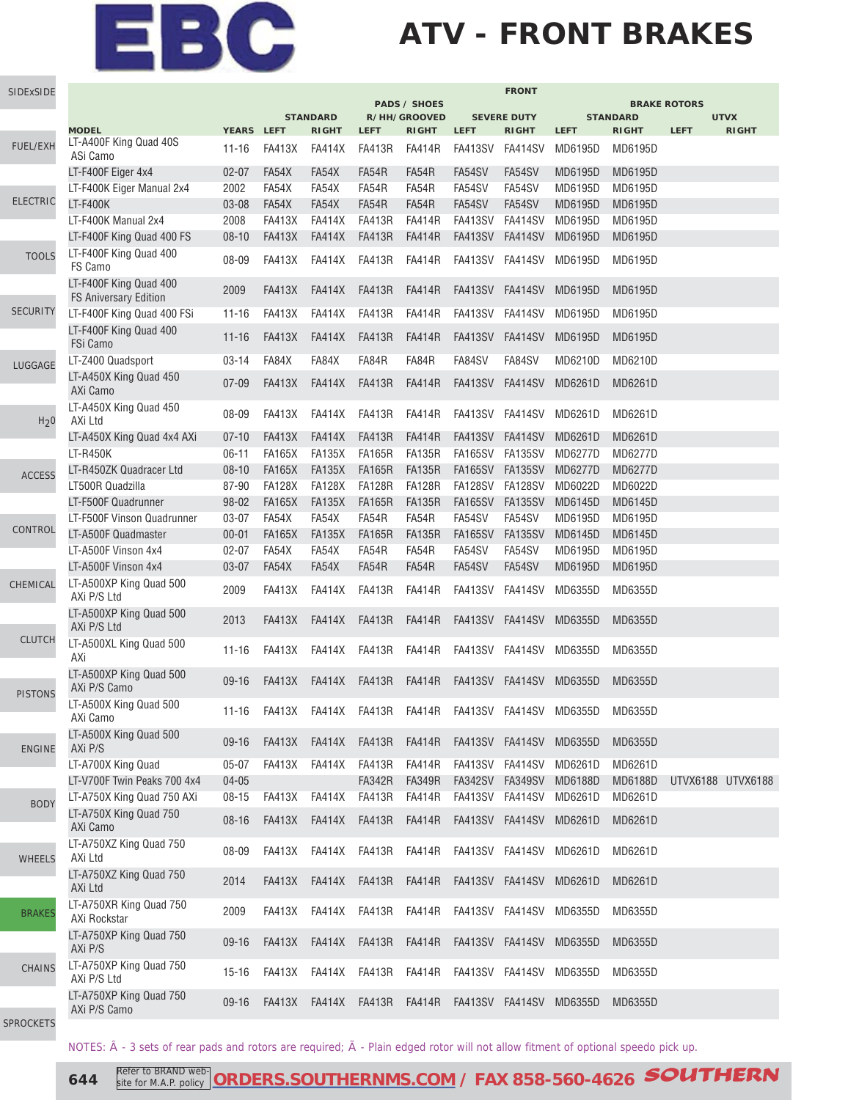## **ATV - FRONT BRAKES**

| SIDExSIDE                |                                                        |            |               |                 |               | <b>PADS / SHOES</b>                                                                                                                                                                                                                                                                                                                                                                               |                 | <b>FRONT</b>       | <b>BRAKE ROTORS</b>                                         |                 |                                  |              |
|--------------------------|--------------------------------------------------------|------------|---------------|-----------------|---------------|---------------------------------------------------------------------------------------------------------------------------------------------------------------------------------------------------------------------------------------------------------------------------------------------------------------------------------------------------------------------------------------------------|-----------------|--------------------|-------------------------------------------------------------|-----------------|----------------------------------|--------------|
|                          |                                                        |            |               | <b>STANDARD</b> |               | R/HH/GROOVED                                                                                                                                                                                                                                                                                                                                                                                      |                 | <b>SEVERE DUTY</b> |                                                             | <b>STANDARD</b> |                                  |              |
|                          | <b>MODEL</b>                                           | YEARS LEFT |               | <b>RIGHT</b>    | <b>LEFT</b>   | <b>RIGHT</b>                                                                                                                                                                                                                                                                                                                                                                                      | <b>LEFT</b>     | <b>RIGHT</b>       | <b>LEFT</b>                                                 | <b>RIGHT</b>    | <b>LEFT</b>                      | <b>RIGHT</b> |
| FUEL/EXH                 | LT-A400F King Quad 40S<br>ASi Camo                     | $11 - 16$  | <b>FA413X</b> | <b>FA414X</b>   | FA413R        | FA414R                                                                                                                                                                                                                                                                                                                                                                                            | FA413SV FA414SV |                    | MD6195D                                                     | MD6195D         |                                  |              |
|                          | LT-F400F Eiger 4x4                                     | $02 - 07$  | FA54X         | FA54X           | FA54R         | FA54R                                                                                                                                                                                                                                                                                                                                                                                             | FA54SV          | FA54SV             | MD6195D                                                     | MD6195D         |                                  |              |
|                          | LT-F400K Eiger Manual 2x4                              | 2002       | FA54X         | FA54X           | FA54R         | FA54R                                                                                                                                                                                                                                                                                                                                                                                             | FA54SV          | FA54SV             | MD6195D                                                     | MD6195D         | <b>UTVX</b><br>UTVX6188 UTVX6188 |              |
| <b>ELECTRIC</b>          | <b>LT-F400K</b>                                        | 03-08      | FA54X         | FA54X           | FA54R         | FA54R                                                                                                                                                                                                                                                                                                                                                                                             | FA54SV          | FA54SV             | MD6195D                                                     | MD6195D         |                                  |              |
|                          | LT-F400K Manual 2x4                                    | 2008       | <b>FA413X</b> | <b>FA414X</b>   | <b>FA413R</b> | <b>FA414R</b>                                                                                                                                                                                                                                                                                                                                                                                     | FA413SV FA414SV |                    | MD6195D                                                     | MD6195D         |                                  |              |
|                          | LT-F400F King Quad 400 FS                              | $08 - 10$  | <b>FA413X</b> | <b>FA414X</b>   | <b>FA413R</b> | <b>FA414R</b>                                                                                                                                                                                                                                                                                                                                                                                     | FA413SV FA414SV |                    | MD6195D                                                     | MD6195D         |                                  |              |
| <b>TOOLS</b>             | LT-F400F King Quad 400<br>FS Camo                      | 08-09      | <b>FA413X</b> | FA414X          | FA413R        | FA414R                                                                                                                                                                                                                                                                                                                                                                                            |                 | FA413SV FA414SV    | MD6195D                                                     | MD6195D         |                                  |              |
|                          | LT-F400F King Quad 400<br><b>FS Aniversary Edition</b> | 2009       | <b>FA413X</b> | <b>FA414X</b>   | <b>FA413R</b> | <b>FA414R</b>                                                                                                                                                                                                                                                                                                                                                                                     | FA413SV         | FA414SV            | MD6195D                                                     | MD6195D         |                                  |              |
| <b>SECURITY</b>          | LT-F400F King Quad 400 FSi                             | $11 - 16$  | <b>FA413X</b> | <b>FA414X</b>   | <b>FA413R</b> | <b>FA414R</b>                                                                                                                                                                                                                                                                                                                                                                                     | FA413SV FA414SV |                    | MD6195D                                                     | MD6195D         |                                  |              |
|                          | LT-F400F King Quad 400<br>FSi Camo                     | $11 - 16$  | <b>FA413X</b> | <b>FA414X</b>   | <b>FA413R</b> | FA414R                                                                                                                                                                                                                                                                                                                                                                                            |                 | FA413SV FA414SV    | MD6195D                                                     | MD6195D         |                                  |              |
| LUGGAGE                  | LT-Z400 Quadsport                                      | $03 - 14$  | FA84X         | FA84X           | FA84R         | FA84R                                                                                                                                                                                                                                                                                                                                                                                             | FA84SV          | FA84SV             | MD6210D                                                     | MD6210D         |                                  |              |
|                          | LT-A450X King Quad 450<br>AXi Camo                     | $07 - 09$  | <b>FA413X</b> | <b>FA414X</b>   | <b>FA413R</b> | FA414R                                                                                                                                                                                                                                                                                                                                                                                            |                 |                    |                                                             | MD6261D         |                                  |              |
| H <sub>2</sub> 0         | LT-A450X King Quad 450<br>AXi Ltd                      | 08-09      | <b>FA413X</b> | FA414X          | FA413R        | FA413SV FA414SV MD6261D<br>FA414R<br>FA413SV FA414SV<br>MD6261D<br><b>FA414R</b><br>FA413SV FA414SV<br>MD6261D<br><b>FA135R</b><br>FA165SV FA135SV<br>MD6277D<br><b>FA135R</b><br>FA165SV FA135SV<br>MD6277D<br><b>FA128R</b><br>FA128SV FA128SV<br>MD6022D<br><b>FA135R</b><br>FA165SV FA135SV<br>MD6145D<br>FA54R<br>FA54SV<br>FA54SV<br>MD6195D<br><b>FA135R</b><br>FA165SV FA135SV<br>MD6145D | MD6261D         |                    |                                                             |                 |                                  |              |
|                          | LT-A450X King Quad 4x4 AXi                             | $07 - 10$  | <b>FA413X</b> | <b>FA414X</b>   | <b>FA413R</b> |                                                                                                                                                                                                                                                                                                                                                                                                   |                 |                    |                                                             | MD6261D         |                                  |              |
|                          | <b>LT-R450K</b>                                        | $06 - 11$  | <b>FA165X</b> | <b>FA135X</b>   | <b>FA165R</b> |                                                                                                                                                                                                                                                                                                                                                                                                   |                 |                    |                                                             | MD6277D         |                                  |              |
|                          | LT-R450ZK Quadracer Ltd                                | $08 - 10$  | <b>FA165X</b> | <b>FA135X</b>   | <b>FA165R</b> |                                                                                                                                                                                                                                                                                                                                                                                                   |                 |                    |                                                             | MD6277D         |                                  |              |
| <b>ACCESS</b><br>CONTROL | LT500R Quadzilla                                       | 87-90      | <b>FA128X</b> | <b>FA128X</b>   | <b>FA128R</b> |                                                                                                                                                                                                                                                                                                                                                                                                   |                 |                    |                                                             | MD6022D         |                                  |              |
|                          | LT-F500F Quadrunner                                    | 98-02      | <b>FA165X</b> | <b>FA135X</b>   | <b>FA165R</b> |                                                                                                                                                                                                                                                                                                                                                                                                   |                 |                    |                                                             | MD6145D         |                                  |              |
|                          | LT-F500F Vinson Quadrunner                             | 03-07      | FA54X         | FA54X           | FA54R         |                                                                                                                                                                                                                                                                                                                                                                                                   |                 |                    |                                                             | MD6195D         |                                  |              |
|                          | LT-A500F Quadmaster                                    | $00 - 01$  | <b>FA165X</b> | <b>FA135X</b>   | <b>FA165R</b> |                                                                                                                                                                                                                                                                                                                                                                                                   |                 |                    |                                                             | MD6145D         |                                  |              |
|                          | LT-A500F Vinson 4x4                                    | $02 - 07$  | FA54X         | FA54X           | FA54R         | FA54R                                                                                                                                                                                                                                                                                                                                                                                             | FA54SV          | FA54SV             | MD6195D                                                     | MD6195D         |                                  |              |
|                          | LT-A500F Vinson 4x4                                    | 03-07      | FA54X         | FA54X           | FA54R         | FA54R                                                                                                                                                                                                                                                                                                                                                                                             | FA54SV          | FA54SV             | MD6195D                                                     | MD6195D         |                                  |              |
| CHEMICAL                 | LT-A500XP King Quad 500<br>AXi P/S Ltd                 | 2009       | <b>FA413X</b> | <b>FA414X</b>   | <b>FA413R</b> | <b>FA414R</b>                                                                                                                                                                                                                                                                                                                                                                                     |                 | FA413SV FA414SV    | MD6355D                                                     | MD6355D         |                                  |              |
|                          | LT-A500XP King Quad 500<br>AXi P/S Ltd                 | 2013       | <b>FA413X</b> | FA414X          | <b>FA413R</b> | FA414R                                                                                                                                                                                                                                                                                                                                                                                            |                 | FA413SV FA414SV    | MD6355D                                                     | MD6355D         |                                  |              |
| <b>CLUTCH</b>            | LT-A500XL King Quad 500<br>AXi                         | $11 - 16$  | <b>FA413X</b> | <b>FA414X</b>   | FA413R        | FA414R                                                                                                                                                                                                                                                                                                                                                                                            | FA413SV FA414SV |                    | MD6355D                                                     | MD6355D         |                                  |              |
| <b>PISTONS</b>           | LT-A500XP King Quad 500<br>AXi P/S Camo                | $09-16$    | <b>FA413X</b> | FA414X          | <b>FA413R</b> | FA414R                                                                                                                                                                                                                                                                                                                                                                                            |                 | FA413SV FA414SV    | MD6355D                                                     | MD6355D         |                                  |              |
|                          | LT-A500X King Quad 500<br>AXi Camo                     | 11-16      |               |                 |               |                                                                                                                                                                                                                                                                                                                                                                                                   |                 |                    | FA413X FA414X FA413R FA414R FA413SV FA414SV MD6355D MD6355D |                 |                                  |              |
| <b>ENGINE</b>            | LT-A500X King Quad 500<br>AXi P/S                      | $09-16$    | FA413X        |                 | FA414X FA413R | FA414R                                                                                                                                                                                                                                                                                                                                                                                            |                 |                    | FA413SV FA414SV MD6355D                                     | MD6355D         |                                  |              |
|                          | LT-A700X King Quad                                     | $05 - 07$  | <b>FA413X</b> | <b>FA414X</b>   | FA413R        | <b>FA414R</b>                                                                                                                                                                                                                                                                                                                                                                                     |                 | FA413SV FA414SV    | MD6261D                                                     | MD6261D         |                                  |              |
|                          | LT-V700F Twin Peaks 700 4x4                            | $04 - 05$  |               |                 | <b>FA342R</b> | <b>FA349R</b>                                                                                                                                                                                                                                                                                                                                                                                     |                 | FA342SV FA349SV    | MD6188D                                                     | <b>MD6188D</b>  |                                  |              |
| <b>BODY</b>              | LT-A750X King Quad 750 AXi                             | $08 - 15$  | <b>FA413X</b> | <b>FA414X</b>   | <b>FA413R</b> | <b>FA414R</b>                                                                                                                                                                                                                                                                                                                                                                                     |                 |                    | FA413SV FA414SV MD6261D                                     | MD6261D         |                                  |              |
|                          | LT-A750X King Quad 750<br>AXi Camo                     | $08 - 16$  | <b>FA413X</b> |                 | FA414X FA413R | FA414R                                                                                                                                                                                                                                                                                                                                                                                            |                 |                    | FA413SV FA414SV MD6261D                                     | MD6261D         |                                  |              |
| <b>WHEELS</b>            | LT-A750XZ King Quad 750<br>AXi Ltd                     | 08-09      | FA413X        | FA414X          | FA413R        | FA414R                                                                                                                                                                                                                                                                                                                                                                                            |                 |                    | FA413SV FA414SV MD6261D                                     | MD6261D         |                                  |              |
|                          | LT-A750XZ King Quad 750<br>AXi Ltd                     | 2014       | <b>FA413X</b> | FA414X          | FA413R        | FA414R                                                                                                                                                                                                                                                                                                                                                                                            |                 |                    | FA413SV FA414SV MD6261D                                     | MD6261D         |                                  |              |
| <b>BRAKES</b>            | LT-A750XR King Quad 750<br>AXi Rockstar                | 2009       | <b>FA413X</b> | FA414X          | FA413R        | FA414R                                                                                                                                                                                                                                                                                                                                                                                            |                 |                    | FA413SV FA414SV MD6355D                                     | MD6355D         |                                  |              |
|                          | LT-A750XP King Quad 750<br>AXi P/S                     | $09 - 16$  | <b>FA413X</b> | <b>FA414X</b>   | FA413R        | FA414R                                                                                                                                                                                                                                                                                                                                                                                            |                 |                    | FA413SV FA414SV MD6355D                                     | MD6355D         |                                  |              |
| <b>CHAINS</b>            | LT-A750XP King Quad 750<br>AXi P/S Ltd                 | $15 - 16$  | <b>FA413X</b> | FA414X          | FA413R        | FA414R                                                                                                                                                                                                                                                                                                                                                                                            |                 | FA413SV FA414SV    | MD6355D                                                     | MD6355D         |                                  |              |
|                          | LT-A750XP King Quad 750<br>AXi P/S Camo                | $09-16$    | <b>FA413X</b> |                 |               |                                                                                                                                                                                                                                                                                                                                                                                                   |                 |                    | FA414X FA413R FA414R FA413SV FA414SV MD6355D                | MD6355D         |                                  |              |
| <b>SPROCKETS</b>         |                                                        |            |               |                 |               |                                                                                                                                                                                                                                                                                                                                                                                                   |                 |                    |                                                             |                 |                                  |              |

NOTES:  $\hat{A}$  - 3 sets of rear pads and rotors are required;  $\tilde{A}$  - Plain edged rotor will not allow fitment of optional speedo pick up.

SP

**644** Refer to BRAND web-[ORDERS.SOUTHERNMS.COM](http://orders.southernms.com) / FAX 858-560-4626 **SOUTHERN** site for M.A.P. policy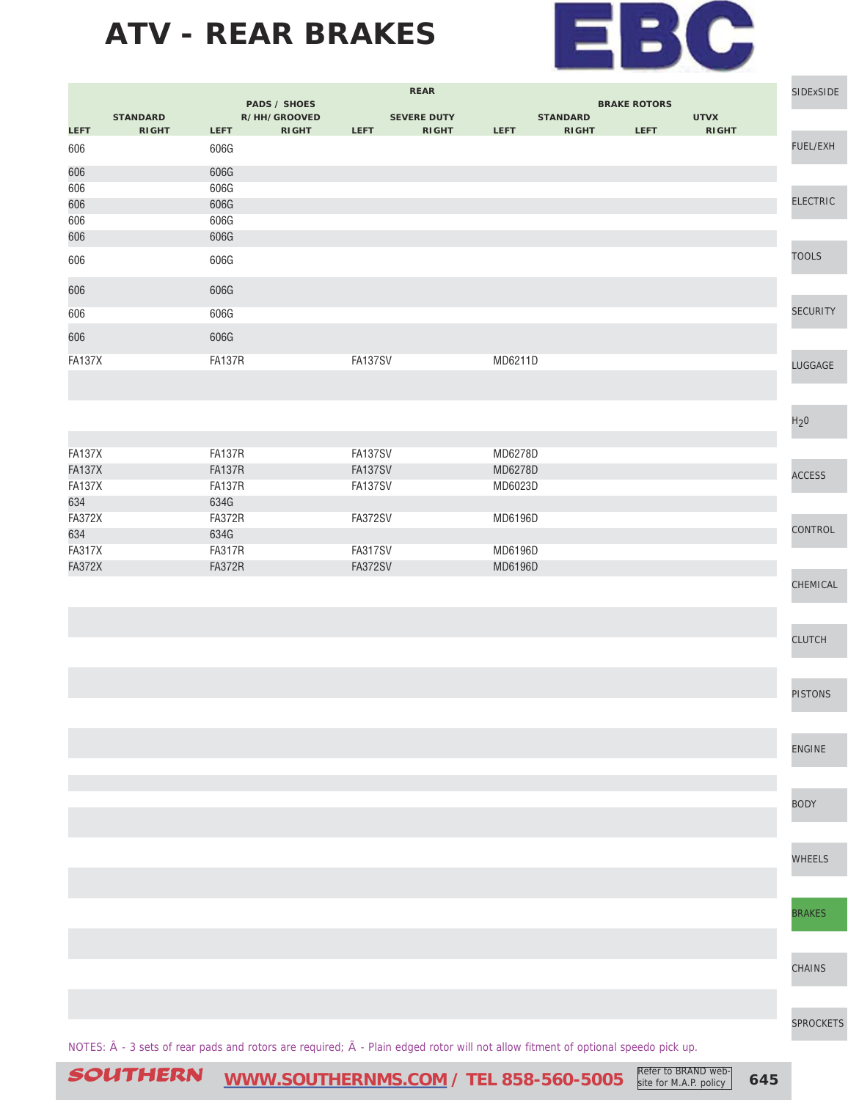

|               |                 |               |                                     |                | <b>REAR</b>                                                                                                                      |             |                 |                     |              | SIDExSIDE        |
|---------------|-----------------|---------------|-------------------------------------|----------------|----------------------------------------------------------------------------------------------------------------------------------|-------------|-----------------|---------------------|--------------|------------------|
|               | <b>STANDARD</b> |               | <b>PADS / SHOES</b><br>R/HH/GROOVED |                | <b>SEVERE DUTY</b>                                                                                                               |             | <b>STANDARD</b> | <b>BRAKE ROTORS</b> | <b>UTVX</b>  |                  |
| <b>LEFT</b>   | <b>RIGHT</b>    | <b>LEFT</b>   | <b>RIGHT</b>                        | <b>LEFT</b>    | <b>RIGHT</b>                                                                                                                     | <b>LEFT</b> | <b>RIGHT</b>    | <b>LEFT</b>         | <b>RIGHT</b> |                  |
| 606           |                 | 606G          |                                     |                |                                                                                                                                  |             |                 |                     |              | FUEL/EXH         |
| 606           |                 | 606G          |                                     |                |                                                                                                                                  |             |                 |                     |              |                  |
| 606           |                 | 606G          |                                     |                |                                                                                                                                  |             |                 |                     |              |                  |
| 606           |                 | 606G          |                                     |                |                                                                                                                                  |             |                 |                     |              | <b>ELECTRIC</b>  |
| 606           |                 | 606G          |                                     |                |                                                                                                                                  |             |                 |                     |              |                  |
| 606           |                 | 606G          |                                     |                |                                                                                                                                  |             |                 |                     |              |                  |
| 606           |                 | 606G          |                                     |                |                                                                                                                                  |             |                 |                     |              | <b>TOOLS</b>     |
| 606           |                 | 606G          |                                     |                |                                                                                                                                  |             |                 |                     |              |                  |
| 606           |                 | 606G          |                                     |                |                                                                                                                                  |             |                 |                     |              | <b>SECURITY</b>  |
|               |                 |               |                                     |                |                                                                                                                                  |             |                 |                     |              |                  |
| 606           |                 | 606G          |                                     |                |                                                                                                                                  |             |                 |                     |              |                  |
| <b>FA137X</b> |                 | <b>FA137R</b> |                                     | FA137SV        |                                                                                                                                  | MD6211D     |                 |                     |              | LUGGAGE          |
|               |                 |               |                                     |                |                                                                                                                                  |             |                 |                     |              |                  |
|               |                 |               |                                     |                |                                                                                                                                  |             |                 |                     |              |                  |
|               |                 |               |                                     |                |                                                                                                                                  |             |                 |                     |              | H <sub>2</sub> 0 |
|               |                 |               |                                     |                |                                                                                                                                  |             |                 |                     |              |                  |
| <b>FA137X</b> |                 | <b>FA137R</b> |                                     | <b>FA137SV</b> |                                                                                                                                  | MD6278D     |                 |                     |              |                  |
| <b>FA137X</b> |                 | <b>FA137R</b> |                                     | <b>FA137SV</b> |                                                                                                                                  | MD6278D     |                 |                     |              |                  |
| <b>FA137X</b> |                 | <b>FA137R</b> |                                     | <b>FA137SV</b> |                                                                                                                                  | MD6023D     |                 |                     |              | <b>ACCESS</b>    |
| 634           |                 | 634G          |                                     |                |                                                                                                                                  |             |                 |                     |              |                  |
| <b>FA372X</b> |                 | <b>FA372R</b> |                                     | <b>FA372SV</b> |                                                                                                                                  | MD6196D     |                 |                     |              |                  |
| 634           |                 | 634G          |                                     |                |                                                                                                                                  |             |                 |                     |              | CONTROL          |
| <b>FA317X</b> |                 | <b>FA317R</b> |                                     | FA317SV        |                                                                                                                                  | MD6196D     |                 |                     |              |                  |
| <b>FA372X</b> |                 | <b>FA372R</b> |                                     | <b>FA372SV</b> |                                                                                                                                  | MD6196D     |                 |                     |              |                  |
|               |                 |               |                                     |                |                                                                                                                                  |             |                 |                     |              | CHEMICAL         |
|               |                 |               |                                     |                |                                                                                                                                  |             |                 |                     |              |                  |
|               |                 |               |                                     |                |                                                                                                                                  |             |                 |                     |              |                  |
|               |                 |               |                                     |                |                                                                                                                                  |             |                 |                     |              | <b>CLUTCH</b>    |
|               |                 |               |                                     |                |                                                                                                                                  |             |                 |                     |              |                  |
|               |                 |               |                                     |                |                                                                                                                                  |             |                 |                     |              |                  |
|               |                 |               |                                     |                |                                                                                                                                  |             |                 |                     |              | <b>PISTONS</b>   |
|               |                 |               |                                     |                |                                                                                                                                  |             |                 |                     |              |                  |
|               |                 |               |                                     |                |                                                                                                                                  |             |                 |                     |              |                  |
|               |                 |               |                                     |                |                                                                                                                                  |             |                 |                     |              | <b>ENGINE</b>    |
|               |                 |               |                                     |                |                                                                                                                                  |             |                 |                     |              |                  |
|               |                 |               |                                     |                |                                                                                                                                  |             |                 |                     |              |                  |
|               |                 |               |                                     |                |                                                                                                                                  |             |                 |                     |              | <b>BODY</b>      |
|               |                 |               |                                     |                |                                                                                                                                  |             |                 |                     |              |                  |
|               |                 |               |                                     |                |                                                                                                                                  |             |                 |                     |              |                  |
|               |                 |               |                                     |                |                                                                                                                                  |             |                 |                     |              | WHEELS           |
|               |                 |               |                                     |                |                                                                                                                                  |             |                 |                     |              |                  |
|               |                 |               |                                     |                |                                                                                                                                  |             |                 |                     |              |                  |
|               |                 |               |                                     |                |                                                                                                                                  |             |                 |                     |              |                  |
|               |                 |               |                                     |                |                                                                                                                                  |             |                 |                     |              | <b>BRAKES</b>    |
|               |                 |               |                                     |                |                                                                                                                                  |             |                 |                     |              |                  |
|               |                 |               |                                     |                |                                                                                                                                  |             |                 |                     |              |                  |
|               |                 |               |                                     |                |                                                                                                                                  |             |                 |                     |              | CHAINS           |
|               |                 |               |                                     |                |                                                                                                                                  |             |                 |                     |              |                  |
|               |                 |               |                                     |                |                                                                                                                                  |             |                 |                     |              |                  |
|               |                 |               |                                     |                |                                                                                                                                  |             |                 |                     |              | SPROCKETS        |
|               |                 |               |                                     |                | NOTES: Â - 3 sets of rear pads and rotors are required; Ã - Plain edged rotor will not allow fitment of optional speedo pick up. |             |                 |                     |              |                  |

SOUTHERN **[WWW.SOUTHERNMS.COM](http://m.southernms.com) / TEL 858-560-5005 645** Refer to BRAND website for M.A.P. policy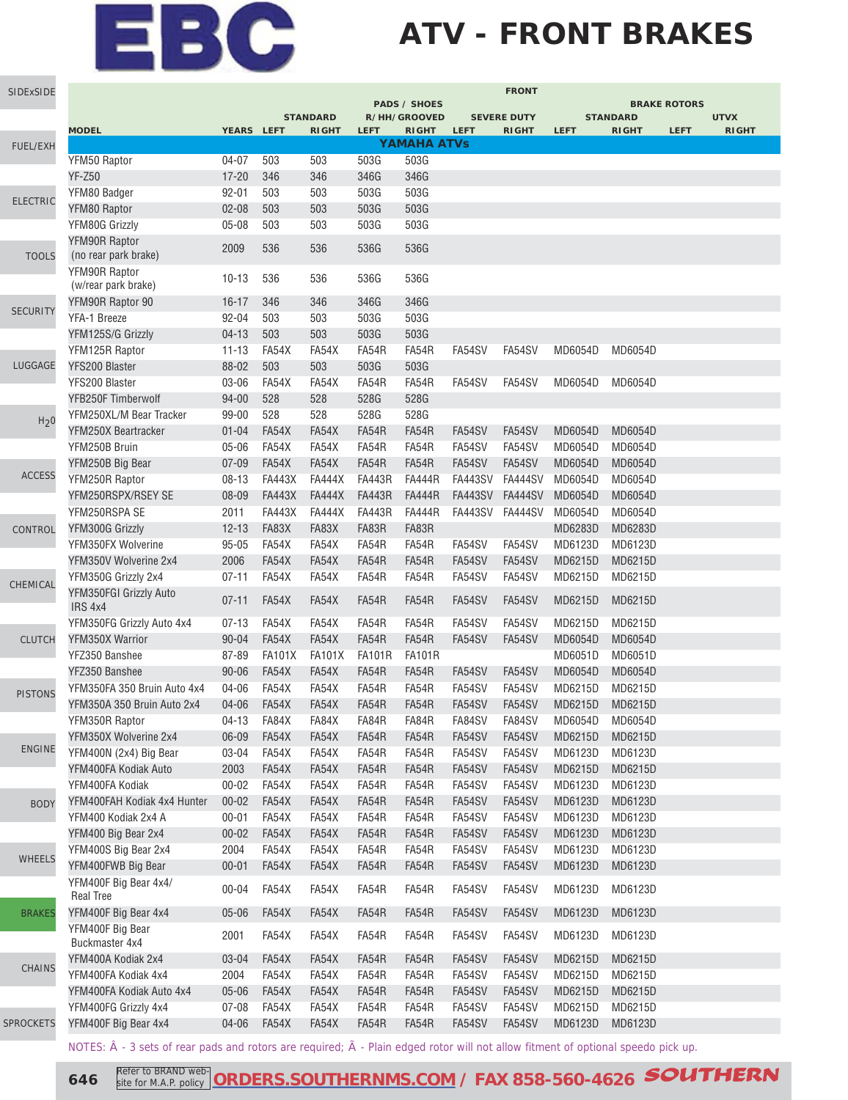## **ATV - FRONT BRAKES**

| SIDExSIDE        |                                           |            |               |                                 |               |                              |                | <b>FRONT</b>       |             |                                 |                     |                             |
|------------------|-------------------------------------------|------------|---------------|---------------------------------|---------------|------------------------------|----------------|--------------------|-------------|---------------------------------|---------------------|-----------------------------|
|                  |                                           |            |               |                                 |               | <b>PADS / SHOES</b>          |                |                    |             |                                 | <b>BRAKE ROTORS</b> |                             |
|                  | <b>MODEL</b>                              | YEARS LEFT |               | <b>STANDARD</b><br><b>RIGHT</b> | <b>LEFT</b>   | R/HH/GROOVED<br><b>RIGHT</b> | <b>LEFT</b>    | <b>SEVERE DUTY</b> | <b>LEFT</b> | <b>STANDARD</b><br><b>RIGHT</b> | <b>LEFT</b>         | <b>UTVX</b><br><b>RIGHT</b> |
| <b>FUEL/EXH</b>  |                                           |            |               |                                 |               | <b>YAMAHA ATVs</b>           |                | <b>RIGHT</b>       |             |                                 |                     |                             |
|                  | YFM50 Raptor                              | $04 - 07$  | 503           | 503                             | 503G          | 503G                         |                |                    |             |                                 |                     |                             |
|                  | <b>YF-Z50</b>                             | $17 - 20$  | 346           | 346                             | 346G          | 346G                         |                |                    |             |                                 |                     |                             |
|                  | YFM80 Badger                              | $92 - 01$  | 503           | 503                             | 503G          | 503G                         |                |                    |             |                                 |                     |                             |
| <b>ELECTRIC</b>  | YFM80 Raptor                              | $02 - 08$  | 503           | 503                             | 503G          | 503G                         |                |                    |             |                                 |                     |                             |
|                  | YFM80G Grizzly                            | $05 - 08$  | 503           | 503                             | 503G          | 503G                         |                |                    |             |                                 |                     |                             |
|                  | YFM90R Raptor                             |            |               |                                 |               |                              |                |                    |             |                                 |                     |                             |
| <b>TOOLS</b>     | (no rear park brake)                      | 2009       | 536           | 536                             | 536G          | 536G                         |                |                    |             |                                 |                     |                             |
|                  | YFM90R Raptor                             |            |               |                                 |               | 536G                         |                |                    |             |                                 |                     |                             |
|                  | (w/rear park brake)                       | $10 - 13$  | 536           | 536                             | 536G          |                              |                |                    |             |                                 |                     |                             |
| <b>SECURITY</b>  | YFM90R Raptor 90                          | $16 - 17$  | 346           | 346                             | 346G          | 346G                         |                |                    |             |                                 |                     |                             |
|                  | YFA-1 Breeze                              | 92-04      | 503           | 503                             | 503G          | 503G                         |                |                    |             |                                 |                     |                             |
|                  | YFM125S/G Grizzly                         | $04 - 13$  | 503           | 503                             | 503G          | 503G                         |                |                    |             |                                 |                     |                             |
|                  | YFM125R Raptor                            | $11 - 13$  | FA54X         | FA54X                           | FA54R         | FA54R                        | FA54SV         | FA54SV             | MD6054D     | MD6054D                         |                     |                             |
| LUGGAGE          | YFS200 Blaster                            | 88-02      | 503           | 503                             | 503G          | 503G                         |                |                    |             |                                 |                     |                             |
|                  | YFS200 Blaster                            | 03-06      | FA54X         | FA54X                           | FA54R         | FA54R                        | FA54SV         | FA54SV             | MD6054D     | MD6054D                         |                     |                             |
|                  | YFB250F Timberwolf                        | $94 - 00$  | 528           | 528                             | 528G          | 528G                         |                |                    |             |                                 |                     |                             |
| H <sub>2</sub> 0 | YFM250XL/M Bear Tracker                   | 99-00      | 528           | 528                             | 528G          | 528G                         |                |                    |             |                                 |                     |                             |
|                  | YFM250X Beartracker                       | $01 - 04$  | FA54X         | FA54X                           | FA54R         | FA54R                        | FA54SV         | FA54SV             | MD6054D     | MD6054D                         |                     |                             |
|                  | YFM250B Bruin                             | $05 - 06$  | FA54X         | FA54X                           | FA54R         | FA54R                        | FA54SV         | FA54SV             | MD6054D     | MD6054D                         |                     |                             |
|                  | YFM250B Big Bear                          | $07 - 09$  | FA54X         | FA54X                           | FA54R         | FA54R                        | FA54SV         | FA54SV             | MD6054D     | MD6054D                         |                     |                             |
| <b>ACCESS</b>    | YFM250R Raptor                            | $08 - 13$  | <b>FA443X</b> | <b>FA444X</b>                   | <b>FA443R</b> | <b>FA444R</b>                | <b>FA443SV</b> | FA444SV            | MD6054D     | MD6054D                         |                     |                             |
|                  | YFM250RSPX/RSEY SE                        | 08-09      | <b>FA443X</b> | <b>FA444X</b>                   | <b>FA443R</b> | <b>FA444R</b>                | <b>FA443SV</b> | <b>FA444SV</b>     | MD6054D     | MD6054D                         |                     |                             |
|                  | YFM250RSPA SE                             | 2011       | <b>FA443X</b> | <b>FA444X</b>                   | <b>FA443R</b> | <b>FA444R</b>                | <b>FA443SV</b> | <b>FA444SV</b>     | MD6054D     | MD6054D                         |                     |                             |
| CONTROL          | YFM300G Grizzly                           | $12 - 13$  | FA83X         | FA83X                           | FA83R         | FA83R                        |                |                    | MD6283D     | MD6283D                         |                     |                             |
|                  | YFM350FX Wolverine                        | $95 - 05$  | FA54X         | FA54X                           | FA54R         | FA54R                        | FA54SV         | FA54SV             | MD6123D     | MD6123D                         |                     |                             |
|                  | YFM350V Wolverine 2x4                     | 2006       | FA54X         | FA54X                           | FA54R         | FA54R                        | FA54SV         | FA54SV             | MD6215D     | MD6215D                         |                     |                             |
| CHEMICAL         | YFM350G Grizzly 2x4                       | $07 - 11$  | FA54X         | FA54X                           | FA54R         | FA54R                        | FA54SV         | FA54SV             | MD6215D     | MD6215D                         |                     |                             |
|                  | YFM350FGI Grizzly Auto<br>IRS 4x4         | $07 - 11$  | FA54X         | FA54X                           | FA54R         | FA54R                        | FA54SV         | FA54SV             | MD6215D     | MD6215D                         |                     |                             |
|                  | YFM350FG Grizzly Auto 4x4                 | $07 - 13$  | FA54X         | FA54X                           | FA54R         | FA54R                        | FA54SV         | FA54SV             | MD6215D     | MD6215D                         |                     |                             |
| <b>CLUTCH</b>    | YFM350X Warrior                           | $90 - 04$  | FA54X         | FA54X                           | FA54R         | FA54R                        | FA54SV         | FA54SV             | MD6054D     | MD6054D                         |                     |                             |
|                  | YFZ350 Banshee                            | 87-89      | <b>FA101X</b> | <b>FA101X</b>                   | <b>FA101R</b> | <b>FA101R</b>                |                |                    | MD6051D     | MD6051D                         |                     |                             |
|                  | YFZ350 Banshee                            | $90 - 06$  | FA54X         | FA54X                           | FA54R         | FA54R                        | FA54SV         | FA54SV             | MD6054D     | MD6054D                         |                     |                             |
| <b>PISTONS</b>   | YFM350FA 350 Bruin Auto 4x4               | 04-06      | FA54X         | FA54X                           | FA54R         | FA54R                        | FA54SV         | FA54SV             | MD6215D     | MD6215D                         |                     |                             |
|                  | YFM350A 350 Bruin Auto 2x4                | 04-06      | FA54X         | FA54X                           | FA54R         | FA54R                        | FA54SV         | FA54SV             | MD6215D     | MD6215D                         |                     |                             |
|                  | YFM350R Raptor                            | $04-13$    | FA84X         | FA84X                           | FA84R         | FA84R                        | FA84SV         | FA84SV             | MD6054D     | MD6054D                         |                     |                             |
|                  | YFM350X Wolverine 2x4                     | 06-09      | FA54X         | FA54X                           | FA54R         | FA54R                        | FA54SV         | FA54SV             | MD6215D     | MD6215D                         |                     |                             |
| <b>ENGINE</b>    | YFM400N (2x4) Big Bear                    | 03-04      | FA54X         | FA54X                           | FA54R         | FA54R                        | FA54SV         | FA54SV             | MD6123D     | MD6123D                         |                     |                             |
|                  | YFM400FA Kodiak Auto                      | 2003       | FA54X         | FA54X                           | FA54R         | FA54R                        | FA54SV         | FA54SV             | MD6215D     | MD6215D                         |                     |                             |
|                  | YFM400FA Kodiak                           | $00 - 02$  | FA54X         | FA54X                           | FA54R         | FA54R                        | FA54SV         | FA54SV             | MD6123D     | MD6123D                         |                     |                             |
| <b>BODY</b>      | YFM400FAH Kodiak 4x4 Hunter               | $00 - 02$  | FA54X         | FA54X                           | FA54R         | FA54R                        | FA54SV         | FA54SV             | MD6123D     | MD6123D                         |                     |                             |
|                  | YFM400 Kodiak 2x4 A                       | $00 - 01$  | FA54X         | FA54X                           | FA54R         | FA54R                        | FA54SV         | FA54SV             | MD6123D     | MD6123D                         |                     |                             |
|                  | YFM400 Big Bear 2x4                       | $00 - 02$  | FA54X         | FA54X                           | FA54R         | FA54R                        | FA54SV         | FA54SV             | MD6123D     | MD6123D                         |                     |                             |
|                  | YFM400S Big Bear 2x4                      | 2004       | FA54X         | FA54X                           | FA54R         | FA54R                        | FA54SV         | FA54SV             | MD6123D     | MD6123D                         |                     |                             |
| WHEELS           | YFM400FWB Big Bear                        | $00 - 01$  | FA54X         | FA54X                           | FA54R         | FA54R                        | FA54SV         | FA54SV             | MD6123D     | MD6123D                         |                     |                             |
|                  | YFM400F Big Bear 4x4/<br><b>Real Tree</b> | $00 - 04$  | FA54X         | FA54X                           | FA54R         | FA54R                        | FA54SV         | FA54SV             | MD6123D     | MD6123D                         |                     |                             |
| <b>BRAKES</b>    | YFM400F Big Bear 4x4                      | $05 - 06$  | FA54X         | FA54X                           | FA54R         | FA54R                        | FA54SV         | FA54SV             | MD6123D     | MD6123D                         |                     |                             |
|                  | YFM400F Big Bear<br>Buckmaster 4x4        | 2001       | FA54X         | FA54X                           | FA54R         | FA54R                        | FA54SV         | FA54SV             | MD6123D     | MD6123D                         |                     |                             |
|                  | YFM400A Kodiak 2x4                        | $03 - 04$  | FA54X         | FA54X                           | FA54R         | FA54R                        | FA54SV         | FA54SV             | MD6215D     | MD6215D                         |                     |                             |
| CHAINS           | YFM400FA Kodiak 4x4                       | 2004       | FA54X         | FA54X                           | FA54R         | FA54R                        | FA54SV         | FA54SV             | MD6215D     | MD6215D                         |                     |                             |
|                  | YFM400FA Kodiak Auto 4x4                  | $05 - 06$  | FA54X         | FA54X                           | FA54R         | FA54R                        | FA54SV         | FA54SV             | MD6215D     | MD6215D                         |                     |                             |
|                  | YFM400FG Grizzly 4x4                      | $07 - 08$  | FA54X         | FA54X                           | FA54R         | FA54R                        | FA54SV         | FA54SV             | MD6215D     | MD6215D                         |                     |                             |
| <b>SPROCKETS</b> | YFM400F Big Bear 4x4                      | 04-06      | FA54X         | FA54X                           | FA54R         | FA54R                        | FA54SV         | FA54SV             | MD6123D     | MD6123D                         |                     |                             |
|                  |                                           |            |               |                                 |               |                              |                |                    |             |                                 |                     |                             |

NOTES:  $\hat{A}$  - 3 sets of rear pads and rotors are required;  $\tilde{A}$  - Plain edged rotor will not allow fitment of optional speedo pick up.

**646 Refer to BRAND web-** ORDERS.SOUTHERNMS.COM</u> / FAX 858-560-4626 **SOUTHERN** site for M.A.P. policy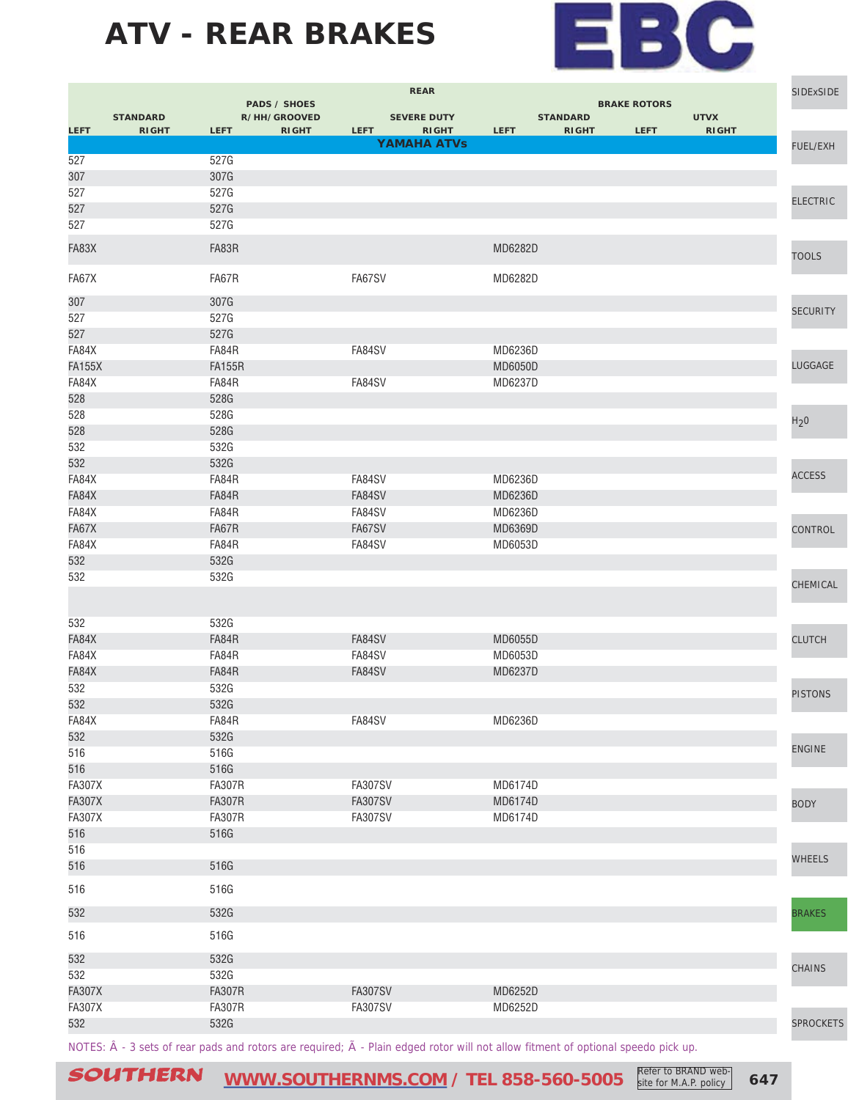

|               |                                 |               | <b>PADS / SHOES</b>          | <b>REAR</b>                                       |                | <b>SIDExSIDE</b>                |                                    |                             |                  |
|---------------|---------------------------------|---------------|------------------------------|---------------------------------------------------|----------------|---------------------------------|------------------------------------|-----------------------------|------------------|
| <b>LEFT</b>   | <b>STANDARD</b><br><b>RIGHT</b> | <b>LEFT</b>   | R/HH/GROOVED<br><b>RIGHT</b> | <b>SEVERE DUTY</b><br><b>LEFT</b><br><b>RIGHT</b> | LEFT           | <b>STANDARD</b><br><b>RIGHT</b> | <b>BRAKE ROTORS</b><br><b>LEFT</b> | <b>UTVX</b><br><b>RIGHT</b> |                  |
| 527           |                                 | 527G          |                              | <b>YAMAHA ATVs</b>                                |                |                                 |                                    |                             | FUEL/EXH         |
| 307           |                                 | 307G          |                              |                                                   |                |                                 |                                    |                             |                  |
| 527           |                                 | 527G          |                              |                                                   |                |                                 |                                    |                             |                  |
| 527           |                                 | 527G          |                              |                                                   |                |                                 |                                    |                             | <b>ELECTRIC</b>  |
| 527           |                                 | 527G          |                              |                                                   |                |                                 |                                    |                             |                  |
| FA83X         |                                 | FA83R         |                              |                                                   | MD6282D        |                                 |                                    |                             | <b>TOOLS</b>     |
| FA67X         |                                 | FA67R         |                              | FA67SV                                            | MD6282D        |                                 |                                    |                             |                  |
| 307           |                                 | 307G          |                              |                                                   |                |                                 |                                    |                             |                  |
| 527           |                                 | 527G          |                              |                                                   |                |                                 |                                    |                             | <b>SECURITY</b>  |
| 527           |                                 | 527G          |                              |                                                   |                |                                 |                                    |                             |                  |
| FA84X         |                                 | FA84R         |                              | FA84SV                                            | MD6236D        |                                 |                                    |                             |                  |
| <b>FA155X</b> |                                 | <b>FA155R</b> |                              |                                                   | <b>MD6050D</b> |                                 |                                    |                             | LUGGAGE          |
| FA84X<br>528  |                                 | FA84R<br>528G |                              | FA84SV                                            | MD6237D        |                                 |                                    |                             |                  |
| 528           |                                 | 528G          |                              |                                                   |                |                                 |                                    |                             |                  |
| 528           |                                 | 528G          |                              |                                                   |                |                                 |                                    |                             | H <sub>2</sub> 0 |
| 532           |                                 | 532G          |                              |                                                   |                |                                 |                                    |                             |                  |
| 532           |                                 | 532G          |                              |                                                   |                |                                 |                                    |                             |                  |
| FA84X         |                                 | FA84R         |                              | FA84SV                                            | MD6236D        |                                 |                                    |                             | <b>ACCESS</b>    |
| FA84X         |                                 | FA84R         |                              | FA84SV                                            | MD6236D        |                                 |                                    |                             |                  |
| FA84X         |                                 | FA84R         |                              | FA84SV                                            | MD6236D        |                                 |                                    |                             |                  |
| FA67X         |                                 | FA67R         |                              | FA67SV                                            | MD6369D        |                                 |                                    |                             | CONTROL          |
| FA84X         |                                 | FA84R         |                              | FA84SV                                            | MD6053D        |                                 |                                    |                             |                  |
| 532<br>532    |                                 | 532G<br>532G  |                              |                                                   |                |                                 |                                    |                             |                  |
|               |                                 |               |                              |                                                   |                |                                 |                                    |                             | CHEMICAL         |
| 532           |                                 | 532G          |                              |                                                   |                |                                 |                                    |                             |                  |
| FA84X         |                                 | FA84R         |                              | FA84SV                                            | MD6055D        |                                 |                                    |                             | <b>CLUTCH</b>    |
| FA84X         |                                 | FA84R         |                              | FA84SV                                            | MD6053D        |                                 |                                    |                             |                  |
| FA84X         |                                 | FA84R         |                              | FA84SV                                            | MD6237D        |                                 |                                    |                             |                  |
| 532           |                                 | 532G          |                              |                                                   |                |                                 |                                    |                             | <b>PISTONS</b>   |
| 532           |                                 | 532G          |                              |                                                   |                |                                 |                                    |                             |                  |
| FA84X<br>532  |                                 | FA84R<br>532G |                              | FA84SV                                            | MD6236D        |                                 |                                    |                             |                  |
| 516           |                                 | 516G          |                              |                                                   |                |                                 |                                    |                             | <b>ENGINE</b>    |
| 516           |                                 | 516G          |                              |                                                   |                |                                 |                                    |                             |                  |
| <b>FA307X</b> |                                 | <b>FA307R</b> |                              | <b>FA307SV</b>                                    | MD6174D        |                                 |                                    |                             |                  |
| <b>FA307X</b> |                                 | <b>FA307R</b> |                              | <b>FA307SV</b>                                    | MD6174D        |                                 |                                    |                             | <b>BODY</b>      |
| <b>FA307X</b> |                                 | <b>FA307R</b> |                              | <b>FA307SV</b>                                    | MD6174D        |                                 |                                    |                             |                  |
| 516           |                                 | 516G          |                              |                                                   |                |                                 |                                    |                             |                  |
| 516           |                                 |               |                              |                                                   |                |                                 |                                    |                             | <b>WHEELS</b>    |
| 516           |                                 | 516G          |                              |                                                   |                |                                 |                                    |                             |                  |
| 516           |                                 | 516G          |                              |                                                   |                |                                 |                                    |                             |                  |
| 532           |                                 | 532G          |                              |                                                   |                |                                 |                                    |                             | <b>BRAKES</b>    |
| 516           |                                 | 516G          |                              |                                                   |                |                                 |                                    |                             |                  |
| 532           |                                 | 532G          |                              |                                                   |                |                                 |                                    |                             | <b>CHAINS</b>    |
| 532           |                                 | 532G          |                              |                                                   |                |                                 |                                    |                             |                  |
| <b>FA307X</b> |                                 | <b>FA307R</b> |                              | <b>FA307SV</b>                                    | MD6252D        |                                 |                                    |                             |                  |
| <b>FA307X</b> |                                 | <b>FA307R</b> |                              | <b>FA307SV</b>                                    | MD6252D        |                                 |                                    |                             |                  |
| 532           |                                 | 532G          |                              |                                                   |                |                                 |                                    |                             | <b>SPROCKETS</b> |
|               |                                 |               |                              |                                                   |                |                                 |                                    |                             |                  |

NOTES:  $\hat{A}$  - 3 sets of rear pads and rotors are required;  $\tilde{A}$  - Plain edged rotor will not allow fitment of optional speedo pick up.

SOUTHERN [WWW.SOUTHERNMS.COM](http://m.southernms.com) / TEL 858-560-5005 Refer to BRAND web-<br>
647 **COUTHERN**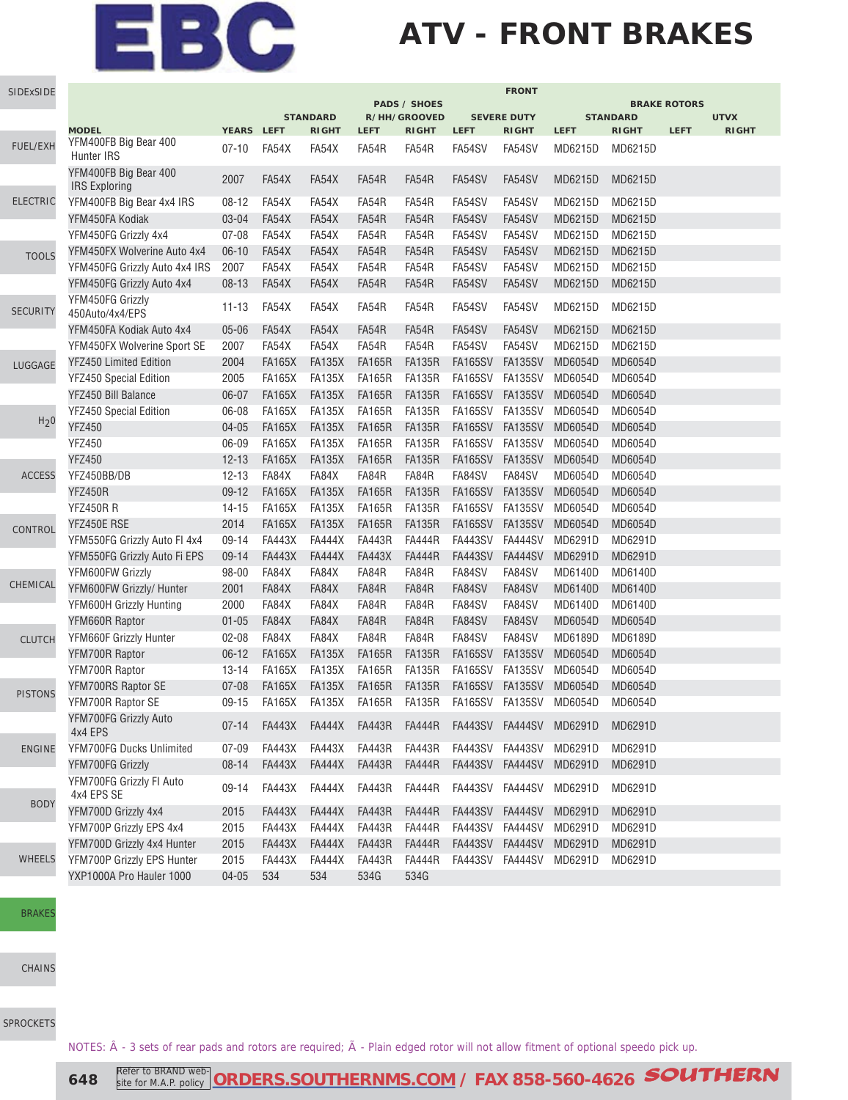## **ATV - FRONT BRAKES**

| SIDExSIDE        |                                               |            |               |                                 |               |                              |                 | <b>FRONT</b>                       |                |                                        |             |                             |  |  |
|------------------|-----------------------------------------------|------------|---------------|---------------------------------|---------------|------------------------------|-----------------|------------------------------------|----------------|----------------------------------------|-------------|-----------------------------|--|--|
|                  |                                               |            |               |                                 |               | <b>PADS / SHOES</b>          |                 |                                    |                | <b>BRAKE ROTORS</b><br><b>STANDARD</b> |             |                             |  |  |
|                  | <b>MODEL</b>                                  | YEARS LEFT |               | <b>STANDARD</b><br><b>RIGHT</b> | <b>LEFT</b>   | R/HH/GROOVED<br><b>RIGHT</b> | <b>LEFT</b>     | <b>SEVERE DUTY</b><br><b>RIGHT</b> | <b>LEFT</b>    | <b>RIGHT</b>                           | <b>LEFT</b> | <b>UTVX</b><br><b>RIGHT</b> |  |  |
| FUEL/EXH         | YFM400FB Big Bear 400<br>Hunter IRS           | $07-10$    | FA54X         | FA54X                           | FA54R         | FA54R                        | FA54SV          | FA54SV                             | MD6215D        | MD6215D                                |             |                             |  |  |
|                  | YFM400FB Big Bear 400<br><b>IRS Exploring</b> | 2007       | FA54X         | FA54X                           | FA54R         | FA54R                        | FA54SV          | FA54SV                             | MD6215D        | MD6215D                                |             |                             |  |  |
| <b>ELECTRIC</b>  | YFM400FB Big Bear 4x4 IRS                     | $08 - 12$  | FA54X         | FA54X                           | FA54R         | FA54R                        | FA54SV          | FA54SV                             | MD6215D        | MD6215D                                |             |                             |  |  |
|                  | YFM450FA Kodiak                               | $03 - 04$  | FA54X         | FA54X                           | FA54R         | FA54R                        | FA54SV          | FA54SV                             | MD6215D        | MD6215D                                |             |                             |  |  |
|                  | YFM450FG Grizzly 4x4                          | $07 - 08$  | FA54X         | FA54X                           | FA54R         | FA54R                        | FA54SV          | FA54SV                             | MD6215D        | MD6215D                                |             |                             |  |  |
| <b>TOOLS</b>     | YFM450FX Wolverine Auto 4x4                   | $06-10$    | FA54X         | FA54X                           | FA54R         | FA54R                        | FA54SV          | FA54SV                             | MD6215D        | MD6215D                                |             |                             |  |  |
|                  | YFM450FG Grizzly Auto 4x4 IRS                 | 2007       | FA54X         | FA54X                           | FA54R         | FA54R                        | FA54SV          | FA54SV                             | MD6215D        | MD6215D                                |             |                             |  |  |
|                  | YFM450FG Grizzly Auto 4x4                     | $08 - 13$  | FA54X         | FA54X                           | FA54R         | FA54R                        | FA54SV          | FA54SV                             | MD6215D        | MD6215D                                |             |                             |  |  |
| <b>SECURITY</b>  | YFM450FG Grizzly<br>450Auto/4x4/EPS           | $11 - 13$  | FA54X         | FA54X                           | FA54R         | FA54R                        | FA54SV          | FA54SV                             | MD6215D        | MD6215D                                |             |                             |  |  |
|                  | YFM450FA Kodiak Auto 4x4                      | $05 - 06$  | FA54X         | FA54X                           | FA54R         | FA54R                        | FA54SV          | FA54SV                             | MD6215D        | MD6215D                                |             |                             |  |  |
|                  | YFM450FX Wolverine Sport SE                   | 2007       | FA54X         | FA54X                           | FA54R         | FA54R                        | FA54SV          | FA54SV                             | MD6215D        | MD6215D                                |             |                             |  |  |
| LUGGAGE          | <b>YFZ450 Limited Edition</b>                 | 2004       | <b>FA165X</b> | <b>FA135X</b>                   | <b>FA165R</b> | <b>FA135R</b>                | <b>FA165SV</b>  | <b>FA135SV</b>                     | MD6054D        | MD6054D                                |             |                             |  |  |
|                  | YFZ450 Special Edition                        | 2005       | <b>FA165X</b> | <b>FA135X</b>                   | <b>FA165R</b> | <b>FA135R</b>                | FA165SV         | FA135SV                            | MD6054D        | MD6054D                                |             |                             |  |  |
|                  | YFZ450 Bill Balance                           | 06-07      | <b>FA165X</b> | <b>FA135X</b>                   | <b>FA165R</b> | <b>FA135R</b>                | <b>FA165SV</b>  | <b>FA135SV</b>                     | MD6054D        | MD6054D                                |             |                             |  |  |
|                  | YFZ450 Special Edition                        | 06-08      | <b>FA165X</b> | <b>FA135X</b>                   | <b>FA165R</b> | <b>FA135R</b>                | <b>FA165SV</b>  | <b>FA135SV</b>                     | MD6054D        | MD6054D                                |             |                             |  |  |
| H <sub>2</sub> 0 | <b>YFZ450</b>                                 | $04 - 05$  | <b>FA165X</b> | <b>FA135X</b>                   | <b>FA165R</b> | <b>FA135R</b>                | <b>FA165SV</b>  | <b>FA135SV</b>                     | MD6054D        | MD6054D                                |             |                             |  |  |
|                  | <b>YFZ450</b>                                 | 06-09      | <b>FA165X</b> | <b>FA135X</b>                   | <b>FA165R</b> | <b>FA135R</b>                | FA165SV         | FA135SV                            | MD6054D        | MD6054D                                |             |                             |  |  |
|                  | <b>YFZ450</b>                                 | $12 - 13$  | <b>FA165X</b> | <b>FA135X</b>                   | <b>FA165R</b> | <b>FA135R</b>                | <b>FA165SV</b>  | <b>FA135SV</b>                     | MD6054D        | MD6054D                                |             |                             |  |  |
| <b>ACCESS</b>    | YFZ450BB/DB                                   | $12 - 13$  | FA84X         | FA84X                           | FA84R         | FA84R                        | FA84SV          | FA84SV                             | MD6054D        | MD6054D                                |             |                             |  |  |
|                  | <b>YFZ450R</b>                                | $09 - 12$  | <b>FA165X</b> | <b>FA135X</b>                   | <b>FA165R</b> | <b>FA135R</b>                | <b>FA165SV</b>  | <b>FA135SV</b>                     | MD6054D        | MD6054D                                |             |                             |  |  |
|                  | <b>YFZ450R R</b>                              | $14 - 15$  | <b>FA165X</b> | <b>FA135X</b>                   | <b>FA165R</b> | <b>FA135R</b>                | FA165SV         | FA135SV                            | MD6054D        | MD6054D                                |             |                             |  |  |
| CONTROL          | YFZ450E RSE                                   | 2014       | <b>FA165X</b> | <b>FA135X</b>                   | <b>FA165R</b> | <b>FA135R</b>                | <b>FA165SV</b>  | <b>FA135SV</b>                     | MD6054D        | MD6054D                                |             |                             |  |  |
|                  | YFM550FG Grizzly Auto FI 4x4                  | 09-14      | <b>FA443X</b> | <b>FA444X</b>                   | <b>FA443R</b> | <b>FA444R</b>                | FA443SV         | <b>FA444SV</b>                     | MD6291D        | MD6291D                                |             |                             |  |  |
|                  | YFM550FG Grizzly Auto Fi EPS                  | $09 - 14$  | <b>FA443X</b> | <b>FA444X</b>                   | <b>FA443X</b> | <b>FA444R</b>                | <b>FA443SV</b>  | <b>FA444SV</b>                     | MD6291D        | MD6291D                                |             |                             |  |  |
|                  | YFM600FW Grizzly                              | 98-00      | FA84X         | FA84X                           | FA84R         | FA84R                        | FA84SV          | FA84SV                             | MD6140D        | MD6140D                                |             |                             |  |  |
| CHEMICAL         | YFM600FW Grizzly/ Hunter                      | 2001       | FA84X         | FA84X                           | FA84R         | FA84R                        | FA84SV          | FA84SV                             | <b>MD6140D</b> | <b>MD6140D</b>                         |             |                             |  |  |
|                  | YFM600H Grizzly Hunting                       | 2000       | FA84X         | FA84X                           | FA84R         | FA84R                        | FA84SV          | FA84SV                             | MD6140D        | MD6140D                                |             |                             |  |  |
|                  | YFM660R Raptor                                | $01 - 05$  | FA84X         | FA84X                           | FA84R         | FA84R                        | FA84SV          | FA84SV                             | MD6054D        | MD6054D                                |             |                             |  |  |
| <b>CLUTCH</b>    | YFM660F Grizzly Hunter                        | $02 - 08$  | FA84X         | FA84X                           | FA84R         | FA84R                        | FA84SV          | FA84SV                             | MD6189D        | MD6189D                                |             |                             |  |  |
|                  | YFM700R Raptor                                | $06 - 12$  | <b>FA165X</b> | <b>FA135X</b>                   | <b>FA165R</b> | <b>FA135R</b>                | <b>FA165SV</b>  | <b>FA135SV</b>                     | MD6054D        | MD6054D                                |             |                             |  |  |
|                  | YFM700R Raptor                                | $13 - 14$  | <b>FA165X</b> | <b>FA135X</b>                   | <b>FA165R</b> | <b>FA135R</b>                | FA165SV         | <b>FA135SV</b>                     | MD6054D        | MD6054D                                |             |                             |  |  |
| <b>PISTONS</b>   | YFM700RS Raptor SE                            | $07 - 08$  | <b>FA165X</b> | <b>FA135X</b>                   | <b>FA165R</b> | <b>FA135R</b>                | <b>FA165SV</b>  | <b>FA135SV</b>                     | MD6054D        | MD6054D                                |             |                             |  |  |
|                  | YFM700R Raptor SE                             | $09 - 15$  | <b>FA165X</b> | <b>FA135X</b>                   | <b>FA165R</b> | <b>FA135R</b>                | <b>FA165SV</b>  | FA135SV                            | MD6054D        | MD6054D                                |             |                             |  |  |
|                  | YFM700FG Grizzly Auto<br>4x4 EPS              | $07 - 14$  | <b>FA443X</b> | <b>FA444X</b>                   | <b>FA443R</b> | <b>FA444R</b>                | FA443SV FA444SV |                                    | MD6291D        | MD6291D                                |             |                             |  |  |
| <b>ENGINE</b>    | YFM700FG Ducks Unlimited                      | $07 - 09$  | <b>FA443X</b> | <b>FA443X</b>                   | <b>FA443R</b> | <b>FA443R</b>                | <b>FA443SV</b>  | FA443SV                            | MD6291D        | MD6291D                                |             |                             |  |  |
|                  | YFM700FG Grizzly                              | $08 - 14$  | <b>FA443X</b> | <b>FA444X</b>                   | <b>FA443R</b> | <b>FA444R</b>                | <b>FA443SV</b>  | <b>FA444SV</b>                     | MD6291D        | MD6291D                                |             |                             |  |  |
|                  | YFM700FG Grizzly FI Auto<br>4x4 EPS SE        | 09-14      | <b>FA443X</b> | <b>FA444X</b>                   | <b>FA443R</b> | <b>FA444R</b>                | FA443SV         | <b>FA444SV</b>                     | MD6291D        | MD6291D                                |             |                             |  |  |
| <b>BODY</b>      | YFM700D Grizzly 4x4                           | 2015       | <b>FA443X</b> | <b>FA444X</b>                   | <b>FA443R</b> | <b>FA444R</b>                | <b>FA443SV</b>  | FA444SV                            | MD6291D        | MD6291D                                |             |                             |  |  |
|                  | YFM700P Grizzly EPS 4x4                       | 2015       | <b>FA443X</b> | <b>FA444X</b>                   | <b>FA443R</b> | <b>FA444R</b>                | FA443SV         | FA444SV                            | MD6291D        | MD6291D                                |             |                             |  |  |
|                  | YFM700D Grizzly 4x4 Hunter                    | 2015       | <b>FA443X</b> | <b>FA444X</b>                   | <b>FA443R</b> | <b>FA444R</b>                | FA443SV         | FA444SV                            | MD6291D        | MD6291D                                |             |                             |  |  |
| <b>WHEELS</b>    | YFM700P Grizzly EPS Hunter                    | 2015       | <b>FA443X</b> | <b>FA444X</b>                   | <b>FA443R</b> | <b>FA444R</b>                | FA443SV FA444SV |                                    | MD6291D        | MD6291D                                |             |                             |  |  |
|                  | YXP1000A Pro Hauler 1000                      | $04 - 05$  | 534           | 534                             | 534G          | 534G                         |                 |                                    |                |                                        |             |                             |  |  |

[BRAKES](http://www.southernms.com/wp-content/uploads/2015/08/16_brakes.pdf)

[CHAINS](http://www.southernms.com/wp-content/uploads/2015/08/17_chains.pdf)

#### [SPROCKETS](http://www.southernms.com/wp-content/uploads/2015/08/18_sprockets.pdf)

NOTES:  $\hat{A}$  - 3 sets of rear pads and rotors are required;  $\tilde{A}$  - Plain edged rotor will not allow fitment of optional speedo pick up.

**648 Refer to BRAND web-ORDERS.SOUTHERNMS.COM** / FAX 858-560-4626 **SOUTHERN** Refer to BRAND website for M.A.P. policy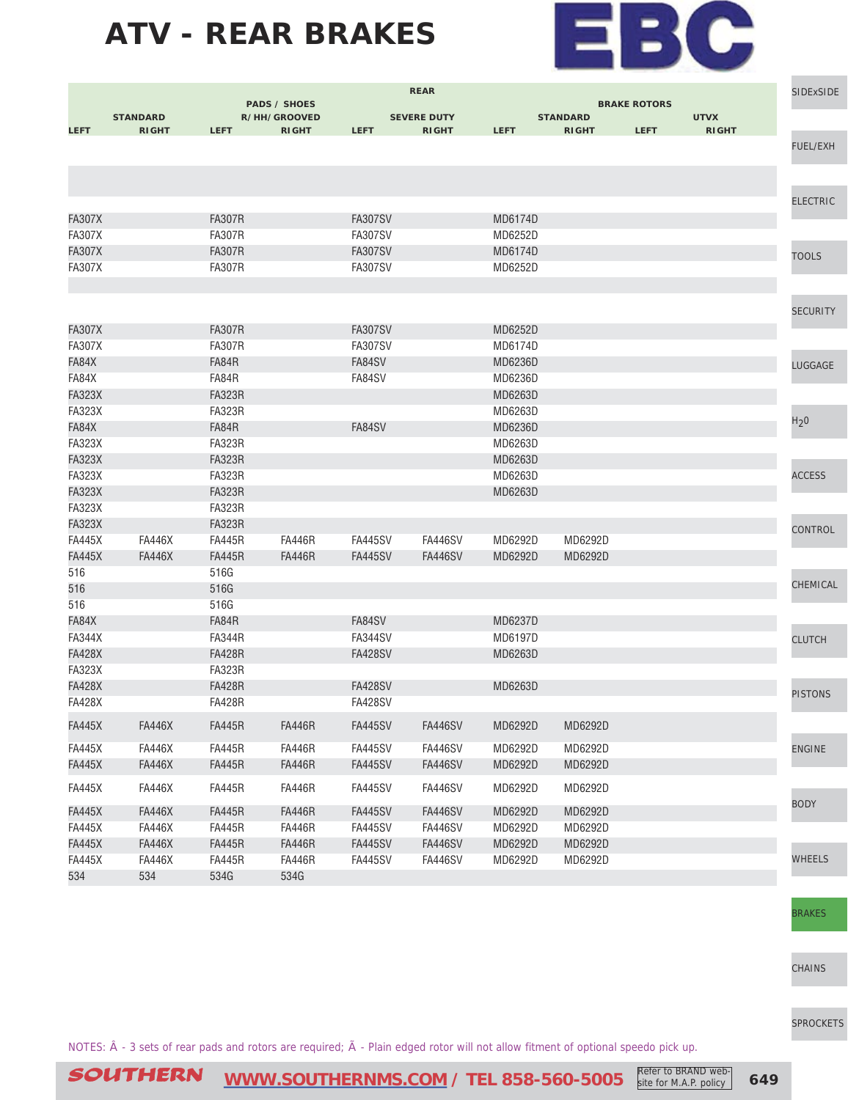

|                        |                 |                        |                                     |                | <b>REAR</b>        |                    |                 |                     |              | <b>SIDExSIDE</b> |
|------------------------|-----------------|------------------------|-------------------------------------|----------------|--------------------|--------------------|-----------------|---------------------|--------------|------------------|
|                        | <b>STANDARD</b> |                        | <b>PADS / SHOES</b><br>R/HH/GROOVED |                | <b>SEVERE DUTY</b> |                    | <b>STANDARD</b> | <b>BRAKE ROTORS</b> | <b>UTVX</b>  |                  |
| <b>LEFT</b>            | <b>RIGHT</b>    | <b>LEFT</b>            | <b>RIGHT</b>                        | <b>LEFT</b>    | <b>RIGHT</b>       | <b>LEFT</b>        | <b>RIGHT</b>    | <b>LEFT</b>         | <b>RIGHT</b> |                  |
|                        |                 |                        |                                     |                |                    |                    |                 |                     |              | <b>FUEL/EXH</b>  |
|                        |                 |                        |                                     |                |                    |                    |                 |                     |              |                  |
|                        |                 |                        |                                     |                |                    |                    |                 |                     |              |                  |
|                        |                 |                        |                                     |                |                    |                    |                 |                     |              | <b>ELECTRIC</b>  |
| <b>FA307X</b>          |                 | <b>FA307R</b>          |                                     | <b>FA307SV</b> |                    | MD6174D            |                 |                     |              |                  |
| <b>FA307X</b>          |                 | <b>FA307R</b>          |                                     | <b>FA307SV</b> |                    | MD6252D            |                 |                     |              |                  |
| <b>FA307X</b>          |                 | <b>FA307R</b>          |                                     | <b>FA307SV</b> |                    | MD6174D            |                 |                     |              |                  |
| <b>FA307X</b>          |                 | <b>FA307R</b>          |                                     | <b>FA307SV</b> |                    | MD6252D            |                 |                     |              | <b>TOOLS</b>     |
|                        |                 |                        |                                     |                |                    |                    |                 |                     |              |                  |
|                        |                 |                        |                                     |                |                    |                    |                 |                     |              |                  |
|                        |                 |                        |                                     |                |                    |                    |                 |                     |              | <b>SECURITY</b>  |
| <b>FA307X</b>          |                 | <b>FA307R</b>          |                                     | <b>FA307SV</b> |                    | MD6252D            |                 |                     |              |                  |
| <b>FA307X</b>          |                 | <b>FA307R</b>          |                                     | <b>FA307SV</b> |                    | MD6174D            |                 |                     |              |                  |
| FA84X                  |                 | FA84R                  |                                     | FA84SV         |                    | MD6236D            |                 |                     |              | LUGGAGE          |
| FA84X                  |                 | FA84R                  |                                     | FA84SV         |                    | MD6236D            |                 |                     |              |                  |
| <b>FA323X</b>          |                 | <b>FA323R</b>          |                                     |                |                    | MD6263D            |                 |                     |              |                  |
| <b>FA323X</b>          |                 | <b>FA323R</b>          |                                     |                |                    | MD6263D            |                 |                     |              | H <sub>2</sub> 0 |
| FA84X<br><b>FA323X</b> |                 | FA84R<br><b>FA323R</b> |                                     | FA84SV         |                    | MD6236D<br>MD6263D |                 |                     |              |                  |
| <b>FA323X</b>          |                 | <b>FA323R</b>          |                                     |                |                    | MD6263D            |                 |                     |              |                  |
| <b>FA323X</b>          |                 | <b>FA323R</b>          |                                     |                |                    | MD6263D            |                 |                     |              | <b>ACCESS</b>    |
| <b>FA323X</b>          |                 | <b>FA323R</b>          |                                     |                |                    | MD6263D            |                 |                     |              |                  |
| <b>FA323X</b>          |                 | <b>FA323R</b>          |                                     |                |                    |                    |                 |                     |              |                  |
| <b>FA323X</b>          |                 | <b>FA323R</b>          |                                     |                |                    |                    |                 |                     |              |                  |
| <b>FA445X</b>          | <b>FA446X</b>   | <b>FA445R</b>          | <b>FA446R</b>                       | <b>FA445SV</b> | <b>FA446SV</b>     | MD6292D            | MD6292D         |                     |              | <b>CONTROL</b>   |
| <b>FA445X</b>          | <b>FA446X</b>   | <b>FA445R</b>          | <b>FA446R</b>                       | <b>FA445SV</b> | <b>FA446SV</b>     | MD6292D            | MD6292D         |                     |              |                  |
| 516                    |                 | 516G                   |                                     |                |                    |                    |                 |                     |              |                  |
| 516                    |                 | 516G                   |                                     |                |                    |                    |                 |                     |              | CHEMICAL         |
| 516                    |                 | 516G                   |                                     |                |                    |                    |                 |                     |              |                  |
| FA84X                  |                 | FA84R                  |                                     | FA84SV         |                    | MD6237D            |                 |                     |              |                  |
| <b>FA344X</b>          |                 | <b>FA344R</b>          |                                     | <b>FA344SV</b> |                    | MD6197D            |                 |                     |              | <b>CLUTCH</b>    |
| <b>FA428X</b>          |                 | <b>FA428R</b>          |                                     | <b>FA428SV</b> |                    | MD6263D            |                 |                     |              |                  |
| <b>FA323X</b>          |                 | <b>FA323R</b>          |                                     |                |                    |                    |                 |                     |              |                  |
| <b>FA428X</b>          |                 | <b>FA428R</b>          |                                     | <b>FA428SV</b> |                    | MD6263D            |                 |                     |              | <b>PISTONS</b>   |
| <b>FA428X</b>          |                 | <b>FA428R</b>          |                                     | <b>FA428SV</b> |                    |                    |                 |                     |              |                  |
| <b>FA445X</b>          | <b>FA446X</b>   | <b>FA445R</b>          | <b>FA446R</b>                       | <b>FA445SV</b> | <b>FA446SV</b>     | MD6292D            | MD6292D         |                     |              |                  |
| <b>FA445X</b>          | <b>FA446X</b>   | <b>FA445R</b>          | <b>FA446R</b>                       | <b>FA445SV</b> | <b>FA446SV</b>     | MD6292D            | MD6292D         |                     |              | <b>ENGINE</b>    |
| <b>FA445X</b>          | <b>FA446X</b>   | <b>FA445R</b>          | <b>FA446R</b>                       | <b>FA445SV</b> | <b>FA446SV</b>     | MD6292D            | MD6292D         |                     |              |                  |
|                        |                 |                        | <b>FA446R</b>                       |                |                    |                    |                 |                     |              |                  |
| <b>FA445X</b>          | <b>FA446X</b>   | <b>FA445R</b>          |                                     | <b>FA445SV</b> | <b>FA446SV</b>     | MD6292D            | MD6292D         |                     |              | <b>BODY</b>      |
| <b>FA445X</b>          | <b>FA446X</b>   | <b>FA445R</b>          | <b>FA446R</b>                       | <b>FA445SV</b> | <b>FA446SV</b>     | MD6292D            | MD6292D         |                     |              |                  |
| <b>FA445X</b>          | <b>FA446X</b>   | <b>FA445R</b>          | <b>FA446R</b>                       | <b>FA445SV</b> | <b>FA446SV</b>     | MD6292D            | MD6292D         |                     |              |                  |
| <b>FA445X</b>          | <b>FA446X</b>   | <b>FA445R</b>          | <b>FA446R</b>                       | <b>FA445SV</b> | <b>FA446SV</b>     | MD6292D            | MD6292D         |                     |              |                  |
| <b>FA445X</b>          | <b>FA446X</b>   | <b>FA445R</b>          | <b>FA446R</b>                       | <b>FA445SV</b> | FA446SV            | MD6292D            | MD6292D         |                     |              | <b>WHEELS</b>    |
| 534                    | 534             | 534G                   | 534G                                |                |                    |                    |                 |                     |              |                  |

[BRAKES](http://www.southernms.com/wp-content/uploads/2015/08/16_brakes.pdf)

[CHAINS](http://www.southernms.com/wp-content/uploads/2015/08/17_chains.pdf)

[SPROCKETS](http://www.southernms.com/wp-content/uploads/2015/08/18_sprockets.pdf)

NOTES:  $\hat{A}$  - 3 sets of rear pads and rotors are required;  $\tilde{A}$  - Plain edged rotor will not allow fitment of optional speedo pick up.

Refer to BRAND website for M.A.P. policy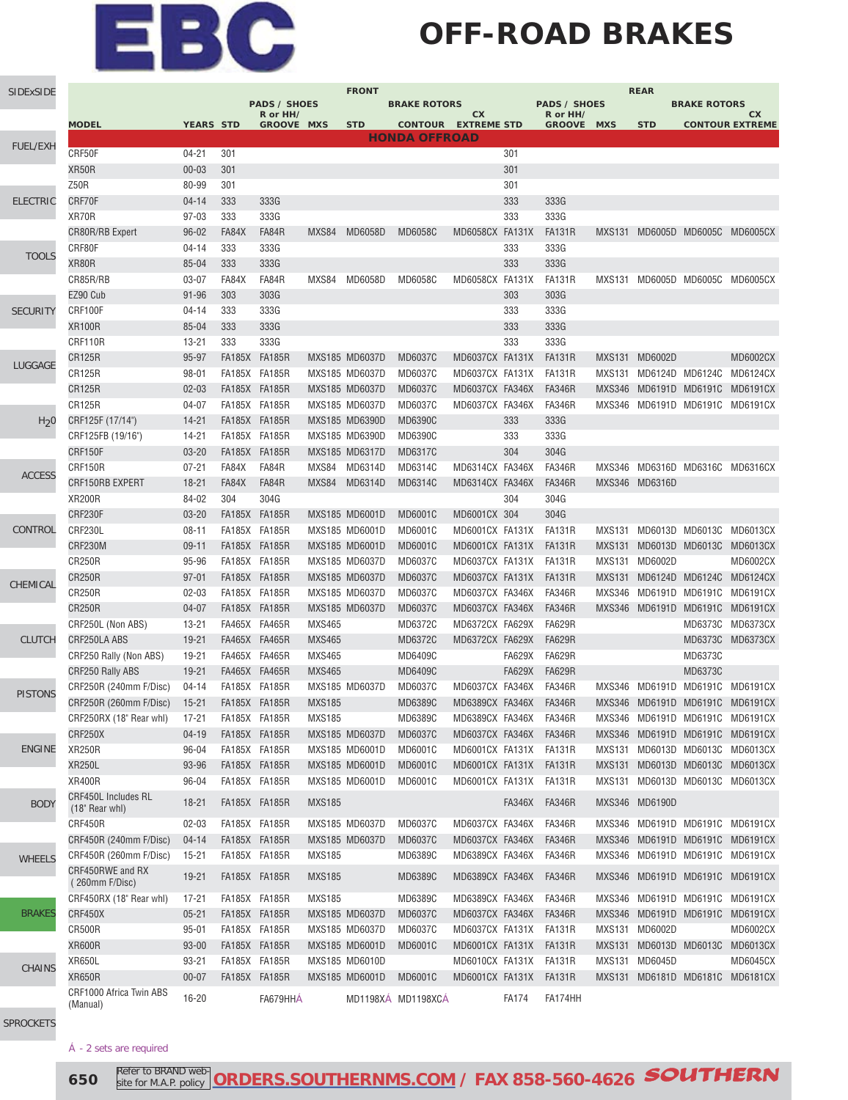## **OFF-ROAD BRAKES**

| SIDExSIDE        | <b>PADS / SHOES</b>                 |                  |               |                   |               |                | <b>BRAKE ROTORS</b>                                |                        |               | <b>REAR</b><br><b>PADS / SHOES</b><br><b>BRAKE ROTORS</b> |               |                        |                                 |                                 |  |
|------------------|-------------------------------------|------------------|---------------|-------------------|---------------|----------------|----------------------------------------------------|------------------------|---------------|-----------------------------------------------------------|---------------|------------------------|---------------------------------|---------------------------------|--|
|                  |                                     |                  |               | R or HH/          |               |                |                                                    | cx                     |               | R or HH/                                                  |               |                        |                                 | СX                              |  |
|                  | <b>MODEL</b>                        | <b>YEARS STD</b> |               | <b>GROOVE MXS</b> |               | <b>STD</b>     | <b>CONTOUR EXTREME STD</b><br><b>HONDA OFFROAD</b> |                        |               | <b>GROOVE MXS</b>                                         |               | <b>STD</b>             |                                 | <b>CONTOUR EXTREME</b>          |  |
| <b>FUEL/EXH</b>  | CRF50F                              | $04 - 21$        | 301           |                   |               |                |                                                    |                        | 301           |                                                           |               |                        |                                 |                                 |  |
|                  | XR50R                               | $00 - 03$        | 301           |                   |               |                |                                                    |                        | 301           |                                                           |               |                        |                                 |                                 |  |
|                  | Z50R                                | 80-99            | 301           |                   |               |                |                                                    |                        | 301           |                                                           |               |                        |                                 |                                 |  |
| <b>ELECTRIC</b>  | CRF70F                              | $04 - 14$        | 333           | 333G              |               |                |                                                    |                        | 333           | 333G                                                      |               |                        |                                 |                                 |  |
|                  | XR70R                               | $97 - 03$        | 333           | 333G              |               |                |                                                    |                        | 333           | 333G                                                      |               |                        |                                 |                                 |  |
|                  | CR80R/RB Expert                     | $96 - 02$        | FA84X         | FA84R             | MXS84         | MD6058D        | <b>MD6058C</b>                                     | MD6058CX FA131X        |               | <b>FA131R</b>                                             |               |                        | MXS131 MD6005D MD6005C MD6005CX |                                 |  |
|                  | CRF80F                              | $04 - 14$        | 333           | 333G              |               |                |                                                    |                        | 333           | 333G                                                      |               |                        |                                 |                                 |  |
| <b>TOOLS</b>     | XR80R                               | 85-04            | 333           | 333G              |               |                |                                                    |                        | 333           | 333G                                                      |               |                        |                                 |                                 |  |
|                  | CR85R/RB                            | $03 - 07$        | FA84X         | FA84R             | MXS84         | MD6058D        | <b>MD6058C</b>                                     | MD6058CX FA131X        |               | <b>FA131R</b>                                             |               |                        | MXS131 MD6005D MD6005C MD6005CX |                                 |  |
|                  | EZ90 Cub                            | $91 - 96$        | 303           | 303G              |               |                |                                                    |                        | 303           | 303G                                                      |               |                        |                                 |                                 |  |
| <b>SECURITY</b>  | CRF100F                             | $04 - 14$        | 333           | 333G              |               |                |                                                    |                        | 333           | 333G                                                      |               |                        |                                 |                                 |  |
|                  | <b>XR100R</b>                       | 85-04            | 333           | 333G              |               |                |                                                    |                        | 333           | 333G                                                      |               |                        |                                 |                                 |  |
|                  | CRF110R                             | $13 - 21$        | 333           | 333G              |               |                |                                                    |                        | 333           | 333G                                                      |               |                        |                                 |                                 |  |
|                  | <b>CR125R</b>                       | 95-97            | FA185X FA185R |                   |               | MXS185 MD6037D | <b>MD6037C</b>                                     | MD6037CX FA131X        |               | <b>FA131R</b>                                             |               | MXS131 MD6002D         |                                 | <b>MD6002CX</b>                 |  |
| LUGGAGE          | <b>CR125R</b>                       | $98 - 01$        | FA185X FA185R |                   |               | MXS185 MD6037D | MD6037C                                            | MD6037CX FA131X        |               | <b>FA131R</b>                                             |               | MXS131 MD6124D MD6124C |                                 | MD6124CX                        |  |
|                  | <b>CR125R</b>                       | $02 - 03$        |               | FA185X FA185R     |               | MXS185 MD6037D | MD6037C                                            | MD6037CX FA346X        |               | <b>FA346R</b>                                             | <b>MXS346</b> | MD6191D MD6191C        |                                 | <b>MD6191CX</b>                 |  |
|                  | <b>CR125R</b>                       | $04 - 07$        | FA185X FA185R |                   |               | MXS185 MD6037D | MD6037C                                            | MD6037CX FA346X        |               | <b>FA346R</b>                                             | MXS346        |                        | MD6191D MD6191C MD6191CX        |                                 |  |
| H <sub>2</sub> 0 | CRF125F (17/14")                    | $14 - 21$        |               | FA185X FA185R     |               | MXS185 MD6390D | MD6390C                                            |                        | 333           | 333G                                                      |               |                        |                                 |                                 |  |
|                  | CRF125FB (19/16")                   | 14-21            | FA185X FA185R |                   |               | MXS185 MD6390D | MD6390C                                            |                        | 333           | 333G                                                      |               |                        |                                 |                                 |  |
|                  | CRF150F                             | $03 - 20$        | FA185X FA185R |                   |               | MXS185 MD6317D | MD6317C                                            |                        | 304           | 304G                                                      |               |                        |                                 |                                 |  |
|                  | CRF150R                             | $07 - 21$        | FA84X         | FA84R             | MXS84         | MD6314D        | MD6314C                                            | MD6314CX FA346X        |               | <b>FA346R</b>                                             | MXS346        |                        | MD6316D MD6316C MD6316CX        |                                 |  |
| <b>ACCESS</b>    | CRF150RB EXPERT                     | $18 - 21$        | FA84X         | FA84R             | MXS84         | MD6314D        | MD6314C                                            | MD6314CX FA346X        |               | <b>FA346R</b>                                             |               | MXS346 MD6316D         |                                 |                                 |  |
|                  | <b>XR200R</b>                       | 84-02            | 304           | 304G              |               |                |                                                    |                        | 304           | 304G                                                      |               |                        |                                 |                                 |  |
|                  | CRF230F                             | $03 - 20$        | FA185X FA185R |                   |               | MXS185 MD6001D | <b>MD6001C</b>                                     | MD6001CX 304           |               | 304G                                                      |               |                        |                                 |                                 |  |
| CONTROL          | CRF230L                             | $08 - 11$        | FA185X FA185R |                   |               | MXS185 MD6001D | MD6001C                                            | MD6001CX FA131X        |               | <b>FA131R</b>                                             |               | MXS131 MD6013D MD6013C |                                 | MD6013CX                        |  |
|                  | <b>CRF230M</b>                      | $09 - 11$        | FA185X FA185R |                   |               | MXS185 MD6001D | MD6001C                                            | MD6001CX FA131X        |               | <b>FA131R</b>                                             | <b>MXS131</b> | MD6013D MD6013C        |                                 | MD6013CX                        |  |
|                  | <b>CR250R</b>                       | 95-96            | FA185X FA185R |                   |               | MXS185 MD6037D | MD6037C                                            | MD6037CX FA131X        |               | <b>FA131R</b>                                             |               | MXS131 MD6002D         |                                 | MD6002CX                        |  |
|                  | <b>CR250R</b>                       | $97 - 01$        | FA185X FA185R |                   |               | MXS185 MD6037D | MD6037C                                            | MD6037CX FA131X        |               | <b>FA131R</b>                                             |               |                        | MXS131 MD6124D MD6124C MD6124CX |                                 |  |
| CHEMICAL         | <b>CR250R</b>                       | $02 - 03$        | FA185X FA185R |                   |               | MXS185 MD6037D | <b>MD6037C</b>                                     | MD6037CX FA346X        |               | <b>FA346R</b>                                             | MXS346        |                        | MD6191D MD6191C MD6191CX        |                                 |  |
|                  | <b>CR250R</b>                       | $04 - 07$        |               | FA185X FA185R     |               | MXS185 MD6037D | MD6037C                                            | MD6037CX FA346X        |               | <b>FA346R</b>                                             | <b>MXS346</b> |                        | MD6191D MD6191C MD6191CX        |                                 |  |
|                  | CRF250L (Non ABS)                   | $13 - 21$        |               | FA465X FA465R     | <b>MXS465</b> |                | MD6372C                                            | MD6372CX FA629X        |               | <b>FA629R</b>                                             |               |                        |                                 | MD6373C MD6373CX                |  |
| <b>CLUTCH</b>    | CRF250LA ABS                        | 19-21            |               | FA465X FA465R     | <b>MXS465</b> |                | MD6372C                                            | MD6372CX FA629X        |               | <b>FA629R</b>                                             |               |                        |                                 | MD6373C MD6373CX                |  |
|                  | CRF250 Rally (Non ABS)              | 19-21            |               | FA465X FA465R     | <b>MXS465</b> |                | MD6409C                                            |                        | <b>FA629X</b> | <b>FA629R</b>                                             |               |                        | MD6373C                         |                                 |  |
|                  | <b>CRF250 Rally ABS</b>             | 19-21            | FA465X FA465R |                   | <b>MXS465</b> |                | MD6409C                                            |                        | <b>FA629X</b> | <b>FA629R</b>                                             |               |                        | MD6373C                         |                                 |  |
|                  | CRF250R (240mm F/Disc)              | $04 - 14$        | FA185X FA185R |                   |               | MXS185 MD6037D | MD6037C                                            | MD6037CX FA346X        |               | <b>FA346R</b>                                             | <b>MXS346</b> |                        | MD6191D MD6191C MD6191CX        |                                 |  |
| <b>PISTONS</b>   | CRF250R (260mm F/Disc)              | $15 - 21$        |               | FA185X FA185R     | <b>MXS185</b> |                | MD6389C                                            | MD6389CX FA346X        |               | <b>FA346R</b>                                             | <b>MXS346</b> |                        |                                 | MD6191D MD6191C MD6191CX        |  |
|                  | CRF250RX (18" Rear whl)             | 17-21            |               | FA185X FA185R     | <b>MXS185</b> |                | MD6389C                                            | MD6389CX FA346X        |               | <b>FA346R</b>                                             |               |                        |                                 | MXS346 MD6191D MD6191C MD6191CX |  |
|                  | CRF250X                             | $04 - 19$        |               | FA185X FA185R     |               | MXS185 MD6037D | MD6037C                                            | MD6037CX FA346X        |               | <b>FA346R</b>                                             |               |                        |                                 | MXS346 MD6191D MD6191C MD6191CX |  |
| <b>ENGINE</b>    | <b>XR250R</b>                       | 96-04            |               | FA185X FA185R     |               | MXS185 MD6001D | MD6001C                                            | MD6001CX FA131X FA131R |               |                                                           |               |                        |                                 | MXS131 MD6013D MD6013C MD6013CX |  |
|                  | <b>XR250L</b>                       | 93-96            | FA185X FA185R |                   |               | MXS185 MD6001D | MD6001C                                            | MD6001CX FA131X FA131R |               |                                                           |               |                        |                                 | MXS131 MD6013D MD6013C MD6013CX |  |
|                  | <b>XR400R</b>                       | 96-04            | FA185X FA185R |                   |               | MXS185 MD6001D | MD6001C                                            | MD6001CX FA131X FA131R |               |                                                           |               |                        | MXS131 MD6013D MD6013C MD6013CX |                                 |  |
|                  | CRF450L Includes RL                 |                  |               |                   |               |                |                                                    |                        |               |                                                           |               |                        |                                 |                                 |  |
| <b>BODY</b>      | (18" Rear whl)                      | $18 - 21$        |               | FA185X FA185R     | <b>MXS185</b> |                |                                                    |                        | FA346X        | <b>FA346R</b>                                             |               | MXS346 MD6190D         |                                 |                                 |  |
|                  | CRF450R                             | $02 - 03$        | FA185X FA185R |                   |               | MXS185 MD6037D | MD6037C                                            | MD6037CX FA346X        |               | <b>FA346R</b>                                             |               |                        | MXS346 MD6191D MD6191C MD6191CX |                                 |  |
|                  | CRF450R (240mm F/Disc)              | $04 - 14$        | FA185X FA185R |                   |               | MXS185 MD6037D | MD6037C                                            | MD6037CX FA346X        |               | <b>FA346R</b>                                             | <b>MXS346</b> |                        |                                 | MD6191D MD6191C MD6191CX        |  |
| <b>WHEELS</b>    | CRF450R (260mm F/Disc)              | $15 - 21$        | FA185X FA185R |                   | <b>MXS185</b> |                | MD6389C                                            | MD6389CX FA346X        |               | <b>FA346R</b>                                             |               |                        |                                 | MXS346 MD6191D MD6191C MD6191CX |  |
|                  | CRF450RWE and RX                    |                  |               |                   |               |                |                                                    |                        |               |                                                           |               |                        |                                 |                                 |  |
|                  | (260mm F/Disc)                      | $19 - 21$        | FA185X FA185R |                   | <b>MXS185</b> |                | MD6389C                                            | MD6389CX FA346X        |               | <b>FA346R</b>                                             |               |                        |                                 | MXS346 MD6191D MD6191C MD6191CX |  |
|                  | CRF450RX (18" Rear whl)             | $17 - 21$        | FA185X FA185R |                   | <b>MXS185</b> |                | MD6389C                                            | MD6389CX FA346X        |               | <b>FA346R</b>                                             |               |                        | MXS346 MD6191D MD6191C MD6191CX |                                 |  |
| <b>BRAKES</b>    | CRF450X                             | $05 - 21$        |               | FA185X FA185R     |               | MXS185 MD6037D | MD6037C                                            | MD6037CX FA346X        |               | <b>FA346R</b>                                             |               |                        |                                 | MXS346 MD6191D MD6191C MD6191CX |  |
|                  | CR500R                              | $95 - 01$        |               | FA185X FA185R     |               | MXS185 MD6037D | MD6037C                                            | MD6037CX FA131X        |               | FA131R                                                    |               | MXS131 MD6002D         |                                 | MD6002CX                        |  |
|                  | <b>XR600R</b>                       | $93 - 00$        | FA185X FA185R |                   |               | MXS185 MD6001D | MD6001C                                            | MD6001CX FA131X        |               | FA131R                                                    |               | MXS131 MD6013D MD6013C |                                 | MD6013CX                        |  |
| <b>CHAINS</b>    | <b>XR650L</b>                       | $93 - 21$        | FA185X FA185R |                   |               | MXS185 MD6010D |                                                    | MD6010CX FA131X FA131R |               |                                                           |               | MXS131 MD6045D         |                                 | MD6045CX                        |  |
|                  | <b>XR650R</b>                       | $00 - 07$        |               | FA185X FA185R     |               | MXS185 MD6001D | MD6001C                                            | MD6001CX FA131X        |               | FA131R                                                    |               |                        |                                 | MXS131 MD6181D MD6181C MD6181CX |  |
|                  | CRF1000 Africa Twin ABS<br>(Manual) | 16-20            |               | FA679HHA          |               |                | MD1198XA MD1198XCA                                 |                        | <b>FA174</b>  | FA174HH                                                   |               |                        |                                 |                                 |  |

[SPROCKETS](http://www.southernms.com/wp-content/uploads/2015/08/18_sprockets.pdf)

#### Á - 2 sets are required

**650 Refer to BRAND web-ORDERS.SOUTHERNMS.COM** / FAX 858-560-4626 **SOUTHERN** Refer to BRAND website for M.A.P. policy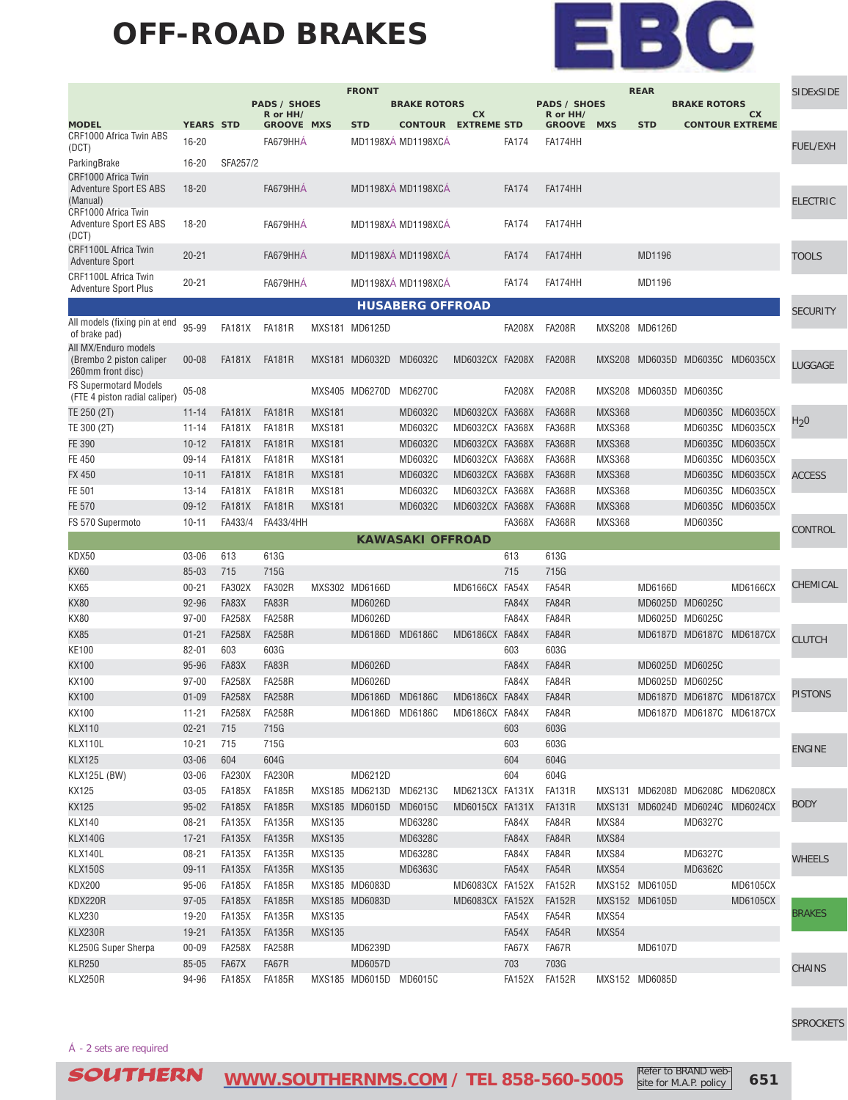### **OFF-ROAD BRAKES**



|                                                                       | <b>FRONT</b><br><b>REAR</b> |               |                                 |               |                        |                            |                 |               |                                 |               |                |                        | <b>SIDExSIDE</b>                |                  |
|-----------------------------------------------------------------------|-----------------------------|---------------|---------------------------------|---------------|------------------------|----------------------------|-----------------|---------------|---------------------------------|---------------|----------------|------------------------|---------------------------------|------------------|
|                                                                       |                             |               | <b>PADS / SHOES</b><br>R or HH/ |               |                        | <b>BRAKE ROTORS</b>        | cx              |               | <b>PADS / SHOES</b><br>R or HH/ |               |                | <b>BRAKE ROTORS</b>    | cx                              |                  |
| <b>MODEL</b>                                                          | <b>YEARS STD</b>            |               | <b>GROOVE MXS</b>               |               | <b>STD</b>             | <b>CONTOUR EXTREME STD</b> |                 |               | <b>GROOVE</b>                   | <b>MXS</b>    | <b>STD</b>     |                        | <b>CONTOUR EXTREME</b>          |                  |
| CRF1000 Africa Twin ABS<br>(DCT)                                      | $16 - 20$                   |               | FA679HHA                        |               |                        | MD1198XÁ MD1198XCÁ         |                 | <b>FA174</b>  | FA174HH                         |               |                |                        |                                 | <b>FUEL/EXH</b>  |
| ParkingBrake                                                          | 16-20                       | SFA257/2      |                                 |               |                        |                            |                 |               |                                 |               |                |                        |                                 |                  |
| CRF1000 Africa Twin<br>Adventure Sport ES ABS                         | $18 - 20$                   |               | FA679HHA                        |               |                        | MD1198XÁ MD1198XCÁ         |                 | <b>FA174</b>  | FA174HH                         |               |                |                        |                                 |                  |
| (Manual)                                                              |                             |               |                                 |               |                        |                            |                 |               |                                 |               |                |                        |                                 | <b>ELECTRIC</b>  |
| CRF1000 Africa Twin                                                   |                             |               |                                 |               |                        |                            |                 |               |                                 |               |                |                        |                                 |                  |
| <b>Adventure Sport ES ABS</b><br>(DCT)                                | 18-20                       |               | FA679HHÁ                        |               |                        | MD1198XÁ MD1198XCÁ         |                 | <b>FA174</b>  | FA174HH                         |               |                |                        |                                 |                  |
| CRF1100L Africa Twin<br><b>Adventure Sport</b>                        | $20 - 21$                   |               | FA679HHA                        |               |                        | MD1198XÁ MD1198XCÁ         |                 | <b>FA174</b>  | FA174HH                         |               | MD1196         |                        |                                 | <b>TOOLS</b>     |
| CRF1100L Africa Twin<br><b>Adventure Sport Plus</b>                   | $20 - 21$                   |               | FA679HHA                        |               |                        | MD1198XÁ MD1198XCÁ         |                 | <b>FA174</b>  | FA174HH                         |               | MD1196         |                        |                                 |                  |
|                                                                       |                             |               |                                 |               |                        | <b>HUSABERG OFFROAD</b>    |                 |               |                                 |               |                |                        |                                 | <b>SECURITY</b>  |
| All models (fixing pin at end                                         | 95-99                       |               |                                 |               |                        |                            |                 |               |                                 |               |                |                        |                                 |                  |
| of brake pad)                                                         |                             | <b>FA181X</b> | <b>FA181R</b>                   |               | MXS181 MD6125D         |                            |                 | <b>FA208X</b> | <b>FA208R</b>                   |               | MXS208 MD6126D |                        |                                 |                  |
| All MX/Enduro models<br>(Brembo 2 piston caliper<br>260mm front disc) | $00 - 08$                   | FA181X        | <b>FA181R</b>                   |               | MXS181 MD6032D         | MD6032C                    | MD6032CX FA208X |               | <b>FA208R</b>                   |               |                | MXS208 MD6035D MD6035C | <b>MD6035CX</b>                 | LUGGAGE          |
| <b>FS Supermotard Models</b>                                          |                             |               |                                 |               |                        |                            |                 |               |                                 |               |                |                        |                                 |                  |
| (FTE 4 piston radial caliper)                                         | $05 - 08$                   |               |                                 |               | MXS405 MD6270D         | MD6270C                    |                 | <b>FA208X</b> | <b>FA208R</b>                   |               | MXS208 MD6035D | MD6035C                |                                 |                  |
| TE 250 (2T)                                                           | $11 - 14$                   | <b>FA181X</b> | <b>FA181R</b>                   | <b>MXS181</b> |                        | MD6032C                    | MD6032CX FA368X |               | <b>FA368R</b>                   | <b>MXS368</b> |                | MD6035C                | MD6035CX                        | H <sub>2</sub> 0 |
| TE 300 (2T)                                                           | $11 - 14$                   | <b>FA181X</b> | <b>FA181R</b>                   | <b>MXS181</b> |                        | MD6032C                    | MD6032CX FA368X |               | <b>FA368R</b>                   | <b>MXS368</b> |                |                        | MD6035C MD6035CX                |                  |
| FE 390                                                                | $10 - 12$                   | <b>FA181X</b> | <b>FA181R</b>                   | <b>MXS181</b> |                        | MD6032C                    | MD6032CX FA368X |               | <b>FA368R</b>                   | <b>MXS368</b> |                | MD6035C                | <b>MD6035CX</b>                 |                  |
| FE 450                                                                | $09-14$                     | <b>FA181X</b> | <b>FA181R</b>                   | <b>MXS181</b> |                        | MD6032C                    | MD6032CX FA368X |               | <b>FA368R</b>                   | <b>MXS368</b> |                | MD6035C                | <b>MD6035CX</b>                 |                  |
| <b>FX 450</b>                                                         | $10 - 11$                   | <b>FA181X</b> | <b>FA181R</b>                   | <b>MXS181</b> |                        | MD6032C                    | MD6032CX FA368X |               | <b>FA368R</b>                   | <b>MXS368</b> |                | MD6035C                | <b>MD6035CX</b>                 | <b>ACCESS</b>    |
| FE 501                                                                | $13 - 14$                   | <b>FA181X</b> | <b>FA181R</b>                   | <b>MXS181</b> |                        | MD6032C                    | MD6032CX FA368X |               | <b>FA368R</b>                   | <b>MXS368</b> |                |                        | MD6035C MD6035CX                |                  |
| FE 570                                                                | $09-12$                     | <b>FA181X</b> | <b>FA181R</b>                   | <b>MXS181</b> |                        | MD6032C                    | MD6032CX FA368X |               | <b>FA368R</b>                   | <b>MXS368</b> |                | MD6035C                | MD6035CX                        |                  |
| FS 570 Supermoto                                                      | $10 - 11$                   | FA433/4       | FA433/4HH                       |               |                        |                            |                 | FA368X        | <b>FA368R</b>                   | <b>MXS368</b> |                | MD6035C                |                                 | CONTROL          |
|                                                                       |                             |               |                                 |               |                        | <b>KAWASAKI OFFROAD</b>    |                 |               |                                 |               |                |                        |                                 |                  |
| KDX50                                                                 | 03-06                       | 613           | 613G                            |               |                        |                            |                 | 613           | 613G                            |               |                |                        |                                 |                  |
| KX60                                                                  | 85-03                       | 715           | 715G                            |               |                        |                            |                 | 715           | 715G                            |               |                |                        |                                 |                  |
| KX65                                                                  | $00 - 21$                   | <b>FA302X</b> | <b>FA302R</b>                   |               | MXS302 MD6166D         |                            | MD6166CX FA54X  |               | FA54R                           |               | MD6166D        |                        | <b>MD6166CX</b>                 | CHEMICAL         |
| <b>KX80</b>                                                           | 92-96                       | FA83X         | FA83R                           |               | MD6026D                |                            |                 | FA84X         | FA84R                           |               |                | MD6025D MD6025C        |                                 |                  |
| KX80                                                                  | $97 - 00$                   | <b>FA258X</b> | <b>FA258R</b>                   |               | MD6026D                |                            |                 | FA84X         | FA84R                           |               |                | MD6025D MD6025C        |                                 |                  |
| KX85                                                                  | $01 - 21$                   | <b>FA258X</b> | <b>FA258R</b>                   |               | MD6186D MD6186C        |                            | MD6186CX FA84X  |               | FA84R                           |               |                |                        | MD6187D MD6187C MD6187CX        | <b>CLUTCH</b>    |
| KE100                                                                 | $82 - 01$                   | 603           | 603G                            |               |                        |                            |                 | 603           | 603G                            |               |                |                        |                                 |                  |
| KX100                                                                 | 95-96                       | FA83X         | FA83R                           |               | MD6026D                |                            |                 | FA84X         | FA84R                           |               |                | MD6025D MD6025C        |                                 |                  |
| KX100                                                                 | $97 - 00$                   | <b>FA258X</b> | <b>FA258R</b>                   |               | MD6026D                |                            |                 | FA84X         | FA84R                           |               |                | MD6025D MD6025C        |                                 | <b>PISTONS</b>   |
| KX100                                                                 | $01 - 09$                   | <b>FA258X</b> | <b>FA258R</b>                   |               | MD6186D MD6186C        |                            | MD6186CX FA84X  |               | FA84R                           |               |                |                        | MD6187D MD6187C MD6187CX        |                  |
| KX100                                                                 | $11 - 21$                   | <b>FA258X</b> | <b>FA258R</b>                   |               | MD6186D MD6186C        |                            | MD6186CX FA84X  |               | FA84R                           |               |                |                        | MD6187D MD6187C MD6187CX        |                  |
| <b>KLX110</b>                                                         | $02 - 21$                   | 715           | 715G                            |               |                        |                            |                 | 603           | 603G                            |               |                |                        |                                 |                  |
| KLX110L                                                               | $10 - 21$                   | 715           | 715G                            |               |                        |                            |                 | 603           | 603G                            |               |                |                        |                                 | <b>ENGINE</b>    |
| <b>KLX125</b>                                                         | 03-06                       | 604           | 604G                            |               |                        |                            |                 | 604           | 604G                            |               |                |                        |                                 |                  |
| <b>KLX125L (BW)</b>                                                   | 03-06                       | <b>FA230X</b> | <b>FA230R</b>                   |               | MD6212D                |                            |                 | 604           | 604G                            |               |                |                        |                                 |                  |
| KX125                                                                 | $03 - 05$                   | <b>FA185X</b> | <b>FA185R</b>                   |               | MXS185 MD6213D MD6213C |                            | MD6213CX FA131X |               | FA131R                          |               |                |                        | MXS131 MD6208D MD6208C MD6208CX | <b>BODY</b>      |
| KX125                                                                 | $95 - 02$                   | <b>FA185X</b> | <b>FA185R</b>                   |               | MXS185 MD6015D MD6015C |                            | MD6015CX FA131X |               | FA131R                          |               |                |                        | MXS131 MD6024D MD6024C MD6024CX |                  |
| KLX140                                                                | $08 - 21$                   | <b>FA135X</b> | <b>FA135R</b>                   | MXS135        |                        | MD6328C                    |                 | FA84X         | FA84R                           | MXS84         |                | MD6327C                |                                 |                  |
| <b>KLX140G</b>                                                        | $17 - 21$                   | <b>FA135X</b> | <b>FA135R</b>                   | <b>MXS135</b> |                        | MD6328C                    |                 | FA84X         | FA84R                           | MXS84         |                |                        |                                 |                  |
| KLX140L                                                               | $08 - 21$                   | <b>FA135X</b> | <b>FA135R</b>                   | <b>MXS135</b> |                        | MD6328C                    |                 | FA84X         | FA84R                           | MXS84         |                | MD6327C                |                                 | <b>WHEELS</b>    |
| <b>KLX150S</b>                                                        | $09 - 11$                   | <b>FA135X</b> | <b>FA135R</b>                   | <b>MXS135</b> |                        | MD6363C                    |                 | FA54X         | FA54R                           | MXS54         |                | MD6362C                |                                 |                  |
| <b>KDX200</b>                                                         | $95 - 06$                   | <b>FA185X</b> | <b>FA185R</b>                   |               | MXS185 MD6083D         |                            | MD6083CX FA152X |               | <b>FA152R</b>                   |               | MXS152 MD6105D |                        | <b>MD6105CX</b>                 |                  |
| KDX220R                                                               | $97 - 05$                   | <b>FA185X</b> | <b>FA185R</b>                   |               | MXS185 MD6083D         |                            | MD6083CX FA152X |               | <b>FA152R</b>                   |               | MXS152 MD6105D |                        | MD6105CX                        | <b>BRAKES</b>    |
| <b>KLX230</b>                                                         | 19-20                       | <b>FA135X</b> | <b>FA135R</b>                   | <b>MXS135</b> |                        |                            |                 | FA54X         | FA54R                           | MXS54         |                |                        |                                 |                  |
| KLX230R                                                               | $19 - 21$                   | <b>FA135X</b> | <b>FA135R</b>                   | <b>MXS135</b> |                        |                            |                 | FA54X         | FA54R                           | MXS54         |                |                        |                                 |                  |
| KL250G Super Sherpa                                                   | $00 - 09$                   | <b>FA258X</b> | <b>FA258R</b>                   |               | MD6239D                |                            |                 | FA67X         | FA67R                           |               | MD6107D        |                        |                                 |                  |
| <b>KLR250</b>                                                         | 85-05                       | FA67X         | FA67R                           |               | MD6057D                |                            |                 | 703           | 703G                            |               |                |                        |                                 | <b>CHAINS</b>    |
| KLX250R                                                               | 94-96                       | <b>FA185X</b> | <b>FA185R</b>                   |               | MXS185 MD6015D MD6015C |                            |                 |               | FA152X FA152R                   |               | MXS152 MD6085D |                        |                                 |                  |

- 2 sets are required

[SPROCKETS](http://www.southernms.com/wp-content/uploads/2015/08/18_sprockets.pdf)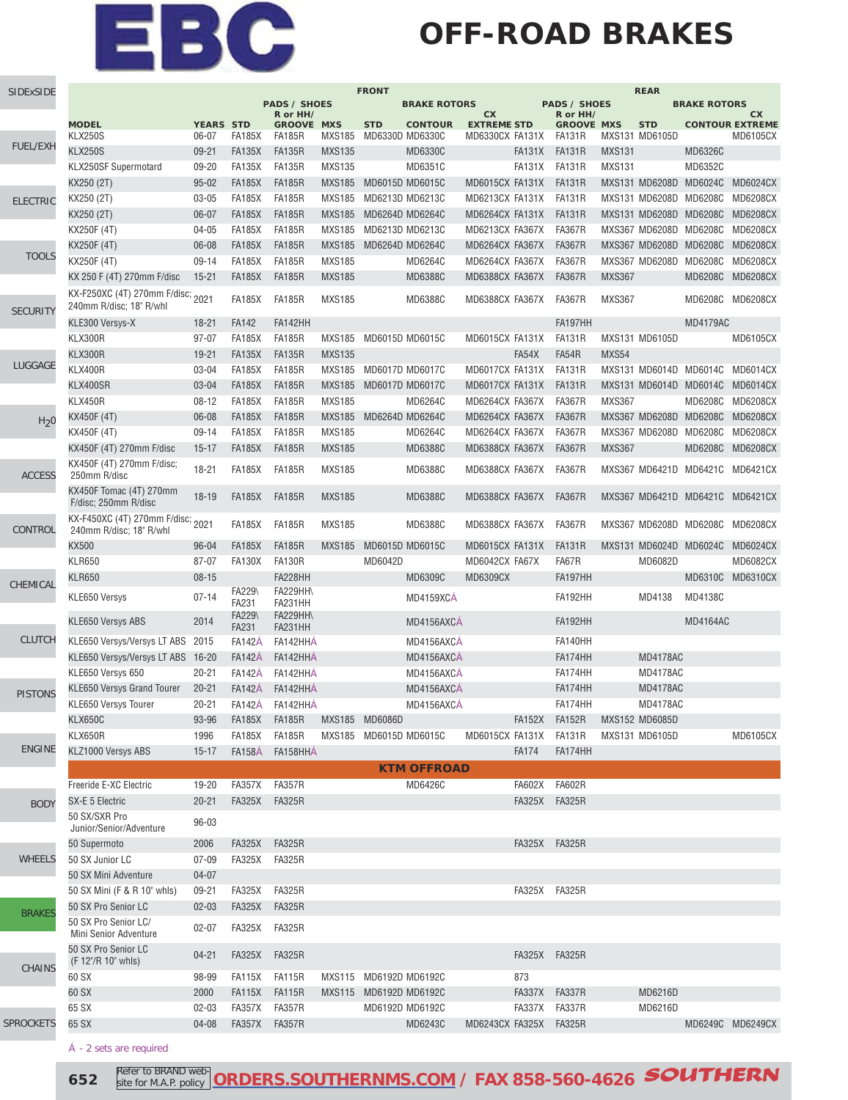### **OFF-ROAD BRAKES**

| SIDExSIDE        | <b>FRONT</b><br><b>REAR</b>                                  |                    |                 |                                 |               |                        |                     |                                 |                                 |                   |               |                        |                 |                                 |
|------------------|--------------------------------------------------------------|--------------------|-----------------|---------------------------------|---------------|------------------------|---------------------|---------------------------------|---------------------------------|-------------------|---------------|------------------------|-----------------|---------------------------------|
|                  |                                                              |                    |                 | <b>PADS / SHOES</b><br>R or HH/ |               |                        | <b>BRAKE ROTORS</b> |                                 | <b>PADS / SHOES</b><br>R or HH/ |                   |               | <b>BRAKE ROTORS</b>    | cx              |                                 |
|                  | <b>MODEL</b>                                                 | <b>YEARS STD</b>   |                 | <b>GROOVE MXS</b>               |               | <b>STD</b>             | <b>CONTOUR</b>      | <b>CX</b><br><b>EXTREME STD</b> |                                 | <b>GROOVE MXS</b> |               | <b>STD</b>             |                 | <b>CONTOUR EXTREME</b>          |
| <b>FUEL/EXH</b>  | <b>KLX250S</b>                                               | 06-07              | FA185X          | FA185R                          | MXS185        | MD6330D MD6330C        |                     | MD6330CX FA131X FA131R          |                                 |                   |               | MXS131 MD6105D         |                 | <b>MD6105CX</b>                 |
|                  | <b>KLX250S</b>                                               | $09 - 21$          | <b>FA135X</b>   | <b>FA135R</b>                   | <b>MXS135</b> |                        | MD6330C             |                                 | FA131X                          | <b>FA131R</b>     | <b>MXS131</b> |                        | MD6326C         |                                 |
|                  | KLX250SF Supermotard                                         | 09-20              | <b>FA135X</b>   | <b>FA135R</b>                   | <b>MXS135</b> |                        | MD6351C             |                                 | FA131X                          | <b>FA131R</b>     | <b>MXS131</b> |                        | MD6352C         |                                 |
|                  | KX250 (2T)                                                   | $95 - 02$          | <b>FA185X</b>   | <b>FA185R</b>                   | <b>MXS185</b> | MD6015D MD6015C        |                     | MD6015CX FA131X                 |                                 | <b>FA131R</b>     |               |                        |                 | MXS131 MD6208D MD6024C MD6024CX |
| <b>ELECTRIC</b>  | KX250 (2T)                                                   | 03-05              | <b>FA185X</b>   | <b>FA185R</b>                   | <b>MXS185</b> | MD6213D MD6213C        |                     | MD6213CX FA131X                 |                                 | FA131R            |               | MXS131 MD6208D MD6208C |                 | MD6208CX                        |
|                  | KX250 (2T)                                                   | 06-07              | <b>FA185X</b>   | <b>FA185R</b>                   | <b>MXS185</b> | MD6264D MD6264C        |                     | MD6264CX FA131X                 |                                 | FA131R            |               | MXS131 MD6208D MD6208C |                 | <b>MD6208CX</b>                 |
|                  | KX250F (4T)                                                  | $04 - 05$          | <b>FA185X</b>   | <b>FA185R</b>                   | <b>MXS185</b> | MD6213D MD6213C        |                     | MD6213CX FA367X                 |                                 | <b>FA367R</b>     |               |                        |                 | MXS367 MD6208D MD6208C MD6208CX |
| <b>TOOLS</b>     | KX250F (4T)                                                  | 06-08              | <b>FA185X</b>   | <b>FA185R</b>                   | <b>MXS185</b> | MD6264D MD6264C        |                     | MD6264CX FA367X                 |                                 | <b>FA367R</b>     |               | MXS367 MD6208D MD6208C |                 | <b>MD6208CX</b>                 |
|                  | KX250F (4T)                                                  | 09-14              | <b>FA185X</b>   | <b>FA185R</b>                   | <b>MXS185</b> |                        | MD6264C             | MD6264CX FA367X                 |                                 | <b>FA367R</b>     |               |                        |                 | MXS367 MD6208D MD6208C MD6208CX |
|                  | KX 250 F (4T) 270mm F/disc                                   | $15 - 21$          | <b>FA185X</b>   | <b>FA185R</b>                   | <b>MXS185</b> |                        | MD6388C             | MD6388CX FA367X                 |                                 | <b>FA367R</b>     | <b>MXS367</b> |                        |                 | MD6208C MD6208CX                |
| <b>SECURITY</b>  | KX-F250XC (4T) 270mm F/disc; 2021<br>240mm R/disc; 18" R/whl |                    | <b>FA185X</b>   | <b>FA185R</b>                   | <b>MXS185</b> |                        | MD6388C             | MD6388CX FA367X                 |                                 | FA367R            | <b>MXS367</b> |                        |                 | MD6208C MD6208CX                |
|                  | KLE300 Versys-X                                              | $18 - 21$          | <b>FA142</b>    | FA142HH                         |               |                        |                     |                                 |                                 | FA197HH           |               |                        | <b>MD4179AC</b> |                                 |
|                  | KLX300R                                                      | 97-07              | <b>FA185X</b>   | <b>FA185R</b>                   | MXS185        | MD6015D MD6015C        |                     | MD6015CX FA131X                 |                                 | <b>FA131R</b>     |               | MXS131 MD6105D         |                 | <b>MD6105CX</b>                 |
|                  | KLX300R                                                      | 19-21              | <b>FA135X</b>   | <b>FA135R</b>                   | <b>MXS135</b> |                        |                     |                                 | FA54X                           | FA54R             | MXS54         |                        |                 |                                 |
| LUGGAGE          | <b>KLX400R</b>                                               | 03-04              | <b>FA185X</b>   | <b>FA185R</b>                   | <b>MXS185</b> | MD6017D MD6017C        |                     | MD6017CX FA131X                 |                                 | <b>FA131R</b>     |               |                        |                 | MXS131 MD6014D MD6014C MD6014CX |
|                  | KLX400SR                                                     | 03-04              | <b>FA185X</b>   | <b>FA185R</b>                   | <b>MXS185</b> | MD6017D MD6017C        |                     | MD6017CX FA131X                 |                                 | <b>FA131R</b>     |               |                        |                 | MXS131 MD6014D MD6014C MD6014CX |
|                  | <b>KLX450R</b>                                               | $08 - 12$          | <b>FA185X</b>   | <b>FA185R</b>                   | <b>MXS185</b> |                        | MD6264C             | MD6264CX FA367X                 |                                 | <b>FA367R</b>     | <b>MXS367</b> |                        |                 | MD6208C MD6208CX                |
| H <sub>2</sub> 0 | KX450F (4T)                                                  | 06-08              | <b>FA185X</b>   | <b>FA185R</b>                   | <b>MXS185</b> | MD6264D MD6264C        |                     | MD6264CX FA367X                 |                                 | <b>FA367R</b>     |               |                        |                 | MXS367 MD6208D MD6208C MD6208CX |
|                  | KX450F (4T)                                                  | 09-14              | <b>FA185X</b>   | <b>FA185R</b>                   | <b>MXS185</b> |                        | MD6264C             | MD6264CX FA367X                 |                                 | <b>FA367R</b>     |               |                        |                 | MXS367 MD6208D MD6208C MD6208CX |
|                  | KX450F (4T) 270mm F/disc                                     | $15 - 17$          | <b>FA185X</b>   | <b>FA185R</b>                   | <b>MXS185</b> |                        | <b>MD6388C</b>      | MD6388CX FA367X                 |                                 | <b>FA367R</b>     | <b>MXS367</b> |                        |                 | MD6208C MD6208CX                |
| <b>ACCESS</b>    | KX450F (4T) 270mm F/disc;<br>250mm R/disc                    | $18 - 21$          | <b>FA185X</b>   | <b>FA185R</b>                   | <b>MXS185</b> |                        | MD6388C             | MD6388CX FA367X                 |                                 | <b>FA367R</b>     |               |                        |                 | MXS367 MD6421D MD6421C MD6421CX |
|                  | KX450F Tomac (4T) 270mm<br>F/disc; 250mm R/disc              | $18 - 19$          | <b>FA185X</b>   | <b>FA185R</b>                   | <b>MXS185</b> |                        | <b>MD6388C</b>      | MD6388CX FA367X                 |                                 | <b>FA367R</b>     |               |                        |                 | MXS367 MD6421D MD6421C MD6421CX |
| CONTROL          | KX-F450XC (4T) 270mm F/disc; 2021<br>240mm R/disc; 18" R/whl |                    | <b>FA185X</b>   | <b>FA185R</b>                   | <b>MXS185</b> |                        | MD6388C             | MD6388CX FA367X                 |                                 | <b>FA367R</b>     |               |                        |                 | MXS367 MD6208D MD6208C MD6208CX |
|                  | <b>KX500</b>                                                 | $96 - 04$          | <b>FA185X</b>   | <b>FA185R</b>                   | <b>MXS185</b> | MD6015D MD6015C        |                     | MD6015CX FA131X                 |                                 | FA131R            |               |                        |                 | MXS131 MD6024D MD6024C MD6024CX |
|                  | <b>KLR650</b>                                                | 87-07              | <b>FA130X</b>   | <b>FA130R</b>                   |               | MD6042D                |                     | MD6042CX FA67X                  |                                 | FA67R             |               | MD6082D                |                 | MD6082CX                        |
| CHEMICAL         | <b>KLR650</b>                                                | $08 - 15$          | FA229\          | FA228HH<br><b>FA229HH\</b>      |               |                        | MD6309C             | MD6309CX                        |                                 | FA197HH           |               |                        |                 | MD6310C MD6310CX                |
|                  | KLE650 Versys                                                | $07 - 14$          | FA231<br>FA229\ | FA231HH<br><b>FA229HH\</b>      |               |                        | MD4159XCA           |                                 |                                 | FA192HH           |               | MD4138                 | MD4138C         |                                 |
|                  | KLE650 Versys ABS                                            | 2014               | <b>FA231</b>    | <b>FA231HH</b>                  |               |                        | MD4156AXCA          |                                 |                                 | FA192HH           |               |                        | <b>MD4164AC</b> |                                 |
| <b>CLUTCH</b>    | KLE650 Versys/Versys LT ABS 2015                             |                    | <b>FA142A</b>   | FA142HHÁ                        |               |                        | MD4156AXCA          |                                 |                                 | FA140HH           |               |                        |                 |                                 |
|                  | KLE650 Versys/Versys LT ABS 16-20                            |                    | <b>FA142A</b>   | FA142HHÁ                        |               |                        | MD4156AXCA          |                                 |                                 | FA174HH           |               | <b>MD4178AC</b>        |                 |                                 |
|                  | KLE650 Versys 650                                            | $20 - 21$          | <b>FA142A</b>   | FA142HHA                        |               |                        | MD4156AXCA          |                                 |                                 | FA174HH           |               | <b>MD4178AC</b>        |                 |                                 |
| <b>PISTONS</b>   | <b>KLE650 Versys Grand Tourer</b>                            | $20 - 21$          | <b>FA142A</b>   | FA142HHA                        |               |                        | MD4156AXCA          |                                 |                                 | FA174HH           |               | <b>MD4178AC</b>        |                 |                                 |
|                  | KLE650 Versys Tourer                                         | $20 - 21$          | <b>FA142A</b>   | FA142HHÁ                        |               |                        | MD4156AXCA          |                                 |                                 | FA174HH           |               | <b>MD4178AC</b>        |                 |                                 |
|                  | <b>KLX650C</b>                                               | 93-96              | <b>FA185X</b>   | <b>FA185R</b>                   |               | MXS185 MD6086D         |                     |                                 |                                 | FA152X FA152R     |               | MXS152 MD6085D         |                 |                                 |
| <b>ENGINE</b>    | KLX650R                                                      | 1996               | <b>FA185X</b>   | <b>FA185R</b>                   |               | MXS185 MD6015D MD6015C |                     | MD6015CX FA131X                 |                                 | <b>FA131R</b>     |               | MXS131 MD6105D         |                 | <b>MD6105CX</b>                 |
|                  | KLZ1000 Versys ABS                                           | $15 - 17$          | <b>FA158A</b>   | FA158HHA                        |               |                        |                     |                                 | <b>FA174</b>                    | FA174HH           |               |                        |                 |                                 |
|                  |                                                              |                    |                 |                                 |               |                        | <b>KTM OFFROAD</b>  |                                 |                                 |                   |               |                        |                 |                                 |
|                  | Freeride E-XC Electric                                       | 19-20              | FA357X          | <b>FA357R</b>                   |               |                        | MD6426C             |                                 | <b>FA602X</b>                   | <b>FA602R</b>     |               |                        |                 |                                 |
| <b>BODY</b>      | SX-E 5 Electric<br>50 SX/SXR Pro<br>Junior/Senior/Adventure  | $20 - 21$<br>96-03 | <b>FA325X</b>   | <b>FA325R</b>                   |               |                        |                     |                                 |                                 | FA325X FA325R     |               |                        |                 |                                 |
|                  | 50 Supermoto                                                 | 2006               | <b>FA325X</b>   | <b>FA325R</b>                   |               |                        |                     |                                 |                                 | FA325X FA325R     |               |                        |                 |                                 |
| <b>WHEELS</b>    | 50 SX Junior LC                                              | $07 - 09$          | <b>FA325X</b>   | <b>FA325R</b>                   |               |                        |                     |                                 |                                 |                   |               |                        |                 |                                 |
|                  | 50 SX Mini Adventure                                         | $04 - 07$          |                 |                                 |               |                        |                     |                                 |                                 |                   |               |                        |                 |                                 |
|                  | 50 SX Mini (F & R 10" whls)                                  | $09 - 21$          | <b>FA325X</b>   | <b>FA325R</b>                   |               |                        |                     |                                 |                                 | FA325X FA325R     |               |                        |                 |                                 |
|                  | 50 SX Pro Senior LC                                          | $02 - 03$          | <b>FA325X</b>   | <b>FA325R</b>                   |               |                        |                     |                                 |                                 |                   |               |                        |                 |                                 |
| <b>BRAKES</b>    | 50 SX Pro Senior LC/<br>Mini Senior Adventure                | $02 - 07$          | <b>FA325X</b>   | <b>FA325R</b>                   |               |                        |                     |                                 |                                 |                   |               |                        |                 |                                 |
|                  | 50 SX Pro Senior LC<br>(F 12"/R 10" whls)                    | $04 - 21$          | FA325X          | <b>FA325R</b>                   |               |                        |                     |                                 |                                 | FA325X FA325R     |               |                        |                 |                                 |
| <b>CHAINS</b>    | 60 SX                                                        | 98-99              | FA115X          | FA115R                          |               | MXS115 MD6192D MD6192C |                     |                                 | 873                             |                   |               |                        |                 |                                 |
|                  | 60 SX                                                        | 2000               | <b>FA115X</b>   | <b>FA115R</b>                   |               | MXS115 MD6192D MD6192C |                     |                                 |                                 | FA337X FA337R     |               | MD6216D                |                 |                                 |
|                  | 65 SX                                                        | $02 - 03$          | <b>FA357X</b>   | FA357R                          |               |                        | MD6192D MD6192C     |                                 | FA337X                          | FA337R            |               | MD6216D                |                 |                                 |
| <b>SPROCKETS</b> | 65 SX                                                        | 04-08              | <b>FA357X</b>   | FA357R                          |               |                        | MD6243C             | MD6243CX FA325X                 |                                 | <b>FA325R</b>     |               |                        |                 | MD6249C MD6249CX                |
|                  |                                                              |                    |                 |                                 |               |                        |                     |                                 |                                 |                   |               |                        |                 |                                 |

Á - 2 sets are required

**652 Refer to BRAND web-ORDERS.SOUTHERNMS.COM** / FAX 858-560-4626 **SOUTHERN** Refer to BRAND website for M.A.P. policy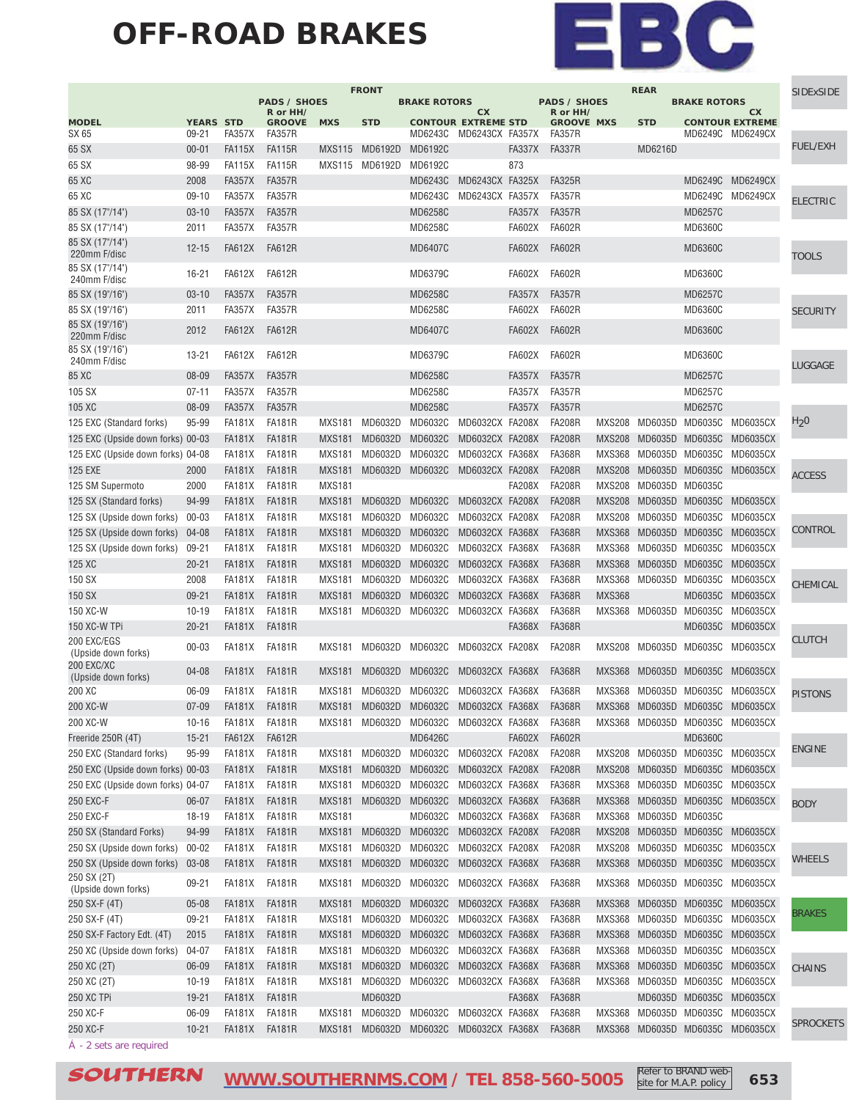#### **OFF-ROAD BRAKES**



|                                                         |                  |                         |                                |                         | <b>FRONT</b>       |                     |                                         |               |                                |               | <b>REAR</b>            |                     |                                                             | <b>SIDExSIDE</b> |
|---------------------------------------------------------|------------------|-------------------------|--------------------------------|-------------------------|--------------------|---------------------|-----------------------------------------|---------------|--------------------------------|---------------|------------------------|---------------------|-------------------------------------------------------------|------------------|
|                                                         |                  |                         | <b>PADS / SHOES</b>            |                         |                    | <b>BRAKE ROTORS</b> |                                         |               | <b>PADS / SHOES</b>            |               |                        | <b>BRAKE ROTORS</b> |                                                             |                  |
| <b>MODEL</b>                                            | <b>YEARS STD</b> |                         | R or HH/<br><b>GROOVE</b>      | <b>MXS</b>              | <b>STD</b>         |                     | <b>CX</b><br><b>CONTOUR EXTREME STD</b> |               | R or HH/<br><b>GROOVE MXS</b>  |               | <b>STD</b>             |                     | <b>CX</b><br><b>CONTOUR EXTREME</b>                         |                  |
| SX 65                                                   | $09 - 21$        | <b>FA357X</b>           | <b>FA357R</b>                  |                         |                    | MD6243C             | MD6243CX FA357X                         |               | <b>FA357R</b>                  |               |                        |                     | MD6249C MD6249CX                                            |                  |
| 65 SX                                                   | $00 - 01$        | <b>FA115X</b>           | <b>FA115R</b>                  | <b>MXS115</b>           | MD6192D            | MD6192C             |                                         | <b>FA337X</b> | <b>FA337R</b>                  |               | MD6216D                |                     |                                                             | <b>FUEL/EXH</b>  |
|                                                         |                  |                         | <b>FA115R</b>                  |                         |                    |                     |                                         | 873           |                                |               |                        |                     |                                                             |                  |
| 65 SX                                                   | 98-99            | FA115X                  |                                | MXS115                  | MD6192D            | MD6192C             |                                         |               |                                |               |                        |                     |                                                             |                  |
| 65 XC                                                   | 2008             | <b>FA357X</b>           | <b>FA357R</b>                  |                         |                    | MD6243C             | MD6243CX FA325X                         |               | <b>FA325R</b>                  |               |                        |                     | MD6249C MD6249CX                                            |                  |
| 65 XC                                                   | $09-10$          | <b>FA357X</b>           | <b>FA357R</b>                  |                         |                    | MD6243C             | MD6243CX FA357X                         |               | <b>FA357R</b>                  |               |                        |                     | MD6249C MD6249CX                                            | <b>ELECTRIC</b>  |
| 85 SX (17"/14")                                         | $03 - 10$        | <b>FA357X</b>           | <b>FA357R</b>                  |                         |                    | MD6258C             |                                         | <b>FA357X</b> | <b>FA357R</b>                  |               |                        | <b>MD6257C</b>      |                                                             |                  |
| 85 SX (17"/14")                                         | 2011             | FA357X                  | <b>FA357R</b>                  |                         |                    | MD6258C             |                                         | <b>FA602X</b> | <b>FA602R</b>                  |               |                        | <b>MD6360C</b>      |                                                             |                  |
| 85 SX (17"/14")<br>220mm F/disc                         | $12 - 15$        | <b>FA612X</b>           | <b>FA612R</b>                  |                         |                    | <b>MD6407C</b>      |                                         | <b>FA602X</b> | <b>FA602R</b>                  |               |                        | <b>MD6360C</b>      |                                                             | <b>TOOLS</b>     |
| 85 SX (17"/14")<br>240mm F/disc                         | $16 - 21$        | <b>FA612X</b>           | <b>FA612R</b>                  |                         |                    | MD6379C             |                                         | <b>FA602X</b> | <b>FA602R</b>                  |               |                        | <b>MD6360C</b>      |                                                             |                  |
| 85 SX (19"/16")                                         | $03 - 10$        | <b>FA357X</b>           | <b>FA357R</b>                  |                         |                    | MD6258C             |                                         | <b>FA357X</b> | <b>FA357R</b>                  |               |                        | <b>MD6257C</b>      |                                                             |                  |
| 85 SX (19"/16")                                         | 2011             | <b>FA357X</b>           | <b>FA357R</b>                  |                         |                    | MD6258C             |                                         | <b>FA602X</b> | <b>FA602R</b>                  |               |                        | <b>MD6360C</b>      |                                                             | <b>SECURITY</b>  |
| 85 SX (19"/16")<br>220mm F/disc                         | 2012             | <b>FA612X</b>           | <b>FA612R</b>                  |                         |                    | <b>MD6407C</b>      |                                         | <b>FA602X</b> | <b>FA602R</b>                  |               |                        | <b>MD6360C</b>      |                                                             |                  |
| 85 SX (19"/16")<br>240mm F/disc                         | $13 - 21$        | <b>FA612X</b>           | <b>FA612R</b>                  |                         |                    | MD6379C             |                                         | <b>FA602X</b> | <b>FA602R</b>                  |               |                        | MD6360C             |                                                             | LUGGAGE          |
| 85 XC                                                   | 08-09            | <b>FA357X</b>           | <b>FA357R</b>                  |                         |                    | MD6258C             |                                         | <b>FA357X</b> | <b>FA357R</b>                  |               |                        | <b>MD6257C</b>      |                                                             |                  |
| 105 SX                                                  | $07 - 11$        | <b>FA357X</b>           | <b>FA357R</b>                  |                         |                    | MD6258C             |                                         | <b>FA357X</b> | <b>FA357R</b>                  |               |                        | <b>MD6257C</b>      |                                                             |                  |
| 105 XC                                                  | 08-09            | <b>FA357X</b>           | <b>FA357R</b>                  |                         |                    | <b>MD6258C</b>      |                                         | <b>FA357X</b> | <b>FA357R</b>                  |               |                        | <b>MD6257C</b>      |                                                             |                  |
| 125 EXC (Standard forks)                                | 95-99            | <b>FA181X</b>           | <b>FA181R</b>                  | <b>MXS181</b>           | MD6032D            | MD6032C             | MD6032CX FA208X                         |               | <b>FA208R</b>                  | <b>MXS208</b> | MD6035D MD6035C        |                     | <b>MD6035CX</b>                                             | $H_2$ 0          |
| 125 EXC (Upside down forks) 00-03                       |                  | <b>FA181X</b>           | <b>FA181R</b>                  | <b>MXS181</b>           | MD6032D            | MD6032C             | MD6032CX FA208X                         |               | <b>FA208R</b>                  | <b>MXS208</b> | MD6035D                | MD6035C             | <b>MD6035CX</b>                                             |                  |
| 125 EXC (Upside down forks) 04-08                       |                  | <b>FA181X</b>           | <b>FA181R</b>                  | <b>MXS181</b>           | MD6032D            | MD6032C             | MD6032CX FA368X                         |               | <b>FA368R</b>                  | <b>MXS368</b> |                        | MD6035D MD6035C     | MD6035CX                                                    |                  |
|                                                         |                  |                         |                                |                         |                    |                     |                                         |               |                                |               |                        |                     |                                                             |                  |
| <b>125 EXE</b>                                          | 2000             | FA181X                  | <b>FA181R</b>                  | <b>MXS181</b>           | MD6032D            | MD6032C             | MD6032CX FA208X                         |               | <b>FA208R</b>                  | <b>MXS208</b> |                        |                     | MD6035D MD6035C MD6035CX                                    | <b>ACCESS</b>    |
| 125 SM Supermoto                                        | 2000             | FA181X                  | <b>FA181R</b>                  | <b>MXS181</b>           |                    |                     |                                         | <b>FA208X</b> | <b>FA208R</b>                  | <b>MXS208</b> | MD6035D MD6035C        |                     |                                                             |                  |
| 125 SX (Standard forks)                                 | 94-99            | FA181X                  | <b>FA181R</b>                  | <b>MXS181</b>           | MD6032D            | MD6032C             | MD6032CX FA208X                         |               | <b>FA208R</b>                  | <b>MXS208</b> |                        | MD6035D MD6035C     | MD6035CX                                                    |                  |
| 125 SX (Upside down forks)                              | $00 - 03$        | <b>FA181X</b>           | <b>FA181R</b>                  | <b>MXS181</b>           | MD6032D            | MD6032C             | MD6032CX FA208X                         |               | <b>FA208R</b>                  | <b>MXS208</b> |                        | MD6035D MD6035C     | MD6035CX                                                    |                  |
| 125 SX (Upside down forks)                              | 04-08            | <b>FA181X</b>           | <b>FA181R</b>                  | <b>MXS181</b>           | MD6032D            | MD6032C             | MD6032CX FA368X                         |               | <b>FA368R</b>                  | <b>MXS368</b> |                        | MD6035D MD6035C     | <b>MD6035CX</b>                                             | CONTROL          |
| 125 SX (Upside down forks)                              | $09 - 21$        | FA181X                  | <b>FA181R</b>                  | <b>MXS181</b>           | MD6032D            | MD6032C             | MD6032CX FA368X                         |               | <b>FA368R</b>                  | MXS368        | MD6035D                | MD6035C             | <b>MD6035CX</b>                                             |                  |
| 125 XC                                                  | $20 - 21$        | <b>FA181X</b>           | <b>FA181R</b>                  | <b>MXS181</b>           | MD6032D            | MD6032C             | MD6032CX FA368X                         |               | <b>FA368R</b>                  | <b>MXS368</b> |                        | MD6035D MD6035C     | MD6035CX                                                    |                  |
| 150 SX                                                  | 2008             | FA181X                  | <b>FA181R</b>                  | <b>MXS181</b>           | MD6032D            | MD6032C             | MD6032CX FA368X                         |               | <b>FA368R</b>                  | <b>MXS368</b> | MD6035D                | MD6035C             | <b>MD6035CX</b>                                             |                  |
| 150 SX                                                  | $09 - 21$        | FA181X                  | <b>FA181R</b>                  | <b>MXS181</b>           | MD6032D            | MD6032C             | MD6032CX FA368X                         |               | <b>FA368R</b>                  | <b>MXS368</b> |                        | MD6035C             | MD6035CX                                                    | CHEMICAL         |
| 150 XC-W                                                | $10 - 19$        | <b>FA181X</b>           | <b>FA181R</b>                  | <b>MXS181</b>           | MD6032D            | MD6032C             | MD6032CX FA368X                         |               | <b>FA368R</b>                  | <b>MXS368</b> | MD6035D                | MD6035C             | <b>MD6035CX</b>                                             |                  |
|                                                         |                  |                         |                                |                         |                    |                     |                                         |               |                                |               |                        |                     |                                                             |                  |
| 150 XC-W TPi                                            | $20 - 21$        | FA181X                  | <b>FA181R</b>                  |                         |                    |                     |                                         | <b>FA368X</b> | <b>FA368R</b>                  |               |                        |                     | MD6035C MD6035CX                                            | <b>CLUTCH</b>    |
| 200 EXC/EGS<br>(Upside down forks)<br><b>200 EXC/XC</b> | $00 - 03$        | <b>FA181X</b>           | <b>FA181R</b>                  | <b>MXS181</b>           | MD6032D            | MD6032C             | MD6032CX FA208X                         |               | <b>FA208R</b>                  | <b>MXS208</b> | MD6035D MD6035C        |                     | MD6035CX                                                    |                  |
| (Upside down forks)                                     | $04 - 08$        | FA181X                  | <b>FA181R</b>                  | <b>MXS181</b>           | MD6032D            | MD6032C             | MD6032CX FA368X                         |               | <b>FA368R</b>                  | <b>MXS368</b> |                        | MD6035D MD6035C     | MD6035CX                                                    |                  |
| 200 XC                                                  | 06-09            | <b>FA181X</b>           | <b>FA181R</b>                  | <b>MXS181</b>           | MD6032D            | MD6032C             | MD6032CX FA368X                         |               | <b>FA368R</b>                  | <b>MXS368</b> | MD6035D                | MD6035C             | MD6035CX                                                    | <b>PISTONS</b>   |
| 200 XC-W                                                | $07 - 09$        | FA181X                  | <b>FA181R</b>                  | <b>MXS181</b>           | MD6032D            | MD6032C             | MD6032CX FA368X                         |               | <b>FA368R</b>                  |               |                        |                     | MXS368 MD6035D MD6035C MD6035CX                             |                  |
| 200 XC-W                                                | $10 - 16$        | FA181X                  | <b>FA181R</b>                  | MXS181                  | MD6032D            | MD6032C             | MD6032CX FA368X                         |               | <b>FA368R</b>                  |               | MXS368 MD6035D MD6035C |                     | MD6035CX                                                    |                  |
| Freeride 250R (4T)                                      | $15 - 21$        | <b>FA612X</b>           | <b>FA612R</b>                  |                         |                    | MD6426C             |                                         | <b>FA602X</b> | <b>FA602R</b>                  |               |                        | <b>MD6360C</b>      |                                                             |                  |
| 250 EXC (Standard forks)                                | 95-99            | <b>FA181X</b>           | <b>FA181R</b>                  | <b>MXS181</b>           | MD6032D            | MD6032C             | MD6032CX FA208X                         |               | <b>FA208R</b>                  |               |                        |                     | MXS208 MD6035D MD6035C MD6035CX                             | <b>ENGINE</b>    |
| 250 EXC (Upside down forks) 00-03                       |                  | FA181X                  | <b>FA181R</b>                  | <b>MXS181</b>           | MD6032D            | MD6032C             | MD6032CX FA208X                         |               | <b>FA208R</b>                  |               |                        |                     | MXS208 MD6035D MD6035C MD6035CX                             |                  |
| 250 EXC (Upside down forks) 04-07                       |                  | FA181X                  | <b>FA181R</b>                  | <b>MXS181</b>           | MD6032D            | MD6032C             | MD6032CX FA368X                         |               | <b>FA368R</b>                  |               |                        |                     | MXS368 MD6035D MD6035C MD6035CX                             |                  |
| 250 EXC-F                                               | 06-07            | FA181X                  | <b>FA181R</b>                  | <b>MXS181</b>           | MD6032D            | MD6032C             | MD6032CX FA368X                         |               | <b>FA368R</b>                  | MXS368        |                        |                     | MD6035D MD6035C MD6035CX                                    | <b>BODY</b>      |
| 250 EXC-F                                               | 18-19            | <b>FA181X</b>           | <b>FA181R</b>                  | <b>MXS181</b>           |                    | MD6032C             | MD6032CX FA368X                         |               | <b>FA368R</b>                  | <b>MXS368</b> | MD6035D MD6035C        |                     |                                                             |                  |
| 250 SX (Standard Forks)                                 | 94-99            | FA181X                  | <b>FA181R</b>                  | <b>MXS181</b>           | MD6032D            | MD6032C             | MD6032CX FA208X                         |               | <b>FA208R</b>                  |               |                        |                     | MXS208 MD6035D MD6035C MD6035CX                             |                  |
|                                                         |                  |                         |                                |                         |                    | MD6032C             | MD6032CX FA208X                         |               | <b>FA208R</b>                  |               | MD6035D MD6035C        |                     |                                                             |                  |
| 250 SX (Upside down forks)                              | $00 - 02$        | FA181X                  | FA181R                         | MXS181                  | MD6032D            |                     |                                         |               |                                | MXS208        |                        |                     | MD6035CX                                                    | WHEELS           |
| 250 SX (Upside down forks)<br>250 SX (2T)               | 03-08<br>09-21   | FA181X<br><b>FA181X</b> | <b>FA181R</b><br><b>FA181R</b> | <b>MXS181</b><br>MXS181 | MD6032D<br>MD6032D | MD6032C<br>MD6032C  | MD6032CX FA368X<br>MD6032CX FA368X      |               | <b>FA368R</b><br><b>FA368R</b> | <b>MXS368</b> |                        |                     | MD6035D MD6035C MD6035CX<br>MXS368 MD6035D MD6035C MD6035CX |                  |
| (Upside down forks)                                     |                  |                         |                                |                         |                    |                     |                                         |               |                                |               |                        |                     |                                                             |                  |
| 250 SX-F (4T)                                           | $05 - 08$        | <b>FA181X</b>           | <b>FA181R</b>                  | <b>MXS181</b>           | MD6032D            | MD6032C             | MD6032CX FA368X                         |               | <b>FA368R</b>                  | MXS368        |                        |                     | MD6035D MD6035C MD6035CX                                    | <b>BRAKES</b>    |
| 250 SX-F (4T)                                           | $09 - 21$        | FA181X                  | <b>FA181R</b>                  | <b>MXS181</b>           | MD6032D            | MD6032C             | MD6032CX FA368X                         |               | <b>FA368R</b>                  | MXS368        |                        | MD6035D MD6035C     | <b>MD6035CX</b>                                             |                  |
| 250 SX-F Factory Edt. (4T)                              | 2015             | FA181X                  | <b>FA181R</b>                  | <b>MXS181</b>           | MD6032D            | MD6032C             | MD6032CX FA368X                         |               | <b>FA368R</b>                  | MXS368        |                        | MD6035D MD6035C     | MD6035CX                                                    |                  |
| 250 XC (Upside down forks)                              | 04-07            | FA181X                  | FA181R                         | MXS181                  | MD6032D            | MD6032C             | MD6032CX FA368X                         |               | <b>FA368R</b>                  |               |                        |                     | MXS368 MD6035D MD6035C MD6035CX                             |                  |
| 250 XC (2T)                                             | 06-09            | FA181X                  | <b>FA181R</b>                  | <b>MXS181</b>           | MD6032D            | MD6032C             | MD6032CX FA368X                         |               | <b>FA368R</b>                  | MXS368        |                        | MD6035D MD6035C     | MD6035CX                                                    | <b>CHAINS</b>    |
| 250 XC (2T)                                             | $10 - 19$        | FA181X                  | FA181R                         | MXS181                  | MD6032D            | MD6032C             | MD6032CX FA368X                         |               | <b>FA368R</b>                  | MXS368        |                        |                     | MD6035D MD6035C MD6035CX                                    |                  |
| 250 XC TPi                                              | 19-21            | <b>FA181X</b>           | <b>FA181R</b>                  |                         | MD6032D            |                     |                                         | <b>FA368X</b> | <b>FA368R</b>                  |               |                        |                     | MD6035D MD6035C MD6035CX                                    |                  |
| 250 XC-F                                                | 06-09            | FA181X                  | <b>FA181R</b>                  | <b>MXS181</b>           | MD6032D            | MD6032C             | MD6032CX FA368X                         |               | <b>FA368R</b>                  |               | MXS368 MD6035D MD6035C |                     | MD6035CX                                                    |                  |
| 250 XC-F                                                |                  |                         |                                | <b>MXS181</b>           |                    |                     |                                         |               |                                |               |                        |                     |                                                             | <b>SPROCKETS</b> |
|                                                         | $10 - 21$        | FA181X                  | <b>FA181R</b>                  |                         | MD6032D            |                     | MD6032C MD6032CX FA368X                 |               | <b>FA368R</b>                  |               |                        |                     | MXS368 MD6035D MD6035C MD6035CX                             |                  |
| A - 2 sets are required                                 |                  |                         |                                |                         |                    |                     |                                         |               |                                |               |                        |                     |                                                             |                  |

SOUTHERN **[WWW.SOUTHERNMS.COM](http://m.southernms.com) / TEL 858-560-5005 653** Refer to BRAND website for M.A.P. policy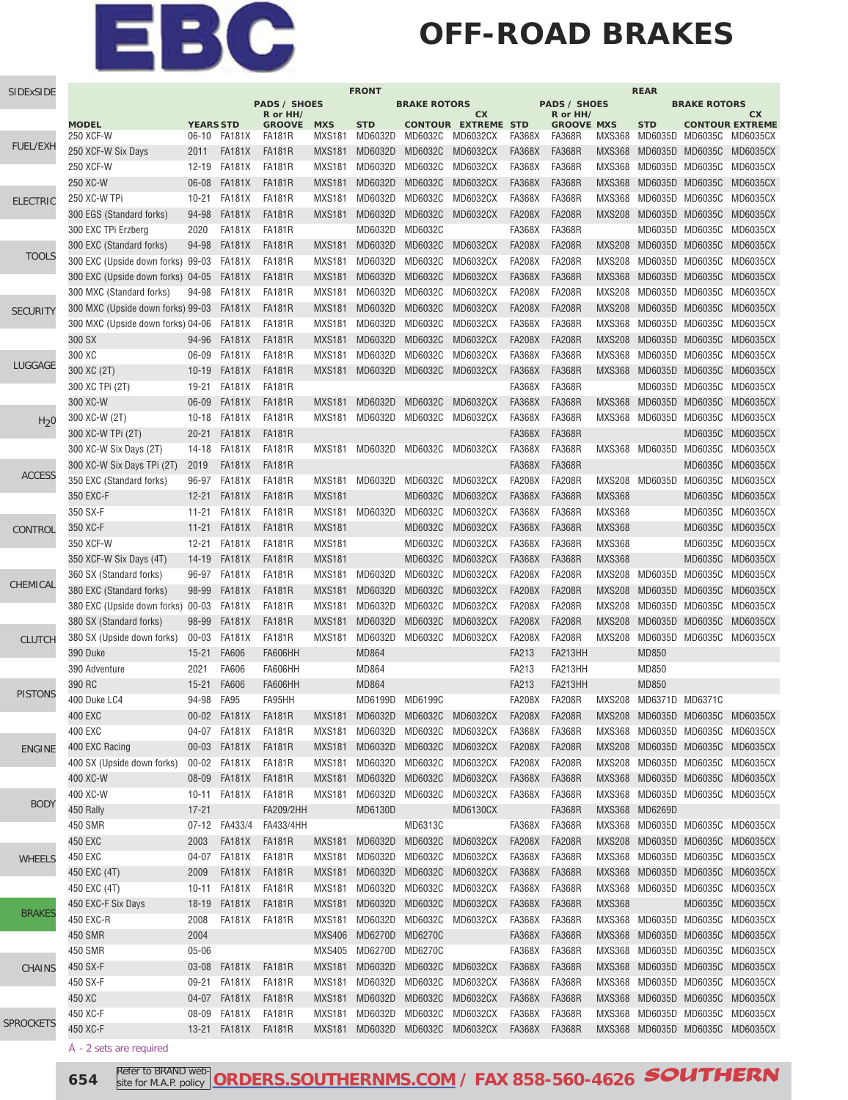#### **OFF-ROAD BRAKES**

| SIDExSIDE        | <b>FRONT</b>                      |                  |               |                           |               |                 |                     |                                  |               |                               |               | <b>REAR</b>            |                     |                                 |
|------------------|-----------------------------------|------------------|---------------|---------------------------|---------------|-----------------|---------------------|----------------------------------|---------------|-------------------------------|---------------|------------------------|---------------------|---------------------------------|
|                  |                                   |                  |               | <b>PADS / SHOES</b>       |               |                 | <b>BRAKE ROTORS</b> |                                  |               | <b>PADS / SHOES</b>           |               |                        | <b>BRAKE ROTORS</b> |                                 |
|                  | <b>MODEL</b>                      | <b>YEARS STD</b> |               | R or HH/<br><b>GROOVE</b> | <b>MXS</b>    | <b>STD</b>      |                     | cx<br><b>CONTOUR EXTREME STD</b> |               | R or HH/<br><b>GROOVE MXS</b> |               | <b>STD</b>             |                     | CХ<br><b>CONTOUR EXTREME</b>    |
|                  | 250 XCF-W                         | $06-10$          | FA181X        | FA181R                    | <b>MXS181</b> | MD6032D         | MD6032C             | MD6032CX                         | FA368X        | <b>FA368R</b>                 | MXS368        |                        |                     | MD6035D MD6035C MD6035CX        |
| <b>FUEL/EXH</b>  | 250 XCF-W Six Days                | 2011             | <b>FA181X</b> | <b>FA181R</b>             | <b>MXS181</b> | MD6032D         | MD6032C             | <b>MD6032CX</b>                  | <b>FA368X</b> | <b>FA368R</b>                 | <b>MXS368</b> | MD6035D MD6035C        |                     | MD6035CX                        |
|                  | 250 XCF-W                         | $12 - 19$        | <b>FA181X</b> | <b>FA181R</b>             | <b>MXS181</b> | MD6032D         | MD6032C             | MD6032CX                         | <b>FA368X</b> | <b>FA368R</b>                 | <b>MXS368</b> | MD6035D MD6035C        |                     | MD6035CX                        |
|                  | 250 XC-W                          | 06-08            | <b>FA181X</b> | <b>FA181R</b>             | <b>MXS181</b> | MD6032D         | MD6032C             | MD6032CX                         | <b>FA368X</b> | <b>FA368R</b>                 | <b>MXS368</b> | MD6035D                | MD6035C             | <b>MD6035CX</b>                 |
| <b>ELECTRIC</b>  | 250 XC-W TPi                      | $10 - 21$        | <b>FA181X</b> | <b>FA181R</b>             | <b>MXS181</b> | MD6032D         | MD6032C             | MD6032CX                         | <b>FA368X</b> | <b>FA368R</b>                 | <b>MXS368</b> | MD6035D                | MD6035C             | MD6035CX                        |
|                  | 300 EGS (Standard forks)          | 94-98            | <b>FA181X</b> | <b>FA181R</b>             | <b>MXS181</b> | MD6032D         | MD6032C             | <b>MD6032CX</b>                  | <b>FA208X</b> | <b>FA208R</b>                 | <b>MXS208</b> | MD6035D MD6035C        |                     | MD6035CX                        |
|                  | 300 EXC TPi Erzberg               | 2020             | FA181X        | FA181R                    |               | MD6032D         | MD6032C             |                                  | <b>FA368X</b> | <b>FA368R</b>                 |               | MD6035D MD6035C        |                     | MD6035CX                        |
|                  | 300 EXC (Standard forks)          | 94-98            | <b>FA181X</b> | <b>FA181R</b>             | <b>MXS181</b> | MD6032D         | MD6032C             | <b>MD6032CX</b>                  | <b>FA208X</b> | <b>FA208R</b>                 | <b>MXS208</b> | MD6035D MD6035C        |                     | MD6035CX                        |
| <b>TOOLS</b>     | 300 EXC (Upside down forks) 99-03 |                  | <b>FA181X</b> | <b>FA181R</b>             | <b>MXS181</b> | MD6032D         | MD6032C             | MD6032CX                         | <b>FA208X</b> | <b>FA208R</b>                 | <b>MXS208</b> | MD6035D MD6035C        |                     | MD6035CX                        |
|                  | 300 EXC (Upside down forks) 04-05 |                  | FA181X        | <b>FA181R</b>             | <b>MXS181</b> | MD6032D         | MD6032C             | <b>MD6032CX</b>                  | <b>FA368X</b> | <b>FA368R</b>                 | <b>MXS368</b> | MD6035D MD6035C        |                     | <b>MD6035CX</b>                 |
|                  | 300 MXC (Standard forks)          | 94-98            | <b>FA181X</b> | <b>FA181R</b>             | <b>MXS181</b> | MD6032D         | MD6032C             | MD6032CX                         | <b>FA208X</b> | <b>FA208R</b>                 | <b>MXS208</b> | MD6035D                | MD6035C             | MD6035CX                        |
| <b>SECURITY</b>  | 300 MXC (Upside down forks) 99-03 |                  | <b>FA181X</b> | <b>FA181R</b>             | <b>MXS181</b> | MD6032D         | MD6032C             | <b>MD6032CX</b>                  | <b>FA208X</b> | <b>FA208R</b>                 | <b>MXS208</b> | MD6035D MD6035C        |                     | <b>MD6035CX</b>                 |
|                  | 300 MXC (Upside down forks) 04-06 |                  | <b>FA181X</b> | <b>FA181R</b>             | <b>MXS181</b> | MD6032D         | MD6032C             | MD6032CX                         | <b>FA368X</b> | <b>FA368R</b>                 | <b>MXS368</b> | MD6035D MD6035C        |                     | <b>MD6035CX</b>                 |
|                  | 300 SX                            | 94-96            | <b>FA181X</b> | <b>FA181R</b>             | <b>MXS181</b> | MD6032D         | MD6032C             | <b>MD6032CX</b>                  | <b>FA208X</b> | <b>FA208R</b>                 | <b>MXS208</b> | MD6035D MD6035C        |                     | <b>MD6035CX</b>                 |
|                  | 300 XC                            | 06-09            | <b>FA181X</b> | <b>FA181R</b>             | <b>MXS181</b> | MD6032D         | MD6032C             | MD6032CX                         | <b>FA368X</b> | <b>FA368R</b>                 | <b>MXS368</b> | MD6035D                | MD6035C             | <b>MD6035CX</b>                 |
| LUGGAGE          | 300 XC (2T)                       | $10 - 19$        | <b>FA181X</b> | <b>FA181R</b>             | <b>MXS181</b> | MD6032D         | MD6032C             | <b>MD6032CX</b>                  | <b>FA368X</b> | <b>FA368R</b>                 | <b>MXS368</b> | MD6035D MD6035C        |                     | <b>MD6035CX</b>                 |
|                  | 300 XC TPi (2T)                   | 19-21            | <b>FA181X</b> | <b>FA181R</b>             |               |                 |                     |                                  | <b>FA368X</b> | <b>FA368R</b>                 |               | MD6035D MD6035C        |                     | MD6035CX                        |
|                  | 300 XC-W                          | 06-09            | <b>FA181X</b> | <b>FA181R</b>             | <b>MXS181</b> | MD6032D         | MD6032C             | <b>MD6032CX</b>                  | <b>FA368X</b> | <b>FA368R</b>                 | <b>MXS368</b> | MD6035D                | MD6035C             | <b>MD6035CX</b>                 |
| H <sub>2</sub> 0 | 300 XC-W (2T)                     | $10 - 18$        | <b>FA181X</b> | <b>FA181R</b>             | <b>MXS181</b> | MD6032D         | MD6032C             | MD6032CX                         | <b>FA368X</b> | <b>FA368R</b>                 | <b>MXS368</b> | MD6035D                | MD6035C             | MD6035CX                        |
|                  | 300 XC-W TPi (2T)                 | $20 - 21$        | <b>FA181X</b> | <b>FA181R</b>             |               |                 |                     |                                  | <b>FA368X</b> | <b>FA368R</b>                 |               |                        | MD6035C             | <b>MD6035CX</b>                 |
|                  | 300 XC-W Six Days (2T)            | 14-18            | <b>FA181X</b> | <b>FA181R</b>             | <b>MXS181</b> | MD6032D MD6032C |                     | MD6032CX                         | <b>FA368X</b> | <b>FA368R</b>                 |               | MXS368 MD6035D MD6035C |                     | MD6035CX                        |
|                  | 300 XC-W Six Days TPi (2T)        | 2019             | <b>FA181X</b> | <b>FA181R</b>             |               |                 |                     |                                  | <b>FA368X</b> | <b>FA368R</b>                 |               |                        | MD6035C             | MD6035CX                        |
| <b>ACCESS</b>    | 350 EXC (Standard forks)          | 96-97            | <b>FA181X</b> | <b>FA181R</b>             | <b>MXS181</b> | MD6032D         | MD6032C             | MD6032CX                         | <b>FA208X</b> | <b>FA208R</b>                 | <b>MXS208</b> | MD6035D MD6035C        |                     | MD6035CX                        |
|                  | 350 EXC-F                         | $12 - 21$        | <b>FA181X</b> | <b>FA181R</b>             | <b>MXS181</b> |                 | MD6032C             | MD6032CX                         | <b>FA368X</b> | <b>FA368R</b>                 | <b>MXS368</b> |                        | MD6035C             | MD6035CX                        |
|                  | 350 SX-F                          | $11 - 21$        | FA181X        | FA181R                    | <b>MXS181</b> | MD6032D         | MD6032C             | MD6032CX                         | <b>FA368X</b> | <b>FA368R</b>                 | <b>MXS368</b> |                        | MD6035C             | MD6035CX                        |
| CONTROL          | 350 XC-F                          | $11 - 21$        | <b>FA181X</b> | <b>FA181R</b>             | <b>MXS181</b> |                 | MD6032C             | <b>MD6032CX</b>                  | <b>FA368X</b> | <b>FA368R</b>                 | <b>MXS368</b> |                        | MD6035C             | <b>MD6035CX</b>                 |
|                  | 350 XCF-W                         | $12 - 21$        | <b>FA181X</b> | FA181R                    | <b>MXS181</b> |                 | MD6032C             | MD6032CX                         | <b>FA368X</b> | <b>FA368R</b>                 | <b>MXS368</b> |                        | MD6035C             | MD6035CX                        |
|                  | 350 XCF-W Six Days (4T)           | $14 - 19$        | <b>FA181X</b> | <b>FA181R</b>             | <b>MXS181</b> |                 | MD6032C             | <b>MD6032CX</b>                  | <b>FA368X</b> | <b>FA368R</b>                 | <b>MXS368</b> |                        | MD6035C             | <b>MD6035CX</b>                 |
|                  | 360 SX (Standard forks)           | 96-97            | <b>FA181X</b> | <b>FA181R</b>             | <b>MXS181</b> | MD6032D         | MD6032C             | MD6032CX                         | <b>FA208X</b> | <b>FA208R</b>                 | MXS208        | MD6035D                | MD6035C             | <b>MD6035CX</b>                 |
| CHEMICAL         | 380 EXC (Standard forks)          | 98-99            | <b>FA181X</b> | <b>FA181R</b>             | <b>MXS181</b> | MD6032D         | MD6032C             | <b>MD6032CX</b>                  | <b>FA208X</b> | <b>FA208R</b>                 | <b>MXS208</b> | MD6035D                | MD6035C             | <b>MD6035CX</b>                 |
|                  | 380 EXC (Upside down forks) 00-03 |                  | <b>FA181X</b> | <b>FA181R</b>             | <b>MXS181</b> | MD6032D         | MD6032C             | MD6032CX                         | <b>FA208X</b> | <b>FA208R</b>                 | <b>MXS208</b> | MD6035D MD6035C        |                     | MD6035CX                        |
|                  | 380 SX (Standard forks)           | 98-99            | <b>FA181X</b> | <b>FA181R</b>             | <b>MXS181</b> | MD6032D         | MD6032C             | <b>MD6032CX</b>                  | <b>FA208X</b> | <b>FA208R</b>                 | <b>MXS208</b> | MD6035D                | MD6035C             | <b>MD6035CX</b>                 |
| <b>CLUTCH</b>    | 380 SX (Upside down forks)        | $00 - 03$        | <b>FA181X</b> | <b>FA181R</b>             | <b>MXS181</b> | MD6032D         | MD6032C             | MD6032CX                         | <b>FA208X</b> | <b>FA208R</b>                 | <b>MXS208</b> | MD6035D                | MD6035C             | MD6035CX                        |
|                  | 390 Duke                          | $15 - 21$        | <b>FA606</b>  | <b>FA606HH</b>            |               | <b>MD864</b>    |                     |                                  | FA213         | FA213HH                       |               | <b>MD850</b>           |                     |                                 |
|                  | 390 Adventure                     | 2021             | FA606         | <b>FA606HH</b>            |               | MD864           |                     |                                  | FA213         | FA213HH                       |               | MD850                  |                     |                                 |
|                  | 390 RC                            | $15 - 21$        | FA606         | FA606HH                   |               | <b>MD864</b>    |                     |                                  | FA213         | FA213HH                       |               | MD850                  |                     |                                 |
| <b>PISTONS</b>   | 400 Duke LC4                      | 94-98            | <b>FA95</b>   | FA95HH                    |               | MD6199D MD6199C |                     |                                  | <b>FA208X</b> | <b>FA208R</b>                 |               | MXS208 MD6371D MD6371C |                     |                                 |
|                  | 400 EXC                           | $00 - 02$        | <b>FA181X</b> | <b>FA181R</b>             | <b>MXS181</b> | MD6032D MD6032C |                     | MD6032CX                         | <b>FA208X</b> | <b>FA208R</b>                 |               | MXS208 MD6035D MD6035C |                     | <b>MD6035CX</b>                 |
|                  | 400 EXC                           | 04-07            | <b>FA181X</b> | FA181R                    | <b>MXS181</b> | MD6032D         | MD6032C             | MD6032CX                         | <b>FA368X</b> | <b>FA368R</b>                 | MXS368        | MD6035D MD6035C        |                     | MD6035CX                        |
| <b>ENGINE</b>    | 400 EXC Racing                    | $00 - 03$        | <b>FA181X</b> | <b>FA181R</b>             | MXS181        | MD6032D         | MD6032C             | MD6032CX                         | <b>FA208X</b> | <b>FA208R</b>                 | MXS208        | MD6035D MD6035C        |                     | MD6035CX                        |
|                  | 400 SX (Upside down forks)        | $00 - 02$        | <b>FA181X</b> | <b>FA181R</b>             | <b>MXS181</b> | MD6032D         | MD6032C             | MD6032CX                         | <b>FA208X</b> | <b>FA208R</b>                 | MXS208        | MD6035D MD6035C        |                     | MD6035CX                        |
|                  | 400 XC-W                          | 08-09            | FA181X        | <b>FA181R</b>             | <b>MXS181</b> | MD6032D         | MD6032C             | MD6032CX                         | <b>FA368X</b> | <b>FA368R</b>                 |               |                        |                     | MXS368 MD6035D MD6035C MD6035CX |
|                  | 400 XC-W                          | 10-11            | <b>FA181X</b> | <b>FA181R</b>             | <b>MXS181</b> | MD6032D         | MD6032C             | MD6032CX                         | <b>FA368X</b> | <b>FA368R</b>                 |               |                        |                     | MXS368 MD6035D MD6035C MD6035CX |
| <b>BODY</b>      | 450 Rally                         | $17 - 21$        |               | FA209/2HH                 |               | MD6130D         |                     | <b>MD6130CX</b>                  |               | <b>FA368R</b>                 |               | MXS368 MD6269D         |                     |                                 |
|                  | 450 SMR                           | $07-12$          | FA433/4       | FA433/4HH                 |               |                 | MD6313C             |                                  | <b>FA368X</b> | <b>FA368R</b>                 |               | MXS368 MD6035D MD6035C |                     | MD6035CX                        |
|                  | 450 EXC                           | 2003             | <b>FA181X</b> | <b>FA181R</b>             | <b>MXS181</b> | MD6032D         | MD6032C             | <b>MD6032CX</b>                  | <b>FA208X</b> | <b>FA208R</b>                 | <b>MXS208</b> | MD6035D MD6035C        |                     | MD6035CX                        |
| <b>WHEELS</b>    | 450 EXC                           | 04-07            | <b>FA181X</b> | <b>FA181R</b>             | <b>MXS181</b> | MD6032D         | MD6032C             | MD6032CX                         | <b>FA368X</b> | <b>FA368R</b>                 | MXS368        | MD6035D MD6035C        |                     | MD6035CX                        |
|                  | 450 EXC (4T)                      | 2009             | <b>FA181X</b> | <b>FA181R</b>             | <b>MXS181</b> | MD6032D         | MD6032C             | MD6032CX                         | <b>FA368X</b> | <b>FA368R</b>                 |               |                        |                     | MXS368 MD6035D MD6035C MD6035CX |
|                  | 450 EXC (4T)                      | $10 - 11$        | <b>FA181X</b> | <b>FA181R</b>             | <b>MXS181</b> | MD6032D         | MD6032C             | MD6032CX                         | <b>FA368X</b> | <b>FA368R</b>                 | MXS368        | MD6035D MD6035C        |                     | MD6035CX                        |
|                  | 450 EXC-F Six Days                | 18-19            | <b>FA181X</b> | FA181R                    | <b>MXS181</b> | MD6032D         | MD6032C             | <b>MD6032CX</b>                  | <b>FA368X</b> | <b>FA368R</b>                 | <b>MXS368</b> |                        | MD6035C             | MD6035CX                        |
| <b>BRAKES</b>    | 450 EXC-R                         | 2008             | FA181X        | FA181R                    | <b>MXS181</b> | MD6032D         | MD6032C             | MD6032CX                         | <b>FA368X</b> | <b>FA368R</b>                 |               |                        |                     | MXS368 MD6035D MD6035C MD6035CX |
|                  | 450 SMR                           | 2004             |               |                           | <b>MXS406</b> | MD6270D         | MD6270C             |                                  | <b>FA368X</b> | <b>FA368R</b>                 |               |                        |                     | MXS368 MD6035D MD6035C MD6035CX |
|                  | 450 SMR                           | $05 - 06$        |               |                           | <b>MXS405</b> | MD6270D         | MD6270C             |                                  | <b>FA368X</b> | <b>FA368R</b>                 | MXS368        | MD6035D MD6035C        |                     | MD6035CX                        |
| CHAINS           | 450 SX-F                          | $03 - 08$        | <b>FA181X</b> | <b>FA181R</b>             | <b>MXS181</b> | MD6032D         | MD6032C             | <b>MD6032CX</b>                  | <b>FA368X</b> | <b>FA368R</b>                 | MXS368        | MD6035D MD6035C        |                     | MD6035CX                        |
|                  | 450 SX-F                          | $09 - 21$        | <b>FA181X</b> | <b>FA181R</b>             | <b>MXS181</b> | MD6032D         | MD6032C             | MD6032CX                         | <b>FA368X</b> | <b>FA368R</b>                 | <b>MXS368</b> | MD6035D MD6035C        |                     | MD6035CX                        |
|                  | 450 XC                            | 04-07            | <b>FA181X</b> | FA181R                    | <b>MXS181</b> | MD6032D         | MD6032C             | MD6032CX                         | <b>FA368X</b> | <b>FA368R</b>                 |               |                        |                     | MXS368 MD6035D MD6035C MD6035CX |
|                  | 450 XC-F                          | 08-09            | FA181X        | FA181R                    | <b>MXS181</b> | MD6032D         | MD6032C             | MD6032CX                         | FA368X        | <b>FA368R</b>                 |               |                        |                     | MXS368 MD6035D MD6035C MD6035CX |
| <b>SPROCKETS</b> | 450 XC-F                          | 13-21            | FA181X        | FA181R                    |               | MXS181 MD6032D  |                     | MD6032C MD6032CX                 | <b>FA368X</b> | <b>FA368R</b>                 |               |                        |                     | MXS368 MD6035D MD6035C MD6035CX |
|                  |                                   |                  |               |                           |               |                 |                     |                                  |               |                               |               |                        |                     |                                 |

- 2 sets are required

**654** Refer to BRAND web- [ORDERS.SOUTHERNMS.COM](http://orders.southernms.com) / FAX 858-560-4626 **SOUTHERN** site for M.A.P. policy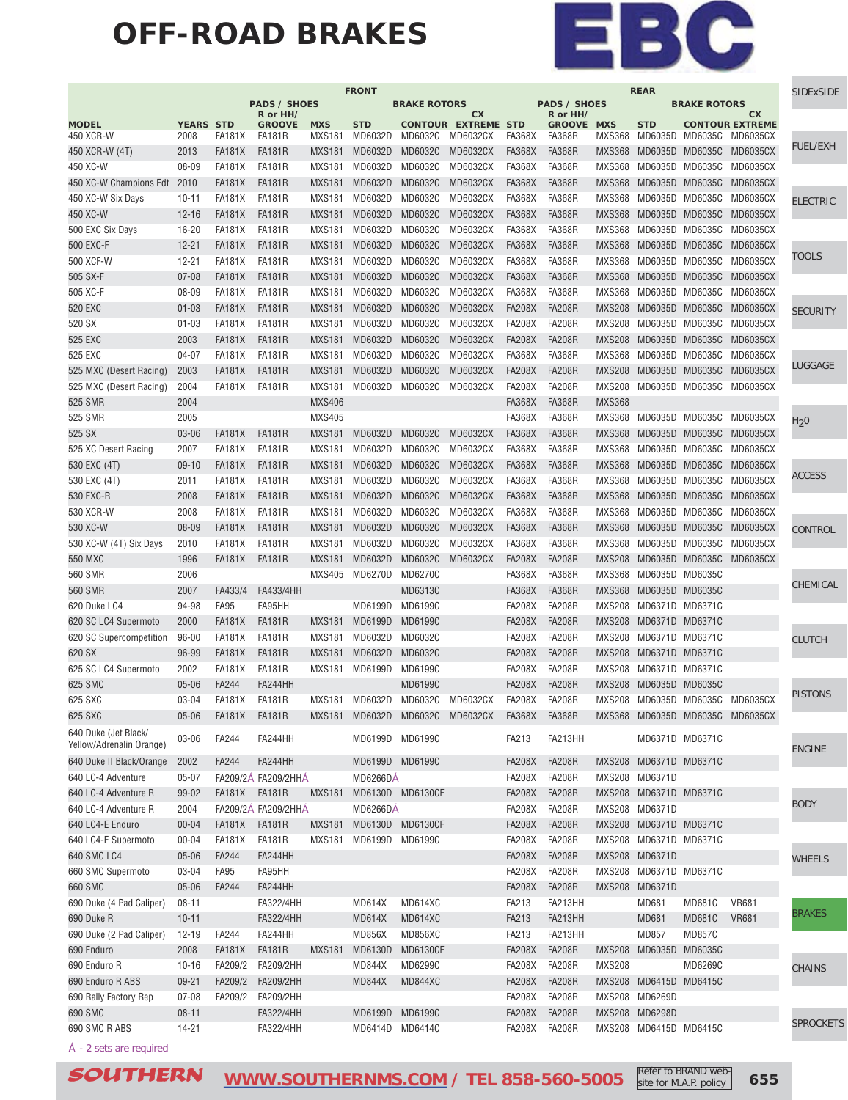#### **OFF-ROAD BRAKES**



|                                                  |                  |               |                                 |               | <b>FRONT</b>    |                     |                            |               |                                 |               | <b>REAR</b>            |                     |                                 | <b>SIDExSIDE</b> |
|--------------------------------------------------|------------------|---------------|---------------------------------|---------------|-----------------|---------------------|----------------------------|---------------|---------------------------------|---------------|------------------------|---------------------|---------------------------------|------------------|
|                                                  |                  |               | <b>PADS / SHOES</b><br>R or HH/ |               |                 | <b>BRAKE ROTORS</b> | cx                         |               | <b>PADS / SHOES</b><br>R or HH/ |               |                        | <b>BRAKE ROTORS</b> | СX                              |                  |
| <b>MODEL</b>                                     | <b>YEARS STD</b> |               | <b>GROOVE</b>                   | <b>MXS</b>    | <b>STD</b>      |                     | <b>CONTOUR EXTREME STD</b> |               | <b>GROOVE MXS</b>               |               | <b>STD</b>             |                     | <b>CONTOUR EXTREME</b>          |                  |
| 450 XCR-W                                        | 2008             | <b>FA181X</b> | FA181R                          | <b>MXS181</b> | MD6032D         | MD6032C             | MD6032CX                   | <b>FA368X</b> | FA368R                          | <b>MXS368</b> |                        |                     | MD6035D MD6035C MD6035CX        | <b>FUEL/EXH</b>  |
| 450 XCR-W (4T)                                   | 2013             | <b>FA181X</b> | <b>FA181R</b>                   | <b>MXS181</b> | MD6032D         | MD6032C             | <b>MD6032CX</b>            | <b>FA368X</b> | <b>FA368R</b>                   | <b>MXS368</b> | MD6035D MD6035C        |                     | MD6035CX                        |                  |
| 450 XC-W                                         | 08-09            | <b>FA181X</b> | <b>FA181R</b>                   | <b>MXS181</b> | MD6032D         | MD6032C             | MD6032CX                   | <b>FA368X</b> | <b>FA368R</b>                   | <b>MXS368</b> | MD6035D MD6035C        |                     | MD6035CX                        |                  |
| 450 XC-W Champions Edt                           | 2010             | <b>FA181X</b> | <b>FA181R</b>                   | <b>MXS181</b> | MD6032D         | MD6032C             | <b>MD6032CX</b>            | <b>FA368X</b> | <b>FA368R</b>                   | <b>MXS368</b> | MD6035D MD6035C        |                     | <b>MD6035CX</b>                 |                  |
| 450 XC-W Six Days                                | $10 - 11$        | <b>FA181X</b> | <b>FA181R</b>                   | <b>MXS181</b> | MD6032D         | MD6032C             | MD6032CX                   | <b>FA368X</b> | <b>FA368R</b>                   | <b>MXS368</b> | MD6035D MD6035C        |                     | <b>MD6035CX</b>                 | <b>ELECTRIC</b>  |
| 450 XC-W                                         | $12 - 16$        | <b>FA181X</b> | <b>FA181R</b>                   | <b>MXS181</b> | MD6032D         | MD6032C             | <b>MD6032CX</b>            | <b>FA368X</b> | <b>FA368R</b>                   | <b>MXS368</b> | MD6035D MD6035C        |                     | MD6035CX                        |                  |
| 500 EXC Six Days                                 | $16 - 20$        | <b>FA181X</b> | <b>FA181R</b>                   | <b>MXS181</b> | MD6032D         | MD6032C             | MD6032CX                   | <b>FA368X</b> | <b>FA368R</b>                   | <b>MXS368</b> | MD6035D MD6035C        |                     | MD6035CX                        |                  |
| 500 EXC-F                                        | $12 - 21$        | <b>FA181X</b> | <b>FA181R</b>                   | <b>MXS181</b> | MD6032D         | MD6032C             | <b>MD6032CX</b>            | <b>FA368X</b> | <b>FA368R</b>                   | <b>MXS368</b> | MD6035D MD6035C        |                     | <b>MD6035CX</b>                 |                  |
| 500 XCF-W                                        | $12 - 21$        | <b>FA181X</b> | <b>FA181R</b>                   | <b>MXS181</b> | MD6032D         | MD6032C             | MD6032CX                   | <b>FA368X</b> | <b>FA368R</b>                   | <b>MXS368</b> | MD6035D MD6035C        |                     | <b>MD6035CX</b>                 | TOOLS            |
| 505 SX-F                                         | $07 - 08$        | <b>FA181X</b> | <b>FA181R</b>                   | <b>MXS181</b> | MD6032D         | MD6032C             | <b>MD6032CX</b>            | <b>FA368X</b> | <b>FA368R</b>                   | <b>MXS368</b> | MD6035D MD6035C        |                     | <b>MD6035CX</b>                 |                  |
| 505 XC-F                                         | 08-09            | <b>FA181X</b> | FA181R                          | <b>MXS181</b> | MD6032D         | MD6032C             | MD6032CX                   | <b>FA368X</b> | <b>FA368R</b>                   | <b>MXS368</b> | MD6035D MD6035C        |                     | MD6035CX                        |                  |
| 520 EXC                                          | $01 - 03$        | <b>FA181X</b> | <b>FA181R</b>                   | <b>MXS181</b> | MD6032D         | MD6032C             | <b>MD6032CX</b>            | <b>FA208X</b> | <b>FA208R</b>                   | <b>MXS208</b> | MD6035D MD6035C        |                     | <b>MD6035CX</b>                 | <b>SECURITY</b>  |
| 520 SX                                           | $01 - 03$        | <b>FA181X</b> | FA181R                          | <b>MXS181</b> | MD6032D         | MD6032C             | MD6032CX                   | <b>FA208X</b> | <b>FA208R</b>                   | <b>MXS208</b> | MD6035D MD6035C        |                     | MD6035CX                        |                  |
| 525 EXC                                          | 2003             | <b>FA181X</b> | <b>FA181R</b>                   | <b>MXS181</b> | MD6032D         | MD6032C             | <b>MD6032CX</b>            | <b>FA208X</b> | <b>FA208R</b>                   | <b>MXS208</b> | MD6035D MD6035C        |                     | <b>MD6035CX</b>                 |                  |
| 525 EXC                                          | $04 - 07$        | <b>FA181X</b> | <b>FA181R</b>                   | <b>MXS181</b> | MD6032D         | MD6032C             | MD6032CX                   | <b>FA368X</b> | <b>FA368R</b>                   | <b>MXS368</b> | MD6035D                | MD6035C             | MD6035CX                        |                  |
| 525 MXC (Desert Racing)                          | 2003             | <b>FA181X</b> | <b>FA181R</b>                   | <b>MXS181</b> | MD6032D         | MD6032C             | <b>MD6032CX</b>            | <b>FA208X</b> | <b>FA208R</b>                   | <b>MXS208</b> | MD6035D MD6035C        |                     | <b>MD6035CX</b>                 | LUGGAGE          |
| 525 MXC (Desert Racing)                          | 2004             | FA181X        | FA181R                          | <b>MXS181</b> | MD6032D         | MD6032C             | MD6032CX                   | <b>FA208X</b> | <b>FA208R</b>                   | <b>MXS208</b> | MD6035D MD6035C        |                     | MD6035CX                        |                  |
|                                                  |                  |               |                                 |               |                 |                     |                            |               |                                 |               |                        |                     |                                 |                  |
| 525 SMR                                          | 2004             |               |                                 | <b>MXS406</b> |                 |                     |                            | <b>FA368X</b> | <b>FA368R</b>                   | <b>MXS368</b> |                        |                     |                                 |                  |
| 525 SMR                                          | 2005             |               |                                 | <b>MXS405</b> |                 |                     |                            | <b>FA368X</b> | <b>FA368R</b>                   | <b>MXS368</b> | MD6035D MD6035C        |                     | MD6035CX                        | $H_2$ 0          |
| 525 SX                                           | 03-06            | <b>FA181X</b> | <b>FA181R</b>                   | <b>MXS181</b> | MD6032D         | MD6032C             | <b>MD6032CX</b>            | <b>FA368X</b> | <b>FA368R</b>                   | <b>MXS368</b> | MD6035D MD6035C        |                     | MD6035CX                        |                  |
| 525 XC Desert Racing                             | 2007             | <b>FA181X</b> | <b>FA181R</b>                   | <b>MXS181</b> | MD6032D         | MD6032C             | MD6032CX                   | <b>FA368X</b> | <b>FA368R</b>                   | <b>MXS368</b> | MD6035D MD6035C        |                     | MD6035CX                        |                  |
| 530 EXC (4T)                                     | $09-10$          | <b>FA181X</b> | <b>FA181R</b>                   | <b>MXS181</b> | MD6032D         | MD6032C             | <b>MD6032CX</b>            | <b>FA368X</b> | <b>FA368R</b>                   | <b>MXS368</b> | MD6035D MD6035C        |                     | <b>MD6035CX</b>                 | ACCESS           |
| 530 EXC (4T)                                     | 2011             | <b>FA181X</b> | <b>FA181R</b>                   | <b>MXS181</b> | MD6032D         | MD6032C             | MD6032CX                   | <b>FA368X</b> | <b>FA368R</b>                   | <b>MXS368</b> | MD6035D MD6035C        |                     | <b>MD6035CX</b>                 |                  |
| 530 EXC-R                                        | 2008             | <b>FA181X</b> | <b>FA181R</b>                   | <b>MXS181</b> | MD6032D         | MD6032C             | <b>MD6032CX</b>            | <b>FA368X</b> | <b>FA368R</b>                   | <b>MXS368</b> | MD6035D MD6035C        |                     | <b>MD6035CX</b>                 |                  |
| 530 XCR-W                                        | 2008             | <b>FA181X</b> | <b>FA181R</b>                   | <b>MXS181</b> | MD6032D         | MD6032C             | MD6032CX                   | <b>FA368X</b> | <b>FA368R</b>                   | <b>MXS368</b> | MD6035D MD6035C        |                     | <b>MD6035CX</b>                 |                  |
| 530 XC-W                                         | 08-09            | <b>FA181X</b> | <b>FA181R</b>                   | <b>MXS181</b> | MD6032D         | MD6032C             | MD6032CX                   | <b>FA368X</b> | <b>FA368R</b>                   | <b>MXS368</b> | MD6035D MD6035C        |                     | <b>MD6035CX</b>                 | CONTROL          |
| 530 XC-W (4T) Six Days                           | 2010             | <b>FA181X</b> | FA181R                          | <b>MXS181</b> | MD6032D         | MD6032C             | MD6032CX                   | <b>FA368X</b> | <b>FA368R</b>                   | <b>MXS368</b> | MD6035D MD6035C        |                     | MD6035CX                        |                  |
| <b>550 MXC</b>                                   | 1996             | <b>FA181X</b> | <b>FA181R</b>                   | <b>MXS181</b> | MD6032D         | MD6032C             | <b>MD6032CX</b>            | <b>FA208X</b> | <b>FA208R</b>                   | <b>MXS208</b> | MD6035D MD6035C        |                     | <b>MD6035CX</b>                 |                  |
| 560 SMR                                          | 2006             |               |                                 | <b>MXS405</b> | MD6270D         | MD6270C             |                            | <b>FA368X</b> | <b>FA368R</b>                   | <b>MXS368</b> | MD6035D MD6035C        |                     |                                 |                  |
| <b>560 SMR</b>                                   | 2007             | FA433/4       | FA433/4HH                       |               |                 | MD6313C             |                            | <b>FA368X</b> | <b>FA368R</b>                   | <b>MXS368</b> | MD6035D MD6035C        |                     |                                 | CHEMICAL         |
| 620 Duke LC4                                     | 94-98            | <b>FA95</b>   | FA95HH                          |               | MD6199D         | MD6199C             |                            | <b>FA208X</b> | <b>FA208R</b>                   | <b>MXS208</b> | MD6371D MD6371C        |                     |                                 |                  |
| 620 SC LC4 Supermoto                             | 2000             | <b>FA181X</b> | <b>FA181R</b>                   | <b>MXS181</b> | MD6199D         | MD6199C             |                            | <b>FA208X</b> | <b>FA208R</b>                   | <b>MXS208</b> | MD6371D MD6371C        |                     |                                 |                  |
| 620 SC Supercompetition                          | $96 - 00$        | <b>FA181X</b> | <b>FA181R</b>                   | <b>MXS181</b> | MD6032D         | MD6032C             |                            | <b>FA208X</b> | <b>FA208R</b>                   | <b>MXS208</b> | MD6371D MD6371C        |                     |                                 | <b>CLUTCH</b>    |
| 620 SX                                           | 96-99            | <b>FA181X</b> | <b>FA181R</b>                   | <b>MXS181</b> | MD6032D         | MD6032C             |                            | <b>FA208X</b> | <b>FA208R</b>                   | <b>MXS208</b> | MD6371D MD6371C        |                     |                                 |                  |
| 625 SC LC4 Supermoto                             | 2002             | <b>FA181X</b> | <b>FA181R</b>                   | <b>MXS181</b> | MD6199D         | MD6199C             |                            | <b>FA208X</b> | <b>FA208R</b>                   | <b>MXS208</b> | MD6371D MD6371C        |                     |                                 |                  |
| 625 SMC                                          | $05 - 06$        | <b>FA244</b>  | FA244HH                         |               |                 | MD6199C             |                            | <b>FA208X</b> | <b>FA208R</b>                   | <b>MXS208</b> | MD6035D MD6035C        |                     |                                 |                  |
| 625 SXC                                          | 03-04            | <b>FA181X</b> | <b>FA181R</b>                   | <b>MXS181</b> | MD6032D         | MD6032C             | MD6032CX                   | <b>FA208X</b> | <b>FA208R</b>                   | <b>MXS208</b> | MD6035D MD6035C        |                     | <b>MD6035CX</b>                 | <b>PISTONS</b>   |
| 625 SXC                                          | $05 - 06$        | <b>FA181X</b> | <b>FA181R</b>                   | <b>MXS181</b> | MD6032D         |                     | MD6032C MD6032CX           | <b>FA368X</b> | <b>FA368R</b>                   |               |                        |                     | MXS368 MD6035D MD6035C MD6035CX |                  |
|                                                  |                  |               |                                 |               |                 |                     |                            |               |                                 |               |                        |                     |                                 |                  |
| 640 Duke (Jet Black/<br>Yellow/Adrenalin Orange) | 03-06            | FA244         | FA244HH                         |               | MD6199D MD6199C |                     |                            | FA213         | FA213HH                         |               | MD6371D MD6371C        |                     |                                 | <b>ENGINE</b>    |
| 640 Duke II Black/Orange                         | 2002             | FA244         | FA244HH                         |               | MD6199D MD6199C |                     |                            | <b>FA208X</b> | <b>FA208R</b>                   | <b>MXS208</b> | MD6371D MD6371C        |                     |                                 |                  |
| 640 LC-4 Adventure                               | $05 - 07$        |               | FA209/2Á FA209/2HHÁ             |               | <b>MD6266DÁ</b> |                     |                            | <b>FA208X</b> | <b>FA208R</b>                   | <b>MXS208</b> | MD6371D                |                     |                                 |                  |
| 640 LC-4 Adventure R                             | 99-02            | <b>FA181X</b> | <b>FA181R</b>                   | <b>MXS181</b> |                 | MD6130D MD6130CF    |                            | <b>FA208X</b> | <b>FA208R</b>                   | <b>MXS208</b> | MD6371D MD6371C        |                     |                                 |                  |
| 640 LC-4 Adventure R                             | 2004             |               | FA209/2Á FA209/2HHÁ             |               | <b>MD6266DÁ</b> |                     |                            | <b>FA208X</b> | <b>FA208R</b>                   |               | MXS208 MD6371D         |                     |                                 | <b>BODY</b>      |
| 640 LC4-E Enduro                                 | $00 - 04$        | <b>FA181X</b> | <b>FA181R</b>                   | <b>MXS181</b> |                 | MD6130D MD6130CF    |                            | <b>FA208X</b> | <b>FA208R</b>                   | <b>MXS208</b> | MD6371D MD6371C        |                     |                                 |                  |
| 640 LC4-E Supermoto                              | $00 - 04$        | <b>FA181X</b> | <b>FA181R</b>                   | <b>MXS181</b> | MD6199D MD6199C |                     |                            | <b>FA208X</b> | <b>FA208R</b>                   | <b>MXS208</b> | MD6371D MD6371C        |                     |                                 |                  |
| 640 SMC LC4                                      | $05 - 06$        | FA244         | FA244HH                         |               |                 |                     |                            | <b>FA208X</b> | <b>FA208R</b>                   |               | MXS208 MD6371D         |                     |                                 | WHEELS           |
| 660 SMC Supermoto                                | $03 - 04$        | <b>FA95</b>   | FA95HH                          |               |                 |                     |                            | <b>FA208X</b> | <b>FA208R</b>                   |               | MXS208 MD6371D MD6371C |                     |                                 |                  |
| 660 SMC                                          | $05 - 06$        | FA244         | FA244HH                         |               |                 |                     |                            | <b>FA208X</b> | <b>FA208R</b>                   | <b>MXS208</b> | MD6371D                |                     |                                 |                  |
| 690 Duke (4 Pad Caliper)                         | $08 - 11$        |               | FA322/4HH                       |               | <b>MD614X</b>   | MD614XC             |                            | FA213         | FA213HH                         |               | MD681                  | <b>MD681C</b>       | <b>VR681</b>                    |                  |
| 690 Duke R                                       | $10 - 11$        |               | FA322/4HH                       |               | <b>MD614X</b>   | MD614XC             |                            | FA213         | FA213HH                         |               | <b>MD681</b>           | <b>MD681C</b>       | <b>VR681</b>                    | <b>BRAKES</b>    |
| 690 Duke (2 Pad Caliper)                         | $12 - 19$        | FA244         | FA244HH                         |               | <b>MD856X</b>   | MD856XC             |                            | FA213         | FA213HH                         |               | MD857                  | <b>MD857C</b>       |                                 |                  |
| 690 Enduro                                       | 2008             | <b>FA181X</b> | <b>FA181R</b>                   | <b>MXS181</b> | MD6130D         | <b>MD6130CF</b>     |                            | <b>FA208X</b> | <b>FA208R</b>                   | <b>MXS208</b> | MD6035D MD6035C        |                     |                                 |                  |
| 690 Enduro R                                     | $10 - 16$        | FA209/2       | FA209/2HH                       |               | <b>MD844X</b>   | MD6299C             |                            | <b>FA208X</b> | <b>FA208R</b>                   | <b>MXS208</b> |                        | MD6269C             |                                 |                  |
| 690 Enduro R ABS                                 | $09 - 21$        | FA209/2       | FA209/2HH                       |               | <b>MD844X</b>   | MD844XC             |                            | <b>FA208X</b> | <b>FA208R</b>                   |               | MXS208 MD6415D MD6415C |                     |                                 | CHAINS           |
|                                                  |                  |               |                                 |               |                 |                     |                            |               |                                 |               |                        |                     |                                 |                  |
| 690 Rally Factory Rep                            | $07 - 08$        | FA209/2       | FA209/2HH                       |               |                 |                     |                            | <b>FA208X</b> | <b>FA208R</b>                   | <b>MXS208</b> | MD6269D                |                     |                                 |                  |
| 690 SMC                                          | $08 - 11$        |               | FA322/4HH                       |               | MD6199D         | MD6199C             |                            | <b>FA208X</b> | <b>FA208R</b>                   | <b>MXS208</b> | MD6298D                |                     |                                 | <b>SPROCKETS</b> |
| 690 SMC R ABS                                    | 14-21            |               | FA322/4HH                       |               | MD6414D MD6414C |                     |                            | <b>FA208X</b> | <b>FA208R</b>                   | <b>MXS208</b> | MD6415D MD6415C        |                     |                                 |                  |

- 2 sets are required

SOUTHERN **[WWW.SOUTHERNMS.COM](http://m.southernms.com) / TEL 858-560-5005 655** Refer to BRAND website for M.A.P. policy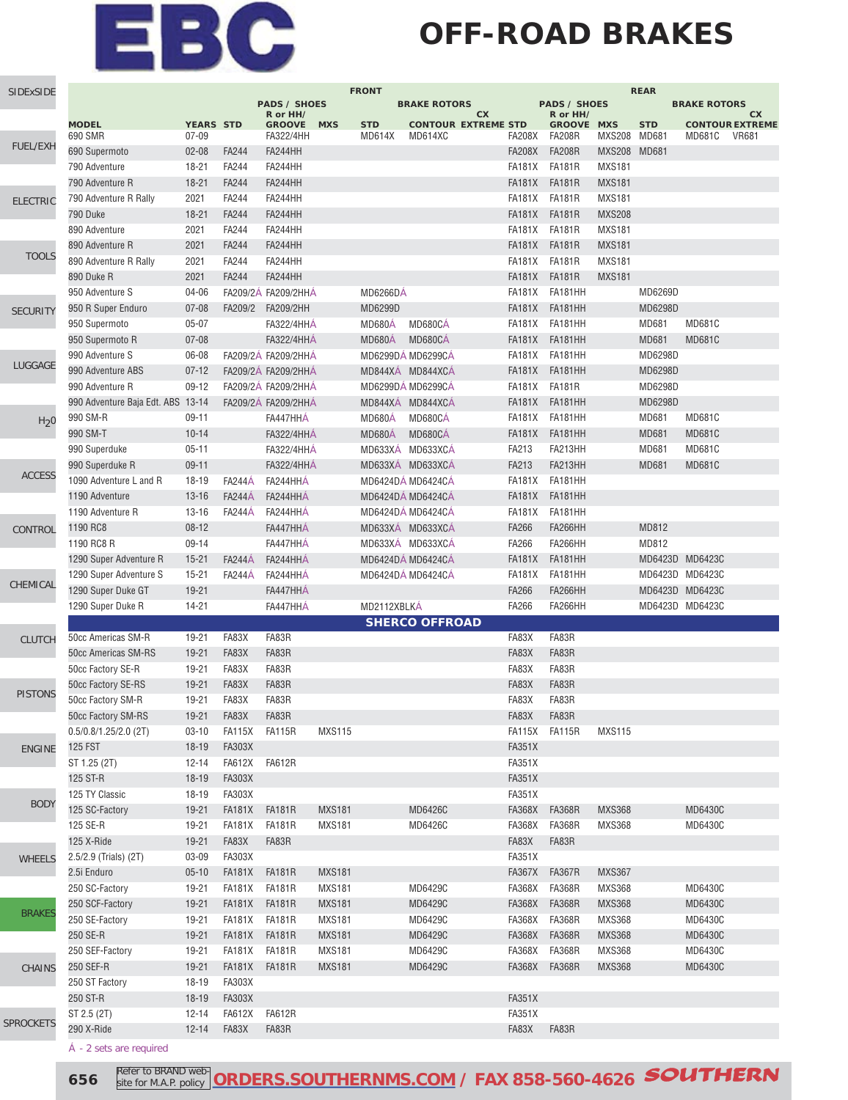### **OFF-ROAD BRAKES**

| SIDExSIDE        |                                   |                  |               |                     |               | <b>FRONT</b>    |                            |               |                     |               | <b>REAR</b>     |                     |                        |
|------------------|-----------------------------------|------------------|---------------|---------------------|---------------|-----------------|----------------------------|---------------|---------------------|---------------|-----------------|---------------------|------------------------|
|                  |                                   |                  |               | <b>PADS / SHOES</b> |               |                 | <b>BRAKE ROTORS</b>        |               | <b>PADS / SHOES</b> |               |                 | <b>BRAKE ROTORS</b> |                        |
|                  |                                   |                  |               | R or HH/            |               |                 | СX                         |               | R or HH/            |               |                 |                     | CX                     |
|                  | <b>MODEL</b>                      | <b>YEARS STD</b> |               | <b>GROOVE</b>       | <b>MXS</b>    | <b>STD</b>      | <b>CONTOUR EXTREME STD</b> |               | <b>GROOVE MXS</b>   |               | <b>STD</b>      |                     | <b>CONTOUR EXTREME</b> |
| <b>FUEL/EXH</b>  | 690 SMR                           | $07 - 09$        |               | <b>FA322/4HH</b>    |               | <b>MD614X</b>   | MD614XC                    | <b>FA208X</b> | <b>FA208R</b>       | MXS208 MD681  |                 | <b>MD681C</b>       | <b>VR681</b>           |
|                  | 690 Supermoto                     | $02 - 08$        | <b>FA244</b>  | FA244HH             |               |                 |                            | <b>FA208X</b> | <b>FA208R</b>       | MXS208 MD681  |                 |                     |                        |
|                  | 790 Adventure                     | $18 - 21$        | FA244         | FA244HH             |               |                 |                            | <b>FA181X</b> | <b>FA181R</b>       | <b>MXS181</b> |                 |                     |                        |
|                  | 790 Adventure R                   | $18 - 21$        | <b>FA244</b>  | FA244HH             |               |                 |                            | <b>FA181X</b> | <b>FA181R</b>       | <b>MXS181</b> |                 |                     |                        |
| <b>ELECTRIC</b>  | 790 Adventure R Rally             | 2021             | FA244         | FA244HH             |               |                 |                            | FA181X        | <b>FA181R</b>       | <b>MXS181</b> |                 |                     |                        |
|                  | 790 Duke                          | $18 - 21$        | <b>FA244</b>  | FA244HH             |               |                 |                            | <b>FA181X</b> | <b>FA181R</b>       | <b>MXS208</b> |                 |                     |                        |
|                  |                                   |                  |               | FA244HH             |               |                 |                            |               |                     |               |                 |                     |                        |
|                  | 890 Adventure                     | 2021             | <b>FA244</b>  |                     |               |                 |                            | <b>FA181X</b> | <b>FA181R</b>       | <b>MXS181</b> |                 |                     |                        |
| <b>TOOLS</b>     | 890 Adventure R                   | 2021             | FA244         | FA244HH             |               |                 |                            | <b>FA181X</b> | <b>FA181R</b>       | <b>MXS181</b> |                 |                     |                        |
|                  | 890 Adventure R Rally             | 2021             | <b>FA244</b>  | FA244HH             |               |                 |                            | <b>FA181X</b> | <b>FA181R</b>       | <b>MXS181</b> |                 |                     |                        |
|                  | 890 Duke R                        | 2021             | FA244         | FA244HH             |               |                 |                            | <b>FA181X</b> | <b>FA181R</b>       | <b>MXS181</b> |                 |                     |                        |
|                  | 950 Adventure S                   | $04 - 06$        |               | FA209/2Á FA209/2HHÁ |               | <b>MD6266DÁ</b> |                            | <b>FA181X</b> | FA181HH             |               | MD6269D         |                     |                        |
| <b>SECURITY</b>  | 950 R Super Enduro                | $07 - 08$        | FA209/2       | FA209/2HH           |               | MD6299D         |                            | <b>FA181X</b> | FA181HH             |               | MD6298D         |                     |                        |
|                  | 950 Supermoto                     | $05 - 07$        |               | <b>FA322/4HHÁ</b>   |               | MD680A          | MD680CÁ                    | FA181X        | FA181HH             |               | <b>MD681</b>    | <b>MD681C</b>       |                        |
|                  |                                   |                  |               |                     |               |                 |                            |               |                     |               |                 |                     |                        |
|                  | 950 Supermoto R                   | $07 - 08$        |               | <b>FA322/4HHÁ</b>   |               | <b>MD680Á</b>   | MD680CÁ                    | <b>FA181X</b> | FA181HH             |               | <b>MD681</b>    | <b>MD681C</b>       |                        |
| LUGGAGE          | 990 Adventure S                   | 06-08            |               | FA209/2Á FA209/2HHÁ |               |                 | MD6299DÁ MD6299CÁ          | FA181X        | FA181HH             |               | MD6298D         |                     |                        |
|                  | 990 Adventure ABS                 | $07 - 12$        |               | FA209/2Á FA209/2HHÁ |               |                 | MD844XÁ MD844XCÁ           | <b>FA181X</b> | <b>FA181HH</b>      |               | MD6298D         |                     |                        |
|                  | 990 Adventure R                   | $09 - 12$        |               | FA209/2A FA209/2HHA |               |                 | MD6299DÁ MD6299CÁ          | <b>FA181X</b> | <b>FA181R</b>       |               | MD6298D         |                     |                        |
|                  | 990 Adventure Baja Edt. ABS 13-14 |                  |               | FA209/2Á FA209/2HHÁ |               |                 | MD844XÁ MD844XCÁ           | <b>FA181X</b> | FA181HH             |               | MD6298D         |                     |                        |
| H <sub>2</sub> 0 | 990 SM-R                          | $09 - 11$        |               | FA447HHÁ            |               | <b>MD680Á</b>   | MD680CÁ                    |               | FA181X FA181HH      |               | <b>MD681</b>    | <b>MD681C</b>       |                        |
|                  | 990 SM-T                          | $10 - 14$        |               | <b>FA322/4HHA</b>   |               | <b>MD680Á</b>   | MD680CÁ                    | <b>FA181X</b> | FA181HH             |               | <b>MD681</b>    | <b>MD681C</b>       |                        |
|                  |                                   | $05 - 11$        |               | <b>FA322/4HHÁ</b>   |               |                 | MD633XÁ MD633XCÁ           | FA213         | FA213HH             |               | <b>MD681</b>    | <b>MD681C</b>       |                        |
|                  | 990 Superduke                     |                  |               |                     |               |                 |                            |               |                     |               |                 |                     |                        |
| <b>ACCESS</b>    | 990 Superduke R                   | $09 - 11$        |               | <b>FA322/4HHÁ</b>   |               |                 | MD633XÁ MD633XCÁ           | FA213         | FA213HH             |               | <b>MD681</b>    | <b>MD681C</b>       |                        |
|                  | 1090 Adventure L and R            | 18-19            | <b>FA244A</b> | FA244HHÁ            |               |                 | MD6424DÁ MD6424CÁ          | FA181X        | FA181HH             |               |                 |                     |                        |
|                  | 1190 Adventure                    | $13 - 16$        | <b>FA244A</b> | FA244HHÁ            |               |                 | MD6424DÁ MD6424CÁ          | <b>FA181X</b> | FA181HH             |               |                 |                     |                        |
|                  | 1190 Adventure R                  | $13 - 16$        | <b>FA244A</b> | FA244HHÁ            |               |                 | MD6424DÁ MD6424CÁ          | <b>FA181X</b> | FA181HH             |               |                 |                     |                        |
| CONTROL          | 1190 RC8                          | $08 - 12$        |               | FA447HHÁ            |               |                 | MD633XÁ MD633XCÁ           | FA266         | FA266HH             |               | MD812           |                     |                        |
|                  | 1190 RC8 R                        | $09 - 14$        |               | FA447HHÁ            |               |                 | MD633XÁ MD633XCÁ           | FA266         | FA266HH             |               | MD812           |                     |                        |
|                  | 1290 Super Adventure R            | $15 - 21$        | <b>FA244A</b> | FA244HHÁ            |               |                 | MD6424DÁ MD6424CÁ          | <b>FA181X</b> | FA181HH             |               | MD6423D MD6423C |                     |                        |
|                  |                                   |                  |               |                     |               |                 |                            | <b>FA181X</b> |                     |               |                 |                     |                        |
| CHEMICAL         | 1290 Super Adventure S            | $15 - 21$        | <b>FA244A</b> | FA244HHÁ            |               |                 | MD6424DÁ MD6424CÁ          |               | FA181HH             |               | MD6423D MD6423C |                     |                        |
|                  | 1290 Super Duke GT                | $19 - 21$        |               | FA447HHÁ            |               |                 |                            | FA266         | <b>FA266HH</b>      |               | MD6423D MD6423C |                     |                        |
|                  | 1290 Super Duke R                 | 14-21            |               | FA447HHA            |               | MD2112XBLKÁ     |                            | FA266         | FA266HH             |               | MD6423D MD6423C |                     |                        |
|                  |                                   |                  |               |                     |               |                 | <b>SHERCO OFFROAD</b>      |               |                     |               |                 |                     |                        |
| <b>CLUTCH</b>    | 50cc Americas SM-R                | 19-21            | FA83X         | FA83R               |               |                 |                            | FA83X         | FA83R               |               |                 |                     |                        |
|                  | 50cc Americas SM-RS               | $19 - 21$        | FA83X         | FA83R               |               |                 |                            | FA83X         | FA83R               |               |                 |                     |                        |
|                  | 50cc Factory SE-R                 | 19-21            | FA83X         | FA83R               |               |                 |                            | FA83X         | FA83R               |               |                 |                     |                        |
|                  | 50cc Factory SE-RS                | $19 - 21$        | FA83X         | FA83R               |               |                 |                            | FA83X         | FA83R               |               |                 |                     |                        |
| <b>PISTONS</b>   |                                   | 19-21            | FA83X         | FA83R               |               |                 |                            | FA83X         | FA83R               |               |                 |                     |                        |
|                  | 50cc Factory SM-R                 |                  |               |                     |               |                 |                            |               |                     |               |                 |                     |                        |
|                  | 50cc Factory SM-RS                |                  |               |                     |               |                 |                            | FA83X FA83R   |                     |               |                 |                     |                        |
|                  | $0.5/0.8/1.25/2.0$ (2T)           | $03 - 10$        | FA115X FA115R |                     | <b>MXS115</b> |                 |                            |               | FA115X FA115R       | <b>MXS115</b> |                 |                     |                        |
| <b>ENGINE</b>    | <b>125 FST</b>                    | $18 - 19$        | <b>FA303X</b> |                     |               |                 |                            | <b>FA351X</b> |                     |               |                 |                     |                        |
|                  | ST 1.25 (2T)                      | $12 - 14$        | FA612X FA612R |                     |               |                 |                            | <b>FA351X</b> |                     |               |                 |                     |                        |
|                  | 125 ST-R                          | $18 - 19$        | <b>FA303X</b> |                     |               |                 |                            | <b>FA351X</b> |                     |               |                 |                     |                        |
|                  | 125 TY Classic                    | 18-19            | FA303X        |                     |               |                 |                            | <b>FA351X</b> |                     |               |                 |                     |                        |
| <b>BODY</b>      | 125 SC-Factory                    | $19 - 21$        | FA181X FA181R |                     | <b>MXS181</b> |                 | MD6426C                    | FA368X        | <b>FA368R</b>       | <b>MXS368</b> |                 | MD6430C             |                        |
|                  | 125 SE-R                          | 19-21            | FA181X FA181R |                     | MXS181        |                 | MD6426C                    | <b>FA368X</b> | <b>FA368R</b>       | <b>MXS368</b> |                 | MD6430C             |                        |
|                  |                                   |                  |               |                     |               |                 |                            |               |                     |               |                 |                     |                        |
|                  | 125 X-Ride                        | $19 - 21$        | FA83X         | FA83R               |               |                 |                            | FA83X         | FA83R               |               |                 |                     |                        |
| <b>WHEELS</b>    | 2.5/2.9 (Trials) (2T)             | 03-09            | <b>FA303X</b> |                     |               |                 |                            | <b>FA351X</b> |                     |               |                 |                     |                        |
|                  | 2.5i Enduro                       | $05 - 10$        | FA181X FA181R |                     | <b>MXS181</b> |                 |                            |               | FA367X FA367R       | <b>MXS367</b> |                 |                     |                        |
|                  | 250 SC-Factory                    | 19-21            | FA181X FA181R |                     | <b>MXS181</b> |                 | MD6429C                    |               | FA368X FA368R       | <b>MXS368</b> |                 | MD6430C             |                        |
|                  | 250 SCF-Factory                   | $19 - 21$        | FA181X FA181R |                     | <b>MXS181</b> |                 | MD6429C                    |               | FA368X FA368R       | <b>MXS368</b> |                 | MD6430C             |                        |
| <b>BRAKES</b>    | 250 SE-Factory                    | 19-21            | FA181X FA181R |                     | <b>MXS181</b> |                 | MD6429C                    |               | FA368X FA368R       | <b>MXS368</b> |                 | MD6430C             |                        |
|                  | 250 SE-R                          | $19 - 21$        | FA181X FA181R |                     | <b>MXS181</b> |                 | MD6429C                    |               | FA368X FA368R       | <b>MXS368</b> |                 | MD6430C             |                        |
|                  | 250 SEF-Factory                   | 19-21            | FA181X FA181R |                     | <b>MXS181</b> |                 | MD6429C                    |               | FA368X FA368R       | <b>MXS368</b> |                 | MD6430C             |                        |
|                  |                                   |                  |               |                     |               |                 |                            |               |                     |               |                 |                     |                        |
| <b>CHAINS</b>    | 250 SEF-R                         | $19 - 21$        | FA181X FA181R |                     | <b>MXS181</b> |                 | MD6429C                    |               | FA368X FA368R       | <b>MXS368</b> |                 | MD6430C             |                        |
|                  | 250 ST Factory                    | 18-19            | <b>FA303X</b> |                     |               |                 |                            |               |                     |               |                 |                     |                        |
|                  | 250 ST-R                          | $18 - 19$        | <b>FA303X</b> |                     |               |                 |                            | <b>FA351X</b> |                     |               |                 |                     |                        |
|                  | ST 2.5 (2T)                       | $12 - 14$        | FA612X FA612R |                     |               |                 |                            | <b>FA351X</b> |                     |               |                 |                     |                        |
| <b>SPROCKETS</b> | 290 X-Ride                        | $12 - 14$        | FA83X         | FA83R               |               |                 |                            | FA83X         | FA83R               |               |                 |                     |                        |
|                  |                                   |                  |               |                     |               |                 |                            |               |                     |               |                 |                     |                        |

- 2 sets are required

**656 Refer to BRAND web-** ORDERS.SOUTHERNMS.COM</u> / FAX 858-560-4626 **SOUTHERN** site for M.A.P. policy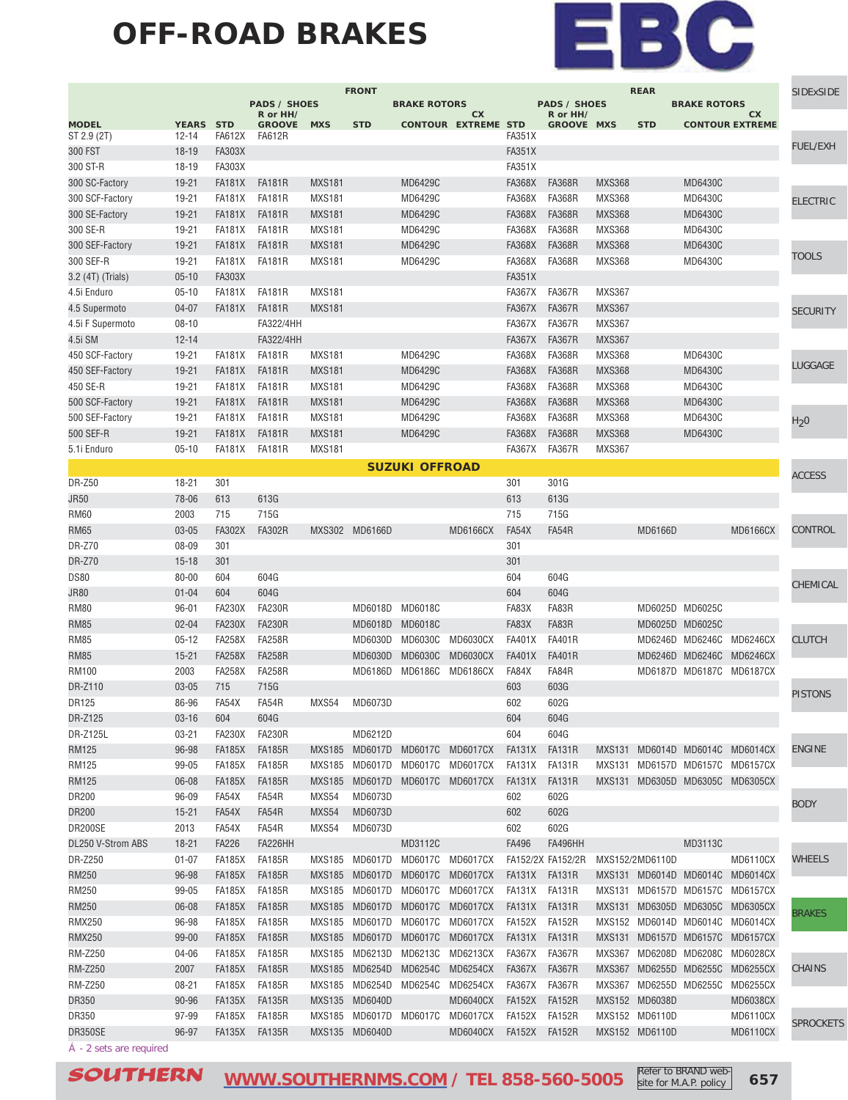#### **OFF-ROAD BRAKES**



|                       |                  |                      |                           |                        | <b>FRONT</b>           |                       |                                  |                         |                                 |               | <b>REAR</b>     |                        |                                 | SIDExSIDE        |
|-----------------------|------------------|----------------------|---------------------------|------------------------|------------------------|-----------------------|----------------------------------|-------------------------|---------------------------------|---------------|-----------------|------------------------|---------------------------------|------------------|
|                       |                  |                      | <b>PADS / SHOES</b>       |                        |                        | <b>BRAKE ROTORS</b>   |                                  |                         | <b>PADS / SHOES</b><br>R or HH/ |               |                 | <b>BRAKE ROTORS</b>    |                                 |                  |
| <b>MODEL</b>          | <b>YEARS STD</b> |                      | R or HH/<br><b>GROOVE</b> | <b>MXS</b>             | <b>STD</b>             |                       | cx<br><b>CONTOUR EXTREME STD</b> |                         | <b>GROOVE MXS</b>               |               | <b>STD</b>      |                        | cx<br><b>CONTOUR EXTREME</b>    |                  |
| ST 2.9 (2T)           | $12 - 14$        | <b>FA612X</b>        | <b>FA612R</b>             |                        |                        |                       |                                  | <b>FA351X</b>           |                                 |               |                 |                        |                                 | FUEL/EXH         |
| 300 FST               | $18 - 19$        | <b>FA303X</b>        |                           |                        |                        |                       |                                  | <b>FA351X</b>           |                                 |               |                 |                        |                                 |                  |
| 300 ST-R              | 18-19            | <b>FA303X</b>        |                           |                        |                        |                       |                                  | <b>FA351X</b>           |                                 |               |                 |                        |                                 |                  |
| 300 SC-Factory        | $19 - 21$        | <b>FA181X</b>        | <b>FA181R</b>             | <b>MXS181</b>          |                        | MD6429C               |                                  | <b>FA368X</b>           | <b>FA368R</b>                   | <b>MXS368</b> |                 | MD6430C                |                                 |                  |
| 300 SCF-Factory       | 19-21            | <b>FA181X</b>        | <b>FA181R</b>             | <b>MXS181</b>          |                        | MD6429C               |                                  | <b>FA368X</b>           | <b>FA368R</b>                   | <b>MXS368</b> |                 | MD6430C                |                                 | <b>ELECTRIC</b>  |
| 300 SE-Factory        | $19 - 21$        | <b>FA181X</b>        | <b>FA181R</b>             | <b>MXS181</b>          |                        | MD6429C               |                                  | <b>FA368X</b>           | <b>FA368R</b>                   | <b>MXS368</b> |                 | MD6430C                |                                 |                  |
| 300 SE-R              | 19-21            | <b>FA181X</b>        | <b>FA181R</b>             | <b>MXS181</b>          |                        | MD6429C               |                                  | <b>FA368X</b>           | FA368R                          | <b>MXS368</b> |                 | MD6430C                |                                 |                  |
| 300 SEF-Factory       | $19 - 21$        | <b>FA181X</b>        | <b>FA181R</b>             | <b>MXS181</b>          |                        | MD6429C               |                                  | <b>FA368X</b>           | <b>FA368R</b>                   | <b>MXS368</b> |                 | MD6430C                |                                 |                  |
| 300 SEF-R             | 19-21            | <b>FA181X</b>        | <b>FA181R</b>             | <b>MXS181</b>          |                        | MD6429C               |                                  | <b>FA368X</b>           | <b>FA368R</b>                   | <b>MXS368</b> |                 | MD6430C                |                                 | <b>TOOLS</b>     |
| 3.2 (4T) (Trials)     | $05 - 10$        | FA303X               |                           |                        |                        |                       |                                  | <b>FA351X</b>           |                                 |               |                 |                        |                                 |                  |
| 4.5i Enduro           | $05 - 10$        | <b>FA181X</b>        | <b>FA181R</b>             | <b>MXS181</b>          |                        |                       |                                  | <b>FA367X</b>           | <b>FA367R</b>                   | <b>MXS367</b> |                 |                        |                                 |                  |
| 4.5 Supermoto         | $04 - 07$        | <b>FA181X</b>        | <b>FA181R</b>             | <b>MXS181</b>          |                        |                       |                                  | <b>FA367X</b>           | <b>FA367R</b>                   | <b>MXS367</b> |                 |                        |                                 | <b>SECURITY</b>  |
| 4.5i F Supermoto      | $08 - 10$        |                      | FA322/4HH                 |                        |                        |                       |                                  | <b>FA367X</b>           | <b>FA367R</b>                   | <b>MXS367</b> |                 |                        |                                 |                  |
| 4.5i SM               | $12 - 14$        |                      | FA322/4HH                 |                        |                        |                       |                                  | <b>FA367X</b>           | <b>FA367R</b>                   | <b>MXS367</b> |                 |                        |                                 |                  |
| 450 SCF-Factory       | 19-21            | <b>FA181X</b>        | <b>FA181R</b>             | <b>MXS181</b>          |                        | MD6429C               |                                  | <b>FA368X</b>           | <b>FA368R</b>                   | <b>MXS368</b> |                 | MD6430C                |                                 |                  |
| 450 SEF-Factory       | $19 - 21$        | <b>FA181X</b>        | <b>FA181R</b>             | <b>MXS181</b>          |                        | MD6429C               |                                  | <b>FA368X</b>           | <b>FA368R</b>                   | <b>MXS368</b> |                 | MD6430C                |                                 | LUGGAGE          |
| 450 SE-R              | 19-21            | <b>FA181X</b>        | <b>FA181R</b>             | <b>MXS181</b>          |                        | MD6429C               |                                  | <b>FA368X</b>           | <b>FA368R</b>                   | <b>MXS368</b> |                 | MD6430C                |                                 |                  |
| 500 SCF-Factory       | $19 - 21$        | <b>FA181X</b>        | <b>FA181R</b>             | <b>MXS181</b>          |                        | MD6429C               |                                  | <b>FA368X</b>           | <b>FA368R</b>                   | <b>MXS368</b> |                 | MD6430C                |                                 |                  |
| 500 SEF-Factory       | 19-21            | <b>FA181X</b>        | <b>FA181R</b>             | <b>MXS181</b>          |                        | MD6429C               |                                  | <b>FA368X</b>           | <b>FA368R</b>                   | <b>MXS368</b> |                 | MD6430C                |                                 | H <sub>2</sub> 0 |
| 500 SEF-R             | $19 - 21$        | <b>FA181X</b>        | <b>FA181R</b>             | <b>MXS181</b>          |                        | MD6429C               |                                  | <b>FA368X</b>           | <b>FA368R</b>                   | <b>MXS368</b> |                 | MD6430C                |                                 |                  |
| 5.1i Enduro           | $05 - 10$        | FA181X               | <b>FA181R</b>             | <b>MXS181</b>          |                        |                       |                                  | FA367X                  | <b>FA367R</b>                   | <b>MXS367</b> |                 |                        |                                 |                  |
|                       |                  |                      |                           |                        |                        | <b>SUZUKI OFFROAD</b> |                                  |                         |                                 |               |                 |                        |                                 |                  |
| <b>DR-Z50</b>         | $18 - 21$        | 301                  |                           |                        |                        |                       |                                  | 301                     | 301G                            |               |                 |                        |                                 | <b>ACCESS</b>    |
| <b>JR50</b>           | 78-06            | 613                  | 613G                      |                        |                        |                       |                                  | 613                     | 613G                            |               |                 |                        |                                 |                  |
| <b>RM60</b>           | 2003             | 715                  | 715G                      |                        |                        |                       |                                  | 715                     | 715G                            |               |                 |                        |                                 |                  |
| <b>RM65</b>           | $03 - 05$        | <b>FA302X</b>        | <b>FA302R</b>             |                        | MXS302 MD6166D         |                       | <b>MD6166CX</b>                  | FA54X                   | FA54R                           |               | MD6166D         |                        | <b>MD6166CX</b>                 | CONTROL          |
| <b>DR-Z70</b>         | 08-09            | 301                  |                           |                        |                        |                       |                                  | 301                     |                                 |               |                 |                        |                                 |                  |
| <b>DR-Z70</b>         | $15 - 18$        | 301                  |                           |                        |                        |                       |                                  | 301                     |                                 |               |                 |                        |                                 |                  |
| <b>DS80</b>           | 80-00            | 604                  | 604G                      |                        |                        |                       |                                  | 604                     | 604G                            |               |                 |                        |                                 |                  |
| <b>JR80</b>           | $01 - 04$        | 604                  | 604G                      |                        |                        |                       |                                  | 604                     | 604G                            |               |                 |                        |                                 | CHEMICAL         |
| <b>RM80</b>           | $96 - 01$        | <b>FA230X</b>        | <b>FA230R</b>             |                        |                        | MD6018D MD6018C       |                                  | FA83X                   | FA83R                           |               |                 | MD6025D MD6025C        |                                 |                  |
| <b>RM85</b>           | $02 - 04$        | <b>FA230X</b>        | <b>FA230R</b>             |                        |                        | MD6018D MD6018C       |                                  | FA83X                   | FA83R                           |               |                 | MD6025D MD6025C        |                                 |                  |
| <b>RM85</b>           | $05 - 12$        | <b>FA258X</b>        | <b>FA258R</b>             |                        |                        | MD6030D MD6030C       | <b>MD6030CX</b>                  | <b>FA401X</b>           | <b>FA401R</b>                   |               |                 |                        | MD6246D MD6246C MD6246CX        | <b>CLUTCH</b>    |
| <b>RM85</b>           | $15 - 21$        | <b>FA258X</b>        | <b>FA258R</b>             |                        | MD6030D                | <b>MD6030C</b>        | <b>MD6030CX</b>                  | <b>FA401X</b>           | <b>FA401R</b>                   |               |                 |                        | MD6246D MD6246C MD6246CX        |                  |
| <b>RM100</b>          | 2003             | <b>FA258X</b>        | <b>FA258R</b>             |                        |                        | MD6186D MD6186C       | <b>MD6186CX</b>                  | FA84X                   | FA84R                           |               |                 |                        | MD6187D MD6187C MD6187CX        |                  |
| DR-Z110               | $03 - 05$        | 715                  | 715G                      |                        |                        |                       |                                  | 603                     | 603G                            |               |                 |                        |                                 |                  |
| DR125                 | 86-96            | FA54X                | FA54R                     | MXS54                  | MD6073D                |                       |                                  | 602                     | 602G                            |               |                 |                        |                                 | <b>PISTONS</b>   |
| DR-Z125               | $03 - 16$        |                      | 604G                      |                        |                        |                       |                                  |                         | 604G                            |               |                 |                        |                                 |                  |
| DR-Z125L              | $03 - 21$        | 604<br><b>FA230X</b> | <b>FA230R</b>             |                        | MD6212D                |                       |                                  | 604<br>604              | 604G                            |               |                 |                        |                                 |                  |
|                       |                  |                      |                           |                        |                        |                       |                                  |                         | <b>FA131R</b>                   |               |                 |                        |                                 | <b>ENGINE</b>    |
| RM125                 | 96-98<br>99-05   | <b>FA185X</b>        | <b>FA185R</b>             |                        |                        |                       | MXS185 MD6017D MD6017C MD6017CX  | FA131X<br>FA131X FA131R |                                 |               |                 |                        | MXS131 MD6014D MD6014C MD6014CX |                  |
| <b>RM125</b>          |                  | FA185X               | <b>FA185R</b>             |                        | MXS185 MD6017D MD6017C |                       | MD6017CX                         |                         |                                 |               |                 |                        | MXS131 MD6157D MD6157C MD6157CX |                  |
| <b>RM125</b><br>DR200 | $06 - 08$        | <b>FA185X</b>        | <b>FA185R</b>             | <b>MXS185</b><br>MXS54 | MD6073D                |                       | MD6017D MD6017C MD6017CX         | FA131X<br>602           | FA131R                          |               |                 |                        | MXS131 MD6305D MD6305C MD6305CX |                  |
|                       | $96 - 09$        | FA54X                | FA54R                     |                        |                        |                       |                                  |                         | 602G                            |               |                 |                        |                                 | <b>BODY</b>      |
| DR200                 | $15 - 21$        | FA54X                | FA54R                     | MXS54                  | MD6073D                |                       |                                  | 602                     | 602G                            |               |                 |                        |                                 |                  |
| DR200SE               | 2013             | FA54X                | FA54R                     | MXS54                  | MD6073D                |                       |                                  | 602                     | 602G                            |               |                 |                        |                                 |                  |
| DL250 V-Strom ABS     | $18 - 21$        | <b>FA226</b>         | FA226HH                   |                        |                        | MD3112C               |                                  | FA496                   | <b>FA496HH</b>                  |               |                 | MD3113C                |                                 |                  |
| DR-Z250               | $01 - 07$        | FA185X               | <b>FA185R</b>             | MXS185                 |                        |                       | MD6017D MD6017C MD6017CX         |                         | FA152/2X FA152/2R               |               | MXS152/2MD6110D |                        | <b>MD6110CX</b>                 | WHEELS           |
| <b>RM250</b>          | 96-98            | <b>FA185X</b>        | <b>FA185R</b>             | <b>MXS185</b>          |                        | MD6017D MD6017C       | MD6017CX                         |                         | FA131X FA131R                   |               |                 |                        | MXS131 MD6014D MD6014C MD6014CX |                  |
| RM250                 | 99-05            | FA185X               | <b>FA185R</b>             | MXS185                 | MD6017D MD6017C        |                       | MD6017CX                         |                         | FA131X FA131R                   |               |                 |                        | MXS131 MD6157D MD6157C MD6157CX |                  |
| RM250                 | $06 - 08$        | <b>FA185X</b>        | <b>FA185R</b>             | <b>MXS185</b>          |                        | MD6017D MD6017C       | <b>MD6017CX</b>                  | FA131X                  | FA131R                          |               |                 |                        | MXS131 MD6305D MD6305C MD6305CX | BRAKES           |
| <b>RMX250</b>         | 96-98            | FA185X               | <b>FA185R</b>             | MXS185                 | MD6017D MD6017C        |                       | MD6017CX                         | FA152X FA152R           |                                 |               |                 |                        | MXS152 MD6014D MD6014C MD6014CX |                  |
| <b>RMX250</b>         | $99 - 00$        | <b>FA185X</b>        | <b>FA185R</b>             | <b>MXS185</b>          |                        | MD6017D MD6017C       | MD6017CX                         | FA131X                  | FA131R                          |               |                 |                        | MXS131 MD6157D MD6157C MD6157CX |                  |
| <b>RM-Z250</b>        | 04-06            | FA185X               | <b>FA185R</b>             | <b>MXS185</b>          |                        | MD6213D MD6213C       | MD6213CX                         | FA367X                  | FA367R                          | MXS367        |                 |                        | MD6208D MD6208C MD6028CX        |                  |
| <b>RM-Z250</b>        | 2007             | <b>FA185X</b>        | <b>FA185R</b>             | <b>MXS185</b>          | MD6254D                | MD6254C               | <b>MD6254CX</b>                  | FA367X                  | <b>FA367R</b>                   | MXS367        |                 |                        | MD6255D MD6255C MD6255CX        | CHAINS           |
| <b>RM-Z250</b>        | $08 - 21$        | FA185X               | <b>FA185R</b>             | MXS185                 | MD6254D MD6254C        |                       | MD6254CX                         | FA367X                  | FA367R                          |               |                 | MXS367 MD6255D MD6255C | MD6255CX                        |                  |
| DR350                 | 90-96            | <b>FA135X</b>        | <b>FA135R</b>             |                        | MXS135 MD6040D         |                       | MD6040CX                         | <b>FA152X</b>           | <b>FA152R</b>                   |               | MXS152 MD6038D  |                        | <b>MD6038CX</b>                 |                  |
| DR350                 | 97-99            | <b>FA185X</b>        | <b>FA185R</b>             |                        | MXS185 MD6017D MD6017C |                       | MD6017CX                         | <b>FA152X</b>           | <b>FA152R</b>                   |               | MXS152 MD6110D  |                        | <b>MD6110CX</b>                 | <b>SPROCKETS</b> |
| DR350SE               | 96-97            | FA135X               | <b>FA135R</b>             |                        | MXS135 MD6040D         |                       | MD6040CX                         |                         | FA152X FA152R                   |               | MXS152 MD6110D  |                        | <b>MD6110CX</b>                 |                  |
|                       |                  |                      |                           |                        |                        |                       |                                  |                         |                                 |               |                 |                        |                                 |                  |

Á - 2 sets are required

SOUTHERN **[WWW.SOUTHERNMS.COM](http://m.southernms.com) / TEL 858-560-5005 657** Refer to BRAND web-

site for M.A.P. policy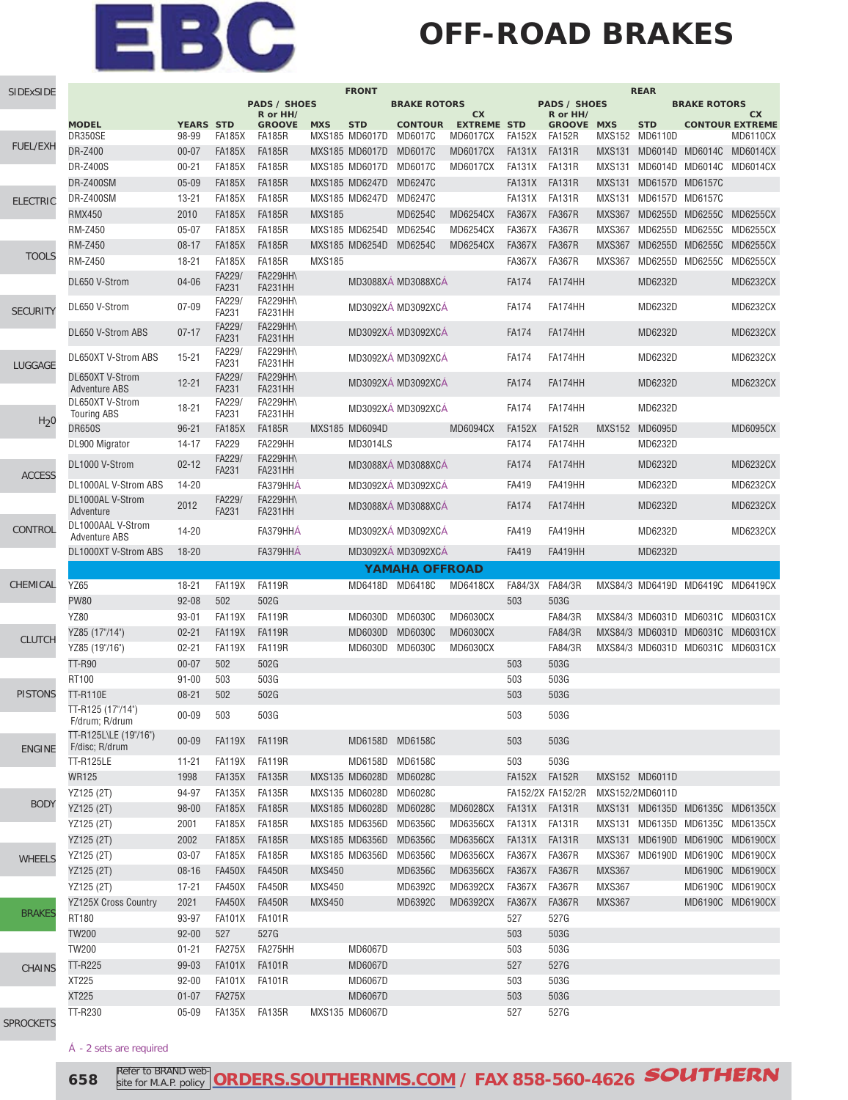### **OFF-ROAD BRAKES**

| SIDExSIDE        | <b>FRONT</b>                              |                           |                         |                                 |               |                              |                           |                                       |               |                                    |               | <b>REAR</b>                  |                     |                                    |
|------------------|-------------------------------------------|---------------------------|-------------------------|---------------------------------|---------------|------------------------------|---------------------------|---------------------------------------|---------------|------------------------------------|---------------|------------------------------|---------------------|------------------------------------|
|                  |                                           |                           |                         | <b>PADS / SHOES</b><br>R or HH/ |               |                              | <b>BRAKE ROTORS</b>       | <b>CX</b>                             |               | <b>PADS / SHOES</b><br>R or HH/    |               |                              | <b>BRAKE ROTORS</b> | <b>CX</b>                          |
|                  | <b>MODEL</b><br>DR350SE                   | <b>YEARS STD</b><br>98-99 | FA185X                  | <b>GROOVE</b><br><b>FA185R</b>  | <b>MXS</b>    | <b>STD</b><br>MXS185 MD6017D | <b>CONTOUR</b><br>MD6017C | <b>EXTREME STD</b><br><b>MD6017CX</b> | FA152X        | <b>GROOVE MXS</b><br><b>FA152R</b> |               | <b>STD</b><br>MXS152 MD6110D |                     | <b>CONTOUR EXTREME</b><br>MD6110CX |
| <b>FUEL/EXH</b>  | DR-Z400                                   | $00 - 07$                 | <b>FA185X</b>           | <b>FA185R</b>                   |               | MXS185 MD6017D               | <b>MD6017C</b>            | <b>MD6017CX</b>                       | <b>FA131X</b> | <b>FA131R</b>                      | <b>MXS131</b> | MD6014D MD6014C              |                     | <b>MD6014CX</b>                    |
|                  | <b>DR-Z400S</b>                           | $00 - 21$                 | <b>FA185X</b>           | <b>FA185R</b>                   |               | MXS185 MD6017D               | <b>MD6017C</b>            | <b>MD6017CX</b>                       | FA131X        | FA131R                             | MXS131        |                              |                     | MD6014D MD6014C MD6014CX           |
|                  | <b>DR-Z400SM</b>                          | $05 - 09$                 | <b>FA185X</b>           | <b>FA185R</b>                   |               | MXS185 MD6247D               | MD6247C                   |                                       | FA131X        | <b>FA131R</b>                      | <b>MXS131</b> | MD6157D MD6157C              |                     |                                    |
| <b>ELECTRIC</b>  | <b>DR-Z400SM</b>                          | $13 - 21$                 | <b>FA185X</b>           | <b>FA185R</b>                   |               | MXS185 MD6247D               | MD6247C                   |                                       | FA131X        | <b>FA131R</b>                      | <b>MXS131</b> | MD6157D MD6157C              |                     |                                    |
|                  | <b>RMX450</b>                             | 2010                      | <b>FA185X</b>           | <b>FA185R</b>                   | <b>MXS185</b> |                              | MD6254C                   | <b>MD6254CX</b>                       | <b>FA367X</b> | <b>FA367R</b>                      | <b>MXS367</b> | MD6255D MD6255C              |                     | <b>MD6255CX</b>                    |
|                  | <b>RM-Z450</b>                            | $05 - 07$                 | <b>FA185X</b>           | <b>FA185R</b>                   |               | MXS185 MD6254D               | MD6254C                   | <b>MD6254CX</b>                       | <b>FA367X</b> | <b>FA367R</b>                      | <b>MXS367</b> | MD6255D MD6255C              |                     | MD6255CX                           |
|                  | <b>RM-Z450</b>                            | $08 - 17$                 | <b>FA185X</b>           | <b>FA185R</b>                   |               | MXS185 MD6254D               | MD6254C                   | <b>MD6254CX</b>                       | <b>FA367X</b> | <b>FA367R</b>                      | <b>MXS367</b> | MD6255D MD6255C              |                     | <b>MD6255CX</b>                    |
| <b>TOOLS</b>     | <b>RM-Z450</b>                            | $18 - 21$                 | <b>FA185X</b>           | <b>FA185R</b>                   | <b>MXS185</b> |                              |                           |                                       | <b>FA367X</b> | <b>FA367R</b>                      | <b>MXS367</b> | MD6255D MD6255C              |                     | <b>MD6255CX</b>                    |
|                  | DL650 V-Strom                             | 04-06                     | FA229/<br><b>FA231</b>  | <b>FA229HH\</b><br>FA231HH      |               |                              | MD3088XA MD3088XCA        |                                       | <b>FA174</b>  | FA174HH                            |               | MD6232D                      |                     | MD6232CX                           |
| <b>SECURITY</b>  | DL650 V-Strom                             | $07 - 09$                 | FA229/<br>FA231         | <b>FA229HH\</b><br>FA231HH      |               |                              | MD3092XA MD3092XCA        |                                       | <b>FA174</b>  | FA174HH                            |               | MD6232D                      |                     | MD6232CX                           |
|                  | DL650 V-Strom ABS                         | $07 - 17$                 | FA229/<br><b>FA231</b>  | <b>FA229HH\</b><br>FA231HH      |               |                              | MD3092XA MD3092XCA        |                                       | <b>FA174</b>  | FA174HH                            |               | MD6232D                      |                     | <b>MD6232CX</b>                    |
| LUGGAGE          | DL650XT V-Strom ABS                       | $15 - 21$                 | FA229/<br>FA231         | <b>FA229HH\</b><br>FA231HH      |               |                              | MD3092XA MD3092XCA        |                                       | <b>FA174</b>  | FA174HH                            |               | MD6232D                      |                     | MD6232CX                           |
|                  | DL650XT V-Strom<br><b>Adventure ABS</b>   | $12 - 21$                 | FA229/<br><b>FA231</b>  | <b>FA229HH\</b><br>FA231HH      |               |                              | MD3092XÁ MD3092XCÁ        |                                       | <b>FA174</b>  | FA174HH                            |               | MD6232D                      |                     | <b>MD6232CX</b>                    |
|                  | DL650XT V-Strom<br><b>Touring ABS</b>     | $18 - 21$                 | FA229/<br>FA231         | <b>FA229HH\</b><br>FA231HH      |               |                              | MD3092XÁ MD3092XCÁ        |                                       | <b>FA174</b>  | FA174HH                            |               | MD6232D                      |                     |                                    |
| H <sub>2</sub> 0 | <b>DR650S</b>                             | $96 - 21$                 | <b>FA185X</b>           | <b>FA185R</b>                   |               | MXS185 MD6094D               |                           | <b>MD6094CX</b>                       | <b>FA152X</b> | <b>FA152R</b>                      |               | MXS152 MD6095D               |                     | <b>MD6095CX</b>                    |
|                  | DL900 Migrator                            | $14 - 17$                 | <b>FA229</b>            | FA229HH                         |               | MD3014LS                     |                           |                                       | <b>FA174</b>  | FA174HH                            |               | MD6232D                      |                     |                                    |
| <b>ACCESS</b>    | DL1000 V-Strom                            | $02 - 12$                 | FA229/<br><b>FA231</b>  | <b>FA229HH\</b><br>FA231HH      |               |                              | MD3088XA MD3088XCA        |                                       | <b>FA174</b>  | FA174HH                            |               | MD6232D                      |                     | <b>MD6232CX</b>                    |
|                  | DL1000AL V-Strom ABS                      | 14-20                     |                         | FA379HHA                        |               |                              | MD3092XÁ MD3092XCÁ        |                                       | FA419         | FA419HH                            |               | MD6232D                      |                     | MD6232CX                           |
|                  | DL1000AL V-Strom<br>Adventure             | 2012                      | FA229/<br><b>FA231</b>  | <b>FA229HH\</b><br>FA231HH      |               |                              | MD3088XA MD3088XCA        |                                       | <b>FA174</b>  | FA174HH                            |               | MD6232D                      |                     | <b>MD6232CX</b>                    |
| CONTROL          | DL1000AAL V-Strom<br><b>Adventure ABS</b> | 14-20                     |                         | FA379HHÁ                        |               |                              | MD3092XÁ MD3092XCÁ        |                                       | FA419         | FA419HH                            |               | MD6232D                      |                     | <b>MD6232CX</b>                    |
|                  | DL1000XT V-Strom ABS                      | $18 - 20$                 |                         | FA379HHA                        |               |                              | MD3092XÁ MD3092XCÁ        |                                       | FA419         | FA419HH                            |               | MD6232D                      |                     |                                    |
|                  |                                           |                           |                         |                                 |               |                              | YAMAHA OFFROAD            |                                       |               |                                    |               |                              |                     |                                    |
| CHEMICAL         | <b>YZ65</b>                               | 18-21                     | <b>FA119X</b>           | <b>FA119R</b>                   |               | MD6418D                      | MD6418C                   | MD6418CX                              | FA84/3X       | FA84/3R                            |               | MXS84/3 MD6419D MD6419C      |                     | MD6419CX                           |
|                  | <b>PW80</b>                               | $92 - 08$                 | 502                     | 502G                            |               |                              |                           |                                       | 503           | 503G                               |               |                              |                     |                                    |
|                  | <b>YZ80</b>                               | $93 - 01$                 | <b>FA119X</b>           | <b>FA119R</b>                   |               | MD6030D                      | MD6030C                   | <b>MD6030CX</b>                       |               | FA84/3R                            |               |                              |                     | MXS84/3 MD6031D MD6031C MD6031CX   |
| <b>CLUTCH</b>    | YZ85 (17"/14")                            | $02 - 21$                 | <b>FA119X</b>           | <b>FA119R</b>                   |               | MD6030D                      | <b>MD6030C</b>            | <b>MD6030CX</b>                       |               | FA84/3R                            |               |                              |                     | MXS84/3 MD6031D MD6031C MD6031CX   |
|                  | YZ85 (19"/16")                            | $02 - 21$                 | <b>FA119X</b>           | <b>FA119R</b>                   |               | MD6030D                      | MD6030C                   | <b>MD6030CX</b>                       |               | FA84/3R                            |               |                              |                     | MXS84/3 MD6031D MD6031C MD6031CX   |
|                  | <b>TT-R90</b>                             | $00 - 07$                 | 502                     | 502G                            |               |                              |                           |                                       | 503           | 503G                               |               |                              |                     |                                    |
|                  | RT100                                     | $91 - 00$                 | 503                     | 503G                            |               |                              |                           |                                       | 503           | 503G                               |               |                              |                     |                                    |
| <b>PISTONS</b>   | <b>TT-R110E</b>                           | $08 - 21$                 | 502                     | 502G                            |               |                              |                           |                                       | 503           | 503G                               |               |                              |                     |                                    |
|                  | TT-R125 (17"/14")<br>F/drum; R/drum       | $00 - 09$                 | 503                     | 503G                            |               |                              |                           |                                       | 503           | 503G                               |               |                              |                     |                                    |
| <b>ENGINE</b>    | TT-R125L\LE (19"/16")<br>F/disc; R/drum   | $00 - 09$                 | FA119X                  | FA119R                          |               | MD6158D MD6158C              |                           |                                       | 503           | 503G                               |               |                              |                     |                                    |
|                  | <b>TT-R125LE</b>                          | $11 - 21$                 | <b>FA119X</b>           | <b>FA119R</b>                   |               | MD6158D                      | MD6158C                   |                                       | 503           | 503G                               |               |                              |                     |                                    |
|                  | <b>WR125</b>                              | 1998                      | <b>FA135X</b>           | <b>FA135R</b>                   |               | MXS135 MD6028D               | MD6028C                   |                                       | FA152X FA152R |                                    |               | MXS152 MD6011D               |                     |                                    |
| <b>BODY</b>      | YZ125 (2T)                                | 94-97                     | FA135X                  | FA135R                          |               | MXS135 MD6028D               | MD6028C                   |                                       |               | FA152/2X FA152/2R                  |               | MXS152/2MD6011D              |                     |                                    |
|                  | YZ125 (2T)                                | $98 - 00$                 | <b>FA185X</b>           | <b>FA185R</b>                   |               | MXS185 MD6028D               | MD6028C                   | <b>MD6028CX</b>                       | FA131X FA131R |                                    |               |                              |                     | MXS131 MD6135D MD6135C MD6135CX    |
|                  | YZ125 (2T)                                | 2001                      | FA185X                  | <b>FA185R</b>                   |               | MXS185 MD6356D               | MD6356C                   | MD6356CX                              | FA131X FA131R |                                    |               |                              |                     | MXS131 MD6135D MD6135C MD6135CX    |
|                  | YZ125 (2T)                                | 2002                      | <b>FA185X</b>           | <b>FA185R</b>                   |               | MXS185 MD6356D               | <b>MD6356C</b>            | <b>MD6356CX</b>                       | FA131X FA131R |                                    |               |                              |                     | MXS131 MD6190D MD6190C MD6190CX    |
| <b>WHEELS</b>    | YZ125 (2T)                                | 03-07                     | <b>FA185X</b>           | <b>FA185R</b>                   |               | MXS185 MD6356D               | MD6356C                   | MD6356CX                              | FA367X FA367R |                                    |               |                              |                     | MXS367 MD6190D MD6190C MD6190CX    |
|                  | YZ125 (2T)                                | $08 - 16$                 | <b>FA450X</b>           | <b>FA450R</b>                   | <b>MXS450</b> |                              | MD6356C                   | <b>MD6356CX</b>                       | <b>FA367X</b> | <b>FA367R</b>                      | <b>MXS367</b> |                              |                     | MD6190C MD6190CX                   |
|                  | YZ125 (2T)                                | $17 - 21$                 | <b>FA450X</b>           | <b>FA450R</b>                   | <b>MXS450</b> |                              | MD6392C                   | MD6392CX                              | FA367X FA367R |                                    | <b>MXS367</b> |                              |                     | MD6190C MD6190CX                   |
| <b>BRAKES</b>    | <b>YZ125X Cross Country</b>               | 2021                      | <b>FA450X</b>           | <b>FA450R</b>                   | <b>MXS450</b> |                              | MD6392C                   | MD6392CX                              | FA367X        | <b>FA367R</b>                      | <b>MXS367</b> |                              |                     | MD6190C MD6190CX                   |
|                  | RT180                                     | 93-97                     | <b>FA101X</b>           | <b>FA101R</b>                   |               |                              |                           |                                       | 527           | 527G                               |               |                              |                     |                                    |
|                  | <b>TW200</b>                              | $92 - 00$                 | 527                     | 527G                            |               |                              |                           |                                       | 503           | 503G                               |               |                              |                     |                                    |
|                  | <b>TW200</b>                              | $01 - 21$<br>99-03        | <b>FA275X</b><br>FA101X | FA275HH                         |               | MD6067D<br><b>MD6067D</b>    |                           |                                       | 503<br>527    | 503G<br>527G                       |               |                              |                     |                                    |
| <b>CHAINS</b>    | TT-R225<br>XT225                          | $92 - 00$                 | FA101X                  | <b>FA101R</b><br><b>FA101R</b>  |               | MD6067D                      |                           |                                       | 503           | 503G                               |               |                              |                     |                                    |
|                  | <b>XT225</b>                              | $01 - 07$                 | <b>FA275X</b>           |                                 |               | <b>MD6067D</b>               |                           |                                       | 503           | 503G                               |               |                              |                     |                                    |
|                  | TT-R230                                   | $05 - 09$                 | FA135X                  | FA135R                          |               | MXS135 MD6067D               |                           |                                       | 527           | 527G                               |               |                              |                     |                                    |
| <b>SPROCKETS</b> |                                           |                           |                         |                                 |               |                              |                           |                                       |               |                                    |               |                              |                     |                                    |

Á - 2 sets are required

**658 Refer to BRAND web-ORDERS.SOUTHERNMS.COM** / FAX 858-560-4626 **SOUTHERN** Refer to BRAND website for M.A.P. policy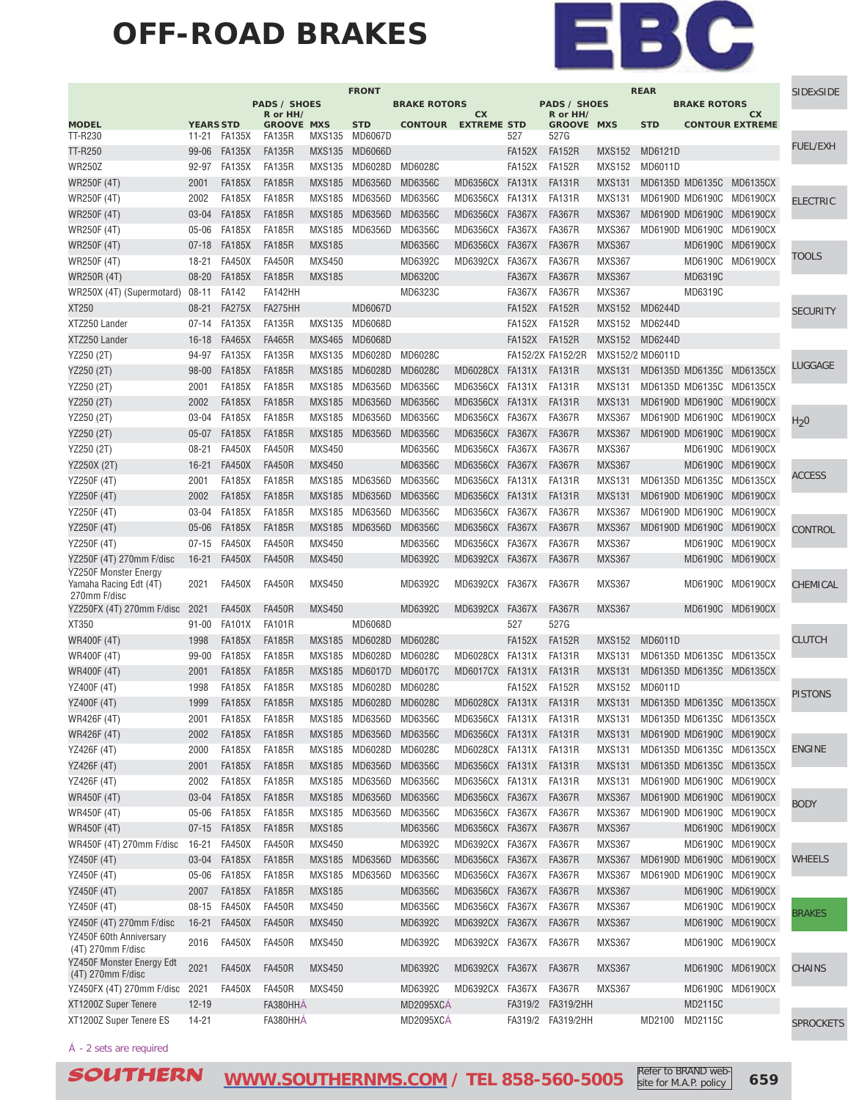#### **OFF-ROAD BRAKES**



|                                                                             |                           |                                |                                 |                                | <b>FRONT</b>                 |                     |                             |               |                                 |                                | <b>REAR</b>      |                     |                                      | <b>SIDExSIDE</b> |
|-----------------------------------------------------------------------------|---------------------------|--------------------------------|---------------------------------|--------------------------------|------------------------------|---------------------|-----------------------------|---------------|---------------------------------|--------------------------------|------------------|---------------------|--------------------------------------|------------------|
|                                                                             |                           |                                | <b>PADS / SHOES</b><br>R or HH/ |                                |                              | <b>BRAKE ROTORS</b> | cx                          |               | <b>PADS / SHOES</b><br>R or HH/ |                                |                  | <b>BRAKE ROTORS</b> | cx                                   |                  |
| <b>MODEL</b><br>TT-R230                                                     | <b>YEARS STD</b><br>11-21 | FA135X                         | <b>GROOVE MXS</b><br>FA135R     | <b>MXS135</b>                  | <b>STD</b><br><b>MD6067D</b> |                     | <b>CONTOUR EXTREME STD</b>  | 527           | <b>GROOVE MXS</b><br>527G       |                                | <b>STD</b>       |                     | <b>CONTOUR EXTREME</b>               |                  |
| TT-R250                                                                     | 99-06                     | <b>FA135X</b>                  | <b>FA135R</b>                   | <b>MXS135</b>                  | <b>MD6066D</b>               |                     |                             | <b>FA152X</b> | <b>FA152R</b>                   | <b>MXS152</b>                  | MD6121D          |                     |                                      | <b>FUEL/EXH</b>  |
| <b>WR250Z</b>                                                               | 92-97                     | <b>FA135X</b>                  | <b>FA135R</b>                   | <b>MXS135</b>                  | MD6028D                      | MD6028C             |                             | <b>FA152X</b> | <b>FA152R</b>                   | <b>MXS152</b>                  | MD6011D          |                     |                                      |                  |
| <b>WR250F (4T)</b>                                                          | 2001                      | <b>FA185X</b>                  | <b>FA185R</b>                   | <b>MXS185</b>                  | MD6356D                      | <b>MD6356C</b>      | MD6356CX FA131X             |               | <b>FA131R</b>                   | <b>MXS131</b>                  |                  |                     | MD6135D MD6135C MD6135CX             |                  |
| WR250F (4T)                                                                 | 2002                      | <b>FA185X</b>                  | <b>FA185R</b>                   | <b>MXS185</b>                  | MD6356D MD6356C              |                     | MD6356CX FA131X             |               | <b>FA131R</b>                   | <b>MXS131</b>                  |                  |                     | MD6190D MD6190C MD6190CX             |                  |
| WR250F (4T)                                                                 | $03 - 04$                 | <b>FA185X</b>                  | <b>FA185R</b>                   | <b>MXS185</b>                  | MD6356D                      | MD6356C             | MD6356CX                    | <b>FA367X</b> | <b>FA367R</b>                   | <b>MXS367</b>                  |                  |                     | MD6190D MD6190C MD6190CX             | <b>ELECTRIC</b>  |
| WR250F (4T)                                                                 | 05-06                     | <b>FA185X</b>                  | <b>FA185R</b>                   | <b>MXS185</b>                  | MD6356D                      | MD6356C             | MD6356CX                    | FA367X        | <b>FA367R</b>                   | <b>MXS367</b>                  |                  |                     | MD6190D MD6190C MD6190CX             |                  |
| <b>WR250F (4T)</b>                                                          | $07 - 18$                 | <b>FA185X</b>                  | <b>FA185R</b>                   | <b>MXS185</b>                  |                              | MD6356C             | MD6356CX                    | <b>FA367X</b> | <b>FA367R</b>                   | <b>MXS367</b>                  |                  |                     | MD6190C MD6190CX                     |                  |
| WR250F (4T)                                                                 | $18 - 21$                 | <b>FA450X</b>                  | <b>FA450R</b>                   | <b>MXS450</b>                  |                              | MD6392C             | MD6392CX                    | <b>FA367X</b> | <b>FA367R</b>                   | <b>MXS367</b>                  |                  |                     | MD6190C MD6190CX                     | TOOLS            |
| WR250R (4T)                                                                 | $08 - 20$                 | <b>FA185X</b>                  | <b>FA185R</b>                   | <b>MXS185</b>                  |                              | MD6320C             |                             | <b>FA367X</b> | <b>FA367R</b>                   | <b>MXS367</b>                  |                  | MD6319C             |                                      |                  |
| WR250X (4T) (Supermotard)                                                   | $08 - 11$                 | <b>FA142</b>                   | FA142HH                         |                                |                              | MD6323C             |                             | FA367X        | <b>FA367R</b>                   | <b>MXS367</b>                  |                  | MD6319C             |                                      |                  |
|                                                                             | $08 - 21$                 | <b>FA275X</b>                  | FA275HH                         |                                | MD6067D                      |                     |                             |               | <b>FA152R</b>                   |                                | MD6244D          |                     |                                      |                  |
| XT250                                                                       |                           |                                |                                 |                                |                              |                     |                             | <b>FA152X</b> |                                 | <b>MXS152</b>                  |                  |                     |                                      | <b>SECURITY</b>  |
| XTZ250 Lander                                                               | $07 - 14$                 | <b>FA135X</b>                  | FA135R                          | MXS135                         | MD6068D                      |                     |                             | <b>FA152X</b> | <b>FA152R</b>                   |                                | MXS152 MD6244D   |                     |                                      |                  |
| XTZ250 Lander                                                               | $16 - 18$                 | <b>FA465X</b>                  | <b>FA465R</b>                   | <b>MXS465</b>                  | MD6068D                      |                     |                             | <b>FA152X</b> | <b>FA152R</b>                   | <b>MXS152</b>                  | MD6244D          |                     |                                      |                  |
| YZ250 (2T)                                                                  | 94-97                     | <b>FA135X</b>                  | <b>FA135R</b>                   | <b>MXS135</b>                  | MD6028D                      | MD6028C             |                             |               | FA152/2X FA152/2R               |                                | MXS152/2 MD6011D |                     |                                      | LUGGAGE          |
| YZ250 (2T)                                                                  | $98 - 00$                 | <b>FA185X</b>                  | <b>FA185R</b>                   | <b>MXS185</b>                  | MD6028D                      | <b>MD6028C</b>      | MD6028CX                    | <b>FA131X</b> | <b>FA131R</b>                   | <b>MXS131</b>                  |                  |                     | MD6135D MD6135C MD6135CX             |                  |
| YZ250 (2T)                                                                  | 2001                      | <b>FA185X</b>                  | <b>FA185R</b>                   | <b>MXS185</b>                  | MD6356D                      | MD6356C             | MD6356CX FA131X             |               | <b>FA131R</b>                   | <b>MXS131</b>                  |                  |                     | MD6135D MD6135C MD6135CX             |                  |
| YZ250 (2T)                                                                  | 2002                      | <b>FA185X</b>                  | <b>FA185R</b>                   | <b>MXS185</b>                  | MD6356D                      | <b>MD6356C</b>      | MD6356CX FA131X             |               | <b>FA131R</b>                   | <b>MXS131</b>                  |                  |                     | MD6190D MD6190C MD6190CX             |                  |
| YZ250 (2T)                                                                  | 03-04                     | <b>FA185X</b>                  | <b>FA185R</b>                   | <b>MXS185</b>                  | MD6356D                      | MD6356C             | MD6356CX                    | <b>FA367X</b> | <b>FA367R</b>                   | <b>MXS367</b>                  |                  |                     | MD6190D MD6190C MD6190CX             | H <sub>2</sub> 0 |
| YZ250 (2T)                                                                  | $05 - 07$                 | <b>FA185X</b>                  | <b>FA185R</b>                   | <b>MXS185</b>                  | MD6356D                      | MD6356C             | MD6356CX                    | <b>FA367X</b> | <b>FA367R</b>                   | <b>MXS367</b>                  |                  |                     | MD6190D MD6190C MD6190CX             |                  |
| YZ250 (2T)                                                                  | $08 - 21$                 | <b>FA450X</b>                  | <b>FA450R</b>                   | <b>MXS450</b>                  |                              | MD6356C             | MD6356CX FA367X             |               | <b>FA367R</b>                   | <b>MXS367</b>                  |                  |                     | MD6190C MD6190CX                     |                  |
| YZ250X (2T)                                                                 | $16 - 21$                 | <b>FA450X</b>                  | <b>FA450R</b>                   | <b>MXS450</b>                  |                              | <b>MD6356C</b>      | MD6356CX                    | <b>FA367X</b> | <b>FA367R</b>                   | <b>MXS367</b>                  |                  | MD6190C             | <b>MD6190CX</b>                      |                  |
| YZ250F (4T)                                                                 | 2001                      | <b>FA185X</b>                  | <b>FA185R</b>                   | <b>MXS185</b>                  | MD6356D                      | MD6356C             | MD6356CX FA131X             |               | <b>FA131R</b>                   | <b>MXS131</b>                  |                  | MD6135D MD6135C     | MD6135CX                             | ACCESS           |
| YZ250F (4T)                                                                 | 2002                      | <b>FA185X</b>                  | <b>FA185R</b>                   | <b>MXS185</b>                  | MD6356D                      | <b>MD6356C</b>      | MD6356CX FA131X             |               | <b>FA131R</b>                   | <b>MXS131</b>                  |                  |                     | MD6190D MD6190C MD6190CX             |                  |
| YZ250F (4T)                                                                 | 03-04                     | <b>FA185X</b>                  | <b>FA185R</b>                   | <b>MXS185</b>                  | MD6356D                      | MD6356C             | MD6356CX FA367X             |               | <b>FA367R</b>                   | <b>MXS367</b>                  |                  |                     | MD6190D MD6190C MD6190CX             |                  |
| YZ250F (4T)                                                                 | $05 - 06$                 | <b>FA185X</b>                  | <b>FA185R</b>                   | <b>MXS185</b>                  | MD6356D                      | <b>MD6356C</b>      | MD6356CX FA367X             |               | <b>FA367R</b>                   | <b>MXS367</b>                  |                  |                     | MD6190D MD6190C MD6190CX             | CONTROL          |
| YZ250F (4T)                                                                 | $07 - 15$                 | <b>FA450X</b>                  | <b>FA450R</b>                   | <b>MXS450</b>                  |                              | MD6356C             | MD6356CX FA367X             |               | <b>FA367R</b>                   | <b>MXS367</b>                  |                  |                     | MD6190C MD6190CX                     |                  |
| YZ250F (4T) 270mm F/disc                                                    | $16 - 21$                 | <b>FA450X</b>                  | <b>FA450R</b>                   | <b>MXS450</b>                  |                              | MD6392C             | MD6392CX FA367X             |               | <b>FA367R</b>                   | <b>MXS367</b>                  |                  |                     | MD6190C MD6190CX                     |                  |
| <b>YZ250F Monster Energy</b><br>Yamaha Racing Edt (4T)<br>270mm F/disc      | 2021                      | <b>FA450X</b>                  | <b>FA450R</b>                   | <b>MXS450</b>                  |                              | MD6392C             | MD6392CX FA367X             |               | <b>FA367R</b>                   | <b>MXS367</b>                  |                  |                     | MD6190C MD6190CX                     | CHEMICAL         |
| YZ250FX (4T) 270mm F/disc                                                   | 2021                      | <b>FA450X</b>                  | <b>FA450R</b>                   | <b>MXS450</b>                  |                              | MD6392C             | MD6392CX                    | <b>FA367X</b> | <b>FA367R</b>                   | <b>MXS367</b>                  |                  |                     | MD6190C MD6190CX                     |                  |
| XT350                                                                       | $91 - 00$                 | <b>FA101X</b>                  | <b>FA101R</b>                   |                                | MD6068D                      |                     |                             | 527           | 527G                            |                                |                  |                     |                                      |                  |
| <b>WR400F (4T)</b>                                                          | 1998                      | <b>FA185X</b>                  | <b>FA185R</b>                   | <b>MXS185</b>                  | MD6028D                      | MD6028C             |                             | <b>FA152X</b> | <b>FA152R</b>                   | <b>MXS152</b>                  | MD6011D          |                     |                                      | <b>CLUTCH</b>    |
| WR400F (4T)                                                                 | 99-00                     | <b>FA185X</b>                  | <b>FA185R</b>                   | <b>MXS185</b>                  | MD6028D                      | MD6028C             | MD6028CX FA131X             |               | <b>FA131R</b>                   | <b>MXS131</b>                  |                  |                     | MD6135D MD6135C MD6135CX             |                  |
| <b>WR400F (4T)</b>                                                          | 2001                      | <b>FA185X</b>                  | <b>FA185R</b>                   | <b>MXS185</b>                  | MD6017D                      | MD6017C             | MD6017CX FA131X             |               | <b>FA131R</b>                   | <b>MXS131</b>                  |                  |                     | MD6135D MD6135C MD6135CX             |                  |
| YZ400F (4T)                                                                 | 1998                      | <b>FA185X</b>                  | <b>FA185R</b>                   | <b>MXS185</b>                  |                              | MD6028D MD6028C     |                             | <b>FA152X</b> | <b>FA152R</b>                   | <b>MXS152</b>                  | MD6011D          |                     |                                      |                  |
| <b>YZ400F (4T)</b>                                                          | 1999                      | <b>FA185X</b>                  | <b>FA185R</b>                   |                                | MXS185 MD6028D MD6028C       |                     | MD6028CX FA131X             |               | FA131R                          | <b>MXS131</b>                  |                  |                     | MD6135D MD6135C MD6135CX             | <b>PISTONS</b>   |
| WR426F (4T)                                                                 | 2001                      | <b>FA185X</b>                  | <b>FA185R</b>                   |                                | MXS185 MD6356D MD6356C       |                     | MD6356CX FA131X             |               | <b>FA131R</b>                   |                                |                  |                     | MXS131 MD6135D MD6135C MD6135CX      |                  |
| WR426F (4T)                                                                 | 2002                      | <b>FA185X</b>                  | <b>FA185R</b>                   | <b>MXS185</b>                  | MD6356D                      | MD6356C             | MD6356CX FA131X             |               | <b>FA131R</b>                   | <b>MXS131</b>                  |                  |                     | MD6190D MD6190C MD6190CX             |                  |
| YZ426F (4T)                                                                 | 2000                      | <b>FA185X</b>                  | <b>FA185R</b>                   | <b>MXS185</b>                  | MD6028D                      | MD6028C             | MD6028CX FA131X             |               | <b>FA131R</b>                   | <b>MXS131</b>                  |                  | MD6135D MD6135C     | MD6135CX                             | <b>ENGINE</b>    |
| YZ426F (4T)                                                                 | 2001                      | <b>FA185X</b>                  | <b>FA185R</b>                   | <b>MXS185</b>                  | MD6356D                      | MD6356C             | MD6356CX FA131X             |               | <b>FA131R</b>                   | <b>MXS131</b>                  |                  |                     | MD6135D MD6135C MD6135CX             |                  |
| YZ426F (4T)                                                                 | 2002                      | <b>FA185X</b>                  | <b>FA185R</b>                   | MXS185                         | MD6356D MD6356C              |                     | MD6356CX FA131X             |               | <b>FA131R</b>                   | <b>MXS131</b>                  |                  |                     | MD6190D MD6190C MD6190CX             |                  |
| <b>WR450F (4T)</b>                                                          | $03 - 04$                 | <b>FA185X</b>                  | <b>FA185R</b>                   | <b>MXS185</b>                  | MD6356D                      | <b>MD6356C</b>      | MD6356CX FA367X             |               | <b>FA367R</b>                   | <b>MXS367</b>                  |                  |                     | MD6190D MD6190C MD6190CX             |                  |
| <b>WR450F (4T)</b>                                                          | 05-06                     | <b>FA185X</b>                  | <b>FA185R</b>                   |                                | MXS185 MD6356D               | MD6356C             | MD6356CX FA367X             |               | <b>FA367R</b>                   | <b>MXS367</b>                  |                  |                     | MD6190D MD6190C MD6190CX             | <b>BODY</b>      |
| WR450F (4T)                                                                 | $07 - 15$                 | <b>FA185X</b>                  | <b>FA185R</b>                   | <b>MXS185</b>                  |                              | MD6356C             | MD6356CX                    | <b>FA367X</b> | <b>FA367R</b>                   | <b>MXS367</b>                  |                  |                     | MD6190C MD6190CX                     |                  |
| WR450F (4T) 270mm F/disc                                                    | $16 - 21$                 | <b>FA450X</b>                  | <b>FA450R</b>                   | <b>MXS450</b>                  |                              | MD6392C             | MD6392CX FA367X             |               | <b>FA367R</b>                   | <b>MXS367</b>                  |                  |                     | MD6190C MD6190CX                     |                  |
|                                                                             |                           | <b>FA185X</b>                  |                                 | <b>MXS185</b>                  | MD6356D                      |                     | MD6356CX FA367X             |               |                                 | <b>MXS367</b>                  |                  |                     |                                      | WHEELS           |
| YZ450F (4T)                                                                 | $03 - 04$                 |                                | <b>FA185R</b>                   |                                |                              | <b>MD6356C</b>      |                             |               | <b>FA367R</b>                   |                                |                  |                     | MD6190D MD6190C MD6190CX             |                  |
| YZ450F (4T)                                                                 | $05 - 06$                 | <b>FA185X</b>                  | <b>FA185R</b>                   | <b>MXS185</b>                  | MD6356D                      | MD6356C             | MD6356CX FA367X             |               | <b>FA367R</b>                   | <b>MXS367</b>                  |                  |                     | MD6190D MD6190C MD6190CX             |                  |
| YZ450F (4T)                                                                 | 2007                      | <b>FA185X</b>                  | <b>FA185R</b>                   | <b>MXS185</b>                  |                              | MD6356C             | MD6356CX FA367X             |               | <b>FA367R</b>                   | <b>MXS367</b>                  |                  |                     | MD6190C MD6190CX                     |                  |
| YZ450F (4T)                                                                 | $08 - 15$                 | <b>FA450X</b>                  | <b>FA450R</b>                   | <b>MXS450</b>                  |                              | MD6356C             | MD6356CX FA367X             |               | <b>FA367R</b>                   | <b>MXS367</b>                  |                  |                     | MD6190C MD6190CX                     | <b>BRAKES</b>    |
| YZ450F (4T) 270mm F/disc                                                    | $16 - 21$                 | <b>FA450X</b>                  | <b>FA450R</b>                   | <b>MXS450</b>                  |                              | MD6392C             | MD6392CX FA367X             |               | <b>FA367R</b>                   | <b>MXS367</b>                  |                  |                     | MD6190C MD6190CX                     |                  |
| YZ450F 60th Anniversary<br>$(4T)$ 270mm F/disc<br>YZ450F Monster Energy Edt | 2016                      | <b>FA450X</b>                  | <b>FA450R</b>                   | <b>MXS450</b>                  |                              | MD6392C             | MD6392CX FA367X             |               | <b>FA367R</b>                   | <b>MXS367</b>                  |                  |                     | MD6190C MD6190CX                     |                  |
| (4T) 270mm F/disc<br>YZ450FX (4T) 270mm F/disc                              | 2021<br>2021              | <b>FA450X</b><br><b>FA450X</b> | <b>FA450R</b><br><b>FA450R</b>  | <b>MXS450</b><br><b>MXS450</b> |                              | MD6392C<br>MD6392C  | MD6392CX FA367X<br>MD6392CX | FA367X        | <b>FA367R</b><br><b>FA367R</b>  | <b>MXS367</b><br><b>MXS367</b> |                  |                     | MD6190C MD6190CX<br>MD6190C MD6190CX | CHAINS           |
| XT1200Z Super Tenere                                                        | $12 - 19$                 |                                | FA380HHA                        |                                |                              | <b>MD2095XCA</b>    |                             | FA319/2       | FA319/2HH                       |                                |                  | MD2115C             |                                      |                  |
| XT1200Z Super Tenere ES                                                     | 14-21                     |                                | FA380HHA                        |                                |                              | <b>MD2095XCA</b>    |                             |               | FA319/2 FA319/2HH               |                                | MD2100           | MD2115C             |                                      |                  |
|                                                                             |                           |                                |                                 |                                |                              |                     |                             |               |                                 |                                |                  |                     |                                      | <b>SPROCKETS</b> |

- 2 sets are required

SOUTHERN **[WWW.SOUTHERNMS.COM](http://m.southernms.com) / TEL 858-560-5005 659**

Refer to BRAND website for M.A.P. policy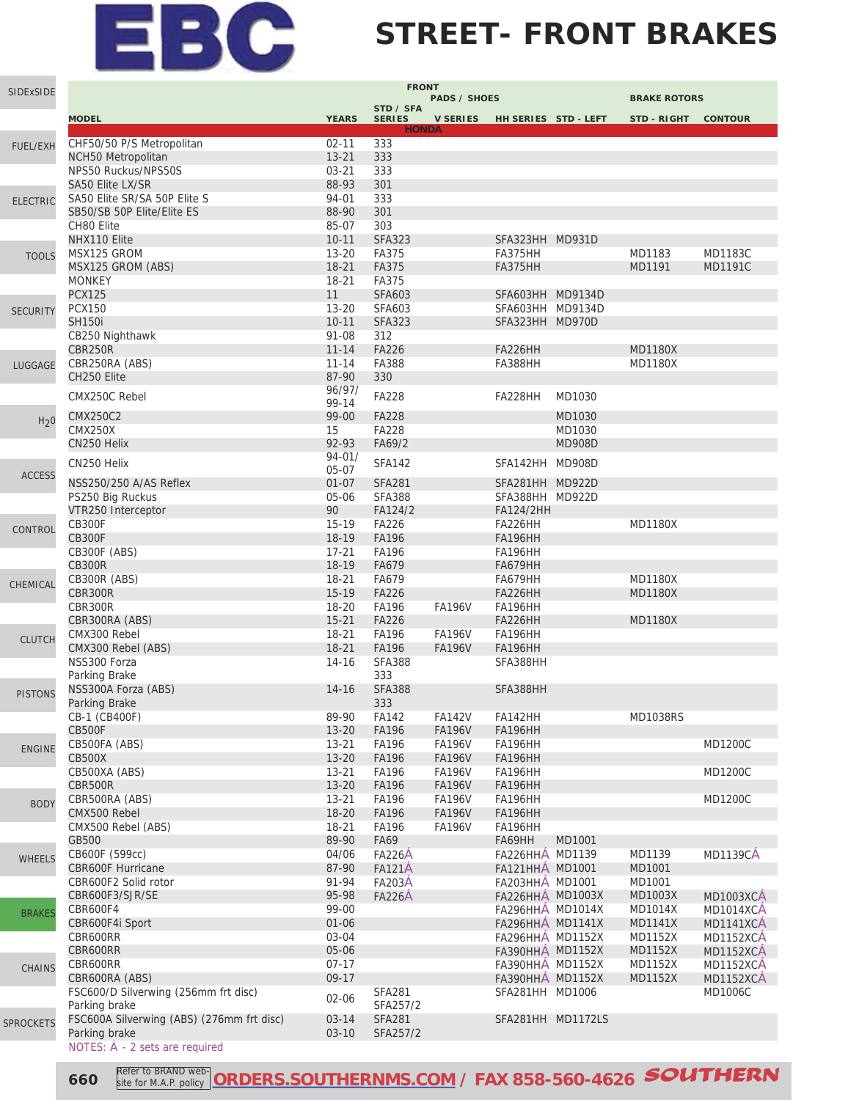### **STREET- FRONT BRAKES**

| SIDExSIDE        | <b>FRONT</b><br><b>PADS / SHOES</b><br><b>BRAKE ROTORS</b> |                        |                                |                                |                                     |                               |                   |                  |  |  |  |  |
|------------------|------------------------------------------------------------|------------------------|--------------------------------|--------------------------------|-------------------------------------|-------------------------------|-------------------|------------------|--|--|--|--|
|                  | <b>MODEL</b>                                               | <b>YEARS</b>           | STD / SFA<br><b>SERIES</b>     |                                |                                     | V SERIES HH SERIES STD - LEFT | STD-RIGHT CONTOUR |                  |  |  |  |  |
|                  | CHF50/50 P/S Metropolitan                                  | $02 - 11$              | <b>HONDA</b><br>333            |                                |                                     |                               |                   |                  |  |  |  |  |
| <b>FUEL/EXH</b>  | <b>NCH50 Metropolitan</b>                                  | $13 - 21$              | 333                            |                                |                                     |                               |                   |                  |  |  |  |  |
|                  | NPS50 Ruckus/NPS50S                                        | $03 - 21$              | 333                            |                                |                                     |                               |                   |                  |  |  |  |  |
|                  | SA50 Elite LX/SR                                           | 88-93                  | 301                            |                                |                                     |                               |                   |                  |  |  |  |  |
| <b>ELECTRIC</b>  | SA50 Elite SR/SA 50P Elite S                               | 94-01                  | 333                            |                                |                                     |                               |                   |                  |  |  |  |  |
|                  | SB50/SB 50P Elite/Elite ES                                 | 88-90                  | 301                            |                                |                                     |                               |                   |                  |  |  |  |  |
|                  | CH80 Elite<br>NHX110 Elite                                 | 85-07<br>$10 - 11$     | 303<br><b>SFA323</b>           |                                |                                     |                               |                   |                  |  |  |  |  |
| <b>TOOLS</b>     | MSX125 GROM                                                | $13 - 20$              | FA375                          |                                | SFA323HH MD931D<br>FA375HH          |                               | MD1183            | <b>MD1183C</b>   |  |  |  |  |
|                  | MSX125 GROM (ABS)                                          | $18 - 21$              | FA375                          |                                | <b>FA375HH</b>                      |                               | MD1191            | <b>MD1191C</b>   |  |  |  |  |
|                  | <b>MONKEY</b>                                              | $18 - 21$              | FA375                          |                                |                                     |                               |                   |                  |  |  |  |  |
|                  | <b>PCX125</b>                                              | 11                     | <b>SFA603</b>                  |                                | SFA603HH MD9134D                    |                               |                   |                  |  |  |  |  |
| <b>SECURITY</b>  | <b>PCX150</b>                                              | $13 - 20$              | <b>SFA603</b>                  |                                | SFA603HH MD9134D                    |                               |                   |                  |  |  |  |  |
|                  | <b>SH150i</b>                                              | $10 - 11$              | <b>SFA323</b>                  |                                | SFA323HH MD970D                     |                               |                   |                  |  |  |  |  |
|                  | CB250 Nighthawk<br>CBR250R                                 | 91-08<br>$11 - 14$     | 312<br><b>FA226</b>            |                                | FA226HH                             |                               | <b>MD1180X</b>    |                  |  |  |  |  |
|                  | CBR250RA (ABS)                                             | $11 - 14$              | FA388                          |                                | FA388HH                             |                               | <b>MD1180X</b>    |                  |  |  |  |  |
| LUGGAGE          | CH250 Elite                                                | 87-90                  | 330                            |                                |                                     |                               |                   |                  |  |  |  |  |
|                  |                                                            | 96/97/                 |                                |                                |                                     |                               |                   |                  |  |  |  |  |
|                  | CMX250C Rebel                                              | 99-14                  | <b>FA228</b>                   |                                | FA228HH                             | MD1030                        |                   |                  |  |  |  |  |
| H <sub>2</sub> 0 | <b>CMX250C2</b>                                            | 99-00                  | <b>FA228</b>                   |                                |                                     | MD1030                        |                   |                  |  |  |  |  |
|                  | <b>CMX250X</b>                                             | 15                     | <b>FA228</b>                   |                                |                                     | MD1030                        |                   |                  |  |  |  |  |
|                  | CN250 Helix                                                | 92-93<br>$94 - 01/$    | FA69/2                         |                                |                                     | <b>MD908D</b>                 |                   |                  |  |  |  |  |
|                  | CN250 Helix                                                | $05-07$                | <b>SFA142</b>                  |                                | SFA142HH MD908D                     |                               |                   |                  |  |  |  |  |
| <b>ACCESS</b>    | NSS250/250 A/AS Reflex                                     | $01 - 07$              | <b>SFA281</b>                  |                                | SFA281HH MD922D                     |                               |                   |                  |  |  |  |  |
|                  | PS250 Big Ruckus                                           | 05-06                  | <b>SFA388</b>                  |                                | SFA388HH MD922D                     |                               |                   |                  |  |  |  |  |
|                  | VTR250 Interceptor                                         | 90                     | FA124/2                        |                                | FA124/2HH                           |                               |                   |                  |  |  |  |  |
| CONTROL          | <b>CB300F</b>                                              | $15-19$                | <b>FA226</b>                   |                                | FA226HH                             |                               | <b>MD1180X</b>    |                  |  |  |  |  |
|                  | <b>CB300F</b>                                              | $18-19$                | <b>FA196</b>                   |                                | <b>FA196HH</b>                      |                               |                   |                  |  |  |  |  |
|                  | CB300F (ABS)<br><b>CB300R</b>                              | $17 - 21$<br>18-19     | <b>FA196</b><br>FA679          |                                | FA196HH<br><b>FA679HH</b>           |                               |                   |                  |  |  |  |  |
|                  | CB300R (ABS)                                               | $18 - 21$              | FA679                          |                                | FA679HH                             |                               | <b>MD1180X</b>    |                  |  |  |  |  |
| CHEMICAL         | CBR300R                                                    | $15-19$                | <b>FA226</b>                   |                                | FA226HH                             |                               | <b>MD1180X</b>    |                  |  |  |  |  |
|                  | CBR300R                                                    | 18-20                  | <b>FA196</b>                   | <b>FA196V</b>                  | FA196HH                             |                               |                   |                  |  |  |  |  |
|                  | CBR300RA (ABS)                                             | $15 - 21$              | <b>FA226</b>                   |                                | FA226HH                             |                               | <b>MD1180X</b>    |                  |  |  |  |  |
| <b>CLUTCH</b>    | CMX300 Rebel                                               | $18 - 21$              | <b>FA196</b>                   | <b>FA196V</b>                  | FA196HH                             |                               |                   |                  |  |  |  |  |
|                  | CMX300 Rebel (ABS)<br>NSS300 Forza                         | $18 - 21$              | <b>FA196</b><br><b>SFA388</b>  | <b>FA196V</b>                  | <b>FA196HH</b>                      |                               |                   |                  |  |  |  |  |
|                  | Parking Brake                                              | $14 - 16$              | 333                            |                                | SFA388HH                            |                               |                   |                  |  |  |  |  |
|                  | NSS300A Forza (ABS)                                        | $14 - 16$              | <b>SFA388</b>                  |                                | SFA388HH                            |                               |                   |                  |  |  |  |  |
| <b>PISTONS</b>   | Parking Brake                                              |                        | 333                            |                                |                                     |                               |                   |                  |  |  |  |  |
|                  | CB-1 (CB400F)                                              | 89-90                  | <b>FA142</b>                   | <b>FA142V</b>                  | FA142HH                             |                               | <b>MD1038RS</b>   |                  |  |  |  |  |
|                  | <b>CB500F</b>                                              | $13 - 20$              | FA196                          | <b>FA196V</b>                  | <b>FA196HH</b>                      |                               |                   |                  |  |  |  |  |
| <b>ENGINE</b>    | CB500FA (ABS)                                              | $13 - 21$              | <b>FA196</b>                   | <b>FA196V</b>                  | <b>FA196HH</b>                      |                               |                   | <b>MD1200C</b>   |  |  |  |  |
|                  | <b>CB500X</b><br>CB500XA (ABS)                             | $13 - 20$              | FA196                          | <b>FA196V</b>                  | FA196HH                             |                               |                   |                  |  |  |  |  |
|                  | CBR500R                                                    | $13 - 21$<br>$13 - 20$ | <b>FA196</b><br>FA196          | <b>FA196V</b><br><b>FA196V</b> | FA196HH<br>FA196HH                  |                               |                   | <b>MD1200C</b>   |  |  |  |  |
|                  | CBR500RA (ABS)                                             | $13 - 21$              | FA196                          | <b>FA196V</b>                  | FA196HH                             |                               |                   | <b>MD1200C</b>   |  |  |  |  |
| <b>BODY</b>      | CMX500 Rebel                                               | 18-20                  | FA196                          | <b>FA196V</b>                  | <b>FA196HH</b>                      |                               |                   |                  |  |  |  |  |
|                  | CMX500 Rebel (ABS)                                         | $18 - 21$              | FA196                          | <b>FA196V</b>                  | FA196HH                             |                               |                   |                  |  |  |  |  |
|                  | GB500                                                      | 89-90                  | <b>FA69</b>                    |                                | FA69HH                              | MD1001                        |                   |                  |  |  |  |  |
| <b>WHEELS</b>    | CB600F (599cc)                                             | 04/06                  | <b>FA226A</b>                  |                                | FA226HHA MD1139                     |                               | MD1139            | <b>MD1139CA</b>  |  |  |  |  |
|                  | <b>CBR600F Hurricane</b>                                   | 87-90<br>91-94         | <b>FA121Å</b>                  |                                | FA121HHA MD1001                     |                               | MD1001            |                  |  |  |  |  |
|                  | CBR600F2 Solid rotor<br>CBR600F3/SJR/SE                    | 95-98                  | <b>FA203A</b><br><b>FA226A</b> |                                | FA203HHA MD1001<br>FA226HHA MD1003X |                               | MD1001<br>MD1003X | <b>MD1003XCA</b> |  |  |  |  |
|                  | CBR600F4                                                   | 99-00                  |                                |                                | <b>FA296HHA MD1014X</b>             |                               | <b>MD1014X</b>    | MD1014XCA        |  |  |  |  |
| <b>BRAKES</b>    | CBR600F4i Sport                                            | $01 - 06$              |                                |                                | <b>FA296HHA MD1141X</b>             |                               | <b>MD1141X</b>    | <b>MD1141XCA</b> |  |  |  |  |
|                  | CBR600RR                                                   | 03-04                  |                                |                                | FA296HHA MD1152X                    |                               | MD1152X           | <b>MD1152XCA</b> |  |  |  |  |
|                  | CBR600RR                                                   | 05-06                  |                                |                                | FA390HHA MD1152X                    |                               | <b>MD1152X</b>    | MD1152XCA        |  |  |  |  |
| <b>CHAINS</b>    | CBR600RR                                                   | $07-17$                |                                |                                | FA390HHA MD1152X                    |                               | <b>MD1152X</b>    | MD1152XCA        |  |  |  |  |
|                  | CBR600RA (ABS)                                             | $09-17$                |                                |                                | FA390HHA MD1152X                    |                               | <b>MD1152X</b>    | MD1152XCA        |  |  |  |  |
|                  | FSC600/D Silverwing (256mm frt disc)<br>Parking brake      | 02-06                  | <b>SFA281</b><br>SFA257/2      |                                | SFA281HH MD1006                     |                               |                   | MD1006C          |  |  |  |  |
|                  | FSC600A Silverwing (ABS) (276mm frt disc)                  | $03 - 14$              | <b>SFA281</b>                  |                                |                                     | SFA281HH MD1172LS             |                   |                  |  |  |  |  |
| <b>SPROCKETS</b> | Parking brake                                              | $03-10$                | SFA257/2                       |                                |                                     |                               |                   |                  |  |  |  |  |
|                  | NOTES: $\dot{A}$ - 2 sets are required                     |                        |                                |                                |                                     |                               |                   |                  |  |  |  |  |

**660 Refer to BRAND web-** ORDERS.SOUTHERNMS.COM</u> / FAX 858-560-4626 **SOUTHERN** site for M.A.P. policy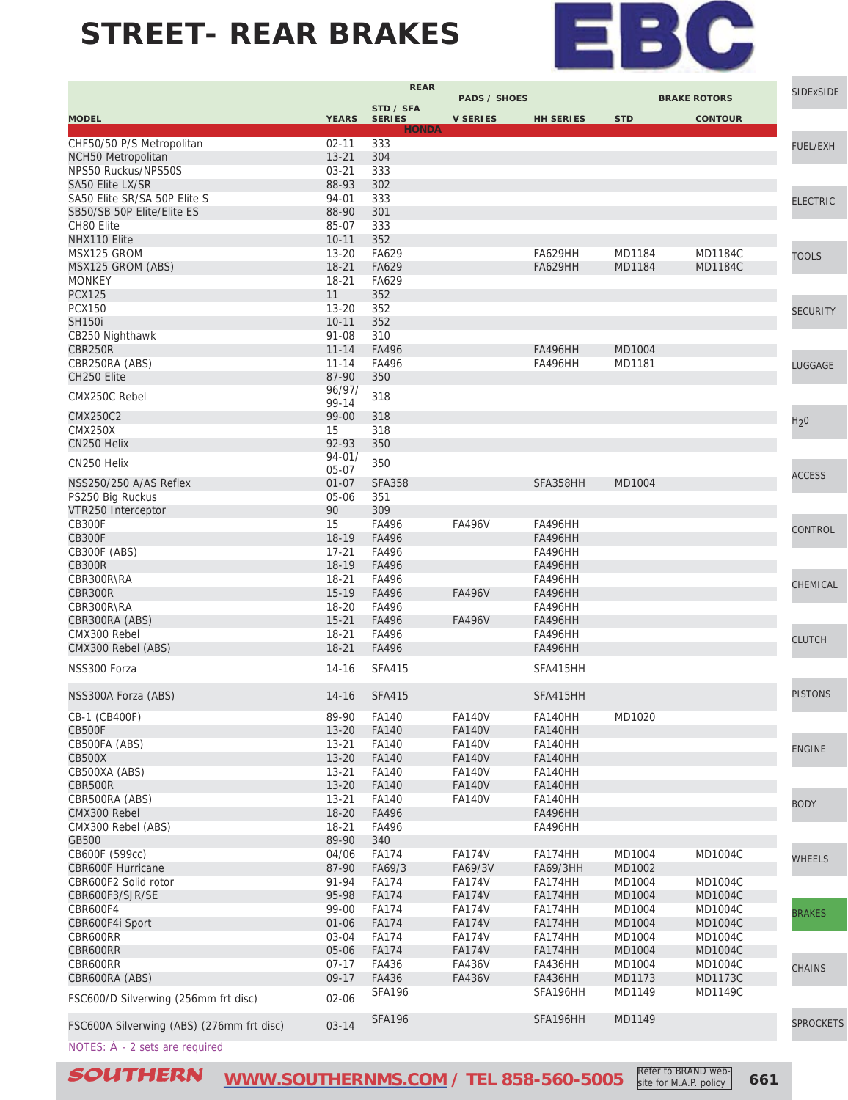

Refer to BRAND website for M.A.P. policy

|                                           |                        | <b>REAR</b>                | <b>PADS / SHOES</b>     |                           |                  | <b>BRAKE ROTORS</b>              | <b>SIDExSIDE</b> |
|-------------------------------------------|------------------------|----------------------------|-------------------------|---------------------------|------------------|----------------------------------|------------------|
| <b>MODEL</b>                              | <b>YEARS</b>           | STD / SFA<br><b>SERIES</b> | <b>V SERIES</b>         | <b>HH SERIES</b>          | <b>STD</b>       | <b>CONTOUR</b>                   |                  |
|                                           |                        | <b>HONDA</b>               |                         |                           |                  |                                  |                  |
| CHF50/50 P/S Metropolitan                 | $02 - 11$              | 333                        |                         |                           |                  |                                  | <b>FUEL/EXH</b>  |
| NCH50 Metropolitan<br>NPS50 Ruckus/NPS50S | $13 - 21$<br>$03 - 21$ | 304<br>333                 |                         |                           |                  |                                  |                  |
| SA50 Elite LX/SR                          | 88-93                  | 302                        |                         |                           |                  |                                  |                  |
| SA50 Elite SR/SA 50P Elite S              | 94-01                  | 333                        |                         |                           |                  |                                  |                  |
| SB50/SB 50P Elite/Elite ES                | 88-90                  | 301                        |                         |                           |                  |                                  | <b>ELECTRIC</b>  |
| CH80 Elite                                | 85-07                  | 333                        |                         |                           |                  |                                  |                  |
| NHX110 Elite                              | $10 - 11$              | 352                        |                         |                           |                  |                                  |                  |
| MSX125 GROM                               | $13 - 20$              | FA629                      |                         | FA629HH                   | MD1184           | <b>MD1184C</b>                   | <b>TOOLS</b>     |
| MSX125 GROM (ABS)                         | $18 - 21$              | FA629                      |                         | <b>FA629HH</b>            | MD1184           | <b>MD1184C</b>                   |                  |
| <b>MONKEY</b>                             | $18 - 21$              | FA629                      |                         |                           |                  |                                  |                  |
| <b>PCX125</b>                             | 11                     | 352                        |                         |                           |                  |                                  |                  |
| <b>PCX150</b>                             | $13 - 20$              | 352                        |                         |                           |                  |                                  | <b>SECURITY</b>  |
| <b>SH150i</b>                             | $10 - 11$              | 352                        |                         |                           |                  |                                  |                  |
| CB250 Nighthawk                           | 91-08                  | 310                        |                         |                           |                  |                                  |                  |
| CBR250R                                   | $11 - 14$              | FA496                      |                         | <b>FA496HH</b>            | MD1004           |                                  |                  |
| CBR250RA (ABS)                            | $11 - 14$              | FA496                      |                         | FA496HH                   | MD1181           |                                  | <b>LUGGAGE</b>   |
| CH250 Elite                               | 87-90                  | 350                        |                         |                           |                  |                                  |                  |
| CMX250C Rebel                             | 96/97/                 | 318                        |                         |                           |                  |                                  |                  |
|                                           | 99-14                  |                            |                         |                           |                  |                                  |                  |
| <b>CMX250C2</b><br><b>CMX250X</b>         | 99-00<br>15            | 318<br>318                 |                         |                           |                  |                                  | H <sub>2</sub> 0 |
| CN250 Helix                               | 92-93                  | 350                        |                         |                           |                  |                                  |                  |
|                                           | $94 - 01/$             |                            |                         |                           |                  |                                  |                  |
| CN250 Helix                               | 05-07                  | 350                        |                         |                           |                  |                                  |                  |
| NSS250/250 A/AS Reflex                    | $01 - 07$              | <b>SFA358</b>              |                         | SFA358HH                  | MD1004           |                                  | <b>ACCESS</b>    |
| PS250 Big Ruckus                          | 05-06                  | 351                        |                         |                           |                  |                                  |                  |
| VTR250 Interceptor                        | 90                     | 309                        |                         |                           |                  |                                  |                  |
| <b>CB300F</b>                             | 15                     | FA496                      | <b>FA496V</b>           | FA496HH                   |                  |                                  | CONTROL          |
| <b>CB300F</b>                             | 18-19                  | FA496                      |                         | <b>FA496HH</b>            |                  |                                  |                  |
| CB300F (ABS)                              | $17 - 21$              | FA496                      |                         | FA496HH                   |                  |                                  |                  |
| <b>CB300R</b>                             | 18-19                  | FA496                      |                         | <b>FA496HH</b>            |                  |                                  |                  |
| CBR300R\RA                                | 18-21                  | FA496                      |                         | FA496HH                   |                  |                                  | CHEMICAL         |
| <b>CBR300R</b>                            | $15-19$                | FA496                      | <b>FA496V</b>           | <b>FA496HH</b>            |                  |                                  |                  |
| CBR300R\RA                                | $18 - 20$              | FA496                      |                         | <b>FA496HH</b>            |                  |                                  |                  |
| CBR300RA (ABS)                            | $15 - 21$              | FA496                      | <b>FA496V</b>           | <b>FA496HH</b>            |                  |                                  |                  |
| CMX300 Rebel                              | $18 - 21$              | FA496                      |                         | <b>FA496HH</b>            |                  |                                  | <b>CLUTCH</b>    |
| CMX300 Rebel (ABS)                        | $18 - 21$              | FA496                      |                         | <b>FA496HH</b>            |                  |                                  |                  |
| NSS300 Forza                              | $14 - 16$              | <b>SFA415</b>              |                         | SFA415HH                  |                  |                                  |                  |
| NSS300A Forza (ABS)                       | $14 - 16$              | <b>SFA415</b>              |                         | SFA415HH                  |                  |                                  | <b>PISTONS</b>   |
| CB-1 (CB400F)                             | 89-90                  | $-$ FA140                  | <b>FA140V</b>           | FA140HH                   | MD1020           |                                  |                  |
| <b>CB500F</b>                             | $13 - 20$              | <b>FA140</b>               | <b>FA140V</b>           | FA140HH                   |                  |                                  |                  |
| CB500FA (ABS)                             | $13 - 21$              | FA140                      | <b>FA140V</b>           | FA140HH                   |                  |                                  | <b>ENGINE</b>    |
| <b>CB500X</b>                             | $13 - 20$              | <b>FA140</b>               | <b>FA140V</b>           | FA140HH                   |                  |                                  |                  |
| CB500XA (ABS)                             | $13 - 21$              | FA140                      | <b>FA140V</b>           | FA140HH                   |                  |                                  |                  |
| CBR500R                                   | $13 - 20$              | <b>FA140</b>               | <b>FA140V</b>           | FA140HH                   |                  |                                  |                  |
| CBR500RA (ABS)                            | $13 - 21$              | FA140                      | <b>FA140V</b>           | FA140HH                   |                  |                                  | <b>BODY</b>      |
| CMX300 Rebel                              | $18 - 20$              | FA496                      |                         | <b>FA496HH</b>            |                  |                                  |                  |
| CMX300 Rebel (ABS)                        | $18 - 21$              | FA496                      |                         | FA496HH                   |                  |                                  |                  |
| GB500                                     | 89-90                  | 340                        |                         |                           |                  |                                  |                  |
| CB600F (599cc)                            | 04/06                  | <b>FA174</b>               | <b>FA174V</b>           | FA174HH                   | MD1004           | <b>MD1004C</b>                   | <b>WHEELS</b>    |
| <b>CBR600F Hurricane</b>                  | 87-90                  | FA69/3                     | FA69/3V                 | <b>FA69/3HH</b>           | MD1002           |                                  |                  |
| CBR600F2 Solid rotor                      | 91-94                  | <b>FA174</b>               | <b>FA174V</b>           | FA174HH                   | MD1004           | <b>MD1004C</b>                   |                  |
| CBR600F3/SJR/SE                           | 95-98                  | <b>FA174</b>               | <b>FA174V</b>           | FA174HH                   | MD1004           | <b>MD1004C</b>                   |                  |
| CBR600F4                                  | 99-00                  | <b>FA174</b>               | <b>FA174V</b>           | FA174HH                   | MD1004           | <b>MD1004C</b>                   | <b>BRAKES</b>    |
| CBR600F4i Sport                           | $01 - 06$              | <b>FA174</b>               | <b>FA174V</b>           | FA174HH                   | MD1004           | <b>MD1004C</b>                   |                  |
| CBR600RR                                  | 03-04                  | <b>FA174</b>               | <b>FA174V</b>           | FA174HH                   | MD1004           | <b>MD1004C</b>                   |                  |
| CBR600RR<br>CBR600RR                      | 05-06<br>$07 - 17$     | <b>FA174</b><br>FA436      | <b>FA174V</b><br>FA436V | FA174HH                   | MD1004<br>MD1004 | <b>MD1004C</b><br><b>MD1004C</b> |                  |
| CBR600RA (ABS)                            | $09-17$                | FA436                      | <b>FA436V</b>           | FA436HH<br><b>FA436HH</b> | MD1173           | <b>MD1173C</b>                   | <b>CHAINS</b>    |
|                                           |                        | <b>SFA196</b>              |                         | SFA196HH                  | MD1149           | MD1149C                          |                  |
| FSC600/D Silverwing (256mm frt disc)      | $02 - 06$              |                            |                         |                           |                  |                                  |                  |
| FSC600A Silverwing (ABS) (276mm frt disc) | $03 - 14$              | <b>SFA196</b>              |                         | SFA196HH                  | MD1149           |                                  | <b>SPROCKETS</b> |
| NOTES: Á - 2 sets are required            |                        |                            |                         |                           |                  |                                  |                  |
|                                           |                        |                            |                         |                           |                  |                                  |                  |

**SOUTHERN** [WWW.SOUTHERNMS.COM](http://m.southernms.com) / TEL 858-560-5005 **Refer to BRAND Web** 661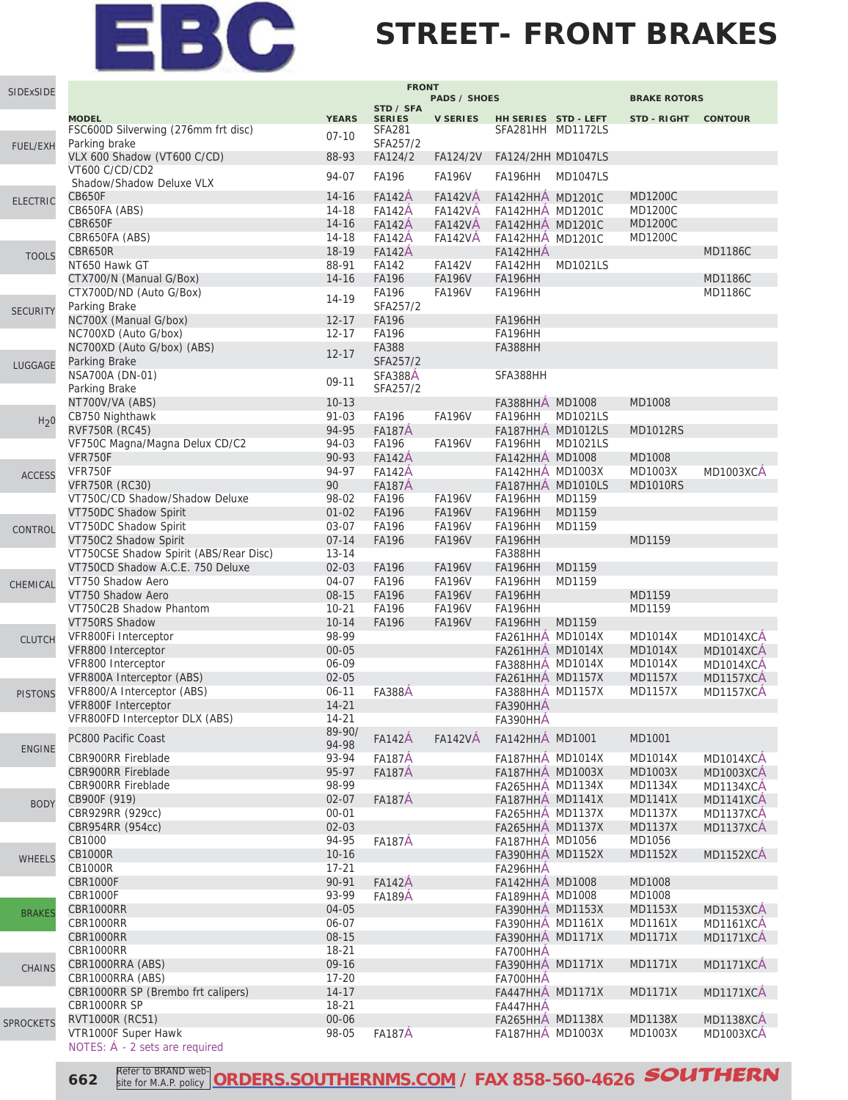

### **STREET- FRONT BRAKES**

| SIDExSIDE        |                                                       |                        | <b>FRONT</b>                   |                                  |                                                    |                 |                                  |                               |
|------------------|-------------------------------------------------------|------------------------|--------------------------------|----------------------------------|----------------------------------------------------|-----------------|----------------------------------|-------------------------------|
|                  |                                                       |                        | STD / SFA                      | <b>PADS / SHOES</b>              |                                                    |                 | <b>BRAKE ROTORS</b>              |                               |
|                  | <b>MODEL</b>                                          | <b>YEARS</b>           | <b>SERIES</b>                  | <b>V SERIES</b>                  | HH SERIES STD - LEFT                               |                 | STD-RIGHT CONTOUR                |                               |
|                  | FSC600D Silverwing (276mm frt disc)<br>Parking brake  | $07 - 10$              | <b>SFA281</b><br>SFA257/2      |                                  | SFA281HH MD1172LS                                  |                 |                                  |                               |
| <b>FUEL/EXH</b>  | VLX 600 Shadow (VT600 C/CD)                           | 88-93                  | FA124/2                        | FA124/2V                         | FA124/2HH MD1047LS                                 |                 |                                  |                               |
|                  | VT600 C/CD/CD2                                        |                        | <b>FA196</b>                   |                                  |                                                    |                 |                                  |                               |
|                  | Shadow/Shadow Deluxe VLX                              | 94-07                  |                                | <b>FA196V</b>                    | FA196HH                                            | <b>MD1047LS</b> |                                  |                               |
| <b>ELECTRIC</b>  | CB650F                                                | $14 - 16$              | <b>FA142A</b>                  | <b>FA142VA</b>                   | FA142HHÁ MD1201C                                   |                 | <b>MD1200C</b>                   |                               |
|                  | CB650FA (ABS)                                         | 14-18                  | <b>FA142A</b>                  | <b>FA142VA</b>                   | FA142HHA MD1201C                                   |                 | <b>MD1200C</b>                   |                               |
|                  | CBR650F<br>CBR650FA (ABS)                             | $14 - 16$<br>14-18     | <b>FA142A</b><br><b>FA142A</b> | <b>FA142VÅ</b><br><b>FA142VA</b> | FA142HHÁ MD1201C<br>FA142HHÁ MD1201C               |                 | <b>MD1200C</b><br><b>MD1200C</b> |                               |
|                  | CBR650R                                               | 18-19                  | <b>FA142A</b>                  |                                  | FA142HHA                                           |                 |                                  | <b>MD1186C</b>                |
| <b>TOOLS</b>     | NT650 Hawk GT                                         | 88-91                  | FA142                          | <b>FA142V</b>                    | FA142HH                                            | <b>MD1021LS</b> |                                  |                               |
|                  | CTX700/N (Manual G/Box)                               | $14 - 16$              | FA196                          | <b>FA196V</b>                    | <b>FA196HH</b>                                     |                 |                                  | <b>MD1186C</b>                |
|                  | CTX700D/ND (Auto G/Box)                               | 14-19                  | FA196                          | <b>FA196V</b>                    | FA196HH                                            |                 |                                  | <b>MD1186C</b>                |
| <b>SECURITY</b>  | Parking Brake                                         |                        | SFA257/2                       |                                  |                                                    |                 |                                  |                               |
|                  | NC700X (Manual G/box)                                 | $12 - 17$              | <b>FA196</b>                   |                                  | FA196HH                                            |                 |                                  |                               |
|                  | NC700XD (Auto G/box)                                  | $12 - 17$              | <b>FA196</b><br><b>FA388</b>   |                                  | FA196HH                                            |                 |                                  |                               |
|                  | NC700XD (Auto G/box) (ABS)<br>Parking Brake           | $12 - 17$              | SFA257/2                       |                                  | <b>FA388HH</b>                                     |                 |                                  |                               |
| LUGGAGE          | NSA700A (DN-01)                                       |                        | SFA388A                        |                                  | SFA388HH                                           |                 |                                  |                               |
|                  | Parking Brake                                         | 09-11                  | SFA257/2                       |                                  |                                                    |                 |                                  |                               |
|                  | NT700V/VA (ABS)                                       | $10-13$                |                                |                                  | FA388HHÁ MD1008                                    |                 | MD1008                           |                               |
| H <sub>2</sub> 0 | CB750 Nighthawk                                       | $91 - 03$              | <b>FA196</b>                   | <b>FA196V</b>                    | FA196HH                                            | MD1021LS        |                                  |                               |
|                  | <b>RVF750R (RC45)</b>                                 | 94-95                  | <b>FA187A</b>                  |                                  | FA187HHÁ MD1012LS                                  |                 | <b>MD1012RS</b>                  |                               |
|                  | VF750C Magna/Magna Delux CD/C2                        | 94-03                  | <b>FA196</b>                   | <b>FA196V</b>                    | FA196HH                                            | <b>MD1021LS</b> |                                  |                               |
|                  | VFR750F<br>VFR750F                                    | 90-93<br>94-97         | <b>FA142A</b><br><b>FA142A</b> |                                  | FA142HHÁ MD1008<br><b>FA142HHA MD1003X</b>         |                 | MD1008<br>MD1003X                | <b>MD1003XCA</b>              |
| <b>ACCESS</b>    | <b>VFR750R (RC30)</b>                                 | 90                     | <b>FA187A</b>                  |                                  | FA187HHA MD1010LS                                  |                 | <b>MD1010RS</b>                  |                               |
|                  | VT750C/CD Shadow/Shadow Deluxe                        | 98-02                  | <b>FA196</b>                   | <b>FA196V</b>                    | FA196HH                                            | MD1159          |                                  |                               |
|                  | VT750DC Shadow Spirit                                 | $01 - 02$              | <b>FA196</b>                   | <b>FA196V</b>                    | <b>FA196HH</b>                                     | MD1159          |                                  |                               |
| CONTROL          | VT750DC Shadow Spirit                                 | 03-07                  | <b>FA196</b>                   | <b>FA196V</b>                    | FA196HH                                            | MD1159          |                                  |                               |
|                  | VT750C2 Shadow Spirit                                 | $07 - 14$              | <b>FA196</b>                   | <b>FA196V</b>                    | <b>FA196HH</b>                                     |                 | MD1159                           |                               |
|                  | VT750CSE Shadow Spirit (ABS/Rear Disc)                | $13 - 14$              |                                |                                  | FA388HH                                            |                 |                                  |                               |
|                  | VT750CD Shadow A.C.E. 750 Deluxe<br>VT750 Shadow Aero | $02 - 03$<br>04-07     | <b>FA196</b><br><b>FA196</b>   | <b>FA196V</b><br><b>FA196V</b>   | <b>FA196HH</b><br>FA196HH                          | MD1159          |                                  |                               |
| CHEMICAL         | VT750 Shadow Aero                                     | 08-15                  | FA196                          | <b>FA196V</b>                    | <b>FA196HH</b>                                     | MD1159          | MD1159                           |                               |
|                  | VT750C2B Shadow Phantom                               | $10 - 21$              | <b>FA196</b>                   | <b>FA196V</b>                    | FA196HH                                            |                 | MD1159                           |                               |
|                  | VT750RS Shadow                                        | $10 - 14$              | <b>FA196</b>                   | <b>FA196V</b>                    | <b>FA196HH</b>                                     | MD1159          |                                  |                               |
| <b>CLUTCH</b>    | VFR800Fi Interceptor                                  | 98-99                  |                                |                                  | FA261HHA MD1014X                                   |                 | MD1014X                          | <b>MD1014XCA</b>              |
|                  | VFR800 Interceptor                                    | $00 - 05$              |                                |                                  | FA261HHA MD1014X                                   |                 | <b>MD1014X</b>                   | MD1014XCA                     |
|                  | VFR800 Interceptor                                    | 06-09                  |                                |                                  | FA388HHA MD1014X                                   |                 | MD1014X                          | <b>MD1014XCA</b>              |
|                  | VFR800A Interceptor (ABS)                             | $02 - 05$              |                                |                                  | FA261HHA MD1157X                                   |                 | <b>MD1157X</b>                   | MD1157XCA                     |
| <b>PISTONS</b>   | VFR800/A Interceptor (ABS)<br>VFR800F Interceptor     | $06 - 11$<br>$14 - 21$ | <b>FA388A</b>                  |                                  | FA388HHA MD1157X                                   |                 | <b>MD1157X</b>                   | <b>MD1157XCA</b>              |
|                  | VFR800FD Interceptor DLX (ABS)                        | $14 - 21$              |                                |                                  | FA390HHA<br>FA390HHA                               |                 |                                  |                               |
|                  |                                                       | 89-90/                 |                                |                                  |                                                    |                 |                                  |                               |
| <b>ENGINE</b>    | PC800 Pacific Coast                                   | 94-98                  | <b>FA142A</b>                  | <b>FA142VÁ</b>                   | FA142HHÁ MD1001                                    |                 | MD1001                           |                               |
|                  | <b>CBR900RR Fireblade</b>                             | 93-94                  | <b>FA187A</b>                  |                                  | FA187HHÁ MD1014X                                   |                 | MD1014X                          | MD1014XCA                     |
|                  | <b>CBR900RR Fireblade</b>                             | 95-97                  | <b>FA187A</b>                  |                                  | FA187HHA MD1003X                                   |                 | MD1003X                          | <b>MD1003XCA</b>              |
|                  | <b>CBR900RR Fireblade</b><br>CB900F (919)             | 98-99<br>$02 - 07$     | <b>FA187A</b>                  |                                  | <b>FA265HHA MD1134X</b><br><b>FA187HHA MD1141X</b> |                 | <b>MD1134X</b><br><b>MD1141X</b> | MD1134XCA<br><b>MD1141XCA</b> |
| <b>BODY</b>      | CBR929RR (929cc)                                      | $00 - 01$              |                                |                                  | <b>FA265HHA MD1137X</b>                            |                 | <b>MD1137X</b>                   | MD1137XCA                     |
|                  | CBR954RR (954cc)                                      | $02 - 03$              |                                |                                  | <b>FA265HHA MD1137X</b>                            |                 | <b>MD1137X</b>                   | MD1137XCÁ                     |
|                  | CB1000                                                | 94-95                  | <b>FA187A</b>                  |                                  | <b>FA187HHA MD1056</b>                             |                 | MD1056                           |                               |
| <b>WHEELS</b>    | <b>CB1000R</b>                                        | $10 - 16$              |                                |                                  | FA390HHA MD1152X                                   |                 | <b>MD1152X</b>                   | MD1152XCÁ                     |
|                  | <b>CB1000R</b>                                        | $17 - 21$              |                                |                                  | FA296HHA                                           |                 |                                  |                               |
|                  | <b>CBR1000F</b>                                       | 90-91                  | <b>FA142A</b>                  |                                  | FA142HHA MD1008                                    |                 | MD1008                           |                               |
|                  | <b>CBR1000F</b>                                       | 93-99                  | <b>FA189A</b>                  |                                  | FA189HHA MD1008                                    |                 | MD1008                           |                               |
| <b>BRAKES</b>    | CBR1000RR<br>CBR1000RR                                | 04-05<br>06-07         |                                |                                  | FA390HHA MD1153X                                   |                 | MD1153X<br>MD1161X               | MD1153XCA                     |
|                  | CBR1000RR                                             | $08 - 15$              |                                |                                  | <b>FA390HHA MD1161X</b><br><b>FA390HHA MD1171X</b> |                 | <b>MD1171X</b>                   | MD1161XCA<br>MD1171XCA        |
|                  | CBR1000RR                                             | 18-21                  |                                |                                  | FA700HHA                                           |                 |                                  |                               |
| CHAINS           | CBR1000RRA (ABS)                                      | 09-16                  |                                |                                  | <b>FA390HHA MD1171X</b>                            |                 | <b>MD1171X</b>                   | MD1171XCA                     |
|                  | CBR1000RRA (ABS)                                      | $17 - 20$              |                                |                                  | FA700HHA                                           |                 |                                  |                               |
|                  | CBR1000RR SP (Brembo frt calipers)                    | $14 - 17$              |                                |                                  | <b>FA447HHA MD1171X</b>                            |                 | <b>MD1171X</b>                   | MD1171XCA                     |
|                  | CBR1000RR SP                                          | $18 - 21$              |                                |                                  | FA447HHA                                           |                 |                                  |                               |
| <b>SPROCKETS</b> | <b>RVT1000R (RC51)</b>                                | 00-06                  |                                |                                  | FA265HHA MD1138X                                   |                 | <b>MD1138X</b>                   | MD1138XCA                     |
|                  | VTR1000F Super Hawk<br>NOTES: Á - 2 sets are required | 98-05                  | <b>FA187A</b>                  |                                  | <b>FA187HHA MD1003X</b>                            |                 | MD1003X                          | <b>MD1003XCA</b>              |
|                  |                                                       |                        |                                |                                  |                                                    |                 |                                  |                               |

**662 Refer to BRAND web-** ORDERS.SOUTHERNMS.COM</u> / FAX 858-560-4626 **SOUTHERN** site for M.A.P. policy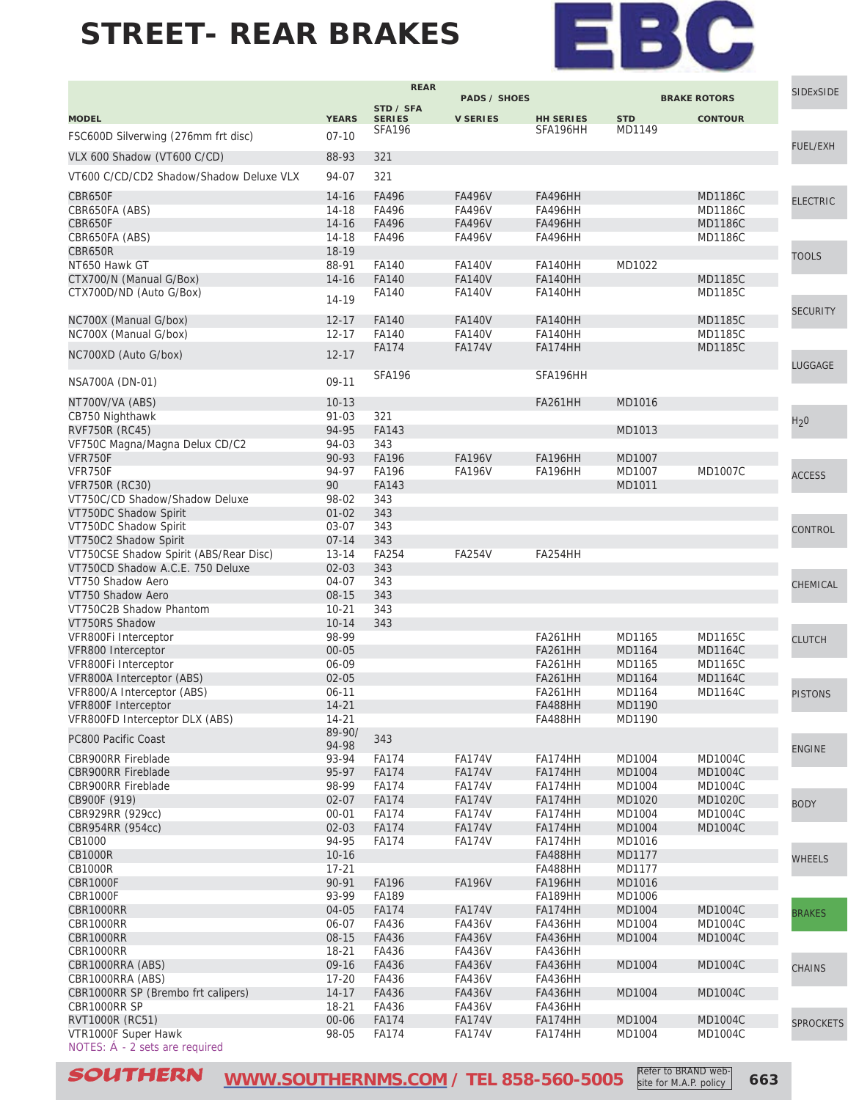

Refer to BRAND website for M.A.P. policy

|                                                        |                        | <b>REAR</b>                    | <b>PADS / SHOES</b>            |                                  |                      |                                  | SIDExSIDE        |
|--------------------------------------------------------|------------------------|--------------------------------|--------------------------------|----------------------------------|----------------------|----------------------------------|------------------|
|                                                        |                        | STD / SFA                      |                                |                                  |                      | <b>BRAKE ROTORS</b>              |                  |
| <b>MODEL</b>                                           | <b>YEARS</b>           | <b>SERIES</b><br><b>SFA196</b> | <b>V SERIES</b>                | <b>HH SERIES</b><br>SFA196HH     | <b>STD</b><br>MD1149 | <b>CONTOUR</b>                   |                  |
| FSC600D Silverwing (276mm frt disc)                    | $07 - 10$              |                                |                                |                                  |                      |                                  | <b>FUEL/EXH</b>  |
| VLX 600 Shadow (VT600 C/CD)                            | 88-93                  | 321                            |                                |                                  |                      |                                  |                  |
| VT600 C/CD/CD2 Shadow/Shadow Deluxe VLX                | 94-07                  | 321                            |                                |                                  |                      |                                  |                  |
| CBR650F                                                |                        | FA496                          |                                |                                  |                      |                                  |                  |
| CBR650FA (ABS)                                         | $14 - 16$<br>14-18     | FA496                          | <b>FA496V</b><br><b>FA496V</b> | <b>FA496HH</b><br>FA496HH        |                      | <b>MD1186C</b><br><b>MD1186C</b> | <b>ELECTRIC</b>  |
| CBR650F                                                | $14 - 16$              | FA496                          | <b>FA496V</b>                  | <b>FA496HH</b>                   |                      | <b>MD1186C</b>                   |                  |
| CBR650FA (ABS)                                         | 14-18                  | FA496                          | <b>FA496V</b>                  | FA496HH                          |                      | <b>MD1186C</b>                   |                  |
| CBR650R                                                | 18-19                  |                                |                                |                                  |                      |                                  | <b>TOOLS</b>     |
| NT650 Hawk GT                                          | 88-91                  | FA140                          | <b>FA140V</b>                  | FA140HH                          | MD1022               |                                  |                  |
| CTX700/N (Manual G/Box)                                | 14-16                  | FA140                          | <b>FA140V</b>                  | <b>FA140HH</b>                   |                      | <b>MD1185C</b>                   |                  |
| CTX700D/ND (Auto G/Box)                                | 14-19                  | FA140                          | <b>FA140V</b>                  | FA140HH                          |                      | MD1185C                          |                  |
|                                                        |                        |                                |                                |                                  |                      |                                  | <b>SECURITY</b>  |
| NC700X (Manual G/box)<br>NC700X (Manual G/box)         | $12 - 17$<br>$12 - 17$ | FA140<br>FA140                 | <b>FA140V</b><br><b>FA140V</b> | <b>FA140HH</b><br>FA140HH        |                      | <b>MD1185C</b><br>MD1185C        |                  |
|                                                        |                        | <b>FA174</b>                   | <b>FA174V</b>                  | FA174HH                          |                      | <b>MD1185C</b>                   |                  |
| NC700XD (Auto G/box)                                   | $12 - 17$              |                                |                                |                                  |                      |                                  |                  |
|                                                        |                        | <b>SFA196</b>                  |                                | SFA196HH                         |                      |                                  | LUGGAGE          |
| NSA700A (DN-01)                                        | 09-11                  |                                |                                |                                  |                      |                                  |                  |
| NT700V/VA (ABS)                                        | $10-13$                |                                |                                | <b>FA261HH</b>                   | MD1016               |                                  |                  |
| CB750 Nighthawk                                        | $91 - 03$              | 321                            |                                |                                  |                      |                                  | H <sub>2</sub> 0 |
| <b>RVF750R (RC45)</b>                                  | 94-95                  | FA143                          |                                |                                  | MD1013               |                                  |                  |
| VF750C Magna/Magna Delux CD/C2                         | 94-03                  | 343                            |                                |                                  |                      |                                  |                  |
| VFR750F<br>VFR750F                                     | 90-93                  | <b>FA196</b>                   | <b>FA196V</b>                  | <b>FA196HH</b>                   | MD1007               |                                  |                  |
| <b>VFR750R (RC30)</b>                                  | 94-97<br>90            | FA196<br><b>FA143</b>          | <b>FA196V</b>                  | FA196HH                          | MD1007<br>MD1011     | <b>MD1007C</b>                   | <b>ACCESS</b>    |
| VT750C/CD Shadow/Shadow Deluxe                         | 98-02                  | 343                            |                                |                                  |                      |                                  |                  |
| VT750DC Shadow Spirit                                  | $01 - 02$              | 343                            |                                |                                  |                      |                                  |                  |
| VT750DC Shadow Spirit                                  | $03 - 07$              | 343                            |                                |                                  |                      |                                  | CONTROL          |
| VT750C2 Shadow Spirit                                  | $07 - 14$              | 343                            |                                |                                  |                      |                                  |                  |
| VT750CSE Shadow Spirit (ABS/Rear Disc)                 | $13 - 14$              | <b>FA254</b>                   | <b>FA254V</b>                  | FA254HH                          |                      |                                  |                  |
| VT750CD Shadow A.C.E. 750 Deluxe                       | $02 - 03$              | 343                            |                                |                                  |                      |                                  |                  |
| VT750 Shadow Aero                                      | 04-07                  | 343                            |                                |                                  |                      |                                  | CHEMICAL         |
| VT750 Shadow Aero                                      | $08 - 15$              | 343                            |                                |                                  |                      |                                  |                  |
| VT750C2B Shadow Phantom                                | $10 - 21$              | 343                            |                                |                                  |                      |                                  |                  |
| VT750RS Shadow                                         | $10 - 14$              | 343                            |                                |                                  |                      |                                  |                  |
| VFR800Fi Interceptor<br>VFR800 Interceptor             | 98-99<br>$00 - 05$     |                                |                                | <b>FA261HH</b><br><b>FA261HH</b> | MD1165<br>MD1164     | MD1165C<br><b>MD1164C</b>        | <b>CLUTCH</b>    |
| VFR800Fi Interceptor                                   | 06-09                  |                                |                                | <b>FA261HH</b>                   | MD1165               | MD1165C                          |                  |
| VFR800A Interceptor (ABS)                              | $02 - 05$              |                                |                                | <b>FA261HH</b>                   | MD1164               | <b>MD1164C</b>                   |                  |
| VFR800/A Interceptor (ABS)                             | $06 - 11$              |                                |                                | <b>FA261HH</b>                   | MD1164               | <b>MD1164C</b>                   | <b>PISTONS</b>   |
| VFR800F Interceptor                                    | $14 - 21$              |                                |                                | FA488HH                          | MD1190               |                                  |                  |
| VFR800FD Interceptor DLX (ABS)                         | 14-21                  |                                |                                | <b>FA488HH</b>                   | MD1190               |                                  |                  |
| PC800 Pacific Coast                                    | 89-90/                 | 343                            |                                |                                  |                      |                                  |                  |
|                                                        | 94-98                  | <b>FA174</b>                   |                                |                                  | MD1004               | MD1004C                          | <b>ENGINE</b>    |
| <b>CBR900RR Fireblade</b><br><b>CBR900RR Fireblade</b> | 93-94<br>95-97         | <b>FA174</b>                   | <b>FA174V</b><br><b>FA174V</b> | FA174HH<br>FA174HH               | MD1004               | <b>MD1004C</b>                   |                  |
| <b>CBR900RR Fireblade</b>                              | 98-99                  | <b>FA174</b>                   | <b>FA174V</b>                  | FA174HH                          | MD1004               | MD1004C                          |                  |
| CB900F (919)                                           | $02 - 07$              | <b>FA174</b>                   | <b>FA174V</b>                  | FA174HH                          | MD1020               | <b>MD1020C</b>                   |                  |
| CBR929RR (929cc)                                       | $00 - 01$              | <b>FA174</b>                   | <b>FA174V</b>                  | FA174HH                          | MD1004               | <b>MD1004C</b>                   | <b>BODY</b>      |
| CBR954RR (954cc)                                       | $02 - 03$              | <b>FA174</b>                   | <b>FA174V</b>                  | FA174HH                          | MD1004               | <b>MD1004C</b>                   |                  |
| CB1000                                                 | 94-95                  | <b>FA174</b>                   | <b>FA174V</b>                  | FA174HH                          | MD1016               |                                  |                  |
| <b>CB1000R</b>                                         | $10 - 16$              |                                |                                | <b>FA488HH</b>                   | MD1177               |                                  | <b>WHEELS</b>    |
| <b>CB1000R</b>                                         | $17 - 21$              |                                |                                | <b>FA488HH</b>                   | MD1177               |                                  |                  |
| CBR1000F                                               | 90-91                  | <b>FA196</b>                   | <b>FA196V</b>                  | <b>FA196HH</b>                   | MD1016               |                                  |                  |
| <b>CBR1000F</b>                                        | 93-99                  | FA189                          |                                | <b>FA189HH</b>                   | MD1006               |                                  |                  |
| CBR1000RR<br>CBR1000RR                                 | 04-05<br>06-07         | <b>FA174</b><br>FA436          | <b>FA174V</b><br>FA436V        | FA174HH<br><b>FA436HH</b>        | MD1004<br>MD1004     | <b>MD1004C</b><br>MD1004C        | <b>BRAKES</b>    |
| CBR1000RR                                              | $08 - 15$              | FA436                          | <b>FA436V</b>                  | <b>FA436HH</b>                   | MD1004               | <b>MD1004C</b>                   |                  |
| CBR1000RR                                              | $18 - 21$              | FA436                          | FA436V                         | <b>FA436HH</b>                   |                      |                                  |                  |
| CBR1000RRA (ABS)                                       | 09-16                  | FA436                          | <b>FA436V</b>                  | <b>FA436HH</b>                   | MD1004               | <b>MD1004C</b>                   | <b>CHAINS</b>    |
| CBR1000RRA (ABS)                                       | $17 - 20$              | FA436                          | FA436V                         | FA436HH                          |                      |                                  |                  |
| CBR1000RR SP (Brembo frt calipers)                     | $14 - 17$              | FA436                          | <b>FA436V</b>                  | <b>FA436HH</b>                   | MD1004               | <b>MD1004C</b>                   |                  |
| CBR1000RR SP                                           | $18 - 21$              | FA436                          | FA436V                         | <b>FA436HH</b>                   |                      |                                  |                  |
| RVT1000R (RC51)                                        | $00 - 06$              | <b>FA174</b>                   | <b>FA174V</b>                  | FA174HH                          | MD1004               | <b>MD1004C</b>                   | <b>SPROCKETS</b> |
| VTR1000F Super Hawk                                    | 98-05                  | <b>FA174</b>                   | <b>FA174V</b>                  | FA174HH                          | MD1004               | MD1004C                          |                  |
| NOTES: $\dot{A}$ - 2 sets are required                 |                        |                                |                                |                                  |                      |                                  |                  |

**SOUTHERN** [WWW.SOUTHERNMS.COM](http://m.southernms.com) / TEL 858-560-5005 **Refer to BRAND Web-** 663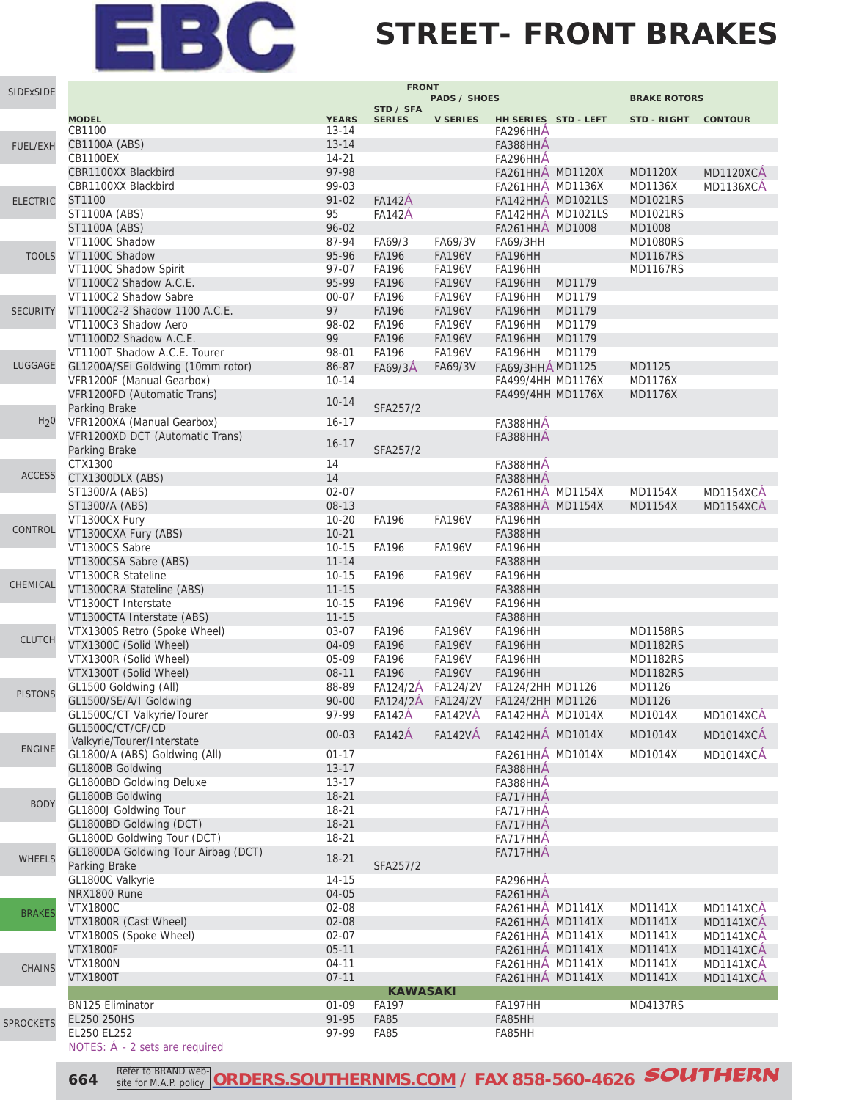#### **STREET- FRONT BRAKES**

| SIDExSIDE        |                                                      |              | <b>FRONT</b>    |                     |                                             |                   |                     |                        |
|------------------|------------------------------------------------------|--------------|-----------------|---------------------|---------------------------------------------|-------------------|---------------------|------------------------|
|                  |                                                      |              | STD / SFA       | <b>PADS / SHOES</b> |                                             |                   | <b>BRAKE ROTORS</b> |                        |
|                  | <b>MODEL</b>                                         | <b>YEARS</b> | <b>SERIES</b>   | <b>V SERIES</b>     | HH SERIES STD - LEFT                        |                   | STD-RIGHT CONTOUR   |                        |
|                  | CB1100                                               | $13 - 14$    |                 |                     | FA296HHA                                    |                   |                     |                        |
| <b>FUEL/EXH</b>  | CB1100A (ABS)                                        | $13 - 14$    |                 |                     | FA388HHA                                    |                   |                     |                        |
|                  | <b>CB1100EX</b>                                      | $14 - 21$    |                 |                     | FA296HHA                                    |                   |                     |                        |
|                  | CBR1100XX Blackbird                                  | 97-98        |                 |                     | <b>FA261HHA MD1120X</b>                     |                   | <b>MD1120X</b>      | MD1120XCA              |
|                  | CBR1100XX Blackbird                                  | 99-03        |                 |                     | <b>FA261HHA MD1136X</b>                     |                   | MD1136X             | MD1136XCA              |
| <b>ELECTRIC</b>  | ST1100                                               | $91 - 02$    | <b>FA142A</b>   |                     |                                             | FA142HHA MD1021LS | <b>MD1021RS</b>     |                        |
|                  | ST1100A (ABS)                                        | 95           | <b>FA142A</b>   |                     |                                             | FA142HHA MD1021LS | <b>MD1021RS</b>     |                        |
|                  | <b>ST1100A (ABS)</b>                                 | $96 - 02$    |                 |                     | FA261HHA MD1008                             |                   | MD1008              |                        |
|                  | VT1100C Shadow                                       | 87-94        | FA69/3          | FA69/3V             | <b>FA69/3HH</b>                             |                   | <b>MD1080RS</b>     |                        |
| <b>TOOLS</b>     | VT1100C Shadow                                       | 95-96        | <b>FA196</b>    | <b>FA196V</b>       | <b>FA196HH</b>                              |                   | <b>MD1167RS</b>     |                        |
|                  | VT1100C Shadow Spirit                                | 97-07        | <b>FA196</b>    | <b>FA196V</b>       | FA196HH                                     |                   | <b>MD1167RS</b>     |                        |
|                  | VT1100C2 Shadow A.C.E.                               | 95-99        | <b>FA196</b>    | <b>FA196V</b>       | FA196HH                                     | MD1179            |                     |                        |
|                  | VT1100C2 Shadow Sabre                                | $00 - 07$    | <b>FA196</b>    | <b>FA196V</b>       | FA196HH                                     | MD1179            |                     |                        |
| <b>SECURITY</b>  | VT1100C2-2 Shadow 1100 A.C.E.                        | 97           | <b>FA196</b>    | <b>FA196V</b>       | FA196HH                                     | MD1179            |                     |                        |
|                  | VT1100C3 Shadow Aero                                 | 98-02        | <b>FA196</b>    | <b>FA196V</b>       | FA196HH                                     | MD1179            |                     |                        |
|                  | VT1100D2 Shadow A.C.E.                               | 99           | FA196           | <b>FA196V</b>       | FA196HH                                     | MD1179            |                     |                        |
|                  | VT1100T Shadow A.C.E. Tourer                         | 98-01        | <b>FA196</b>    | <b>FA196V</b>       | FA196HH                                     | MD1179            |                     |                        |
| LUGGAGE          | GL1200A/SEi Goldwing (10mm rotor)                    | 86-87        | FA69/3A         | FA69/3V             | FA69/3HHÁ MD1125                            |                   | MD1125              |                        |
|                  | VFR1200F (Manual Gearbox)                            | $10 - 14$    |                 |                     | FA499/4HH MD1176X                           |                   | <b>MD1176X</b>      |                        |
|                  | VFR1200FD (Automatic Trans)                          | $10 - 14$    |                 |                     | FA499/4HH MD1176X                           |                   | <b>MD1176X</b>      |                        |
|                  | Parking Brake                                        |              | SFA257/2        |                     |                                             |                   |                     |                        |
| H <sub>2</sub> 0 | VFR1200XA (Manual Gearbox)                           | $16 - 17$    |                 |                     | FA388HHA                                    |                   |                     |                        |
|                  | VFR1200XD DCT (Automatic Trans)                      | $16 - 17$    |                 |                     | FA388HHA                                    |                   |                     |                        |
|                  | Parking Brake<br>CTX1300                             | 14           | SFA257/2        |                     |                                             |                   |                     |                        |
| <b>ACCESS</b>    |                                                      | 14           |                 |                     | FA388HHA                                    |                   |                     |                        |
|                  | CTX1300DLX (ABS)<br>ST1300/A (ABS)                   | $02 - 07$    |                 |                     | FA388HHA                                    |                   | MD1154X             |                        |
|                  | ST1300/A (ABS)                                       | 08-13        |                 |                     | <b>FA261HHA MD1154X</b><br>FA388HHA MD1154X |                   | <b>MD1154X</b>      | MD1154XCA<br>MD1154XCA |
|                  | VT1300CX Fury                                        | $10 - 20$    | <b>FA196</b>    | <b>FA196V</b>       | FA196HH                                     |                   |                     |                        |
| CONTROL          | VT1300CXA Fury (ABS)                                 | $10 - 21$    |                 |                     | <b>FA388HH</b>                              |                   |                     |                        |
|                  | VT1300CS Sabre                                       | $10 - 15$    | <b>FA196</b>    | <b>FA196V</b>       | FA196HH                                     |                   |                     |                        |
|                  | VT1300CSA Sabre (ABS)                                | $11 - 14$    |                 |                     | <b>FA388HH</b>                              |                   |                     |                        |
|                  | VT1300CR Stateline                                   | $10 - 15$    | <b>FA196</b>    | <b>FA196V</b>       | FA196HH                                     |                   |                     |                        |
| CHEMICAL         | VT1300CRA Stateline (ABS)                            | $11 - 15$    |                 |                     | <b>FA388HH</b>                              |                   |                     |                        |
|                  | VT1300CT Interstate                                  | $10 - 15$    | <b>FA196</b>    | <b>FA196V</b>       | FA196HH                                     |                   |                     |                        |
|                  | VT1300CTA Interstate (ABS)                           | $11 - 15$    |                 |                     | <b>FA388HH</b>                              |                   |                     |                        |
|                  | VTX1300S Retro (Spoke Wheel)                         | 03-07        | <b>FA196</b>    | <b>FA196V</b>       | FA196HH                                     |                   | <b>MD1158RS</b>     |                        |
| <b>CLUTCH</b>    | VTX1300C (Solid Wheel)                               | 04-09        | <b>FA196</b>    | <b>FA196V</b>       | <b>FA196HH</b>                              |                   | <b>MD1182RS</b>     |                        |
|                  | VTX1300R (Solid Wheel)                               | 05-09        | FA196           | <b>FA196V</b>       | FA196HH                                     |                   | <b>MD1182RS</b>     |                        |
|                  | VTX1300T (Solid Wheel)                               | 08-11        | FA196           | <b>FA196V</b>       | <b>FA196HH</b>                              |                   | <b>MD1182RS</b>     |                        |
| <b>PISTONS</b>   | GL1500 Goldwing (All)                                | 88-89        | FA124/2A        | FA124/2V            | FA124/2HH MD1126                            |                   | MD1126              |                        |
|                  | GL1500/SE/A/I Goldwing                               | $90 - 00$    |                 | FA124/2A FA124/2V   | FA124/2HH MD1126                            |                   | MD1126              |                        |
|                  | GL1500C/CT Valkyrie/Tourer                           | 97-99        | <b>FA142A</b>   | FA142VA             | FA142HHA MD1014X                            |                   | MD1014X             | MD1014XCA              |
|                  | GL1500C/CT/CF/CD                                     | $00 - 03$    | <b>FA142A</b>   | <b>FA142VÁ</b>      | FA142HHÁ MD1014X                            |                   | <b>MD1014X</b>      | <b>MD1014XCA</b>       |
| <b>ENGINE</b>    | Valkyrie/Tourer/Interstate                           |              |                 |                     |                                             |                   |                     |                        |
|                  | GL1800/A (ABS) Goldwing (All)                        | $01 - 17$    |                 |                     | FA261HHA MD1014X                            |                   | MD1014X             | <b>MD1014XCA</b>       |
|                  | GL1800B Goldwing                                     | $13 - 17$    |                 |                     | FA388HHA                                    |                   |                     |                        |
|                  | GL1800BD Goldwing Deluxe                             | $13 - 17$    |                 |                     | FA388HHA                                    |                   |                     |                        |
| <b>BODY</b>      | GL1800B Goldwing                                     | $18 - 21$    |                 |                     | FA717HHA                                    |                   |                     |                        |
|                  | GL1800J Goldwing Tour                                | 18-21        |                 |                     | FA717HHA                                    |                   |                     |                        |
|                  | GL1800BD Goldwing (DCT)                              | 18-21        |                 |                     | FA717HHA                                    |                   |                     |                        |
|                  | GL1800D Goldwing Tour (DCT)                          | 18-21        |                 |                     | FA717HHA                                    |                   |                     |                        |
| <b>WHEELS</b>    | GL1800DA Goldwing Tour Airbag (DCT)<br>Parking Brake | $18 - 21$    | SFA257/2        |                     | FA717HHA                                    |                   |                     |                        |
|                  | GL1800C Valkyrie                                     | $14 - 15$    |                 |                     |                                             |                   |                     |                        |
|                  | NRX1800 Rune                                         | 04-05        |                 |                     | FA296HHA<br>FA261HHA                        |                   |                     |                        |
|                  | <b>VTX1800C</b>                                      | 02-08        |                 |                     | <b>FA261HHA MD1141X</b>                     |                   | <b>MD1141X</b>      | MD1141XCA              |
| <b>BRAKES</b>    | VTX1800R (Cast Wheel)                                | 02-08        |                 |                     | FA261HHA MD1141X                            |                   | <b>MD1141X</b>      | <b>MD1141XCA</b>       |
|                  | VTX1800S (Spoke Wheel)                               | $02 - 07$    |                 |                     | <b>FA261HHA MD1141X</b>                     |                   | <b>MD1141X</b>      | MD1141XCA              |
|                  | <b>VTX1800F</b>                                      | $05 - 11$    |                 |                     | FA261HHA MD1141X                            |                   | <b>MD1141X</b>      | MD1141XCA              |
|                  | <b>VTX1800N</b>                                      | $04 - 11$    |                 |                     | <b>FA261HHA MD1141X</b>                     |                   | MD1141X             | MD1141XCA              |
| <b>CHAINS</b>    | <b>VTX1800T</b>                                      | $07 - 11$    |                 |                     | <b>FA261HHA MD1141X</b>                     |                   | <b>MD1141X</b>      | MD1141XCA              |
|                  |                                                      |              | <b>KAWASAKI</b> |                     |                                             |                   |                     |                        |
|                  | <b>BN125 Eliminator</b>                              | $01 - 09$    | FA197           |                     | FA197HH                                     |                   | <b>MD4137RS</b>     |                        |
| <b>SPROCKETS</b> | EL250 250HS                                          | 91-95        | <b>FA85</b>     |                     | FA85HH                                      |                   |                     |                        |
|                  | EL250 EL252                                          | 97-99        | <b>FA85</b>     |                     | FA85HH                                      |                   |                     |                        |
|                  | NOTES: A - 2 sets are required                       |              |                 |                     |                                             |                   |                     |                        |

**664** *<u>Reter to BRAND web-ORDERS.SOUTHERNMS.COM</u>* **/ FAX 858-560-4626 <b>SOUTHERN** Refer to BRAND website for M.A.P. policy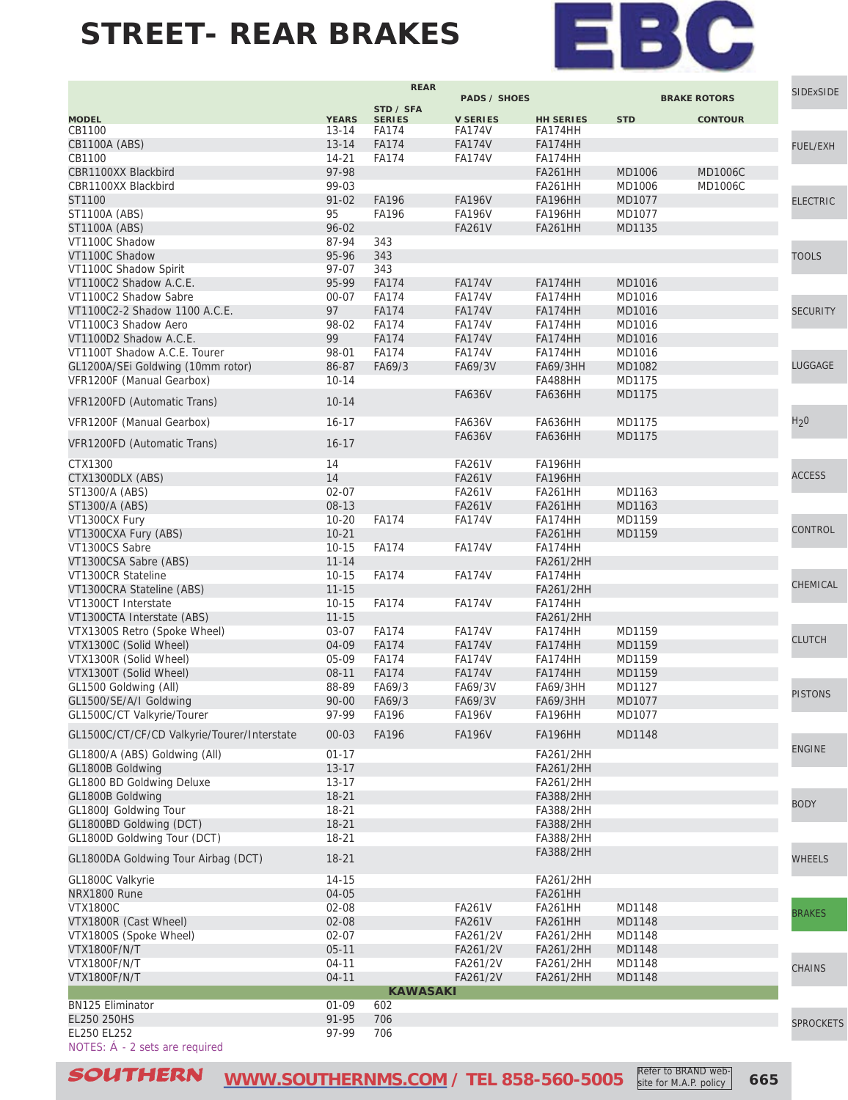

Refer to BRAND website for M.A.P. policy

|                                             |                    | <b>REAR</b>     |                     |                  |            |                     | <b>SIDExSIDE</b> |
|---------------------------------------------|--------------------|-----------------|---------------------|------------------|------------|---------------------|------------------|
|                                             |                    | STD / SFA       | <b>PADS / SHOES</b> |                  |            | <b>BRAKE ROTORS</b> |                  |
| <b>MODEL</b>                                | <b>YEARS</b>       | <b>SERIES</b>   | <b>V SERIES</b>     | <b>HH SERIES</b> | <b>STD</b> | <b>CONTOUR</b>      |                  |
| CB1100                                      | $13 - 14$          | <b>FA174</b>    | <b>FA174V</b>       | FA174HH          |            |                     |                  |
| CB1100A (ABS)                               | $13 - 14$          | <b>FA174</b>    | <b>FA174V</b>       | FA174HH          |            |                     | <b>FUEL/EXH</b>  |
| CB1100                                      | $14 - 21$          | <b>FA174</b>    | <b>FA174V</b>       | FA174HH          |            |                     |                  |
| CBR1100XX Blackbird                         | 97-98              |                 |                     | <b>FA261HH</b>   | MD1006     | <b>MD1006C</b>      |                  |
| CBR1100XX Blackbird                         | 99-03              |                 |                     | <b>FA261HH</b>   | MD1006     | <b>MD1006C</b>      |                  |
| ST1100                                      | $91 - 02$          | <b>FA196</b>    | <b>FA196V</b>       | <b>FA196HH</b>   | MD1077     |                     | <b>ELECTRIC</b>  |
| ST1100A (ABS)                               | 95                 | <b>FA196</b>    | <b>FA196V</b>       | FA196HH          | MD1077     |                     |                  |
| <b>ST1100A (ABS)</b><br>VT1100C Shadow      | $96 - 02$<br>87-94 | 343             | <b>FA261V</b>       | <b>FA261HH</b>   | MD1135     |                     |                  |
| VT1100C Shadow                              | 95-96              | 343             |                     |                  |            |                     |                  |
| VT1100C Shadow Spirit                       | 97-07              | 343             |                     |                  |            |                     | <b>TOOLS</b>     |
| VT1100C2 Shadow A.C.E.                      | 95-99              | <b>FA174</b>    | <b>FA174V</b>       | FA174HH          | MD1016     |                     |                  |
| VT1100C2 Shadow Sabre                       | 00-07              | <b>FA174</b>    | <b>FA174V</b>       | FA174HH          | MD1016     |                     |                  |
| VT1100C2-2 Shadow 1100 A.C.E.               | 97                 | <b>FA174</b>    | <b>FA174V</b>       | FA174HH          | MD1016     |                     | <b>SECURITY</b>  |
| VT1100C3 Shadow Aero                        | 98-02              | <b>FA174</b>    | <b>FA174V</b>       | FA174HH          | MD1016     |                     |                  |
| VT1100D2 Shadow A.C.E.                      | 99                 | <b>FA174</b>    | <b>FA174V</b>       | FA174HH          | MD1016     |                     |                  |
| VT1100T Shadow A.C.E. Tourer                | 98-01              | <b>FA174</b>    | <b>FA174V</b>       | FA174HH          | MD1016     |                     |                  |
| GL1200A/SEi Goldwing (10mm rotor)           | 86-87              | FA69/3          | FA69/3V             | <b>FA69/3HH</b>  | MD1082     |                     | LUGGAGE          |
| VFR1200F (Manual Gearbox)                   | $10 - 14$          |                 |                     | FA488HH          | MD1175     |                     |                  |
|                                             |                    |                 | <b>FA636V</b>       | <b>FA636HH</b>   | MD1175     |                     |                  |
| VFR1200FD (Automatic Trans)                 | $10 - 14$          |                 |                     |                  |            |                     |                  |
| VFR1200F (Manual Gearbox)                   | $16 - 17$          |                 | FA636V              | FA636HH          | MD1175     |                     | H <sub>2</sub> 0 |
|                                             |                    |                 | <b>FA636V</b>       | FA636HH          | MD1175     |                     |                  |
| VFR1200FD (Automatic Trans)                 | $16 - 17$          |                 |                     |                  |            |                     |                  |
| CTX1300                                     | 14                 |                 | <b>FA261V</b>       | FA196HH          |            |                     |                  |
| CTX1300DLX (ABS)                            | 14                 |                 | <b>FA261V</b>       | <b>FA196HH</b>   |            |                     | <b>ACCESS</b>    |
| ST1300/A (ABS)                              | $02 - 07$          |                 | <b>FA261V</b>       | <b>FA261HH</b>   | MD1163     |                     |                  |
| ST1300/A (ABS)                              | 08-13              |                 | <b>FA261V</b>       | <b>FA261HH</b>   | MD1163     |                     |                  |
| VT1300CX Fury                               | $10 - 20$          | <b>FA174</b>    | <b>FA174V</b>       | FA174HH          | MD1159     |                     |                  |
| VT1300CXA Fury (ABS)                        | $10 - 21$          |                 |                     | <b>FA261HH</b>   | MD1159     |                     | CONTROL          |
| VT1300CS Sabre                              | $10 - 15$          | <b>FA174</b>    | <b>FA174V</b>       | FA174HH          |            |                     |                  |
| VT1300CSA Sabre (ABS)                       | $11 - 14$          |                 |                     | FA261/2HH        |            |                     |                  |
| VT1300CR Stateline                          | $10 - 15$          | <b>FA174</b>    | <b>FA174V</b>       | <b>FA174HH</b>   |            |                     |                  |
| VT1300CRA Stateline (ABS)                   | $11 - 15$          |                 |                     | FA261/2HH        |            |                     | CHEMICAL         |
| VT1300CT Interstate                         | $10 - 15$          | <b>FA174</b>    | <b>FA174V</b>       | FA174HH          |            |                     |                  |
| VT1300CTA Interstate (ABS)                  | $11 - 15$          |                 |                     | FA261/2HH        |            |                     |                  |
| VTX1300S Retro (Spoke Wheel)                | 03-07              | <b>FA174</b>    | <b>FA174V</b>       | FA174HH          | MD1159     |                     |                  |
| VTX1300C (Solid Wheel)                      | 04-09              | <b>FA174</b>    | <b>FA174V</b>       | FA174HH          | MD1159     |                     | <b>CLUTCH</b>    |
| VTX1300R (Solid Wheel)                      | 05-09              | <b>FA174</b>    | <b>FA174V</b>       | FA174HH          | MD1159     |                     |                  |
| VTX1300T (Solid Wheel)                      | 08-11              | <b>FA174</b>    | <b>FA174V</b>       | FA174HH          | MD1159     |                     |                  |
| GL1500 Goldwing (All)                       | 88-89              | FA69/3          | FA69/3V             | <b>FA69/3HH</b>  | MD1127     |                     |                  |
| GL1500/SE/A/I Goldwing                      | $90 - 00$          | FA69/3          | FA69/3V             | <b>FA69/3HH</b>  | MD1077     |                     | <b>PISTONS</b>   |
| GL1500C/CT Valkyrie/Tourer                  | 97-99              | <b>FA196</b>    | <b>FA196V</b>       | FA196HH          | MD1077     |                     |                  |
|                                             |                    |                 |                     |                  |            |                     |                  |
| GL1500C/CT/CF/CD Valkyrie/Tourer/Interstate | $00 - 03$          | <b>FA196</b>    | <b>FA196V</b>       | FA196HH          | MD1148     |                     |                  |
| GL1800/A (ABS) Goldwing (All)               | $01 - 17$          |                 |                     | FA261/2HH        |            |                     | <b>ENGINE</b>    |
| GL1800B Goldwing                            | $13 - 17$          |                 |                     | FA261/2HH        |            |                     |                  |
| GL1800 BD Goldwing Deluxe                   | $13 - 17$          |                 |                     | FA261/2HH        |            |                     |                  |
| GL1800B Goldwing                            | $18 - 21$          |                 |                     | FA388/2HH        |            |                     | <b>BODY</b>      |
| GL1800J Goldwing Tour                       | 18-21              |                 |                     | FA388/2HH        |            |                     |                  |
| GL1800BD Goldwing (DCT)                     | $18 - 21$          |                 |                     | FA388/2HH        |            |                     |                  |
| GL1800D Goldwing Tour (DCT)                 | 18-21              |                 |                     | FA388/2HH        |            |                     |                  |
| GL1800DA Goldwing Tour Airbag (DCT)         | $18 - 21$          |                 |                     | FA388/2HH        |            |                     | <b>WHEELS</b>    |
| GL1800C Valkyrie                            | 14-15              |                 |                     | FA261/2HH        |            |                     |                  |
| NRX1800 Rune                                | 04-05              |                 |                     | <b>FA261HH</b>   |            |                     |                  |
| <b>VTX1800C</b>                             | 02-08              |                 | <b>FA261V</b>       | <b>FA261HH</b>   | MD1148     |                     |                  |
| VTX1800R (Cast Wheel)                       | 02-08              |                 | <b>FA261V</b>       | <b>FA261HH</b>   | MD1148     |                     | <b>BRAKES</b>    |
| VTX1800S (Spoke Wheel)                      | $02 - 07$          |                 | FA261/2V            | FA261/2HH        | MD1148     |                     |                  |
| VTX1800F/N/T                                | $05 - 11$          |                 | FA261/2V            | FA261/2HH        | MD1148     |                     |                  |
| <b>VTX1800F/N/T</b>                         | $04 - 11$          |                 | FA261/2V            | FA261/2HH        | MD1148     |                     | <b>CHAINS</b>    |
| <b>VTX1800F/N/T</b>                         | $04 - 11$          |                 | FA261/2V            | FA261/2HH        | MD1148     |                     |                  |
|                                             |                    | <b>KAWASAKI</b> |                     |                  |            |                     |                  |
| <b>BN125 Eliminator</b>                     | $01 - 09$          | 602             |                     |                  |            |                     |                  |
| EL250 250HS                                 | 91-95              | 706             |                     |                  |            |                     | <b>SPROCKETS</b> |
| EL250 EL252                                 | 97-99              | 706             |                     |                  |            |                     |                  |
| NOTES: Á - 2 sets are required              |                    |                 |                     |                  |            |                     |                  |

SOUTHERN **[WWW.SOUTHERNMS.COM](http://m.southernms.com) / TEL 858-560-5005 665**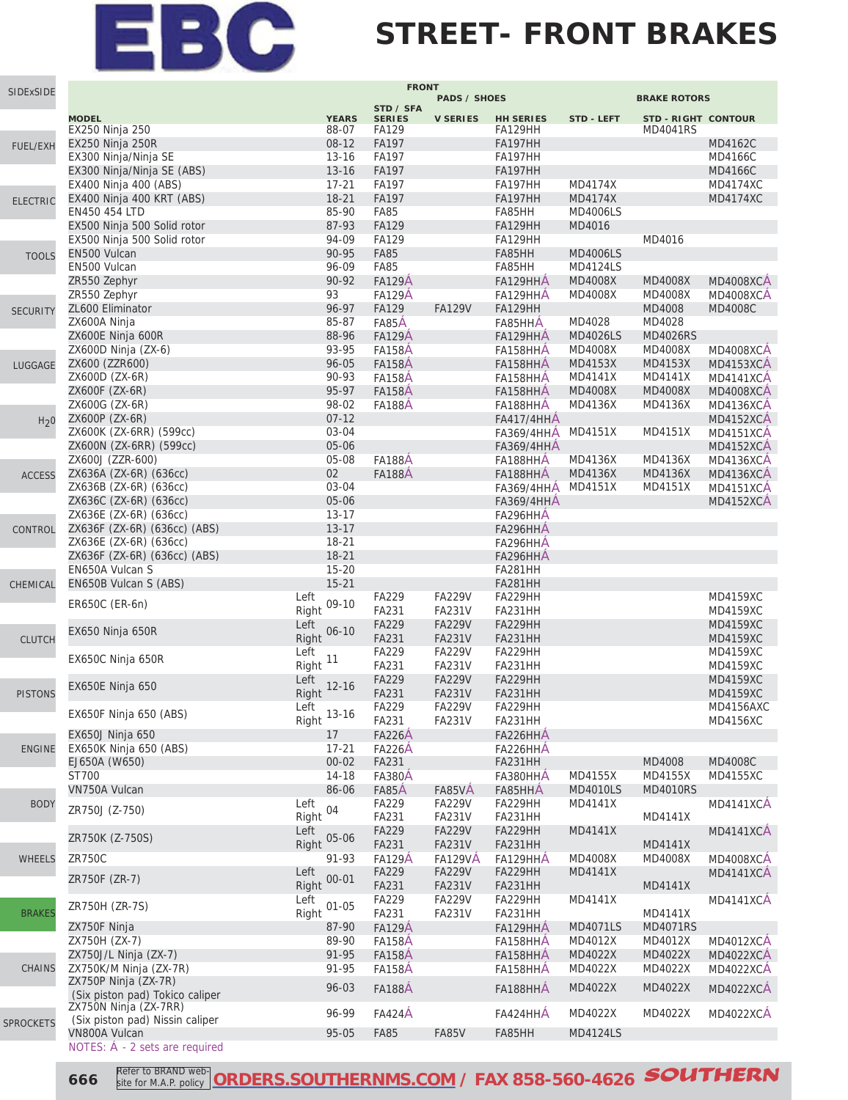#### **STREET- FRONT BRAKES**

| SIDExSIDE        |                                                         |                    | <b>FRONT</b>                |                     |                           |                           |                            |                  |
|------------------|---------------------------------------------------------|--------------------|-----------------------------|---------------------|---------------------------|---------------------------|----------------------------|------------------|
|                  |                                                         |                    | STD / SFA                   | <b>PADS / SHOES</b> |                           |                           | <b>BRAKE ROTORS</b>        |                  |
|                  | <b>MODEL</b>                                            | <b>YEARS</b>       | <b>SERIES</b>               | <b>V SERIES</b>     | <b>HH SERIES</b>          | <b>STD - LEFT</b>         | <b>STD - RIGHT CONTOUR</b> |                  |
|                  | EX250 Ninja 250                                         | 88-07              | FA129                       |                     | FA129HH                   |                           | <b>MD4041RS</b>            |                  |
| <b>FUEL/EXH</b>  | EX250 Ninja 250R                                        | 08-12              | FA197                       |                     | <b>FA197HH</b>            |                           |                            | MD4162C          |
|                  | EX300 Ninja/Ninja SE                                    | $13 - 16$          | FA197                       |                     | FA197HH                   |                           |                            | MD4166C          |
|                  | EX300 Ninja/Ninja SE (ABS)                              | $13 - 16$          | FA197                       |                     | <b>FA197HH</b>            |                           |                            | <b>MD4166C</b>   |
|                  | EX400 Ninja 400 (ABS)                                   | $17 - 21$          | FA197                       |                     | FA197HH                   | MD4174X                   |                            | <b>MD4174XC</b>  |
| <b>ELECTRIC</b>  | EX400 Ninja 400 KRT (ABS)                               | $18 - 21$<br>85-90 | <b>FA197</b><br><b>FA85</b> |                     | <b>FA197HH</b>            | <b>MD4174X</b>            |                            | <b>MD4174XC</b>  |
|                  | EN450 454 LTD<br>EX500 Ninja 500 Solid rotor            | 87-93              | <b>FA129</b>                |                     | FA85HH<br>FA129HH         | <b>MD4006LS</b><br>MD4016 |                            |                  |
|                  | EX500 Ninja 500 Solid rotor                             | 94-09              | <b>FA129</b>                |                     | FA129HH                   |                           | MD4016                     |                  |
|                  | EN500 Vulcan                                            | 90-95              | <b>FA85</b>                 |                     | FA85HH                    | <b>MD4006LS</b>           |                            |                  |
| <b>TOOLS</b>     | EN500 Vulcan                                            | 96-09              | <b>FA85</b>                 |                     | FA85HH                    | <b>MD4124LS</b>           |                            |                  |
|                  | ZR550 Zephyr                                            | $90 - 92$          | <b>FA129A</b>               |                     | FA129HHA                  | <b>MD4008X</b>            | <b>MD4008X</b>             | <b>MD4008XCA</b> |
|                  | ZR550 Zephyr                                            | 93                 | <b>FA129A</b>               |                     | FA129HHA                  | MD4008X                   | MD4008X                    | <b>MD4008XCA</b> |
| <b>SECURITY</b>  | ZL600 Eliminator                                        | 96-97              | FA129                       | <b>FA129V</b>       | <b>FA129HH</b>            |                           | MD4008                     | <b>MD4008C</b>   |
|                  | ZX600A Ninja                                            | 85-87              | FA85A                       |                     | FA85HHA                   | MD4028                    | MD4028                     |                  |
|                  | ZX600E Ninja 600R                                       | 88-96              | <b>FA129A</b>               |                     | FA129HHA                  | <b>MD4026LS</b>           | <b>MD4026RS</b>            |                  |
|                  | ZX600D Ninja (ZX-6)                                     | 93-95              | <b>FA158A</b>               |                     | FA158HHA                  | MD4008X                   | <b>MD4008X</b>             | <b>MD4008XCA</b> |
| LUGGAGE          | ZX600 (ZZR600)                                          | 96-05              | <b>FA158A</b>               |                     | FA158HHA                  | MD4153X                   | MD4153X                    | <b>MD4153XCA</b> |
|                  | ZX600D (ZX-6R)                                          | 90-93              | <b>FA158A</b>               |                     | FA158HHA                  | MD4141X                   | MD4141X                    | <b>MD4141XCA</b> |
|                  | ZX600F (ZX-6R)                                          | 95-97              | <b>FA158A</b>               |                     | FA158HHA                  | <b>MD4008X</b>            | MD4008X                    | <b>MD4008XCA</b> |
|                  | ZX600G (ZX-6R)                                          | 98-02              | <b>FA188A</b>               |                     | FA188HHA                  | MD4136X                   | MD4136X                    | <b>MD4136XCA</b> |
| H <sub>2</sub> 0 | ZX600P (ZX-6R)                                          | $07 - 12$          |                             |                     | <b>FA417/4HHA</b>         |                           |                            | MD4152XCA        |
|                  | ZX600K (ZX-6RR) (599cc)                                 | 03-04              |                             |                     | <b>FA369/4HHA</b>         | MD4151X                   | MD4151X                    | <b>MD4151XCA</b> |
|                  | ZX600N (ZX-6RR) (599cc)                                 | 05-06              |                             |                     | <b>FA369/4HHA</b>         |                           |                            | <b>MD4152XCA</b> |
|                  | ZX600J (ZZR-600)                                        | 05-08              | <b>FA188A</b>               |                     | FA188HHA                  | MD4136X                   | MD4136X                    | MD4136XCA        |
| <b>ACCESS</b>    | ZX636A (ZX-6R) (636cc)                                  | 02                 | <b>FA188A</b>               |                     | FA188HHA                  | MD4136X                   | MD4136X                    | <b>MD4136XCA</b> |
|                  | ZX636B (ZX-6R) (636cc)                                  | 03-04              |                             |                     | <b>FA369/4HHA</b>         | MD4151X                   | MD4151X                    | <b>MD4151XCA</b> |
|                  | ZX636C (ZX-6R) (636cc)                                  | 05-06              |                             |                     | <b>FA369/4HHA</b>         |                           |                            | MD4152XCA        |
|                  | ZX636E (ZX-6R) (636cc)                                  | $13 - 17$          |                             |                     | FA296HHA                  |                           |                            |                  |
| CONTROL          | ZX636F (ZX-6R) (636cc) (ABS)                            | $13 - 17$          |                             |                     | FA296HHA                  |                           |                            |                  |
|                  | ZX636E (ZX-6R) (636cc)                                  | 18-21              |                             |                     | FA296HHA                  |                           |                            |                  |
|                  | ZX636F (ZX-6R) (636cc) (ABS)                            | $18 - 21$          |                             |                     | FA296HHA                  |                           |                            |                  |
|                  | EN650A Vulcan S                                         | $15 - 20$          |                             |                     | FA281HH                   |                           |                            |                  |
| CHEMICAL         | EN650B Vulcan S (ABS)                                   | $15 - 21$<br>Left  | FA229                       | <b>FA229V</b>       | <b>FA281HH</b><br>FA229HH |                           |                            | <b>MD4159XC</b>  |
|                  | ER650C (ER-6n)                                          | $09 - 10$<br>Right | FA231                       | <b>FA231V</b>       | FA231HH                   |                           |                            | <b>MD4159XC</b>  |
|                  |                                                         | Left               | <b>FA229</b>                | <b>FA229V</b>       | FA229HH                   |                           |                            | <b>MD4159XC</b>  |
| <b>CLUTCH</b>    | EX650 Ninja 650R                                        | $06 - 10$<br>Right | FA231                       | <b>FA231V</b>       | FA231HH                   |                           |                            | <b>MD4159XC</b>  |
|                  |                                                         | Left               | FA229                       | <b>FA229V</b>       | FA229HH                   |                           |                            | <b>MD4159XC</b>  |
|                  | EX650C Ninja 650R                                       | 11<br>Right        | FA231                       | <b>FA231V</b>       | FA231HH                   |                           |                            | MD4159XC         |
|                  |                                                         | Left               | FA229                       | <b>FA229V</b>       | FA229HH                   |                           |                            | MD4159XC         |
| <b>PISTONS</b>   | EX650E Ninja 650                                        | $12 - 16$<br>Right | FA231                       | <b>FA231V</b>       | FA231HH                   |                           |                            | <b>MD4159XC</b>  |
|                  |                                                         | Left               | FA229                       | <b>FA229V</b>       | FA229HH                   |                           |                            | MD4156AXC        |
|                  | EX650F Ninja 650 (ABS)                                  | $13 - 16$<br>Right | FA231                       | <b>FA231V</b>       | FA231HH                   |                           |                            | MD4156XC         |
|                  | <b>EX650J Ninja 650</b>                                 | 17                 | <b>FA226A</b>               |                     | FA226HHA                  |                           |                            |                  |
| <b>ENGINE</b>    | EX650K Ninja 650 (ABS)                                  | $17 - 21$          | <b>FA226A</b>               |                     | FA226HHA                  |                           |                            |                  |
|                  | EJ650A (W650)                                           | $00 - 02$          | FA231                       |                     | FA231HH                   |                           | MD4008                     | <b>MD4008C</b>   |
|                  | ST700                                                   | $14 - 18$          | <b>FA380A</b>               |                     | FA380HHA                  | MD4155X                   | MD4155X                    | <b>MD4155XC</b>  |
|                  | VN750A Vulcan                                           | 86-06              | FA85A                       | FA85VA              | FA85HHÁ                   | <b>MD4010LS</b>           | <b>MD4010RS</b>            |                  |
| <b>BODY</b>      | ZR750J (Z-750)                                          | Left<br>04         | FA229                       | <b>FA229V</b>       | FA229HH                   | MD4141X                   |                            | MD4141XCA        |
|                  |                                                         | Right              | FA231                       | FA231V              | FA231HH                   |                           | MD4141X                    |                  |
|                  | ZR750K (Z-750S)                                         | Left<br>05-06      | FA229                       | <b>FA229V</b>       | FA229HH                   | <b>MD4141X</b>            |                            | MD4141XCA        |
|                  |                                                         | Right              | FA231                       | FA231V              | FA231HH                   |                           | MD4141X                    |                  |
| WHEELS           | <b>ZR750C</b>                                           | 91-93              | <b>FA129A</b>               | <b>FA129VÅ</b>      | FA129HHA                  | MD4008X                   | MD4008X                    | <b>MD4008XCA</b> |
|                  | ZR750F (ZR-7)                                           | Left<br>$00 - 01$  | FA229                       | <b>FA229V</b>       | FA229HH                   | MD4141X                   |                            | MD4141XCA        |
|                  |                                                         | Right              | FA231                       | <b>FA231V</b>       | FA231HH                   |                           | MD4141X                    |                  |
|                  | ZR750H (ZR-7S)                                          | Left<br>$01 - 05$  | FA229                       | <b>FA229V</b>       | FA229HH                   | MD4141X                   |                            | <b>MD4141XCA</b> |
| <b>BRAKES</b>    |                                                         | Right              | FA231                       | FA231V              | FA231HH                   |                           | MD4141X                    |                  |
|                  | ZX750F Ninja                                            | 87-90              | <b>FA129A</b>               |                     | FA129HHA                  | <b>MD4071LS</b>           | <b>MD4071RS</b>            |                  |
|                  | ZX750H (ZX-7)                                           | 89-90              | <b>FA158A</b>               |                     | FA158HHA                  | MD4012X                   | MD4012X                    | <b>MD4012XCA</b> |
|                  | ZX750J/L Ninja (ZX-7)                                   | 91-95              | <b>FA158A</b>               |                     | FA158HHA                  | MD4022X                   | MD4022X                    | <b>MD4022XCA</b> |
| <b>CHAINS</b>    | ZX750K/M Ninja (ZX-7R)                                  | 91-95              | <b>FA158A</b>               |                     | FA158HHA                  | MD4022X                   | MD4022X                    | <b>MD4022XCA</b> |
|                  | ZX750P Ninja (ZX-7R)<br>(Six piston pad) Tokico caliper | 96-03              | <b>FA188A</b>               |                     | FA188HHÁ                  | MD4022X                   | MD4022X                    | <b>MD4022XCÁ</b> |
|                  | ZX750N Ninja (ZX-7RR)                                   |                    |                             |                     |                           |                           |                            |                  |
| <b>SPROCKETS</b> | (Six piston pad) Nissin caliper                         | 96-99              | <b>FA424Á</b>               |                     | FA424HHA                  | MD4022X                   | MD4022X                    | <b>MD4022XCA</b> |
|                  | VN800A Vulcan                                           | 95-05              | <b>FA85</b>                 | <b>FA85V</b>        | FA85HH                    | <b>MD4124LS</b>           |                            |                  |
|                  | NOTES: Á - 2 sets are required                          |                    |                             |                     |                           |                           |                            |                  |

**666 Refer to BRAND web-** ORDERS.SOUTHERNMS.COM</u> / FAX 858-560-4626 **SOUTHERN** site for M.A.P. policy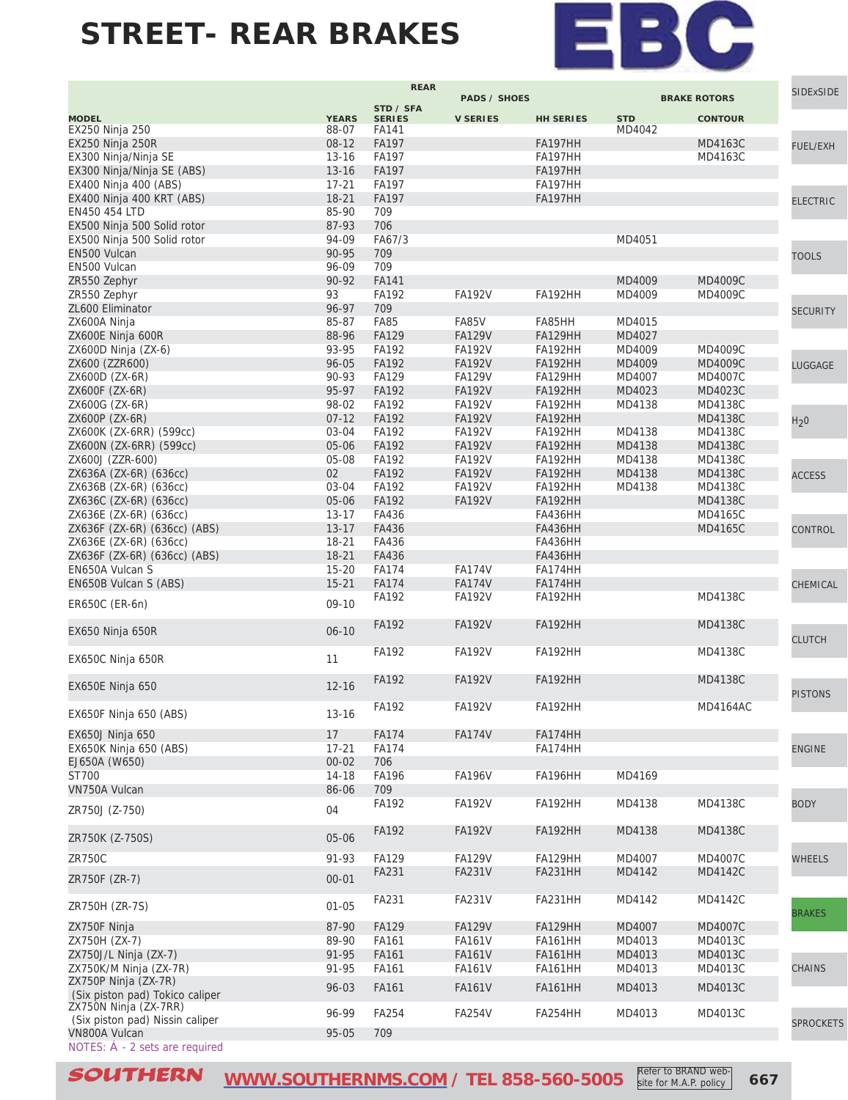

|                                                          |                        | <b>REAR</b>           |                               |                           |                  |                     | <b>SIDExSIDE</b> |
|----------------------------------------------------------|------------------------|-----------------------|-------------------------------|---------------------------|------------------|---------------------|------------------|
|                                                          |                        | STD / SFA             | <b>PADS / SHOES</b>           |                           |                  | <b>BRAKE ROTORS</b> |                  |
| <b>MODEL</b>                                             | <b>YEARS</b>           | <b>SERIES</b>         | <b>V SERIES</b>               | <b>HH SERIES</b>          | <b>STD</b>       | <b>CONTOUR</b>      |                  |
| EX250 Ninja 250                                          | 88-07                  | <b>FA141</b>          |                               |                           | MD4042           |                     |                  |
| EX250 Ninja 250R<br>EX300 Ninja/Ninja SE                 | $08-12$<br>$13 - 16$   | <b>FA197</b><br>FA197 |                               | <b>FA197HH</b><br>FA197HH |                  | MD4163C<br>MD4163C  | <b>FUEL/EXH</b>  |
| EX300 Ninja/Ninja SE (ABS)                               | $13 - 16$              | <b>FA197</b>          |                               | <b>FA197HH</b>            |                  |                     |                  |
| EX400 Ninja 400 (ABS)                                    | $17 - 21$              | FA197                 |                               | FA197HH                   |                  |                     |                  |
| EX400 Ninja 400 KRT (ABS)                                | $18 - 21$              | <b>FA197</b>          |                               | FA197HH                   |                  |                     | <b>ELECTRIC</b>  |
| EN450 454 LTD                                            | 85-90                  | 709                   |                               |                           |                  |                     |                  |
| EX500 Ninja 500 Solid rotor                              | 87-93                  | 706                   |                               |                           |                  |                     |                  |
| EX500 Ninja 500 Solid rotor                              | 94-09                  | FA67/3                |                               |                           | MD4051           |                     |                  |
| EN500 Vulcan                                             | 90-95                  | 709                   |                               |                           |                  |                     | <b>TOOLS</b>     |
| EN500 Vulcan                                             | 96-09                  | 709                   |                               |                           |                  |                     |                  |
| ZR550 Zephyr                                             | 90-92                  | FA141                 |                               |                           | MD4009           | MD4009C             |                  |
| ZR550 Zephyr                                             | 93                     | FA192                 | <b>FA192V</b>                 | FA192HH                   | MD4009           | MD4009C             |                  |
| ZL600 Eliminator                                         | 96-97                  | 709                   |                               |                           |                  |                     | <b>SECURITY</b>  |
| ZX600A Ninja<br>ZX600E Ninja 600R                        | 85-87<br>88-96         | <b>FA85</b><br>FA129  | <b>FA85V</b><br><b>FA129V</b> | FA85HH<br><b>FA129HH</b>  | MD4015<br>MD4027 |                     |                  |
| ZX600D Ninja (ZX-6)                                      | 93-95                  | FA192                 | <b>FA192V</b>                 | FA192HH                   | MD4009           | MD4009C             |                  |
| ZX600 (ZZR600)                                           | 96-05                  | FA192                 | <b>FA192V</b>                 | <b>FA192HH</b>            | MD4009           | MD4009C             | LUGGAGE          |
| ZX600D (ZX-6R)                                           | 90-93                  | FA129                 | <b>FA129V</b>                 | FA129HH                   | MD4007           | <b>MD4007C</b>      |                  |
| ZX600F (ZX-6R)                                           | 95-97                  | FA192                 | <b>FA192V</b>                 | <b>FA192HH</b>            | MD4023           | MD4023C             |                  |
| ZX600G (ZX-6R)                                           | 98-02                  | FA192                 | <b>FA192V</b>                 | FA192HH                   | MD4138           | MD4138C             |                  |
| ZX600P (ZX-6R)                                           | $07-12$                | FA192                 | <b>FA192V</b>                 | FA192HH                   |                  | <b>MD4138C</b>      | H <sub>2</sub> 0 |
| ZX600K (ZX-6RR) (599cc)                                  | 03-04                  | FA192                 | <b>FA192V</b>                 | FA192HH                   | MD4138           | MD4138C             |                  |
| ZX600N (ZX-6RR) (599cc)                                  | 05-06                  | FA192                 | <b>FA192V</b>                 | FA192HH                   | MD4138           | <b>MD4138C</b>      |                  |
| ZX600J (ZZR-600)                                         | 05-08                  | <b>FA192</b>          | <b>FA192V</b>                 | FA192HH                   | MD4138           | <b>MD4138C</b>      |                  |
| ZX636A (ZX-6R) (636cc)                                   | 02                     | FA192                 | <b>FA192V</b>                 | <b>FA192HH</b>            | MD4138           | <b>MD4138C</b>      | <b>ACCESS</b>    |
| ZX636B (ZX-6R) (636cc)                                   | 03-04                  | FA192                 | <b>FA192V</b>                 | FA192HH                   | MD4138           | MD4138C             |                  |
| ZX636C (ZX-6R) (636cc)                                   | 05-06                  | FA192                 | <b>FA192V</b>                 | FA192HH                   |                  | <b>MD4138C</b>      |                  |
| ZX636E (ZX-6R) (636cc)<br>ZX636F (ZX-6R) (636cc) (ABS)   | $13 - 17$<br>$13 - 17$ | FA436<br>FA436        |                               | FA436HH<br><b>FA436HH</b> |                  | MD4165C<br>MD4165C  |                  |
| ZX636E (ZX-6R) (636cc)                                   | 18-21                  | FA436                 |                               | FA436HH                   |                  |                     | CONTROL          |
| ZX636F (ZX-6R) (636cc) (ABS)                             | $18 - 21$              | FA436                 |                               | <b>FA436HH</b>            |                  |                     |                  |
| EN650A Vulcan S                                          | $15 - 20$              | <b>FA174</b>          | <b>FA174V</b>                 | FA174HH                   |                  |                     |                  |
| EN650B Vulcan S (ABS)                                    | $15 - 21$              | <b>FA174</b>          | <b>FA174V</b>                 | FA174HH                   |                  |                     | CHEMICAL         |
|                                                          |                        | FA192                 | <b>FA192V</b>                 | FA192HH                   |                  | MD4138C             |                  |
| ER650C (ER-6n)                                           | $09-10$                |                       |                               |                           |                  |                     |                  |
| EX650 Ninja 650R                                         | $06 - 10$              | <b>FA192</b>          | <b>FA192V</b>                 | FA192HH                   |                  | <b>MD4138C</b>      |                  |
|                                                          |                        |                       |                               |                           |                  |                     | <b>CLUTCH</b>    |
| EX650C Ninja 650R                                        | 11                     | FA192                 | <b>FA192V</b>                 | FA192HH                   |                  | MD4138C             |                  |
|                                                          |                        |                       |                               |                           |                  |                     |                  |
| EX650E Ninja 650                                         | $12 - 16$              | FA192                 | <b>FA192V</b>                 | FA192HH                   |                  | <b>MD4138C</b>      |                  |
|                                                          |                        | FA192                 | <b>FA192V</b>                 | FA192HH                   |                  | MD4164AC            | <b>PISTONS</b>   |
| EX650F Ninja 650 (ABS)                                   | $13 - 16$              |                       |                               |                           |                  |                     |                  |
| <b>EX650J Ninja 650</b>                                  | 17                     | <b>FA174</b>          | <b>FA174V</b>                 | FA174HH                   |                  |                     |                  |
| EX650K Ninja 650 (ABS)                                   | $17 - 21$              | <b>FA174</b>          |                               | FA174HH                   |                  |                     | <b>ENGINE</b>    |
| EJ650A (W650)                                            | $00 - 02$              | 706                   |                               |                           |                  |                     |                  |
| ST700                                                    | $14 - 18$              | <b>FA196</b>          | <b>FA196V</b>                 | FA196HH                   | MD4169           |                     |                  |
| VN750A Vulcan                                            | 86-06                  | 709                   |                               |                           |                  |                     |                  |
| ZR750J (Z-750)                                           | 04                     | FA192                 | <b>FA192V</b>                 | FA192HH                   | MD4138           | MD4138C             | <b>BODY</b>      |
|                                                          |                        |                       |                               |                           |                  |                     |                  |
| ZR750K (Z-750S)                                          | 05-06                  | FA192                 | <b>FA192V</b>                 | FA192HH                   | MD4138           | MD4138C             |                  |
|                                                          |                        |                       |                               |                           |                  |                     |                  |
| <b>ZR750C</b>                                            | 91-93                  | FA129                 | <b>FA129V</b>                 | FA129HH                   | MD4007           | MD4007C             | <b>WHEELS</b>    |
| ZR750F (ZR-7)                                            | $00 - 01$              | FA231                 | <b>FA231V</b>                 | <b>FA231HH</b>            | MD4142           | MD4142C             |                  |
|                                                          |                        | FA231                 | <b>FA231V</b>                 | FA231HH                   | MD4142           | MD4142C             |                  |
| ZR750H (ZR-7S)                                           | $01 - 05$              |                       |                               |                           |                  |                     | <b>BRAKES</b>    |
| ZX750F Ninja                                             | 87-90                  | FA129                 | <b>FA129V</b>                 | <b>FA129HH</b>            | MD4007           | MD4007C             |                  |
| ZX750H (ZX-7)                                            | 89-90                  | FA161                 | <b>FA161V</b>                 | <b>FA161HH</b>            | MD4013           | MD4013C             |                  |
| ZX750J/L Ninja (ZX-7)                                    | 91-95                  | FA161                 | <b>FA161V</b>                 | <b>FA161HH</b>            | MD4013           | MD4013C             |                  |
| ZX750K/M Ninja (ZX-7R)                                   | 91-95                  | FA161                 | <b>FA161V</b>                 | <b>FA161HH</b>            | MD4013           | MD4013C             | <b>CHAINS</b>    |
| ZX750P Ninja (ZX-7R)                                     | 96-03                  | FA161                 | <b>FA161V</b>                 | <b>FA161HH</b>            | MD4013           | MD4013C             |                  |
| (Six piston pad) Tokico caliper                          |                        |                       |                               |                           |                  |                     |                  |
| ZX750N Ninja (ZX-7RR)<br>(Six piston pad) Nissin caliper | 96-99                  | FA254                 | <b>FA254V</b>                 | FA254HH                   | MD4013           | MD4013C             |                  |
| VN800A Vulcan                                            | 95-05                  | 709                   |                               |                           |                  |                     | <b>SPROCKETS</b> |
| NOTES: Á - 2 sets are required                           |                        |                       |                               |                           |                  |                     |                  |

**SOUTHERN** [WWW.SOUTHERNMS.COM](http://m.southernms.com) / TEL 858-560-5005 **Refer to BRAND Web-** 667 Refer to BRAND website for M.A.P. policy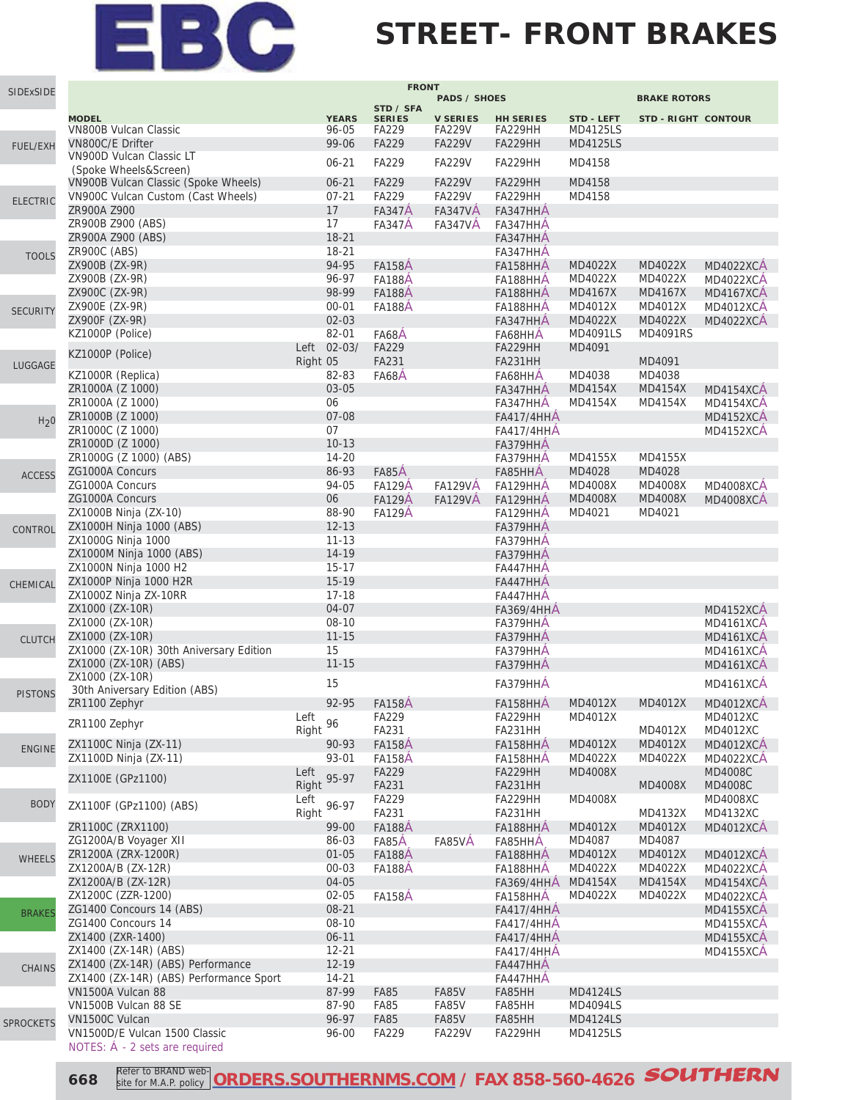

#### **STREET- FRONT BRAKES**

| SIDExSIDE        |                                                            |                        | <b>FRONT</b>           |                                  |                                        |                                    |                            |                                      |
|------------------|------------------------------------------------------------|------------------------|------------------------|----------------------------------|----------------------------------------|------------------------------------|----------------------------|--------------------------------------|
|                  |                                                            |                        | STD / SFA              | <b>PADS / SHOES</b>              |                                        |                                    | <b>BRAKE ROTORS</b>        |                                      |
|                  | <b>MODEL</b>                                               | <b>YEARS</b>           | <b>SERIES</b>          | <b>V SERIES</b>                  | <b>HH SERIES</b>                       | <b>STD - LEFT</b>                  | <b>STD - RIGHT CONTOUR</b> |                                      |
|                  | <b>VN800B Vulcan Classic</b><br>VN800C/E Drifter           | 96-05<br>99-06         | FA229<br><b>FA229</b>  | <b>FA229V</b><br><b>FA229V</b>   | FA229HH<br>FA229HH                     | <b>MD4125LS</b><br><b>MD4125LS</b> |                            |                                      |
| <b>FUEL/EXH</b>  | VN900D Vulcan Classic LT                                   |                        |                        |                                  |                                        |                                    |                            |                                      |
|                  | (Spoke Wheels&Screen)                                      | $06 - 21$              | FA229                  | <b>FA229V</b>                    | FA229HH                                | MD4158                             |                            |                                      |
|                  | VN900B Vulcan Classic (Spoke Wheels)                       | $06 - 21$              | <b>FA229</b>           | <b>FA229V</b>                    | FA229HH                                | MD4158                             |                            |                                      |
| <b>ELECTRIC</b>  | VN900C Vulcan Custom (Cast Wheels)                         | $07 - 21$              | <b>FA229</b>           | <b>FA229V</b>                    | FA229HH                                | MD4158                             |                            |                                      |
|                  | ZR900A Z900<br>ZR900B Z900 (ABS)                           | 17<br>17               | <b>FA347A</b>          | <b>FA347VA</b><br><b>FA347VA</b> | FA347HHA<br>FA347HHA                   |                                    |                            |                                      |
|                  | ZR900A Z900 (ABS)                                          | $18 - 21$              | <b>FA347A</b>          |                                  | FA347HHA                               |                                    |                            |                                      |
| <b>TOOLS</b>     | ZR900C (ABS)                                               | 18-21                  |                        |                                  | FA347HHA                               |                                    |                            |                                      |
|                  | ZX900B (ZX-9R)                                             | 94-95                  | <b>FA158A</b>          |                                  | FA158HHA                               | MD4022X                            | MD4022X                    | <b>MD4022XCA</b>                     |
|                  | ZX900B (ZX-9R)                                             | 96-97                  | <b>FA188A</b>          |                                  | FA188HHA                               | MD4022X                            | MD4022X                    | <b>MD4022XCA</b>                     |
|                  | ZX900C (ZX-9R)                                             | 98-99                  | <b>FA188A</b>          |                                  | FA188HHA                               | MD4167X                            | MD4167X                    | <b>MD4167XCA</b>                     |
| <b>SECURITY</b>  | ZX900E (ZX-9R)                                             | $00 - 01$<br>$02 - 03$ | <b>FA188A</b>          |                                  | FA188HHA                               | MD4012X                            | MD4012X                    | <b>MD4012XCA</b>                     |
|                  | ZX900F (ZX-9R)<br>KZ1000P (Police)                         | 82-01                  | FA68A                  |                                  | FA347HHA<br>FA68HHA                    | MD4022X<br>MD4091LS                | MD4022X<br><b>MD4091RS</b> | <b>MD4022XCA</b>                     |
|                  |                                                            | Left 02-03/            | <b>FA229</b>           |                                  | FA229HH                                | MD4091                             |                            |                                      |
| LUGGAGE          | KZ1000P (Police)                                           | Right 05               | FA231                  |                                  | FA231HH                                |                                    | MD4091                     |                                      |
|                  | KZ1000R (Replica)                                          | 82-83                  | FA68A                  |                                  | FA68HHA                                | MD4038                             | MD4038                     |                                      |
|                  | ZR1000A (Z 1000)                                           | 03-05                  |                        |                                  | FA347HHA                               | MD4154X                            | <b>MD4154X</b>             | <b>MD4154XCA</b>                     |
|                  | ZR1000A (Z 1000)                                           | 06                     |                        |                                  | FA347HHA                               | MD4154X                            | MD4154X                    | <b>MD4154XCA</b>                     |
| H <sub>2</sub> 0 | ZR1000B (Z 1000)                                           | 07-08<br>07            |                        |                                  | <b>FA417/4HHA</b>                      |                                    |                            | MD4152XCA                            |
|                  | ZR1000C (Z 1000)<br>ZR1000D (Z 1000)                       | $10-13$                |                        |                                  | <b>FA417/4HHA</b><br>FA379HHA          |                                    |                            | <b>MD4152XCA</b>                     |
|                  | ZR1000G (Z 1000) (ABS)                                     | $14 - 20$              |                        |                                  | FA379HHA                               | MD4155X                            | MD4155X                    |                                      |
| <b>ACCESS</b>    | ZG1000A Concurs                                            | 86-93                  | FA85A                  |                                  | FA85HHA                                | MD4028                             | MD4028                     |                                      |
|                  | ZG1000A Concurs                                            | 94-05                  | <b>FA129A</b>          | <b>FA129VA</b>                   | FA129HHA                               | MD4008X                            | <b>MD4008X</b>             | <b>MD4008XCA</b>                     |
|                  | ZG1000A Concurs                                            | 06                     | <b>FA129A</b>          | <b>FA129VA</b>                   | FA129HHA                               | <b>MD4008X</b>                     | <b>MD4008X</b>             | <b>MD4008XCA</b>                     |
|                  | ZX1000B Ninja (ZX-10)                                      | 88-90                  | <b>FA129A</b>          |                                  | FA129HHA                               | MD4021                             | MD4021                     |                                      |
| CONTROL          | ZX1000H Ninja 1000 (ABS)<br>ZX1000G Ninja 1000             | $12 - 13$<br>$11 - 13$ |                        |                                  | FA379HHA<br>FA379HHA                   |                                    |                            |                                      |
|                  | ZX1000M Ninja 1000 (ABS)                                   | 14-19                  |                        |                                  | FA379HHA                               |                                    |                            |                                      |
|                  | ZX1000N Ninja 1000 H2                                      | $15 - 17$              |                        |                                  | FA447HHA                               |                                    |                            |                                      |
| CHEMICAL         | ZX1000P Ninja 1000 H2R                                     | $15-19$                |                        |                                  | FA447HHA                               |                                    |                            |                                      |
|                  | ZX1000Z Ninja ZX-10RR                                      | $17 - 18$              |                        |                                  | FA447HHA                               |                                    |                            |                                      |
|                  | ZX1000 (ZX-10R)                                            | 04-07                  |                        |                                  | <b>FA369/4HHA</b>                      |                                    |                            | <b>MD4152XCA</b>                     |
|                  | ZX1000 (ZX-10R)                                            | 08-10                  |                        |                                  | FA379HHA                               |                                    |                            | <b>MD4161XCA</b>                     |
| <b>CLUTCH</b>    | ZX1000 (ZX-10R)<br>ZX1000 (ZX-10R) 30th Aniversary Edition | $11 - 15$<br>15        |                        |                                  | FA379HHA<br>FA379HHA                   |                                    |                            | <b>MD4161XCÁ</b><br><b>MD4161XCA</b> |
|                  | ZX1000 (ZX-10R) (ABS)                                      | $11 - 15$              |                        |                                  | FA379HHA                               |                                    |                            | <b>MD4161XCA</b>                     |
|                  | ZX1000 (ZX-10R)                                            | 15                     |                        |                                  |                                        |                                    |                            |                                      |
| <b>PISTONS</b>   | 30th Aniversary Edition (ABS)                              |                        |                        |                                  | FA379HHA                               |                                    |                            | <b>MD4161XCA</b>                     |
|                  | ZR1100 Zephyr                                              | 92-95                  | <b>FA158A</b>          |                                  | FA158HHA                               | MD4012X                            | MD4012X                    | <b>MD4012XCA</b>                     |
|                  | ZR1100 Zephyr                                              | Left<br>96<br>Right    | FA229<br>FA231         |                                  | FA229HH<br>FA231HH                     | MD4012X                            | MD4012X                    | MD4012XC<br>MD4012XC                 |
|                  | ZX1100C Ninja (ZX-11)                                      | 90-93                  | <b>FA158A</b>          |                                  | FA158HHA                               | MD4012X                            | MD4012X                    | <b>MD4012XCA</b>                     |
| <b>ENGINE</b>    | ZX1100D Ninja (ZX-11)                                      | 93-01                  | <b>FA158A</b>          |                                  | FA158HHA                               | MD4022X                            | MD4022X                    | <b>MD4022XCA</b>                     |
|                  | ZX1100E (GPz1100)                                          | Left<br>95-97          | FA229                  |                                  | FA229HH                                | <b>MD4008X</b>                     |                            | <b>MD4008C</b>                       |
|                  |                                                            | Right                  | FA231                  |                                  | FA231HH                                |                                    | <b>MD4008X</b>             | MD4008C                              |
| <b>BODY</b>      | ZX1100F (GPz1100) (ABS)                                    | Left<br>96-97          | FA229                  |                                  | FA229HH                                | MD4008X                            |                            | MD4008XC                             |
|                  | ZR1100C (ZRX1100)                                          | Right<br>99-00         | FA231<br><b>FA188A</b> |                                  | FA231HH<br>FA188HHA                    | MD4012X                            | MD4132X<br>MD4012X         | MD4132XC<br><b>MD4012XCA</b>         |
|                  | ZG1200A/B Voyager XII                                      | 86-03                  | FA85A                  | FA85VA                           | FA85HHA                                | MD4087                             | MD4087                     |                                      |
| <b>WHEELS</b>    | ZR1200A (ZRX-1200R)                                        | $01 - 05$              | <b>FA188A</b>          |                                  | FA188HHÁ                               | MD4012X                            | MD4012X                    | <b>MD4012XCA</b>                     |
|                  | ZX1200A/B (ZX-12R)                                         | 00-03                  | <b>FA188A</b>          |                                  | FA188HHA                               | MD4022X                            | MD4022X                    | <b>MD4022XCA</b>                     |
|                  | ZX1200A/B (ZX-12R)                                         | 04-05                  |                        |                                  | <b>FA369/4HHA</b>                      | MD4154X                            | MD4154X                    | MD4154XCA                            |
|                  | ZX1200C (ZZR-1200)                                         | $02 - 05$              | <b>FA158A</b>          |                                  | FA158HHA                               | MD4022X                            | MD4022X                    | <b>MD4022XCA</b>                     |
| <b>BRAKES</b>    | ZG1400 Concours 14 (ABS)<br>ZG1400 Concours 14             | 08-21<br>08-10         |                        |                                  | <b>FA417/4HHA</b>                      |                                    |                            | MD4155XCA                            |
|                  | ZX1400 (ZXR-1400)                                          | $06 - 11$              |                        |                                  | <b>FA417/4HHA</b><br><b>FA417/4HHA</b> |                                    |                            | <b>MD4155XCA</b><br><b>MD4155XCA</b> |
|                  | ZX1400 (ZX-14R) (ABS)                                      | $12 - 21$              |                        |                                  | <b>FA417/4HHA</b>                      |                                    |                            | MD4155XCA                            |
| <b>CHAINS</b>    | ZX1400 (ZX-14R) (ABS) Performance                          | 12-19                  |                        |                                  | FA447HHA                               |                                    |                            |                                      |
|                  | ZX1400 (ZX-14R) (ABS) Performance Sport                    | $14 - 21$              |                        |                                  | FA447HHA                               |                                    |                            |                                      |
|                  | VN1500A Vulcan 88                                          | 87-99                  | <b>FA85</b>            | <b>FA85V</b>                     | FA85HH                                 | <b>MD4124LS</b>                    |                            |                                      |
|                  | VN1500B Vulcan 88 SE                                       | 87-90                  | <b>FA85</b>            | FA85V                            | FA85HH                                 | <b>MD4094LS</b>                    |                            |                                      |
| <b>SPROCKETS</b> | VN1500C Vulcan<br>VN1500D/E Vulcan 1500 Classic            | 96-97<br>96-00         | <b>FA85</b><br>FA229   | FA85V<br><b>FA229V</b>           | FA85HH<br>FA229HH                      | <b>MD4124LS</b><br>MD4125LS        |                            |                                      |
|                  | NOTES: $\dot{A}$ - 2 sets are required                     |                        |                        |                                  |                                        |                                    |                            |                                      |

**668 South A.P.** policy **ORDERS.SOUTHERNMS.COM** / FAX 858-560-4626 **SOUTHERN** site for M.A.P. policy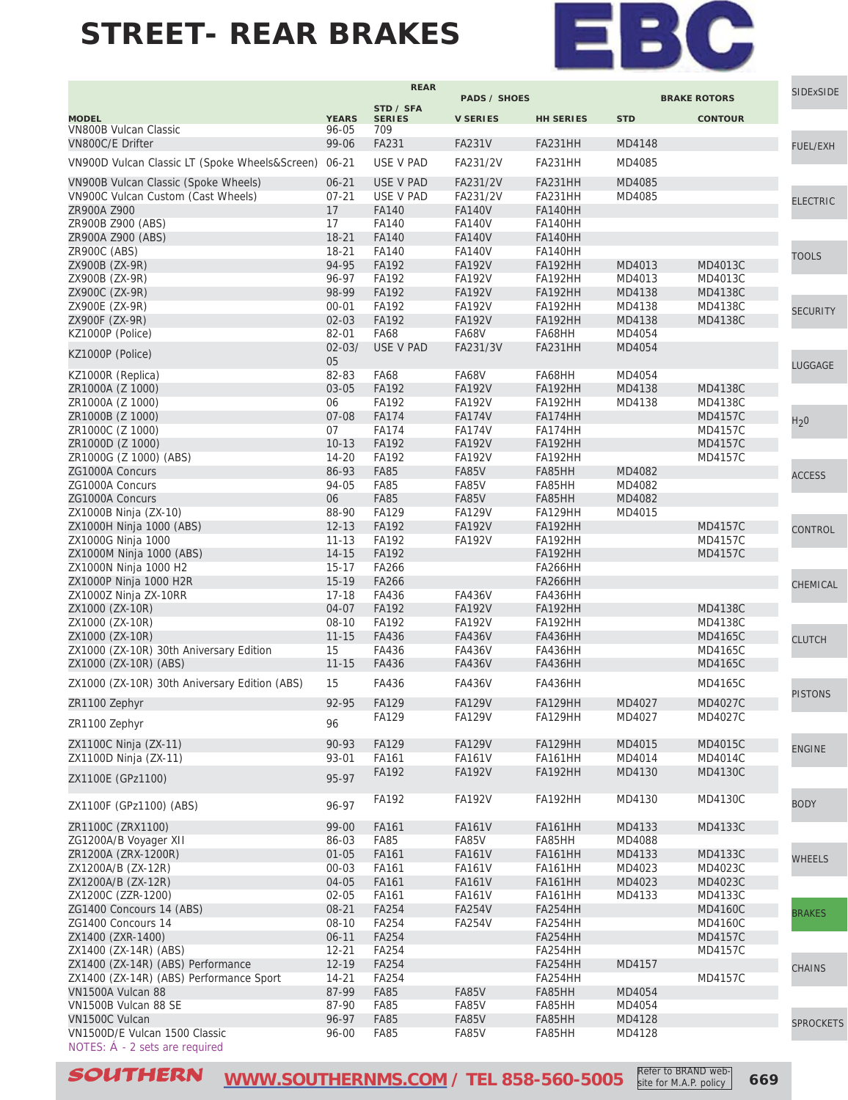

|                                                              |                      | <b>REAR</b>                  | <b>PADS / SHOES</b>            |                           |                  |                                  | SIDExSIDE        |
|--------------------------------------------------------------|----------------------|------------------------------|--------------------------------|---------------------------|------------------|----------------------------------|------------------|
|                                                              |                      | STD / SFA                    |                                |                           |                  | <b>BRAKE ROTORS</b>              |                  |
| <b>MODEL</b>                                                 | <b>YEARS</b>         | <b>SERIES</b>                | <b>V SERIES</b>                | <b>HH SERIES</b>          | <b>STD</b>       | <b>CONTOUR</b>                   |                  |
| <b>VN800B Vulcan Classic</b>                                 | 96-05<br>99-06       | 709<br>FA231                 |                                |                           |                  |                                  |                  |
| VN800C/E Drifter                                             |                      |                              | <b>FA231V</b>                  | FA231HH                   | MD4148           |                                  | <b>FUEL/EXH</b>  |
| VN900D Vulcan Classic LT (Spoke Wheels&Screen)               | $06 - 21$            | USE V PAD                    | FA231/2V                       | FA231HH                   | MD4085           |                                  |                  |
| VN900B Vulcan Classic (Spoke Wheels)                         | $06 - 21$            | <b>USE V PAD</b>             | FA231/2V                       | <b>FA231HH</b>            | MD4085           |                                  |                  |
| VN900C Vulcan Custom (Cast Wheels)                           | $07 - 21$            | USE V PAD                    | FA231/2V                       | FA231HH                   | MD4085           |                                  | <b>ELECTRIC</b>  |
| ZR900A Z900                                                  | 17                   | <b>FA140</b>                 | <b>FA140V</b>                  | <b>FA140HH</b>            |                  |                                  |                  |
| ZR900B Z900 (ABS)                                            | 17                   | <b>FA140</b>                 | <b>FA140V</b>                  | <b>FA140HH</b>            |                  |                                  |                  |
| ZR900A Z900 (ABS)                                            | $18 - 21$            | <b>FA140</b>                 | <b>FA140V</b>                  | <b>FA140HH</b>            |                  |                                  |                  |
| ZR900C (ABS)                                                 | 18-21                | FA140                        | <b>FA140V</b>                  | <b>FA140HH</b>            |                  |                                  | <b>TOOLS</b>     |
| ZX900B (ZX-9R)<br>ZX900B (ZX-9R)                             | 94-95<br>96-97       | FA192<br>FA192               | <b>FA192V</b><br><b>FA192V</b> | <b>FA192HH</b><br>FA192HH | MD4013<br>MD4013 | MD4013C<br>MD4013C               |                  |
| ZX900C (ZX-9R)                                               | 98-99                | FA192                        | <b>FA192V</b>                  | <b>FA192HH</b>            | MD4138           | MD4138C                          |                  |
| ZX900E (ZX-9R)                                               | $00 - 01$            | FA192                        | <b>FA192V</b>                  | FA192HH                   | MD4138           | MD4138C                          |                  |
| ZX900F (ZX-9R)                                               | $02 - 03$            | FA192                        | <b>FA192V</b>                  | FA192HH                   | MD4138           | MD4138C                          | <b>SECURITY</b>  |
| KZ1000P (Police)                                             | 82-01                | <b>FA68</b>                  | FA68V                          | FA68HH                    | MD4054           |                                  |                  |
| KZ1000P (Police)                                             | $02 - 03/$           | USE V PAD                    | FA231/3V                       | <b>FA231HH</b>            | MD4054           |                                  |                  |
|                                                              | 05                   |                              |                                |                           |                  |                                  | LUGGAGE          |
| KZ1000R (Replica)                                            | 82-83                | <b>FA68</b>                  | <b>FA68V</b>                   | FA68HH                    | MD4054           |                                  |                  |
| ZR1000A (Z 1000)                                             | 03-05                | FA192                        | <b>FA192V</b>                  | FA192HH                   | MD4138           | MD4138C                          |                  |
| ZR1000A (Z 1000)                                             | 06                   | FA192                        | <b>FA192V</b>                  | FA192HH                   | MD4138           | MD4138C                          |                  |
| ZR1000B (Z 1000)                                             | 07-08<br>07          | <b>FA174</b><br><b>FA174</b> | <b>FA174V</b>                  | FA174HH                   |                  | <b>MD4157C</b><br><b>MD4157C</b> | H <sub>2</sub> 0 |
| ZR1000C (Z 1000)<br>ZR1000D (Z 1000)                         | $10-13$              | FA192                        | <b>FA174V</b><br><b>FA192V</b> | FA174HH<br>FA192HH        |                  | <b>MD4157C</b>                   |                  |
| ZR1000G (Z 1000) (ABS)                                       | 14-20                | FA192                        | <b>FA192V</b>                  | FA192HH                   |                  | MD4157C                          |                  |
| ZG1000A Concurs                                              | 86-93                | <b>FA85</b>                  | FA85V                          | FA85HH                    | MD4082           |                                  |                  |
| ZG1000A Concurs                                              | 94-05                | <b>FA85</b>                  | FA85V                          | FA85HH                    | MD4082           |                                  | <b>ACCESS</b>    |
| ZG1000A Concurs                                              | 06                   | <b>FA85</b>                  | <b>FA85V</b>                   | FA85HH                    | MD4082           |                                  |                  |
| ZX1000B Ninja (ZX-10)                                        | 88-90                | FA129                        | <b>FA129V</b>                  | <b>FA129HH</b>            | MD4015           |                                  |                  |
| ZX1000H Ninja 1000 (ABS)                                     | $12 - 13$            | FA192                        | <b>FA192V</b>                  | FA192HH                   |                  | MD4157C                          | CONTROL          |
| ZX1000G Ninja 1000                                           | $11 - 13$            | FA192                        | <b>FA192V</b>                  | FA192HH                   |                  | <b>MD4157C</b>                   |                  |
| ZX1000M Ninja 1000 (ABS)                                     | $14 - 15$            | FA192                        |                                | FA192HH                   |                  | <b>MD4157C</b>                   |                  |
| ZX1000N Ninja 1000 H2                                        | $15 - 17$            | FA266                        |                                | <b>FA266HH</b>            |                  |                                  |                  |
| ZX1000P Ninja 1000 H2R<br>ZX1000Z Ninja ZX-10RR              | $15-19$<br>$17 - 18$ | <b>FA266</b><br>FA436        | <b>FA436V</b>                  | <b>FA266HH</b><br>FA436HH |                  |                                  | CHEMICAL         |
| ZX1000 (ZX-10R)                                              | 04-07                | FA192                        | <b>FA192V</b>                  | FA192HH                   |                  | MD4138C                          |                  |
| ZX1000 (ZX-10R)                                              | $08-10$              | FA192                        | <b>FA192V</b>                  | FA192HH                   |                  | MD4138C                          |                  |
| ZX1000 (ZX-10R)                                              | $11 - 15$            | FA436                        | <b>FA436V</b>                  | <b>FA436HH</b>            |                  | MD4165C                          | <b>CLUTCH</b>    |
| ZX1000 (ZX-10R) 30th Aniversary Edition                      | 15                   | FA436                        | <b>FA436V</b>                  | FA436HH                   |                  | MD4165C                          |                  |
| ZX1000 (ZX-10R) (ABS)                                        | $11 - 15$            | FA436                        | <b>FA436V</b>                  | <b>FA436HH</b>            |                  | MD4165C                          |                  |
| ZX1000 (ZX-10R) 30th Aniversary Edition (ABS)                | 15                   | FA436                        | <b>FA436V</b>                  | FA436HH                   |                  | MD4165C                          |                  |
| ZR1100 Zephyr                                                | 92-95                | FA129                        | <b>FA129V</b>                  | <b>FA129HH</b>            | MD4027           | MD4027C                          | <b>PISTONS</b>   |
|                                                              |                      | <b>FA129</b>                 | <b>FA129V</b>                  | FATZ9HH                   | MD4027           | <b>MD4027C</b>                   |                  |
| ZR1100 Zephyr                                                | 96                   |                              |                                |                           |                  |                                  |                  |
| ZX1100C Ninja (ZX-11)                                        | 90-93                | <b>FA129</b>                 | <b>FA129V</b>                  | <b>FA129HH</b>            | MD4015           | MD4015C                          | <b>ENGINE</b>    |
| ZX1100D Ninja (ZX-11)                                        | 93-01                | FA161                        | <b>FA161V</b>                  | <b>FA161HH</b>            | MD4014           | MD4014C                          |                  |
| ZX1100E (GPz1100)                                            | 95-97                | FA192                        | <b>FA192V</b>                  | FA192HH                   | MD4130           | MD4130C                          |                  |
|                                                              |                      |                              |                                |                           |                  |                                  |                  |
| ZX1100F (GPz1100) (ABS)                                      | 96-97                | FA192                        | <b>FA192V</b>                  | FA192HH                   | MD4130           | MD4130C                          | <b>BODY</b>      |
|                                                              |                      |                              |                                |                           |                  |                                  |                  |
| ZR1100C (ZRX1100)<br>ZG1200A/B Voyager XII                   | 99-00<br>86-03       | FA161<br>FA85                | <b>FA161V</b><br>FA85V         | <b>FA161HH</b><br>FA85HH  | MD4133<br>MD4088 | MD4133C                          |                  |
| ZR1200A (ZRX-1200R)                                          | $01 - 05$            | FA161                        | <b>FA161V</b>                  | <b>FA161HH</b>            | MD4133           | MD4133C                          |                  |
| ZX1200A/B (ZX-12R)                                           | $00 - 03$            | FA161                        | <b>FA161V</b>                  | <b>FA161HH</b>            | MD4023           | MD4023C                          | <b>WHEELS</b>    |
| ZX1200A/B (ZX-12R)                                           | $04 - 05$            | FA161                        | <b>FA161V</b>                  | <b>FA161HH</b>            | MD4023           | MD4023C                          |                  |
| ZX1200C (ZZR-1200)                                           | $02 - 05$            | FA161                        | <b>FA161V</b>                  | <b>FA161HH</b>            | MD4133           | MD4133C                          |                  |
| ZG1400 Concours 14 (ABS)                                     | 08-21                | FA254                        | <b>FA254V</b>                  | FA254HH                   |                  | <b>MD4160C</b>                   | <b>BRAKES</b>    |
| ZG1400 Concours 14                                           | 08-10                | FA254                        | <b>FA254V</b>                  | FA254HH                   |                  | MD4160C                          |                  |
| ZX1400 (ZXR-1400)                                            | $06 - 11$            | <b>FA254</b>                 |                                | FA254HH                   |                  | <b>MD4157C</b>                   |                  |
| ZX1400 (ZX-14R) (ABS)                                        | $12 - 21$            | <b>FA254</b>                 |                                | FA254HH                   |                  | MD4157C                          |                  |
| ZX1400 (ZX-14R) (ABS) Performance                            | 12-19                | FA254                        |                                | FA254HH                   | MD4157           |                                  | <b>CHAINS</b>    |
| ZX1400 (ZX-14R) (ABS) Performance Sport<br>VN1500A Vulcan 88 | $14 - 21$<br>87-99   | <b>FA254</b><br><b>FA85</b>  | FA85V                          | FA254HH<br>FA85HH         | MD4054           | MD4157C                          |                  |
| VN1500B Vulcan 88 SE                                         | 87-90                | <b>FA85</b>                  | FA85V                          | FA85HH                    | MD4054           |                                  |                  |
| VN1500C Vulcan                                               | 96-97                | <b>FA85</b>                  | FA85V                          | FA85HH                    | MD4128           |                                  |                  |
| VN1500D/E Vulcan 1500 Classic                                | 96-00                | <b>FA85</b>                  | FA85V                          | FA85HH                    | MD4128           |                                  | <b>SPROCKETS</b> |
| NOTES: Á - 2 sets are required                               |                      |                              |                                |                           |                  |                                  |                  |

**SOUTHERN** [WWW.SOUTHERNMS.COM](http://m.southernms.com) / TEL 858-560-5005 Refer to BRAND Web-<br>
669 Refer to BRAND website for M.A.P. policy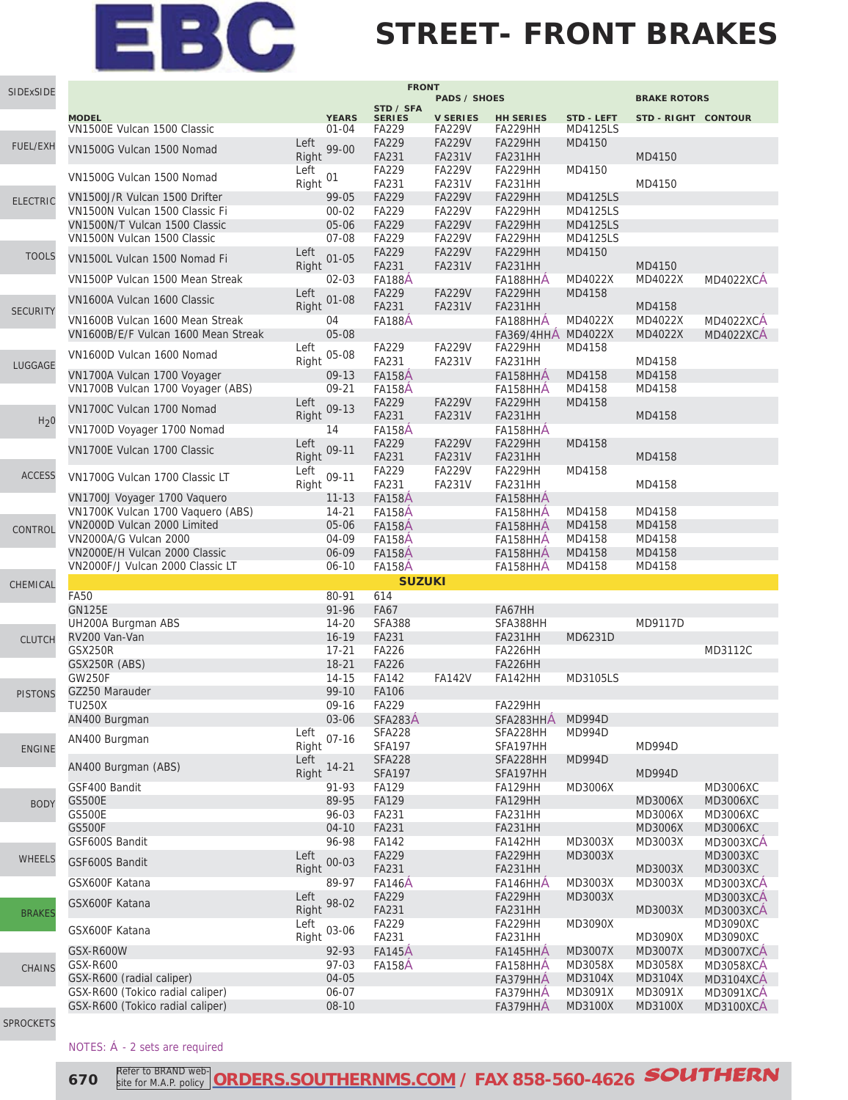### **STREET- FRONT BRAKES**

| SIDExSIDE        |                                                                        |               |                           | <b>FRONT</b>           |                                  |                               |                                    |                     |                                      |
|------------------|------------------------------------------------------------------------|---------------|---------------------------|------------------------|----------------------------------|-------------------------------|------------------------------------|---------------------|--------------------------------------|
|                  |                                                                        |               |                           | STD / SFA              | <b>PADS / SHOES</b>              |                               |                                    | <b>BRAKE ROTORS</b> |                                      |
|                  | <b>MODEL</b><br>VN1500E Vulcan 1500 Classic                            |               | <b>YEARS</b><br>$01 - 04$ | <b>SERIES</b><br>FA229 | <b>V SERIES</b><br><b>FA229V</b> | <b>HH SERIES</b><br>FA229HH   | <b>STD - LEFT</b><br>MD4125LS      | STD-RIGHT CONTOUR   |                                      |
|                  |                                                                        | Left          |                           | <b>FA229</b>           | <b>FA229V</b>                    | FA229HH                       | MD4150                             |                     |                                      |
| <b>FUEL/EXH</b>  | VN1500G Vulcan 1500 Nomad                                              | Right         | 99-00                     | FA231                  | <b>FA231V</b>                    | FA231HH                       |                                    | MD4150              |                                      |
|                  | VN1500G Vulcan 1500 Nomad                                              | Left          | 01                        | <b>FA229</b>           | FA229V                           | <b>FA229HH</b>                | MD4150                             |                     |                                      |
|                  |                                                                        | Right         |                           | FA231                  | <b>FA231V</b>                    | FA231HH                       |                                    | MD4150              |                                      |
| <b>ELECTRIC</b>  | VN1500J/R Vulcan 1500 Drifter                                          |               | 99-05                     | FA229                  | <b>FA229V</b>                    | FA229HH                       | <b>MD4125LS</b>                    |                     |                                      |
|                  | VN1500N Vulcan 1500 Classic Fi                                         |               | $00 - 02$                 | <b>FA229</b>           | <b>FA229V</b>                    | FA229HH                       | MD4125LS                           |                     |                                      |
|                  | VN1500N/T Vulcan 1500 Classic<br>VN1500N Vulcan 1500 Classic           |               | 05-06<br>07-08            | FA229<br>FA229         | <b>FA229V</b><br><b>FA229V</b>   | FA229HH<br>FA229HH            | <b>MD4125LS</b><br><b>MD4125LS</b> |                     |                                      |
| <b>TOOLS</b>     |                                                                        | Left          |                           | <b>FA229</b>           | <b>FA229V</b>                    | <b>FA229HH</b>                | MD4150                             |                     |                                      |
|                  | VN1500L Vulcan 1500 Nomad Fi                                           | Right         | $01 - 05$                 | FA231                  | <b>FA231V</b>                    | FA231HH                       |                                    | MD4150              |                                      |
|                  | VN1500P Vulcan 1500 Mean Streak                                        |               | $02 - 03$                 | <b>FA188A</b>          |                                  | FA188HHA                      | MD4022X                            | MD4022X             | <b>MD4022XCA</b>                     |
|                  | VN1600A Vulcan 1600 Classic                                            | Left          | $01 - 08$                 | FA229                  | <b>FA229V</b>                    | FA229HH                       | MD4158                             |                     |                                      |
| <b>SECURITY</b>  |                                                                        | Right         |                           | FA231                  | <b>FA231V</b>                    | FA231HH                       | MD4022X                            | MD4158              |                                      |
|                  | VN1600B Vulcan 1600 Mean Streak<br>VN1600B/E/F Vulcan 1600 Mean Streak |               | 04<br>05-08               | <b>FA188A</b>          |                                  | FA188HHA<br><b>FA369/4HHA</b> | MD4022X                            | MD4022X<br>MD4022X  | <b>MD4022XCA</b><br><b>MD4022XCA</b> |
|                  |                                                                        | Left          |                           | FA229                  | <b>FA229V</b>                    | FA229HH                       | MD4158                             |                     |                                      |
| LUGGAGE          | VN1600D Vulcan 1600 Nomad                                              | Right         | 05-08                     | FA231                  | <b>FA231V</b>                    | FA231HH                       |                                    | MD4158              |                                      |
|                  | VN1700A Vulcan 1700 Voyager                                            |               | 09-13                     | <b>FA158A</b>          |                                  | FA158HHA                      | MD4158                             | MD4158              |                                      |
|                  | VN1700B Vulcan 1700 Voyager (ABS)                                      |               | $09 - 21$                 | <b>FA158A</b>          |                                  | FA158HHA                      | MD4158                             | MD4158              |                                      |
|                  | VN1700C Vulcan 1700 Nomad                                              | Left          | $09 - 13$                 | FA229                  | <b>FA229V</b>                    | FA229HH                       | MD4158                             |                     |                                      |
| H <sub>2</sub> 0 |                                                                        | Right         |                           | FA231                  | <b>FA231V</b>                    | <b>FA231HH</b>                |                                    | MD4158              |                                      |
|                  | VN1700D Voyager 1700 Nomad                                             |               | 14                        | <b>FA158A</b>          |                                  | FA158HHA                      |                                    |                     |                                      |
|                  | VN1700E Vulcan 1700 Classic                                            | Left<br>Right | 09-11                     | <b>FA229</b>           | <b>FA229V</b>                    | FA229HH<br><b>FA231HH</b>     | MD4158                             |                     |                                      |
|                  |                                                                        | Left          |                           | FA231<br>FA229         | <b>FA231V</b><br>FA229V          | FA229HH                       | MD4158                             | MD4158              |                                      |
| <b>ACCESS</b>    | VN1700G Vulcan 1700 Classic LT                                         | Right         | 09-11                     | FA231                  | FA231V                           | FA231HH                       |                                    | MD4158              |                                      |
|                  | VN1700J Voyager 1700 Vaquero                                           |               | $11 - 13$                 | <b>FA158A</b>          |                                  | FA158HHA                      |                                    |                     |                                      |
|                  | VN1700K Vulcan 1700 Vaquero (ABS)                                      |               | $14 - 21$                 | <b>FA158A</b>          |                                  | FA158HHA                      | MD4158                             | MD4158              |                                      |
| CONTROL          | VN2000D Vulcan 2000 Limited                                            |               | 05-06                     | <b>FA158A</b>          |                                  | FA158HHA                      | MD4158                             | MD4158              |                                      |
|                  | VN2000A/G Vulcan 2000                                                  |               | 04-09                     | <b>FA158A</b>          |                                  | FA158HHA                      | MD4158                             | MD4158              |                                      |
|                  | VN2000E/H Vulcan 2000 Classic                                          |               | 06-09                     | <b>FA158A</b>          |                                  | FA158HHA                      | MD4158                             | MD4158              |                                      |
|                  | VN2000F/J Vulcan 2000 Classic LT                                       |               | $06 - 10$                 | <b>FA158A</b>          |                                  | FA158HHA                      | MD4158                             | MD4158              |                                      |
| CHEMICAL         | <b>FA50</b>                                                            |               | 80-91                     | <b>SUZUKI</b><br>614   |                                  |                               |                                    |                     |                                      |
|                  | <b>GN125E</b>                                                          |               | 91-96                     | <b>FA67</b>            |                                  | FA67HH                        |                                    |                     |                                      |
|                  | UH200A Burgman ABS                                                     |               | $14 - 20$                 | <b>SFA388</b>          |                                  | SFA388HH                      |                                    | MD9117D             |                                      |
| <b>CLUTCH</b>    | RV200 Van-Van                                                          |               | $16 - 19$                 | FA231                  |                                  | FA231HH                       | MD6231D                            |                     |                                      |
|                  | GSX250R                                                                |               | $17 - 21$                 | <b>FA226</b>           |                                  | FA226HH                       |                                    |                     | MD3112C                              |
|                  | GSX250R (ABS)                                                          |               | $18 - 21$                 | <b>FA226</b>           |                                  | FA226HH                       |                                    |                     |                                      |
|                  | <b>GW250F</b>                                                          |               | 14-15                     | FA142                  | <b>FA142V</b>                    | FA142HH                       | MD3105LS                           |                     |                                      |
| <b>PISTONS</b>   | GZ250 Marauder                                                         |               | 99-10                     | <b>FA106</b>           |                                  |                               |                                    |                     |                                      |
|                  | <b>TU250X</b><br>AN400 Burgman                                         |               | 09-16<br>03-06            | FA229<br>SFA283A       |                                  | FA229HH<br>SFA283HHA          | <b>MD994D</b>                      |                     |                                      |
|                  |                                                                        | Left          |                           | <b>SFA228</b>          |                                  | SFA228HH                      | MD994D                             |                     |                                      |
| <b>ENGINE</b>    | AN400 Burgman                                                          | Right         | $07 - 16$                 | <b>SFA197</b>          |                                  | SFA197HH                      |                                    | MD994D              |                                      |
|                  | AN400 Burgman (ABS)                                                    | Left          | $14 - 21$                 | <b>SFA228</b>          |                                  | SFA228HH                      | MD994D                             |                     |                                      |
|                  |                                                                        | Right         |                           | <b>SFA197</b>          |                                  | SFA197HH                      |                                    | MD994D              |                                      |
|                  | GSF400 Bandit                                                          |               | 91-93                     | <b>FA129</b>           |                                  | FA129HH                       | MD3006X                            |                     | MD3006XC                             |
| <b>BODY</b>      | <b>GS500E</b>                                                          |               | 89-95<br>96-03            | FA129                  |                                  | <b>FA129HH</b>                |                                    | MD3006X             | MD3006XC                             |
|                  | <b>GS500E</b><br><b>GS500F</b>                                         |               | $04 - 10$                 | FA231<br>FA231         |                                  | FA231HH<br>FA231HH            |                                    | MD3006X<br>MD3006X  | MD3006XC<br>MD3006XC                 |
|                  | GSF600S Bandit                                                         |               | 96-98                     | <b>FA142</b>           |                                  | FA142HH                       | MD3003X                            | MD3003X             | <b>MD3003XCA</b>                     |
| <b>WHEELS</b>    |                                                                        | Left          |                           | FA229                  |                                  | FA229HH                       | MD3003X                            |                     | MD3003XC                             |
|                  | GSF600S Bandit                                                         | Right         | $00 - 03$                 | FA231                  |                                  | FA231HH                       |                                    | MD3003X             | MD3003XC                             |
|                  | GSX600F Katana                                                         |               | 89-97                     | <b>FA146A</b>          |                                  | FA146HHA                      | MD3003X                            | MD3003X             | MD3003XCA                            |
|                  | GSX600F Katana                                                         | Left          | 98-02                     | FA229                  |                                  | FA229HH                       | MD3003X                            |                     | <b>MD3003XCA</b>                     |
| <b>BRAKES</b>    |                                                                        | Right         |                           | FA231                  |                                  | FA231HH                       |                                    | MD3003X             | <b>MD3003XCA</b>                     |
|                  | GSX600F Katana                                                         | Left          | 03-06                     | FA229                  |                                  | FA229HH                       | MD3090X                            |                     | MD3090XC                             |
|                  | <b>GSX-R600W</b>                                                       | Right         | 92-93                     | FA231<br><b>FA145A</b> |                                  | FA231HH<br>FA145HHA           | MD3007X                            | MD3090X<br>MD3007X  | MD3090XC<br><b>MD3007XCA</b>         |
|                  | GSX-R600                                                               |               | 97-03                     | <b>FA158A</b>          |                                  | FA158HHA                      | MD3058X                            | MD3058X             | <b>MD3058XCA</b>                     |
| <b>CHAINS</b>    | GSX-R600 (radial caliper)                                              |               | 04-05                     |                        |                                  | FA379HHA                      | MD3104X                            | MD3104X             | MD3104XCA                            |
|                  | GSX-R600 (Tokico radial caliper)                                       |               | 06-07                     |                        |                                  | FA379HHA                      | MD3091X                            | MD3091X             | <b>MD3091XCA</b>                     |
|                  | GSX-R600 (Tokico radial caliper)                                       |               | $08 - 10$                 |                        |                                  | FA379HHA                      | MD3100X                            | MD3100X             | MD3100XCA                            |
|                  |                                                                        |               |                           |                        |                                  |                               |                                    |                     |                                      |

[SPROCKETS](http://www.southernms.com/wp-content/uploads/2015/08/18_sprockets.pdf)

#### NOTES: Á - 2 sets are required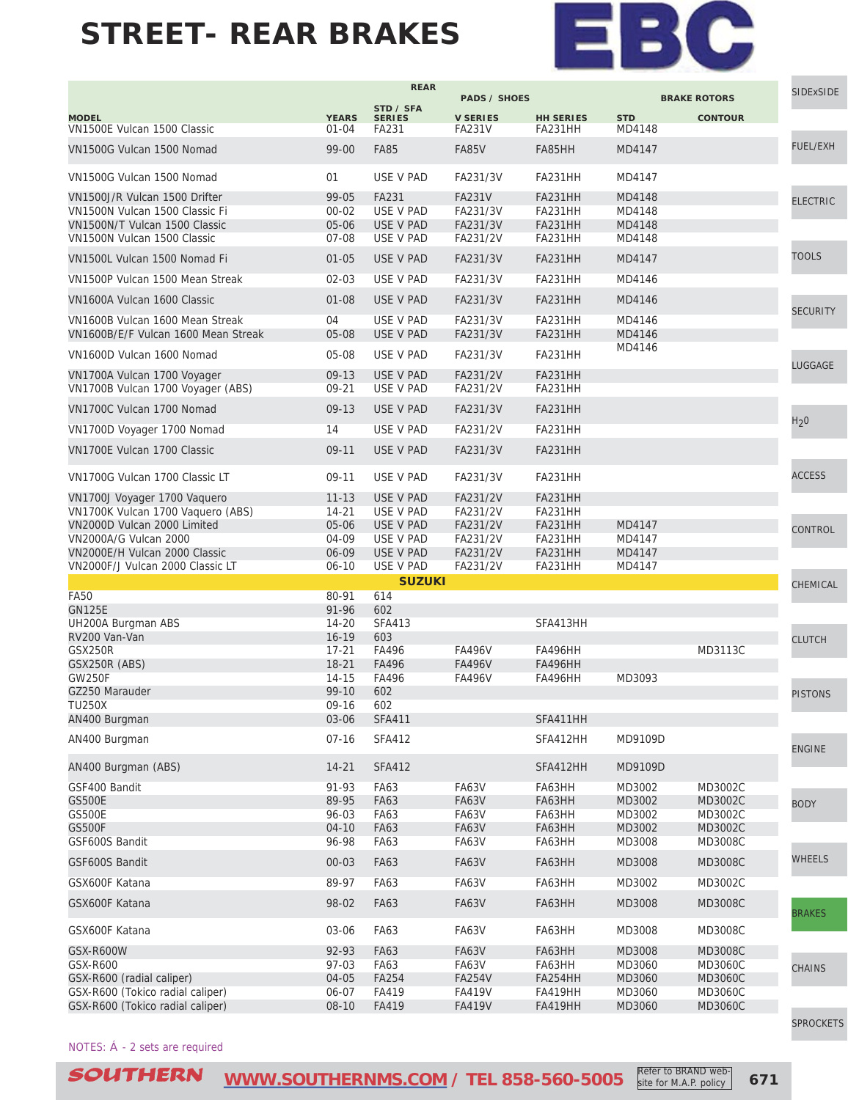

|                                                                        |                           | <b>REAR</b>            | <b>PADS / SHOES</b>              |                             |                      | <b>BRAKE ROTORS</b> | <b>SIDExSIDE</b> |
|------------------------------------------------------------------------|---------------------------|------------------------|----------------------------------|-----------------------------|----------------------|---------------------|------------------|
|                                                                        |                           | STD / SFA              |                                  |                             |                      |                     |                  |
| <b>MODEL</b><br>VN1500E Vulcan 1500 Classic                            | <b>YEARS</b><br>$01 - 04$ | <b>SERIES</b><br>FA231 | <b>V SERIES</b><br><b>FA231V</b> | <b>HH SERIES</b><br>FA231HH | <b>STD</b><br>MD4148 | <b>CONTOUR</b>      |                  |
| VN1500G Vulcan 1500 Nomad                                              | 99-00                     | <b>FA85</b>            | <b>FA85V</b>                     | FA85HH                      | MD4147               |                     | <b>FUEL/EXH</b>  |
| VN1500G Vulcan 1500 Nomad                                              | 01                        | USE V PAD              | FA231/3V                         | FA231HH                     | MD4147               |                     |                  |
| VN1500J/R Vulcan 1500 Drifter                                          | 99-05                     | FA231                  | <b>FA231V</b>                    | <b>FA231HH</b>              | MD4148               |                     | <b>ELECTRIC</b>  |
| VN1500N Vulcan 1500 Classic Fi                                         | $00 - 02$                 | USE V PAD              | FA231/3V                         | FA231HH                     | MD4148               |                     |                  |
| VN1500N/T Vulcan 1500 Classic                                          | 05-06                     | USE V PAD              | FA231/3V                         | <b>FA231HH</b>              | MD4148               |                     |                  |
| VN1500N Vulcan 1500 Classic                                            | 07-08                     | USE V PAD              | FA231/2V                         | FA231HH                     | MD4148               |                     |                  |
| VN1500L Vulcan 1500 Nomad Fi                                           | $01 - 05$                 | USE V PAD              | FA231/3V                         | <b>FA231HH</b>              | MD4147               |                     | <b>TOOLS</b>     |
| VN1500P Vulcan 1500 Mean Streak                                        | $02 - 03$                 | USE V PAD              | FA231/3V                         | FA231HH                     | MD4146               |                     |                  |
| VN1600A Vulcan 1600 Classic                                            | $01 - 08$                 | USE V PAD              | FA231/3V                         | <b>FA231HH</b>              | MD4146               |                     | <b>SECURITY</b>  |
| VN1600B Vulcan 1600 Mean Streak<br>VN1600B/E/F Vulcan 1600 Mean Streak | 04<br>05-08               | USE V PAD<br>USE V PAD | FA231/3V<br>FA231/3V             | FA231HH<br><b>FA231HH</b>   | MD4146<br>MD4146     |                     |                  |
|                                                                        |                           |                        |                                  |                             | MD4146               |                     |                  |
| VN1600D Vulcan 1600 Nomad                                              | 05-08                     | USE V PAD              | FA231/3V                         | FA231HH                     |                      |                     | LUGGAGE          |
| VN1700A Vulcan 1700 Voyager                                            | $09-13$                   | USE V PAD              | FA231/2V                         | <b>FA231HH</b>              |                      |                     |                  |
| VN1700B Vulcan 1700 Voyager (ABS)                                      | 09-21                     | USE V PAD              | FA231/2V                         | <b>FA231HH</b>              |                      |                     |                  |
| VN1700C Vulcan 1700 Nomad                                              | $09-13$                   | USE V PAD              | FA231/3V                         | <b>FA231HH</b>              |                      |                     | H <sub>2</sub> 0 |
| VN1700D Voyager 1700 Nomad                                             | 14                        | USE V PAD              | FA231/2V                         | FA231HH                     |                      |                     |                  |
| VN1700E Vulcan 1700 Classic                                            | $09-11$                   | USE V PAD              | FA231/3V                         | FA231HH                     |                      |                     |                  |
| VN1700G Vulcan 1700 Classic LT                                         | 09-11                     | USE V PAD              | FA231/3V                         | <b>FA231HH</b>              |                      |                     | <b>ACCESS</b>    |
| VN1700J Voyager 1700 Vaquero                                           | $11 - 13$                 | USE V PAD              | FA231/2V                         | <b>FA231HH</b>              |                      |                     |                  |
| VN1700K Vulcan 1700 Vaquero (ABS)                                      | 14-21                     | USE V PAD              | FA231/2V                         | FA231HH                     |                      |                     |                  |
| VN2000D Vulcan 2000 Limited                                            | 05-06                     | USE V PAD              | FA231/2V                         | <b>FA231HH</b>              | MD4147               |                     | CONTROL          |
| VN2000A/G Vulcan 2000<br>VN2000E/H Vulcan 2000 Classic                 | 04-09<br>06-09            | USE V PAD<br>USE V PAD | FA231/2V<br>FA231/2V             | FA231HH<br><b>FA231HH</b>   | MD4147<br>MD4147     |                     |                  |
| VN2000F/J Vulcan 2000 Classic LT                                       | $06 - 10$                 | USE V PAD              | FA231/2V                         | FA231HH                     | MD4147               |                     |                  |
|                                                                        |                           | <b>SUZUKI</b>          |                                  |                             |                      |                     | CHEMICAL         |
| <b>FA50</b>                                                            | 80-91                     | 614                    |                                  |                             |                      |                     |                  |
| <b>GN125E</b>                                                          | 91-96                     | 602                    |                                  |                             |                      |                     |                  |
| UH200A Burgman ABS                                                     | 14-20                     | <b>SFA413</b>          |                                  | SFA413HH                    |                      |                     |                  |
| RV200 Van-Van                                                          | $16 - 19$                 | 603                    |                                  |                             |                      |                     | <b>CLUTCH</b>    |
| GSX250R                                                                | $17 - 21$                 | FA496                  | <b>FA496V</b>                    | <b>FA496HH</b>              |                      | MD3113C             |                  |
| <b>GSX250R (ABS)</b><br><b>GW250F</b>                                  | $18 - 21$                 | FA496                  | <b>FA496V</b>                    | <b>FA496HH</b>              |                      |                     |                  |
| GZ250 Marauder                                                         | 14-15<br>99-10            | FA496<br>602           | <b>FA496V</b>                    | <b>FA496HH</b>              | MD3093               |                     |                  |
| <b>TU250X</b>                                                          | 09-16                     | 602                    |                                  |                             |                      |                     | <b>PISTONS</b>   |
| AN400 Burgman                                                          | 03-06                     | <b>SFA411</b>          |                                  | SFA411HH                    |                      |                     |                  |
| AN400 Burgman                                                          | $07 - 16$                 | <b>SFA412</b>          |                                  | SFA412HH                    | MD9109D              |                     |                  |
| AN400 Burgman (ABS)                                                    | $14 - 21$                 | <b>SFA412</b>          |                                  | SFA412HH                    | MD9109D              |                     | <b>ENGINE</b>    |
| GSF400 Bandit                                                          | 91-93                     | FA63                   | <b>FA63V</b>                     | FA63HH                      | MD3002               | MD3002C             |                  |
| <b>GS500E</b>                                                          | 89-95                     | <b>FA63</b>            | <b>FA63V</b>                     | FA63HH                      | MD3002               | MD3002C             | <b>BODY</b>      |
| <b>GS500E</b>                                                          | 96-03                     | FA63                   | FA63V                            | FA63HH                      | MD3002               | MD3002C             |                  |
| <b>GS500F</b>                                                          | $04 - 10$                 | <b>FA63</b>            | <b>FA63V</b>                     | FA63HH                      | MD3002               | MD3002C             |                  |
| GSF600S Bandit                                                         | 96-98                     | FA63                   | <b>FA63V</b>                     | FA63HH                      | MD3008               | MD3008C             |                  |
| GSF600S Bandit                                                         | $00 - 03$                 | <b>FA63</b>            | FA63V                            | FA63HH                      | MD3008               | MD3008C             | <b>WHEELS</b>    |
| GSX600F Katana                                                         | 89-97                     | FA63                   | FA63V                            | FA63HH                      | MD3002               | MD3002C             |                  |
| GSX600F Katana                                                         | 98-02                     | <b>FA63</b>            | <b>FA63V</b>                     | FA63HH                      | MD3008               | MD3008C             | <b>BRAKES</b>    |
| GSX600F Katana                                                         | 03-06                     | FA63                   | <b>FA63V</b>                     | FA63HH                      | MD3008               | MD3008C             |                  |
| <b>GSX-R600W</b>                                                       | 92-93                     | FA63                   | <b>FA63V</b>                     | FA63HH                      | MD3008               | MD3008C             |                  |
| GSX-R600                                                               | 97-03                     | FA63                   | FA63V                            | FA63HH                      | MD3060               | MD3060C             | <b>CHAINS</b>    |
| GSX-R600 (radial caliper)                                              | 04-05                     | FA254                  | <b>FA254V</b>                    | FA254HH                     | MD3060               | MD3060C             |                  |
| GSX-R600 (Tokico radial caliper)                                       | 06-07                     | FA419                  | FA419V                           | FA419HH                     | MD3060               | MD3060C             |                  |
| GSX-R600 (Tokico radial caliper)                                       | $08 - 10$                 | FA419                  | <b>FA419V</b>                    | <b>FA419HH</b>              | MD3060               | MD3060C             |                  |
|                                                                        |                           |                        |                                  |                             |                      |                     | <b>SPROCKETS</b> |

NOTES: Á - 2 sets are required

SOUTHERN **[WWW.SOUTHERNMS.COM](http://m.southernms.com) / TEL 858-560-5005 671** Refer to BRAND website for M.A.P. policy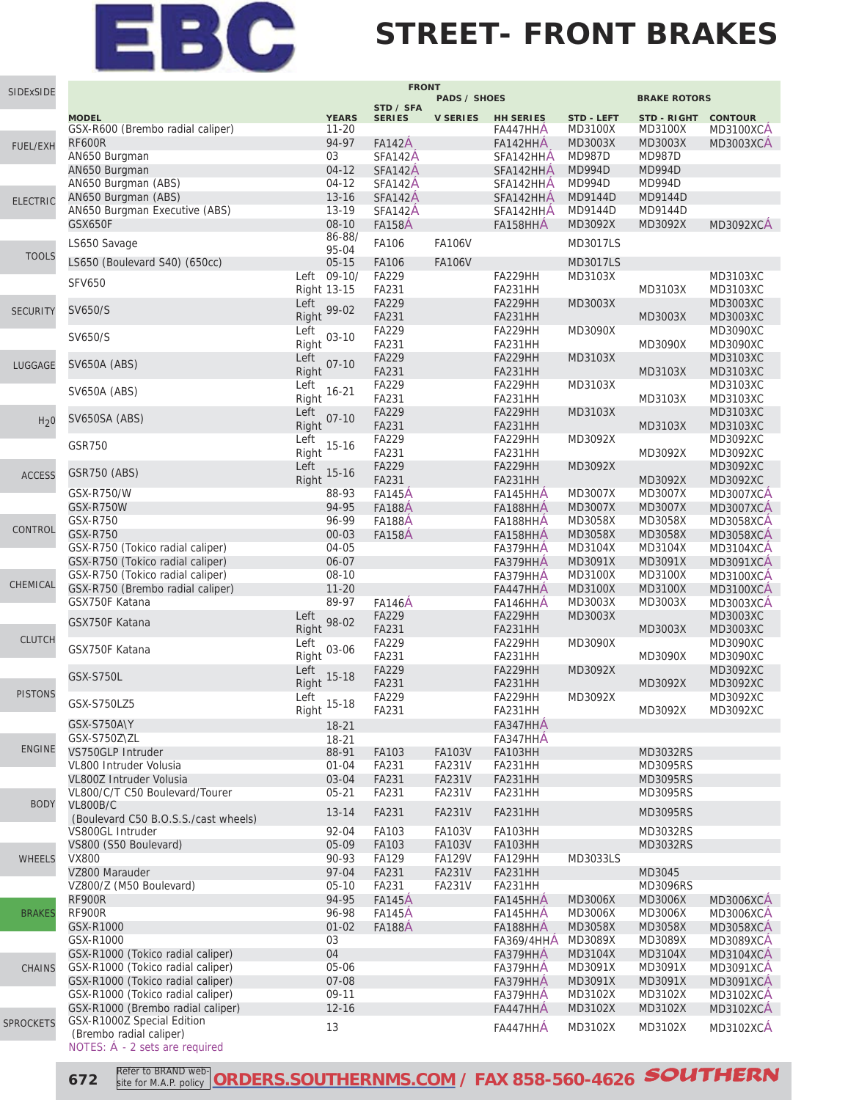#### **STREET- FRONT BRAKES**

| SIDExSIDE        |                                                                 |                            | <b>FRONT</b>                   |                                |                        |                          |                          |                                      |
|------------------|-----------------------------------------------------------------|----------------------------|--------------------------------|--------------------------------|------------------------|--------------------------|--------------------------|--------------------------------------|
|                  |                                                                 |                            | STD / SFA                      | <b>PADS / SHOES</b>            |                        |                          | <b>BRAKE ROTORS</b>      |                                      |
|                  | <b>MODEL</b>                                                    | <b>YEARS</b>               | <b>SERIES</b>                  | <b>V SERIES</b>                | <b>HH SERIES</b>       | STD - LEFT               | <b>STD - RIGHT</b>       | <b>CONTOUR</b>                       |
|                  | GSX-R600 (Brembo radial caliper)                                | $11 - 20$                  |                                |                                | FA447HHA               | <b>MD3100X</b>           | MD3100X                  | MD3100XCA                            |
| <b>FUEL/EXH</b>  | <b>RF600R</b><br>AN650 Burgman                                  | 94-97<br>03                | <b>FA142A</b><br>SFA142A       |                                | FA142HHA               | MD3003X<br><b>MD987D</b> | MD3003X<br><b>MD987D</b> | <b>MD3003XCA</b>                     |
|                  | AN650 Burgman                                                   | $04 - 12$                  | SFA142A                        |                                | SFA142HHA<br>SFA142HHA | <b>MD994D</b>            | <b>MD994D</b>            |                                      |
|                  | AN650 Burgman (ABS)                                             | $04 - 12$                  | SFA142A                        |                                | SFA142HHA              | MD994D                   | <b>MD994D</b>            |                                      |
|                  | AN650 Burgman (ABS)                                             | $13 - 16$                  | SFA142A                        |                                | SFA142HHA              | MD9144D                  | MD9144D                  |                                      |
| <b>ELECTRIC</b>  | AN650 Burgman Executive (ABS)                                   | 13-19                      | SFA142A                        |                                | SFA142HHA              | MD9144D                  | MD9144D                  |                                      |
|                  | GSX650F                                                         | 08-10                      | <b>FA158A</b>                  |                                | FA158HHA               | MD3092X                  | MD3092X                  | <b>MD3092XCA</b>                     |
|                  | LS650 Savage                                                    | 86-88/                     | FA106                          | <b>FA106V</b>                  |                        | MD3017LS                 |                          |                                      |
| <b>TOOLS</b>     |                                                                 | 95-04                      |                                |                                |                        |                          |                          |                                      |
|                  | LS650 (Boulevard S40) (650cc)                                   | $05 - 15$                  | <b>FA106</b>                   | <b>FA106V</b>                  |                        | <b>MD3017LS</b>          |                          |                                      |
|                  | <b>SFV650</b>                                                   | Left 09-10/<br>Right 13-15 | FA229<br>FA231                 |                                | FA229HH<br>FA231HH     | MD3103X                  | MD3103X                  | MD3103XC<br>MD3103XC                 |
|                  |                                                                 | Left                       | <b>FA229</b>                   |                                | FA229HH                | MD3003X                  |                          | MD3003XC                             |
| <b>SECURITY</b>  | SV650/S                                                         | 99-02<br>Right             | FA231                          |                                | FA231HH                |                          | MD3003X                  | MD3003XC                             |
|                  |                                                                 | Left                       | FA229                          |                                | FA229HH                | MD3090X                  |                          | MD3090XC                             |
|                  | SV650/S                                                         | $03 - 10$<br>Right         | FA231                          |                                | FA231HH                |                          | MD3090X                  | MD3090XC                             |
| LUGGAGE          | SV650A (ABS)                                                    | Left<br>$07-10$            | <b>FA229</b>                   |                                | FA229HH                | MD3103X                  |                          | MD3103XC                             |
|                  |                                                                 | Right                      | FA231                          |                                | FA231HH                |                          | MD3103X                  | MD3103XC                             |
|                  | <b>SV650A (ABS)</b>                                             | Left<br>$16 - 21$          | FA229                          |                                | FA229HH                | MD3103X                  |                          | MD3103XC                             |
|                  |                                                                 | Right                      | FA231                          |                                | FA231HH                |                          | MD3103X                  | MD3103XC                             |
| H <sub>2</sub> 0 | SV650SA (ABS)                                                   | Left<br>$07 - 10$<br>Right | <b>FA229</b><br>FA231          |                                | FA229HH<br>FA231HH     | MD3103X                  | MD3103X                  | MD3103XC<br>MD3103XC                 |
|                  |                                                                 | Left                       | FA229                          |                                | FA229HH                | MD3092X                  |                          | MD3092XC                             |
|                  | <b>GSR750</b>                                                   | $15 - 16$<br>Right         | FA231                          |                                | FA231HH                |                          | MD3092X                  | MD3092XC                             |
|                  |                                                                 | Left                       | FA229                          |                                | FA229HH                | MD3092X                  |                          | MD3092XC                             |
| <b>ACCESS</b>    | GSR750 (ABS)                                                    | $15 - 16$<br>Right         | FA231                          |                                | <b>FA231HH</b>         |                          | MD3092X                  | MD3092XC                             |
|                  | GSX-R750/W                                                      | 88-93                      | <b>FA145A</b>                  |                                | FA145HHA               | MD3007X                  | MD3007X                  | <b>MD3007XCA</b>                     |
|                  | GSX-R750W                                                       | 94-95                      | <b>FA188A</b>                  |                                | FA188HHA               | <b>MD3007X</b>           | MD3007X                  | <b>MD3007XCA</b>                     |
| CONTROL          | GSX-R750                                                        | 96-99                      | <b>FA188A</b>                  |                                | FA188HHA               | MD3058X                  | MD3058X                  | MD3058XCA                            |
|                  | <b>GSX-R750</b><br>GSX-R750 (Tokico radial caliper)             | $00 - 03$<br>04-05         | <b>FA158A</b>                  |                                | FA158HHA               | MD3058X<br>MD3104X       | MD3058X<br>MD3104X       | <b>MD3058XCA</b>                     |
|                  | GSX-R750 (Tokico radial caliper)                                | 06-07                      |                                |                                | FA379HHA<br>FA379HHA   | MD3091X                  | MD3091X                  | <b>MD3104XCA</b><br><b>MD3091XCA</b> |
|                  | GSX-R750 (Tokico radial caliper)                                | 08-10                      |                                |                                | FA379HHA               | <b>MD3100X</b>           | MD3100X                  | MD3100XCA                            |
| CHEMICAL         | GSX-R750 (Brembo radial caliper)                                | $11 - 20$                  |                                |                                | FA447HHA               | <b>MD3100X</b>           | MD3100X                  | MD3100XCA                            |
|                  | GSX750F Katana                                                  | 89-97                      | <b>FA146A</b>                  |                                | FA146HHA               | MD3003X                  | MD3003X                  | <b>MD3003XCA</b>                     |
|                  | GSX750F Katana                                                  | Left<br>98-02              | FA229                          |                                | FA229HH                | MD3003X                  |                          | MD3003XC                             |
| <b>CLUTCH</b>    |                                                                 | Right                      | FA231                          |                                | <b>FA231HH</b>         |                          | MD3003X                  | MD3003XC                             |
|                  | GSX750F Katana                                                  | Left<br>03-06              | FA229                          |                                | FA229HH                | MD3090X                  |                          | MD3090XC                             |
|                  |                                                                 | Right<br>Left              | FA231<br>FA229                 |                                | FA231HH                |                          | MD3090X                  | MD3090XC<br>MD3092XC                 |
|                  | <b>GSX-S750L</b>                                                | $15 - 18$<br>Right         | FA231                          |                                | FA229HH<br>FA231HH     | MD3092X                  | MD3092X                  | MD3092XC                             |
| <b>PISTONS</b>   |                                                                 | Left                       | FA229                          |                                | FA229HH                | MD3092X                  |                          | MD3092XC                             |
|                  | GSX-S750LZ5                                                     | $15-18$<br>Right           | FA231                          |                                | FA231HH                |                          | MD3092X                  | MD3092XC                             |
|                  | GSX-S750A\Y                                                     | $18 - 21$                  |                                |                                | FA347HHA               |                          |                          |                                      |
|                  | GSX-S750Z\ZL                                                    | 18-21                      |                                |                                | FA347HHA               |                          |                          |                                      |
| <b>ENGINE</b>    | VS750GLP Intruder                                               | 88-91                      | FA103                          | FA103V                         | <b>FA103HH</b>         |                          | MD3032RS                 |                                      |
|                  | VL800 Intruder Volusia                                          | $01 - 04$                  | FA231                          | <b>FA231V</b>                  | FA231HH                |                          | MD3095RS                 |                                      |
|                  | VL800Z Intruder Volusia<br>VL800/C/T C50 Boulevard/Tourer       | 03-04<br>$05 - 21$         | FA231<br>FA231                 | <b>FA231V</b><br><b>FA231V</b> | FA231HH                |                          | MD3095RS<br>MD3095RS     |                                      |
| <b>BODY</b>      | <b>VL800B/C</b>                                                 |                            |                                |                                | FA231HH                |                          |                          |                                      |
|                  | (Boulevard C50 B.O.S.S./cast wheels)                            | $13 - 14$                  | FA231                          | <b>FA231V</b>                  | FA231HH                |                          | <b>MD3095RS</b>          |                                      |
|                  | VS800GL Intruder                                                | 92-04                      | FA103                          | FA103V                         | <b>FA103HH</b>         |                          | MD3032RS                 |                                      |
|                  | VS800 (S50 Boulevard)                                           | 05-09                      | FA103                          | <b>FA103V</b>                  | <b>FA103HH</b>         |                          | MD3032RS                 |                                      |
| <b>WHEELS</b>    | <b>VX800</b>                                                    | 90-93                      | FA129                          | <b>FA129V</b>                  | FA129HH                | MD3033LS                 |                          |                                      |
|                  | VZ800 Marauder                                                  | 97-04                      | FA231                          | <b>FA231V</b>                  | FA231HH                |                          | MD3045                   |                                      |
|                  | VZ800/Z (M50 Boulevard)<br><b>RF900R</b>                        | $05 - 10$<br>94-95         | FA231                          | <b>FA231V</b>                  | FA231HH                | <b>MD3006X</b>           | MD3096RS<br>MD3006X      |                                      |
| <b>BRAKES</b>    | <b>RF900R</b>                                                   | 96-98                      | <b>FA145A</b><br><b>FA145A</b> |                                | FA145HHA<br>FA145HHA   | MD3006X                  | MD3006X                  | <b>MD3006XCA</b><br><b>MD3006XCA</b> |
|                  | GSX-R1000                                                       | $01 - 02$                  | <b>FA188A</b>                  |                                | FA188HHA               | MD3058X                  | MD3058X                  | <b>MD3058XCA</b>                     |
|                  | GSX-R1000                                                       | 03                         |                                |                                | <b>FA369/4HHA</b>      | MD3089X                  | MD3089X                  | <b>MD3089XCA</b>                     |
|                  | GSX-R1000 (Tokico radial caliper)                               | 04                         |                                |                                | FA379HHA               | MD3104X                  | MD3104X                  | <b>MD3104XCA</b>                     |
| <b>CHAINS</b>    | GSX-R1000 (Tokico radial caliper)                               | 05-06                      |                                |                                | FA379HHA               | MD3091X                  | MD3091X                  | <b>MD3091XCA</b>                     |
|                  | GSX-R1000 (Tokico radial caliper)                               | 07-08                      |                                |                                | FA379HHA               | MD3091X                  | MD3091X                  | <b>MD3091XCA</b>                     |
|                  | GSX-R1000 (Tokico radial caliper)                               | 09-11                      |                                |                                | FA379HHA               | MD3102X                  | MD3102X                  | <b>MD3102XCA</b>                     |
|                  | GSX-R1000 (Brembo radial caliper)<br>GSX-R1000Z Special Edition | $12 - 16$                  |                                |                                | FA447HHA               | MD3102X                  | MD3102X                  | <b>MD3102XCA</b>                     |
| <b>SPROCKETS</b> | (Brembo radial caliper)                                         | 13                         |                                |                                | FA447HHA               | MD3102X                  | MD3102X                  | <b>MD3102XCA</b>                     |
|                  | NOTES: A - 2 sets are required                                  |                            |                                |                                |                        |                          |                          |                                      |

**672 Refer to BRAND web-** ORDERS.SOUTHERNMS.COM</u> / FAX 858-560-4626 **SOUTHERN** site for M.A.P. policy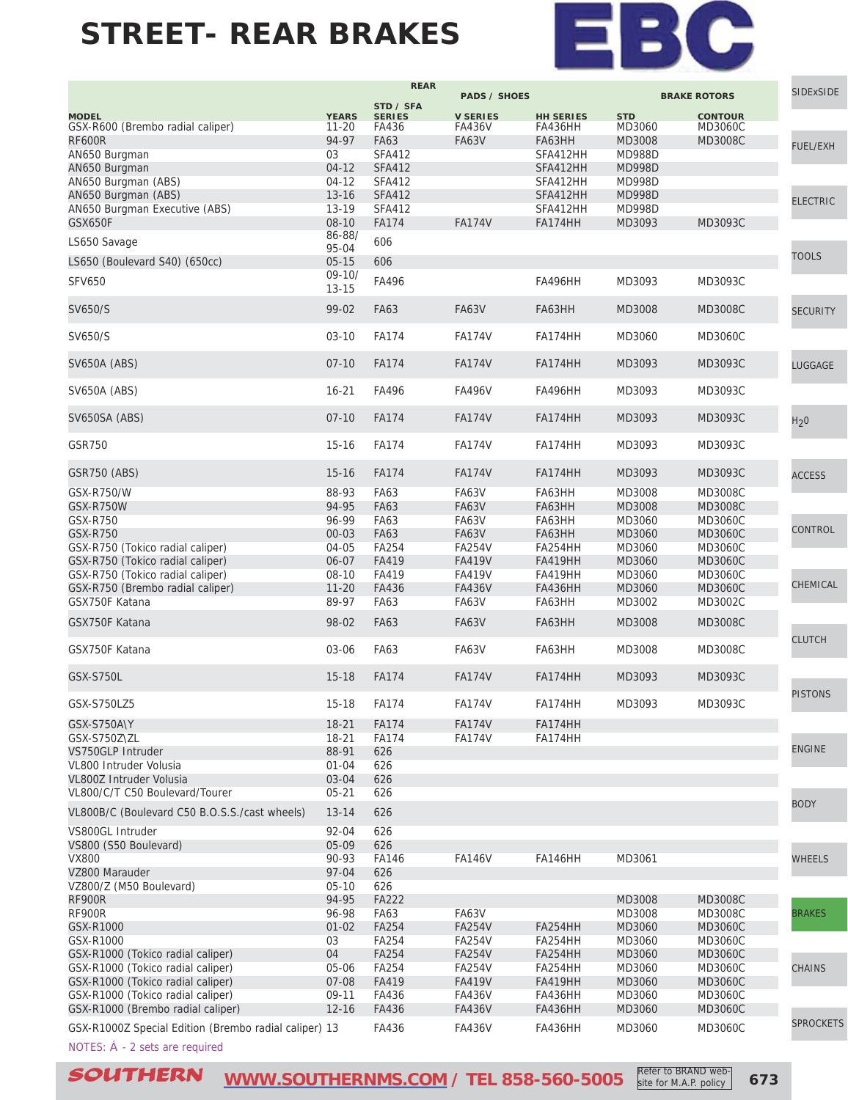

|                                                       |                 | <b>REAR</b>   |                     |                  |               |                     | <b>SIDExSIDE</b> |
|-------------------------------------------------------|-----------------|---------------|---------------------|------------------|---------------|---------------------|------------------|
|                                                       |                 | STD / SFA     | <b>PADS / SHOES</b> |                  |               | <b>BRAKE ROTORS</b> |                  |
| <b>MODEL</b>                                          | <b>YEARS</b>    | <b>SERIES</b> | <b>V SERIES</b>     | <b>HH SERIES</b> | <b>STD</b>    | <b>CONTOUR</b>      |                  |
| GSX-R600 (Brembo radial caliper)                      | $11 - 20$       | FA436         | <b>FA436V</b>       | FA436HH          | MD3060        | MD3060C             |                  |
| <b>RF600R</b>                                         | 94-97           | <b>FA63</b>   | <b>FA63V</b>        | FA63HH           | MD3008        | MD3008C             |                  |
| AN650 Burgman                                         | 03              | <b>SFA412</b> |                     | SFA412HH         | <b>MD988D</b> |                     | <b>FUEL/EXH</b>  |
| AN650 Burgman                                         | $04 - 12$       | <b>SFA412</b> |                     | SFA412HH         | <b>MD998D</b> |                     |                  |
| AN650 Burgman (ABS)                                   | $04 - 12$       | <b>SFA412</b> |                     | SFA412HH         | <b>MD998D</b> |                     |                  |
| AN650 Burgman (ABS)                                   | $13 - 16$       | <b>SFA412</b> |                     | SFA412HH         | <b>MD998D</b> |                     |                  |
| AN650 Burgman Executive (ABS)                         | 13-19           | <b>SFA412</b> |                     | SFA412HH         | <b>MD998D</b> |                     | <b>ELECTRIC</b>  |
| <b>GSX650F</b>                                        | 08-10           |               |                     |                  |               |                     |                  |
|                                                       |                 | <b>FA174</b>  | <b>FA174V</b>       | FA174HH          | MD3093        | MD3093C             |                  |
| LS650 Savage                                          | 86-88/<br>95-04 | 606           |                     |                  |               |                     |                  |
|                                                       |                 |               |                     |                  |               |                     | <b>TOOLS</b>     |
| LS650 (Boulevard S40) (650cc)                         | $05 - 15$       | 606           |                     |                  |               |                     |                  |
| <b>SFV650</b>                                         | $09 - 10/$      | FA496         |                     | FA496HH          | MD3093        | MD3093C             |                  |
|                                                       | $13 - 15$       |               |                     |                  |               |                     |                  |
| SV650/S                                               | 99-02           | <b>FA63</b>   | <b>FA63V</b>        | FA63HH           | MD3008        | MD3008C             | <b>SECURITY</b>  |
|                                                       |                 |               |                     |                  |               |                     |                  |
| SV650/S                                               | $03 - 10$       | <b>FA174</b>  | <b>FA174V</b>       | FA174HH          | MD3060        | MD3060C             |                  |
|                                                       |                 |               |                     |                  |               |                     |                  |
| SV650A (ABS)                                          | $07-10$         | <b>FA174</b>  | <b>FA174V</b>       | FA174HH          | MD3093        | MD3093C             |                  |
|                                                       |                 |               |                     |                  |               |                     | LUGGAGE          |
|                                                       |                 |               |                     |                  |               |                     |                  |
| <b>SV650A (ABS)</b>                                   | $16 - 21$       | FA496         | <b>FA496V</b>       | FA496HH          | MD3093        | MD3093C             |                  |
|                                                       |                 |               |                     |                  |               |                     |                  |
| SV650SA (ABS)                                         | $07-10$         | <b>FA174</b>  | <b>FA174V</b>       | <b>FA174HH</b>   | MD3093        | MD3093C             | H <sub>2</sub> 0 |
|                                                       |                 |               |                     |                  |               |                     |                  |
| GSR750                                                | $15 - 16$       | <b>FA174</b>  | <b>FA174V</b>       | FA174HH          | MD3093        | MD3093C             |                  |
|                                                       |                 |               |                     |                  |               |                     |                  |
| GSR750 (ABS)                                          | $15 - 16$       | <b>FA174</b>  | <b>FA174V</b>       | FA174HH          | MD3093        | MD3093C             | <b>ACCESS</b>    |
|                                                       |                 |               |                     |                  |               |                     |                  |
| GSX-R750/W                                            | 88-93           | FA63          | FA63V               | FA63HH           | MD3008        | MD3008C             |                  |
| GSX-R750W                                             | 94-95           | <b>FA63</b>   | <b>FA63V</b>        | FA63HH           | MD3008        | MD3008C             |                  |
| GSX-R750                                              | 96-99           | FA63          | FA63V               | FA63HH           | MD3060        | <b>MD3060C</b>      | CONTROL          |
| <b>GSX-R750</b>                                       | $00 - 03$       | FA63          | <b>FA63V</b>        | FA63HH           | MD3060        | <b>MD3060C</b>      |                  |
| GSX-R750 (Tokico radial caliper)                      | 04-05           | FA254         | <b>FA254V</b>       | FA254HH          | MD3060        | <b>MD3060C</b>      |                  |
| GSX-R750 (Tokico radial caliper)                      | 06-07           | FA419         | <b>FA419V</b>       | <b>FA419HH</b>   | MD3060        | <b>MD3060C</b>      |                  |
| GSX-R750 (Tokico radial caliper)                      | $08 - 10$       | FA419         | <b>FA419V</b>       | <b>FA419HH</b>   | MD3060        | MD3060C             |                  |
| GSX-R750 (Brembo radial caliper)                      | $11 - 20$       | FA436         | <b>FA436V</b>       | <b>FA436HH</b>   | MD3060        | <b>MD3060C</b>      | CHEMICAL         |
| GSX750F Katana                                        | 89-97           | FA63          | <b>FA63V</b>        | FA63HH           | MD3002        | MD3002C             |                  |
|                                                       |                 |               |                     |                  |               |                     |                  |
| GSX750F Katana                                        | 98-02           | <b>FA63</b>   | <b>FA63V</b>        | FA63HH           | MD3008        | MD3008C             |                  |
|                                                       |                 |               |                     |                  |               |                     | <b>CLUTCH</b>    |
| GSX750F Katana                                        | 03-06           | FA63          | <b>FA63V</b>        | FA63HH           | MD3008        | MD3008C             |                  |
|                                                       |                 |               |                     |                  |               |                     |                  |
| <b>GSX-S750L</b>                                      | $15 - 18$       | <b>FA174</b>  | <b>FA174V</b>       | <b>FA174HH</b>   | MD3093        | MD3093C             |                  |
|                                                       |                 |               |                     |                  |               |                     | <b>PISTONS</b>   |
| GSX-S750LZ5                                           | $15-18$         | FA174         | <b>FA174V</b>       | FA174HH          | MD3093        | MD3093C             |                  |
|                                                       |                 |               |                     |                  |               |                     |                  |
| GSX-S750A\Y                                           | $18 - 21$       | <b>FA174</b>  | <b>FA174V</b>       | FA174HH          |               |                     |                  |
| GSX-S750Z\ZL                                          | $18 - 21$       | FA174         | <b>FA174V</b>       | FA174HH          |               |                     |                  |
| VS750GLP Intruder                                     | 88-91           | 626           |                     |                  |               |                     | <b>ENGINE</b>    |
| VL800 Intruder Volusia                                | $01 - 04$       | 626           |                     |                  |               |                     |                  |
| VL800Z Intruder Volusia                               | 03-04           | 626           |                     |                  |               |                     |                  |
| VL800/C/T C50 Boulevard/Tourer                        | $05 - 21$       | 626           |                     |                  |               |                     |                  |
|                                                       |                 |               |                     |                  |               |                     | <b>BODY</b>      |
| VL800B/C (Boulevard C50 B.O.S.S./cast wheels)         | $13 - 14$       | 626           |                     |                  |               |                     |                  |
| VS800GL Intruder                                      | 92-04           | 626           |                     |                  |               |                     |                  |
| VS800 (S50 Boulevard)                                 | 05-09           | 626           |                     |                  |               |                     |                  |
| <b>VX800</b>                                          | 90-93           | FA146         | <b>FA146V</b>       | <b>FA146HH</b>   | MD3061        |                     | <b>WHEELS</b>    |
| VZ800 Marauder                                        | 97-04           | 626           |                     |                  |               |                     |                  |
| VZ800/Z (M50 Boulevard)                               | $05-10$         | 626           |                     |                  |               |                     |                  |
|                                                       |                 |               |                     |                  |               |                     |                  |
| <b>RF900R</b>                                         | 94-95           | FA222         |                     |                  | MD3008        | MD3008C             |                  |
| <b>RF900R</b>                                         | 96-98           | FA63          | FA63V               |                  | MD3008        | MD3008C             | <b>BRAKES</b>    |
| GSX-R1000                                             | $01 - 02$       | FA254         | <b>FA254V</b>       | FA254HH          | MD3060        | <b>MD3060C</b>      |                  |
| GSX-R1000                                             | 03              | FA254         | <b>FA254V</b>       | FA254HH          | MD3060        | <b>MD3060C</b>      |                  |
| GSX-R1000 (Tokico radial caliper)                     | 04              | FA254         | <b>FA254V</b>       | FA254HH          | MD3060        | <b>MD3060C</b>      |                  |
| GSX-R1000 (Tokico radial caliper)                     | 05-06           | FA254         | <b>FA254V</b>       | FA254HH          | MD3060        | <b>MD3060C</b>      | <b>CHAINS</b>    |
| GSX-R1000 (Tokico radial caliper)                     | 07-08           | FA419         | <b>FA419V</b>       | <b>FA419HH</b>   | MD3060        | <b>MD3060C</b>      |                  |
| GSX-R1000 (Tokico radial caliper)                     | 09-11           | FA436         | <b>FA436V</b>       | FA436HH          | MD3060        | MD3060C             |                  |
| GSX-R1000 (Brembo radial caliper)                     | $12 - 16$       | FA436         | <b>FA436V</b>       | <b>FA436HH</b>   | MD3060        | <b>MD3060C</b>      |                  |
|                                                       |                 |               |                     |                  |               |                     | <b>SPROCKETS</b> |
| GSX-R1000Z Special Edition (Brembo radial caliper) 13 |                 | FA436         | FA436V              | <b>FA436HH</b>   | MD3060        | <b>MD3060C</b>      |                  |

NOTES: Á - 2 sets are required

SOUTHERN **[WWW.SOUTHERNMS.COM](http://m.southernms.com) / TEL 858-560-5005 673** Refer to BRAND web-

site for M.A.P. policy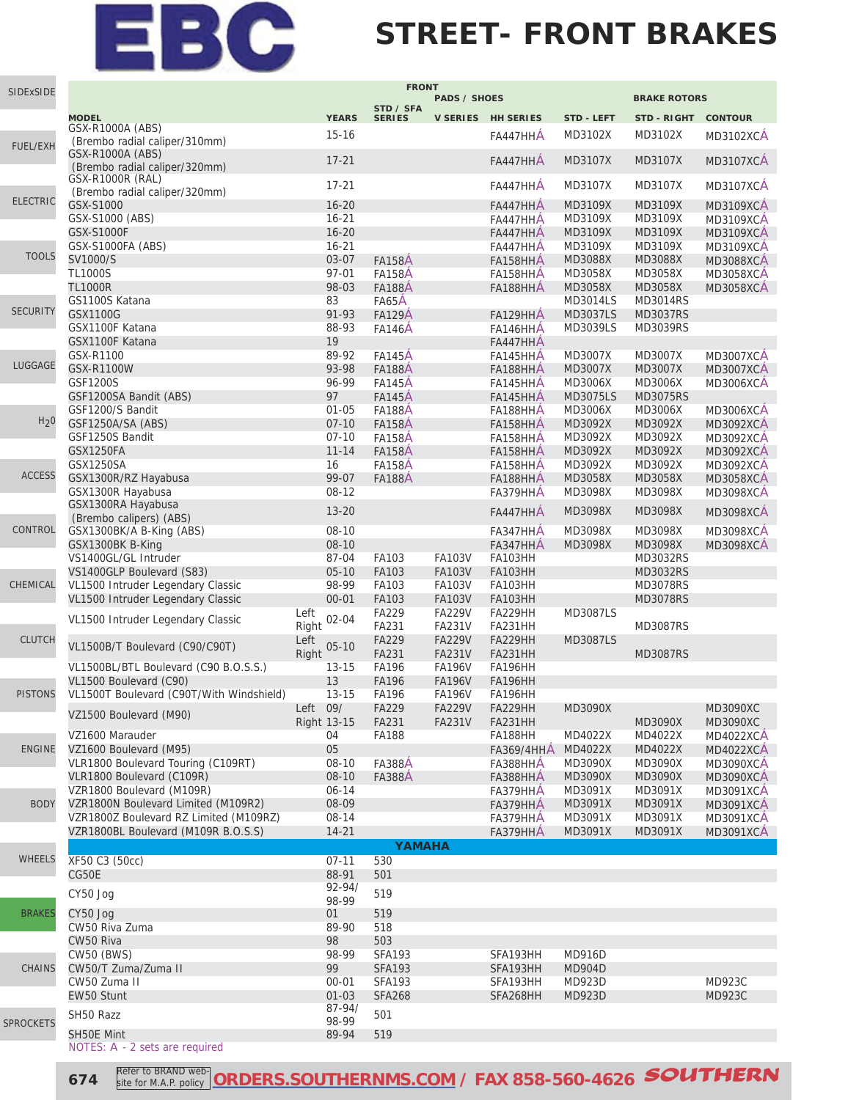### **STREET- FRONT BRAKES**

| SIDExSIDE        |                                                                 |                        | <b>FRONT</b>                   |                                |                           |                                |                           |                                      |
|------------------|-----------------------------------------------------------------|------------------------|--------------------------------|--------------------------------|---------------------------|--------------------------------|---------------------------|--------------------------------------|
|                  |                                                                 |                        | STD / SFA                      | <b>PADS / SHOES</b>            |                           |                                | <b>BRAKE ROTORS</b>       |                                      |
|                  | <b>MODEL</b>                                                    | <b>YEARS</b>           | <b>SERIES</b>                  |                                | V SERIES HH SERIES        | <b>STD - LEFT</b>              | <b>STD - RIGHT</b>        | <b>CONTOUR</b>                       |
|                  | <b>GSX-R1000A (ABS)</b>                                         | $15 - 16$              |                                |                                | FA447HHA                  | MD3102X                        | MD3102X                   | <b>MD3102XCA</b>                     |
| <b>FUEL/EXH</b>  | (Brembo radial caliper/310mm)<br>GSX-R1000A (ABS)               |                        |                                |                                |                           |                                |                           |                                      |
|                  | (Brembo radial caliper/320mm)                                   | $17 - 21$              |                                |                                | FA447HHA                  | MD3107X                        | MD3107X                   | <b>MD3107XCA</b>                     |
|                  | GSX-R1000R (RAL)                                                | $17 - 21$              |                                |                                | FA447HHA                  | MD3107X                        | MD3107X                   | <b>MD3107XCA</b>                     |
| <b>ELECTRIC</b>  | (Brembo radial caliper/320mm)                                   |                        |                                |                                |                           |                                |                           |                                      |
|                  | GSX-S1000                                                       | $16 - 20$              |                                |                                | FA447HHA                  | MD3109X                        | MD3109X                   | <b>MD3109XCA</b>                     |
|                  | GSX-S1000 (ABS)                                                 | $16 - 21$              |                                |                                | FA447HHA                  | MD3109X                        | MD3109X                   | <b>MD3109XCA</b>                     |
|                  | <b>GSX-S1000F</b>                                               | $16 - 20$              |                                |                                | FA447HHA                  | MD3109X                        | MD3109X                   | <b>MD3109XCA</b>                     |
| <b>TOOLS</b>     | <b>GSX-S1000FA (ABS)</b><br>SV1000/S                            | $16 - 21$<br>03-07     |                                |                                | FA447HHA                  | MD3109X                        | MD3109X                   | <b>MD3109XCA</b>                     |
|                  | <b>TL1000S</b>                                                  | $97 - 01$              | <b>FA158A</b><br><b>FA158A</b> |                                | FA158HHA                  | MD3088X<br>MD3058X             | <b>MD3088X</b><br>MD3058X | <b>MD3088XCA</b><br><b>MD3058XCA</b> |
|                  | <b>TL1000R</b>                                                  | 98-03                  | <b>FA188A</b>                  |                                | FA158HHA<br>FA188HHA      | MD3058X                        | MD3058X                   | <b>MD3058XCA</b>                     |
|                  | GS1100S Katana                                                  | 83                     | FA65A                          |                                |                           | MD3014LS                       | MD3014RS                  |                                      |
| <b>SECURITY</b>  | GSX1100G                                                        | 91-93                  | <b>FA129A</b>                  |                                | FA129HHA                  | MD3037LS                       | <b>MD3037RS</b>           |                                      |
|                  | GSX1100F Katana                                                 | 88-93                  | <b>FA146A</b>                  |                                | FA146HHA                  | MD3039LS                       | MD3039RS                  |                                      |
|                  | GSX1100F Katana                                                 | 19                     |                                |                                | FA447HHA                  |                                |                           |                                      |
|                  | GSX-R1100                                                       | 89-92                  | <b>FA145A</b>                  |                                | FA145HHA                  | MD3007X                        | MD3007X                   | <b>MD3007XCA</b>                     |
| LUGGAGE          | GSX-R1100W                                                      | 93-98                  | <b>FA188A</b>                  |                                | FA188HHA                  | MD3007X                        | MD3007X                   | <b>MD3007XCA</b>                     |
|                  | GSF1200S                                                        | 96-99                  | <b>FA145A</b>                  |                                | FA145HHA                  | MD3006X                        | MD3006X                   | <b>MD3006XCA</b>                     |
|                  | GSF1200SA Bandit (ABS)                                          | 97                     | <b>FA145A</b>                  |                                | FA145HHA                  | MD3075LS                       | <b>MD3075RS</b>           |                                      |
|                  | GSF1200/S Bandit                                                | $01 - 05$              | <b>FA188A</b>                  |                                | FA188HHA                  | MD3006X                        | MD3006X                   | <b>MD3006XCA</b>                     |
| H <sub>2</sub> 0 | GSF1250A/SA (ABS)                                               | $07 - 10$              | <b>FA158A</b>                  |                                | FA158HHA                  | MD3092X                        | MD3092X                   | <b>MD3092XCA</b>                     |
|                  | GSF1250S Bandit                                                 | $07-10$                | <b>FA158A</b>                  |                                | FA158HHA                  | MD3092X                        | MD3092X                   | <b>MD3092XCA</b>                     |
|                  | <b>GSX1250FA</b>                                                | $11 - 14$              | <b>FA158A</b>                  |                                | FA158HHA                  | MD3092X                        | MD3092X                   | <b>MD3092XCA</b>                     |
|                  | GSX1250SA                                                       | 16                     | <b>FA158A</b>                  |                                | FA158HHA                  | MD3092X                        | MD3092X                   | MD3092XCA                            |
| <b>ACCESS</b>    | GSX1300R/RZ Hayabusa                                            | 99-07                  | <b>FA188A</b>                  |                                | FA188HHA                  | MD3058X                        | MD3058X                   | <b>MD3058XCA</b>                     |
|                  | GSX1300R Hayabusa<br>GSX1300RA Hayabusa                         | 08-12                  |                                |                                | FA379HHA                  | MD3098X                        | MD3098X                   | <b>MD3098XCA</b>                     |
|                  | (Brembo calipers) (ABS)                                         | $13 - 20$              |                                |                                | FA447HHA                  | MD3098X                        | MD3098X                   | <b>MD3098XCA</b>                     |
| CONTROL          | GSX1300BK/A B-King (ABS)                                        | $08 - 10$              |                                |                                | FA347HHA                  | MD3098X                        | MD3098X                   | <b>MD3098XCA</b>                     |
|                  | GSX1300BK B-King                                                | $08 - 10$              |                                |                                | FA347HHA                  | MD3098X                        | MD3098X                   | <b>MD3098XCA</b>                     |
|                  | VS1400GL/GL Intruder                                            | 87-04                  | FA103                          | <b>FA103V</b>                  | <b>FA103HH</b>            |                                | MD3032RS                  |                                      |
|                  | VS1400GLP Boulevard (S83)                                       | $05 - 10$              | FA103                          | <b>FA103V</b>                  | <b>FA103HH</b>            |                                | <b>MD3032RS</b>           |                                      |
| CHEMICAL         | VL1500 Intruder Legendary Classic                               | 98-99                  | FA103                          | <b>FA103V</b>                  | <b>FA103HH</b>            |                                | <b>MD3078RS</b>           |                                      |
|                  | VL1500 Intruder Legendary Classic                               | $00 - 01$              | FA103                          | <b>FA103V</b>                  | <b>FA103HH</b>            |                                | MD3078RS                  |                                      |
|                  | VL1500 Intruder Legendary Classic                               | Left<br>$02 - 04$      | <b>FA229</b><br>FA231          | <b>FA229V</b><br><b>FA231V</b> | FA229HH<br><b>FA231HH</b> | MD3087LS                       |                           |                                      |
| <b>CLUTCH</b>    |                                                                 | Right<br>Left          | <b>FA229</b>                   | <b>FA229V</b>                  | <b>FA229HH</b>            | <b>MD3087LS</b>                | MD3087RS                  |                                      |
|                  | VL1500B/T Boulevard (C90/C90T)                                  | $05 - 10$<br>Right     | FA231                          | <b>FA231V</b>                  | FA231HH                   |                                | <b>MD3087RS</b>           |                                      |
|                  | VL1500BL/BTL Boulevard (C90 B.O.S.S.)                           | $13 - 15$              | <b>FA196</b>                   | <b>FA196V</b>                  | FA196HH                   |                                |                           |                                      |
|                  | VL1500 Boulevard (C90)                                          | 13                     | <b>FA196</b>                   | <b>FA196V</b>                  | <b>FA196HH</b>            |                                |                           |                                      |
| <b>PISTONS</b>   | VL1500T Boulevard (C90T/With Windshield)                        | $13 - 15$              | <b>FA196</b>                   | <b>FA196V</b>                  | FA196HH                   |                                |                           |                                      |
|                  | VZ1500 Boulevard (M90)                                          | Left 09/               | <b>FA229</b>                   | <b>FA229V</b>                  | FA229HH                   | MD3090X                        |                           | MD3090XC                             |
|                  |                                                                 | Right 13-15            | FA231                          | <b>FA231V</b>                  | FA231HH                   |                                | MD3090X                   | MD3090XC                             |
|                  | VZ1600 Marauder                                                 | 04                     | <b>FA188</b>                   |                                | FA188HH                   | MD4022X                        | MD4022X                   | <b>MD4022XCA</b>                     |
| <b>ENGINE</b>    | VZ1600 Boulevard (M95)                                          | 05                     |                                |                                | <b>FA369/4HHA</b>         | MD4022X                        | MD4022X                   | <b>MD4022XCA</b>                     |
|                  | VLR1800 Boulevard Touring (C109RT)<br>VLR1800 Boulevard (C109R) | 08-10                  | <b>FA388A</b>                  |                                | FA388HHA                  | MD3090X                        | MD3090X                   | MD3090XCA                            |
|                  | VZR1800 Boulevard (M109R)                                       | $08 - 10$<br>$06 - 14$ | <b>FA388A</b>                  |                                | FA388HHA                  | MD3090X<br>MD3091X             | MD3090X<br>MD3091X        | MD3090XCA                            |
| <b>BODY</b>      | VZR1800N Boulevard Limited (M109R2)                             | 08-09                  |                                |                                | FA379HHA<br>FA379HHA      | MD3091X                        | MD3091X                   | <b>MD3091XCA</b><br><b>MD3091XCA</b> |
|                  | VZR1800Z Boulevard RZ Limited (M109RZ)                          | 08-14                  |                                |                                | FA379HHA                  | MD3091X                        | MD3091X                   | <b>MD3091XCA</b>                     |
|                  | VZR1800BL Boulevard (M109R B.O.S.S)                             | $14 - 21$              |                                |                                | FA379HHA                  | MD3091X                        | MD3091X                   | <b>MD3091XCA</b>                     |
|                  |                                                                 |                        | YAMAHA                         |                                |                           |                                |                           |                                      |
| <b>WHEELS</b>    | XF50 C3 (50cc)                                                  | $07 - 11$              | 530                            |                                |                           |                                |                           |                                      |
|                  | CG50E                                                           | 88-91                  | 501                            |                                |                           |                                |                           |                                      |
|                  | CY50 Jog                                                        | 92-94/                 | 519                            |                                |                           |                                |                           |                                      |
|                  |                                                                 | 98-99                  |                                |                                |                           |                                |                           |                                      |
| <b>BRAKES</b>    | CY50 Jog                                                        | 01                     | 519                            |                                |                           |                                |                           |                                      |
|                  | CW50 Riva Zuma                                                  | 89-90<br>98            | 518                            |                                |                           |                                |                           |                                      |
|                  | CW50 Riva                                                       | 98-99                  | 503                            |                                |                           |                                |                           |                                      |
| <b>CHAINS</b>    | <b>CW50 (BWS)</b><br>CW50/T Zuma/Zuma II                        | 99                     | <b>SFA193</b><br><b>SFA193</b> |                                | SFA193HH<br>SFA193HH      | <b>MD916D</b><br><b>MD904D</b> |                           |                                      |
|                  | CW50 Zuma II                                                    | $00 - 01$              | <b>SFA193</b>                  |                                | SFA193HH                  | MD923D                         |                           | <b>MD923C</b>                        |
|                  | EW50 Stunt                                                      | $01 - 03$              | <b>SFA268</b>                  |                                | SFA268HH                  | MD923D                         |                           | MD923C                               |
|                  |                                                                 | 87-94/                 |                                |                                |                           |                                |                           |                                      |
| <b>SPROCKETS</b> | SH50 Razz                                                       | 98-99                  | 501                            |                                |                           |                                |                           |                                      |
|                  | SH50E Mint                                                      | 89-94                  | 519                            |                                |                           |                                |                           |                                      |
|                  | NOTES: A - 2 sets are required                                  |                        |                                |                                |                           |                                |                           |                                      |

**674** Refer to BRAND web- [ORDERS.SOUTHERNMS.COM](http://orders.southernms.com) / FAX 858-560-4626 SOUTHERN site for M.A.P. policy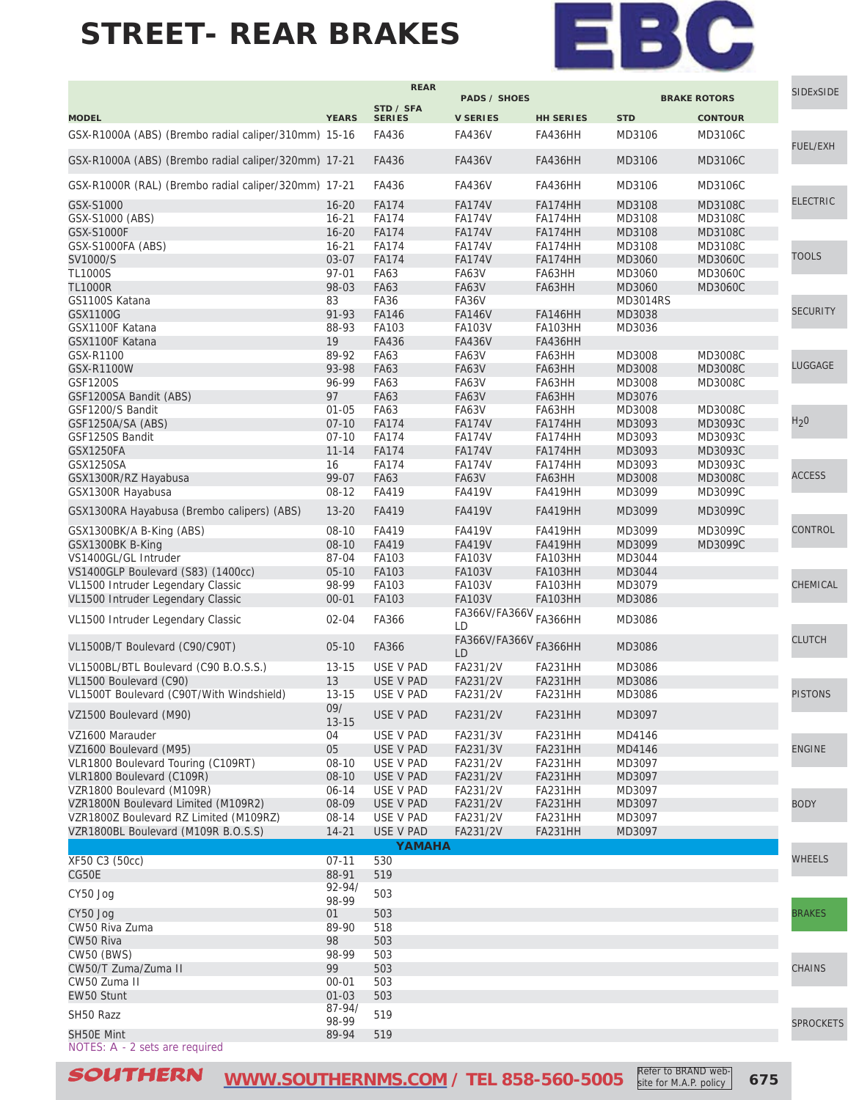

site for M.A.P. policy

|                                                      |                  | <b>REAR</b>   |                                          |                  |                 |                     | <b>SIDExSIDE</b> |
|------------------------------------------------------|------------------|---------------|------------------------------------------|------------------|-----------------|---------------------|------------------|
|                                                      |                  | STD / SFA     | <b>PADS / SHOES</b>                      |                  |                 | <b>BRAKE ROTORS</b> |                  |
| <b>MODEL</b>                                         | <b>YEARS</b>     | <b>SERIES</b> | <b>V SERIES</b>                          | <b>HH SERIES</b> | <b>STD</b>      | <b>CONTOUR</b>      |                  |
| GSX-R1000A (ABS) (Brembo radial caliper/310mm) 15-16 |                  | FA436         | <b>FA436V</b>                            | FA436HH          | MD3106          | MD3106C             | FUEL/EXH         |
| GSX-R1000A (ABS) (Brembo radial caliper/320mm) 17-21 |                  | FA436         | <b>FA436V</b>                            | <b>FA436HH</b>   | MD3106          | MD3106C             |                  |
| GSX-R1000R (RAL) (Brembo radial caliper/320mm) 17-21 |                  | FA436         | <b>FA436V</b>                            | <b>FA436HH</b>   | MD3106          | MD3106C             |                  |
| GSX-S1000                                            | $16 - 20$        | <b>FA174</b>  | <b>FA174V</b>                            | FA174HH          | MD3108          | MD3108C             | <b>ELECTRIC</b>  |
| GSX-S1000 (ABS)                                      | $16 - 21$        | <b>FA174</b>  | <b>FA174V</b>                            | FA174HH          | MD3108          | MD3108C             |                  |
| <b>GSX-S1000F</b>                                    | $16 - 20$        | <b>FA174</b>  | <b>FA174V</b>                            | FA174HH          | MD3108          | MD3108C             |                  |
| GSX-S1000FA (ABS)                                    | $16 - 21$        | <b>FA174</b>  | <b>FA174V</b>                            | FA174HH          | MD3108          | MD3108C             |                  |
| SV1000/S                                             | 03-07            | <b>FA174</b>  | <b>FA174V</b>                            | FA174HH          | MD3060          | <b>MD3060C</b>      | <b>TOOLS</b>     |
| <b>TL1000S</b>                                       | 97-01            | FA63          | FA63V                                    | FA63HH           | MD3060          | MD3060C             |                  |
| <b>TL1000R</b>                                       | 98-03            | FA63          | FA63V                                    | FA63HH           | MD3060          | <b>MD3060C</b>      |                  |
| GS1100S Katana                                       | 83               | <b>FA36</b>   | FA36V                                    |                  | <b>MD3014RS</b> |                     |                  |
|                                                      |                  |               |                                          |                  |                 |                     | <b>SECURITY</b>  |
| <b>GSX1100G</b>                                      | 91-93            | <b>FA146</b>  | <b>FA146V</b>                            | <b>FA146HH</b>   | MD3038          |                     |                  |
| GSX1100F Katana                                      | 88-93            | FA103         | <b>FA103V</b>                            | FA103HH          | MD3036          |                     |                  |
| GSX1100F Katana                                      | 19               | FA436         | <b>FA436V</b>                            | <b>FA436HH</b>   |                 |                     |                  |
| GSX-R1100                                            | 89-92            | <b>FA63</b>   | FA63V                                    | FA63HH           | MD3008          | MD3008C             | LUGGAGE          |
| GSX-R1100W                                           | 93-98            | <b>FA63</b>   | <b>FA63V</b>                             | FA63HH           | MD3008          | MD3008C             |                  |
| GSF1200S                                             | 96-99            | <b>FA63</b>   | FA63V                                    | FA63HH           | MD3008          | MD3008C             |                  |
| GSF1200SA Bandit (ABS)                               | 97               | <b>FA63</b>   | <b>FA63V</b>                             | FA63HH           | MD3076          |                     |                  |
| GSF1200/S Bandit                                     | $01 - 05$        | FA63          | FA63V                                    | FA63HH           | MD3008          | MD3008C             |                  |
| GSF1250A/SA (ABS)                                    | $07 - 10$        | <b>FA174</b>  | <b>FA174V</b>                            | FA174HH          | MD3093          | MD3093C             | H <sub>2</sub> 0 |
| GSF1250S Bandit                                      | $07 - 10$        | <b>FA174</b>  | <b>FA174V</b>                            | FA174HH          | MD3093          | MD3093C             |                  |
| <b>GSX1250FA</b>                                     | $11 - 14$        | <b>FA174</b>  | <b>FA174V</b>                            | FA174HH          | MD3093          | MD3093C             |                  |
| <b>GSX1250SA</b>                                     | 16               | <b>FA174</b>  | <b>FA174V</b>                            | FA174HH          | MD3093          | MD3093C             |                  |
| GSX1300R/RZ Hayabusa                                 | 99-07            | FA63          | <b>FA63V</b>                             | FA63HH           | MD3008          | <b>MD3008C</b>      | <b>ACCESS</b>    |
| GSX1300R Hayabusa                                    | 08-12            | FA419         | FA419V                                   | FA419HH          | MD3099          | MD3099C             |                  |
| GSX1300RA Hayabusa (Brembo calipers) (ABS)           | $13 - 20$        | FA419         | <b>FA419V</b>                            | <b>FA419HH</b>   | MD3099          | MD3099C             |                  |
|                                                      |                  |               |                                          |                  |                 |                     |                  |
| GSX1300BK/A B-King (ABS)                             | $08 - 10$        | FA419         | <b>FA419V</b>                            | FA419HH          | MD3099          | MD3099C             | <b>CONTROL</b>   |
| GSX1300BK B-King                                     | $08 - 10$        | FA419         | <b>FA419V</b>                            | <b>FA419HH</b>   | MD3099          | MD3099C             |                  |
| VS1400GL/GL Intruder                                 | 87-04            | FA103         | <b>FA103V</b>                            | FA103HH          | MD3044          |                     |                  |
| VS1400GLP Boulevard (S83) (1400cc)                   | $05-10$          | FA103         | <b>FA103V</b>                            | <b>FA103HH</b>   | MD3044          |                     |                  |
| VL1500 Intruder Legendary Classic                    | 98-99            | FA103         | <b>FA103V</b>                            | FA103HH          | MD3079          |                     | CHEMICAL         |
| VL1500 Intruder Legendary Classic                    | $00 - 01$        | FA103         | <b>FA103V</b>                            | <b>FA103HH</b>   | MD3086          |                     |                  |
|                                                      |                  | FA366         | FA366V/FA366V                            | <b>FA366HH</b>   |                 |                     |                  |
| VL1500 Intruder Legendary Classic                    | $02 - 04$        |               | LD                                       |                  | MD3086          |                     | <b>CLUTCH</b>    |
| VL1500B/T Boulevard (C90/C90T)                       | $05-10$          | FA366         | FA366V/FA366V <sub>FA366</sub> HH<br>LD. |                  | MD3086          |                     |                  |
| VL1500BL/BTL Boulevard (C90 B.O.S.S.)                | $13 - 15$        | USE V PAD     | FA231/2V                                 | FA231HH          | MD3086          |                     |                  |
| VL1500 Boulevard (C90)                               | 13               | USE V PAD     | FA231/2V                                 | <b>FA231HH</b>   | MD3086          |                     |                  |
| VL1500T Boulevard (C90T/With Windshield)             | $13 - 15$        | USE V PAD     | FA231/2V                                 | FA231HH          | MD3086          |                     | <b>PISTONS</b>   |
| VZ1500 Boulevard (M90)                               | 09/<br>$13 - 15$ | USE V PAD     | FA231/2V                                 | FA231HH          | MD3097          |                     |                  |
| VZ1600 Marauder                                      | 04               | USE V PAD     | FA231/3V                                 | FA231HH          | MD4146          |                     |                  |
|                                                      | 05               |               |                                          | FA231HH          |                 |                     | <b>ENGINE</b>    |
| VZ1600 Boulevard (M95)                               |                  | USE V PAD     | FA231/3V                                 |                  | MD4146          |                     |                  |
| VLR1800 Boulevard Touring (C109RT)                   | $08 - 10$        | USE V PAD     | FA231/2V                                 | FA231HH          | MD3097          |                     |                  |
| VLR1800 Boulevard (C109R)                            | 08-10            | USE V PAD     | FA231/2V                                 | FA231HH          | MD3097          |                     |                  |
| VZR1800 Boulevard (M109R)                            | $06 - 14$        | USE V PAD     | FA231/2V                                 | FA231HH          | MD3097          |                     |                  |
| VZR1800N Boulevard Limited (M109R2)                  | 08-09            | USE V PAD     | FA231/2V                                 | FA231HH          | MD3097          |                     | <b>BODY</b>      |
| VZR1800Z Boulevard RZ Limited (M109RZ)               | 08-14            | USE V PAD     | FA231/2V                                 | FA231HH          | MD3097          |                     |                  |
| VZR1800BL Boulevard (M109R B.O.S.S)                  | $14 - 21$        | USE V PAD     | FA231/2V                                 | FA231HH          | MD3097          |                     |                  |
|                                                      |                  | YAMAHA        |                                          |                  |                 |                     |                  |
| XF50 C3 (50cc)                                       | $07 - 11$        | 530           |                                          |                  |                 |                     | <b>WHEELS</b>    |
| CG50E                                                | 88-91            | 519           |                                          |                  |                 |                     |                  |
|                                                      | $92 - 94/$       |               |                                          |                  |                 |                     |                  |
| CY50 Jog                                             | 98-99            | 503           |                                          |                  |                 |                     |                  |
| CY50 Jog                                             | 01               | 503           |                                          |                  |                 |                     | <b>BRAKES</b>    |
| CW50 Riva Zuma                                       | 89-90            | 518           |                                          |                  |                 |                     |                  |
| CW50 Riva                                            | 98               | 503           |                                          |                  |                 |                     |                  |
| <b>CW50 (BWS)</b>                                    | 98-99            | 503           |                                          |                  |                 |                     |                  |
|                                                      | 99               | 503           |                                          |                  |                 |                     |                  |
| CW50/T Zuma/Zuma II                                  |                  |               |                                          |                  |                 |                     | <b>CHAINS</b>    |
| CW50 Zuma II                                         | $00 - 01$        | 503           |                                          |                  |                 |                     |                  |
| EW50 Stunt                                           | $01 - 03$        | 503           |                                          |                  |                 |                     |                  |
| SH50 Razz                                            | 87-94/           | 519           |                                          |                  |                 |                     |                  |
|                                                      | 98-99            |               |                                          |                  |                 |                     | <b>SPROCKETS</b> |
| SH50E Mint<br>NOTES: A - 2 sets are required         | 89-94            | 519           |                                          |                  |                 |                     |                  |

SOUTHERN [WWW.SOUTHERNMS.COM](http://m.southernms.com) / TEL 858-560-5005 Refer to BRAND web-<br> **SOUTHERN** WWW.SOUTHERNMS.COM / TEL 858-560-5005 Site for M.A.P. policy 675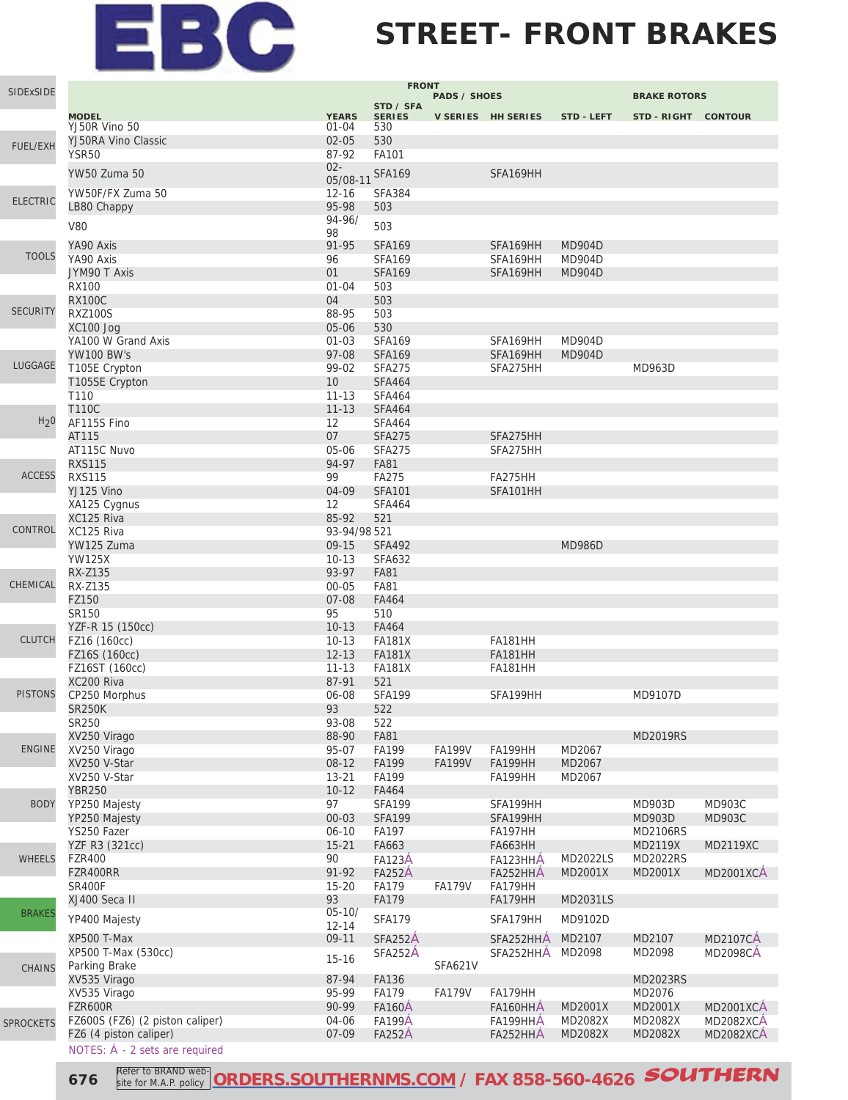### **STREET- FRONT BRAKES**

| SIDExSIDE        |                                 |                        | <b>FRONT</b>                   |                     |                      |                                |                            |                  |
|------------------|---------------------------------|------------------------|--------------------------------|---------------------|----------------------|--------------------------------|----------------------------|------------------|
|                  |                                 |                        | STD / SFA                      | <b>PADS / SHOES</b> |                      |                                | <b>BRAKE ROTORS</b>        |                  |
|                  | <b>MODEL</b>                    | <b>YEARS</b>           | <b>SERIES</b>                  |                     | V SERIES HH SERIES   | STD - LEFT                     | STD-RIGHT CONTOUR          |                  |
|                  | YJ50R Vino 50                   | $01 - 04$              | 530                            |                     |                      |                                |                            |                  |
| <b>FUEL/EXH</b>  | YJ50RA Vino Classic             | $02 - 05$              | 530                            |                     |                      |                                |                            |                  |
|                  | YSR50                           | 87-92<br>$02 -$        | FA101                          |                     |                      |                                |                            |                  |
|                  | <b>YW50 Zuma 50</b>             | 05/08-11               | <b>SFA169</b>                  |                     | SFA169HH             |                                |                            |                  |
|                  | YW50F/FX Zuma 50                | $12 - 16$              | <b>SFA384</b>                  |                     |                      |                                |                            |                  |
| <b>ELECTRIC</b>  | LB80 Chappy                     | 95-98                  | 503                            |                     |                      |                                |                            |                  |
|                  | <b>V80</b>                      | $94 - 96/$             | 503                            |                     |                      |                                |                            |                  |
|                  |                                 | 98                     |                                |                     |                      |                                |                            |                  |
| <b>TOOLS</b>     | YA90 Axis                       | 91-95                  | <b>SFA169</b>                  |                     | SFA169HH             | <b>MD904D</b>                  |                            |                  |
|                  | YA90 Axis                       | 96<br>01               | <b>SFA169</b>                  |                     | SFA169HH             | <b>MD904D</b><br><b>MD904D</b> |                            |                  |
|                  | JYM90 T Axis<br><b>RX100</b>    | $01 - 04$              | <b>SFA169</b><br>503           |                     | SFA169HH             |                                |                            |                  |
|                  | <b>RX100C</b>                   | 04                     | 503                            |                     |                      |                                |                            |                  |
| <b>SECURITY</b>  | <b>RXZ100S</b>                  | 88-95                  | 503                            |                     |                      |                                |                            |                  |
|                  | XC100 Jog                       | 05-06                  | 530                            |                     |                      |                                |                            |                  |
|                  | YA100 W Grand Axis              | $01 - 03$              | <b>SFA169</b>                  |                     | SFA169HH             | <b>MD904D</b>                  |                            |                  |
|                  | <b>YW100 BW's</b>               | 97-08                  | <b>SFA169</b>                  |                     | SFA169HH             | <b>MD904D</b>                  |                            |                  |
| LUGGAGE          | T105E Crypton                   | 99-02                  | <b>SFA275</b>                  |                     | SFA275HH             |                                | MD963D                     |                  |
|                  | T105SE Crypton                  | 10                     | <b>SFA464</b>                  |                     |                      |                                |                            |                  |
|                  | T110                            | $11 - 13$              | <b>SFA464</b>                  |                     |                      |                                |                            |                  |
| H <sub>2</sub> 0 | <b>T110C</b>                    | $11 - 13$              | <b>SFA464</b>                  |                     |                      |                                |                            |                  |
|                  | AF115S Fino<br>AT115            | 12<br>07               | <b>SFA464</b><br><b>SFA275</b> |                     | SFA275HH             |                                |                            |                  |
|                  | AT115C Nuvo                     | 05-06                  | <b>SFA275</b>                  |                     | SFA275HH             |                                |                            |                  |
|                  | <b>RXS115</b>                   | 94-97                  | <b>FA81</b>                    |                     |                      |                                |                            |                  |
| <b>ACCESS</b>    | <b>RXS115</b>                   | 99                     | <b>FA275</b>                   |                     | FA275HH              |                                |                            |                  |
|                  | YJ125 Vino                      | 04-09                  | <b>SFA101</b>                  |                     | SFA101HH             |                                |                            |                  |
|                  | XA125 Cygnus                    | 12                     | <b>SFA464</b>                  |                     |                      |                                |                            |                  |
|                  | XC125 Riva                      | 85-92                  | 521                            |                     |                      |                                |                            |                  |
| CONTROL          | XC125 Riva                      | 93-94/98 521           |                                |                     |                      |                                |                            |                  |
|                  | YW125 Zuma                      | $09 - 15$              | <b>SFA492</b>                  |                     |                      | <b>MD986D</b>                  |                            |                  |
|                  | <b>YW125X</b>                   | $10 - 13$              | <b>SFA632</b>                  |                     |                      |                                |                            |                  |
| CHEMICAL         | RX-Z135                         | 93-97                  | <b>FA81</b>                    |                     |                      |                                |                            |                  |
|                  | RX-Z135<br>FZ150                | $00 - 05$<br>$07 - 08$ | <b>FA81</b><br>FA464           |                     |                      |                                |                            |                  |
|                  | SR150                           | 95                     | 510                            |                     |                      |                                |                            |                  |
|                  | YZF-R 15 (150cc)                | $10-13$                | FA464                          |                     |                      |                                |                            |                  |
| <b>CLUTCH</b>    | FZ16 (160cc)                    | $10 - 13$              | <b>FA181X</b>                  |                     | <b>FA181HH</b>       |                                |                            |                  |
|                  | FZ16S (160cc)                   | $12 - 13$              | <b>FA181X</b>                  |                     | <b>FA181HH</b>       |                                |                            |                  |
|                  | FZ16ST (160cc)                  | $11 - 13$              | <b>FA181X</b>                  |                     | <b>FA181HH</b>       |                                |                            |                  |
|                  | XC200 Riva                      | 87-91                  | 521                            |                     |                      |                                |                            |                  |
| <b>PISTONS</b>   | CP250 Morphus                   | 06-08                  | <b>SFA199</b>                  |                     | SFA199HH             |                                | MD9107D                    |                  |
|                  | <b>SR250K</b><br>SR250          | 93<br>93-08            | 522<br>522                     |                     |                      |                                |                            |                  |
|                  | XV250 Virago                    | 88-90                  | <b>FA81</b>                    |                     |                      |                                | <b>MD2019RS</b>            |                  |
| <b>ENGINE</b>    | XV250 Virago                    | 95-07                  | FA199                          | <b>FA199V</b>       | FA199HH              | MD2067                         |                            |                  |
|                  | XV250 V-Star                    | $08-12$                | FA199                          | <b>FA199V</b>       | <b>FA199HH</b>       | MD2067                         |                            |                  |
|                  | XV250 V-Star                    | $13 - 21$              | FA199                          |                     | FA199HH              | MD2067                         |                            |                  |
|                  | <b>YBR250</b>                   | $10 - 12$              | FA464                          |                     |                      |                                |                            |                  |
| <b>BODY</b>      | YP250 Majesty                   | 97                     | <b>SFA199</b>                  |                     | SFA199HH             |                                | MD903D                     | MD903C           |
|                  | YP250 Majesty                   | $00 - 03$              | <b>SFA199</b>                  |                     | SFA199HH             |                                | MD903D                     | <b>MD903C</b>    |
|                  | YS250 Fazer                     | $06 - 10$              | FA197                          |                     | FA197HH              |                                | <b>MD2106RS</b>            |                  |
|                  | YZF R3 (321cc)                  | $15 - 21$              | FA663                          |                     | <b>FA663HH</b>       |                                | MD2119X                    | <b>MD2119XC</b>  |
| <b>WHEELS</b>    | <b>FZR400</b><br>FZR400RR       | 90<br>91-92            | <b>FA123A</b><br><b>FA252A</b> |                     | FA123HHA<br>FA252HHA | <b>MD2022LS</b><br>MD2001X     | <b>MD2022RS</b><br>MD2001X | <b>MD2001XCA</b> |
|                  | <b>SR400F</b>                   | $15 - 20$              | FA179                          | <b>FA179V</b>       | FA179HH              |                                |                            |                  |
|                  | XJ400 Seca II                   | 93                     | <b>FA179</b>                   |                     | FA179HH              | MD2031LS                       |                            |                  |
| <b>BRAKES</b>    |                                 | $05 - 10/$             |                                |                     |                      |                                |                            |                  |
|                  | YP400 Majesty                   | $12 - 14$              | <b>SFA179</b>                  |                     | SFA179HH             | MD9102D                        |                            |                  |
|                  | XP500 T-Max                     | $09-11$                | SFA252A                        |                     | SFA252HHA            | MD2107                         | MD2107                     | <b>MD2107CA</b>  |
|                  | XP500 T-Max (530cc)             | $15 - 16$              | SFA252A                        |                     | SFA252HHA            | MD2098                         | MD2098                     | <b>MD2098CA</b>  |
| <b>CHAINS</b>    | Parking Brake                   |                        |                                | <b>SFA621V</b>      |                      |                                |                            |                  |
|                  | XV535 Virago                    | 87-94<br>95-99         | FA136<br><b>FA179</b>          | <b>FA179V</b>       |                      |                                | MD2023RS<br>MD2076         |                  |
|                  | XV535 Virago<br>FZR600R         | 90-99                  | <b>FA160A</b>                  |                     | FA179HH<br>FA160HHA  | MD2001X                        | MD2001X                    | <b>MD2001XCA</b> |
| <b>SPROCKETS</b> | FZ600S (FZ6) (2 piston caliper) | 04-06                  | <b>FA199A</b>                  |                     | FA199HHA             | MD2082X                        | MD2082X                    | <b>MD2082XCA</b> |
|                  | FZ6 (4 piston caliper)          | 07-09                  | <b>FA252A</b>                  |                     | FA252HHA             | MD2082X                        | MD2082X                    | <b>MD2082XCA</b> |
|                  | NOTES: Á - 2 sets are required  |                        |                                |                     |                      |                                |                            |                  |

**676 Refer to BRAND web-** ORDERS.SOUTHERNMS.COM</u> / FAX 858-560-4626 **SOUTHERN** site for M.A.P. policy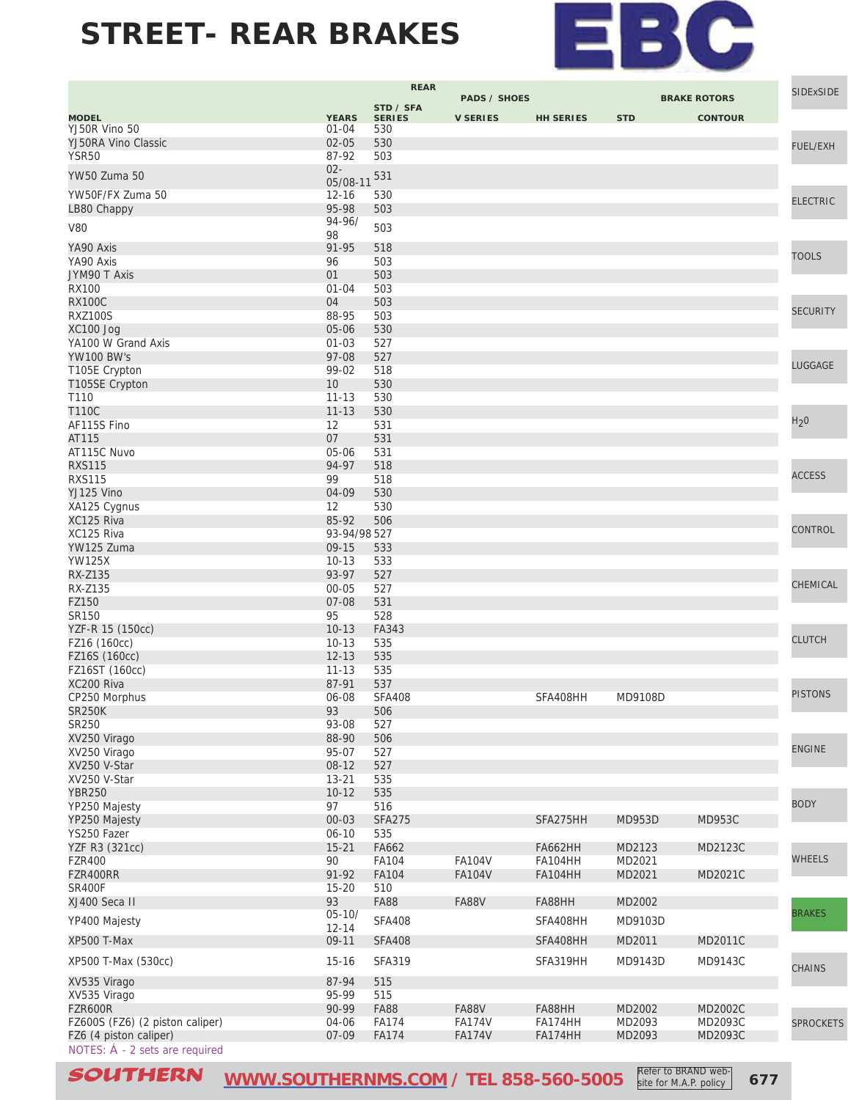

|                                 |              | <b>REAR</b>   |                     |                  |            |                     | <b>SIDExSIDE</b> |
|---------------------------------|--------------|---------------|---------------------|------------------|------------|---------------------|------------------|
|                                 |              | STD / SFA     | <b>PADS / SHOES</b> |                  |            | <b>BRAKE ROTORS</b> |                  |
| <b>MODEL</b>                    | <b>YEARS</b> | <b>SERIES</b> | <b>V SERIES</b>     | <b>HH SERIES</b> | <b>STD</b> | <b>CONTOUR</b>      |                  |
| YJ50R Vino 50                   | $01 - 04$    | 530           |                     |                  |            |                     |                  |
| YJ50RA Vino Classic             | $02 - 05$    | 530           |                     |                  |            |                     | <b>FUEL/EXH</b>  |
| <b>YSR50</b>                    | 87-92        | 503           |                     |                  |            |                     |                  |
| <b>YW50 Zuma 50</b>             | $02 -$       | 531           |                     |                  |            |                     |                  |
|                                 | 05/08-11     |               |                     |                  |            |                     |                  |
| YW50F/FX Zuma 50                | $12 - 16$    | 530           |                     |                  |            |                     | <b>ELECTRIC</b>  |
| LB80 Chappy                     | 95-98        | 503           |                     |                  |            |                     |                  |
| <b>V80</b>                      | 94-96/       | 503           |                     |                  |            |                     |                  |
| YA90 Axis                       | 98<br>91-95  |               |                     |                  |            |                     |                  |
| YA90 Axis                       | 96           | 518           |                     |                  |            |                     | <b>TOOLS</b>     |
| JYM90 T Axis                    | 01           | 503<br>503    |                     |                  |            |                     |                  |
| <b>RX100</b>                    | $01 - 04$    | 503           |                     |                  |            |                     |                  |
| <b>RX100C</b>                   | 04           | 503           |                     |                  |            |                     |                  |
| <b>RXZ100S</b>                  | 88-95        | 503           |                     |                  |            |                     | <b>SECURITY</b>  |
| XC100 Jog                       | 05-06        | 530           |                     |                  |            |                     |                  |
| YA100 W Grand Axis              | $01 - 03$    | 527           |                     |                  |            |                     |                  |
| <b>YW100 BW's</b>               | 97-08        | 527           |                     |                  |            |                     |                  |
| T105E Crypton                   | 99-02        | 518           |                     |                  |            |                     | LUGGAGE          |
| T105SE Crypton                  | 10           | 530           |                     |                  |            |                     |                  |
| T110                            | $11 - 13$    | 530           |                     |                  |            |                     |                  |
| <b>T110C</b>                    | $11 - 13$    | 530           |                     |                  |            |                     |                  |
| AF115S Fino                     | 12           | 531           |                     |                  |            |                     | H <sub>2</sub> 0 |
| AT115                           | 07           | 531           |                     |                  |            |                     |                  |
| AT115C Nuvo                     | 05-06        | 531           |                     |                  |            |                     |                  |
| <b>RXS115</b>                   | 94-97        | 518           |                     |                  |            |                     |                  |
| <b>RXS115</b>                   | 99           | 518           |                     |                  |            |                     | <b>ACCESS</b>    |
| YJ125 Vino                      | 04-09        | 530           |                     |                  |            |                     |                  |
| XA125 Cygnus                    | 12           | 530           |                     |                  |            |                     |                  |
| XC125 Riva                      | 85-92        | 506           |                     |                  |            |                     |                  |
| XC125 Riva                      | 93-94/98 527 |               |                     |                  |            |                     | <b>CONTROL</b>   |
| YW125 Zuma                      | 09-15        | 533           |                     |                  |            |                     |                  |
| <b>YW125X</b>                   | $10 - 13$    | 533           |                     |                  |            |                     |                  |
| RX-Z135                         | 93-97        | 527           |                     |                  |            |                     |                  |
| RX-Z135                         | $00 - 05$    | 527           |                     |                  |            |                     | CHEMICAL         |
| FZ150                           | 07-08        | 531           |                     |                  |            |                     |                  |
| SR150                           | 95           | 528           |                     |                  |            |                     |                  |
| YZF-R 15 (150cc)                | $10 - 13$    | FA343         |                     |                  |            |                     |                  |
| FZ16 (160cc)                    | $10 - 13$    | 535           |                     |                  |            |                     | <b>CLUTCH</b>    |
| FZ16S (160cc)                   | $12 - 13$    | 535           |                     |                  |            |                     |                  |
| FZ16ST (160cc)                  | $11 - 13$    | 535           |                     |                  |            |                     |                  |
| XC200 Riva                      | 87-91        | 537           |                     |                  |            |                     |                  |
| CP250 Morphus                   | 06-08        | <b>SFA408</b> |                     | SFA408HH         | MD9108D    |                     | <b>PISTONS</b>   |
| SR250K                          | 93           | 506           |                     |                  |            |                     |                  |
| SR250                           | 93-08        | 527           |                     |                  |            |                     |                  |
| XV250 Virago                    | 88-90        | 506           |                     |                  |            |                     |                  |
| XV250 Virago                    | 95-07        | 527           |                     |                  |            |                     | <b>ENGINE</b>    |
| XV250 V-Star                    | $08-12$      | 527           |                     |                  |            |                     |                  |
| XV250 V-Star                    | $13 - 21$    | 535           |                     |                  |            |                     |                  |
| <b>YBR250</b>                   | $10-12$      | 535           |                     |                  |            |                     |                  |
| YP250 Majesty                   | 97           | 516           |                     |                  |            |                     | <b>BODY</b>      |
| YP250 Majesty                   | $00 - 03$    | <b>SFA275</b> |                     | SFA275HH         | MD953D     | <b>MD953C</b>       |                  |
| YS250 Fazer                     | $06 - 10$    | 535           |                     |                  |            |                     |                  |
| YZF R3 (321cc)                  | $15 - 21$    | FA662         |                     | <b>FA662HH</b>   | MD2123     | MD2123C             |                  |
| <b>FZR400</b>                   | 90           | FA104         | <b>FA104V</b>       | <b>FA104HH</b>   | MD2021     |                     | <b>WHEELS</b>    |
| FZR400RR                        | 91-92        | <b>FA104</b>  | <b>FA104V</b>       | <b>FA104HH</b>   | MD2021     | MD2021C             |                  |
| <b>SR400F</b>                   | $15 - 20$    | 510           |                     |                  |            |                     |                  |
| XJ400 Seca II                   | 93           | <b>FA88</b>   | <b>FA88V</b>        | FA88HH           | MD2002     |                     |                  |
| YP400 Majesty                   | $05 - 10/$   | <b>SFA408</b> |                     | SFA408HH         | MD9103D    |                     | <b>BRAKES</b>    |
|                                 | $12 - 14$    |               |                     |                  |            |                     |                  |
| <b>XP500 T-Max</b>              | 09-11        | <b>SFA408</b> |                     | SFA408HH         | MD2011     | MD2011C             |                  |
| XP500 T-Max (530cc)             | $15 - 16$    | <b>SFA319</b> |                     | SFA319HH         | MD9143D    | MD9143C             |                  |
|                                 |              |               |                     |                  |            |                     | <b>CHAINS</b>    |
| XV535 Virago                    | 87-94        | 515           |                     |                  |            |                     |                  |
| XV535 Virago                    | 95-99        | 515           |                     |                  |            |                     |                  |
| <b>FZR600R</b>                  | 90-99        | <b>FA88</b>   | <b>FA88V</b>        | FA88HH           | MD2002     | MD2002C             |                  |
| FZ600S (FZ6) (2 piston caliper) | 04-06        | <b>FA174</b>  | <b>FA174V</b>       | FA174HH          | MD2093     | MD2093C             | <b>SPROCKETS</b> |
| FZ6 (4 piston caliper)          | 07-09        | <b>FA174</b>  | <b>FA174V</b>       | FA174HH          | MD2093     | MD2093C             |                  |
| NOTES: Á - 2 sets are required  |              |               |                     |                  |            |                     |                  |

SOUTHERN **[WWW.SOUTHERNMS.COM](http://m.southernms.com) / TEL 858-560-5005 677** Refer to BRAND website for M.A.P. policy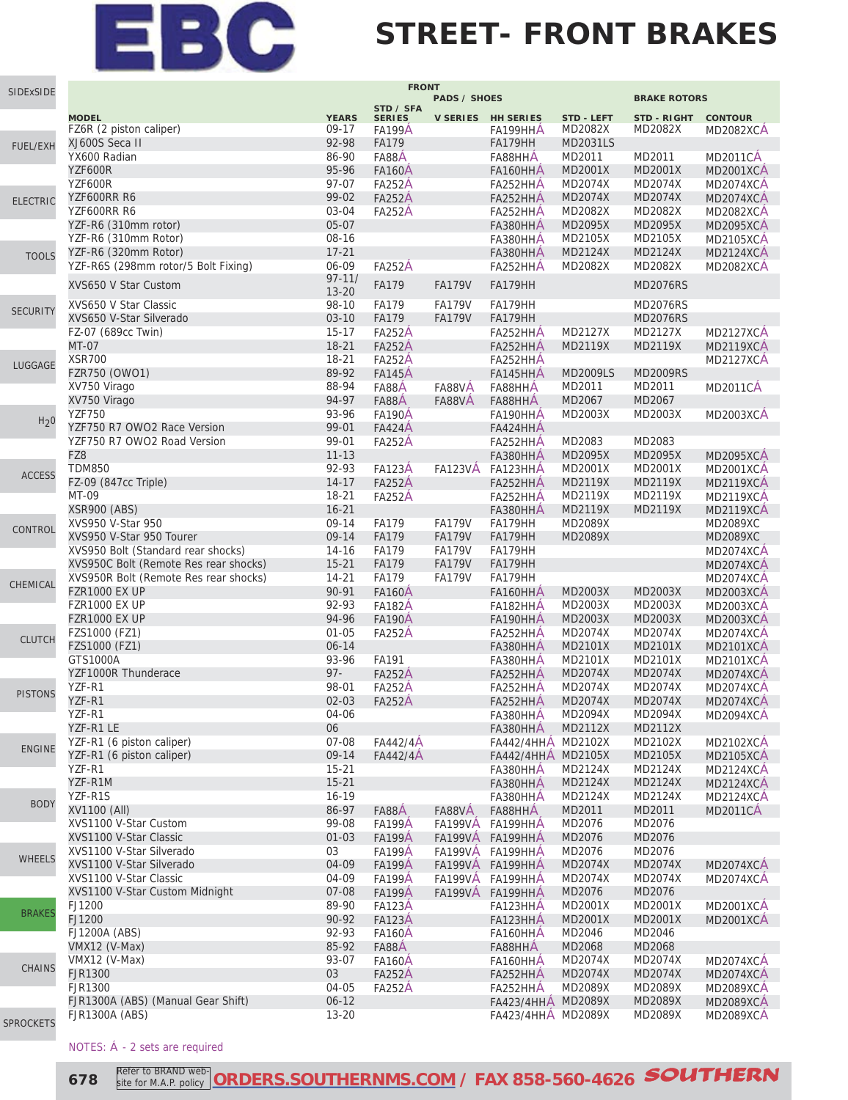#### **STREET- FRONT BRAKES**

| SIDExSIDE        |                                       |              | <b>FRONT</b>               |                     |                    |                   |                     |                  |
|------------------|---------------------------------------|--------------|----------------------------|---------------------|--------------------|-------------------|---------------------|------------------|
|                  |                                       |              |                            | <b>PADS / SHOES</b> |                    |                   | <b>BRAKE ROTORS</b> |                  |
|                  | <b>MODEL</b>                          | <b>YEARS</b> | STD / SFA<br><b>SERIES</b> |                     | V SERIES HH SERIES | <b>STD - LEFT</b> | STD - RIGHT         | <b>CONTOUR</b>   |
|                  | FZ6R (2 piston caliper)               | 09-17        | <b>FA199A</b>              |                     | FA199HHA           | MD2082X           | MD2082X             | <b>MD2082XCA</b> |
|                  | XJ600S Seca II                        | 92-98        | <b>FA179</b>               |                     | FA179HH            | <b>MD2031LS</b>   |                     |                  |
| FUEL/EXH         | YX600 Radian                          | 86-90        | FA88A                      |                     | FA88HHA            | MD2011            | MD2011              | <b>MD2011CA</b>  |
|                  | YZF600R                               | 95-96        | <b>FA160Å</b>              |                     | FA160HHA           | MD2001X           | MD2001X             | <b>MD2001XCA</b> |
|                  |                                       |              |                            |                     |                    |                   |                     |                  |
|                  | YZF600R                               | 97-07        | <b>FA252A</b>              |                     | FA252HHA           | MD2074X           | MD2074X             | MD2074XCA        |
| <b>ELECTRIC</b>  | YZF600RR R6                           | 99-02        | <b>FA252A</b>              |                     | FA252HHA           | MD2074X           | MD2074X             | <b>MD2074XCA</b> |
|                  | YZF600RR R6                           | 03-04        | <b>FA252A</b>              |                     | FA252HHA           | MD2082X           | MD2082X             | <b>MD2082XCA</b> |
|                  | YZF-R6 (310mm rotor)                  | $05-07$      |                            |                     | FA380HHA           | MD2095X           | MD2095X             | <b>MD2095XCA</b> |
|                  | YZF-R6 (310mm Rotor)                  | 08-16        |                            |                     | FA380HHA           | MD2105X           | MD2105X             | <b>MD2105XCA</b> |
| <b>TOOLS</b>     | YZF-R6 (320mm Rotor)                  | $17 - 21$    |                            |                     | FA380HHA           | MD2124X           | MD2124X             | <b>MD2124XCA</b> |
|                  | YZF-R6S (298mm rotor/5 Bolt Fixing)   | 06-09        | <b>FA252A</b>              |                     | FA252HHA           | MD2082X           | MD2082X             | <b>MD2082XCA</b> |
|                  |                                       | $97 - 11/$   |                            |                     |                    |                   |                     |                  |
|                  | XVS650 V Star Custom                  | $13 - 20$    | FA179                      | <b>FA179V</b>       | FA179HH            |                   | <b>MD2076RS</b>     |                  |
|                  | XVS650 V Star Classic                 | 98-10        | <b>FA179</b>               | <b>FA179V</b>       | FA179HH            |                   | <b>MD2076RS</b>     |                  |
| <b>SECURITY</b>  | XVS650 V-Star Silverado               | $03-10$      | FA179                      | <b>FA179V</b>       | FA179HH            |                   | <b>MD2076RS</b>     |                  |
|                  | FZ-07 (689cc Twin)                    | $15-17$      | <b>FA252A</b>              |                     | FA252HHA           | MD2127X           | MD2127X             | <b>MD2127XCA</b> |
|                  | <b>MT-07</b>                          | $18 - 21$    | <b>FA252A</b>              |                     | FA252HHA           | MD2119X           | MD2119X             | <b>MD2119XCA</b> |
|                  | <b>XSR700</b>                         |              |                            |                     |                    |                   |                     |                  |
| LUGGAGE          |                                       | 18-21        | <b>FA252A</b>              |                     | FA252HHA           |                   |                     | <b>MD2127XCA</b> |
|                  | FZR750 (OWO1)                         | 89-92        | <b>FA145A</b>              |                     | FA145HHA           | <b>MD2009LS</b>   | <b>MD2009RS</b>     |                  |
|                  | XV750 Virago                          | 88-94        | FA88A                      | FA88VA              | FA88HHA            | MD2011            | MD2011              | <b>MD2011CA</b>  |
|                  | XV750 Virago                          | 94-97        | FA88A                      | FA88VA              | FA88HHA            | MD2067            | MD2067              |                  |
| H <sub>2</sub> 0 | <b>YZF750</b>                         | 93-96        | <b>FA190A</b>              |                     | FA190HHA           | MD2003X           | MD2003X             | <b>MD2003XCA</b> |
|                  | YZF750 R7 OWO2 Race Version           | 99-01        | <b>FA424A</b>              |                     | FA424HHA           |                   |                     |                  |
|                  | YZF750 R7 OWO2 Road Version           | 99-01        | <b>FA252A</b>              |                     | FA252HHA           | MD2083            | MD2083              |                  |
|                  | FZ8                                   | $11 - 13$    |                            |                     | FA380HHA           | MD2095X           | MD2095X             | <b>MD2095XCA</b> |
|                  | <b>TDM850</b>                         | 92-93        | <b>FA123A</b>              | <b>FA123VA</b>      | FA123HHA           | MD2001X           | MD2001X             | <b>MD2001XCA</b> |
| <b>ACCESS</b>    | FZ-09 (847cc Triple)                  | $14 - 17$    | <b>FA252A</b>              |                     | FA252HHA           | MD2119X           | MD2119X             | MD2119XCA        |
|                  | MT-09                                 | $18 - 21$    | <b>FA252A</b>              |                     | FA252HHA           | MD2119X           | MD2119X             | MD2119XCA        |
|                  | <b>XSR900 (ABS)</b>                   | $16 - 21$    |                            |                     | FA380HHA           | MD2119X           | MD2119X             | <b>MD2119XCA</b> |
|                  | XVS950 V-Star 950                     |              |                            |                     |                    |                   |                     |                  |
| CONTROL          |                                       | 09-14        | <b>FA179</b>               | <b>FA179V</b>       | FA179HH            | MD2089X           |                     | <b>MD2089XC</b>  |
|                  | XVS950 V-Star 950 Tourer              | $09 - 14$    | FA179                      | <b>FA179V</b>       | FA179HH            | MD2089X           |                     | <b>MD2089XC</b>  |
|                  | XVS950 Bolt (Standard rear shocks)    | 14-16        | <b>FA179</b>               | <b>FA179V</b>       | FA179HH            |                   |                     | MD2074XCA        |
|                  | XVS950C Bolt (Remote Res rear shocks) | $15 - 21$    | <b>FA179</b>               | <b>FA179V</b>       | FA179HH            |                   |                     | <b>MD2074XCA</b> |
| CHEMICAL         | XVS950R Bolt (Remote Res rear shocks) | $14 - 21$    | <b>FA179</b>               | <b>FA179V</b>       | FA179HH            |                   |                     | <b>MD2074XCA</b> |
|                  | <b>FZR1000 EX UP</b>                  | 90-91        | <b>FA160A</b>              |                     | FA160HHA           | MD2003X           | MD2003X             | <b>MD2003XCA</b> |
|                  | <b>FZR1000 EX UP</b>                  | 92-93        | <b>FA182A</b>              |                     | FA182HHA           | MD2003X           | MD2003X             | <b>MD2003XCA</b> |
|                  | <b>FZR1000 EX UP</b>                  | 94-96        | <b>FA190Å</b>              |                     | FA190HHA           | MD2003X           | MD2003X             | <b>MD2003XCA</b> |
|                  | FZS1000 (FZ1)                         | $01 - 05$    | <b>FA252A</b>              |                     | FA252HHA           | MD2074X           | MD2074X             | <b>MD2074XCA</b> |
| <b>CLUTCH</b>    | FZS1000 (FZ1)                         | $06 - 14$    |                            |                     | FA380HHA           | MD2101X           | MD2101X             | <b>MD2101XCA</b> |
|                  | GTS1000A                              | 93-96        | FA191                      |                     | FA380HHA           | MD2101X           | MD2101X             | <b>MD2101XCA</b> |
|                  |                                       | $97 -$       |                            |                     |                    |                   |                     |                  |
|                  | YZF1000R Thunderace                   |              | <b>FA252A</b>              |                     | FA252HHA           | MD2074X           | MD2074X             | <b>MD2074XCA</b> |
| <b>PISTONS</b>   | YZF-R1                                | 98-01        | <b>FA252A</b>              |                     | FA252HHA           | MD2074X           | MD2074X             | MD2074XCA        |
|                  | YZF-R1                                | $02 - 03$    | <b>FA252A</b>              |                     | FA252HHA           | MD2074X           | MD2074X             | <b>MD2074XCA</b> |
|                  | YZF-R1                                | 04-06        |                            |                     | FA380HHA           | MD2094X           | MD2094X             | MD2094XCA        |
|                  | YZF-R1 LE                             | 06           |                            |                     | FA380HHA           | MD2112X           | MD2112X             |                  |
|                  | YZF-R1 (6 piston caliper)             | 07-08        | FA442/4A                   |                     | FA442/4HHA MD2102X |                   | MD2102X             | <b>MD2102XCA</b> |
| <b>ENGINE</b>    | YZF-R1 (6 piston caliper)             | 09-14        | FA442/4A                   |                     | FA442/4HHA MD2105X |                   | MD2105X             | <b>MD2105XCA</b> |
|                  | YZF-R1                                | $15 - 21$    |                            |                     | FA380HHA           | MD2124X           | MD2124X             | <b>MD2124XCA</b> |
|                  | YZF-R1M                               | $15 - 21$    |                            |                     | FA380HHA           | MD2124X           | MD2124X             | <b>MD2124XCA</b> |
|                  | YZF-R1S                               | $16-19$      |                            |                     | FA380HHA           | MD2124X           | MD2124X             | MD2124XCA        |
| <b>BODY</b>      | XV1100 (All)                          | 86-97        | FA88A                      | FA88VA              | FA88HHA            | MD2011            | MD2011              | <b>MD2011CA</b>  |
|                  | XVS1100 V-Star Custom                 | 99-08        | <b>FA199A</b>              | <b>FA199VÁ</b>      | FA199HHA           | MD2076            | MD2076              |                  |
|                  |                                       |              |                            |                     |                    |                   |                     |                  |
|                  | XVS1100 V-Star Classic                | $01 - 03$    | <b>FA199A</b>              |                     | FA199VÅ FA199HHA   | MD2076            | MD2076              |                  |
| <b>WHEELS</b>    | XVS1100 V-Star Silverado              | 03           | <b>FA199A</b>              |                     | FA199VÅ FA199HHA   | MD2076            | MD2076              |                  |
|                  | XVS1100 V-Star Silverado              | 04-09        | <b>FA199A</b>              |                     | FA199VÁ FA199HHÁ   | MD2074X           | MD2074X             | <b>MD2074XCA</b> |
|                  | XVS1100 V-Star Classic                | 04-09        | <b>FA199A</b>              | <b>FA199VÅ</b>      | FA199HHA           | MD2074X           | MD2074X             | MD2074XCA        |
|                  | XVS1100 V-Star Custom Midnight        | 07-08        | <b>FA199A</b>              | <b>FA199VA</b>      | FA199HHA           | MD2076            | MD2076              |                  |
|                  | FJ1200                                | 89-90        | <b>FA123A</b>              |                     | FA123HHA           | MD2001X           | MD2001X             | <b>MD2001XCA</b> |
| <b>BRAKES</b>    | FJ1200                                | 90-92        | <b>FA123A</b>              |                     | FA123HHA           | MD2001X           | MD2001X             | <b>MD2001XCA</b> |
|                  | FJ1200A (ABS)                         | 92-93        | <b>FA160A</b>              |                     | FA160HHA           | MD2046            | MD2046              |                  |
|                  | VMX12 (V-Max)                         | 85-92        | FA88A                      |                     | FA88HHA            | MD2068            | MD2068              |                  |
|                  | VMX12 (V-Max)                         | 93-07        | <b>FA160A</b>              |                     | FA160HHA           | MD2074X           | MD2074X             | MD2074XCÁ        |
| <b>CHAINS</b>    | <b>FJR1300</b>                        | 03           |                            |                     |                    | MD2074X           | MD2074X             |                  |
|                  |                                       |              | <b>FA252A</b>              |                     | FA252HHA           |                   |                     | <b>MD2074XCA</b> |
|                  | <b>FJR1300</b>                        | 04-05        | <b>FA252A</b>              |                     | FA252HHA           | MD2089X           | MD2089X             | <b>MD2089XCA</b> |
|                  | FJR1300A (ABS) (Manual Gear Shift)    | $06 - 12$    |                            |                     | FA423/4HHA MD2089X |                   | MD2089X             | <b>MD2089XCA</b> |
| <b>SPROCKETS</b> | <b>FJR1300A (ABS)</b>                 | $13 - 20$    |                            |                     | FA423/4HHA MD2089X |                   | MD2089X             | <b>MD2089XCA</b> |

#### NOTES: Á - 2 sets are required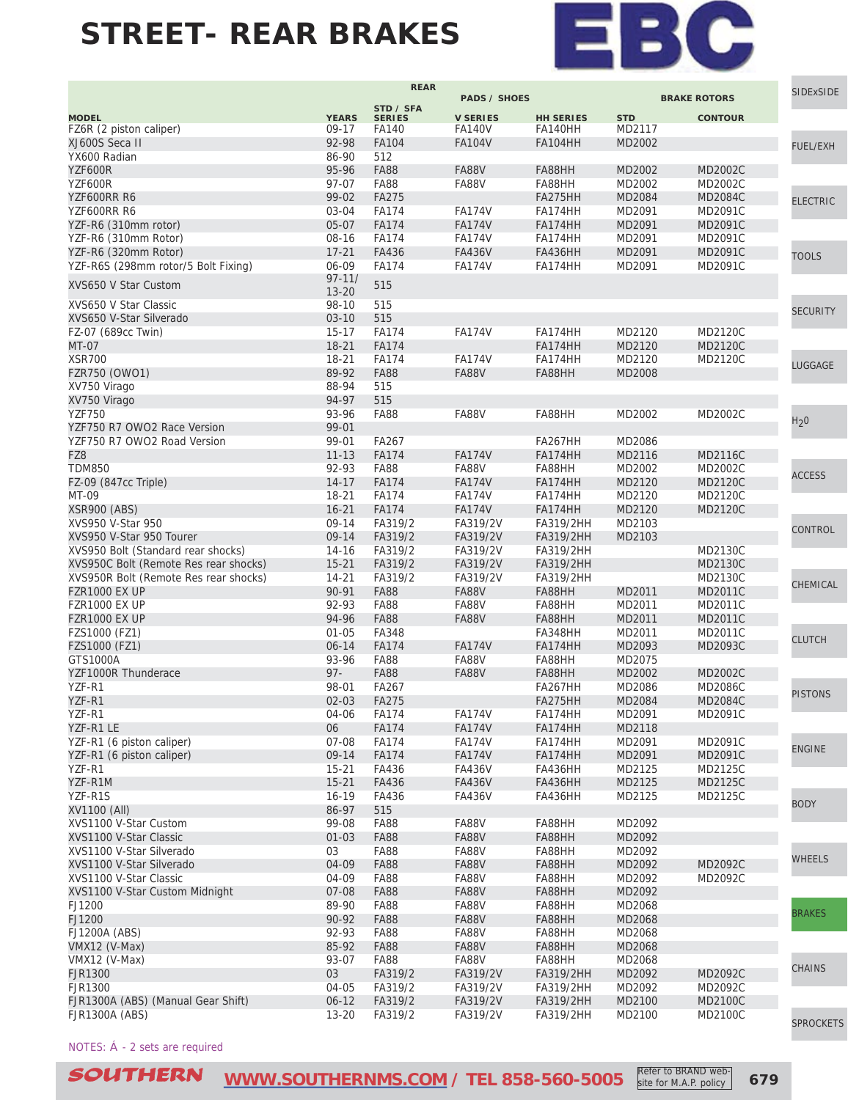

| <b>PADS / SHOES</b><br><b>BRAKE ROTORS</b><br>STD / SFA<br><b>YEARS</b><br><b>V SERIES</b><br><b>STD</b><br><b>CONTOUR</b><br><b>MODEL</b><br><b>SERIES</b><br><b>HH SERIES</b><br>FZ6R (2 piston caliper)<br>$09-17$<br>FA140<br><b>FA140HH</b><br>MD2117<br><b>FA140V</b><br>XJ600S Seca II<br>92-98<br>FA104<br><b>FA104HH</b><br>MD2002<br><b>FA104V</b><br><b>FUEL/EXH</b><br>YX600 Radian<br>86-90<br>512<br>95-96<br><b>FA88</b><br><b>FA88V</b><br>YZF600R<br>FA88HH<br>MD2002<br>MD2002C<br>97-07<br><b>FA88</b><br><b>FA88V</b><br>YZF600R<br>FA88HH<br>MD2002<br>MD2002C<br>YZF600RR R6<br>99-02<br><b>FA275</b><br>FA275HH<br>MD2084<br>MD2084C<br><b>ELECTRIC</b><br>YZF600RR R6<br>03-04<br><b>FA174</b><br><b>FA174V</b><br>FA174HH<br>MD2091<br>MD2091C<br>$05 - 07$<br>YZF-R6 (310mm rotor)<br><b>FA174</b><br><b>FA174V</b><br>FA174HH<br>MD2091<br>MD2091C<br>YZF-R6 (310mm Rotor)<br>08-16<br><b>FA174</b><br><b>FA174V</b><br>FA174HH<br>MD2091<br>MD2091C<br>YZF-R6 (320mm Rotor)<br>$17 - 21$<br>FA436<br><b>FA436V</b><br><b>FA436HH</b><br>MD2091<br>MD2091C<br><b>TOOLS</b><br>YZF-R6S (298mm rotor/5 Bolt Fixing)<br>06-09<br><b>FA174</b><br><b>FA174V</b><br>FA174HH<br>MD2091<br>MD2091C<br>$97 - 11/$<br>XVS650 V Star Custom<br>515<br>$13 - 20$<br>XVS650 V Star Classic<br>98-10<br>515<br><b>SECURITY</b><br>XVS650 V-Star Silverado<br>$03 - 10$<br>515<br>FZ-07 (689cc Twin)<br>$15-17$<br><b>FA174</b><br>MD2120<br>MD2120C<br><b>FA174V</b><br>FA174HH<br>$18 - 21$<br>MD2120<br>MD2120C<br>MT-07<br><b>FA174</b><br>FA174HH<br><b>XSR700</b><br>$18 - 21$<br>MD2120<br>MD2120C<br><b>FA174</b><br><b>FA174V</b><br>FA174HH<br>LUGGAGE<br>FZR750 (OWO1)<br>89-92<br><b>FA88</b><br><b>FA88V</b><br>FA88HH<br>MD2008<br>XV750 Virago<br>88-94<br>515<br>XV750 Virago<br>94-97<br>515<br><b>FA88</b><br><b>FA88V</b><br>FA88HH<br>MD2002<br><b>YZF750</b><br>93-96<br>MD2002C<br>H <sub>2</sub> 0<br>99-01<br>YZF750 R7 OWO2 Race Version<br>YZF750 R7 OWO2 Road Version<br>99-01<br>FA267<br>FA267HH<br>MD2086<br>$11 - 13$<br><b>FA174</b><br>FZ8<br><b>FA174V</b><br>FA174HH<br>MD2116<br>MD2116C<br><b>TDM850</b><br>92-93<br><b>FA88</b><br><b>FA88V</b><br>FA88HH<br>MD2002<br>MD2002C<br><b>ACCESS</b><br><b>FA174</b><br>FZ-09 (847cc Triple)<br>$14 - 17$<br><b>FA174V</b><br>FA174HH<br>MD2120<br>MD2120C<br>MT-09<br>18-21<br><b>FA174</b><br><b>FA174V</b><br>FA174HH<br>MD2120<br>MD2120C<br><b>XSR900 (ABS)</b><br>$16 - 21$<br><b>FA174</b><br>MD2120<br><b>FA174V</b><br>FA174HH<br>MD2120C<br>XVS950 V-Star 950<br>09-14<br>FA319/2<br>FA319/2V<br>FA319/2HH<br>MD2103<br>CONTROL<br>09-14<br>XVS950 V-Star 950 Tourer<br>FA319/2<br>FA319/2V<br>FA319/2HH<br>MD2103<br>XVS950 Bolt (Standard rear shocks)<br>14-16<br>FA319/2<br>FA319/2V<br>FA319/2HH<br>MD2130C<br>MD2130C<br>XVS950C Bolt (Remote Res rear shocks)<br>$15 - 21$<br>FA319/2<br>FA319/2V<br>FA319/2HH<br>XVS950R Bolt (Remote Res rear shocks)<br>$14 - 21$<br>FA319/2<br>FA319/2V<br>FA319/2HH<br>MD2130C<br>CHEMICAL<br>90-91<br><b>FA88</b><br><b>FZR1000 EX UP</b><br><b>FA88V</b><br>FA88HH<br>MD2011<br>MD2011C<br>92-93<br><b>FA88</b><br><b>FZR1000 EX UP</b><br><b>FA88V</b><br>FA88HH<br>MD2011<br>MD2011C<br>94-96<br><b>FA88</b><br><b>FA88V</b><br><b>FZR1000 EX UP</b><br>FA88HH<br>MD2011<br>MD2011C<br>FZS1000 (FZ1)<br>$01 - 05$<br>FA348<br>FA348HH<br>MD2011<br>MD2011C<br><b>CLUTCH</b><br>$06 - 14$<br>FZS1000 (FZ1)<br><b>FA174</b><br><b>FA174V</b><br>FA174HH<br>MD2093<br>MD2093C<br>GTS1000A<br><b>FA88V</b><br>93-96<br><b>FA88</b><br>FA88HH<br>MD2075<br>$97 -$<br><b>FA88V</b><br>YZF1000R Thunderace<br><b>FA88</b><br>FA88HH<br>MD2002<br>MD2002C<br>YZF-R1<br>98-01<br>FA267<br>FA267HH<br>MD2086<br>MD2086C<br><b>PISTONS</b><br>YZF-R1<br>$02 - 03$<br><b>FA275</b><br>FA275HH<br>MD2084<br>MD2084C<br>YZF-R1<br>04-06<br><b>FA174</b><br><b>FA174V</b><br>FA174HH<br>MD2091<br>MD2091C<br>YZF-R1 LE<br>06<br><b>FA174V</b><br><b>FA174</b><br>FA174HH<br>MD2118<br>YZF-R1 (6 piston caliper)<br>$07 - 08$<br><b>FA174</b><br><b>FA174V</b><br>FA174HH<br>MD2091<br>MD2091C<br><b>ENGINE</b><br>09-14<br>YZF-R1 (6 piston caliper)<br><b>FA174</b><br><b>FA174V</b><br>FA174HH<br>MD2091<br>MD2091C<br>YZF-R1<br>$15 - 21$<br>FA436<br><b>FA436V</b><br>MD2125<br>MD2125C<br>FA436HH<br>YZF-R1M<br>$15 - 21$<br>FA436<br><b>FA436V</b><br><b>FA436HH</b><br>MD2125<br>MD2125C<br>YZF-R1S<br>$16 - 19$<br>MD2125C<br>FA436<br><b>FA436V</b><br>FA436HH<br>MD2125<br><b>BODY</b><br>86-97<br>XV1100 (All)<br>515<br>XVS1100 V-Star Custom<br>99-08<br><b>FA88</b><br>FA88V<br>FA88HH<br>MD2092<br>XVS1100 V-Star Classic<br>$01 - 03$<br><b>FA88</b><br><b>FA88V</b><br>FA88HH<br>MD2092<br>XVS1100 V-Star Silverado<br>03<br><b>FA88</b><br>FA88V<br>FA88HH<br>MD2092<br><b>WHEELS</b><br>04-09<br>XVS1100 V-Star Silverado<br><b>FA88</b><br><b>FA88V</b><br>FA88HH<br>MD2092<br>MD2092C<br>XVS1100 V-Star Classic<br>04-09<br><b>FA88</b><br>FA88V<br>MD2092C<br>FA88HH<br>MD2092<br>XVS1100 V-Star Custom Midnight<br>07-08<br><b>FA88</b><br><b>FA88V</b><br>FA88HH<br>MD2092<br>FJ1200<br>89-90<br><b>FA88</b><br>FA88V<br>MD2068<br>FA88HH<br><b>BRAKES</b><br>90-92<br>FJ1200<br><b>FA88</b><br>FA88V<br>FA88HH<br>MD2068<br>FJ1200A (ABS)<br>92-93<br><b>FA88</b><br>FA88V<br>FA88HH<br>MD2068<br>VMX12 (V-Max)<br>85-92<br><b>FA88</b><br>FA88V<br>FA88HH<br>MD2068<br>93-07<br><b>FA88</b><br><b>FA88V</b><br>FA88HH<br>MD2068<br>VMX12 (V-Max)<br>CHAINS<br>03<br><b>FJR1300</b><br>FA319/2<br>FA319/2V<br>FA319/2HH<br>MD2092<br>MD2092C<br><b>FJR1300</b><br>04-05<br>FA319/2<br>FA319/2V<br>MD2092C<br>FA319/2HH<br>MD2092<br>FJR1300A (ABS) (Manual Gear Shift)<br>$06 - 12$<br>FA319/2<br>FA319/2V<br>FA319/2HH<br>MD2100<br>MD2100C<br><b>FJR1300A (ABS)</b><br>$13 - 20$<br>FA319/2<br>FA319/2V<br>FA319/2HH<br>MD2100C<br>MD2100<br><b>SPROCKETS</b> |  | <b>REAR</b> |  |  | <b>SIDExSIDE</b> |  |
|-----------------------------------------------------------------------------------------------------------------------------------------------------------------------------------------------------------------------------------------------------------------------------------------------------------------------------------------------------------------------------------------------------------------------------------------------------------------------------------------------------------------------------------------------------------------------------------------------------------------------------------------------------------------------------------------------------------------------------------------------------------------------------------------------------------------------------------------------------------------------------------------------------------------------------------------------------------------------------------------------------------------------------------------------------------------------------------------------------------------------------------------------------------------------------------------------------------------------------------------------------------------------------------------------------------------------------------------------------------------------------------------------------------------------------------------------------------------------------------------------------------------------------------------------------------------------------------------------------------------------------------------------------------------------------------------------------------------------------------------------------------------------------------------------------------------------------------------------------------------------------------------------------------------------------------------------------------------------------------------------------------------------------------------------------------------------------------------------------------------------------------------------------------------------------------------------------------------------------------------------------------------------------------------------------------------------------------------------------------------------------------------------------------------------------------------------------------------------------------------------------------------------------------------------------------------------------------------------------------------------------------------------------------------------------------------------------------------------------------------------------------------------------------------------------------------------------------------------------------------------------------------------------------------------------------------------------------------------------------------------------------------------------------------------------------------------------------------------------------------------------------------------------------------------------------------------------------------------------------------------------------------------------------------------------------------------------------------------------------------------------------------------------------------------------------------------------------------------------------------------------------------------------------------------------------------------------------------------------------------------------------------------------------------------------------------------------------------------------------------------------------------------------------------------------------------------------------------------------------------------------------------------------------------------------------------------------------------------------------------------------------------------------------------------------------------------------------------------------------------------------------------------------------------------------------------------------------------------------------------------------------------------------------------------------------------------------------------------------------------------------------------------------------------------------------------------------------------------------------------------------------------------------------------------------------------------------------------------------------------------------------------------------------------------------------------------------------------------------------------------------------------------------------------------------------------------------------------------------------------------------------------------------------------------------------------------------------------------------------------------------------------------------------------------------------------------------------------------------------------------------------------------------------------------------------------------------------------------------------------------------------------------------------------------------------------------------------------------------------------------------------------------------------------------------------------------------------------------------------------------------------------------------------------------------------------------------------------------------------------------------------------------------------------------------------------------------------------------------------------------------------------------------------------------------------------------------------------------------------------------------------------------------------------------------------|--|-------------|--|--|------------------|--|
|                                                                                                                                                                                                                                                                                                                                                                                                                                                                                                                                                                                                                                                                                                                                                                                                                                                                                                                                                                                                                                                                                                                                                                                                                                                                                                                                                                                                                                                                                                                                                                                                                                                                                                                                                                                                                                                                                                                                                                                                                                                                                                                                                                                                                                                                                                                                                                                                                                                                                                                                                                                                                                                                                                                                                                                                                                                                                                                                                                                                                                                                                                                                                                                                                                                                                                                                                                                                                                                                                                                                                                                                                                                                                                                                                                                                                                                                                                                                                                                                                                                                                                                                                                                                                                                                                                                                                                                                                                                                                                                                                                                                                                                                                                                                                                                                                                                                                                                                                                                                                                                                                                                                                                                                                                                                                                                                                                                                                                                                                                                                                                                                                                                                                                                                                                                                                                                                                                                                   |  |             |  |  |                  |  |
|                                                                                                                                                                                                                                                                                                                                                                                                                                                                                                                                                                                                                                                                                                                                                                                                                                                                                                                                                                                                                                                                                                                                                                                                                                                                                                                                                                                                                                                                                                                                                                                                                                                                                                                                                                                                                                                                                                                                                                                                                                                                                                                                                                                                                                                                                                                                                                                                                                                                                                                                                                                                                                                                                                                                                                                                                                                                                                                                                                                                                                                                                                                                                                                                                                                                                                                                                                                                                                                                                                                                                                                                                                                                                                                                                                                                                                                                                                                                                                                                                                                                                                                                                                                                                                                                                                                                                                                                                                                                                                                                                                                                                                                                                                                                                                                                                                                                                                                                                                                                                                                                                                                                                                                                                                                                                                                                                                                                                                                                                                                                                                                                                                                                                                                                                                                                                                                                                                                                   |  |             |  |  |                  |  |
|                                                                                                                                                                                                                                                                                                                                                                                                                                                                                                                                                                                                                                                                                                                                                                                                                                                                                                                                                                                                                                                                                                                                                                                                                                                                                                                                                                                                                                                                                                                                                                                                                                                                                                                                                                                                                                                                                                                                                                                                                                                                                                                                                                                                                                                                                                                                                                                                                                                                                                                                                                                                                                                                                                                                                                                                                                                                                                                                                                                                                                                                                                                                                                                                                                                                                                                                                                                                                                                                                                                                                                                                                                                                                                                                                                                                                                                                                                                                                                                                                                                                                                                                                                                                                                                                                                                                                                                                                                                                                                                                                                                                                                                                                                                                                                                                                                                                                                                                                                                                                                                                                                                                                                                                                                                                                                                                                                                                                                                                                                                                                                                                                                                                                                                                                                                                                                                                                                                                   |  |             |  |  |                  |  |
|                                                                                                                                                                                                                                                                                                                                                                                                                                                                                                                                                                                                                                                                                                                                                                                                                                                                                                                                                                                                                                                                                                                                                                                                                                                                                                                                                                                                                                                                                                                                                                                                                                                                                                                                                                                                                                                                                                                                                                                                                                                                                                                                                                                                                                                                                                                                                                                                                                                                                                                                                                                                                                                                                                                                                                                                                                                                                                                                                                                                                                                                                                                                                                                                                                                                                                                                                                                                                                                                                                                                                                                                                                                                                                                                                                                                                                                                                                                                                                                                                                                                                                                                                                                                                                                                                                                                                                                                                                                                                                                                                                                                                                                                                                                                                                                                                                                                                                                                                                                                                                                                                                                                                                                                                                                                                                                                                                                                                                                                                                                                                                                                                                                                                                                                                                                                                                                                                                                                   |  |             |  |  |                  |  |
|                                                                                                                                                                                                                                                                                                                                                                                                                                                                                                                                                                                                                                                                                                                                                                                                                                                                                                                                                                                                                                                                                                                                                                                                                                                                                                                                                                                                                                                                                                                                                                                                                                                                                                                                                                                                                                                                                                                                                                                                                                                                                                                                                                                                                                                                                                                                                                                                                                                                                                                                                                                                                                                                                                                                                                                                                                                                                                                                                                                                                                                                                                                                                                                                                                                                                                                                                                                                                                                                                                                                                                                                                                                                                                                                                                                                                                                                                                                                                                                                                                                                                                                                                                                                                                                                                                                                                                                                                                                                                                                                                                                                                                                                                                                                                                                                                                                                                                                                                                                                                                                                                                                                                                                                                                                                                                                                                                                                                                                                                                                                                                                                                                                                                                                                                                                                                                                                                                                                   |  |             |  |  |                  |  |
|                                                                                                                                                                                                                                                                                                                                                                                                                                                                                                                                                                                                                                                                                                                                                                                                                                                                                                                                                                                                                                                                                                                                                                                                                                                                                                                                                                                                                                                                                                                                                                                                                                                                                                                                                                                                                                                                                                                                                                                                                                                                                                                                                                                                                                                                                                                                                                                                                                                                                                                                                                                                                                                                                                                                                                                                                                                                                                                                                                                                                                                                                                                                                                                                                                                                                                                                                                                                                                                                                                                                                                                                                                                                                                                                                                                                                                                                                                                                                                                                                                                                                                                                                                                                                                                                                                                                                                                                                                                                                                                                                                                                                                                                                                                                                                                                                                                                                                                                                                                                                                                                                                                                                                                                                                                                                                                                                                                                                                                                                                                                                                                                                                                                                                                                                                                                                                                                                                                                   |  |             |  |  |                  |  |
|                                                                                                                                                                                                                                                                                                                                                                                                                                                                                                                                                                                                                                                                                                                                                                                                                                                                                                                                                                                                                                                                                                                                                                                                                                                                                                                                                                                                                                                                                                                                                                                                                                                                                                                                                                                                                                                                                                                                                                                                                                                                                                                                                                                                                                                                                                                                                                                                                                                                                                                                                                                                                                                                                                                                                                                                                                                                                                                                                                                                                                                                                                                                                                                                                                                                                                                                                                                                                                                                                                                                                                                                                                                                                                                                                                                                                                                                                                                                                                                                                                                                                                                                                                                                                                                                                                                                                                                                                                                                                                                                                                                                                                                                                                                                                                                                                                                                                                                                                                                                                                                                                                                                                                                                                                                                                                                                                                                                                                                                                                                                                                                                                                                                                                                                                                                                                                                                                                                                   |  |             |  |  |                  |  |
|                                                                                                                                                                                                                                                                                                                                                                                                                                                                                                                                                                                                                                                                                                                                                                                                                                                                                                                                                                                                                                                                                                                                                                                                                                                                                                                                                                                                                                                                                                                                                                                                                                                                                                                                                                                                                                                                                                                                                                                                                                                                                                                                                                                                                                                                                                                                                                                                                                                                                                                                                                                                                                                                                                                                                                                                                                                                                                                                                                                                                                                                                                                                                                                                                                                                                                                                                                                                                                                                                                                                                                                                                                                                                                                                                                                                                                                                                                                                                                                                                                                                                                                                                                                                                                                                                                                                                                                                                                                                                                                                                                                                                                                                                                                                                                                                                                                                                                                                                                                                                                                                                                                                                                                                                                                                                                                                                                                                                                                                                                                                                                                                                                                                                                                                                                                                                                                                                                                                   |  |             |  |  |                  |  |
|                                                                                                                                                                                                                                                                                                                                                                                                                                                                                                                                                                                                                                                                                                                                                                                                                                                                                                                                                                                                                                                                                                                                                                                                                                                                                                                                                                                                                                                                                                                                                                                                                                                                                                                                                                                                                                                                                                                                                                                                                                                                                                                                                                                                                                                                                                                                                                                                                                                                                                                                                                                                                                                                                                                                                                                                                                                                                                                                                                                                                                                                                                                                                                                                                                                                                                                                                                                                                                                                                                                                                                                                                                                                                                                                                                                                                                                                                                                                                                                                                                                                                                                                                                                                                                                                                                                                                                                                                                                                                                                                                                                                                                                                                                                                                                                                                                                                                                                                                                                                                                                                                                                                                                                                                                                                                                                                                                                                                                                                                                                                                                                                                                                                                                                                                                                                                                                                                                                                   |  |             |  |  |                  |  |
|                                                                                                                                                                                                                                                                                                                                                                                                                                                                                                                                                                                                                                                                                                                                                                                                                                                                                                                                                                                                                                                                                                                                                                                                                                                                                                                                                                                                                                                                                                                                                                                                                                                                                                                                                                                                                                                                                                                                                                                                                                                                                                                                                                                                                                                                                                                                                                                                                                                                                                                                                                                                                                                                                                                                                                                                                                                                                                                                                                                                                                                                                                                                                                                                                                                                                                                                                                                                                                                                                                                                                                                                                                                                                                                                                                                                                                                                                                                                                                                                                                                                                                                                                                                                                                                                                                                                                                                                                                                                                                                                                                                                                                                                                                                                                                                                                                                                                                                                                                                                                                                                                                                                                                                                                                                                                                                                                                                                                                                                                                                                                                                                                                                                                                                                                                                                                                                                                                                                   |  |             |  |  |                  |  |
|                                                                                                                                                                                                                                                                                                                                                                                                                                                                                                                                                                                                                                                                                                                                                                                                                                                                                                                                                                                                                                                                                                                                                                                                                                                                                                                                                                                                                                                                                                                                                                                                                                                                                                                                                                                                                                                                                                                                                                                                                                                                                                                                                                                                                                                                                                                                                                                                                                                                                                                                                                                                                                                                                                                                                                                                                                                                                                                                                                                                                                                                                                                                                                                                                                                                                                                                                                                                                                                                                                                                                                                                                                                                                                                                                                                                                                                                                                                                                                                                                                                                                                                                                                                                                                                                                                                                                                                                                                                                                                                                                                                                                                                                                                                                                                                                                                                                                                                                                                                                                                                                                                                                                                                                                                                                                                                                                                                                                                                                                                                                                                                                                                                                                                                                                                                                                                                                                                                                   |  |             |  |  |                  |  |
|                                                                                                                                                                                                                                                                                                                                                                                                                                                                                                                                                                                                                                                                                                                                                                                                                                                                                                                                                                                                                                                                                                                                                                                                                                                                                                                                                                                                                                                                                                                                                                                                                                                                                                                                                                                                                                                                                                                                                                                                                                                                                                                                                                                                                                                                                                                                                                                                                                                                                                                                                                                                                                                                                                                                                                                                                                                                                                                                                                                                                                                                                                                                                                                                                                                                                                                                                                                                                                                                                                                                                                                                                                                                                                                                                                                                                                                                                                                                                                                                                                                                                                                                                                                                                                                                                                                                                                                                                                                                                                                                                                                                                                                                                                                                                                                                                                                                                                                                                                                                                                                                                                                                                                                                                                                                                                                                                                                                                                                                                                                                                                                                                                                                                                                                                                                                                                                                                                                                   |  |             |  |  |                  |  |
|                                                                                                                                                                                                                                                                                                                                                                                                                                                                                                                                                                                                                                                                                                                                                                                                                                                                                                                                                                                                                                                                                                                                                                                                                                                                                                                                                                                                                                                                                                                                                                                                                                                                                                                                                                                                                                                                                                                                                                                                                                                                                                                                                                                                                                                                                                                                                                                                                                                                                                                                                                                                                                                                                                                                                                                                                                                                                                                                                                                                                                                                                                                                                                                                                                                                                                                                                                                                                                                                                                                                                                                                                                                                                                                                                                                                                                                                                                                                                                                                                                                                                                                                                                                                                                                                                                                                                                                                                                                                                                                                                                                                                                                                                                                                                                                                                                                                                                                                                                                                                                                                                                                                                                                                                                                                                                                                                                                                                                                                                                                                                                                                                                                                                                                                                                                                                                                                                                                                   |  |             |  |  |                  |  |
|                                                                                                                                                                                                                                                                                                                                                                                                                                                                                                                                                                                                                                                                                                                                                                                                                                                                                                                                                                                                                                                                                                                                                                                                                                                                                                                                                                                                                                                                                                                                                                                                                                                                                                                                                                                                                                                                                                                                                                                                                                                                                                                                                                                                                                                                                                                                                                                                                                                                                                                                                                                                                                                                                                                                                                                                                                                                                                                                                                                                                                                                                                                                                                                                                                                                                                                                                                                                                                                                                                                                                                                                                                                                                                                                                                                                                                                                                                                                                                                                                                                                                                                                                                                                                                                                                                                                                                                                                                                                                                                                                                                                                                                                                                                                                                                                                                                                                                                                                                                                                                                                                                                                                                                                                                                                                                                                                                                                                                                                                                                                                                                                                                                                                                                                                                                                                                                                                                                                   |  |             |  |  |                  |  |
|                                                                                                                                                                                                                                                                                                                                                                                                                                                                                                                                                                                                                                                                                                                                                                                                                                                                                                                                                                                                                                                                                                                                                                                                                                                                                                                                                                                                                                                                                                                                                                                                                                                                                                                                                                                                                                                                                                                                                                                                                                                                                                                                                                                                                                                                                                                                                                                                                                                                                                                                                                                                                                                                                                                                                                                                                                                                                                                                                                                                                                                                                                                                                                                                                                                                                                                                                                                                                                                                                                                                                                                                                                                                                                                                                                                                                                                                                                                                                                                                                                                                                                                                                                                                                                                                                                                                                                                                                                                                                                                                                                                                                                                                                                                                                                                                                                                                                                                                                                                                                                                                                                                                                                                                                                                                                                                                                                                                                                                                                                                                                                                                                                                                                                                                                                                                                                                                                                                                   |  |             |  |  |                  |  |
|                                                                                                                                                                                                                                                                                                                                                                                                                                                                                                                                                                                                                                                                                                                                                                                                                                                                                                                                                                                                                                                                                                                                                                                                                                                                                                                                                                                                                                                                                                                                                                                                                                                                                                                                                                                                                                                                                                                                                                                                                                                                                                                                                                                                                                                                                                                                                                                                                                                                                                                                                                                                                                                                                                                                                                                                                                                                                                                                                                                                                                                                                                                                                                                                                                                                                                                                                                                                                                                                                                                                                                                                                                                                                                                                                                                                                                                                                                                                                                                                                                                                                                                                                                                                                                                                                                                                                                                                                                                                                                                                                                                                                                                                                                                                                                                                                                                                                                                                                                                                                                                                                                                                                                                                                                                                                                                                                                                                                                                                                                                                                                                                                                                                                                                                                                                                                                                                                                                                   |  |             |  |  |                  |  |
|                                                                                                                                                                                                                                                                                                                                                                                                                                                                                                                                                                                                                                                                                                                                                                                                                                                                                                                                                                                                                                                                                                                                                                                                                                                                                                                                                                                                                                                                                                                                                                                                                                                                                                                                                                                                                                                                                                                                                                                                                                                                                                                                                                                                                                                                                                                                                                                                                                                                                                                                                                                                                                                                                                                                                                                                                                                                                                                                                                                                                                                                                                                                                                                                                                                                                                                                                                                                                                                                                                                                                                                                                                                                                                                                                                                                                                                                                                                                                                                                                                                                                                                                                                                                                                                                                                                                                                                                                                                                                                                                                                                                                                                                                                                                                                                                                                                                                                                                                                                                                                                                                                                                                                                                                                                                                                                                                                                                                                                                                                                                                                                                                                                                                                                                                                                                                                                                                                                                   |  |             |  |  |                  |  |
|                                                                                                                                                                                                                                                                                                                                                                                                                                                                                                                                                                                                                                                                                                                                                                                                                                                                                                                                                                                                                                                                                                                                                                                                                                                                                                                                                                                                                                                                                                                                                                                                                                                                                                                                                                                                                                                                                                                                                                                                                                                                                                                                                                                                                                                                                                                                                                                                                                                                                                                                                                                                                                                                                                                                                                                                                                                                                                                                                                                                                                                                                                                                                                                                                                                                                                                                                                                                                                                                                                                                                                                                                                                                                                                                                                                                                                                                                                                                                                                                                                                                                                                                                                                                                                                                                                                                                                                                                                                                                                                                                                                                                                                                                                                                                                                                                                                                                                                                                                                                                                                                                                                                                                                                                                                                                                                                                                                                                                                                                                                                                                                                                                                                                                                                                                                                                                                                                                                                   |  |             |  |  |                  |  |
|                                                                                                                                                                                                                                                                                                                                                                                                                                                                                                                                                                                                                                                                                                                                                                                                                                                                                                                                                                                                                                                                                                                                                                                                                                                                                                                                                                                                                                                                                                                                                                                                                                                                                                                                                                                                                                                                                                                                                                                                                                                                                                                                                                                                                                                                                                                                                                                                                                                                                                                                                                                                                                                                                                                                                                                                                                                                                                                                                                                                                                                                                                                                                                                                                                                                                                                                                                                                                                                                                                                                                                                                                                                                                                                                                                                                                                                                                                                                                                                                                                                                                                                                                                                                                                                                                                                                                                                                                                                                                                                                                                                                                                                                                                                                                                                                                                                                                                                                                                                                                                                                                                                                                                                                                                                                                                                                                                                                                                                                                                                                                                                                                                                                                                                                                                                                                                                                                                                                   |  |             |  |  |                  |  |
|                                                                                                                                                                                                                                                                                                                                                                                                                                                                                                                                                                                                                                                                                                                                                                                                                                                                                                                                                                                                                                                                                                                                                                                                                                                                                                                                                                                                                                                                                                                                                                                                                                                                                                                                                                                                                                                                                                                                                                                                                                                                                                                                                                                                                                                                                                                                                                                                                                                                                                                                                                                                                                                                                                                                                                                                                                                                                                                                                                                                                                                                                                                                                                                                                                                                                                                                                                                                                                                                                                                                                                                                                                                                                                                                                                                                                                                                                                                                                                                                                                                                                                                                                                                                                                                                                                                                                                                                                                                                                                                                                                                                                                                                                                                                                                                                                                                                                                                                                                                                                                                                                                                                                                                                                                                                                                                                                                                                                                                                                                                                                                                                                                                                                                                                                                                                                                                                                                                                   |  |             |  |  |                  |  |
|                                                                                                                                                                                                                                                                                                                                                                                                                                                                                                                                                                                                                                                                                                                                                                                                                                                                                                                                                                                                                                                                                                                                                                                                                                                                                                                                                                                                                                                                                                                                                                                                                                                                                                                                                                                                                                                                                                                                                                                                                                                                                                                                                                                                                                                                                                                                                                                                                                                                                                                                                                                                                                                                                                                                                                                                                                                                                                                                                                                                                                                                                                                                                                                                                                                                                                                                                                                                                                                                                                                                                                                                                                                                                                                                                                                                                                                                                                                                                                                                                                                                                                                                                                                                                                                                                                                                                                                                                                                                                                                                                                                                                                                                                                                                                                                                                                                                                                                                                                                                                                                                                                                                                                                                                                                                                                                                                                                                                                                                                                                                                                                                                                                                                                                                                                                                                                                                                                                                   |  |             |  |  |                  |  |
|                                                                                                                                                                                                                                                                                                                                                                                                                                                                                                                                                                                                                                                                                                                                                                                                                                                                                                                                                                                                                                                                                                                                                                                                                                                                                                                                                                                                                                                                                                                                                                                                                                                                                                                                                                                                                                                                                                                                                                                                                                                                                                                                                                                                                                                                                                                                                                                                                                                                                                                                                                                                                                                                                                                                                                                                                                                                                                                                                                                                                                                                                                                                                                                                                                                                                                                                                                                                                                                                                                                                                                                                                                                                                                                                                                                                                                                                                                                                                                                                                                                                                                                                                                                                                                                                                                                                                                                                                                                                                                                                                                                                                                                                                                                                                                                                                                                                                                                                                                                                                                                                                                                                                                                                                                                                                                                                                                                                                                                                                                                                                                                                                                                                                                                                                                                                                                                                                                                                   |  |             |  |  |                  |  |
|                                                                                                                                                                                                                                                                                                                                                                                                                                                                                                                                                                                                                                                                                                                                                                                                                                                                                                                                                                                                                                                                                                                                                                                                                                                                                                                                                                                                                                                                                                                                                                                                                                                                                                                                                                                                                                                                                                                                                                                                                                                                                                                                                                                                                                                                                                                                                                                                                                                                                                                                                                                                                                                                                                                                                                                                                                                                                                                                                                                                                                                                                                                                                                                                                                                                                                                                                                                                                                                                                                                                                                                                                                                                                                                                                                                                                                                                                                                                                                                                                                                                                                                                                                                                                                                                                                                                                                                                                                                                                                                                                                                                                                                                                                                                                                                                                                                                                                                                                                                                                                                                                                                                                                                                                                                                                                                                                                                                                                                                                                                                                                                                                                                                                                                                                                                                                                                                                                                                   |  |             |  |  |                  |  |
|                                                                                                                                                                                                                                                                                                                                                                                                                                                                                                                                                                                                                                                                                                                                                                                                                                                                                                                                                                                                                                                                                                                                                                                                                                                                                                                                                                                                                                                                                                                                                                                                                                                                                                                                                                                                                                                                                                                                                                                                                                                                                                                                                                                                                                                                                                                                                                                                                                                                                                                                                                                                                                                                                                                                                                                                                                                                                                                                                                                                                                                                                                                                                                                                                                                                                                                                                                                                                                                                                                                                                                                                                                                                                                                                                                                                                                                                                                                                                                                                                                                                                                                                                                                                                                                                                                                                                                                                                                                                                                                                                                                                                                                                                                                                                                                                                                                                                                                                                                                                                                                                                                                                                                                                                                                                                                                                                                                                                                                                                                                                                                                                                                                                                                                                                                                                                                                                                                                                   |  |             |  |  |                  |  |
|                                                                                                                                                                                                                                                                                                                                                                                                                                                                                                                                                                                                                                                                                                                                                                                                                                                                                                                                                                                                                                                                                                                                                                                                                                                                                                                                                                                                                                                                                                                                                                                                                                                                                                                                                                                                                                                                                                                                                                                                                                                                                                                                                                                                                                                                                                                                                                                                                                                                                                                                                                                                                                                                                                                                                                                                                                                                                                                                                                                                                                                                                                                                                                                                                                                                                                                                                                                                                                                                                                                                                                                                                                                                                                                                                                                                                                                                                                                                                                                                                                                                                                                                                                                                                                                                                                                                                                                                                                                                                                                                                                                                                                                                                                                                                                                                                                                                                                                                                                                                                                                                                                                                                                                                                                                                                                                                                                                                                                                                                                                                                                                                                                                                                                                                                                                                                                                                                                                                   |  |             |  |  |                  |  |
|                                                                                                                                                                                                                                                                                                                                                                                                                                                                                                                                                                                                                                                                                                                                                                                                                                                                                                                                                                                                                                                                                                                                                                                                                                                                                                                                                                                                                                                                                                                                                                                                                                                                                                                                                                                                                                                                                                                                                                                                                                                                                                                                                                                                                                                                                                                                                                                                                                                                                                                                                                                                                                                                                                                                                                                                                                                                                                                                                                                                                                                                                                                                                                                                                                                                                                                                                                                                                                                                                                                                                                                                                                                                                                                                                                                                                                                                                                                                                                                                                                                                                                                                                                                                                                                                                                                                                                                                                                                                                                                                                                                                                                                                                                                                                                                                                                                                                                                                                                                                                                                                                                                                                                                                                                                                                                                                                                                                                                                                                                                                                                                                                                                                                                                                                                                                                                                                                                                                   |  |             |  |  |                  |  |
|                                                                                                                                                                                                                                                                                                                                                                                                                                                                                                                                                                                                                                                                                                                                                                                                                                                                                                                                                                                                                                                                                                                                                                                                                                                                                                                                                                                                                                                                                                                                                                                                                                                                                                                                                                                                                                                                                                                                                                                                                                                                                                                                                                                                                                                                                                                                                                                                                                                                                                                                                                                                                                                                                                                                                                                                                                                                                                                                                                                                                                                                                                                                                                                                                                                                                                                                                                                                                                                                                                                                                                                                                                                                                                                                                                                                                                                                                                                                                                                                                                                                                                                                                                                                                                                                                                                                                                                                                                                                                                                                                                                                                                                                                                                                                                                                                                                                                                                                                                                                                                                                                                                                                                                                                                                                                                                                                                                                                                                                                                                                                                                                                                                                                                                                                                                                                                                                                                                                   |  |             |  |  |                  |  |
|                                                                                                                                                                                                                                                                                                                                                                                                                                                                                                                                                                                                                                                                                                                                                                                                                                                                                                                                                                                                                                                                                                                                                                                                                                                                                                                                                                                                                                                                                                                                                                                                                                                                                                                                                                                                                                                                                                                                                                                                                                                                                                                                                                                                                                                                                                                                                                                                                                                                                                                                                                                                                                                                                                                                                                                                                                                                                                                                                                                                                                                                                                                                                                                                                                                                                                                                                                                                                                                                                                                                                                                                                                                                                                                                                                                                                                                                                                                                                                                                                                                                                                                                                                                                                                                                                                                                                                                                                                                                                                                                                                                                                                                                                                                                                                                                                                                                                                                                                                                                                                                                                                                                                                                                                                                                                                                                                                                                                                                                                                                                                                                                                                                                                                                                                                                                                                                                                                                                   |  |             |  |  |                  |  |
|                                                                                                                                                                                                                                                                                                                                                                                                                                                                                                                                                                                                                                                                                                                                                                                                                                                                                                                                                                                                                                                                                                                                                                                                                                                                                                                                                                                                                                                                                                                                                                                                                                                                                                                                                                                                                                                                                                                                                                                                                                                                                                                                                                                                                                                                                                                                                                                                                                                                                                                                                                                                                                                                                                                                                                                                                                                                                                                                                                                                                                                                                                                                                                                                                                                                                                                                                                                                                                                                                                                                                                                                                                                                                                                                                                                                                                                                                                                                                                                                                                                                                                                                                                                                                                                                                                                                                                                                                                                                                                                                                                                                                                                                                                                                                                                                                                                                                                                                                                                                                                                                                                                                                                                                                                                                                                                                                                                                                                                                                                                                                                                                                                                                                                                                                                                                                                                                                                                                   |  |             |  |  |                  |  |
|                                                                                                                                                                                                                                                                                                                                                                                                                                                                                                                                                                                                                                                                                                                                                                                                                                                                                                                                                                                                                                                                                                                                                                                                                                                                                                                                                                                                                                                                                                                                                                                                                                                                                                                                                                                                                                                                                                                                                                                                                                                                                                                                                                                                                                                                                                                                                                                                                                                                                                                                                                                                                                                                                                                                                                                                                                                                                                                                                                                                                                                                                                                                                                                                                                                                                                                                                                                                                                                                                                                                                                                                                                                                                                                                                                                                                                                                                                                                                                                                                                                                                                                                                                                                                                                                                                                                                                                                                                                                                                                                                                                                                                                                                                                                                                                                                                                                                                                                                                                                                                                                                                                                                                                                                                                                                                                                                                                                                                                                                                                                                                                                                                                                                                                                                                                                                                                                                                                                   |  |             |  |  |                  |  |
|                                                                                                                                                                                                                                                                                                                                                                                                                                                                                                                                                                                                                                                                                                                                                                                                                                                                                                                                                                                                                                                                                                                                                                                                                                                                                                                                                                                                                                                                                                                                                                                                                                                                                                                                                                                                                                                                                                                                                                                                                                                                                                                                                                                                                                                                                                                                                                                                                                                                                                                                                                                                                                                                                                                                                                                                                                                                                                                                                                                                                                                                                                                                                                                                                                                                                                                                                                                                                                                                                                                                                                                                                                                                                                                                                                                                                                                                                                                                                                                                                                                                                                                                                                                                                                                                                                                                                                                                                                                                                                                                                                                                                                                                                                                                                                                                                                                                                                                                                                                                                                                                                                                                                                                                                                                                                                                                                                                                                                                                                                                                                                                                                                                                                                                                                                                                                                                                                                                                   |  |             |  |  |                  |  |
|                                                                                                                                                                                                                                                                                                                                                                                                                                                                                                                                                                                                                                                                                                                                                                                                                                                                                                                                                                                                                                                                                                                                                                                                                                                                                                                                                                                                                                                                                                                                                                                                                                                                                                                                                                                                                                                                                                                                                                                                                                                                                                                                                                                                                                                                                                                                                                                                                                                                                                                                                                                                                                                                                                                                                                                                                                                                                                                                                                                                                                                                                                                                                                                                                                                                                                                                                                                                                                                                                                                                                                                                                                                                                                                                                                                                                                                                                                                                                                                                                                                                                                                                                                                                                                                                                                                                                                                                                                                                                                                                                                                                                                                                                                                                                                                                                                                                                                                                                                                                                                                                                                                                                                                                                                                                                                                                                                                                                                                                                                                                                                                                                                                                                                                                                                                                                                                                                                                                   |  |             |  |  |                  |  |
|                                                                                                                                                                                                                                                                                                                                                                                                                                                                                                                                                                                                                                                                                                                                                                                                                                                                                                                                                                                                                                                                                                                                                                                                                                                                                                                                                                                                                                                                                                                                                                                                                                                                                                                                                                                                                                                                                                                                                                                                                                                                                                                                                                                                                                                                                                                                                                                                                                                                                                                                                                                                                                                                                                                                                                                                                                                                                                                                                                                                                                                                                                                                                                                                                                                                                                                                                                                                                                                                                                                                                                                                                                                                                                                                                                                                                                                                                                                                                                                                                                                                                                                                                                                                                                                                                                                                                                                                                                                                                                                                                                                                                                                                                                                                                                                                                                                                                                                                                                                                                                                                                                                                                                                                                                                                                                                                                                                                                                                                                                                                                                                                                                                                                                                                                                                                                                                                                                                                   |  |             |  |  |                  |  |
|                                                                                                                                                                                                                                                                                                                                                                                                                                                                                                                                                                                                                                                                                                                                                                                                                                                                                                                                                                                                                                                                                                                                                                                                                                                                                                                                                                                                                                                                                                                                                                                                                                                                                                                                                                                                                                                                                                                                                                                                                                                                                                                                                                                                                                                                                                                                                                                                                                                                                                                                                                                                                                                                                                                                                                                                                                                                                                                                                                                                                                                                                                                                                                                                                                                                                                                                                                                                                                                                                                                                                                                                                                                                                                                                                                                                                                                                                                                                                                                                                                                                                                                                                                                                                                                                                                                                                                                                                                                                                                                                                                                                                                                                                                                                                                                                                                                                                                                                                                                                                                                                                                                                                                                                                                                                                                                                                                                                                                                                                                                                                                                                                                                                                                                                                                                                                                                                                                                                   |  |             |  |  |                  |  |
|                                                                                                                                                                                                                                                                                                                                                                                                                                                                                                                                                                                                                                                                                                                                                                                                                                                                                                                                                                                                                                                                                                                                                                                                                                                                                                                                                                                                                                                                                                                                                                                                                                                                                                                                                                                                                                                                                                                                                                                                                                                                                                                                                                                                                                                                                                                                                                                                                                                                                                                                                                                                                                                                                                                                                                                                                                                                                                                                                                                                                                                                                                                                                                                                                                                                                                                                                                                                                                                                                                                                                                                                                                                                                                                                                                                                                                                                                                                                                                                                                                                                                                                                                                                                                                                                                                                                                                                                                                                                                                                                                                                                                                                                                                                                                                                                                                                                                                                                                                                                                                                                                                                                                                                                                                                                                                                                                                                                                                                                                                                                                                                                                                                                                                                                                                                                                                                                                                                                   |  |             |  |  |                  |  |
|                                                                                                                                                                                                                                                                                                                                                                                                                                                                                                                                                                                                                                                                                                                                                                                                                                                                                                                                                                                                                                                                                                                                                                                                                                                                                                                                                                                                                                                                                                                                                                                                                                                                                                                                                                                                                                                                                                                                                                                                                                                                                                                                                                                                                                                                                                                                                                                                                                                                                                                                                                                                                                                                                                                                                                                                                                                                                                                                                                                                                                                                                                                                                                                                                                                                                                                                                                                                                                                                                                                                                                                                                                                                                                                                                                                                                                                                                                                                                                                                                                                                                                                                                                                                                                                                                                                                                                                                                                                                                                                                                                                                                                                                                                                                                                                                                                                                                                                                                                                                                                                                                                                                                                                                                                                                                                                                                                                                                                                                                                                                                                                                                                                                                                                                                                                                                                                                                                                                   |  |             |  |  |                  |  |
|                                                                                                                                                                                                                                                                                                                                                                                                                                                                                                                                                                                                                                                                                                                                                                                                                                                                                                                                                                                                                                                                                                                                                                                                                                                                                                                                                                                                                                                                                                                                                                                                                                                                                                                                                                                                                                                                                                                                                                                                                                                                                                                                                                                                                                                                                                                                                                                                                                                                                                                                                                                                                                                                                                                                                                                                                                                                                                                                                                                                                                                                                                                                                                                                                                                                                                                                                                                                                                                                                                                                                                                                                                                                                                                                                                                                                                                                                                                                                                                                                                                                                                                                                                                                                                                                                                                                                                                                                                                                                                                                                                                                                                                                                                                                                                                                                                                                                                                                                                                                                                                                                                                                                                                                                                                                                                                                                                                                                                                                                                                                                                                                                                                                                                                                                                                                                                                                                                                                   |  |             |  |  |                  |  |
|                                                                                                                                                                                                                                                                                                                                                                                                                                                                                                                                                                                                                                                                                                                                                                                                                                                                                                                                                                                                                                                                                                                                                                                                                                                                                                                                                                                                                                                                                                                                                                                                                                                                                                                                                                                                                                                                                                                                                                                                                                                                                                                                                                                                                                                                                                                                                                                                                                                                                                                                                                                                                                                                                                                                                                                                                                                                                                                                                                                                                                                                                                                                                                                                                                                                                                                                                                                                                                                                                                                                                                                                                                                                                                                                                                                                                                                                                                                                                                                                                                                                                                                                                                                                                                                                                                                                                                                                                                                                                                                                                                                                                                                                                                                                                                                                                                                                                                                                                                                                                                                                                                                                                                                                                                                                                                                                                                                                                                                                                                                                                                                                                                                                                                                                                                                                                                                                                                                                   |  |             |  |  |                  |  |
|                                                                                                                                                                                                                                                                                                                                                                                                                                                                                                                                                                                                                                                                                                                                                                                                                                                                                                                                                                                                                                                                                                                                                                                                                                                                                                                                                                                                                                                                                                                                                                                                                                                                                                                                                                                                                                                                                                                                                                                                                                                                                                                                                                                                                                                                                                                                                                                                                                                                                                                                                                                                                                                                                                                                                                                                                                                                                                                                                                                                                                                                                                                                                                                                                                                                                                                                                                                                                                                                                                                                                                                                                                                                                                                                                                                                                                                                                                                                                                                                                                                                                                                                                                                                                                                                                                                                                                                                                                                                                                                                                                                                                                                                                                                                                                                                                                                                                                                                                                                                                                                                                                                                                                                                                                                                                                                                                                                                                                                                                                                                                                                                                                                                                                                                                                                                                                                                                                                                   |  |             |  |  |                  |  |
|                                                                                                                                                                                                                                                                                                                                                                                                                                                                                                                                                                                                                                                                                                                                                                                                                                                                                                                                                                                                                                                                                                                                                                                                                                                                                                                                                                                                                                                                                                                                                                                                                                                                                                                                                                                                                                                                                                                                                                                                                                                                                                                                                                                                                                                                                                                                                                                                                                                                                                                                                                                                                                                                                                                                                                                                                                                                                                                                                                                                                                                                                                                                                                                                                                                                                                                                                                                                                                                                                                                                                                                                                                                                                                                                                                                                                                                                                                                                                                                                                                                                                                                                                                                                                                                                                                                                                                                                                                                                                                                                                                                                                                                                                                                                                                                                                                                                                                                                                                                                                                                                                                                                                                                                                                                                                                                                                                                                                                                                                                                                                                                                                                                                                                                                                                                                                                                                                                                                   |  |             |  |  |                  |  |
|                                                                                                                                                                                                                                                                                                                                                                                                                                                                                                                                                                                                                                                                                                                                                                                                                                                                                                                                                                                                                                                                                                                                                                                                                                                                                                                                                                                                                                                                                                                                                                                                                                                                                                                                                                                                                                                                                                                                                                                                                                                                                                                                                                                                                                                                                                                                                                                                                                                                                                                                                                                                                                                                                                                                                                                                                                                                                                                                                                                                                                                                                                                                                                                                                                                                                                                                                                                                                                                                                                                                                                                                                                                                                                                                                                                                                                                                                                                                                                                                                                                                                                                                                                                                                                                                                                                                                                                                                                                                                                                                                                                                                                                                                                                                                                                                                                                                                                                                                                                                                                                                                                                                                                                                                                                                                                                                                                                                                                                                                                                                                                                                                                                                                                                                                                                                                                                                                                                                   |  |             |  |  |                  |  |
|                                                                                                                                                                                                                                                                                                                                                                                                                                                                                                                                                                                                                                                                                                                                                                                                                                                                                                                                                                                                                                                                                                                                                                                                                                                                                                                                                                                                                                                                                                                                                                                                                                                                                                                                                                                                                                                                                                                                                                                                                                                                                                                                                                                                                                                                                                                                                                                                                                                                                                                                                                                                                                                                                                                                                                                                                                                                                                                                                                                                                                                                                                                                                                                                                                                                                                                                                                                                                                                                                                                                                                                                                                                                                                                                                                                                                                                                                                                                                                                                                                                                                                                                                                                                                                                                                                                                                                                                                                                                                                                                                                                                                                                                                                                                                                                                                                                                                                                                                                                                                                                                                                                                                                                                                                                                                                                                                                                                                                                                                                                                                                                                                                                                                                                                                                                                                                                                                                                                   |  |             |  |  |                  |  |
|                                                                                                                                                                                                                                                                                                                                                                                                                                                                                                                                                                                                                                                                                                                                                                                                                                                                                                                                                                                                                                                                                                                                                                                                                                                                                                                                                                                                                                                                                                                                                                                                                                                                                                                                                                                                                                                                                                                                                                                                                                                                                                                                                                                                                                                                                                                                                                                                                                                                                                                                                                                                                                                                                                                                                                                                                                                                                                                                                                                                                                                                                                                                                                                                                                                                                                                                                                                                                                                                                                                                                                                                                                                                                                                                                                                                                                                                                                                                                                                                                                                                                                                                                                                                                                                                                                                                                                                                                                                                                                                                                                                                                                                                                                                                                                                                                                                                                                                                                                                                                                                                                                                                                                                                                                                                                                                                                                                                                                                                                                                                                                                                                                                                                                                                                                                                                                                                                                                                   |  |             |  |  |                  |  |
|                                                                                                                                                                                                                                                                                                                                                                                                                                                                                                                                                                                                                                                                                                                                                                                                                                                                                                                                                                                                                                                                                                                                                                                                                                                                                                                                                                                                                                                                                                                                                                                                                                                                                                                                                                                                                                                                                                                                                                                                                                                                                                                                                                                                                                                                                                                                                                                                                                                                                                                                                                                                                                                                                                                                                                                                                                                                                                                                                                                                                                                                                                                                                                                                                                                                                                                                                                                                                                                                                                                                                                                                                                                                                                                                                                                                                                                                                                                                                                                                                                                                                                                                                                                                                                                                                                                                                                                                                                                                                                                                                                                                                                                                                                                                                                                                                                                                                                                                                                                                                                                                                                                                                                                                                                                                                                                                                                                                                                                                                                                                                                                                                                                                                                                                                                                                                                                                                                                                   |  |             |  |  |                  |  |
|                                                                                                                                                                                                                                                                                                                                                                                                                                                                                                                                                                                                                                                                                                                                                                                                                                                                                                                                                                                                                                                                                                                                                                                                                                                                                                                                                                                                                                                                                                                                                                                                                                                                                                                                                                                                                                                                                                                                                                                                                                                                                                                                                                                                                                                                                                                                                                                                                                                                                                                                                                                                                                                                                                                                                                                                                                                                                                                                                                                                                                                                                                                                                                                                                                                                                                                                                                                                                                                                                                                                                                                                                                                                                                                                                                                                                                                                                                                                                                                                                                                                                                                                                                                                                                                                                                                                                                                                                                                                                                                                                                                                                                                                                                                                                                                                                                                                                                                                                                                                                                                                                                                                                                                                                                                                                                                                                                                                                                                                                                                                                                                                                                                                                                                                                                                                                                                                                                                                   |  |             |  |  |                  |  |
|                                                                                                                                                                                                                                                                                                                                                                                                                                                                                                                                                                                                                                                                                                                                                                                                                                                                                                                                                                                                                                                                                                                                                                                                                                                                                                                                                                                                                                                                                                                                                                                                                                                                                                                                                                                                                                                                                                                                                                                                                                                                                                                                                                                                                                                                                                                                                                                                                                                                                                                                                                                                                                                                                                                                                                                                                                                                                                                                                                                                                                                                                                                                                                                                                                                                                                                                                                                                                                                                                                                                                                                                                                                                                                                                                                                                                                                                                                                                                                                                                                                                                                                                                                                                                                                                                                                                                                                                                                                                                                                                                                                                                                                                                                                                                                                                                                                                                                                                                                                                                                                                                                                                                                                                                                                                                                                                                                                                                                                                                                                                                                                                                                                                                                                                                                                                                                                                                                                                   |  |             |  |  |                  |  |
|                                                                                                                                                                                                                                                                                                                                                                                                                                                                                                                                                                                                                                                                                                                                                                                                                                                                                                                                                                                                                                                                                                                                                                                                                                                                                                                                                                                                                                                                                                                                                                                                                                                                                                                                                                                                                                                                                                                                                                                                                                                                                                                                                                                                                                                                                                                                                                                                                                                                                                                                                                                                                                                                                                                                                                                                                                                                                                                                                                                                                                                                                                                                                                                                                                                                                                                                                                                                                                                                                                                                                                                                                                                                                                                                                                                                                                                                                                                                                                                                                                                                                                                                                                                                                                                                                                                                                                                                                                                                                                                                                                                                                                                                                                                                                                                                                                                                                                                                                                                                                                                                                                                                                                                                                                                                                                                                                                                                                                                                                                                                                                                                                                                                                                                                                                                                                                                                                                                                   |  |             |  |  |                  |  |
|                                                                                                                                                                                                                                                                                                                                                                                                                                                                                                                                                                                                                                                                                                                                                                                                                                                                                                                                                                                                                                                                                                                                                                                                                                                                                                                                                                                                                                                                                                                                                                                                                                                                                                                                                                                                                                                                                                                                                                                                                                                                                                                                                                                                                                                                                                                                                                                                                                                                                                                                                                                                                                                                                                                                                                                                                                                                                                                                                                                                                                                                                                                                                                                                                                                                                                                                                                                                                                                                                                                                                                                                                                                                                                                                                                                                                                                                                                                                                                                                                                                                                                                                                                                                                                                                                                                                                                                                                                                                                                                                                                                                                                                                                                                                                                                                                                                                                                                                                                                                                                                                                                                                                                                                                                                                                                                                                                                                                                                                                                                                                                                                                                                                                                                                                                                                                                                                                                                                   |  |             |  |  |                  |  |
|                                                                                                                                                                                                                                                                                                                                                                                                                                                                                                                                                                                                                                                                                                                                                                                                                                                                                                                                                                                                                                                                                                                                                                                                                                                                                                                                                                                                                                                                                                                                                                                                                                                                                                                                                                                                                                                                                                                                                                                                                                                                                                                                                                                                                                                                                                                                                                                                                                                                                                                                                                                                                                                                                                                                                                                                                                                                                                                                                                                                                                                                                                                                                                                                                                                                                                                                                                                                                                                                                                                                                                                                                                                                                                                                                                                                                                                                                                                                                                                                                                                                                                                                                                                                                                                                                                                                                                                                                                                                                                                                                                                                                                                                                                                                                                                                                                                                                                                                                                                                                                                                                                                                                                                                                                                                                                                                                                                                                                                                                                                                                                                                                                                                                                                                                                                                                                                                                                                                   |  |             |  |  |                  |  |
|                                                                                                                                                                                                                                                                                                                                                                                                                                                                                                                                                                                                                                                                                                                                                                                                                                                                                                                                                                                                                                                                                                                                                                                                                                                                                                                                                                                                                                                                                                                                                                                                                                                                                                                                                                                                                                                                                                                                                                                                                                                                                                                                                                                                                                                                                                                                                                                                                                                                                                                                                                                                                                                                                                                                                                                                                                                                                                                                                                                                                                                                                                                                                                                                                                                                                                                                                                                                                                                                                                                                                                                                                                                                                                                                                                                                                                                                                                                                                                                                                                                                                                                                                                                                                                                                                                                                                                                                                                                                                                                                                                                                                                                                                                                                                                                                                                                                                                                                                                                                                                                                                                                                                                                                                                                                                                                                                                                                                                                                                                                                                                                                                                                                                                                                                                                                                                                                                                                                   |  |             |  |  |                  |  |
|                                                                                                                                                                                                                                                                                                                                                                                                                                                                                                                                                                                                                                                                                                                                                                                                                                                                                                                                                                                                                                                                                                                                                                                                                                                                                                                                                                                                                                                                                                                                                                                                                                                                                                                                                                                                                                                                                                                                                                                                                                                                                                                                                                                                                                                                                                                                                                                                                                                                                                                                                                                                                                                                                                                                                                                                                                                                                                                                                                                                                                                                                                                                                                                                                                                                                                                                                                                                                                                                                                                                                                                                                                                                                                                                                                                                                                                                                                                                                                                                                                                                                                                                                                                                                                                                                                                                                                                                                                                                                                                                                                                                                                                                                                                                                                                                                                                                                                                                                                                                                                                                                                                                                                                                                                                                                                                                                                                                                                                                                                                                                                                                                                                                                                                                                                                                                                                                                                                                   |  |             |  |  |                  |  |
|                                                                                                                                                                                                                                                                                                                                                                                                                                                                                                                                                                                                                                                                                                                                                                                                                                                                                                                                                                                                                                                                                                                                                                                                                                                                                                                                                                                                                                                                                                                                                                                                                                                                                                                                                                                                                                                                                                                                                                                                                                                                                                                                                                                                                                                                                                                                                                                                                                                                                                                                                                                                                                                                                                                                                                                                                                                                                                                                                                                                                                                                                                                                                                                                                                                                                                                                                                                                                                                                                                                                                                                                                                                                                                                                                                                                                                                                                                                                                                                                                                                                                                                                                                                                                                                                                                                                                                                                                                                                                                                                                                                                                                                                                                                                                                                                                                                                                                                                                                                                                                                                                                                                                                                                                                                                                                                                                                                                                                                                                                                                                                                                                                                                                                                                                                                                                                                                                                                                   |  |             |  |  |                  |  |
|                                                                                                                                                                                                                                                                                                                                                                                                                                                                                                                                                                                                                                                                                                                                                                                                                                                                                                                                                                                                                                                                                                                                                                                                                                                                                                                                                                                                                                                                                                                                                                                                                                                                                                                                                                                                                                                                                                                                                                                                                                                                                                                                                                                                                                                                                                                                                                                                                                                                                                                                                                                                                                                                                                                                                                                                                                                                                                                                                                                                                                                                                                                                                                                                                                                                                                                                                                                                                                                                                                                                                                                                                                                                                                                                                                                                                                                                                                                                                                                                                                                                                                                                                                                                                                                                                                                                                                                                                                                                                                                                                                                                                                                                                                                                                                                                                                                                                                                                                                                                                                                                                                                                                                                                                                                                                                                                                                                                                                                                                                                                                                                                                                                                                                                                                                                                                                                                                                                                   |  |             |  |  |                  |  |
|                                                                                                                                                                                                                                                                                                                                                                                                                                                                                                                                                                                                                                                                                                                                                                                                                                                                                                                                                                                                                                                                                                                                                                                                                                                                                                                                                                                                                                                                                                                                                                                                                                                                                                                                                                                                                                                                                                                                                                                                                                                                                                                                                                                                                                                                                                                                                                                                                                                                                                                                                                                                                                                                                                                                                                                                                                                                                                                                                                                                                                                                                                                                                                                                                                                                                                                                                                                                                                                                                                                                                                                                                                                                                                                                                                                                                                                                                                                                                                                                                                                                                                                                                                                                                                                                                                                                                                                                                                                                                                                                                                                                                                                                                                                                                                                                                                                                                                                                                                                                                                                                                                                                                                                                                                                                                                                                                                                                                                                                                                                                                                                                                                                                                                                                                                                                                                                                                                                                   |  |             |  |  |                  |  |
|                                                                                                                                                                                                                                                                                                                                                                                                                                                                                                                                                                                                                                                                                                                                                                                                                                                                                                                                                                                                                                                                                                                                                                                                                                                                                                                                                                                                                                                                                                                                                                                                                                                                                                                                                                                                                                                                                                                                                                                                                                                                                                                                                                                                                                                                                                                                                                                                                                                                                                                                                                                                                                                                                                                                                                                                                                                                                                                                                                                                                                                                                                                                                                                                                                                                                                                                                                                                                                                                                                                                                                                                                                                                                                                                                                                                                                                                                                                                                                                                                                                                                                                                                                                                                                                                                                                                                                                                                                                                                                                                                                                                                                                                                                                                                                                                                                                                                                                                                                                                                                                                                                                                                                                                                                                                                                                                                                                                                                                                                                                                                                                                                                                                                                                                                                                                                                                                                                                                   |  |             |  |  |                  |  |
|                                                                                                                                                                                                                                                                                                                                                                                                                                                                                                                                                                                                                                                                                                                                                                                                                                                                                                                                                                                                                                                                                                                                                                                                                                                                                                                                                                                                                                                                                                                                                                                                                                                                                                                                                                                                                                                                                                                                                                                                                                                                                                                                                                                                                                                                                                                                                                                                                                                                                                                                                                                                                                                                                                                                                                                                                                                                                                                                                                                                                                                                                                                                                                                                                                                                                                                                                                                                                                                                                                                                                                                                                                                                                                                                                                                                                                                                                                                                                                                                                                                                                                                                                                                                                                                                                                                                                                                                                                                                                                                                                                                                                                                                                                                                                                                                                                                                                                                                                                                                                                                                                                                                                                                                                                                                                                                                                                                                                                                                                                                                                                                                                                                                                                                                                                                                                                                                                                                                   |  |             |  |  |                  |  |
|                                                                                                                                                                                                                                                                                                                                                                                                                                                                                                                                                                                                                                                                                                                                                                                                                                                                                                                                                                                                                                                                                                                                                                                                                                                                                                                                                                                                                                                                                                                                                                                                                                                                                                                                                                                                                                                                                                                                                                                                                                                                                                                                                                                                                                                                                                                                                                                                                                                                                                                                                                                                                                                                                                                                                                                                                                                                                                                                                                                                                                                                                                                                                                                                                                                                                                                                                                                                                                                                                                                                                                                                                                                                                                                                                                                                                                                                                                                                                                                                                                                                                                                                                                                                                                                                                                                                                                                                                                                                                                                                                                                                                                                                                                                                                                                                                                                                                                                                                                                                                                                                                                                                                                                                                                                                                                                                                                                                                                                                                                                                                                                                                                                                                                                                                                                                                                                                                                                                   |  |             |  |  |                  |  |
|                                                                                                                                                                                                                                                                                                                                                                                                                                                                                                                                                                                                                                                                                                                                                                                                                                                                                                                                                                                                                                                                                                                                                                                                                                                                                                                                                                                                                                                                                                                                                                                                                                                                                                                                                                                                                                                                                                                                                                                                                                                                                                                                                                                                                                                                                                                                                                                                                                                                                                                                                                                                                                                                                                                                                                                                                                                                                                                                                                                                                                                                                                                                                                                                                                                                                                                                                                                                                                                                                                                                                                                                                                                                                                                                                                                                                                                                                                                                                                                                                                                                                                                                                                                                                                                                                                                                                                                                                                                                                                                                                                                                                                                                                                                                                                                                                                                                                                                                                                                                                                                                                                                                                                                                                                                                                                                                                                                                                                                                                                                                                                                                                                                                                                                                                                                                                                                                                                                                   |  |             |  |  |                  |  |
|                                                                                                                                                                                                                                                                                                                                                                                                                                                                                                                                                                                                                                                                                                                                                                                                                                                                                                                                                                                                                                                                                                                                                                                                                                                                                                                                                                                                                                                                                                                                                                                                                                                                                                                                                                                                                                                                                                                                                                                                                                                                                                                                                                                                                                                                                                                                                                                                                                                                                                                                                                                                                                                                                                                                                                                                                                                                                                                                                                                                                                                                                                                                                                                                                                                                                                                                                                                                                                                                                                                                                                                                                                                                                                                                                                                                                                                                                                                                                                                                                                                                                                                                                                                                                                                                                                                                                                                                                                                                                                                                                                                                                                                                                                                                                                                                                                                                                                                                                                                                                                                                                                                                                                                                                                                                                                                                                                                                                                                                                                                                                                                                                                                                                                                                                                                                                                                                                                                                   |  |             |  |  |                  |  |
|                                                                                                                                                                                                                                                                                                                                                                                                                                                                                                                                                                                                                                                                                                                                                                                                                                                                                                                                                                                                                                                                                                                                                                                                                                                                                                                                                                                                                                                                                                                                                                                                                                                                                                                                                                                                                                                                                                                                                                                                                                                                                                                                                                                                                                                                                                                                                                                                                                                                                                                                                                                                                                                                                                                                                                                                                                                                                                                                                                                                                                                                                                                                                                                                                                                                                                                                                                                                                                                                                                                                                                                                                                                                                                                                                                                                                                                                                                                                                                                                                                                                                                                                                                                                                                                                                                                                                                                                                                                                                                                                                                                                                                                                                                                                                                                                                                                                                                                                                                                                                                                                                                                                                                                                                                                                                                                                                                                                                                                                                                                                                                                                                                                                                                                                                                                                                                                                                                                                   |  |             |  |  |                  |  |
|                                                                                                                                                                                                                                                                                                                                                                                                                                                                                                                                                                                                                                                                                                                                                                                                                                                                                                                                                                                                                                                                                                                                                                                                                                                                                                                                                                                                                                                                                                                                                                                                                                                                                                                                                                                                                                                                                                                                                                                                                                                                                                                                                                                                                                                                                                                                                                                                                                                                                                                                                                                                                                                                                                                                                                                                                                                                                                                                                                                                                                                                                                                                                                                                                                                                                                                                                                                                                                                                                                                                                                                                                                                                                                                                                                                                                                                                                                                                                                                                                                                                                                                                                                                                                                                                                                                                                                                                                                                                                                                                                                                                                                                                                                                                                                                                                                                                                                                                                                                                                                                                                                                                                                                                                                                                                                                                                                                                                                                                                                                                                                                                                                                                                                                                                                                                                                                                                                                                   |  |             |  |  |                  |  |
|                                                                                                                                                                                                                                                                                                                                                                                                                                                                                                                                                                                                                                                                                                                                                                                                                                                                                                                                                                                                                                                                                                                                                                                                                                                                                                                                                                                                                                                                                                                                                                                                                                                                                                                                                                                                                                                                                                                                                                                                                                                                                                                                                                                                                                                                                                                                                                                                                                                                                                                                                                                                                                                                                                                                                                                                                                                                                                                                                                                                                                                                                                                                                                                                                                                                                                                                                                                                                                                                                                                                                                                                                                                                                                                                                                                                                                                                                                                                                                                                                                                                                                                                                                                                                                                                                                                                                                                                                                                                                                                                                                                                                                                                                                                                                                                                                                                                                                                                                                                                                                                                                                                                                                                                                                                                                                                                                                                                                                                                                                                                                                                                                                                                                                                                                                                                                                                                                                                                   |  |             |  |  |                  |  |
|                                                                                                                                                                                                                                                                                                                                                                                                                                                                                                                                                                                                                                                                                                                                                                                                                                                                                                                                                                                                                                                                                                                                                                                                                                                                                                                                                                                                                                                                                                                                                                                                                                                                                                                                                                                                                                                                                                                                                                                                                                                                                                                                                                                                                                                                                                                                                                                                                                                                                                                                                                                                                                                                                                                                                                                                                                                                                                                                                                                                                                                                                                                                                                                                                                                                                                                                                                                                                                                                                                                                                                                                                                                                                                                                                                                                                                                                                                                                                                                                                                                                                                                                                                                                                                                                                                                                                                                                                                                                                                                                                                                                                                                                                                                                                                                                                                                                                                                                                                                                                                                                                                                                                                                                                                                                                                                                                                                                                                                                                                                                                                                                                                                                                                                                                                                                                                                                                                                                   |  |             |  |  |                  |  |
|                                                                                                                                                                                                                                                                                                                                                                                                                                                                                                                                                                                                                                                                                                                                                                                                                                                                                                                                                                                                                                                                                                                                                                                                                                                                                                                                                                                                                                                                                                                                                                                                                                                                                                                                                                                                                                                                                                                                                                                                                                                                                                                                                                                                                                                                                                                                                                                                                                                                                                                                                                                                                                                                                                                                                                                                                                                                                                                                                                                                                                                                                                                                                                                                                                                                                                                                                                                                                                                                                                                                                                                                                                                                                                                                                                                                                                                                                                                                                                                                                                                                                                                                                                                                                                                                                                                                                                                                                                                                                                                                                                                                                                                                                                                                                                                                                                                                                                                                                                                                                                                                                                                                                                                                                                                                                                                                                                                                                                                                                                                                                                                                                                                                                                                                                                                                                                                                                                                                   |  |             |  |  |                  |  |
|                                                                                                                                                                                                                                                                                                                                                                                                                                                                                                                                                                                                                                                                                                                                                                                                                                                                                                                                                                                                                                                                                                                                                                                                                                                                                                                                                                                                                                                                                                                                                                                                                                                                                                                                                                                                                                                                                                                                                                                                                                                                                                                                                                                                                                                                                                                                                                                                                                                                                                                                                                                                                                                                                                                                                                                                                                                                                                                                                                                                                                                                                                                                                                                                                                                                                                                                                                                                                                                                                                                                                                                                                                                                                                                                                                                                                                                                                                                                                                                                                                                                                                                                                                                                                                                                                                                                                                                                                                                                                                                                                                                                                                                                                                                                                                                                                                                                                                                                                                                                                                                                                                                                                                                                                                                                                                                                                                                                                                                                                                                                                                                                                                                                                                                                                                                                                                                                                                                                   |  |             |  |  |                  |  |
|                                                                                                                                                                                                                                                                                                                                                                                                                                                                                                                                                                                                                                                                                                                                                                                                                                                                                                                                                                                                                                                                                                                                                                                                                                                                                                                                                                                                                                                                                                                                                                                                                                                                                                                                                                                                                                                                                                                                                                                                                                                                                                                                                                                                                                                                                                                                                                                                                                                                                                                                                                                                                                                                                                                                                                                                                                                                                                                                                                                                                                                                                                                                                                                                                                                                                                                                                                                                                                                                                                                                                                                                                                                                                                                                                                                                                                                                                                                                                                                                                                                                                                                                                                                                                                                                                                                                                                                                                                                                                                                                                                                                                                                                                                                                                                                                                                                                                                                                                                                                                                                                                                                                                                                                                                                                                                                                                                                                                                                                                                                                                                                                                                                                                                                                                                                                                                                                                                                                   |  |             |  |  |                  |  |
|                                                                                                                                                                                                                                                                                                                                                                                                                                                                                                                                                                                                                                                                                                                                                                                                                                                                                                                                                                                                                                                                                                                                                                                                                                                                                                                                                                                                                                                                                                                                                                                                                                                                                                                                                                                                                                                                                                                                                                                                                                                                                                                                                                                                                                                                                                                                                                                                                                                                                                                                                                                                                                                                                                                                                                                                                                                                                                                                                                                                                                                                                                                                                                                                                                                                                                                                                                                                                                                                                                                                                                                                                                                                                                                                                                                                                                                                                                                                                                                                                                                                                                                                                                                                                                                                                                                                                                                                                                                                                                                                                                                                                                                                                                                                                                                                                                                                                                                                                                                                                                                                                                                                                                                                                                                                                                                                                                                                                                                                                                                                                                                                                                                                                                                                                                                                                                                                                                                                   |  |             |  |  |                  |  |
|                                                                                                                                                                                                                                                                                                                                                                                                                                                                                                                                                                                                                                                                                                                                                                                                                                                                                                                                                                                                                                                                                                                                                                                                                                                                                                                                                                                                                                                                                                                                                                                                                                                                                                                                                                                                                                                                                                                                                                                                                                                                                                                                                                                                                                                                                                                                                                                                                                                                                                                                                                                                                                                                                                                                                                                                                                                                                                                                                                                                                                                                                                                                                                                                                                                                                                                                                                                                                                                                                                                                                                                                                                                                                                                                                                                                                                                                                                                                                                                                                                                                                                                                                                                                                                                                                                                                                                                                                                                                                                                                                                                                                                                                                                                                                                                                                                                                                                                                                                                                                                                                                                                                                                                                                                                                                                                                                                                                                                                                                                                                                                                                                                                                                                                                                                                                                                                                                                                                   |  |             |  |  |                  |  |
|                                                                                                                                                                                                                                                                                                                                                                                                                                                                                                                                                                                                                                                                                                                                                                                                                                                                                                                                                                                                                                                                                                                                                                                                                                                                                                                                                                                                                                                                                                                                                                                                                                                                                                                                                                                                                                                                                                                                                                                                                                                                                                                                                                                                                                                                                                                                                                                                                                                                                                                                                                                                                                                                                                                                                                                                                                                                                                                                                                                                                                                                                                                                                                                                                                                                                                                                                                                                                                                                                                                                                                                                                                                                                                                                                                                                                                                                                                                                                                                                                                                                                                                                                                                                                                                                                                                                                                                                                                                                                                                                                                                                                                                                                                                                                                                                                                                                                                                                                                                                                                                                                                                                                                                                                                                                                                                                                                                                                                                                                                                                                                                                                                                                                                                                                                                                                                                                                                                                   |  |             |  |  |                  |  |
|                                                                                                                                                                                                                                                                                                                                                                                                                                                                                                                                                                                                                                                                                                                                                                                                                                                                                                                                                                                                                                                                                                                                                                                                                                                                                                                                                                                                                                                                                                                                                                                                                                                                                                                                                                                                                                                                                                                                                                                                                                                                                                                                                                                                                                                                                                                                                                                                                                                                                                                                                                                                                                                                                                                                                                                                                                                                                                                                                                                                                                                                                                                                                                                                                                                                                                                                                                                                                                                                                                                                                                                                                                                                                                                                                                                                                                                                                                                                                                                                                                                                                                                                                                                                                                                                                                                                                                                                                                                                                                                                                                                                                                                                                                                                                                                                                                                                                                                                                                                                                                                                                                                                                                                                                                                                                                                                                                                                                                                                                                                                                                                                                                                                                                                                                                                                                                                                                                                                   |  |             |  |  |                  |  |
|                                                                                                                                                                                                                                                                                                                                                                                                                                                                                                                                                                                                                                                                                                                                                                                                                                                                                                                                                                                                                                                                                                                                                                                                                                                                                                                                                                                                                                                                                                                                                                                                                                                                                                                                                                                                                                                                                                                                                                                                                                                                                                                                                                                                                                                                                                                                                                                                                                                                                                                                                                                                                                                                                                                                                                                                                                                                                                                                                                                                                                                                                                                                                                                                                                                                                                                                                                                                                                                                                                                                                                                                                                                                                                                                                                                                                                                                                                                                                                                                                                                                                                                                                                                                                                                                                                                                                                                                                                                                                                                                                                                                                                                                                                                                                                                                                                                                                                                                                                                                                                                                                                                                                                                                                                                                                                                                                                                                                                                                                                                                                                                                                                                                                                                                                                                                                                                                                                                                   |  |             |  |  |                  |  |

NOTES: Á - 2 sets are required

SOUTHERN **[WWW.SOUTHERNMS.COM](http://m.southernms.com) / TEL 858-560-5005 679** Refer to BRAND website for M.A.P. policy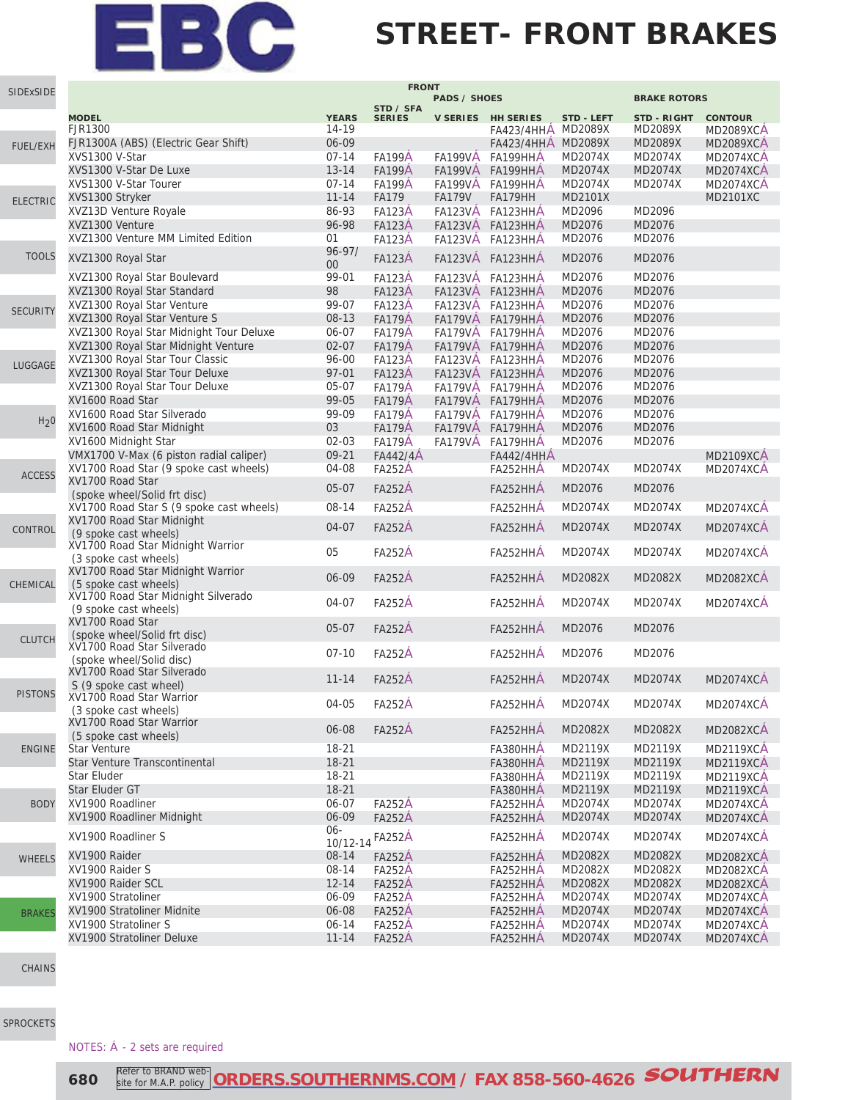#### **STREET- FRONT BRAKES**

| SIDExSIDE        | <b>FRONT</b>                                                           |                       |                                |                                  |                                          |                    |                               |                                    |  |
|------------------|------------------------------------------------------------------------|-----------------------|--------------------------------|----------------------------------|------------------------------------------|--------------------|-------------------------------|------------------------------------|--|
|                  |                                                                        |                       |                                | <b>PADS / SHOES</b>              |                                          |                    | <b>BRAKE ROTORS</b>           |                                    |  |
|                  | <b>MODEL</b><br>FJR1300                                                | <b>YEARS</b><br>14-19 | STD / SFA<br><b>SERIES</b>     |                                  | V SERIES HH SERIES<br>FA423/4HHA MD2089X | <b>STD - LEFT</b>  | <b>STD - RIGHT</b><br>MD2089X | <b>CONTOUR</b><br><b>MD2089XCA</b> |  |
| FUEL/EXH         | FJR1300A (ABS) (Electric Gear Shift)                                   | 06-09                 |                                |                                  | FA423/4HHA MD2089X                       |                    | MD2089X                       | <b>MD2089XCA</b>                   |  |
|                  | XVS1300 V-Star                                                         | $07 - 14$             | <b>FA199A</b>                  | <b>FA199VA</b>                   | FA199HHA                                 | MD2074X            | MD2074X                       | MD2074XCA                          |  |
|                  | XVS1300 V-Star De Luxe                                                 | $13 - 14$             | <b>FA199A</b>                  | <b>FA199VÅ</b>                   | FA199HHA                                 | MD2074X            | MD2074X                       | <b>MD2074XCA</b>                   |  |
|                  | XVS1300 V-Star Tourer                                                  | $07 - 14$             | <b>FA199A</b>                  |                                  | FA199VA FA199HHA                         | MD2074X            | MD2074X                       | <b>MD2074XCA</b>                   |  |
| <b>ELECTRIC</b>  | XVS1300 Stryker                                                        | $11 - 14$             | <b>FA179</b>                   | <b>FA179V</b>                    | FA179HH                                  | MD2101X            |                               | MD2101XC                           |  |
|                  | XVZ13D Venture Royale                                                  | 86-93                 | <b>FA123A</b>                  | <b>FA123VÅ</b>                   | FA123HHA                                 | MD2096             | MD2096                        |                                    |  |
|                  | XVZ1300 Venture                                                        | 96-98                 | <b>FA123A</b>                  | <b>FA123VA</b>                   | FA123HHA                                 | MD2076             | MD2076                        |                                    |  |
|                  | XVZ1300 Venture MM Limited Edition                                     | 01                    | <b>FA123A</b>                  | <b>FA123VA</b>                   | FA123HHA                                 | MD2076             | MD2076                        |                                    |  |
| <b>TOOLS</b>     | XVZ1300 Royal Star                                                     | $96 - 97/$<br>00      | <b>FA123A</b>                  | <b>FA123VÁ</b>                   | FA123HHA                                 | MD2076             | MD2076                        |                                    |  |
|                  | XVZ1300 Royal Star Boulevard                                           | 99-01                 | <b>FA123A</b>                  | <b>FA123VA</b>                   | FA123HHA                                 | MD2076             | MD2076                        |                                    |  |
|                  | XVZ1300 Royal Star Standard                                            | 98                    | <b>FA123A</b>                  | <b>FA123VA</b>                   | FA123HHA                                 | MD2076             | MD2076                        |                                    |  |
| <b>SECURITY</b>  | XVZ1300 Royal Star Venture                                             | 99-07                 | <b>FA123A</b>                  |                                  | FA123VÅ FA123HHA                         | MD2076             | MD2076                        |                                    |  |
|                  | XVZ1300 Royal Star Venture S                                           | 08-13                 | <b>FA179Å</b>                  | <b>FA179VÅ</b>                   | FA179HHA                                 | MD2076             | MD2076                        |                                    |  |
|                  | XVZ1300 Royal Star Midnight Tour Deluxe                                | 06-07                 | <b>FA179A</b>                  | <b>FA179VA</b>                   | FA179HHA                                 | MD2076<br>MD2076   | MD2076                        |                                    |  |
|                  | XVZ1300 Royal Star Midnight Venture<br>XVZ1300 Royal Star Tour Classic | $02 - 07$<br>96-00    | <b>FA179Å</b>                  | <b>FA179VÅ</b>                   | FA179HHA                                 | MD2076             | MD2076<br>MD2076              |                                    |  |
| LUGGAGE          | XVZ1300 Royal Star Tour Deluxe                                         | $97 - 01$             | <b>FA123A</b><br><b>FA123A</b> | <b>FA123VA</b><br><b>FA123VÅ</b> | FA123HHA<br>FA123HHA                     | MD2076             | MD2076                        |                                    |  |
|                  | XVZ1300 Royal Star Tour Deluxe                                         | 05-07                 | <b>FA179A</b>                  |                                  | FA179VÅ FA179HHA                         | MD2076             | MD2076                        |                                    |  |
|                  | XV1600 Road Star                                                       | 99-05                 | <b>FA179Å</b>                  | <b>FA179VÁ</b>                   | FA179HHA                                 | MD2076             | MD2076                        |                                    |  |
|                  | XV1600 Road Star Silverado                                             | 99-09                 | <b>FA179A</b>                  | FA179VA                          | FA179HHA                                 | MD2076             | MD2076                        |                                    |  |
| H <sub>2</sub> 0 | XV1600 Road Star Midnight                                              | 03                    | <b>FA179Å</b>                  | <b>FA179VA</b>                   | FA179HHA                                 | MD2076             | MD2076                        |                                    |  |
|                  | XV1600 Midnight Star                                                   | $02 - 03$             | <b>FA179A</b>                  | <b>FA179VÁ</b>                   | FA179HHA                                 | MD2076             | MD2076                        |                                    |  |
|                  | VMX1700 V-Max (6 piston radial caliper)                                | $09 - 21$             | FA442/4A                       |                                  | <b>FA442/4HHA</b>                        |                    |                               | <b>MD2109XCÁ</b>                   |  |
|                  | XV1700 Road Star (9 spoke cast wheels)                                 | 04-08                 | <b>FA252A</b>                  |                                  | FA252HHA                                 | MD2074X            | MD2074X                       | <b>MD2074XCA</b>                   |  |
| <b>ACCESS</b>    | XV1700 Road Star<br>(spoke wheel/Solid frt disc)                       | $05-07$               | <b>FA252A</b>                  |                                  | FA252HHA                                 | MD2076             | MD2076                        |                                    |  |
|                  | XV1700 Road Star S (9 spoke cast wheels)                               | 08-14                 | <b>FA252A</b>                  |                                  | FA252HHA                                 | MD2074X            | MD2074X                       | <b>MD2074XCA</b>                   |  |
| CONTROL          | XV1700 Road Star Midnight<br>(9 spoke cast wheels)                     | 04-07                 | <b>FA252A</b>                  |                                  | FA252HHA                                 | MD2074X            | MD2074X                       | MD2074XCA                          |  |
|                  | XV1700 Road Star Midnight Warrior<br>(3 spoke cast wheels)             | 05                    | <b>FA252A</b>                  |                                  | FA252HHA                                 | MD2074X            | MD2074X                       | <b>MD2074XCA</b>                   |  |
| CHEMICAL         | XV1700 Road Star Midnight Warrior<br>(5 spoke cast wheels)             | 06-09                 | <b>FA252A</b>                  |                                  | FA252HHA                                 | <b>MD2082X</b>     | MD2082X                       | <b>MD2082XCA</b>                   |  |
|                  | XV1700 Road Star Midnight Silverado<br>(9 spoke cast wheels)           | 04-07                 | <b>FA252A</b>                  |                                  | FA252HHA                                 | MD2074X            | MD2074X                       | <b>MD2074XCA</b>                   |  |
| <b>CLUTCH</b>    | XV1700 Road Star<br>(spoke wheel/Solid frt disc)                       | $05-07$               | <b>FA252A</b>                  |                                  | FA252HHA                                 | MD2076             | MD2076                        |                                    |  |
|                  | XV1700 Road Star Silverado<br>(spoke wheel/Solid disc)                 | $07 - 10$             | <b>FA252A</b>                  |                                  | FA252HHÁ                                 | MD2076             | MD2076                        |                                    |  |
|                  | XV1700 Road Star Silverado<br>S (9 spoke cast wheel)                   | $11 - 14$             | <b>FA252A</b>                  |                                  | FA252HHA                                 | MD2074X            | <b>MD2074X</b>                | MD2074XCA                          |  |
| <b>PISTONS</b>   | XV1700 Road Star Warrior<br>(3 spoke cast wheels)                      | 04-05                 | <b>FA252A</b>                  |                                  | FA252HHA                                 | MD2074X            | MD2074X                       | MD2074XCA                          |  |
|                  | XV1700 Road Star Warrior<br>(5 spoke cast wheels)                      | 06-08                 | <b>FA252A</b>                  |                                  | FA252HHÁ                                 | MD2082X            | MD2082X                       | <b>MD2082XCA</b>                   |  |
| <b>ENGINE</b>    | Star Venture                                                           | 18-21                 |                                |                                  | FA380HHA                                 | MD2119X            | MD2119X                       | <b>MD2119XCA</b>                   |  |
|                  | Star Venture Transcontinental                                          | $18-21$               |                                |                                  | FA380HHÁ                                 | MD2119X            | MD2119X                       | <b>MD2119XCA</b>                   |  |
|                  | <b>Star Eluder</b>                                                     | 18-21                 |                                |                                  | FA380HHA                                 | MD2119X            | MD2119X                       | <b>MD2119XCA</b>                   |  |
|                  | Star Eluder GT<br>XV1900 Roadliner                                     | $18 - 21$             |                                |                                  | FA380HHÁ                                 | MD2119X            | MD2119X                       | <b>MD2119XCA</b>                   |  |
| <b>BODY</b>      | XV1900 Roadliner Midnight                                              | 06-07<br>06-09        | <b>FA252A</b><br><b>FA252A</b> |                                  | FA252HHA<br>FA252HHA                     | MD2074X<br>MD2074X | MD2074X<br>MD2074X            | <b>MD2074XCA</b><br>MD2074XCA      |  |
|                  |                                                                        | $06 -$                |                                |                                  |                                          |                    |                               |                                    |  |
|                  | XV1900 Roadliner S                                                     | 10/12-14              | <b>FA252A</b>                  |                                  | FA252HHA                                 | MD2074X            | MD2074X                       | MD2074XCÁ                          |  |
| <b>WHEELS</b>    | XV1900 Raider                                                          | 08-14                 | <b>FA252A</b>                  |                                  | FA252HHÁ                                 | MD2082X            | MD2082X                       | <b>MD2082XCA</b>                   |  |
|                  | XV1900 Raider S                                                        | 08-14                 | <b>FA252A</b>                  |                                  | FA252HHA                                 | MD2082X            | MD2082X                       | <b>MD2082XCA</b>                   |  |
|                  | XV1900 Raider SCL                                                      | $12 - 14$             | <b>FA252A</b>                  |                                  | FA252HHA                                 | MD2082X            | MD2082X                       | <b>MD2082XCA</b>                   |  |
|                  | XV1900 Stratoliner                                                     | 06-09                 | <b>FA252A</b>                  |                                  | FA252HHA                                 | MD2074X            | MD2074X                       | MD2074XCA                          |  |
| <b>BRAKES</b>    | XV1900 Stratoliner Midnite                                             | 06-08                 | <b>FA252A</b>                  |                                  | FA252HHA                                 | MD2074X            | MD2074X                       | MD2074XCA                          |  |
|                  | XV1900 Stratoliner S                                                   | 06-14                 | <b>FA252A</b>                  |                                  | FA252HHA                                 | MD2074X            | MD2074X                       | <b>MD2074XCA</b>                   |  |
|                  | XV1900 Stratoliner Deluxe                                              | $11 - 14$             | <b>FA252A</b>                  |                                  | FA252HHA                                 | MD2074X            | MD2074X                       | MD2074XCA                          |  |

[CHAINS](http://www.southernms.com/wp-content/uploads/2015/08/17_chains.pdf)

[SPROCKETS](http://www.southernms.com/wp-content/uploads/2015/08/18_sprockets.pdf)

NOTES: Á - 2 sets are required

**680 Refer to BRAND web-ORDERS.SOUTHERNMS.COM** / FAX 858-560-4626 **SOUTHERN** Refer to BRAND website for M.A.P. policy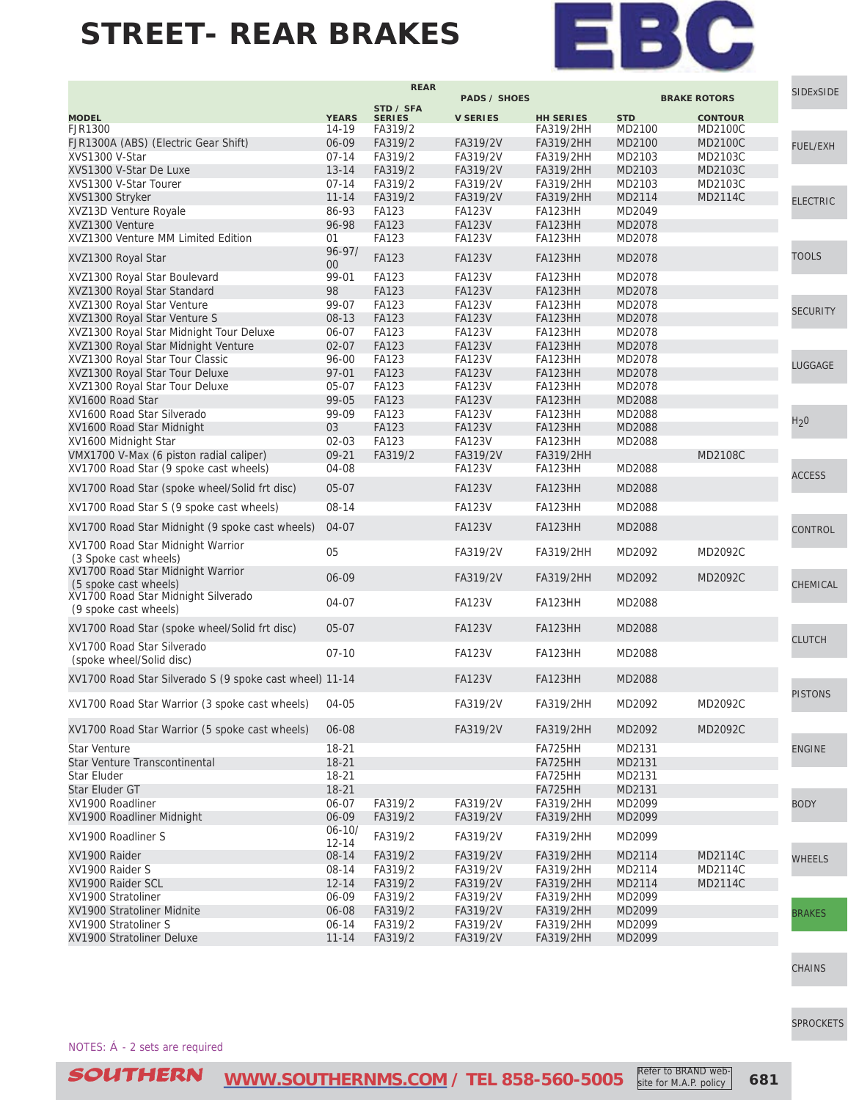

|                                                              |                         | <b>REAR</b>   |                     |                  |            |                     | <b>SIDExSIDE</b> |
|--------------------------------------------------------------|-------------------------|---------------|---------------------|------------------|------------|---------------------|------------------|
|                                                              |                         | STD / SFA     | <b>PADS / SHOES</b> |                  |            | <b>BRAKE ROTORS</b> |                  |
| <b>MODEL</b>                                                 | <b>YEARS</b>            | <b>SERIES</b> | <b>V SERIES</b>     | <b>HH SERIES</b> | <b>STD</b> | <b>CONTOUR</b>      |                  |
| FJR1300                                                      | 14-19                   | FA319/2       |                     | <b>FA319/2HH</b> | MD2100     | MD2100C             |                  |
| FJR1300A (ABS) (Electric Gear Shift)                         | 06-09                   | FA319/2       | FA319/2V            | FA319/2HH        | MD2100     | MD2100C             | FUEL/EXH         |
| XVS1300 V-Star                                               | $07 - 14$               | FA319/2       | FA319/2V            | FA319/2HH        | MD2103     | MD2103C             |                  |
| XVS1300 V-Star De Luxe                                       | $13 - 14$               | FA319/2       | FA319/2V            | FA319/2HH        | MD2103     | MD2103C             |                  |
| XVS1300 V-Star Tourer                                        | $07 - 14$               | FA319/2       | FA319/2V            | FA319/2HH        | MD2103     | MD2103C             |                  |
| XVS1300 Stryker                                              | $11 - 14$               | FA319/2       | FA319/2V            | FA319/2HH        | MD2114     | MD2114C             | <b>ELECTRIC</b>  |
| XVZ13D Venture Royale                                        | 86-93                   | FA123         | <b>FA123V</b>       | FA123HH          | MD2049     |                     |                  |
| XVZ1300 Venture                                              | 96-98                   | <b>FA123</b>  | <b>FA123V</b>       | FA123HH          | MD2078     |                     |                  |
| XVZ1300 Venture MM Limited Edition                           | 01                      | FA123         | <b>FA123V</b>       | <b>FA123HH</b>   | MD2078     |                     |                  |
| XVZ1300 Royal Star                                           | $96 - 97/$<br>00        | FA123         | <b>FA123V</b>       | FA123HH          | MD2078     |                     | <b>TOOLS</b>     |
| XVZ1300 Royal Star Boulevard                                 | 99-01                   | FA123         | <b>FA123V</b>       | FA123HH          | MD2078     |                     |                  |
| XVZ1300 Royal Star Standard                                  | 98                      | <b>FA123</b>  | <b>FA123V</b>       | FA123HH          | MD2078     |                     |                  |
| XVZ1300 Royal Star Venture                                   | 99-07                   | FA123         | <b>FA123V</b>       | FA123HH          | MD2078     |                     | <b>SECURITY</b>  |
| XVZ1300 Royal Star Venture S                                 | $08-13$                 | FA123         | <b>FA123V</b>       | FA123HH          | MD2078     |                     |                  |
| XVZ1300 Royal Star Midnight Tour Deluxe                      | 06-07                   | FA123         | <b>FA123V</b>       | FA123HH          | MD2078     |                     |                  |
| XVZ1300 Royal Star Midnight Venture                          | $02 - 07$               | <b>FA123</b>  | <b>FA123V</b>       | FA123HH          | MD2078     |                     |                  |
| XVZ1300 Royal Star Tour Classic                              | 96-00                   | FA123         | <b>FA123V</b>       | FA123HH          | MD2078     |                     |                  |
| XVZ1300 Royal Star Tour Deluxe                               | $97 - 01$               | <b>FA123</b>  | <b>FA123V</b>       | <b>FA123HH</b>   | MD2078     |                     | LUGGAGE          |
| XVZ1300 Royal Star Tour Deluxe                               | 05-07                   | FA123         | <b>FA123V</b>       | FA123HH          | MD2078     |                     |                  |
| XV1600 Road Star                                             | 99-05                   | <b>FA123</b>  | <b>FA123V</b>       | FA123HH          | MD2088     |                     |                  |
| XV1600 Road Star Silverado                                   | 99-09                   | <b>FA123</b>  | <b>FA123V</b>       | FA123HH          | MD2088     |                     |                  |
| XV1600 Road Star Midnight                                    | 03                      | FA123         | <b>FA123V</b>       | FA123HH          | MD2088     |                     | H <sub>2</sub> 0 |
| XV1600 Midnight Star                                         | $02 - 03$               | <b>FA123</b>  | <b>FA123V</b>       | FA123HH          | MD2088     |                     |                  |
| VMX1700 V-Max (6 piston radial caliper)                      | $09 - 21$               | FA319/2       | FA319/2V            | FA319/2HH        |            | MD2108C             |                  |
| XV1700 Road Star (9 spoke cast wheels)                       | 04-08                   |               | <b>FA123V</b>       | FA123HH          | MD2088     |                     |                  |
| XV1700 Road Star (spoke wheel/Solid frt disc)                | $05 - 07$               |               | <b>FA123V</b>       | <b>FA123HH</b>   | MD2088     |                     | <b>ACCESS</b>    |
| XV1700 Road Star S (9 spoke cast wheels)                     | 08-14                   |               | <b>FA123V</b>       | FA123HH          | MD2088     |                     |                  |
| XV1700 Road Star Midnight (9 spoke cast wheels)              | 04-07                   |               | <b>FA123V</b>       | FA123HH          | MD2088     |                     | CONTROL          |
| XV1700 Road Star Midnight Warrior                            | 05                      |               | FA319/2V            | FA319/2HH        | MD2092     | MD2092C             |                  |
| (3 Spoke cast wheels)<br>XV1700 Road Star Midnight Warrior   |                         |               |                     |                  |            |                     |                  |
| (5 spoke cast wheels)                                        | 06-09                   |               | FA319/2V            | FA319/2HH        | MD2092     | MD2092C             | CHEMICAL         |
| XV1700 Road Star Midnight Silverado<br>(9 spoke cast wheels) | 04-07                   |               | <b>FA123V</b>       | FA123HH          | MD2088     |                     |                  |
| XV1700 Road Star (spoke wheel/Solid frt disc)                | $05 - 07$               |               | <b>FA123V</b>       | FA123HH          | MD2088     |                     | <b>CLUTCH</b>    |
| XV1700 Road Star Silverado<br>(spoke wheel/Solid disc)       | $07-10$                 |               | <b>FA123V</b>       | FA123HH          | MD2088     |                     |                  |
| XV1700 Road Star Silverado S (9 spoke cast wheel) 11-14      |                         |               | <b>FA123V</b>       | <b>FA123HH</b>   | MD2088     |                     |                  |
| XV1700 Road Star Warrior (3 spoke cast wheels)               | 04-05                   |               | FA319/2V            | FA319/2HH        | MD2092     | MD2092C             | <b>PISTONS</b>   |
| XV1700 Road Star Warrior (5 spoke cast wheels)               | 06-08                   |               | FA319/2V            | FA319/2HH        | MD2092     | MD2092C             |                  |
| Star Venture                                                 | 18-21                   |               |                     | FA725HH          | MD2131     |                     | <b>ENGINE</b>    |
| Star Venture Transcontinental                                | $18 - 21$               |               |                     | FA725HH          | MD2131     |                     |                  |
| Star Eluder                                                  | $18 - 21$               |               |                     | FA725HH          | MD2131     |                     |                  |
| Star Eluder GT                                               | $18 - 21$               |               |                     | FA725HH          | MD2131     |                     |                  |
| XV1900 Roadliner                                             | 06-07                   | FA319/2       | FA319/2V            | FA319/2HH        | MD2099     |                     | <b>BODY</b>      |
| XV1900 Roadliner Midnight                                    | 06-09                   | FA319/2       | FA319/2V            | FA319/2HH        | MD2099     |                     |                  |
| XV1900 Roadliner S                                           | $06 - 10/$<br>$12 - 14$ | FA319/2       | FA319/2V            | FA319/2HH        | MD2099     |                     |                  |
| XV1900 Raider                                                | 08-14                   | FA319/2       | FA319/2V            | FA319/2HH        | MD2114     | MD2114C             | <b>WHEELS</b>    |
| XV1900 Raider S                                              | 08-14                   | FA319/2       | FA319/2V            | FA319/2HH        | MD2114     | MD2114C             |                  |
| XV1900 Raider SCL                                            | $12 - 14$               | FA319/2       | FA319/2V            | FA319/2HH        | MD2114     | MD2114C             |                  |
| XV1900 Stratoliner                                           | 06-09                   | FA319/2       | FA319/2V            | FA319/2HH        | MD2099     |                     |                  |
| XV1900 Stratoliner Midnite                                   | 06-08                   | FA319/2       | FA319/2V            | FA319/2HH        | MD2099     |                     | <b>BRAKES</b>    |
| XV1900 Stratoliner S                                         | $06 - 14$               | FA319/2       | FA319/2V            | FA319/2HH        | MD2099     |                     |                  |
| XV1900 Stratoliner Deluxe                                    | $11 - 14$               | FA319/2       | FA319/2V            | FA319/2HH        | MD2099     |                     |                  |

[CHAINS](http://www.southernms.com/wp-content/uploads/2015/08/17_chains.pdf)

[SPROCKETS](http://www.southernms.com/wp-content/uploads/2015/08/18_sprockets.pdf)

NOTES: Á - 2 sets are required

Refer to BRAND website for M.A.P. policy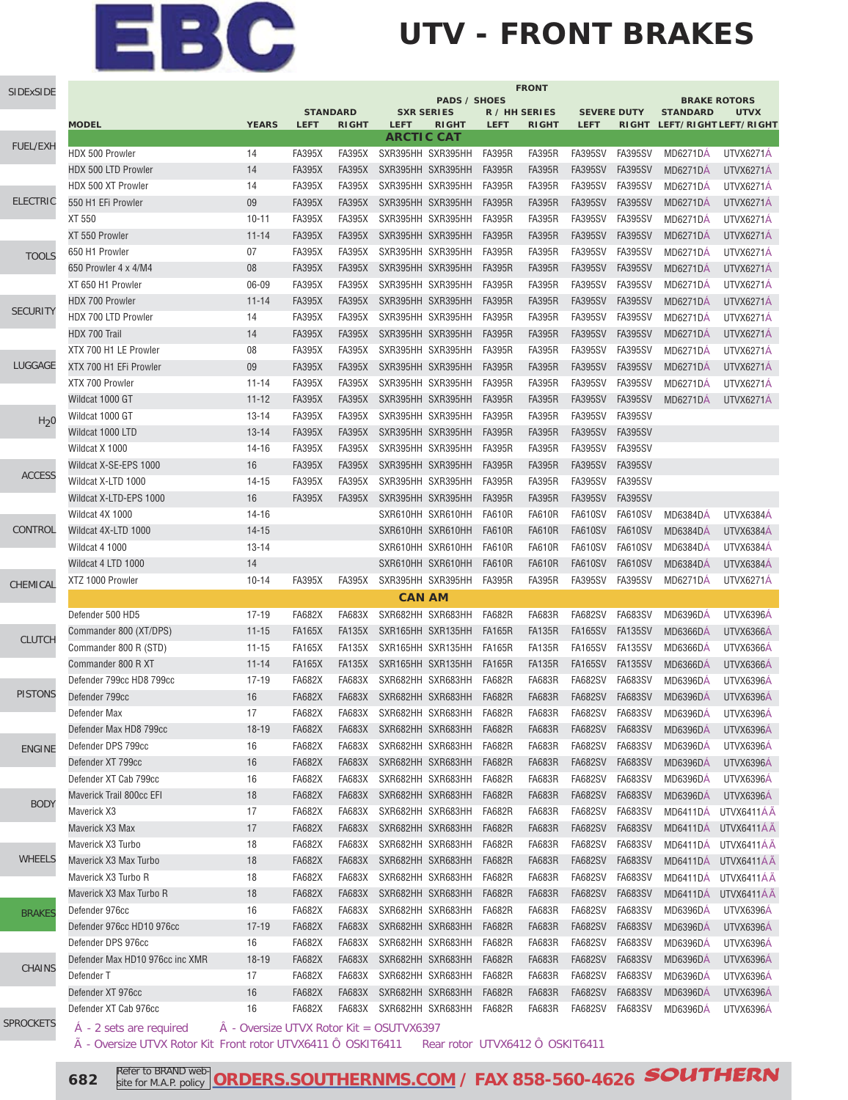### **UTV - FRONT BRAKES**

| SIDExSIDE        | <b>FRONT</b>                    |                                          |               |                 |                   |                     |               |               |                    |                |                             |                                    |
|------------------|---------------------------------|------------------------------------------|---------------|-----------------|-------------------|---------------------|---------------|---------------|--------------------|----------------|-----------------------------|------------------------------------|
|                  |                                 |                                          |               | <b>STANDARD</b> | <b>SXR SERIES</b> | <b>PADS / SHOES</b> | R / HH SERIES |               | <b>SEVERE DUTY</b> |                | <b>STANDARD</b>             | <b>BRAKE ROTORS</b><br><b>UTVX</b> |
|                  | <b>MODEL</b>                    | <b>YEARS</b>                             | <b>LEFT</b>   | <b>RIGHT</b>    | <b>LEFT</b>       | <b>RIGHT</b>        | <b>LEFT</b>   | <b>RIGHT</b>  | <b>LEFT</b>        |                |                             | RIGHT LEFT/RIGHT LEFT/RIGHT        |
| FUEL/EXH         |                                 |                                          |               |                 | <b>ARCTIC CAT</b> |                     |               |               |                    |                |                             |                                    |
|                  | HDX 500 Prowler                 | 14                                       | <b>FA395X</b> | <b>FA395X</b>   | SXR395HH SXR395HH |                     | <b>FA395R</b> | <b>FA395R</b> | <b>FA395SV</b>     | <b>FA395SV</b> | <b>MD6271DA</b>             | UTVX6271A                          |
|                  | <b>HDX 500 LTD Prowler</b>      | 14                                       | <b>FA395X</b> | <b>FA395X</b>   | SXR395HH SXR395HH |                     | <b>FA395R</b> | <b>FA395R</b> | <b>FA395SV</b>     | <b>FA395SV</b> | <b>MD6271DA</b>             | UTVX6271A                          |
|                  | HDX 500 XT Prowler              | 14                                       | <b>FA395X</b> | FA395X          | SXR395HH SXR395HH |                     | <b>FA395R</b> | <b>FA395R</b> | <b>FA395SV</b>     | <b>FA395SV</b> | <b>MD6271DA</b>             | UTVX6271A                          |
| <b>ELECTRIC</b>  | 550 H1 EFi Prowler              | 09                                       | <b>FA395X</b> | <b>FA395X</b>   | SXR395HH SXR395HH |                     | <b>FA395R</b> | <b>FA395R</b> | <b>FA395SV</b>     | <b>FA395SV</b> | <b>MD6271DA</b>             | UTVX6271A                          |
|                  | XT 550                          | $10 - 11$                                | <b>FA395X</b> | <b>FA395X</b>   | SXR395HH SXR395HH |                     | <b>FA395R</b> | <b>FA395R</b> | <b>FA395SV</b>     | FA395SV        | <b>MD6271DA</b>             | UTVX6271A                          |
|                  | XT 550 Prowler                  | $11 - 14$                                | <b>FA395X</b> | <b>FA395X</b>   | SXR395HH SXR395HH |                     | <b>FA395R</b> | <b>FA395R</b> | <b>FA395SV</b>     | <b>FA395SV</b> | <b>MD6271DÁ</b>             | UTVX6271Á                          |
| <b>TOOLS</b>     | 650 H1 Prowler                  | 07                                       | <b>FA395X</b> | <b>FA395X</b>   | SXR395HH SXR395HH |                     | <b>FA395R</b> | <b>FA395R</b> | <b>FA395SV</b>     | FA395SV        | <b>MD6271DA</b>             | UTVX6271A                          |
|                  | 650 Prowler 4 x 4/M4            | 08                                       | <b>FA395X</b> | <b>FA395X</b>   | SXR395HH SXR395HH |                     | <b>FA395R</b> | <b>FA395R</b> | <b>FA395SV</b>     | <b>FA395SV</b> | <b>MD6271DA</b>             | UTVX6271Á                          |
|                  | XT 650 H1 Prowler               | 06-09                                    | <b>FA395X</b> | <b>FA395X</b>   | SXR395HH SXR395HH |                     | <b>FA395R</b> | <b>FA395R</b> | <b>FA395SV</b>     | <b>FA395SV</b> | <b>MD6271DA</b>             | UTVX6271A                          |
| <b>SECURITY</b>  | HDX 700 Prowler                 | $11 - 14$                                | <b>FA395X</b> | <b>FA395X</b>   | SXR395HH SXR395HH |                     | <b>FA395R</b> | <b>FA395R</b> | <b>FA395SV</b>     | <b>FA395SV</b> | <b>MD6271DÁ</b>             | UTVX6271Á                          |
|                  | HDX 700 LTD Prowler             | 14                                       | <b>FA395X</b> | <b>FA395X</b>   | SXR395HH SXR395HH |                     | <b>FA395R</b> | <b>FA395R</b> | <b>FA395SV</b>     | <b>FA395SV</b> | <b>MD6271DÁ</b>             | UTVX6271Á                          |
|                  | HDX 700 Trail                   | 14                                       | <b>FA395X</b> | <b>FA395X</b>   | SXR395HH SXR395HH |                     | <b>FA395R</b> | <b>FA395R</b> | <b>FA395SV</b>     | <b>FA395SV</b> | <b>MD6271DÁ</b>             | UTVX6271Á                          |
|                  | XTX 700 H1 LE Prowler           | 08                                       | <b>FA395X</b> | <b>FA395X</b>   | SXR395HH SXR395HH |                     | <b>FA395R</b> | <b>FA395R</b> | <b>FA395SV</b>     | <b>FA395SV</b> | <b>MD6271DÁ</b>             | UTVX6271Á                          |
| LUGGAGE          | XTX 700 H1 EFi Prowler          | 09                                       | <b>FA395X</b> | <b>FA395X</b>   | SXR395HH SXR395HH |                     | <b>FA395R</b> | <b>FA395R</b> | <b>FA395SV</b>     | <b>FA395SV</b> | <b>MD6271DA</b>             | UTVX6271Á                          |
|                  | XTX 700 Prowler                 | $11 - 14$                                | <b>FA395X</b> | <b>FA395X</b>   | SXR395HH SXR395HH |                     | <b>FA395R</b> | <b>FA395R</b> | <b>FA395SV</b>     | <b>FA395SV</b> | <b>MD6271DÁ</b>             | UTVX6271Á                          |
|                  | Wildcat 1000 GT                 | $11 - 12$                                | <b>FA395X</b> | <b>FA395X</b>   | SXR395HH SXR395HH |                     | <b>FA395R</b> | <b>FA395R</b> | <b>FA395SV</b>     | <b>FA395SV</b> | <b>MD6271DA</b>             | UTVX6271A                          |
| H <sub>2</sub> 0 | Wildcat 1000 GT                 | 13-14                                    | <b>FA395X</b> | <b>FA395X</b>   | SXR395HH SXR395HH |                     | <b>FA395R</b> | <b>FA395R</b> | <b>FA395SV</b>     | <b>FA395SV</b> |                             |                                    |
|                  | Wildcat 1000 LTD                | $13 - 14$                                | <b>FA395X</b> | <b>FA395X</b>   | SXR395HH SXR395HH |                     | <b>FA395R</b> | <b>FA395R</b> | <b>FA395SV</b>     | <b>FA395SV</b> |                             |                                    |
|                  | Wildcat X 1000                  | $14 - 16$                                | <b>FA395X</b> | <b>FA395X</b>   | SXR395HH SXR395HH |                     | <b>FA395R</b> | <b>FA395R</b> | <b>FA395SV</b>     | FA395SV        |                             |                                    |
|                  | Wildcat X-SE-EPS 1000           | 16                                       | <b>FA395X</b> | <b>FA395X</b>   | SXR395HH SXR395HH |                     | <b>FA395R</b> | <b>FA395R</b> | <b>FA395SV</b>     | <b>FA395SV</b> |                             |                                    |
| <b>ACCESS</b>    | Wildcat X-LTD 1000              | 14-15                                    | <b>FA395X</b> | <b>FA395X</b>   | SXR395HH SXR395HH |                     | <b>FA395R</b> | <b>FA395R</b> | <b>FA395SV</b>     | <b>FA395SV</b> |                             |                                    |
|                  | Wildcat X-LTD-EPS 1000          | 16                                       | <b>FA395X</b> | <b>FA395X</b>   | SXR395HH SXR395HH |                     | <b>FA395R</b> | <b>FA395R</b> | <b>FA395SV</b>     | <b>FA395SV</b> |                             |                                    |
|                  | Wildcat 4X 1000                 | $14 - 16$                                |               |                 | SXR610HH SXR610HH |                     | <b>FA610R</b> | <b>FA610R</b> | <b>FA610SV</b>     | FA610SV        | MD6384DA                    | UTVX6384A                          |
| CONTROL          | Wildcat 4X-LTD 1000             | $14 - 15$                                |               |                 | SXR610HH SXR610HH |                     | <b>FA610R</b> | <b>FA610R</b> | <b>FA610SV</b>     | <b>FA610SV</b> | <b>MD6384DA</b>             | UTVX6384A                          |
|                  | Wildcat 4 1000                  | $13 - 14$                                |               |                 | SXR610HH SXR610HH |                     | <b>FA610R</b> | <b>FA610R</b> | <b>FA610SV</b>     | <b>FA610SV</b> | MD6384DA                    | UTVX6384A                          |
|                  | Wildcat 4 LTD 1000              | 14                                       |               |                 | SXR610HH SXR610HH |                     | <b>FA610R</b> | <b>FA610R</b> | FA610SV            | FA610SV        | <b>MD6384DA</b>             | UTVX6384A                          |
|                  | XTZ 1000 Prowler                | $10 - 14$                                | <b>FA395X</b> | <b>FA395X</b>   | SXR395HH SXR395HH |                     | <b>FA395R</b> | <b>FA395R</b> | <b>FA395SV</b>     | <b>FA395SV</b> | <b>MD6271DA</b>             | UTVX6271A                          |
| CHEMICAL         |                                 |                                          |               |                 | <b>CAN AM</b>     |                     |               |               |                    |                |                             |                                    |
|                  | Defender 500 HD5                | $17 - 19$                                | <b>FA682X</b> | <b>FA683X</b>   | SXR682HH SXR683HH |                     | <b>FA682R</b> | <b>FA683R</b> | <b>FA682SV</b>     | <b>FA683SV</b> | <b>MD6396DÁ</b>             | UTVX6396Á                          |
|                  | Commander 800 (XT/DPS)          | $11 - 15$                                | <b>FA165X</b> | <b>FA135X</b>   | SXR165HH SXR135HH |                     | <b>FA165R</b> | <b>FA135R</b> | <b>FA165SV</b>     | <b>FA135SV</b> | <b>MD6366DA</b>             | UTVX6366A                          |
| <b>CLUTCH</b>    | Commander 800 R (STD)           | $11 - 15$                                | <b>FA165X</b> | FA135X          | SXR165HH SXR135HH |                     | <b>FA165R</b> | <b>FA135R</b> | <b>FA165SV</b>     | FA135SV        | <b>MD6366DA</b>             | UTVX6366A                          |
|                  | Commander 800 R XT              | $11 - 14$                                | <b>FA165X</b> | <b>FA135X</b>   | SXR165HH SXR135HH |                     | <b>FA165R</b> | <b>FA135R</b> | <b>FA165SV</b>     | FA135SV        |                             |                                    |
|                  | Defender 799cc HD8 799cc        | $17 - 19$                                | <b>FA682X</b> | <b>FA683X</b>   | SXR682HH SXR683HH |                     | <b>FA682R</b> | <b>FA683R</b> | <b>FA682SV</b>     | <b>FA683SV</b> | <b>MD6366DA</b><br>MD6396DA | UTVX6366A<br>UTVX6396A             |
| <b>PISTONS</b>   |                                 |                                          |               |                 |                   |                     |               |               |                    |                |                             |                                    |
|                  | Defender 799cc                  | 16                                       | <b>FA682X</b> | <b>FA683X</b>   | SXR682HH SXR683HH |                     | <b>FA682R</b> | <b>FA683R</b> | <b>FA682SV</b>     | <b>FA683SV</b> | <b>MD6396DA</b>             | UTVX6396Á                          |
|                  | Defender Max                    | 17                                       | <b>FA682X</b> | FA683X          | SXR682HH SXR683HH |                     | FA682R        | FA683R        | FA682SV            | FA683SV        | <b>MD6396DA</b>             | UTVX6396A                          |
|                  | Defender Max HD8 799cc          | $18-19$                                  | <b>FA682X</b> | FA683X          | SXR682HH SXR683HH |                     | <b>FA682R</b> | <b>FA683R</b> | <b>FA682SV</b>     | <b>FA683SV</b> | <b>MD6396DA</b>             | UTVX6396Á                          |
| <b>ENGINE</b>    | Defender DPS 799cc              | 16                                       | <b>FA682X</b> | FA683X          | SXR682HH SXR683HH |                     | <b>FA682R</b> | <b>FA683R</b> | <b>FA682SV</b>     | <b>FA683SV</b> | <b>MD6396DA</b>             | UTVX6396A                          |
|                  | Defender XT 799cc               | 16                                       | <b>FA682X</b> | FA683X          | SXR682HH SXR683HH |                     | <b>FA682R</b> | <b>FA683R</b> | <b>FA682SV</b>     | <b>FA683SV</b> | <b>MD6396DA</b>             | UTVX6396A                          |
|                  | Defender XT Cab 799cc           | 16                                       | <b>FA682X</b> | FA683X          | SXR682HH SXR683HH |                     | <b>FA682R</b> | <b>FA683R</b> | <b>FA682SV</b>     | <b>FA683SV</b> | <b>MD6396DA</b>             | UTVX6396A                          |
| <b>BODY</b>      | Maverick Trail 800cc EFI        | 18                                       | <b>FA682X</b> | FA683X          | SXR682HH SXR683HH |                     | <b>FA682R</b> | <b>FA683R</b> | <b>FA682SV</b>     | <b>FA683SV</b> | <b>MD6396DA</b>             | UTVX6396A                          |
|                  | Maverick X3                     | 17                                       | <b>FA682X</b> | FA683X          | SXR682HH SXR683HH |                     | <b>FA682R</b> | <b>FA683R</b> | <b>FA682SV</b>     | <b>FA683SV</b> | MD6411DA                    | UTVX6411ÅÄ                         |
|                  | Maverick X3 Max                 | 17                                       | <b>FA682X</b> | FA683X          | SXR682HH SXR683HH |                     | <b>FA682R</b> | <b>FA683R</b> | <b>FA682SV</b>     | <b>FA683SV</b> | <b>MD6411DA</b>             | UTVX6411ÅÄ                         |
|                  | Mayerick X3 Turbo               | 18                                       | <b>FA682X</b> | FA683X          | SXR682HH SXR683HH |                     | <b>FA682R</b> | <b>FA683R</b> | <b>FA682SV</b>     | <b>FA683SV</b> | <b>MD6411DA</b>             | UTVX6411ÅÄ                         |
| <b>WHEELS</b>    | Maverick X3 Max Turbo           | 18                                       | <b>FA682X</b> | FA683X          | SXR682HH SXR683HH |                     | <b>FA682R</b> | <b>FA683R</b> | <b>FA682SV</b>     | <b>FA683SV</b> | MD6411DA                    | UTVX6411ÅÄ                         |
|                  | Maverick X3 Turbo R             | 18                                       | <b>FA682X</b> | FA683X          | SXR682HH SXR683HH |                     | <b>FA682R</b> | <b>FA683R</b> | FA682SV            | <b>FA683SV</b> | <b>MD6411DÁ</b>             | UTVX6411ÁÄ                         |
|                  | Maverick X3 Max Turbo R         | 18                                       | <b>FA682X</b> | FA683X          | SXR682HH SXR683HH |                     | <b>FA682R</b> | <b>FA683R</b> | <b>FA682SV</b>     | <b>FA683SV</b> |                             | MD6411DA UTVX6411AA                |
| <b>BRAKES</b>    | Defender 976cc                  | 16                                       | <b>FA682X</b> | FA683X          | SXR682HH SXR683HH |                     | <b>FA682R</b> | FA683R        | <b>FA682SV</b>     | <b>FA683SV</b> | <b>MD6396DA</b>             | UTVX6396A                          |
|                  | Defender 976cc HD10 976cc       | $17 - 19$                                | <b>FA682X</b> | FA683X          | SXR682HH SXR683HH |                     | <b>FA682R</b> | <b>FA683R</b> | <b>FA682SV</b>     | <b>FA683SV</b> | <b>MD6396DA</b>             | UTVX6396A                          |
|                  | Defender DPS 976cc              | 16                                       | <b>FA682X</b> | FA683X          | SXR682HH SXR683HH |                     | <b>FA682R</b> | FA683R        | FA682SV            | <b>FA683SV</b> | <b>MD6396DA</b>             | UTVX6396A                          |
|                  | Defender Max HD10 976cc inc XMR | $18-19$                                  | <b>FA682X</b> | <b>FA683X</b>   | SXR682HH SXR683HH |                     | <b>FA682R</b> | <b>FA683R</b> | <b>FA682SV</b>     | <b>FA683SV</b> | <b>MD6396DA</b>             | UTVX6396A                          |
| CHAINS           | Defender T                      | 17                                       | <b>FA682X</b> | FA683X          | SXR682HH SXR683HH |                     | <b>FA682R</b> | FA683R        | <b>FA682SV</b>     | FA683SV        | MD6396DA                    | UTVX6396A                          |
|                  | Defender XT 976cc               | 16                                       | <b>FA682X</b> | <b>FA683X</b>   | SXR682HH SXR683HH |                     | <b>FA682R</b> | <b>FA683R</b> | <b>FA682SV</b>     | <b>FA683SV</b> | <b>MD6396DA</b>             | UTVX6396A                          |
|                  | Defender XT Cab 976cc           | 16                                       | <b>FA682X</b> | FA683X          | SXR682HH SXR683HH |                     | <b>FA682R</b> | <b>FA683R</b> | <b>FA682SV</b>     | <b>FA683SV</b> | <b>MD6396DA</b>             | UTVX6396A                          |
| <b>SPROCKETS</b> | A - 2 sets are required         | A - Oversize UTVX Rotor Kit = OSUTVX6397 |               |                 |                   |                     |               |               |                    |                |                             |                                    |

à - Oversize UTVX Rotor Kit Front rotor UTVX6411 Ô OSKIT6411 Rear rotor UTVX6412 Ô OSKIT6411

**682** Refer to BRAND web **[ORDERS.SOUTHERNMS.COM / FAX 858-560-4626](http://orders.southernms.com) SOUTHERN**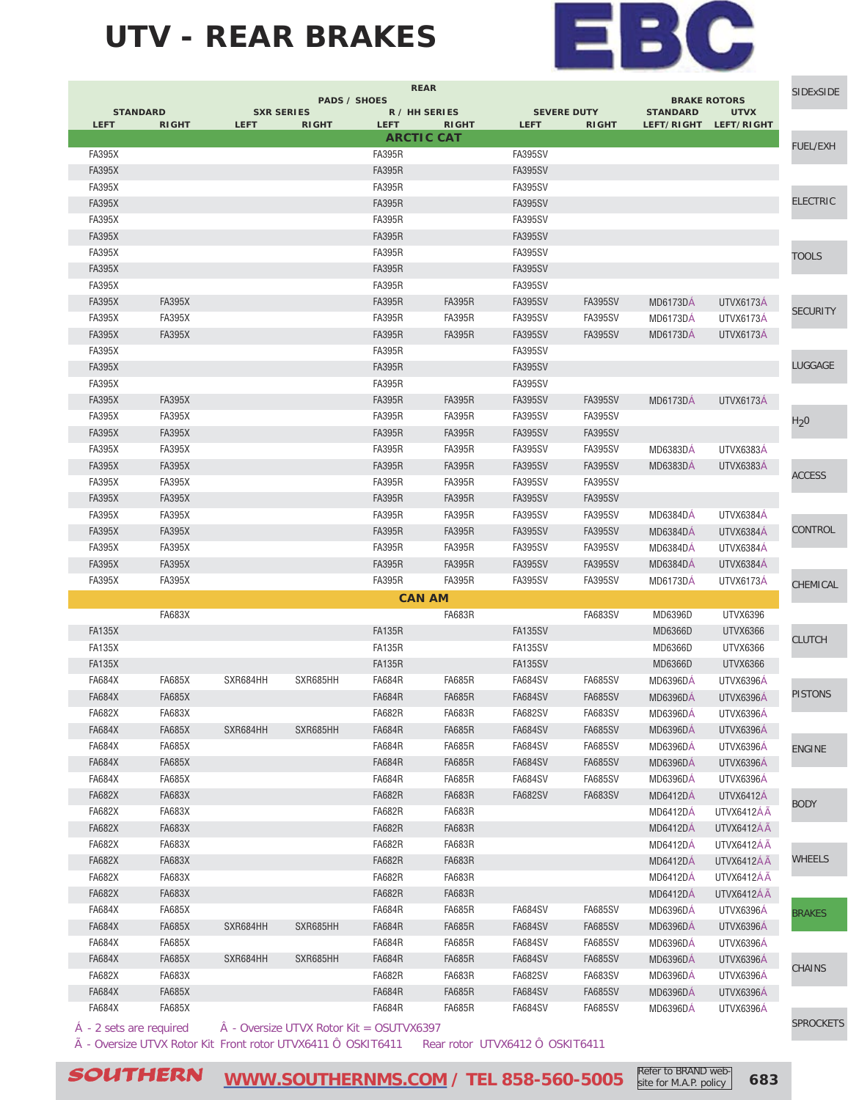### **UTV - REAR BRAKES**



| <b>SIDExSIDE</b> | <b>BRAKE ROTORS</b>       |                               |                |                                   | <b>REAR</b>                   | <b>PADS / SHOES</b> |                                   |             |               |                                |
|------------------|---------------------------|-------------------------------|----------------|-----------------------------------|-------------------------------|---------------------|-----------------------------------|-------------|---------------|--------------------------------|
|                  | <b>UTVX</b><br>LEFT/RIGHT | <b>STANDARD</b><br>LEFT/RIGHT | <b>RIGHT</b>   | <b>SEVERE DUTY</b><br><b>LEFT</b> | R / HH SERIES<br><b>RIGHT</b> | <b>LEFT</b>         | <b>SXR SERIES</b><br><b>RIGHT</b> | <b>LEFT</b> | <b>RIGHT</b>  | <b>STANDARD</b><br><b>LEFT</b> |
|                  |                           |                               |                |                                   | <b>ARCTIC CAT</b>             |                     |                                   |             |               |                                |
| <b>FUEL/EXH</b>  |                           |                               |                | <b>FA395SV</b>                    |                               | <b>FA395R</b>       |                                   |             |               | <b>FA395X</b>                  |
|                  |                           |                               |                | <b>FA395SV</b>                    |                               | <b>FA395R</b>       |                                   |             |               | <b>FA395X</b>                  |
|                  |                           |                               |                | <b>FA395SV</b>                    |                               | <b>FA395R</b>       |                                   |             |               | <b>FA395X</b>                  |
| <b>ELECTRIC</b>  |                           |                               |                | <b>FA395SV</b>                    |                               | <b>FA395R</b>       |                                   |             |               | <b>FA395X</b>                  |
|                  |                           |                               |                | <b>FA395SV</b>                    |                               | <b>FA395R</b>       |                                   |             |               | <b>FA395X</b>                  |
|                  |                           |                               |                | <b>FA395SV</b>                    |                               | <b>FA395R</b>       |                                   |             |               | <b>FA395X</b>                  |
| <b>TOOLS</b>     |                           |                               |                | <b>FA395SV</b>                    |                               | <b>FA395R</b>       |                                   |             |               | <b>FA395X</b>                  |
|                  |                           |                               |                | <b>FA395SV</b>                    |                               | <b>FA395R</b>       |                                   |             |               | <b>FA395X</b>                  |
|                  |                           |                               |                | FA395SV                           |                               | <b>FA395R</b>       |                                   |             |               | <b>FA395X</b>                  |
| <b>SECURITY</b>  | UTVX6173A                 | <b>MD6173DA</b>               | <b>FA395SV</b> | <b>FA395SV</b>                    | <b>FA395R</b>                 | <b>FA395R</b>       |                                   |             | <b>FA395X</b> | <b>FA395X</b>                  |
|                  | UTVX6173A                 | <b>MD6173DA</b>               | FA395SV        | FA395SV                           | <b>FA395R</b>                 | <b>FA395R</b>       |                                   |             | <b>FA395X</b> | <b>FA395X</b>                  |
|                  | UTVX6173A                 | <b>MD6173DA</b>               | <b>FA395SV</b> | <b>FA395SV</b>                    | <b>FA395R</b>                 | <b>FA395R</b>       |                                   |             | <b>FA395X</b> | <b>FA395X</b>                  |
|                  |                           |                               |                | <b>FA395SV</b>                    |                               | <b>FA395R</b>       |                                   |             |               | <b>FA395X</b>                  |
| LUGGAGE          |                           |                               |                | <b>FA395SV</b>                    |                               | <b>FA395R</b>       |                                   |             |               | <b>FA395X</b>                  |
|                  |                           |                               |                | <b>FA395SV</b>                    |                               | <b>FA395R</b>       |                                   |             |               | <b>FA395X</b>                  |
|                  | UTVX6173A                 | <b>MD6173DA</b>               | <b>FA395SV</b> | <b>FA395SV</b>                    | <b>FA395R</b>                 | <b>FA395R</b>       |                                   |             | <b>FA395X</b> | <b>FA395X</b>                  |
| H <sub>2</sub> 0 |                           |                               | <b>FA395SV</b> | <b>FA395SV</b>                    | <b>FA395R</b>                 | <b>FA395R</b>       |                                   |             | <b>FA395X</b> | <b>FA395X</b>                  |
|                  |                           |                               | <b>FA395SV</b> | <b>FA395SV</b>                    | <b>FA395R</b>                 | <b>FA395R</b>       |                                   |             | <b>FA395X</b> | <b>FA395X</b>                  |
|                  | UTVX6383A                 | <b>MD6383DA</b>               | <b>FA395SV</b> | <b>FA395SV</b>                    | <b>FA395R</b>                 | <b>FA395R</b>       |                                   |             | <b>FA395X</b> | <b>FA395X</b>                  |
| <b>ACCESS</b>    | <b>UTVX6383A</b>          | MD6383DA                      | <b>FA395SV</b> | <b>FA395SV</b>                    | <b>FA395R</b>                 | <b>FA395R</b>       |                                   |             | <b>FA395X</b> | <b>FA395X</b>                  |
|                  |                           |                               | <b>FA395SV</b> | <b>FA395SV</b>                    | <b>FA395R</b>                 | <b>FA395R</b>       |                                   |             | <b>FA395X</b> | <b>FA395X</b>                  |
|                  |                           |                               | <b>FA395SV</b> | <b>FA395SV</b>                    | <b>FA395R</b>                 | <b>FA395R</b>       |                                   |             | <b>FA395X</b> | <b>FA395X</b>                  |
|                  | UTVX6384A                 | <b>MD6384DA</b>               | <b>FA395SV</b> | <b>FA395SV</b>                    | <b>FA395R</b>                 | <b>FA395R</b>       |                                   |             | <b>FA395X</b> | <b>FA395X</b>                  |
| CONTROL          | UTVX6384A                 | <b>MD6384DA</b>               | <b>FA395SV</b> | <b>FA395SV</b>                    | <b>FA395R</b>                 | <b>FA395R</b>       |                                   |             | <b>FA395X</b> | <b>FA395X</b>                  |
|                  | UTVX6384A                 | <b>MD6384DA</b>               | FA395SV        | FA395SV                           | <b>FA395R</b>                 | <b>FA395R</b>       |                                   |             | <b>FA395X</b> | <b>FA395X</b>                  |
|                  | UTVX6384A                 | <b>MD6384DA</b>               | <b>FA395SV</b> | <b>FA395SV</b>                    | <b>FA395R</b>                 | <b>FA395R</b>       |                                   |             | <b>FA395X</b> | <b>FA395X</b>                  |
| CHEMICAL         | UTVX6173A                 | <b>MD6173DA</b>               | <b>FA395SV</b> | <b>FA395SV</b>                    | <b>FA395R</b>                 | <b>FA395R</b>       |                                   |             | <b>FA395X</b> | <b>FA395X</b>                  |
|                  |                           |                               |                |                                   | <b>CAN AM</b>                 |                     |                                   |             |               |                                |
|                  | UTVX6396                  | MD6396D                       | <b>FA683SV</b> |                                   | FA683R                        |                     |                                   |             | <b>FA683X</b> |                                |
| <b>CLUTCH</b>    | UTVX6366                  | MD6366D                       |                | <b>FA135SV</b>                    |                               | <b>FA135R</b>       |                                   |             |               | <b>FA135X</b>                  |
|                  | UTVX6366                  | MD6366D                       |                | <b>FA135SV</b>                    |                               | <b>FA135R</b>       |                                   |             |               | <b>FA135X</b>                  |
|                  | UTVX6366                  | MD6366D                       |                | <b>FA135SV</b>                    |                               | <b>FA135R</b>       |                                   |             |               | <b>FA135X</b>                  |
|                  | UTVX6396A                 | <b>MD6396DA</b>               | <b>FA685SV</b> | FA684SV                           | <b>FA685R</b>                 | FA684R              | SXR685HH                          | SXR684HH    | <b>FA685X</b> | <b>FA684X</b>                  |
| <b>PISTONS</b>   | UTVX6396A                 | <b>MD6396DA</b>               | <b>FA685SV</b> | <b>FA684SV</b>                    | <b>FA685R</b>                 | <b>FA684R</b>       |                                   |             | <b>FA685X</b> | <b>FA684X</b>                  |
|                  | UTVX6396Á                 | <b>MD6396DA</b>               | <b>FA683SV</b> | <b>FA682SV</b>                    | <b>FA683R</b>                 | <b>FA682R</b>       |                                   |             | <b>FA683X</b> | <b>FA682X</b>                  |
|                  | UTVX6396Á                 | <b>MD6396DÁ</b>               | <b>FA685SV</b> | <b>FA684SV</b>                    | FA685R                        | <b>FA684R</b>       | SXR685HH                          | SXR684HH    | <b>FA685X</b> | FA684X                         |
| <b>ENGINE</b>    | UTVX6396A                 | <b>MD6396DA</b>               | <b>FA685SV</b> | <b>FA684SV</b>                    | <b>FA685R</b>                 | <b>FA684R</b>       |                                   |             | <b>FA685X</b> | <b>FA684X</b>                  |
|                  | UTVX6396A                 | <b>MD6396DÁ</b>               | <b>FA685SV</b> | <b>FA684SV</b>                    | <b>FA685R</b>                 | <b>FA684R</b>       |                                   |             | <b>FA685X</b> | <b>FA684X</b>                  |
|                  | UTVX6396A                 | <b>MD6396DA</b>               | <b>FA685SV</b> | <b>FA684SV</b>                    | <b>FA685R</b>                 | <b>FA684R</b>       |                                   |             | <b>FA685X</b> | <b>FA684X</b>                  |
| <b>BODY</b>      | UTVX6412Á                 | <b>MD6412DA</b>               | <b>FA683SV</b> | <b>FA682SV</b>                    | <b>FA683R</b>                 | <b>FA682R</b>       |                                   |             | <b>FA683X</b> | <b>FA682X</b>                  |
|                  | UTVX6412ÁÃ                | <b>MD6412DA</b>               |                |                                   | <b>FA683R</b>                 | <b>FA682R</b>       |                                   |             | <b>FA683X</b> | <b>FA682X</b>                  |
|                  | UTVX6412ÁÃ                | <b>MD6412DA</b>               |                |                                   | FA683R                        | <b>FA682R</b>       |                                   |             | <b>FA683X</b> | <b>FA682X</b>                  |
|                  | UTVX6412ÁÃ                | <b>MD6412DA</b>               |                |                                   | <b>FA683R</b>                 | <b>FA682R</b>       |                                   |             | <b>FA683X</b> | <b>FA682X</b>                  |
| WHEELS           | UTVX6412ÁÃ                | <b>MD6412DA</b>               |                |                                   | <b>FA683R</b>                 | <b>FA682R</b>       |                                   |             | <b>FA683X</b> | <b>FA682X</b>                  |
|                  | UTVX6412ÁÃ                | <b>MD6412DÁ</b>               |                |                                   | <b>FA683R</b>                 | <b>FA682R</b>       |                                   |             | <b>FA683X</b> | <b>FA682X</b>                  |
|                  | UTVX6412ÅÄ                | <b>MD6412DA</b>               |                |                                   | <b>FA683R</b>                 | <b>FA682R</b>       |                                   |             | <b>FA683X</b> | <b>FA682X</b>                  |
| <b>BRAKES</b>    | UTVX6396Á                 | <b>MD6396DA</b>               | FA685SV        | <b>FA684SV</b>                    | <b>FA685R</b>                 | <b>FA684R</b>       |                                   |             | <b>FA685X</b> | <b>FA684X</b>                  |
|                  | UTVX6396Á                 | <b>MD6396DA</b>               | <b>FA685SV</b> | <b>FA684SV</b>                    | <b>FA685R</b>                 | <b>FA684R</b>       | SXR685HH                          | SXR684HH    | <b>FA685X</b> | <b>FA684X</b>                  |
|                  | UTVX6396A                 | <b>MD6396DA</b>               | <b>FA685SV</b> | <b>FA684SV</b>                    | <b>FA685R</b>                 | <b>FA684R</b>       |                                   |             | <b>FA685X</b> | FA684X                         |
| <b>CHAINS</b>    | UTVX6396Á                 | <b>MD6396DA</b>               | <b>FA685SV</b> | <b>FA684SV</b>                    | <b>FA685R</b>                 | <b>FA684R</b>       | SXR685HH                          | SXR684HH    | <b>FA685X</b> | <b>FA684X</b>                  |
|                  | UTVX6396A                 | <b>MD6396DA</b>               | <b>FA683SV</b> | <b>FA682SV</b>                    | <b>FA683R</b>                 | <b>FA682R</b>       |                                   |             | <b>FA683X</b> | <b>FA682X</b>                  |
|                  | UTVX6396A                 | <b>MD6396DÁ</b>               | <b>FA685SV</b> | <b>FA684SV</b>                    | <b>FA685R</b>                 | <b>FA684R</b>       |                                   |             | <b>FA685X</b> | <b>FA684X</b>                  |
|                  | UTVX6396A                 | <b>MD6396DA</b>               | <b>FA685SV</b> | <b>FA684SV</b>                    | <b>FA685R</b>                 | <b>FA684R</b>       |                                   |             | <b>FA685X</b> | <b>FA684X</b>                  |

à - Oversize UTVX Rotor Kit Front rotor UTVX6411 Ô OSKIT6411 Rear rotor UTVX6412 Ô OSKIT6411

 $\mathcal{S}\textcolor{blue}{OUTHERN} \quad \textcolor{red}{\underbrace{\text{WWW.SOUTHERNMS.COM}}\,$  / TEL 858-560-5005  $\; \textcolor{red}{\text{Refer to BRAND Web}\atop \text{site for M.A.P. policy}\,} \;$  683

[WWW.SOUTHERNMS.COM / TEL 858-560-5005](http://m.southernms.com) Site for M.A.P. policy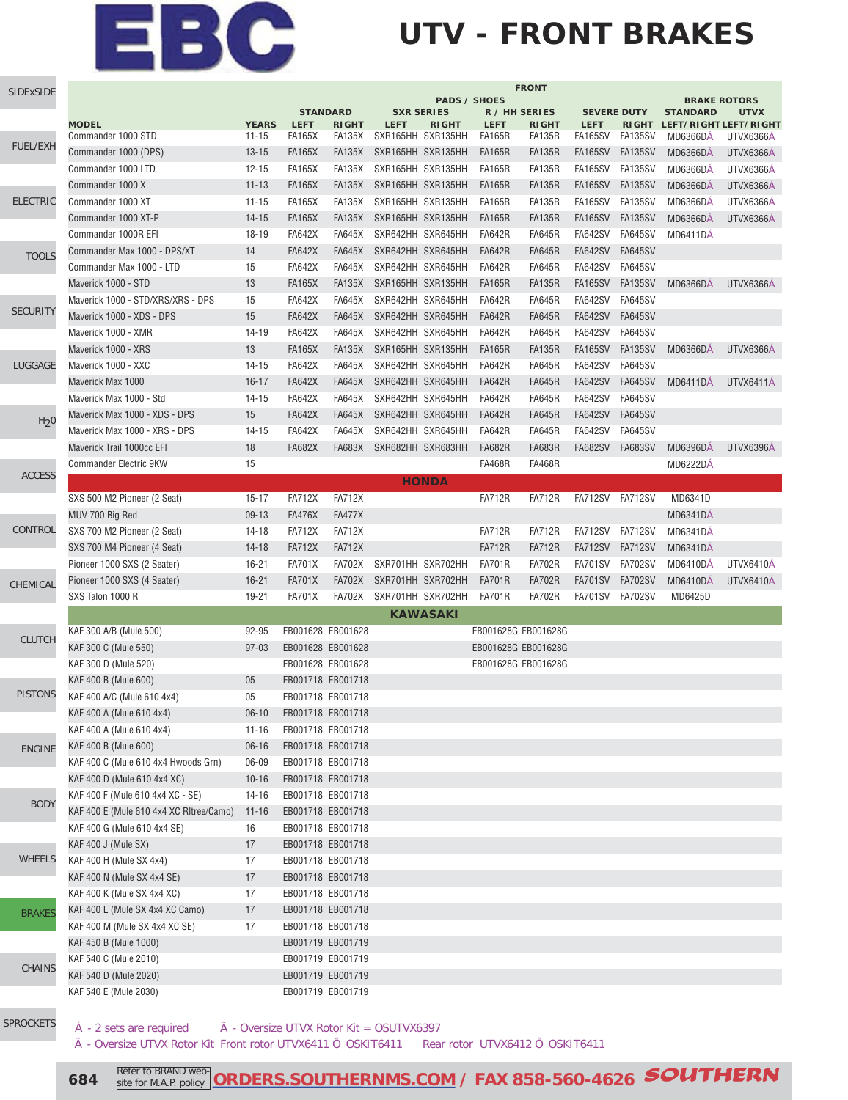### **UTV - FRONT BRAKES**

| SIDExSIDE        | <b>FRONT</b><br><b>PADS / SHOES</b>             |                  |                                |                                |                                        |                 |                                            |                                |                                  |                           |                                        |             |
|------------------|-------------------------------------------------|------------------|--------------------------------|--------------------------------|----------------------------------------|-----------------|--------------------------------------------|--------------------------------|----------------------------------|---------------------------|----------------------------------------|-------------|
|                  |                                                 |                  |                                | <b>STANDARD</b>                | <b>SXR SERIES</b>                      |                 | R / HH SERIES                              |                                | <b>SEVERE DUTY</b>               |                           | <b>BRAKE ROTORS</b><br><b>STANDARD</b> | <b>UTVX</b> |
|                  | <b>MODEL</b>                                    | <b>YEARS</b>     | <b>LEFT</b>                    | <b>RIGHT</b>                   | <b>LEFT</b>                            | <b>RIGHT</b>    | <b>LEFT</b>                                | <b>RIGHT</b>                   | <b>LEFT</b>                      | <b>RIGHT</b>              | LEFT/RIGHT LEFT/RIGHT                  |             |
| <b>FUEL/EXH</b>  | Commander 1000 STD                              | $11 - 15$        | <b>FA165X</b>                  | FA135X                         | SXR165HH SXR135HH                      |                 | <b>FA165R</b>                              | <b>FA135R</b>                  | FA165SV                          | FA135SV                   | <b>MD6366DA</b>                        | UTVX6366A   |
|                  | Commander 1000 (DPS)                            | $13 - 15$        | <b>FA165X</b>                  | <b>FA135X</b>                  | SXR165HH SXR135HH                      |                 | <b>FA165R</b>                              | <b>FA135R</b>                  | FA165SV                          | FA135SV                   | <b>MD6366DÁ</b>                        | UTVX6366A   |
|                  | Commander 1000 LTD                              | $12 - 15$        | <b>FA165X</b>                  | FA135X                         | SXR165HH SXR135HH                      |                 | <b>FA165R</b>                              | <b>FA135R</b>                  | <b>FA165SV</b>                   | FA135SV                   | <b>MD6366DA</b>                        | UTVX6366A   |
|                  | Commander 1000 X                                | $11 - 13$        | <b>FA165X</b>                  | <b>FA135X</b>                  | SXR165HH SXR135HH                      |                 | <b>FA165R</b>                              | <b>FA135R</b>                  | <b>FA165SV</b>                   | <b>FA135SV</b>            | <b>MD6366DA</b>                        | UTVX6366A   |
| <b>ELECTRIC</b>  | Commander 1000 XT                               | $11 - 15$        | <b>FA165X</b>                  | <b>FA135X</b>                  | SXR165HH SXR135HH                      |                 | <b>FA165R</b>                              | <b>FA135R</b>                  | <b>FA165SV</b>                   | FA135SV                   | <b>MD6366DÁ</b>                        | UTVX6366A   |
|                  | Commander 1000 XT-P                             | $14 - 15$        | <b>FA165X</b>                  | <b>FA135X</b>                  | SXR165HH SXR135HH                      |                 | <b>FA165R</b><br><b>FA642R</b>             | <b>FA135R</b>                  | <b>FA165SV</b><br><b>FA642SV</b> | <b>FA135SV</b>            | <b>MD6366DÁ</b>                        | UTVX6366A   |
|                  | Commander 1000R EFI                             | 18-19            | <b>FA642X</b>                  | <b>FA645X</b>                  | SXR642HH SXR645HH                      |                 | <b>FA642R</b>                              | <b>FA645R</b>                  | <b>FA642SV</b>                   | FA645SV<br><b>FA645SV</b> | <b>MD6411DÁ</b>                        |             |
| <b>TOOLS</b>     | Commander Max 1000 - DPS/XT                     | 14<br>15         | <b>FA642X</b>                  | <b>FA645X</b><br><b>FA645X</b> | SXR642HH SXR645HH<br>SXR642HH SXR645HH |                 | <b>FA642R</b>                              | <b>FA645R</b><br><b>FA645R</b> | FA642SV                          | <b>FA645SV</b>            |                                        |             |
|                  | Commander Max 1000 - LTD<br>Maverick 1000 - STD | 13               | <b>FA642X</b><br><b>FA165X</b> | <b>FA135X</b>                  | SXR165HH SXR135HH                      |                 | <b>FA165R</b>                              | <b>FA135R</b>                  | <b>FA165SV</b>                   | FA135SV                   | <b>MD6366DA</b>                        |             |
|                  | Maverick 1000 - STD/XRS/XRS - DPS               | 15               | <b>FA642X</b>                  | <b>FA645X</b>                  | SXR642HH SXR645HH                      |                 | <b>FA642R</b>                              | <b>FA645R</b>                  | <b>FA642SV</b>                   | <b>FA645SV</b>            |                                        | UTVX6366A   |
| <b>SECURITY</b>  | Maverick 1000 - XDS - DPS                       | 15               | <b>FA642X</b>                  | <b>FA645X</b>                  | SXR642HH SXR645HH                      |                 | <b>FA642R</b>                              | <b>FA645R</b>                  | <b>FA642SV</b>                   | <b>FA645SV</b>            |                                        |             |
|                  | Maverick 1000 - XMR                             | 14-19            | <b>FA642X</b>                  | <b>FA645X</b>                  | SXR642HH SXR645HH                      |                 | <b>FA642R</b>                              | <b>FA645R</b>                  | <b>FA642SV</b>                   | <b>FA645SV</b>            |                                        |             |
|                  | Maverick 1000 - XRS                             | 13               | <b>FA165X</b>                  | <b>FA135X</b>                  | SXR165HH SXR135HH                      |                 | <b>FA165R</b>                              | <b>FA135R</b>                  | <b>FA165SV</b>                   | <b>FA135SV</b>            | <b>MD6366DÁ</b>                        | UTVX6366A   |
| LUGGAGE          | Maverick 1000 - XXC                             | $14 - 15$        | <b>FA642X</b>                  | <b>FA645X</b>                  | SXR642HH SXR645HH                      |                 | <b>FA642R</b>                              | <b>FA645R</b>                  | <b>FA642SV</b>                   | <b>FA645SV</b>            |                                        |             |
|                  | Maverick Max 1000                               | $16 - 17$        | <b>FA642X</b>                  | <b>FA645X</b>                  | SXR642HH SXR645HH                      |                 | <b>FA642R</b>                              | <b>FA645R</b>                  | <b>FA642SV</b>                   | <b>FA645SV</b>            | MD6411DA                               |             |
|                  | Maverick Max 1000 - Std                         | $14 - 15$        | <b>FA642X</b>                  | <b>FA645X</b>                  | SXR642HH SXR645HH                      |                 | <b>FA642R</b>                              | <b>FA645R</b>                  | <b>FA642SV</b>                   | <b>FA645SV</b>            |                                        | UTVX6411A   |
|                  | Maverick Max 1000 - XDS - DPS                   | 15               | <b>FA642X</b>                  | <b>FA645X</b>                  | SXR642HH SXR645HH                      |                 | <b>FA642R</b>                              | <b>FA645R</b>                  | <b>FA642SV</b>                   | <b>FA645SV</b>            |                                        |             |
| H <sub>2</sub> 0 | Maverick Max 1000 - XRS - DPS                   | $14 - 15$        | <b>FA642X</b>                  | <b>FA645X</b>                  | SXR642HH SXR645HH                      |                 | <b>FA642R</b>                              | <b>FA645R</b>                  | <b>FA642SV</b>                   | <b>FA645SV</b>            |                                        |             |
|                  | Maverick Trail 1000cc EFI                       | 18               | <b>FA682X</b>                  | <b>FA683X</b>                  | SXR682HH SXR683HH                      |                 | <b>FA682R</b>                              | <b>FA683R</b>                  | <b>FA682SV</b>                   | <b>FA683SV</b>            | <b>MD6396DÁ</b>                        | UTVX6396A   |
|                  | <b>Commander Electric 9KW</b>                   | 15               |                                |                                |                                        |                 | <b>FA468R</b>                              | <b>FA468R</b>                  |                                  |                           | MD6222DA                               |             |
| <b>ACCESS</b>    |                                                 |                  |                                |                                |                                        |                 |                                            |                                |                                  |                           |                                        |             |
|                  |                                                 | $15 - 17$        | <b>FA712X</b>                  | <b>FA712X</b>                  |                                        | <b>HONDA</b>    | <b>FA712R</b>                              | <b>FA712R</b>                  | FA712SV                          | FA712SV                   | MD6341D                                |             |
|                  | SXS 500 M2 Pioneer (2 Seat)                     |                  | <b>FA476X</b>                  | <b>FA477X</b>                  |                                        |                 |                                            |                                |                                  |                           |                                        |             |
| CONTROL          | MUV 700 Big Red<br>SXS 700 M2 Pioneer (2 Seat)  | $09-13$<br>14-18 | <b>FA712X</b>                  | <b>FA712X</b>                  |                                        |                 | <b>FA712R</b>                              | <b>FA712R</b>                  | FA712SV                          | <b>FA712SV</b>            | <b>MD6341DA</b><br><b>MD6341DA</b>     |             |
|                  | SXS 700 M4 Pioneer (4 Seat)                     | $14-18$          | <b>FA712X</b>                  | <b>FA712X</b>                  |                                        |                 | <b>FA712R</b>                              | <b>FA712R</b>                  | <b>FA712SV</b>                   | <b>FA712SV</b>            | <b>MD6341DÁ</b>                        |             |
|                  | Pioneer 1000 SXS (2 Seater)                     | $16 - 21$        | <b>FA701X</b>                  | <b>FA702X</b>                  | SXR701HH SXR702HH                      |                 | <b>FA701R</b>                              | <b>FA702R</b>                  | <b>FA701SV</b>                   | <b>FA702SV</b>            | MD6410DA                               | UTVX6410Á   |
|                  | Pioneer 1000 SXS (4 Seater)                     | $16 - 21$        | <b>FA701X</b>                  | <b>FA702X</b>                  | SXR701HH SXR702HH                      |                 | <b>FA701R</b>                              | <b>FA702R</b>                  | <b>FA701SV</b>                   | <b>FA702SV</b>            | MD6410DA                               | UTVX6410Á   |
| CHEMICAL         | SXS Talon 1000 R                                | 19-21            | <b>FA701X</b>                  | <b>FA702X</b>                  | SXR701HH SXR702HH                      |                 | <b>FA701R</b>                              | <b>FA702R</b>                  | FA701SV FA702SV                  |                           | MD6425D                                |             |
|                  |                                                 |                  |                                |                                |                                        | <b>KAWASAKI</b> |                                            |                                |                                  |                           |                                        |             |
|                  | KAF 300 A/B (Mule 500)                          | 92-95            | EB001628 EB001628              |                                |                                        |                 | EB001628G EB001628G                        |                                |                                  |                           |                                        |             |
| <b>CLUTCH</b>    |                                                 |                  |                                |                                |                                        |                 |                                            |                                |                                  |                           |                                        |             |
|                  | KAF 300 C (Mule 550)                            | $97 - 03$        | EB001628 EB001628              |                                |                                        |                 | EB001628G EB001628G<br>EB001628G EB001628G |                                |                                  |                           |                                        |             |
|                  | KAF 300 D (Mule 520)<br>KAF 400 B (Mule 600)    | 05               | EB001628 EB001628              | EB001718 EB001718              |                                        |                 |                                            |                                |                                  |                           |                                        |             |
| <b>PISTONS</b>   | KAF 400 A/C (Mule 610 4x4)                      | 05               | EB001718 EB001718              |                                |                                        |                 |                                            |                                |                                  |                           |                                        |             |
|                  | KAF 400 A (Mule 610 4x4)                        | $06-10$          | EB001718 EB001718              |                                |                                        |                 |                                            |                                |                                  |                           |                                        |             |
|                  | KAF 400 A (Mule 610 4x4)                        | $11 - 16$        | EB001718 EB001718              |                                |                                        |                 |                                            |                                |                                  |                           |                                        |             |
|                  | KAF 400 B (Mule 600)                            | $06 - 16$        |                                | EB001718 EB001718              |                                        |                 |                                            |                                |                                  |                           |                                        |             |
| <b>ENGINE</b>    | KAF 400 C (Mule 610 4x4 Hwoods Grn)             | 06-09            |                                | EB001718 EB001718              |                                        |                 |                                            |                                |                                  |                           |                                        |             |
|                  | KAF 400 D (Mule 610 4x4 XC)                     | $10 - 16$        | EB001718 EB001718              |                                |                                        |                 |                                            |                                |                                  |                           |                                        |             |
|                  | KAF 400 F (Mule 610 4x4 XC - SE)                | $14 - 16$        |                                | EB001718 EB001718              |                                        |                 |                                            |                                |                                  |                           |                                        |             |
| <b>BODY</b>      | KAF 400 E (Mule 610 4x4 XC Ritree/Camo)         | $11 - 16$        |                                | EB001718 EB001718              |                                        |                 |                                            |                                |                                  |                           |                                        |             |
|                  | KAF 400 G (Mule 610 4x4 SE)                     | 16               |                                | EB001718 EB001718              |                                        |                 |                                            |                                |                                  |                           |                                        |             |
|                  | KAF 400 J (Mule SX)                             | 17               |                                | EB001718 EB001718              |                                        |                 |                                            |                                |                                  |                           |                                        |             |
| <b>WHEELS</b>    | KAF 400 H (Mule SX 4x4)                         | 17               |                                | EB001718 EB001718              |                                        |                 |                                            |                                |                                  |                           |                                        |             |
|                  | KAF 400 N (Mule SX 4x4 SE)                      | 17               |                                | EB001718 EB001718              |                                        |                 |                                            |                                |                                  |                           |                                        |             |
|                  | KAF 400 K (Mule SX 4x4 XC)                      | 17               |                                | EB001718 EB001718              |                                        |                 |                                            |                                |                                  |                           |                                        |             |
|                  | KAF 400 L (Mule SX 4x4 XC Camo)                 | 17               |                                | EB001718 EB001718              |                                        |                 |                                            |                                |                                  |                           |                                        |             |
| <b>BRAKES</b>    | KAF 400 M (Mule SX 4x4 XC SE)                   | 17               | EB001718 EB001718              |                                |                                        |                 |                                            |                                |                                  |                           |                                        |             |
|                  | KAF 450 B (Mule 1000)                           |                  |                                | EB001719 EB001719              |                                        |                 |                                            |                                |                                  |                           |                                        |             |
|                  | KAF 540 C (Mule 2010)                           |                  |                                | EB001719 EB001719              |                                        |                 |                                            |                                |                                  |                           |                                        |             |
| <b>CHAINS</b>    | KAF 540 D (Mule 2020)                           |                  |                                | EB001719 EB001719              |                                        |                 |                                            |                                |                                  |                           |                                        |             |
|                  | KAF 540 E (Mule 2030)                           |                  |                                | EB001719 EB001719              |                                        |                 |                                            |                                |                                  |                           |                                        |             |
|                  |                                                 |                  |                                |                                |                                        |                 |                                            |                                |                                  |                           |                                        |             |

[SPROCKETS](http://www.southernms.com/wp-content/uploads/2015/08/18_sprockets.pdf)

 $\hat{A}$  - 2 sets are required  $\hat{A}$  - Oversize UTVX Rotor Kit = OSUTVX6397

à - Oversize UTVX Rotor Kit Front rotor UTVX6411 Ô OSKIT6411 Rear rotor UTVX6412 Ô OSKIT6411

**684** Refer to BRAND web **[ORDERS.SOUTHERNMS.COM / FAX 858-560-4626](http://orders.southernms.com) SOUTHERN**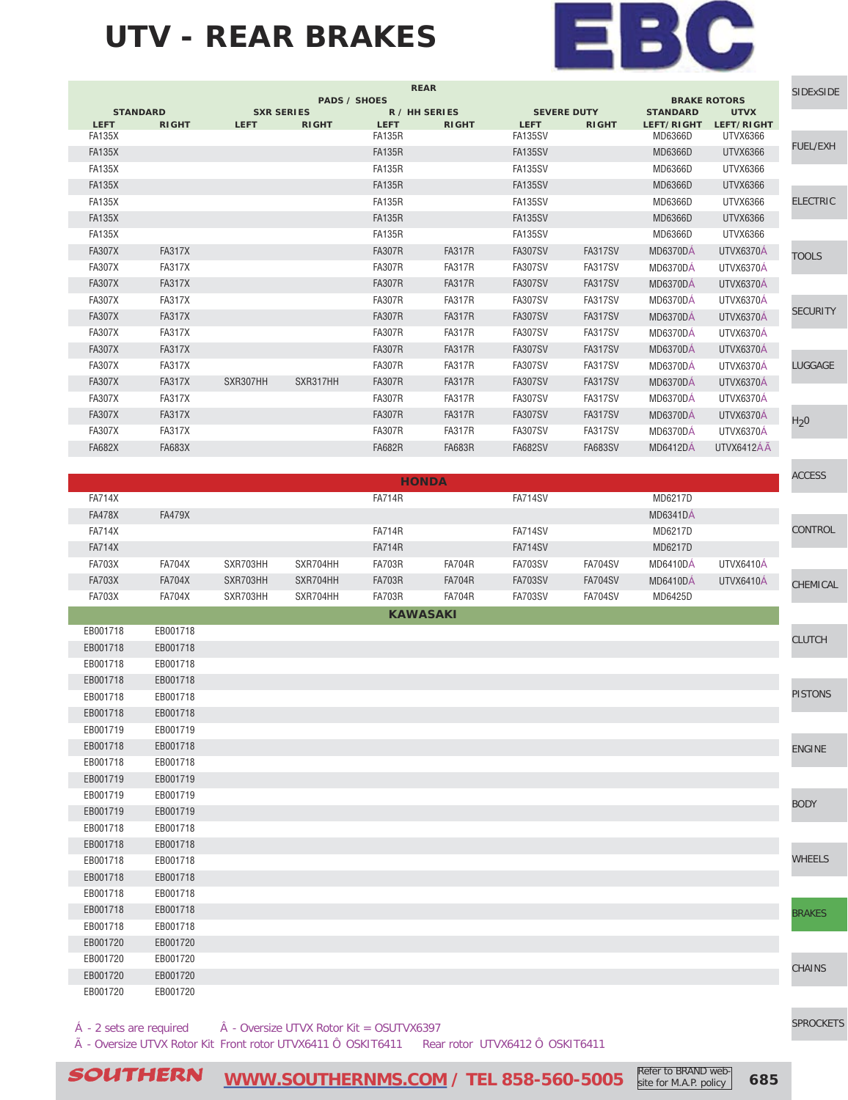#### **UTV - REAR BRAKES**



| <b>REAR</b><br><b>SIDExSIDE</b><br><b>PADS / SHOES</b><br><b>BRAKE ROTORS</b> |                 |               |                   |              |               |               |                    |                |                 |                 |                  |
|-------------------------------------------------------------------------------|-----------------|---------------|-------------------|--------------|---------------|---------------|--------------------|----------------|-----------------|-----------------|------------------|
|                                                                               | <b>STANDARD</b> |               | <b>SXR SERIES</b> |              | R / HH SERIES |               | <b>SEVERE DUTY</b> |                | <b>STANDARD</b> | <b>UTVX</b>     |                  |
|                                                                               | <b>LEFT</b>     | <b>RIGHT</b>  | <b>LEFT</b>       | <b>RIGHT</b> | <b>LEFT</b>   | <b>RIGHT</b>  | <b>LEFT</b>        | <b>RIGHT</b>   | LEFT/RIGHT      | LEFT/RIGHT      |                  |
|                                                                               | <b>FA135X</b>   |               |                   |              | <b>FA135R</b> |               | <b>FA135SV</b>     |                | MD6366D         | UTVX6366        | <b>FUEL/EXH</b>  |
|                                                                               | <b>FA135X</b>   |               |                   |              | <b>FA135R</b> |               | <b>FA135SV</b>     |                | MD6366D         | <b>UTVX6366</b> |                  |
|                                                                               | <b>FA135X</b>   |               |                   |              | <b>FA135R</b> |               | <b>FA135SV</b>     |                | MD6366D         | UTVX6366        |                  |
|                                                                               | <b>FA135X</b>   |               |                   |              | <b>FA135R</b> |               | <b>FA135SV</b>     |                | MD6366D         | <b>UTVX6366</b> |                  |
|                                                                               | <b>FA135X</b>   |               |                   |              | <b>FA135R</b> |               | <b>FA135SV</b>     |                | MD6366D         | UTVX6366        | <b>ELECTRIC</b>  |
|                                                                               | <b>FA135X</b>   |               |                   |              | <b>FA135R</b> |               | <b>FA135SV</b>     |                | MD6366D         | <b>UTVX6366</b> |                  |
|                                                                               | <b>FA135X</b>   |               |                   |              | <b>FA135R</b> |               | FA135SV            |                | MD6366D         | UTVX6366        |                  |
|                                                                               | <b>FA307X</b>   | <b>FA317X</b> |                   |              | <b>FA307R</b> | <b>FA317R</b> | <b>FA307SV</b>     | <b>FA317SV</b> | MD6370DÁ        | UTVX6370A       | <b>TOOLS</b>     |
|                                                                               | <b>FA307X</b>   | <b>FA317X</b> |                   |              | <b>FA307R</b> | <b>FA317R</b> | <b>FA307SV</b>     | <b>FA317SV</b> | <b>MD6370DÁ</b> | UTVX6370A       |                  |
|                                                                               | <b>FA307X</b>   | <b>FA317X</b> |                   |              | <b>FA307R</b> | <b>FA317R</b> | <b>FA307SV</b>     | <b>FA317SV</b> | MD6370DA        | UTVX6370A       |                  |
|                                                                               | <b>FA307X</b>   | <b>FA317X</b> |                   |              | <b>FA307R</b> | <b>FA317R</b> | <b>FA307SV</b>     | <b>FA317SV</b> | <b>MD6370DÁ</b> | UTVX6370Á       |                  |
|                                                                               | <b>FA307X</b>   | <b>FA317X</b> |                   |              | <b>FA307R</b> | <b>FA317R</b> | <b>FA307SV</b>     | <b>FA317SV</b> | <b>MD6370DÁ</b> | UTVX6370Á       | <b>SECURITY</b>  |
|                                                                               | <b>FA307X</b>   | <b>FA317X</b> |                   |              | <b>FA307R</b> | <b>FA317R</b> | <b>FA307SV</b>     | <b>FA317SV</b> | <b>MD6370DÁ</b> | UTVX6370A       |                  |
|                                                                               | <b>FA307X</b>   | <b>FA317X</b> |                   |              | <b>FA307R</b> | <b>FA317R</b> | <b>FA307SV</b>     | <b>FA317SV</b> | <b>MD6370DÁ</b> | UTVX6370Á       |                  |
|                                                                               | <b>FA307X</b>   | <b>FA317X</b> |                   |              | <b>FA307R</b> | <b>FA317R</b> | <b>FA307SV</b>     | <b>FA317SV</b> | MD6370DÁ        | UTVX6370Á       | <b>LUGGAGE</b>   |
|                                                                               | <b>FA307X</b>   | <b>FA317X</b> | SXR307HH          | SXR317HH     | <b>FA307R</b> | <b>FA317R</b> | <b>FA307SV</b>     | <b>FA317SV</b> | <b>MD6370DÁ</b> | UTVX6370A       |                  |
|                                                                               | <b>FA307X</b>   | <b>FA317X</b> |                   |              | <b>FA307R</b> | <b>FA317R</b> | <b>FA307SV</b>     | <b>FA317SV</b> | MD6370DÁ        | UTVX6370Á       |                  |
|                                                                               | <b>FA307X</b>   | <b>FA317X</b> |                   |              | <b>FA307R</b> | <b>FA317R</b> | <b>FA307SV</b>     | <b>FA317SV</b> | <b>MD6370DÁ</b> | UTVX6370A       | H <sub>2</sub> 0 |
|                                                                               | <b>FA307X</b>   | <b>FA317X</b> |                   |              | <b>FA307R</b> | <b>FA317R</b> | <b>FA307SV</b>     | <b>FA317SV</b> | <b>MD6370DÁ</b> | UTVX6370Á       |                  |
|                                                                               | <b>FA682X</b>   | <b>FA683X</b> |                   |              | <b>FA682R</b> | <b>FA683R</b> | <b>FA682SV</b>     | <b>FA683SV</b> | <b>MD6412DÁ</b> | UTVX6412ÁÃ      |                  |
|                                                                               |                 |               |                   |              |               |               |                    |                |                 |                 |                  |

|               |               |          |          |                 | <b>HONDA</b>  |                |                |          |           | <b>ACCESS</b>  |
|---------------|---------------|----------|----------|-----------------|---------------|----------------|----------------|----------|-----------|----------------|
| <b>FA714X</b> |               |          |          | <b>FA714R</b>   |               | FA714SV        |                | MD6217D  |           |                |
| <b>FA478X</b> | <b>FA479X</b> |          |          |                 |               |                |                | MD6341DÁ |           |                |
| <b>FA714X</b> |               |          |          | <b>FA714R</b>   |               | FA714SV        |                | MD6217D  |           | <b>CONTROL</b> |
| <b>FA714X</b> |               |          |          | <b>FA714R</b>   |               | <b>FA714SV</b> |                | MD6217D  |           |                |
| <b>FA703X</b> | <b>FA704X</b> | SXR703HH | SXR704HH | <b>FA703R</b>   | <b>FA704R</b> | <b>FA703SV</b> | <b>FA704SV</b> | MD6410DÁ | UTVX6410A |                |
| <b>FA703X</b> | <b>FA704X</b> | SXR703HH | SXR704HH | <b>FA703R</b>   | <b>FA704R</b> | <b>FA703SV</b> | <b>FA704SV</b> | MD6410DÁ | UTVX6410Á | CHEMICAL       |
| <b>FA703X</b> | <b>FA704X</b> | SXR703HH | SXR704HH | <b>FA703R</b>   | <b>FA704R</b> | <b>FA703SV</b> | <b>FA704SV</b> | MD6425D  |           |                |
|               |               |          |          | <b>KAWASAKI</b> |               |                |                |          |           |                |

| EB001718 | EB001718 |  | <b>CLUTCH</b>  |
|----------|----------|--|----------------|
| EB001718 | EB001718 |  |                |
| EB001718 | EB001718 |  |                |
| EB001718 | EB001718 |  |                |
| EB001718 | EB001718 |  | <b>PISTONS</b> |
| EB001718 | EB001718 |  |                |
| EB001719 | EB001719 |  |                |
| EB001718 | EB001718 |  | <b>ENGINE</b>  |
| EB001718 | EB001718 |  |                |
| EB001719 | EB001719 |  |                |
| EB001719 | EB001719 |  | <b>BODY</b>    |
| EB001719 | EB001719 |  |                |
| EB001718 | EB001718 |  |                |
| EB001718 | EB001718 |  |                |
| EB001718 | EB001718 |  | <b>WHEELS</b>  |
| EB001718 | EB001718 |  |                |
| EB001718 | EB001718 |  |                |
| EB001718 | EB001718 |  | <b>BRAKES</b>  |
| EB001718 | EB001718 |  |                |
| EB001720 | EB001720 |  |                |
| EB001720 | EB001720 |  | <b>CHAINS</b>  |
| EB001720 | EB001720 |  |                |
| EB001720 | EB001720 |  |                |
|          |          |  |                |

 $\hat{A}$  - 2 sets are required  $\hat{A}$  - Oversize UTVX Rotor Kit = OSUTVX6397

à - Oversize UTVX Rotor Kit Front rotor UTVX6411 Ô OSKIT6411 Rear rotor UTVX6412 Ô OSKIT6411

[SPROCKETS](http://www.southernms.com/wp-content/uploads/2015/08/18_sprockets.pdf)

 $\textcolor{red}{\textbf{SOUTHERN}} \quad \textcolor{red}{\textcolor{red}{\textbf{WWW}}}\textcolor{red}{.}\textcolor{red}{\textbf{SOUTHERNMS}.COM}$  / TEL 858-560-5005  $\textcolor{red}{\textcolor{red}{\textbf{K}}}\textcolor{red}{\textbf{BIC}}\textcolor{red}{\textbf{BIC}}\textcolor{red}{\textbf{SIC}}\textcolor{red}{\textbf{SIC}}\textcolor{red}{\textbf{SIC}}\textcolor{red}{\textbf{SIC}}\textcolor{red}{\textbf{SIC}}\textcolor{red}{\textbf{SIC}}\textcolor{red}{\textbf{SIC}}\textcolor$ Refer to BRAND website for M.A.P. policy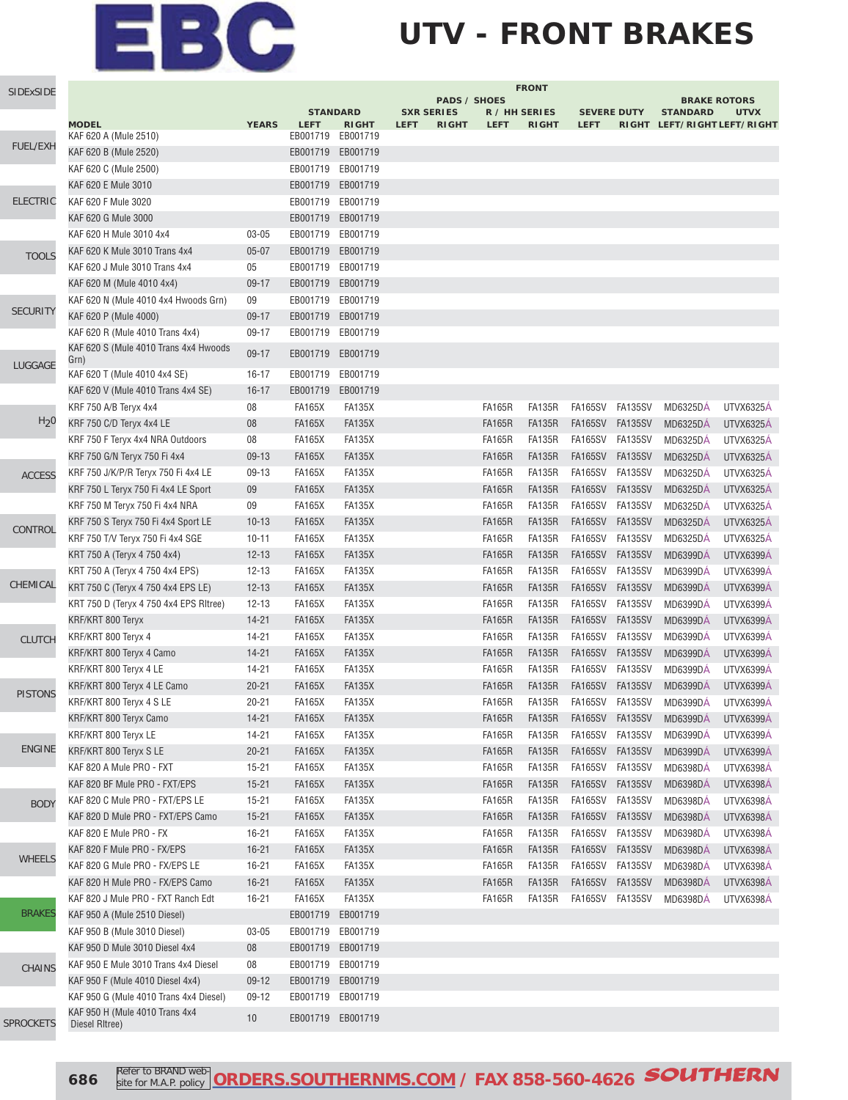### **UTV - FRONT BRAKES**

| SIDExSIDE        |                                                  | <b>FRONT</b> |               |                                 |                                  |                     |               |                               |                                   |                |                 |                                            |
|------------------|--------------------------------------------------|--------------|---------------|---------------------------------|----------------------------------|---------------------|---------------|-------------------------------|-----------------------------------|----------------|-----------------|--------------------------------------------|
|                  |                                                  |              |               |                                 |                                  | <b>PADS / SHOES</b> |               |                               |                                   |                |                 | <b>BRAKE ROTORS</b>                        |
|                  | <b>MODEL</b>                                     | <b>YEARS</b> | <b>LEFT</b>   | <b>STANDARD</b><br><b>RIGHT</b> | <b>SXR SERIES</b><br><b>LEFT</b> | <b>RIGHT</b>        | <b>LEFT</b>   | R / HH SERIES<br><b>RIGHT</b> | <b>SEVERE DUTY</b><br><b>LEFT</b> |                | <b>STANDARD</b> | <b>UTVX</b><br>RIGHT LEFT/RIGHT LEFT/RIGHT |
|                  | KAF 620 A (Mule 2510)                            |              | EB001719      | EB001719                        |                                  |                     |               |                               |                                   |                |                 |                                            |
| <b>FUEL/EXH</b>  | KAF 620 B (Mule 2520)                            |              | EB001719      | EB001719                        |                                  |                     |               |                               |                                   |                |                 |                                            |
|                  | KAF 620 C (Mule 2500)                            |              | EB001719      | EB001719                        |                                  |                     |               |                               |                                   |                |                 |                                            |
|                  | KAF 620 E Mule 3010                              |              | EB001719      | EB001719                        |                                  |                     |               |                               |                                   |                |                 |                                            |
| <b>ELECTRIC</b>  | KAF 620 F Mule 3020                              |              | EB001719      | EB001719                        |                                  |                     |               |                               |                                   |                |                 |                                            |
|                  | KAF 620 G Mule 3000                              |              |               | EB001719 EB001719               |                                  |                     |               |                               |                                   |                |                 |                                            |
|                  | KAF 620 H Mule 3010 4x4                          | 03-05        | EB001719      | EB001719                        |                                  |                     |               |                               |                                   |                |                 |                                            |
| <b>TOOLS</b>     | KAF 620 K Mule 3010 Trans 4x4                    | $05 - 07$    | EB001719      | EB001719                        |                                  |                     |               |                               |                                   |                |                 |                                            |
|                  | KAF 620 J Mule 3010 Trans 4x4                    | 05           | EB001719      | EB001719                        |                                  |                     |               |                               |                                   |                |                 |                                            |
|                  | KAF 620 M (Mule 4010 4x4)                        | $09-17$      | EB001719      | EB001719                        |                                  |                     |               |                               |                                   |                |                 |                                            |
|                  | KAF 620 N (Mule 4010 4x4 Hwoods Grn)             | 09           | EB001719      | EB001719                        |                                  |                     |               |                               |                                   |                |                 |                                            |
| <b>SECURITY</b>  | KAF 620 P (Mule 4000)                            | 09-17        | EB001719      | EB001719                        |                                  |                     |               |                               |                                   |                |                 |                                            |
|                  | KAF 620 R (Mule 4010 Trans 4x4)                  | $09-17$      | EB001719      | EB001719                        |                                  |                     |               |                               |                                   |                |                 |                                            |
|                  | KAF 620 S (Mule 4010 Trans 4x4 Hwoods<br>Grn)    | $09 - 17$    | EB001719      | EB001719                        |                                  |                     |               |                               |                                   |                |                 |                                            |
| LUGGAGE          | KAF 620 T (Mule 4010 4x4 SE)                     | $16 - 17$    |               | EB001719 EB001719               |                                  |                     |               |                               |                                   |                |                 |                                            |
|                  | KAF 620 V (Mule 4010 Trans 4x4 SE)               | $16 - 17$    | EB001719      | EB001719                        |                                  |                     |               |                               |                                   |                |                 |                                            |
|                  | KRF 750 A/B Teryx 4x4                            | 08           | <b>FA165X</b> | <b>FA135X</b>                   |                                  |                     | <b>FA165R</b> | <b>FA135R</b>                 | FA165SV FA135SV                   |                | <b>MD6325DA</b> | <b>UTVX6325A</b>                           |
| H <sub>2</sub> 0 | KRF 750 C/D Teryx 4x4 LE                         | 08           | <b>FA165X</b> | <b>FA135X</b>                   |                                  |                     | <b>FA165R</b> | <b>FA135R</b>                 | <b>FA165SV</b>                    | <b>FA135SV</b> | <b>MD6325DÁ</b> | <b>UTVX6325A</b>                           |
|                  | KRF 750 F Teryx 4x4 NRA Outdoors                 | 08           | <b>FA165X</b> | <b>FA135X</b>                   |                                  |                     | <b>FA165R</b> | <b>FA135R</b>                 | FA165SV FA135SV                   |                | <b>MD6325DÁ</b> | <b>UTVX6325A</b>                           |
|                  | KRF 750 G/N Teryx 750 Fi 4x4                     | $09-13$      | <b>FA165X</b> | <b>FA135X</b>                   |                                  |                     | <b>FA165R</b> | <b>FA135R</b>                 | <b>FA165SV</b>                    | <b>FA135SV</b> | <b>MD6325DÁ</b> | <b>UTVX6325A</b>                           |
|                  | KRF 750 J/K/P/R Teryx 750 Fi 4x4 LE              | 09-13        | <b>FA165X</b> | <b>FA135X</b>                   |                                  |                     | <b>FA165R</b> | <b>FA135R</b>                 | <b>FA165SV</b>                    | <b>FA135SV</b> | MD6325DA        | UTVX6325A                                  |
| <b>ACCESS</b>    | KRF 750 L Teryx 750 Fi 4x4 LE Sport              | 09           | <b>FA165X</b> | <b>FA135X</b>                   |                                  |                     | <b>FA165R</b> | <b>FA135R</b>                 | <b>FA165SV</b>                    | <b>FA135SV</b> | MD6325DÁ        | <b>UTVX6325Á</b>                           |
|                  |                                                  | 09           | <b>FA165X</b> | <b>FA135X</b>                   |                                  |                     | <b>FA165R</b> | <b>FA135R</b>                 | <b>FA165SV</b>                    | <b>FA135SV</b> | MD6325DÁ        | <b>UTVX6325Á</b>                           |
|                  | KRF 750 M Teryx 750 Fi 4x4 NRA                   |              |               |                                 |                                  |                     |               |                               |                                   |                |                 |                                            |
| CONTROL          | KRF 750 S Teryx 750 Fi 4x4 Sport LE              | $10 - 13$    | <b>FA165X</b> | <b>FA135X</b>                   |                                  |                     | <b>FA165R</b> | <b>FA135R</b>                 | <b>FA165SV</b>                    | <b>FA135SV</b> | <b>MD6325DÁ</b> | <b>UTVX6325Á</b>                           |
|                  | KRF 750 T/V Teryx 750 Fi 4x4 SGE                 | $10 - 11$    | <b>FA165X</b> | <b>FA135X</b>                   |                                  |                     | <b>FA165R</b> | <b>FA135R</b>                 | <b>FA165SV</b>                    | FA135SV        | <b>MD6325DÁ</b> | <b>UTVX6325Á</b>                           |
|                  | KRT 750 A (Teryx 4 750 4x4)                      | $12 - 13$    | <b>FA165X</b> | <b>FA135X</b>                   |                                  |                     | <b>FA165R</b> | <b>FA135R</b>                 | <b>FA165SV</b>                    | <b>FA135SV</b> | <b>MD6399DÁ</b> | UTVX6399Á                                  |
| CHEMICAL         | KRT 750 A (Teryx 4 750 4x4 EPS)                  | $12 - 13$    | <b>FA165X</b> | <b>FA135X</b>                   |                                  |                     | <b>FA165R</b> | <b>FA135R</b>                 | <b>FA165SV</b>                    | FA135SV        | MD6399DÁ        | UTVX6399Á                                  |
|                  | KRT 750 C (Teryx 4 750 4x4 EPS LE)               | $12 - 13$    | <b>FA165X</b> | <b>FA135X</b>                   |                                  |                     | <b>FA165R</b> | <b>FA135R</b>                 | <b>FA165SV</b>                    | FA135SV        | <b>MD6399DÁ</b> | UTVX6399A                                  |
|                  | KRT 750 D (Teryx 4 750 4x4 EPS Ritree)           | $12 - 13$    | <b>FA165X</b> | <b>FA135X</b>                   |                                  |                     | <b>FA165R</b> | <b>FA135R</b>                 | FA165SV                           | FA135SV        | <b>MD6399DÁ</b> | UTVX6399A                                  |
|                  | KRF/KRT 800 Teryx                                | $14 - 21$    | <b>FA165X</b> | <b>FA135X</b>                   |                                  |                     | <b>FA165R</b> | <b>FA135R</b>                 | <b>FA165SV</b>                    | FA135SV        | MD6399DÁ        | UTVX6399A                                  |
| <b>CLUTCH</b>    | KRF/KRT 800 Teryx 4                              | $14 - 21$    | <b>FA165X</b> | <b>FA135X</b>                   |                                  |                     | <b>FA165R</b> | <b>FA135R</b>                 | <b>FA165SV</b>                    | FA135SV        | <b>MD6399DA</b> | UTVX6399A                                  |
|                  | KRF/KRT 800 Teryx 4 Camo                         | $14 - 21$    | <b>FA165X</b> | <b>FA135X</b>                   |                                  |                     | <b>FA165R</b> | <b>FA135R</b>                 | <b>FA165SV</b>                    | <b>FA135SV</b> | <b>MD6399DA</b> | UTVX6399A                                  |
|                  | KRF/KRT 800 Teryx 4 LE                           | 14-21        | <b>FA165X</b> | <b>FA135X</b>                   |                                  |                     | <b>FA165R</b> | <b>FA135R</b>                 | FA165SV                           | FA135SV        | <b>MD6399DÁ</b> | UTVX6399A                                  |
| <b>PISTONS</b>   | KRF/KRT 800 Teryx 4 LE Camo                      | $20 - 21$    | <b>FA165X</b> | <b>FA135X</b>                   |                                  |                     | <b>FA165R</b> | <b>FA135R</b>                 | <b>FA165SV</b>                    | <b>FA135SV</b> | MD6399DÁ        | UTVX6399A                                  |
|                  | KRF/KRT 800 Teryx 4 S LE                         | $20 - 21$    | <b>FA165X</b> | <b>FA135X</b>                   |                                  |                     | <b>FA165R</b> | <b>FA135R</b>                 | FA165SV FA135SV                   |                | <b>MD6399DÁ</b> | UTVX6399Á                                  |
|                  | KRF/KRT 800 Teryx Camo                           | $14 - 21$    | <b>FA165X</b> | <b>FA135X</b>                   |                                  |                     | <b>FA165R</b> | <b>FA135R</b>                 | FA165SV FA135SV                   |                | <b>MD6399DÁ</b> | UTVX6399A                                  |
|                  | KRF/KRT 800 Teryx LE                             | 14-21        | <b>FA165X</b> | <b>FA135X</b>                   |                                  |                     | <b>FA165R</b> | <b>FA135R</b>                 | FA165SV                           | FA135SV        | MD6399DÁ        | UTVX6399A                                  |
| <b>ENGINE</b>    | KRF/KRT 800 Teryx S LE                           | $20 - 21$    | <b>FA165X</b> | <b>FA135X</b>                   |                                  |                     | <b>FA165R</b> | <b>FA135R</b>                 | FA165SV FA135SV                   |                | <b>MD6399DÁ</b> | UTVX6399A                                  |
|                  | KAF 820 A Mule PRO - FXT                         | $15 - 21$    | <b>FA165X</b> | <b>FA135X</b>                   |                                  |                     | <b>FA165R</b> | <b>FA135R</b>                 | FA165SV                           | <b>FA135SV</b> | <b>MD6398DÁ</b> | UTVX6398A                                  |
|                  | KAF 820 BF Mule PRO - FXT/EPS                    | $15 - 21$    | <b>FA165X</b> | <b>FA135X</b>                   |                                  |                     | <b>FA165R</b> | <b>FA135R</b>                 | <b>FA165SV</b>                    | <b>FA135SV</b> | <b>MD6398DÁ</b> | UTVX6398Á                                  |
| <b>BODY</b>      | KAF 820 C Mule PRO - FXT/EPS LE                  | $15 - 21$    | <b>FA165X</b> | <b>FA135X</b>                   |                                  |                     | <b>FA165R</b> | <b>FA135R</b>                 | FA165SV                           | FA135SV        | MD6398DÁ        | UTVX6398Á                                  |
|                  | KAF 820 D Mule PRO - FXT/EPS Camo                | $15 - 21$    | <b>FA165X</b> | <b>FA135X</b>                   |                                  |                     | <b>FA165R</b> | <b>FA135R</b>                 | <b>FA165SV</b>                    | <b>FA135SV</b> | <b>MD6398DÁ</b> | UTVX6398Á                                  |
|                  | KAF 820 E Mule PRO - FX                          | $16 - 21$    | <b>FA165X</b> | <b>FA135X</b>                   |                                  |                     | <b>FA165R</b> | <b>FA135R</b>                 | FA165SV                           | FA135SV        | <b>MD6398DÁ</b> | UTVX6398Á                                  |
| <b>WHEELS</b>    | KAF 820 F Mule PRO - FX/EPS                      | $16 - 21$    | <b>FA165X</b> | <b>FA135X</b>                   |                                  |                     | <b>FA165R</b> | <b>FA135R</b>                 | FA165SV FA135SV                   |                | <b>MD6398DÁ</b> | UTVX6398Á                                  |
|                  | KAF 820 G Mule PRO - FX/EPS LE                   | $16 - 21$    | <b>FA165X</b> | <b>FA135X</b>                   |                                  |                     | <b>FA165R</b> | <b>FA135R</b>                 | FA165SV                           | FA135SV        | MD6398DÁ        | <b>UTVX6398Á</b>                           |
|                  | KAF 820 H Mule PRO - FX/EPS Camo                 | $16 - 21$    | <b>FA165X</b> | <b>FA135X</b>                   |                                  |                     | <b>FA165R</b> | <b>FA135R</b>                 | FA165SV FA135SV                   |                | <b>MD6398DÁ</b> | UTVX6398A                                  |
|                  | KAF 820 J Mule PRO - FXT Ranch Edt               | $16 - 21$    | <b>FA165X</b> | <b>FA135X</b>                   |                                  |                     | <b>FA165R</b> | FA135R                        | FA165SV FA135SV                   |                | <b>MD6398DA</b> | UTVX6398A                                  |
| <b>BRAKES</b>    | KAF 950 A (Mule 2510 Diesel)                     |              | EB001719      | EB001719                        |                                  |                     |               |                               |                                   |                |                 |                                            |
|                  | KAF 950 B (Mule 3010 Diesel)                     | $03 - 05$    |               | EB001719 EB001719               |                                  |                     |               |                               |                                   |                |                 |                                            |
|                  | KAF 950 D Mule 3010 Diesel 4x4                   | 08           |               | EB001719 EB001719               |                                  |                     |               |                               |                                   |                |                 |                                            |
| <b>CHAINS</b>    | KAF 950 E Mule 3010 Trans 4x4 Diesel             | 08           |               | EB001719 EB001719               |                                  |                     |               |                               |                                   |                |                 |                                            |
|                  | KAF 950 F (Mule 4010 Diesel 4x4)                 | $09-12$      |               | EB001719 EB001719               |                                  |                     |               |                               |                                   |                |                 |                                            |
|                  | KAF 950 G (Mule 4010 Trans 4x4 Diesel)           | $09-12$      |               | EB001719 EB001719               |                                  |                     |               |                               |                                   |                |                 |                                            |
| SPROCKETS        | KAF 950 H (Mule 4010 Trans 4x4<br>Diesel RItree) | 10           |               | EB001719 EB001719               |                                  |                     |               |                               |                                   |                |                 |                                            |

**686** Refer to BRAND web **[ORDERS.SOUTHERNMS.COM / FAX 858-560-4626](http://orders.southernms.com) SOUTHERN**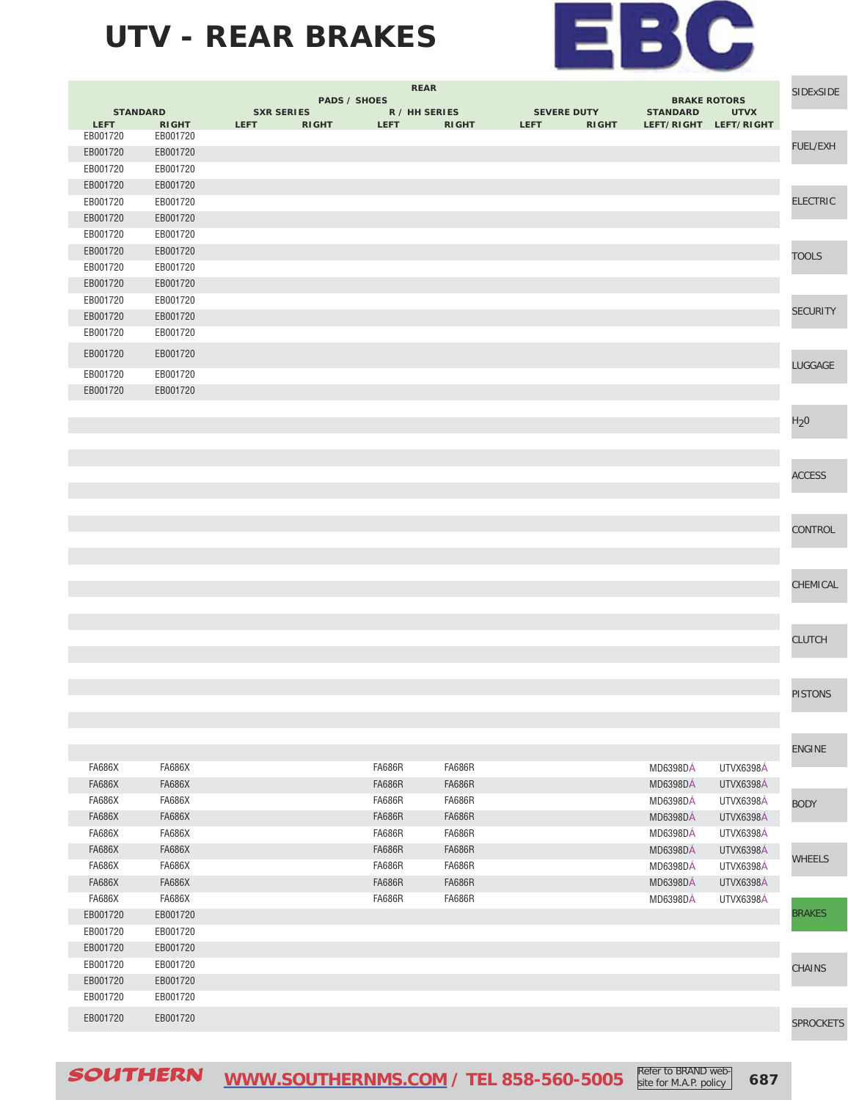### **UTV - REAR BRAKES**



|               |                 |                   | <b>REAR</b>                 |               |                    |              |                 | <b>BRAKE ROTORS</b>   |                  |  |  |
|---------------|-----------------|-------------------|-----------------------------|---------------|--------------------|--------------|-----------------|-----------------------|------------------|--|--|
|               | <b>STANDARD</b> | <b>SXR SERIES</b> | <b>PADS / SHOES</b>         | R / HH SERIES | <b>SEVERE DUTY</b> |              | <b>STANDARD</b> | <b>UTVX</b>           |                  |  |  |
| <b>LEFT</b>   | <b>RIGHT</b>    | <b>LEFT</b>       | <b>RIGHT</b><br><b>LEFT</b> | <b>RIGHT</b>  | <b>LEFT</b>        | <b>RIGHT</b> |                 | LEFT/RIGHT LEFT/RIGHT |                  |  |  |
| EB001720      | EB001720        |                   |                             |               |                    |              |                 |                       | FUEL/EXH         |  |  |
| EB001720      | EB001720        |                   |                             |               |                    |              |                 |                       |                  |  |  |
| EB001720      | EB001720        |                   |                             |               |                    |              |                 |                       |                  |  |  |
| EB001720      | EB001720        |                   |                             |               |                    |              |                 |                       |                  |  |  |
| EB001720      | EB001720        |                   |                             |               |                    |              |                 |                       | <b>ELECTRIC</b>  |  |  |
| EB001720      | EB001720        |                   |                             |               |                    |              |                 |                       |                  |  |  |
| EB001720      | EB001720        |                   |                             |               |                    |              |                 |                       |                  |  |  |
| EB001720      | EB001720        |                   |                             |               |                    |              |                 |                       | <b>TOOLS</b>     |  |  |
| EB001720      | EB001720        |                   |                             |               |                    |              |                 |                       |                  |  |  |
| EB001720      | EB001720        |                   |                             |               |                    |              |                 |                       |                  |  |  |
| EB001720      | EB001720        |                   |                             |               |                    |              |                 |                       | <b>SECURITY</b>  |  |  |
| EB001720      | EB001720        |                   |                             |               |                    |              |                 |                       |                  |  |  |
| EB001720      | EB001720        |                   |                             |               |                    |              |                 |                       |                  |  |  |
| EB001720      | EB001720        |                   |                             |               |                    |              |                 |                       |                  |  |  |
| EB001720      | EB001720        |                   |                             |               |                    |              |                 |                       | LUGGAGE          |  |  |
| EB001720      | EB001720        |                   |                             |               |                    |              |                 |                       |                  |  |  |
|               |                 |                   |                             |               |                    |              |                 |                       |                  |  |  |
|               |                 |                   |                             |               |                    |              |                 |                       | H <sub>2</sub> 0 |  |  |
|               |                 |                   |                             |               |                    |              |                 |                       |                  |  |  |
|               |                 |                   |                             |               |                    |              |                 |                       |                  |  |  |
|               |                 |                   |                             |               |                    |              |                 |                       | <b>ACCESS</b>    |  |  |
|               |                 |                   |                             |               |                    |              |                 |                       |                  |  |  |
|               |                 |                   |                             |               |                    |              |                 |                       |                  |  |  |
|               |                 |                   |                             |               |                    |              |                 |                       |                  |  |  |
|               |                 |                   |                             |               |                    |              |                 |                       | CONTROL          |  |  |
|               |                 |                   |                             |               |                    |              |                 |                       |                  |  |  |
|               |                 |                   |                             |               |                    |              |                 |                       |                  |  |  |
|               |                 |                   |                             |               |                    |              |                 |                       | CHEMICAL         |  |  |
|               |                 |                   |                             |               |                    |              |                 |                       |                  |  |  |
|               |                 |                   |                             |               |                    |              |                 |                       |                  |  |  |
|               |                 |                   |                             |               |                    |              |                 |                       | <b>CLUTCH</b>    |  |  |
|               |                 |                   |                             |               |                    |              |                 |                       |                  |  |  |
|               |                 |                   |                             |               |                    |              |                 |                       |                  |  |  |
|               |                 |                   |                             |               |                    |              |                 |                       |                  |  |  |
|               |                 |                   |                             |               |                    |              |                 |                       | <b>PISTONS</b>   |  |  |
|               |                 |                   |                             |               |                    |              |                 |                       |                  |  |  |
|               |                 |                   |                             |               |                    |              |                 |                       |                  |  |  |
|               |                 |                   |                             |               |                    |              |                 |                       | <b>ENGINE</b>    |  |  |
| <b>FA686X</b> | <b>FA686X</b>   |                   | <b>FA686R</b>               | <b>FA686R</b> |                    |              | MD6398DÁ        | UTVX6398Á             |                  |  |  |
| <b>FA686X</b> | <b>FA686X</b>   |                   | <b>FA686R</b>               | <b>FA686R</b> |                    |              | <b>MD6398DÁ</b> | UTVX6398Á             |                  |  |  |
| <b>FA686X</b> | <b>FA686X</b>   |                   | <b>FA686R</b>               | <b>FA686R</b> |                    |              | MD6398DÁ        | UTVX6398Á             | <b>BODY</b>      |  |  |
| <b>FA686X</b> | <b>FA686X</b>   |                   | <b>FA686R</b>               | <b>FA686R</b> |                    |              | <b>MD6398DÁ</b> | UTVX6398Á             |                  |  |  |
| <b>FA686X</b> | <b>FA686X</b>   |                   | <b>FA686R</b>               | <b>FA686R</b> |                    |              | MD6398DÁ        | UTVX6398Á             |                  |  |  |
| <b>FA686X</b> | <b>FA686X</b>   |                   | <b>FA686R</b>               | <b>FA686R</b> |                    |              | MD6398DÁ        | UTVX6398Á             |                  |  |  |
| <b>FA686X</b> | <b>FA686X</b>   |                   | <b>FA686R</b>               | <b>FA686R</b> |                    |              | MD6398DÁ        | UTVX6398Á             | <b>WHEELS</b>    |  |  |
| <b>FA686X</b> | <b>FA686X</b>   |                   | <b>FA686R</b>               | <b>FA686R</b> |                    |              | <b>MD6398DÁ</b> | UTVX6398Á             |                  |  |  |
| <b>FA686X</b> | <b>FA686X</b>   |                   | <b>FA686R</b>               | <b>FA686R</b> |                    |              | MD6398DÁ        | UTVX6398Á             |                  |  |  |
| EB001720      | EB001720        |                   |                             |               |                    |              |                 |                       | <b>BRAKES</b>    |  |  |
| EB001720      | EB001720        |                   |                             |               |                    |              |                 |                       |                  |  |  |
| EB001720      | EB001720        |                   |                             |               |                    |              |                 |                       |                  |  |  |
| EB001720      | EB001720        |                   |                             |               |                    |              |                 |                       | <b>CHAINS</b>    |  |  |
| EB001720      | EB001720        |                   |                             |               |                    |              |                 |                       |                  |  |  |
| EB001720      | EB001720        |                   |                             |               |                    |              |                 |                       |                  |  |  |
| EB001720      | EB001720        |                   |                             |               |                    |              |                 |                       |                  |  |  |
|               |                 |                   |                             |               |                    |              |                 |                       | <b>SPROCKETS</b> |  |  |
|               |                 |                   |                             |               |                    |              |                 |                       |                  |  |  |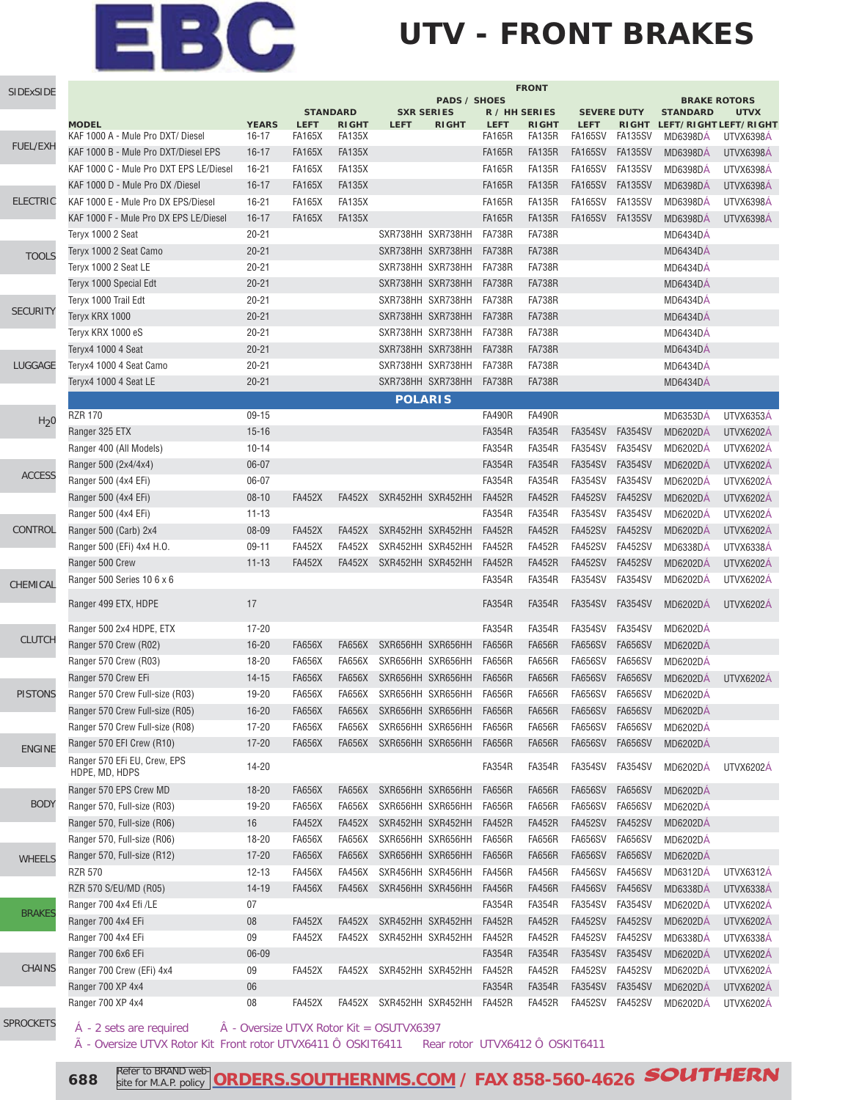### **UTV - FRONT BRAKES**

| SIDExSIDE        | <b>FRONT</b>                                   |              |                                                             |               |                                                   |              |               |               |                                                       |                |                 |                             |
|------------------|------------------------------------------------|--------------|-------------------------------------------------------------|---------------|---------------------------------------------------|--------------|---------------|---------------|-------------------------------------------------------|----------------|-----------------|-----------------------------|
|                  |                                                |              | <b>PADS / SHOES</b><br><b>STANDARD</b><br><b>SXR SERIES</b> |               | R / HH SERIES<br><b>SEVERE DUTY</b>               |              |               |               | <b>BRAKE ROTORS</b><br><b>STANDARD</b><br><b>UTVX</b> |                |                 |                             |
|                  | <b>MODEL</b>                                   | <b>YEARS</b> | <b>LEFT</b>                                                 | <b>RIGHT</b>  | <b>LEFT</b>                                       | <b>RIGHT</b> | <b>LEFT</b>   | <b>RIGHT</b>  | <b>LEFT</b>                                           |                |                 | RIGHT LEFT/RIGHT LEFT/RIGHT |
|                  | KAF 1000 A - Mule Pro DXT/ Diesel              | 16-17        | <b>FA165X</b>                                               | <b>FA135X</b> |                                                   |              | <b>FA165R</b> | <b>FA135R</b> | FA165SV                                               | FA135SV        | MD6398DA        | UTVX6398A                   |
| <b>FUEL/EXH</b>  | KAF 1000 B - Mule Pro DXT/Diesel EPS           | $16 - 17$    | <b>FA165X</b>                                               | <b>FA135X</b> |                                                   |              | <b>FA165R</b> | <b>FA135R</b> | FA165SV                                               | FA135SV        | MD6398DA        | UTVX6398A                   |
|                  | KAF 1000 C - Mule Pro DXT EPS LE/Diesel        | $16 - 21$    | <b>FA165X</b>                                               | <b>FA135X</b> |                                                   |              | <b>FA165R</b> | <b>FA135R</b> | <b>FA165SV</b>                                        | <b>FA135SV</b> | <b>MD6398DA</b> | UTVX6398A                   |
|                  | KAF 1000 D - Mule Pro DX /Diesel               | $16 - 17$    | <b>FA165X</b>                                               | <b>FA135X</b> |                                                   |              | <b>FA165R</b> | <b>FA135R</b> | <b>FA165SV</b>                                        | <b>FA135SV</b> | <b>MD6398DÁ</b> | UTVX6398Á                   |
| <b>ELECTRIC</b>  | KAF 1000 E - Mule Pro DX EPS/Diesel            | $16 - 21$    | <b>FA165X</b>                                               | <b>FA135X</b> |                                                   |              | <b>FA165R</b> | <b>FA135R</b> | <b>FA165SV</b>                                        | <b>FA135SV</b> | <b>MD6398DÁ</b> | UTVX6398Á                   |
|                  | KAF 1000 F - Mule Pro DX EPS LE/Diesel         | $16 - 17$    | <b>FA165X</b>                                               | <b>FA135X</b> |                                                   |              | <b>FA165R</b> | <b>FA135R</b> | <b>FA165SV</b>                                        | <b>FA135SV</b> | <b>MD6398DÁ</b> | UTVX6398Á                   |
|                  | Teryx 1000 2 Seat                              | $20 - 21$    |                                                             |               | SXR738HH SXR738HH                                 |              | <b>FA738R</b> | <b>FA738R</b> |                                                       |                | <b>MD6434DÁ</b> |                             |
| <b>TOOLS</b>     | Teryx 1000 2 Seat Camo                         | $20 - 21$    |                                                             |               | SXR738HH SXR738HH                                 |              | <b>FA738R</b> | <b>FA738R</b> |                                                       |                | MD6434DA        |                             |
|                  | Teryx 1000 2 Seat LE                           | $20 - 21$    |                                                             |               | SXR738HH SXR738HH                                 |              | <b>FA738R</b> | <b>FA738R</b> |                                                       |                | MD6434DA        |                             |
|                  | Teryx 1000 Special Edt                         | $20 - 21$    |                                                             |               | SXR738HH SXR738HH                                 |              | <b>FA738R</b> | <b>FA738R</b> |                                                       |                | MD6434DA        |                             |
|                  | Teryx 1000 Trail Edt                           | $20 - 21$    |                                                             |               | SXR738HH SXR738HH                                 |              | <b>FA738R</b> | <b>FA738R</b> |                                                       |                | MD6434DA        |                             |
| <b>SECURITY</b>  | Teryx KRX 1000                                 | $20 - 21$    |                                                             |               | SXR738HH SXR738HH                                 |              | <b>FA738R</b> | <b>FA738R</b> |                                                       |                | MD6434DA        |                             |
|                  | Teryx KRX 1000 eS                              | $20 - 21$    |                                                             |               | SXR738HH SXR738HH                                 |              | <b>FA738R</b> | <b>FA738R</b> |                                                       |                | MD6434DA        |                             |
|                  | Teryx4 1000 4 Seat                             | $20 - 21$    |                                                             |               | SXR738HH SXR738HH                                 |              | <b>FA738R</b> | <b>FA738R</b> |                                                       |                | <b>MD6434DÁ</b> |                             |
| LUGGAGE          | Teryx4 1000 4 Seat Camo                        | $20 - 21$    |                                                             |               | SXR738HH SXR738HH                                 |              | <b>FA738R</b> | <b>FA738R</b> |                                                       |                | MD6434DA        |                             |
|                  | Teryx4 1000 4 Seat LE                          | $20 - 21$    |                                                             |               | SXR738HH SXR738HH                                 |              | <b>FA738R</b> | <b>FA738R</b> |                                                       |                | MD6434DA        |                             |
|                  |                                                |              |                                                             |               | <b>POLARIS</b>                                    |              |               |               |                                                       |                |                 |                             |
| H <sub>2</sub> 0 | <b>RZR 170</b>                                 | $09-15$      |                                                             |               |                                                   |              | <b>FA490R</b> | <b>FA490R</b> |                                                       |                | <b>MD6353DA</b> | UTVX6353A                   |
|                  | Ranger 325 ETX                                 | $15 - 16$    |                                                             |               |                                                   |              | <b>FA354R</b> | <b>FA354R</b> | <b>FA354SV</b>                                        | <b>FA354SV</b> | <b>MD6202DA</b> | <b>UTVX6202A</b>            |
|                  | Ranger 400 (All Models)                        | $10 - 14$    |                                                             |               |                                                   |              | <b>FA354R</b> | <b>FA354R</b> | FA354SV                                               | FA354SV        | <b>MD6202DÁ</b> | <b>UTVX6202Á</b>            |
| <b>ACCESS</b>    | Ranger 500 (2x4/4x4)                           | $06 - 07$    |                                                             |               |                                                   |              | <b>FA354R</b> | <b>FA354R</b> | <b>FA354SV</b>                                        | <b>FA354SV</b> | <b>MD6202DÁ</b> | <b>UTVX6202A</b>            |
|                  | Ranger 500 (4x4 EFi)                           | 06-07        |                                                             |               |                                                   |              | <b>FA354R</b> | <b>FA354R</b> | <b>FA354SV</b>                                        | <b>FA354SV</b> | <b>MD6202DA</b> | <b>UTVX6202A</b>            |
|                  | Ranger 500 (4x4 EFi)                           | $08-10$      | <b>FA452X</b>                                               |               | FA452X SXR452HH SXR452HH                          |              | <b>FA452R</b> | <b>FA452R</b> | <b>FA452SV</b>                                        | <b>FA452SV</b> | <b>MD6202DÁ</b> | <b>UTVX6202Á</b>            |
|                  | Ranger 500 (4x4 EFi)                           | $11 - 13$    |                                                             |               |                                                   |              | <b>FA354R</b> | <b>FA354R</b> | <b>FA354SV</b>                                        | <b>FA354SV</b> | <b>MD6202DÁ</b> | UTVX6202Á                   |
| CONTROL          | Ranger 500 (Carb) 2x4                          | 08-09        | <b>FA452X</b>                                               | <b>FA452X</b> | SXR452HH SXR452HH                                 |              | <b>FA452R</b> | <b>FA452R</b> | <b>FA452SV</b>                                        | <b>FA452SV</b> | <b>MD6202DÁ</b> | <b>UTVX6202Á</b>            |
|                  | Ranger 500 (EFi) 4x4 H.O.                      | $09 - 11$    | <b>FA452X</b>                                               | <b>FA452X</b> | SXR452HH SXR452HH                                 |              | <b>FA452R</b> | <b>FA452R</b> | <b>FA452SV</b>                                        | <b>FA452SV</b> | MD6338DA        | UTVX6338A                   |
|                  | Ranger 500 Crew                                | $11 - 13$    | <b>FA452X</b>                                               |               | FA452X SXR452HH SXR452HH                          |              | <b>FA452R</b> | <b>FA452R</b> | <b>FA452SV</b>                                        | <b>FA452SV</b> | <b>MD6202DÁ</b> | <b>UTVX6202Á</b>            |
| CHEMICAL         | Ranger 500 Series 10 6 x 6                     |              |                                                             |               |                                                   |              | <b>FA354R</b> | <b>FA354R</b> | <b>FA354SV</b>                                        | FA354SV        | <b>MD6202DA</b> | UTVX6202Á                   |
|                  | Ranger 499 ETX, HDPE                           | 17           |                                                             |               |                                                   |              | <b>FA354R</b> | <b>FA354R</b> | <b>FA354SV</b>                                        | <b>FA354SV</b> | <b>MD6202DA</b> | <b>UTVX6202A</b>            |
|                  | Ranger 500 2x4 HDPE, ETX                       | $17 - 20$    |                                                             |               |                                                   |              | <b>FA354R</b> | <b>FA354R</b> | FA354SV                                               | FA354SV        | <b>MD6202DA</b> |                             |
| <b>CLUTCH</b>    | Ranger 570 Crew (R02)                          | $16 - 20$    | <b>FA656X</b>                                               | FA656X        | SXR656HH SXR656HH                                 |              | <b>FA656R</b> | <b>FA656R</b> | <b>FA656SV</b>                                        | <b>FA656SV</b> | <b>MD6202DÁ</b> |                             |
|                  | Ranger 570 Crew (R03)                          | 18-20        | <b>FA656X</b>                                               | FA656X        | SXR656HH SXR656HH                                 |              | <b>FA656R</b> | <b>FA656R</b> | <b>FA656SV</b>                                        | <b>FA656SV</b> | <b>MD6202DA</b> |                             |
|                  | Ranger 570 Crew EFi                            | $14 - 15$    | <b>FA656X</b>                                               | <b>FA656X</b> | SXR656HH SXR656HH                                 |              | <b>FA656R</b> | <b>FA656R</b> | <b>FA656SV</b>                                        | <b>FA656SV</b> | MD6202DÁ        | <b>UTVX6202Á</b>            |
| <b>PISTONS</b>   | Ranger 570 Crew Full-size (R03)                | 19-20        | <b>FA656X</b>                                               | FA656X        | SXR656HH SXR656HH                                 |              | <b>FA656R</b> | <b>FA656R</b> | <b>FA656SV</b>                                        | <b>FA656SV</b> | <b>MD6202DÁ</b> |                             |
|                  | Ranger 570 Crew Full-size (R05)                | $16 - 20$    | <b>FA656X</b>                                               | <b>FA656X</b> | SXR656HH SXR656HH                                 |              | <b>FA656R</b> | FA656R        | <b>FA656SV</b>                                        | <b>FA656SV</b> | MD6202DÁ        |                             |
|                  | Ranger 570 Crew Full-size (R08)                | 17-20        | FA656X                                                      | FA656X        | SXR656HH SXR656HH                                 |              | FA656R        | FA656R        | FA656SV                                               | <b>FA656SV</b> | <b>MD6202DA</b> |                             |
| <b>ENGINE</b>    | Ranger 570 EFI Crew (R10)                      | $17 - 20$    | FA656X                                                      | FA656X        | SXR656HH SXR656HH                                 |              | <b>FA656R</b> | <b>FA656R</b> | <b>FA656SV</b>                                        | <b>FA656SV</b> | MD6202DÁ        |                             |
|                  | Ranger 570 EFi EU, Crew, EPS<br>HDPE, MD, HDPS | 14-20        |                                                             |               |                                                   |              | <b>FA354R</b> | <b>FA354R</b> | <b>FA354SV</b>                                        | <b>FA354SV</b> | <b>MD6202DA</b> | <b>UTVX6202Á</b>            |
|                  | Ranger 570 EPS Crew MD                         | $18 - 20$    | <b>FA656X</b>                                               | FA656X        | SXR656HH SXR656HH                                 |              | <b>FA656R</b> | <b>FA656R</b> | <b>FA656SV</b>                                        | <b>FA656SV</b> | <b>MD6202DA</b> |                             |
| <b>BODY</b>      | Ranger 570, Full-size (R03)                    | 19-20        | <b>FA656X</b>                                               | <b>FA656X</b> | SXR656HH SXR656HH                                 |              | <b>FA656R</b> | <b>FA656R</b> | <b>FA656SV</b>                                        | <b>FA656SV</b> | MD6202DÁ        |                             |
|                  | Ranger 570, Full-size (R06)                    | 16           | <b>FA452X</b>                                               | <b>FA452X</b> | SXR452HH SXR452HH                                 |              | <b>FA452R</b> | <b>FA452R</b> | <b>FA452SV</b>                                        | <b>FA452SV</b> | <b>MD6202DÁ</b> |                             |
|                  | Ranger 570, Full-size (R06)                    | 18-20        | <b>FA656X</b>                                               | FA656X        | SXR656HH SXR656HH                                 |              | <b>FA656R</b> | <b>FA656R</b> | <b>FA656SV</b>                                        | <b>FA656SV</b> | <b>MD6202DA</b> |                             |
| <b>WHEELS</b>    | Ranger 570, Full-size (R12)                    | $17 - 20$    | <b>FA656X</b>                                               | <b>FA656X</b> | SXR656HH SXR656HH                                 |              | <b>FA656R</b> | <b>FA656R</b> | <b>FA656SV</b>                                        | <b>FA656SV</b> | <b>MD6202DA</b> |                             |
|                  | <b>RZR 570</b>                                 | $12 - 13$    | <b>FA456X</b>                                               | <b>FA456X</b> | SXR456HH SXR456HH                                 |              | <b>FA456R</b> | <b>FA456R</b> | <b>FA456SV</b>                                        | <b>FA456SV</b> | <b>MD6312DA</b> | UTVX6312A                   |
|                  | RZR 570 S/EU/MD (R05)                          | 14-19        | <b>FA456X</b>                                               | FA456X        | SXR456HH SXR456HH                                 |              | <b>FA456R</b> | <b>FA456R</b> | <b>FA456SV</b>                                        | <b>FA456SV</b> | <b>MD6338DA</b> | UTVX6338A                   |
| <b>BRAKES</b>    | Ranger 700 4x4 Efi /LE                         | 07           |                                                             |               |                                                   |              | <b>FA354R</b> | <b>FA354R</b> | <b>FA354SV</b>                                        | <b>FA354SV</b> | <b>MD6202DA</b> | <b>UTVX6202A</b>            |
|                  | Ranger 700 4x4 EFi                             | 08           | <b>FA452X</b>                                               | FA452X        | SXR452HH SXR452HH                                 |              | <b>FA452R</b> | <b>FA452R</b> | <b>FA452SV</b>                                        | <b>FA452SV</b> | <b>MD6202DA</b> | <b>UTVX6202A</b>            |
|                  | Ranger 700 4x4 EFi                             | 09           | <b>FA452X</b>                                               |               | FA452X SXR452HH SXR452HH                          |              | <b>FA452R</b> | <b>FA452R</b> | <b>FA452SV</b>                                        | <b>FA452SV</b> | MD6338DÁ        | UTVX6338A                   |
| <b>CHAINS</b>    | Ranger 700 6x6 EFi                             | 06-09        |                                                             |               |                                                   |              | <b>FA354R</b> | <b>FA354R</b> | <b>FA354SV</b>                                        | <b>FA354SV</b> | MD6202DÁ        | <b>UTVX6202A</b>            |
|                  | Ranger 700 Crew (EFi) 4x4                      | 09           | <b>FA452X</b>                                               |               | FA452X SXR452HH SXR452HH                          |              | <b>FA452R</b> | <b>FA452R</b> | <b>FA452SV</b>                                        | <b>FA452SV</b> | <b>MD6202DA</b> | <b>UTVX6202A</b>            |
|                  | Ranger 700 XP 4x4                              | 06           |                                                             |               |                                                   |              | <b>FA354R</b> | <b>FA354R</b> | <b>FA354SV</b>                                        | <b>FA354SV</b> | <b>MD6202DA</b> | <b>UTVX6202A</b>            |
|                  | Ranger 700 XP 4x4                              | 08           | <b>FA452X</b>                                               |               | FA452X SXR452HH SXR452HH                          |              | <b>FA452R</b> | <b>FA452R</b> | <b>FA452SV</b>                                        | <b>FA452SV</b> | <b>MD6202DA</b> | UTVX6202A                   |
| <b>SPROCKETS</b> | A - 2 sets are required                        |              |                                                             |               | $\ddot{A}$ - Oversize UTVX Rotor Kit = OSUTVX6397 |              |               |               |                                                       |                |                 |                             |

à - Oversize UTVX Rotor Kit Front rotor UTVX6411 Ô OSKIT6411 Rear rotor UTVX6412 Ô OSKIT6411

**688** Refer to BRAND web **[ORDERS.SOUTHERNMS.COM / FAX 858-560-4626](http://orders.southernms.com) SOUTHERN**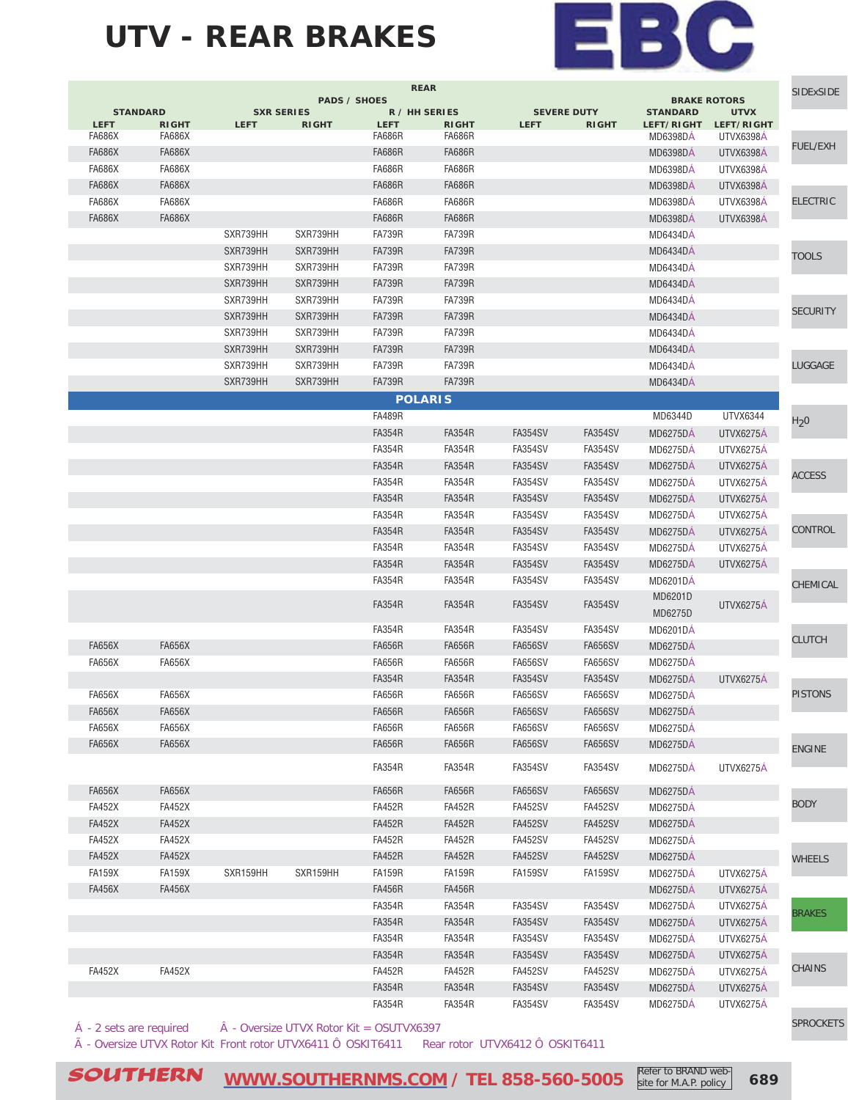

## **UTV - REAR BRAKES**

|                 |               |                   |                     |               |                |                    |                |                                        |                           | <b>SIDExSIDE</b> |
|-----------------|---------------|-------------------|---------------------|---------------|----------------|--------------------|----------------|----------------------------------------|---------------------------|------------------|
| <b>STANDARD</b> |               | <b>SXR SERIES</b> | <b>PADS / SHOES</b> |               | R / HH SERIES  | <b>SEVERE DUTY</b> |                | <b>BRAKE ROTORS</b><br><b>STANDARD</b> |                           |                  |
| <b>LEFT</b>     | <b>RIGHT</b>  | <b>LEFT</b>       | <b>RIGHT</b>        | <b>LEFT</b>   | <b>RIGHT</b>   | <b>LEFT</b>        | <b>RIGHT</b>   | LEFT/RIGHT                             | <b>UTVX</b><br>LEFT/RIGHT |                  |
| <b>FA686X</b>   | FA686X        |                   |                     | FA686R        | FA686R         |                    |                | <b>MD6398DA</b>                        | UTVX6398A                 |                  |
| <b>FA686X</b>   | <b>FA686X</b> |                   |                     | <b>FA686R</b> | <b>FA686R</b>  |                    |                | <b>MD6398DÁ</b>                        | UTVX6398A                 | <b>FUEL/EXH</b>  |
| <b>FA686X</b>   | <b>FA686X</b> |                   |                     | <b>FA686R</b> | <b>FA686R</b>  |                    |                | <b>MD6398DÁ</b>                        | UTVX6398A                 |                  |
| <b>FA686X</b>   | <b>FA686X</b> |                   |                     | <b>FA686R</b> | <b>FA686R</b>  |                    |                | <b>MD6398DÁ</b>                        | UTVX6398A                 |                  |
| <b>FA686X</b>   | FA686X        |                   |                     | <b>FA686R</b> | FA686R         |                    |                | MD6398DA                               | UTVX6398A                 | <b>ELECTRIC</b>  |
| <b>FA686X</b>   | <b>FA686X</b> |                   |                     | <b>FA686R</b> | FA686R         |                    |                | <b>MD6398DA</b>                        | UTVX6398A                 |                  |
|                 |               | SXR739HH          | SXR739HH            | <b>FA739R</b> | <b>FA739R</b>  |                    |                | MD6434DÁ                               |                           |                  |
|                 |               | SXR739HH          | SXR739HH            | <b>FA739R</b> | <b>FA739R</b>  |                    |                | <b>MD6434DA</b>                        |                           | TOOLS            |
|                 |               | SXR739HH          | SXR739HH            | <b>FA739R</b> | <b>FA739R</b>  |                    |                | MD6434DA                               |                           |                  |
|                 |               | SXR739HH          | SXR739HH            | <b>FA739R</b> | <b>FA739R</b>  |                    |                | <b>MD6434DA</b>                        |                           |                  |
|                 |               | SXR739HH          | SXR739HH            | <b>FA739R</b> | <b>FA739R</b>  |                    |                | <b>MD6434DÁ</b>                        |                           |                  |
|                 |               | SXR739HH          | SXR739HH            | <b>FA739R</b> | <b>FA739R</b>  |                    |                | <b>MD6434DÁ</b>                        |                           | <b>SECURITY</b>  |
|                 |               | SXR739HH          | SXR739HH            | <b>FA739R</b> | <b>FA739R</b>  |                    |                | <b>MD6434DÁ</b>                        |                           |                  |
|                 |               | SXR739HH          | SXR739HH            | <b>FA739R</b> | <b>FA739R</b>  |                    |                | <b>MD6434DA</b>                        |                           |                  |
|                 |               | SXR739HH          | SXR739HH            | <b>FA739R</b> | <b>FA739R</b>  |                    |                | <b>MD6434DA</b>                        |                           | <b>LUGGAGE</b>   |
|                 |               | SXR739HH          | SXR739HH            | <b>FA739R</b> | <b>FA739R</b>  |                    |                | MD6434DÁ                               |                           |                  |
|                 |               |                   |                     |               |                |                    |                |                                        |                           |                  |
|                 |               |                   |                     |               | <b>POLARIS</b> |                    |                |                                        |                           |                  |
|                 |               |                   |                     | <b>FA489R</b> |                |                    |                | MD6344D                                | UTVX6344                  | H <sub>2</sub> 0 |
|                 |               |                   |                     | <b>FA354R</b> | <b>FA354R</b>  | <b>FA354SV</b>     | <b>FA354SV</b> | <b>MD6275DA</b>                        | UTVX6275A                 |                  |
|                 |               |                   |                     | <b>FA354R</b> | <b>FA354R</b>  | <b>FA354SV</b>     | <b>FA354SV</b> | <b>MD6275DÁ</b>                        | UTVX6275A                 |                  |
|                 |               |                   |                     | <b>FA354R</b> | <b>FA354R</b>  | <b>FA354SV</b>     | <b>FA354SV</b> | <b>MD6275DA</b>                        | UTVX6275A                 | <b>ACCESS</b>    |
|                 |               |                   |                     | <b>FA354R</b> | <b>FA354R</b>  | <b>FA354SV</b>     | <b>FA354SV</b> | <b>MD6275DA</b>                        | <b>UTVX6275A</b>          |                  |
|                 |               |                   |                     | <b>FA354R</b> | <b>FA354R</b>  | <b>FA354SV</b>     | <b>FA354SV</b> | <b>MD6275DA</b>                        | UTVX6275A                 |                  |
|                 |               |                   |                     | <b>FA354R</b> | <b>FA354R</b>  | <b>FA354SV</b>     | <b>FA354SV</b> | <b>MD6275DA</b>                        | UTVX6275A                 |                  |
|                 |               |                   |                     | <b>FA354R</b> | <b>FA354R</b>  | <b>FA354SV</b>     | <b>FA354SV</b> | <b>MD6275DA</b>                        | UTVX6275A                 | CONTROL          |
|                 |               |                   |                     | <b>FA354R</b> | <b>FA354R</b>  | FA354SV            | FA354SV        | <b>MD6275DA</b>                        | <b>UTVX6275A</b>          |                  |
|                 |               |                   |                     | <b>FA354R</b> | <b>FA354R</b>  | FA354SV            | <b>FA354SV</b> | <b>MD6275DA</b>                        | <b>UTVX6275A</b>          |                  |
|                 |               |                   |                     | <b>FA354R</b> | <b>FA354R</b>  | <b>FA354SV</b>     | <b>FA354SV</b> | <b>MD6201DA</b>                        |                           | CHEMICAL         |
|                 |               |                   |                     |               |                |                    |                | MD6201D                                |                           |                  |
|                 |               |                   |                     | <b>FA354R</b> | <b>FA354R</b>  | FA354SV            | <b>FA354SV</b> | MD6275D                                | <b>UTVX6275A</b>          |                  |
|                 |               |                   |                     | <b>FA354R</b> | <b>FA354R</b>  | <b>FA354SV</b>     | <b>FA354SV</b> | <b>MD6201DA</b>                        |                           |                  |
| <b>FA656X</b>   | <b>FA656X</b> |                   |                     | <b>FA656R</b> | <b>FA656R</b>  | <b>FA656SV</b>     | <b>FA656SV</b> | <b>MD6275DA</b>                        |                           | <b>CLUTCH</b>    |
| <b>FA656X</b>   | <b>FA656X</b> |                   |                     | <b>FA656R</b> | <b>FA656R</b>  | <b>FA656SV</b>     | <b>FA656SV</b> | <b>MD6275DA</b>                        |                           |                  |
|                 |               |                   |                     | <b>FA354R</b> | <b>FA354R</b>  | <b>FA354SV</b>     | <b>FA354SV</b> | <b>MD6275DA</b>                        | UTVX6275A                 |                  |
| <b>FA656X</b>   | <b>FA656X</b> |                   |                     | <b>FA656R</b> | <b>FA656R</b>  | <b>FA656SV</b>     | <b>FA656SV</b> | <b>MD6275DA</b>                        |                           | <b>PISTONS</b>   |
| <b>FA656X</b>   | <b>FA656X</b> |                   |                     | <b>FA656R</b> | <b>FA656R</b>  | <b>FA656SV</b>     | <b>FA656SV</b> | <b>MD6275DA</b>                        |                           |                  |
| <b>FA656X</b>   | <b>FA656X</b> |                   |                     | <b>FA656R</b> | <b>FA656R</b>  | FA656SV            | <b>FA656SV</b> |                                        |                           |                  |
|                 |               |                   |                     |               |                |                    |                | <b>MD6275DA</b>                        |                           |                  |
| <b>FA656X</b>   | <b>FA656X</b> |                   |                     | <b>FA656R</b> | <b>FA656R</b>  | <b>FA656SV</b>     | <b>FA656SV</b> | <b>MD6275DÁ</b>                        |                           | <b>ENGINE</b>    |
|                 |               |                   |                     | <b>FA354R</b> | <b>FA354R</b>  | <b>FA354SV</b>     | <b>FA354SV</b> | <b>MD6275DA</b>                        | UTVX6275A                 |                  |
| <b>FA656X</b>   | <b>FA656X</b> |                   |                     | <b>FA656R</b> | <b>FA656R</b>  | FA656SV            | <b>FA656SV</b> | <b>MD6275DA</b>                        |                           |                  |
| <b>FA452X</b>   | <b>FA452X</b> |                   |                     | <b>FA452R</b> | <b>FA452R</b>  | <b>FA452SV</b>     | <b>FA452SV</b> |                                        |                           | <b>BODY</b>      |
|                 |               |                   |                     |               |                |                    |                | <b>MD6275DA</b>                        |                           |                  |
| <b>FA452X</b>   | <b>FA452X</b> |                   |                     | <b>FA452R</b> | <b>FA452R</b>  | <b>FA452SV</b>     | <b>FA452SV</b> | <b>MD6275DA</b>                        |                           |                  |
| <b>FA452X</b>   | <b>FA452X</b> |                   |                     | <b>FA452R</b> | <b>FA452R</b>  | <b>FA452SV</b>     | <b>FA452SV</b> | <b>MD6275DA</b>                        |                           |                  |
| <b>FA452X</b>   | <b>FA452X</b> |                   |                     | <b>FA452R</b> | <b>FA452R</b>  | <b>FA452SV</b>     | <b>FA452SV</b> | <b>MD6275DÁ</b>                        |                           | <b>WHEELS</b>    |
| <b>FA159X</b>   | <b>FA159X</b> | SXR159HH          | SXR159HH            | <b>FA159R</b> | <b>FA159R</b>  | <b>FA159SV</b>     | <b>FA159SV</b> | <b>MD6275DA</b>                        | UTVX6275Á                 |                  |
| <b>FA456X</b>   | <b>FA456X</b> |                   |                     | <b>FA456R</b> | <b>FA456R</b>  |                    |                | <b>MD6275DÁ</b>                        | UTVX6275A                 |                  |
|                 |               |                   |                     | <b>FA354R</b> | <b>FA354R</b>  | FA354SV            | <b>FA354SV</b> | <b>MD6275DA</b>                        | UTVX6275A                 | <b>BRAKES</b>    |
|                 |               |                   |                     | <b>FA354R</b> | <b>FA354R</b>  | <b>FA354SV</b>     | <b>FA354SV</b> | <b>MD6275DA</b>                        | UTVX6275A                 |                  |
|                 |               |                   |                     | <b>FA354R</b> | <b>FA354R</b>  | <b>FA354SV</b>     | <b>FA354SV</b> | MD6275DÁ                               | UTVX6275Á                 |                  |
|                 |               |                   |                     | <b>FA354R</b> | <b>FA354R</b>  | <b>FA354SV</b>     | <b>FA354SV</b> | <b>MD6275DA</b>                        | <b>UTVX6275A</b>          |                  |
| <b>FA452X</b>   | <b>FA452X</b> |                   |                     | <b>FA452R</b> | <b>FA452R</b>  | <b>FA452SV</b>     | <b>FA452SV</b> | <b>MD6275DA</b>                        | UTVX6275A                 | CHAINS           |
|                 |               |                   |                     | <b>FA354R</b> | <b>FA354R</b>  | FA354SV            | <b>FA354SV</b> | <b>MD6275DA</b>                        | UTVX6275Á                 |                  |
|                 |               |                   |                     | <b>FA354R</b> | <b>FA354R</b>  | <b>FA354SV</b>     | <b>FA354SV</b> |                                        |                           |                  |

 $\hat{A}$  - 2 sets are required  $\hat{A}$  - Oversize UTVX Rotor Kit = OSUTVX6397

 $\tilde{A}$  - Oversize UTVX Rotor Kit Front rotor UTVX6411 Ô OSKIT6411 Rear rotor UTVX6412 Ô OSKIT6411

[SPROCKETS](http://www.southernms.com/wp-content/uploads/2015/08/18_sprockets.pdf)

**SOUTHERN** [WWW.SOUTHERNMS.COM / TEL 858-560-5005](http://m.southernms.com) Refer to BRAND Web-1 689

Refer to BRAND website for M.A.P. policy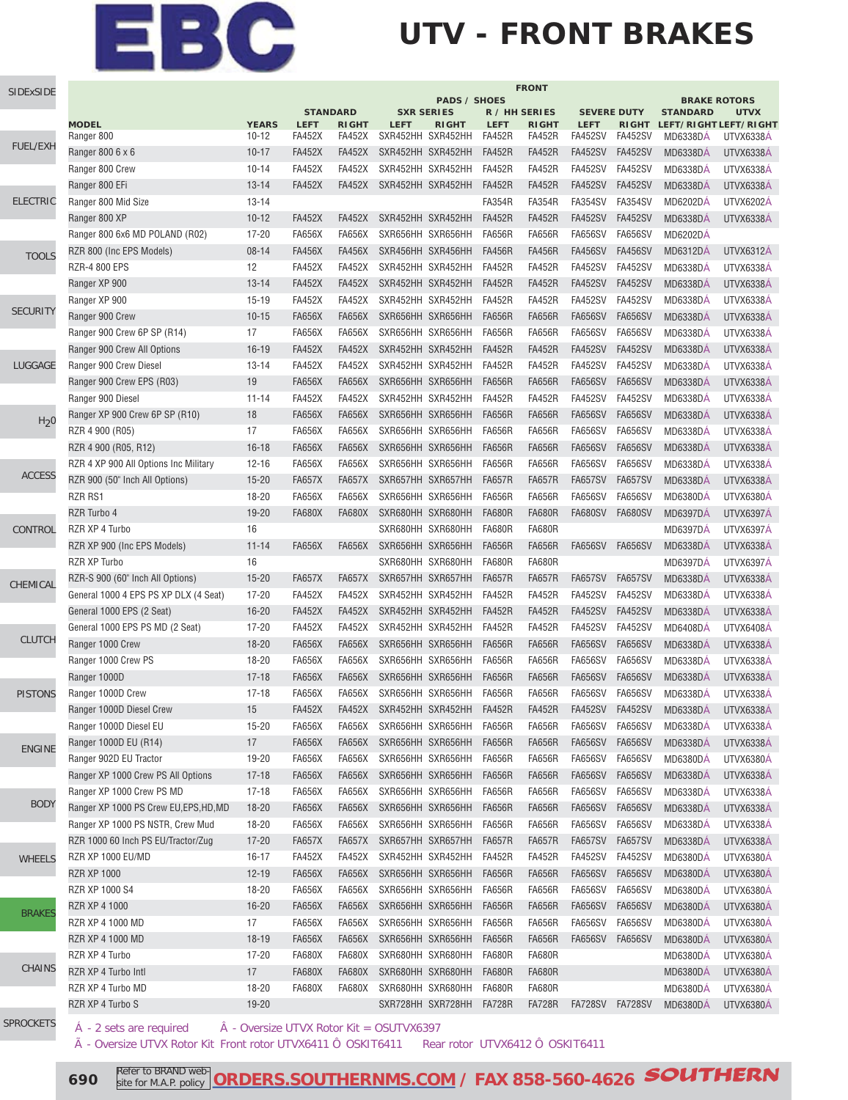# EBC

## **UTV - FRONT BRAKES**

| SIDExSIDE        | <b>FRONT</b>                           |                          |                 |               |                                          |               |               |                    |                |                 |                                    |
|------------------|----------------------------------------|--------------------------|-----------------|---------------|------------------------------------------|---------------|---------------|--------------------|----------------|-----------------|------------------------------------|
|                  |                                        |                          | <b>STANDARD</b> |               | <b>PADS / SHOES</b><br><b>SXR SERIES</b> | R / HH SERIES |               | <b>SEVERE DUTY</b> |                | <b>STANDARD</b> | <b>BRAKE ROTORS</b><br><b>UTVX</b> |
|                  | <b>MODEL</b>                           | <b>YEARS</b>             | <b>LEFT</b>     | <b>RIGHT</b>  | <b>LEFT</b><br><b>RIGHT</b>              | <b>LEFT</b>   | <b>RIGHT</b>  | <b>LEFT</b>        |                |                 | RIGHT LEFT/RIGHT LEFT/RIGHT        |
|                  | Ranger 800                             | $10 - 12$                | <b>FA452X</b>   | <b>FA452X</b> | SXR452HH SXR452HH                        | <b>FA452R</b> | <b>FA452R</b> | <b>FA452SV</b>     | FA452SV        | <b>MD6338DA</b> | <b>UTVX6338A</b>                   |
| FUEL/EXH         | Ranger 800 6 x 6                       | $10 - 17$                | <b>FA452X</b>   | <b>FA452X</b> | SXR452HH SXR452HH                        | <b>FA452R</b> | <b>FA452R</b> | <b>FA452SV</b>     | <b>FA452SV</b> | <b>MD6338DÁ</b> | UTVX6338Á                          |
|                  | Ranger 800 Crew                        | $10 - 14$                | <b>FA452X</b>   | <b>FA452X</b> | SXR452HH SXR452HH                        | <b>FA452R</b> | <b>FA452R</b> | <b>FA452SV</b>     | <b>FA452SV</b> | <b>MD6338DÁ</b> | UTVX6338Á                          |
|                  | Ranger 800 EFi                         | $13 - 14$                | <b>FA452X</b>   | <b>FA452X</b> | SXR452HH SXR452HH                        | <b>FA452R</b> | <b>FA452R</b> | <b>FA452SV</b>     | <b>FA452SV</b> | <b>MD6338DÁ</b> | UTVX6338Á                          |
| <b>ELECTRIC</b>  | Ranger 800 Mid Size                    | 13-14                    |                 |               |                                          | <b>FA354R</b> | <b>FA354R</b> | <b>FA354SV</b>     | FA354SV        | <b>MD6202DÁ</b> | <b>UTVX6202Á</b>                   |
|                  | Ranger 800 XP                          | $10-12$                  | <b>FA452X</b>   | <b>FA452X</b> | SXR452HH SXR452HH                        | <b>FA452R</b> | <b>FA452R</b> | <b>FA452SV</b>     | <b>FA452SV</b> | MD6338DÁ        | <b>UTVX6338A</b>                   |
|                  | Ranger 800 6x6 MD POLAND (R02)         | $17 - 20$                | <b>FA656X</b>   | <b>FA656X</b> | SXR656HH SXR656HH                        | <b>FA656R</b> | <b>FA656R</b> | <b>FA656SV</b>     | <b>FA656SV</b> | <b>MD6202DÁ</b> |                                    |
| <b>TOOLS</b>     | RZR 800 (Inc EPS Models)               | $08 - 14$                | <b>FA456X</b>   | <b>FA456X</b> | SXR456HH SXR456HH                        | <b>FA456R</b> | <b>FA456R</b> | <b>FA456SV</b>     | <b>FA456SV</b> | MD6312DA        | <b>UTVX6312Á</b>                   |
|                  | RZR-4 800 EPS                          | 12                       | <b>FA452X</b>   | <b>FA452X</b> | SXR452HH SXR452HH                        | <b>FA452R</b> | <b>FA452R</b> | <b>FA452SV</b>     | <b>FA452SV</b> | <b>MD6338DA</b> | <b>UTVX6338A</b>                   |
|                  | Ranger XP 900                          | $13 - 14$                | <b>FA452X</b>   | <b>FA452X</b> | SXR452HH SXR452HH                        | <b>FA452R</b> | <b>FA452R</b> | <b>FA452SV</b>     | <b>FA452SV</b> | MD6338DÁ        | UTVX6338A                          |
|                  | Ranger XP 900                          | $15-19$                  | <b>FA452X</b>   | <b>FA452X</b> | SXR452HH SXR452HH                        | <b>FA452R</b> | <b>FA452R</b> | <b>FA452SV</b>     | <b>FA452SV</b> | MD6338DA        | UTVX6338A                          |
| <b>SECURITY</b>  | Ranger 900 Crew                        | $10 - 15$                | <b>FA656X</b>   | <b>FA656X</b> | SXR656HH SXR656HH                        | <b>FA656R</b> | <b>FA656R</b> | <b>FA656SV</b>     | <b>FA656SV</b> | <b>MD6338DA</b> | UTVX6338A                          |
|                  | Ranger 900 Crew 6P SP (R14)            | 17                       | <b>FA656X</b>   | <b>FA656X</b> | SXR656HH SXR656HH                        | <b>FA656R</b> | <b>FA656R</b> | <b>FA656SV</b>     | <b>FA656SV</b> | MD6338DA        | <b>UTVX6338A</b>                   |
|                  | Ranger 900 Crew All Options            | $16 - 19$                | <b>FA452X</b>   | <b>FA452X</b> | SXR452HH SXR452HH                        | <b>FA452R</b> | <b>FA452R</b> | <b>FA452SV</b>     | <b>FA452SV</b> | <b>MD6338DA</b> | <b>UTVX6338A</b>                   |
| LUGGAGE          | Ranger 900 Crew Diesel                 | 13-14                    | <b>FA452X</b>   | <b>FA452X</b> | SXR452HH SXR452HH                        | <b>FA452R</b> | <b>FA452R</b> | <b>FA452SV</b>     | <b>FA452SV</b> | <b>MD6338DA</b> | UTVX6338A                          |
|                  | Ranger 900 Crew EPS (R03)              | 19                       | <b>FA656X</b>   | <b>FA656X</b> | SXR656HH SXR656HH                        | <b>FA656R</b> | <b>FA656R</b> | <b>FA656SV</b>     | <b>FA656SV</b> | <b>MD6338DÁ</b> | <b>UTVX6338A</b>                   |
|                  | Ranger 900 Diesel                      | $11 - 14$                | <b>FA452X</b>   | <b>FA452X</b> | SXR452HH SXR452HH                        | <b>FA452R</b> | <b>FA452R</b> | <b>FA452SV</b>     | <b>FA452SV</b> | <b>MD6338DÁ</b> | UTVX6338Á                          |
|                  | Ranger XP 900 Crew 6P SP (R10)         | 18                       | <b>FA656X</b>   | FA656X        | SXR656HH SXR656HH                        | <b>FA656R</b> | <b>FA656R</b> | <b>FA656SV</b>     | <b>FA656SV</b> | <b>MD6338DA</b> | <b>UTVX6338A</b>                   |
| H <sub>2</sub> 0 | RZR 4 900 (R05)                        | 17                       | <b>FA656X</b>   | <b>FA656X</b> | SXR656HH SXR656HH                        | <b>FA656R</b> | <b>FA656R</b> | <b>FA656SV</b>     | <b>FA656SV</b> | MD6338DA        | <b>UTVX6338A</b>                   |
|                  | RZR 4 900 (R05, R12)                   | $16 - 18$                | <b>FA656X</b>   | <b>FA656X</b> | SXR656HH SXR656HH                        | <b>FA656R</b> | <b>FA656R</b> | <b>FA656SV</b>     | <b>FA656SV</b> | MD6338DA        | UTVX6338Á                          |
|                  | RZR 4 XP 900 All Options Inc Military  | $12 - 16$                | <b>FA656X</b>   | <b>FA656X</b> | SXR656HH SXR656HH                        | <b>FA656R</b> | <b>FA656R</b> | <b>FA656SV</b>     | <b>FA656SV</b> | <b>MD6338DÁ</b> | UTVX6338Á                          |
| <b>ACCESS</b>    | RZR 900 (50" Inch All Options)         | $15 - 20$                | <b>FA657X</b>   | <b>FA657X</b> | SXR657HH SXR657HH                        | <b>FA657R</b> | <b>FA657R</b> | <b>FA657SV</b>     | <b>FA657SV</b> | MD6338DA        | UTVX6338Á                          |
|                  | RZR RS1                                | 18-20                    | <b>FA656X</b>   | FA656X        | SXR656HH SXR656HH                        | <b>FA656R</b> | <b>FA656R</b> | <b>FA656SV</b>     | <b>FA656SV</b> | <b>MD6380DÁ</b> | UTVX6380Á                          |
|                  | RZR Turbo 4                            | 19-20                    | <b>FA680X</b>   | <b>FA680X</b> | SXR680HH SXR680HH                        | <b>FA680R</b> | <b>FA680R</b> | <b>FA680SV</b>     | <b>FA680SV</b> | <b>MD6397DÁ</b> | UTVX6397Á                          |
| CONTROL          | RZR XP 4 Turbo                         | 16                       |                 |               | SXR680HH SXR680HH                        | <b>FA680R</b> | <b>FA680R</b> |                    |                | MD6397DÁ        | <b>UTVX6397Á</b>                   |
|                  | RZR XP 900 (Inc EPS Models)            | $11 - 14$                | <b>FA656X</b>   | <b>FA656X</b> | SXR656HH SXR656HH                        | <b>FA656R</b> | <b>FA656R</b> | <b>FA656SV</b>     | <b>FA656SV</b> | MD6338DA        | <b>UTVX6338A</b>                   |
|                  | RZR XP Turbo                           | 16                       |                 |               | SXR680HH SXR680HH                        | <b>FA680R</b> | <b>FA680R</b> |                    |                | <b>MD6397DÁ</b> | UTVX6397Á                          |
|                  | RZR-S 900 (60" Inch All Options)       | $15 - 20$                | <b>FA657X</b>   | <b>FA657X</b> | SXR657HH SXR657HH                        | <b>FA657R</b> | <b>FA657R</b> | <b>FA657SV</b>     | <b>FA657SV</b> | MD6338DÁ        | UTVX6338A                          |
| CHEMICAL         | General 1000 4 EPS PS XP DLX (4 Seat)  | $17 - 20$                | <b>FA452X</b>   | <b>FA452X</b> | SXR452HH SXR452HH                        | <b>FA452R</b> | <b>FA452R</b> | <b>FA452SV</b>     | <b>FA452SV</b> | MD6338DA        | UTVX6338A                          |
|                  | General 1000 EPS (2 Seat)              | $16 - 20$                | <b>FA452X</b>   | <b>FA452X</b> | SXR452HH SXR452HH                        | <b>FA452R</b> | <b>FA452R</b> | <b>FA452SV</b>     | <b>FA452SV</b> | <b>MD6338DA</b> | <b>UTVX6338A</b>                   |
|                  | General 1000 EPS PS MD (2 Seat)        | $17 - 20$                | <b>FA452X</b>   | <b>FA452X</b> | SXR452HH SXR452HH                        | <b>FA452R</b> | <b>FA452R</b> | <b>FA452SV</b>     | <b>FA452SV</b> | MD6408DA        | UTVX6408A                          |
| <b>CLUTCH</b>    | Ranger 1000 Crew                       | $18 - 20$                | <b>FA656X</b>   | <b>FA656X</b> | SXR656HH SXR656HH                        | <b>FA656R</b> | <b>FA656R</b> | <b>FA656SV</b>     | <b>FA656SV</b> | <b>MD6338DA</b> | <b>UTVX6338A</b>                   |
|                  | Ranger 1000 Crew PS                    | 18-20                    | <b>FA656X</b>   | <b>FA656X</b> | SXR656HH SXR656HH                        | <b>FA656R</b> | <b>FA656R</b> | <b>FA656SV</b>     | <b>FA656SV</b> | <b>MD6338DA</b> | UTVX6338A                          |
|                  | Ranger 1000D                           | $17 - 18$                | <b>FA656X</b>   | <b>FA656X</b> | SXR656HH SXR656HH                        | <b>FA656R</b> | <b>FA656R</b> | <b>FA656SV</b>     | <b>FA656SV</b> | MD6338DA        | UTVX6338A                          |
| <b>PISTONS</b>   | Ranger 1000D Crew                      | $17 - 18$                | <b>FA656X</b>   | FA656X        | SXR656HH SXR656HH                        | <b>FA656R</b> | <b>FA656R</b> | <b>FA656SV</b>     | <b>FA656SV</b> | <b>MD6338DÁ</b> | <b>UTVX6338A</b>                   |
|                  | Ranger 1000D Diesel Crew               | 15                       | <b>FA452X</b>   | <b>FA452X</b> | SXR452HH SXR452HH                        | <b>FA452R</b> | <b>FA452R</b> | FA452SV FA452SV    |                | MD6338DÁ        | UTVX6338Á                          |
|                  | Ranger 1000D Diesel EU                 | $15 - 20$                | FA656X          | FA656X        | SXR656HH SXR656HH                        | <b>FA656R</b> | FA656R        | FA656SV            | FA656SV        | MD6338DA        | UTVX6338A                          |
|                  | Ranger 1000D EU (R14)                  | 17                       | <b>FA656X</b>   | <b>FA656X</b> | SXR656HH SXR656HH                        | <b>FA656R</b> | <b>FA656R</b> | FA656SV            | <b>FA656SV</b> | <b>MD6338DA</b> | UTVX6338Á                          |
| <b>ENGINE</b>    | Ranger 902D EU Tractor                 | 19-20                    | <b>FA656X</b>   | <b>FA656X</b> | SXR656HH SXR656HH                        | <b>FA656R</b> | <b>FA656R</b> | <b>FA656SV</b>     | <b>FA656SV</b> | MD6380DÁ        | UTVX6380A                          |
|                  | Ranger XP 1000 Crew PS All Options     | $17 - 18$                | <b>FA656X</b>   | FA656X        | SXR656HH SXR656HH                        | <b>FA656R</b> | <b>FA656R</b> | FA656SV            | FA656SV        | <b>MD6338DA</b> | UTVX6338A                          |
|                  | Ranger XP 1000 Crew PS MD              | $17-18$                  | <b>FA656X</b>   | FA656X        | SXR656HH SXR656HH                        | FA656R        | <b>FA656R</b> | <b>FA656SV</b>     | <b>FA656SV</b> | <b>MD6338DA</b> | UTVX6338A                          |
| <b>BODY</b>      | Ranger XP 1000 PS Crew EU, EPS, HD, MD | 18-20                    | <b>FA656X</b>   | FA656X        | SXR656HH SXR656HH                        | <b>FA656R</b> | <b>FA656R</b> | <b>FA656SV</b>     | <b>FA656SV</b> | <b>MD6338DA</b> | UTVX6338A                          |
|                  | Ranger XP 1000 PS NSTR, Crew Mud       | 18-20                    | <b>FA656X</b>   | <b>FA656X</b> | SXR656HH SXR656HH                        | <b>FA656R</b> | <b>FA656R</b> | <b>FA656SV</b>     | <b>FA656SV</b> | <b>MD6338DA</b> | UTVX6338A                          |
|                  | RZR 1000 60 Inch PS EU/Tractor/Zug     | $17 - 20$                | <b>FA657X</b>   | FA657X        | SXR657HH SXR657HH                        | <b>FA657R</b> | <b>FA657R</b> | <b>FA657SV</b>     | <b>FA657SV</b> | MD6338DA        | UTVX6338A                          |
| <b>WHEELS</b>    | RZR XP 1000 EU/MD                      | 16-17                    | <b>FA452X</b>   | FA452X        | SXR452HH SXR452HH                        | <b>FA452R</b> | <b>FA452R</b> | <b>FA452SV</b>     | FA452SV        | MD6380DA        | UTVX6380A                          |
|                  | <b>RZR XP 1000</b>                     | 12-19                    | FA656X          | FA656X        | SXR656HH SXR656HH                        | <b>FA656R</b> | <b>FA656R</b> | <b>FA656SV</b>     | <b>FA656SV</b> | <b>MD6380DA</b> | UTVX6380A                          |
|                  | RZR XP 1000 S4                         | 18-20                    | <b>FA656X</b>   | <b>FA656X</b> | SXR656HH SXR656HH                        | <b>FA656R</b> | <b>FA656R</b> | <b>FA656SV</b>     | <b>FA656SV</b> | MD6380DA        | UTVX6380A                          |
|                  | RZR XP 4 1000                          | $16 - 20$                | <b>FA656X</b>   | FA656X        | SXR656HH SXR656HH                        | <b>FA656R</b> | <b>FA656R</b> | <b>FA656SV</b>     | <b>FA656SV</b> | MD6380DA        | UTVX6380A                          |
| <b>BRAKES</b>    | RZR XP 4 1000 MD                       | 17                       | FA656X          | FA656X        | SXR656HH SXR656HH                        | <b>FA656R</b> | <b>FA656R</b> | <b>FA656SV</b>     | FA656SV        | MD6380DA        | UTVX6380A                          |
|                  | RZR XP 4 1000 MD                       | 18-19                    | <b>FA656X</b>   | FA656X        | SXR656HH SXR656HH                        | <b>FA656R</b> | <b>FA656R</b> | <b>FA656SV</b>     | <b>FA656SV</b> | <b>MD6380DA</b> | UTVX6380A                          |
|                  | RZR XP 4 Turbo                         | 17-20                    | <b>FA680X</b>   | FA680X        | SXR680HH SXR680HH                        | <b>FA680R</b> | <b>FA680R</b> |                    |                | MD6380DA        | UTVX6380A                          |
| CHAINS           | RZR XP 4 Turbo Intl                    | 17                       | <b>FA680X</b>   | FA680X        | SXR680HH SXR680HH                        | <b>FA680R</b> | <b>FA680R</b> |                    |                | <b>MD6380DA</b> | UTVX6380A                          |
|                  | RZR XP 4 Turbo MD                      | 18-20                    | <b>FA680X</b>   | FA680X        | SXR680HH SXR680HH                        | FA680R        | <b>FA680R</b> |                    |                | MD6380DA        | UTVX6380A                          |
|                  | RZR XP 4 Turbo S                       | $19 - 20$                |                 |               | SXR728HH SXR728HH                        | FA728R        | FA728R        | FA728SV FA728SV    |                | <b>MD6380DA</b> | UTVX6380A                          |
| <b>SPROCKETS</b> |                                        | Overcize LITUV Deter Vit |                 |               | $\Omega$ CLITWA2007                      |               |               |                    |                |                 |                                    |

A - 2 sets are required A - Oversize UTVX Rotor Kit = OSUTVX6397

à - Oversize UTVX Rotor Kit Front rotor UTVX6411 Ô OSKIT6411 Rear rotor UTVX6412 Ô OSKIT6411

**690** Refer to BRAND web **[ORDERS.SOUTHERNMS.COM / FAX 858-560-4626](http://orders.southernms.com) SOUTHERN**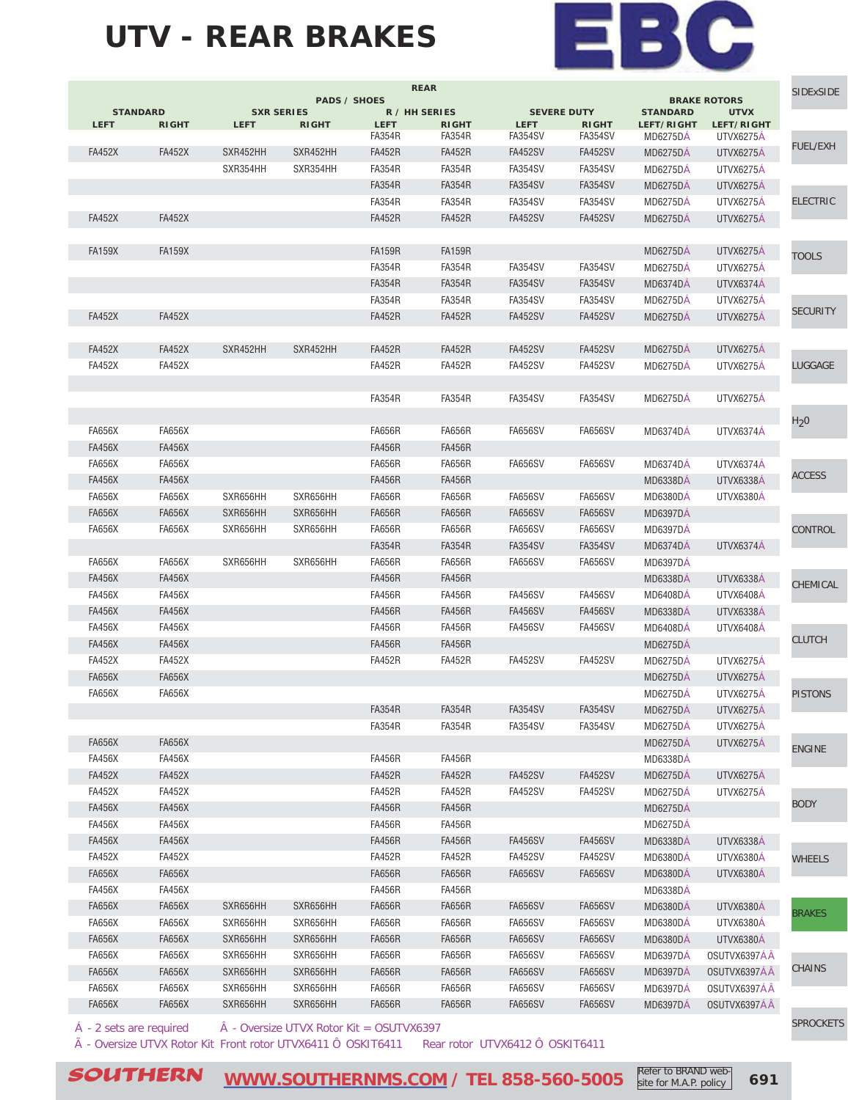#### **UTV - REAR BRAKES**



|                  | <b>BRAKE ROTORS</b><br><b>UTVX</b> | <b>STANDARD</b>               |                         | <b>SEVERE DUTY</b>            |                               | R / HH SERIES                | <b>PADS / SHOES</b><br><b>SXR SERIES</b> |             |               | <b>STANDARD</b> |
|------------------|------------------------------------|-------------------------------|-------------------------|-------------------------------|-------------------------------|------------------------------|------------------------------------------|-------------|---------------|-----------------|
|                  | LEFT/RIGHT<br>UTVX6275A            | LEFT/RIGHT<br><b>MD6275DA</b> | <b>RIGHT</b><br>FA354SV | <b>LEFT</b><br><b>FA354SV</b> | <b>RIGHT</b><br><b>FA354R</b> | <b>LEFT</b><br><b>FA354R</b> | <b>RIGHT</b>                             | <b>LEFT</b> | <b>RIGHT</b>  | <b>LEFT</b>     |
| <b>FUEL/EXH</b>  |                                    |                               |                         |                               |                               |                              |                                          |             |               |                 |
|                  | UTVX6275A                          | <b>MD6275DA</b>               | FA452SV                 | <b>FA452SV</b>                | <b>FA452R</b>                 | <b>FA452R</b>                | SXR452HH                                 | SXR452HH    | <b>FA452X</b> | <b>FA452X</b>   |
|                  | UTVX6275Á                          | <b>MD6275DA</b>               | <b>FA354SV</b>          | <b>FA354SV</b>                | FA354R                        | <b>FA354R</b>                | SXR354HH                                 | SXR354HH    |               |                 |
|                  | UTVX6275A                          | <b>MD6275DA</b>               | <b>FA354SV</b>          | <b>FA354SV</b>                | <b>FA354R</b>                 | <b>FA354R</b>                |                                          |             |               |                 |
| <b>ELECTRIC</b>  | UTVX6275A                          | MD6275DA                      | FA354SV                 | <b>FA354SV</b>                | <b>FA354R</b>                 | <b>FA354R</b>                |                                          |             |               |                 |
|                  | UTVX6275A                          | <b>MD6275DA</b>               | <b>FA452SV</b>          | <b>FA452SV</b>                | <b>FA452R</b>                 | <b>FA452R</b>                |                                          |             | <b>FA452X</b> | <b>FA452X</b>   |
| <b>TOOLS</b>     | UTVX6275A                          | <b>MD6275DA</b>               |                         |                               | <b>FA159R</b>                 | <b>FA159R</b>                |                                          |             | <b>FA159X</b> | <b>FA159X</b>   |
|                  | UTVX6275A                          | <b>MD6275DÁ</b>               | <b>FA354SV</b>          | <b>FA354SV</b>                | <b>FA354R</b>                 | <b>FA354R</b>                |                                          |             |               |                 |
|                  | UTVX6374Á                          | MD6374DÁ                      | FA354SV                 | <b>FA354SV</b>                | <b>FA354R</b>                 | <b>FA354R</b>                |                                          |             |               |                 |
|                  | UTVX6275A                          | <b>MD6275DA</b>               | FA354SV                 | <b>FA354SV</b>                | <b>FA354R</b>                 | <b>FA354R</b>                |                                          |             |               |                 |
| <b>SECURITY</b>  | <b>UTVX6275A</b>                   | <b>MD6275DA</b>               | <b>FA452SV</b>          | <b>FA452SV</b>                | <b>FA452R</b>                 | <b>FA452R</b>                |                                          |             | <b>FA452X</b> | <b>FA452X</b>   |
|                  | UTVX6275A                          | <b>MD6275DA</b>               | <b>FA452SV</b>          | <b>FA452SV</b>                | <b>FA452R</b>                 | <b>FA452R</b>                | SXR452HH                                 | SXR452HH    | <b>FA452X</b> | <b>FA452X</b>   |
| LUGGAGE          | UTVX6275A                          | <b>MD6275DA</b>               | <b>FA452SV</b>          | <b>FA452SV</b>                | <b>FA452R</b>                 | <b>FA452R</b>                |                                          |             | <b>FA452X</b> | <b>FA452X</b>   |
|                  |                                    |                               |                         |                               |                               |                              |                                          |             |               |                 |
|                  | <b>UTVX6275A</b>                   | <b>MD6275DA</b>               | <b>FA354SV</b>          | FA354SV                       | <b>FA354R</b>                 | <b>FA354R</b>                |                                          |             |               |                 |
| H <sub>2</sub> 0 | UTVX6374A                          | <b>MD6374DA</b>               | <b>FA656SV</b>          | <b>FA656SV</b>                | <b>FA656R</b>                 | <b>FA656R</b>                |                                          |             | <b>FA656X</b> | <b>FA656X</b>   |
|                  |                                    |                               |                         |                               | <b>FA456R</b>                 | <b>FA456R</b>                |                                          |             | <b>FA456X</b> | <b>FA456X</b>   |
|                  |                                    |                               |                         |                               |                               |                              |                                          |             |               |                 |
| <b>ACCESS</b>    | UTVX6374A                          | MD6374DA                      | FA656SV                 | FA656SV                       | FA656R                        | <b>FA656R</b>                |                                          |             | FA656X        | <b>FA656X</b>   |
|                  | UTVX6338A                          | MD6338DA                      |                         |                               | <b>FA456R</b>                 | <b>FA456R</b>                |                                          |             | <b>FA456X</b> | <b>FA456X</b>   |
|                  | UTVX6380A                          | <b>MD6380DA</b>               | <b>FA656SV</b>          | <b>FA656SV</b>                | FA656R                        | FA656R                       | SXR656HH                                 | SXR656HH    | FA656X        | <b>FA656X</b>   |
|                  |                                    | <b>MD6397DA</b>               | FA656SV                 | <b>FA656SV</b>                | <b>FA656R</b>                 | FA656R                       | SXR656HH                                 | SXR656HH    | <b>FA656X</b> | FA656X          |
| CONTROL          |                                    | <b>MD6397DA</b>               | FA656SV                 | <b>FA656SV</b>                | <b>FA656R</b>                 | FA656R                       | SXR656HH                                 | SXR656HH    | <b>FA656X</b> | FA656X          |
|                  | UTVX6374A                          | <b>MD6374DA</b>               | <b>FA354SV</b>          | <b>FA354SV</b>                | <b>FA354R</b>                 | <b>FA354R</b>                |                                          |             |               |                 |
|                  |                                    | <b>MD6397DA</b>               | <b>FA656SV</b>          | <b>FA656SV</b>                | <b>FA656R</b>                 | <b>FA656R</b>                | SXR656HH                                 | SXR656HH    | <b>FA656X</b> | <b>FA656X</b>   |
| CHEMICAL         | <b>UTVX6338A</b>                   | <b>MD6338DA</b>               |                         |                               | <b>FA456R</b>                 | <b>FA456R</b>                |                                          |             | <b>FA456X</b> | <b>FA456X</b>   |
|                  | UTVX6408A                          | <b>MD6408DA</b>               | FA456SV                 | <b>FA456SV</b>                | <b>FA456R</b>                 | <b>FA456R</b>                |                                          |             | <b>FA456X</b> | <b>FA456X</b>   |
|                  | <b>UTVX6338A</b>                   | <b>MD6338DA</b>               | FA456SV                 | <b>FA456SV</b>                | <b>FA456R</b>                 | <b>FA456R</b>                |                                          |             | <b>FA456X</b> | <b>FA456X</b>   |
|                  | UTVX6408A                          | <b>MD6408DA</b>               | <b>FA456SV</b>          | <b>FA456SV</b>                | <b>FA456R</b>                 | <b>FA456R</b>                |                                          |             | <b>FA456X</b> | <b>FA456X</b>   |
| <b>CLUTCH</b>    |                                    | <b>MD6275DA</b>               |                         |                               | <b>FA456R</b>                 | <b>FA456R</b>                |                                          |             | <b>FA456X</b> | <b>FA456X</b>   |
|                  | UTVX6275A                          | <b>MD6275DA</b>               | <b>FA452SV</b>          | <b>FA452SV</b>                | <b>FA452R</b>                 | <b>FA452R</b>                |                                          |             | <b>FA452X</b> | <b>FA452X</b>   |
|                  | <b>UTVX6275A</b>                   | <b>MD6275DA</b>               |                         |                               |                               |                              |                                          |             | <b>FA656X</b> | FA656X          |
| <b>PISTONS</b>   | UTVX6275A                          | <b>MD6275DA</b>               |                         |                               |                               |                              |                                          |             | <b>FA656X</b> | <b>FA656X</b>   |
|                  | <b>UTVX6275A</b>                   | <b>MD6275DA</b>               | <b>FA354SV</b>          | <b>FA354SV</b>                | <b>FA354R</b>                 | <b>FA354R</b>                |                                          |             |               |                 |
|                  | UTVX6275Á                          | <b>MD6275DA</b>               | <b>FA354SV</b>          | <b>FA354SV</b>                | <b>FA354R</b>                 | <b>FA354R</b>                |                                          |             |               |                 |
|                  | UTVX6275Á                          | <b>MD6275DA</b>               |                         |                               |                               |                              |                                          |             | FA656X        | FA656X          |
| <b>ENGINE</b>    |                                    | <b>MD6338DA</b>               |                         |                               | <b>FA456R</b>                 | <b>FA456R</b>                |                                          |             | <b>FA456X</b> | <b>FA456X</b>   |
|                  | UTVX6275A                          | <b>MD6275DÁ</b>               | <b>FA452SV</b>          | <b>FA452SV</b>                | <b>FA452R</b>                 | <b>FA452R</b>                |                                          |             | <b>FA452X</b> | <b>FA452X</b>   |
|                  | UTVX6275Á                          | <b>MD6275DA</b>               | <b>FA452SV</b>          | <b>FA452SV</b>                | <b>FA452R</b>                 | <b>FA452R</b>                |                                          |             | <b>FA452X</b> | <b>FA452X</b>   |
| <b>BODY</b>      |                                    | <b>MD6275DÁ</b>               |                         |                               | <b>FA456R</b>                 | <b>FA456R</b>                |                                          |             | <b>FA456X</b> | <b>FA456X</b>   |
|                  |                                    | <b>MD6275DA</b>               |                         |                               | <b>FA456R</b>                 | <b>FA456R</b>                |                                          |             | <b>FA456X</b> | <b>FA456X</b>   |
|                  |                                    |                               | <b>FA456SV</b>          | <b>FA456SV</b>                | <b>FA456R</b>                 | <b>FA456R</b>                |                                          |             | <b>FA456X</b> | <b>FA456X</b>   |
|                  | UTVX6338A                          | <b>MD6338DA</b>               |                         |                               |                               |                              |                                          |             |               |                 |
| <b>WHEELS</b>    | UTVX6380A                          | <b>MD6380DA</b>               | <b>FA452SV</b>          | <b>FA452SV</b>                | <b>FA452R</b>                 | <b>FA452R</b>                |                                          |             | <b>FA452X</b> | <b>FA452X</b>   |
|                  | UTVX6380Á                          | <b>MD6380DA</b>               | <b>FA656SV</b>          | <b>FA656SV</b>                | <b>FA656R</b>                 | <b>FA656R</b>                |                                          |             | <b>FA656X</b> | <b>FA656X</b>   |
|                  |                                    | <b>MD6338DA</b>               |                         |                               | <b>FA456R</b>                 | <b>FA456R</b>                |                                          |             | <b>FA456X</b> | <b>FA456X</b>   |
| <b>BRAKES</b>    | UTVX6380A                          | MD6380DA                      | <b>FA656SV</b>          | <b>FA656SV</b>                | <b>FA656R</b>                 | <b>FA656R</b>                | SXR656HH                                 | SXR656HH    | <b>FA656X</b> | <b>FA656X</b>   |
|                  | UTVX6380Á                          | <b>MD6380DA</b>               | <b>FA656SV</b>          | <b>FA656SV</b>                | <b>FA656R</b>                 | <b>FA656R</b>                | SXR656HH                                 | SXR656HH    | <b>FA656X</b> | <b>FA656X</b>   |
|                  | UTVX6380A                          | <b>MD6380DA</b>               | FA656SV                 | <b>FA656SV</b>                | <b>FA656R</b>                 | <b>FA656R</b>                | SXR656HH                                 | SXR656HH    | <b>FA656X</b> | <b>FA656X</b>   |
|                  | OSUTVX6397ÁÂ                       | <b>MD6397DA</b>               | <b>FA656SV</b>          | <b>FA656SV</b>                | <b>FA656R</b>                 | <b>FA656R</b>                | SXR656HH                                 | SXR656HH    | <b>FA656X</b> | <b>FA656X</b>   |
| CHAINS           | OSUTVX6397ÁÂ                       | <b>MD6397DA</b>               | FA656SV                 | <b>FA656SV</b>                | <b>FA656R</b>                 | <b>FA656R</b>                | SXR656HH                                 | SXR656HH    | <b>FA656X</b> | <b>FA656X</b>   |
|                  | OSUTVX6397ÁÂ                       | <b>MD6397DÁ</b>               | FA656SV                 | <b>FA656SV</b>                | <b>FA656R</b>                 | <b>FA656R</b>                | SXR656HH                                 | SXR656HH    | <b>FA656X</b> | <b>FA656X</b>   |
|                  | OSUTVX6397ÁÂ                       | <b>MD6397DÁ</b>               | <b>FA656SV</b>          | <b>FA656SV</b>                | <b>FA656R</b>                 | <b>FA656R</b>                | SXR656HH                                 | SXR656HH    | <b>FA656X</b> | <b>FA656X</b>   |

SOUTHERN WWW.SOUTHERNMS.COM / TEL 858-560-5005 Refer to BRAND web-<br>**SOUTHERN** WWW.SOUTHERNMS.COM / TEL 858-560-5005 Site for M.A.P. policy 691 [WWW.SOUTHERNMS.COM / TEL 858-560-5005](http://m.southernms.com) Site for M.A.P. policy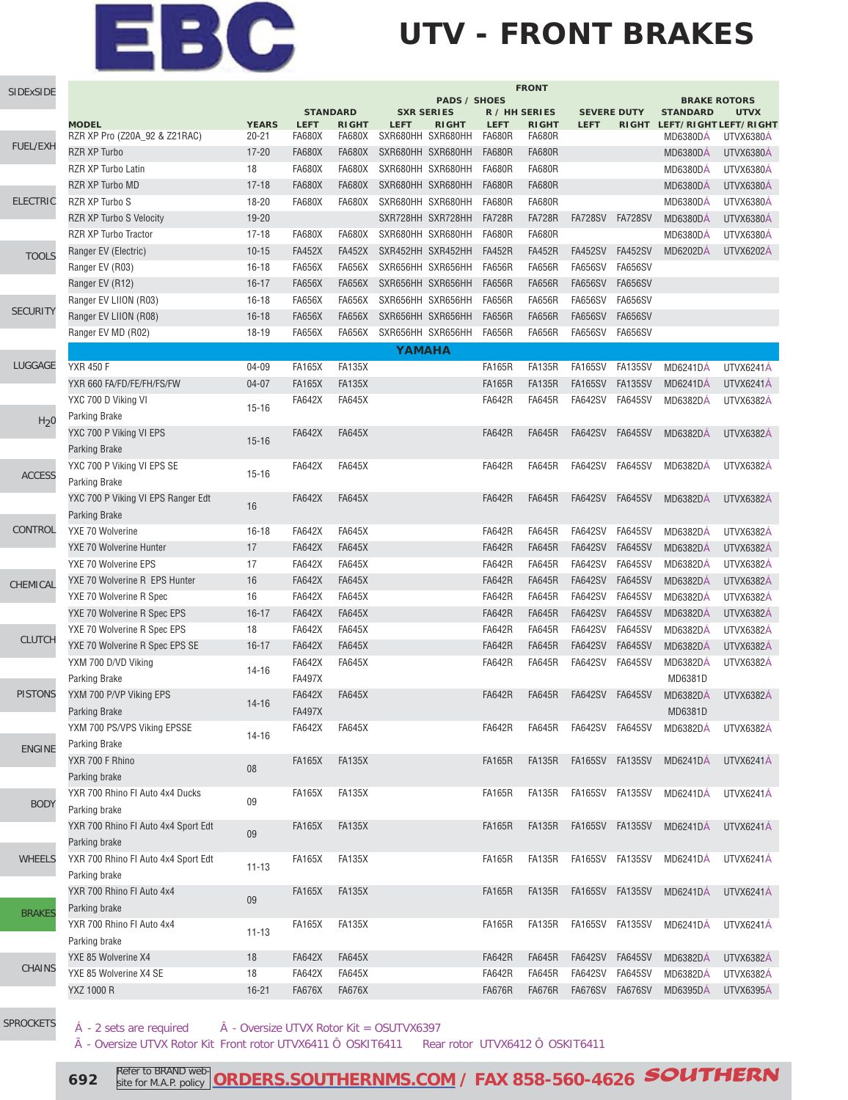# EBC

## **UTV - FRONT BRAKES**

| SIDExSIDE        | <b>FRONT</b>                        |              |                 |               |                   |                     |               |               |                    |                 |                                        |                  |
|------------------|-------------------------------------|--------------|-----------------|---------------|-------------------|---------------------|---------------|---------------|--------------------|-----------------|----------------------------------------|------------------|
|                  |                                     |              | <b>STANDARD</b> |               | <b>SXR SERIES</b> | <b>PADS / SHOES</b> | R / HH SERIES |               | <b>SEVERE DUTY</b> |                 | <b>BRAKE ROTORS</b><br><b>STANDARD</b> | <b>UTVX</b>      |
|                  | <b>MODEL</b>                        | <b>YEARS</b> | <b>LEFT</b>     | <b>RIGHT</b>  | <b>LEFT</b>       | <b>RIGHT</b>        | <b>LEFT</b>   | <b>RIGHT</b>  | <b>LEFT</b>        |                 | RIGHT LEFT/RIGHT LEFT/RIGHT            |                  |
|                  | RZR XP Pro (Z20A_92 & Z21RAC)       | $20 - 21$    | <b>FA680X</b>   | <b>FA680X</b> | SXR680HH SXR680HH |                     | <b>FA680R</b> | <b>FA680R</b> |                    |                 | <b>MD6380DA</b>                        | UTVX6380A        |
| <b>FUEL/EXH</b>  | <b>RZR XP Turbo</b>                 | $17 - 20$    | <b>FA680X</b>   | <b>FA680X</b> | SXR680HH SXR680HH |                     | <b>FA680R</b> | <b>FA680R</b> |                    |                 | <b>MD6380DÁ</b>                        | UTVX6380A        |
|                  | RZR XP Turbo Latin                  | 18           | <b>FA680X</b>   | <b>FA680X</b> | SXR680HH SXR680HH |                     | <b>FA680R</b> | <b>FA680R</b> |                    |                 | <b>MD6380DÁ</b>                        | UTVX6380Á        |
|                  | RZR XP Turbo MD                     | $17 - 18$    | <b>FA680X</b>   | <b>FA680X</b> | SXR680HH SXR680HH |                     | <b>FA680R</b> | <b>FA680R</b> |                    |                 | <b>MD6380DÁ</b>                        | UTVX6380Á        |
| <b>ELECTRIC</b>  | RZR XP Turbo S                      | 18-20        | <b>FA680X</b>   | <b>FA680X</b> | SXR680HH SXR680HH |                     | <b>FA680R</b> | <b>FA680R</b> |                    |                 | <b>MD6380DÁ</b>                        | UTVX6380A        |
|                  | <b>RZR XP Turbo S Velocity</b>      | 19-20        |                 |               | SXR728HH SXR728HH |                     | <b>FA728R</b> | <b>FA728R</b> | <b>FA728SV</b>     | <b>FA728SV</b>  | <b>MD6380DÁ</b>                        | UTVX6380Á        |
|                  | RZR XP Turbo Tractor                | $17 - 18$    | <b>FA680X</b>   | <b>FA680X</b> | SXR680HH SXR680HH |                     | <b>FA680R</b> | <b>FA680R</b> |                    |                 | <b>MD6380DÁ</b>                        | UTVX6380Á        |
| <b>TOOLS</b>     | Ranger EV (Electric)                | $10 - 15$    | <b>FA452X</b>   | <b>FA452X</b> | SXR452HH SXR452HH |                     | <b>FA452R</b> | <b>FA452R</b> | <b>FA452SV</b>     | <b>FA452SV</b>  | <b>MD6202DÁ</b>                        | <b>UTVX6202Á</b> |
|                  | Ranger EV (R03)                     | $16 - 18$    | <b>FA656X</b>   | <b>FA656X</b> | SXR656HH SXR656HH |                     | <b>FA656R</b> | <b>FA656R</b> | <b>FA656SV</b>     | <b>FA656SV</b>  |                                        |                  |
|                  | Ranger EV (R12)                     | $16 - 17$    | <b>FA656X</b>   | <b>FA656X</b> | SXR656HH SXR656HH |                     | <b>FA656R</b> | <b>FA656R</b> | <b>FA656SV</b>     | <b>FA656SV</b>  |                                        |                  |
|                  | Ranger EV LIION (R03)               | $16 - 18$    | <b>FA656X</b>   | <b>FA656X</b> | SXR656HH SXR656HH |                     | <b>FA656R</b> | <b>FA656R</b> | <b>FA656SV</b>     | <b>FA656SV</b>  |                                        |                  |
| <b>SECURITY</b>  | Ranger EV LIION (R08)               | $16 - 18$    | <b>FA656X</b>   | <b>FA656X</b> | SXR656HH SXR656HH |                     | <b>FA656R</b> | <b>FA656R</b> | <b>FA656SV</b>     | <b>FA656SV</b>  |                                        |                  |
|                  | Ranger EV MD (R02)                  | 18-19        | <b>FA656X</b>   | <b>FA656X</b> | SXR656HH SXR656HH |                     | <b>FA656R</b> | <b>FA656R</b> | <b>FA656SV</b>     | <b>FA656SV</b>  |                                        |                  |
|                  |                                     |              |                 |               | YAMAHA            |                     |               |               |                    |                 |                                        |                  |
| LUGGAGE          | <b>YXR 450 F</b>                    | 04-09        | <b>FA165X</b>   | <b>FA135X</b> |                   |                     | <b>FA165R</b> | <b>FA135R</b> | <b>FA165SV</b>     | <b>FA135SV</b>  | <b>MD6241DÁ</b>                        | UTVX6241Á        |
|                  | YXR 660 FA/FD/FE/FH/FS/FW           | $04 - 07$    | <b>FA165X</b>   | <b>FA135X</b> |                   |                     | <b>FA165R</b> | <b>FA135R</b> | <b>FA165SV</b>     | <b>FA135SV</b>  | MD6241DÁ                               | UTVX6241Á        |
|                  | YXC 700 D Viking VI                 |              | <b>FA642X</b>   | <b>FA645X</b> |                   |                     | <b>FA642R</b> | <b>FA645R</b> | <b>FA642SV</b>     | <b>FA645SV</b>  | <b>MD6382DA</b>                        | <b>UTVX6382A</b> |
| H <sub>2</sub> 0 | <b>Parking Brake</b>                | $15 - 16$    |                 |               |                   |                     |               |               |                    |                 |                                        |                  |
|                  | YXC 700 P Viking VI EPS             |              | <b>FA642X</b>   | <b>FA645X</b> |                   |                     | <b>FA642R</b> | <b>FA645R</b> | <b>FA642SV</b>     | <b>FA645SV</b>  | <b>MD6382DÁ</b>                        | <b>UTVX6382Á</b> |
|                  | <b>Parking Brake</b>                | $15 - 16$    |                 |               |                   |                     |               |               |                    |                 |                                        |                  |
|                  | YXC 700 P Viking VI EPS SE          |              | <b>FA642X</b>   | <b>FA645X</b> |                   |                     | <b>FA642R</b> | <b>FA645R</b> | <b>FA642SV</b>     | <b>FA645SV</b>  | <b>MD6382DÁ</b>                        | <b>UTVX6382A</b> |
| <b>ACCESS</b>    | Parking Brake                       | $15 - 16$    |                 |               |                   |                     |               |               |                    |                 |                                        |                  |
|                  | YXC 700 P Viking VI EPS Ranger Edt  |              | <b>FA642X</b>   | <b>FA645X</b> |                   |                     | <b>FA642R</b> | <b>FA645R</b> | <b>FA642SV</b>     | <b>FA645SV</b>  | <b>MD6382DA</b>                        | <b>UTVX6382A</b> |
|                  | <b>Parking Brake</b>                | 16           |                 |               |                   |                     |               |               |                    |                 |                                        |                  |
| CONTROL          | YXE 70 Wolverine                    | $16 - 18$    | <b>FA642X</b>   | <b>FA645X</b> |                   |                     | <b>FA642R</b> | <b>FA645R</b> | <b>FA642SV</b>     | <b>FA645SV</b>  | <b>MD6382DÁ</b>                        | <b>UTVX6382Á</b> |
|                  | YXE 70 Wolverine Hunter             | 17           | <b>FA642X</b>   | <b>FA645X</b> |                   |                     | <b>FA642R</b> | <b>FA645R</b> | <b>FA642SV</b>     | <b>FA645SV</b>  | <b>MD6382DÁ</b>                        | <b>UTVX6382Á</b> |
|                  | YXE 70 Wolverine EPS                | 17           | <b>FA642X</b>   | <b>FA645X</b> |                   |                     | <b>FA642R</b> | <b>FA645R</b> | <b>FA642SV</b>     | <b>FA645SV</b>  | <b>MD6382DA</b>                        | <b>UTVX6382A</b> |
| CHEMICAL         | YXE 70 Wolverine R EPS Hunter       | 16           | <b>FA642X</b>   | <b>FA645X</b> |                   |                     | <b>FA642R</b> | <b>FA645R</b> | <b>FA642SV</b>     | <b>FA645SV</b>  | <b>MD6382DÁ</b>                        | <b>UTVX6382Á</b> |
|                  | YXE 70 Wolverine R Spec             | 16           | <b>FA642X</b>   | <b>FA645X</b> |                   |                     | <b>FA642R</b> | <b>FA645R</b> | <b>FA642SV</b>     | <b>FA645SV</b>  | <b>MD6382DÁ</b>                        | UTVX6382Á        |
|                  | YXE 70 Wolverine R Spec EPS         | $16 - 17$    | <b>FA642X</b>   | <b>FA645X</b> |                   |                     | <b>FA642R</b> | <b>FA645R</b> | <b>FA642SV</b>     | <b>FA645SV</b>  | <b>MD6382DÁ</b>                        | <b>UTVX6382Á</b> |
|                  | YXE 70 Wolverine R Spec EPS         | 18           | <b>FA642X</b>   | <b>FA645X</b> |                   |                     | <b>FA642R</b> | <b>FA645R</b> | <b>FA642SV</b>     | <b>FA645SV</b>  | <b>MD6382DÁ</b>                        | <b>UTVX6382Á</b> |
| <b>CLUTCH</b>    | YXE 70 Wolverine R Spec EPS SE      | $16 - 17$    | <b>FA642X</b>   | <b>FA645X</b> |                   |                     | <b>FA642R</b> | <b>FA645R</b> | <b>FA642SV</b>     | <b>FA645SV</b>  | <b>MD6382DA</b>                        | <b>UTVX6382Á</b> |
|                  | YXM 700 D/VD Viking                 |              | <b>FA642X</b>   | <b>FA645X</b> |                   |                     | <b>FA642R</b> | <b>FA645R</b> | <b>FA642SV</b>     | <b>FA645SV</b>  | MD6382DÁ                               | UTVX6382Á        |
|                  | <b>Parking Brake</b>                | $14 - 16$    | <b>FA497X</b>   |               |                   |                     |               |               |                    |                 | MD6381D                                |                  |
| <b>PISTONS</b>   | YXM 700 P/VP Viking EPS             |              | <b>FA642X</b>   | <b>FA645X</b> |                   |                     | <b>FA642R</b> | <b>FA645R</b> | <b>FA642SV</b>     | <b>FA645SV</b>  | <b>MD6382DA</b>                        | <b>UTVX6382A</b> |
|                  | <b>Parking Brake</b>                | $14 - 16$    | <b>FA497X</b>   |               |                   |                     |               |               |                    |                 | MD6381D                                |                  |
|                  | YXM 700 PS/VPS Viking EPSSE         |              | <b>FA642X</b>   | <b>FA645X</b> |                   |                     | <b>FA642R</b> | <b>FA645R</b> | FA642SV            | FA645SV         | MD6382DÁ                               | UTVX6382Á        |
| <b>ENGINE</b>    | Parking Brake                       | $14 - 16$    |                 |               |                   |                     |               |               |                    |                 |                                        |                  |
|                  | YXR 700 F Rhino                     |              | <b>FA165X</b>   | <b>FA135X</b> |                   |                     | <b>FA165R</b> | <b>FA135R</b> | <b>FA165SV</b>     | <b>FA135SV</b>  | MD6241DA                               | UTVX6241Á        |
|                  | Parking brake                       | 08           |                 |               |                   |                     |               |               |                    |                 |                                        |                  |
|                  | YXR 700 Rhino FI Auto 4x4 Ducks     |              | FA165X          | <b>FA135X</b> |                   |                     | <b>FA165R</b> | <b>FA135R</b> | FA165SV            | FA135SV         | <b>MD6241DÁ</b>                        | UTVX6241Á        |
| <b>BODY</b>      | Parking brake                       | 09           |                 |               |                   |                     |               |               |                    |                 |                                        |                  |
|                  | YXR 700 Rhino FI Auto 4x4 Sport Edt |              | <b>FA165X</b>   | <b>FA135X</b> |                   |                     | <b>FA165R</b> | <b>FA135R</b> | <b>FA165SV</b>     | <b>FA135SV</b>  | <b>MD6241DA</b>                        | UTVX6241Á        |
|                  | Parking brake                       | 09           |                 |               |                   |                     |               |               |                    |                 |                                        |                  |
| <b>WHEELS</b>    | YXR 700 Rhino FI Auto 4x4 Sport Edt |              | <b>FA165X</b>   | <b>FA135X</b> |                   |                     | <b>FA165R</b> | <b>FA135R</b> | <b>FA165SV</b>     | FA135SV         | MD6241DA                               | UTVX6241Á        |
|                  | Parking brake                       | $11 - 13$    |                 |               |                   |                     |               |               |                    |                 |                                        |                  |
|                  | YXR 700 Rhino FI Auto 4x4           |              | <b>FA165X</b>   | <b>FA135X</b> |                   |                     | <b>FA165R</b> | <b>FA135R</b> | <b>FA165SV</b>     | FA135SV         | <b>MD6241DÁ</b>                        | UTVX6241Á        |
|                  | Parking brake                       | 09           |                 |               |                   |                     |               |               |                    |                 |                                        |                  |
| <b>BRAKES</b>    | YXR 700 Rhino FI Auto 4x4           |              | <b>FA165X</b>   | <b>FA135X</b> |                   |                     | <b>FA165R</b> | <b>FA135R</b> | FA165SV FA135SV    |                 | MD6241DA                               | UTVX6241Á        |
|                  | Parking brake                       | $11 - 13$    |                 |               |                   |                     |               |               |                    |                 |                                        |                  |
|                  | YXE 85 Wolverine X4                 | 18           | <b>FA642X</b>   | <b>FA645X</b> |                   |                     | <b>FA642R</b> | <b>FA645R</b> | <b>FA642SV</b>     | <b>FA645SV</b>  | <b>MD6382DÁ</b>                        | UTVX6382Á        |
| <b>CHAINS</b>    | YXE 85 Wolverine X4 SE              | 18           | <b>FA642X</b>   | <b>FA645X</b> |                   |                     | <b>FA642R</b> | <b>FA645R</b> | <b>FA642SV</b>     | FA645SV         | <b>MD6382DÁ</b>                        | UTVX6382Á        |
|                  | YXZ 1000 R                          | $16 - 21$    | <b>FA676X</b>   | <b>FA676X</b> |                   |                     | <b>FA676R</b> | <b>FA676R</b> |                    | FA676SV FA676SV | <b>MD6395DA</b>                        | UTVX6395Á        |
|                  |                                     |              |                 |               |                   |                     |               |               |                    |                 |                                        |                  |

[SPROCKETS](http://www.southernms.com/wp-content/uploads/2015/08/18_sprockets.pdf)

 $\hat{A}$  - 2 sets are required  $\hat{A}$  - Oversize UTVX Rotor Kit = OSUTVX6397

à - Oversize UTVX Rotor Kit Front rotor UTVX6411 Ô OSKIT6411 Rear rotor UTVX6412 Ô OSKIT6411

**692** Refer to BRAND web **[ORDERS.SOUTHERNMS.COM / FAX 858-560-4626](http://orders.southernms.com) SOUTHERN**